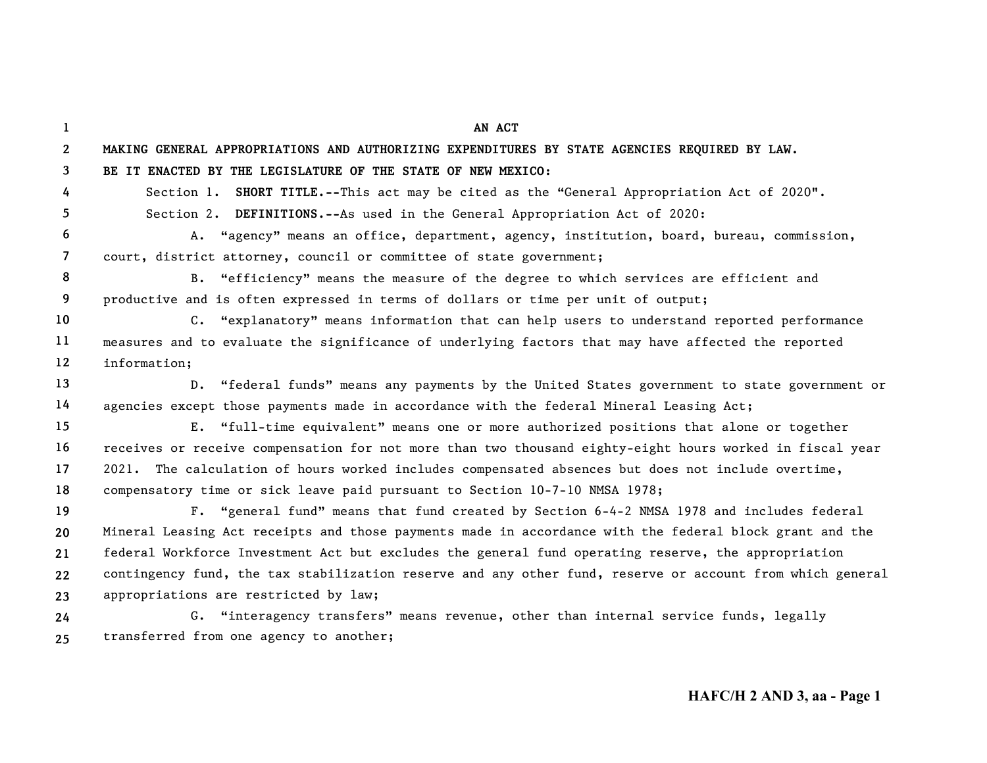| 1              | AN ACT                                                                                                    |
|----------------|-----------------------------------------------------------------------------------------------------------|
| $\mathbf{2}$   | MAKING GENERAL APPROPRIATIONS AND AUTHORIZING EXPENDITURES BY STATE AGENCIES REQUIRED BY LAW.             |
| 3              | BE IT ENACTED BY THE LEGISLATURE OF THE STATE OF NEW MEXICO:                                              |
| 4              | Section 1. SHORT TITLE.--This act may be cited as the "General Appropriation Act of 2020".                |
| 5.             | Section 2. DEFINITIONS.--As used in the General Appropriation Act of 2020:                                |
| 6              | A. "agency" means an office, department, agency, institution, board, bureau, commission,                  |
| $\overline{7}$ | court, district attorney, council or committee of state government;                                       |
| 8              | B. "efficiency" means the measure of the degree to which services are efficient and                       |
| 9              | productive and is often expressed in terms of dollars or time per unit of output;                         |
| 10             | C. "explanatory" means information that can help users to understand reported performance                 |
| 11             | measures and to evaluate the significance of underlying factors that may have affected the reported       |
| $12 \,$        | information;                                                                                              |
| 13             | D. "federal funds" means any payments by the United States government to state government or              |
| 14             | agencies except those payments made in accordance with the federal Mineral Leasing Act;                   |
| 15             | E. "full-time equivalent" means one or more authorized positions that alone or together                   |
| 16             | receives or receive compensation for not more than two thousand eighty-eight hours worked in fiscal year  |
| 17             | 2021. The calculation of hours worked includes compensated absences but does not include overtime,        |
| 18             | compensatory time or sick leave paid pursuant to Section 10-7-10 NMSA 1978;                               |
| 19             | F. "general fund" means that fund created by Section 6-4-2 NMSA 1978 and includes federal                 |
| 20             | Mineral Leasing Act receipts and those payments made in accordance with the federal block grant and the   |
| 21             | federal Workforce Investment Act but excludes the general fund operating reserve, the appropriation       |
| 22             | contingency fund, the tax stabilization reserve and any other fund, reserve or account from which general |
| 23             | appropriations are restricted by law;                                                                     |
| 24             | G. "interagency transfers" means revenue, other than internal service funds, legally                      |
| 25             | transferred from one agency to another;                                                                   |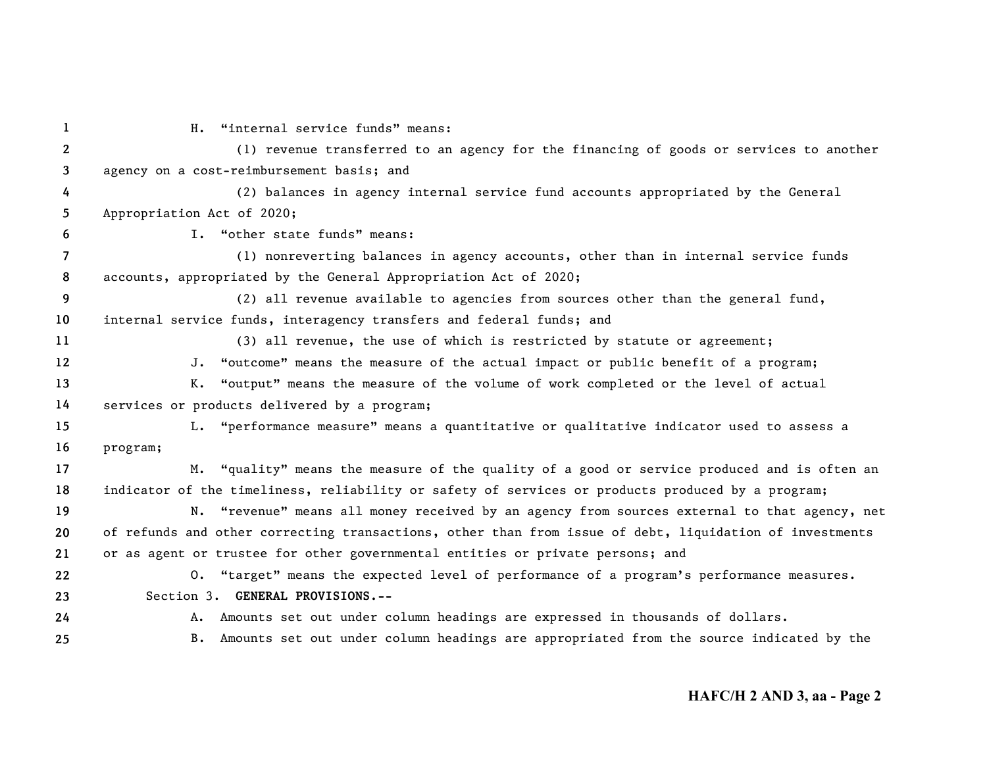| 1              | H. "internal service funds" means:                                                                      |
|----------------|---------------------------------------------------------------------------------------------------------|
| $2^{\circ}$    | (1) revenue transferred to an agency for the financing of goods or services to another                  |
| $\mathbf{3}$   | agency on a cost-reimbursement basis; and                                                               |
| 4              | (2) balances in agency internal service fund accounts appropriated by the General                       |
| 5              | Appropriation Act of 2020;                                                                              |
| 6              | I. "other state funds" means:                                                                           |
| $\overline{7}$ | (1) nonreverting balances in agency accounts, other than in internal service funds                      |
| 8              | accounts, appropriated by the General Appropriation Act of 2020;                                        |
| 9              | (2) all revenue available to agencies from sources other than the general fund,                         |
| 10             | internal service funds, interagency transfers and federal funds; and                                    |
| 11             | (3) all revenue, the use of which is restricted by statute or agreement;                                |
| $12 \,$        | J. "outcome" means the measure of the actual impact or public benefit of a program;                     |
| 13             | K. "output" means the measure of the volume of work completed or the level of actual                    |
| 14             | services or products delivered by a program;                                                            |
| 15             | L. "performance measure" means a quantitative or qualitative indicator used to assess a                 |
| 16             | program;                                                                                                |
| 17             | M. "quality" means the measure of the quality of a good or service produced and is often an             |
| 18             | indicator of the timeliness, reliability or safety of services or products produced by a program;       |
| 19             | N. "revenue" means all money received by an agency from sources external to that agency, net            |
| 20             | of refunds and other correcting transactions, other than from issue of debt, liquidation of investments |
| 21             | or as agent or trustee for other governmental entities or private persons; and                          |
| 22             | 0. "target" means the expected level of performance of a program's performance measures.                |
| 23             | Section 3. GENERAL PROVISIONS.--                                                                        |
| 24             | A. Amounts set out under column headings are expressed in thousands of dollars.                         |
| 25             | B. Amounts set out under column headings are appropriated from the source indicated by the              |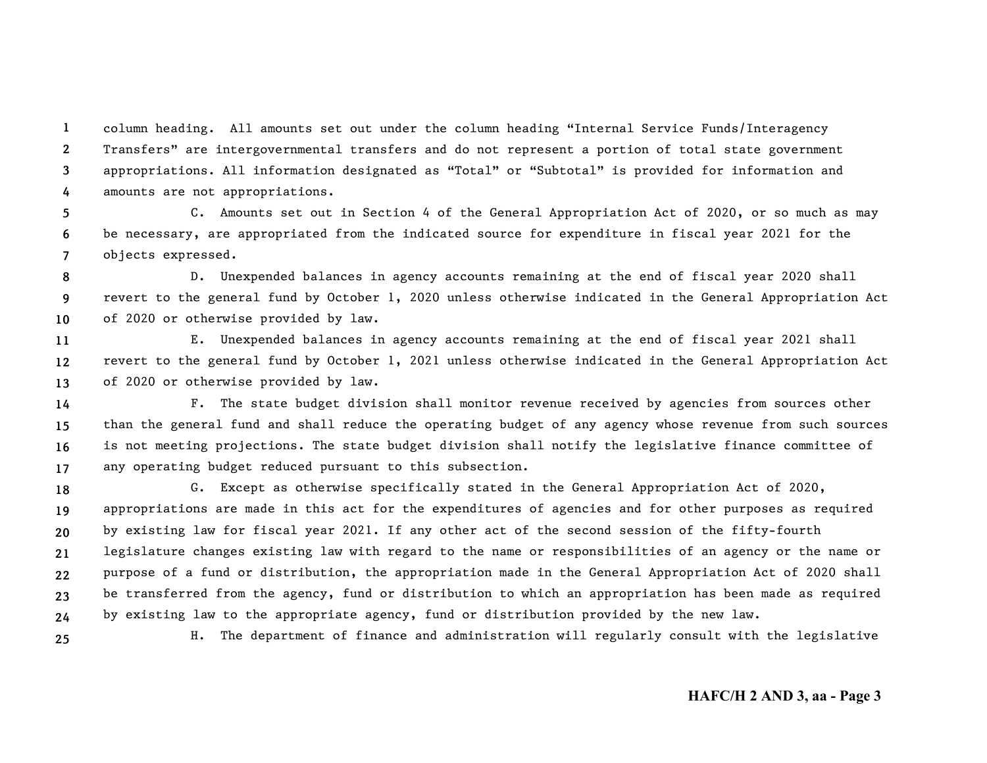**1234**column heading. All amounts set out under the column heading "Internal Service Funds/Interagency Transfers" are intergovernmental transfers and do not represent a portion of total state government appropriations. All information designated as "Total" or "Subtotal" is provided for information and amounts are not appropriations.

**567**C. Amounts set out in Section 4 of the General Appropriation Act of 2020, or so much as may be necessary, are appropriated from the indicated source for expenditure in fiscal year 2021 for the objects expressed.

**89 10**D. Unexpended balances in agency accounts remaining at the end of fiscal year 2020 shall revert to the general fund by October 1, 2020 unless otherwise indicated in the General Appropriation Act of 2020 or otherwise provided by law.

**111213**E. Unexpended balances in agency accounts remaining at the end of fiscal year 2021 shall revert to the general fund by October 1, 2021 unless otherwise indicated in the General Appropriation Act of 2020 or otherwise provided by law.

**14151617**F. The state budget division shall monitor revenue received by agencies from sources other than the general fund and shall reduce the operating budget of any agency whose revenue from such sources is not meeting projections. The state budget division shall notify the legislative finance committee of any operating budget reduced pursuant to this subsection.

**18192021222324**G. Except as otherwise specifically stated in the General Appropriation Act of 2020, appropriations are made in this act for the expenditures of agencies and for other purposes as required by existing law for fiscal year 2021. If any other act of the second session of the fifty-fourth legislature changes existing law with regard to the name or responsibilities of an agency or the name or purpose of a fund or distribution, the appropriation made in the General Appropriation Act of 2020 shall be transferred from the agency, fund or distribution to which an appropriation has been made as required by existing law to the appropriate agency, fund or distribution provided by the new law.

**25**

H. The department of finance and administration will regularly consult with the legislative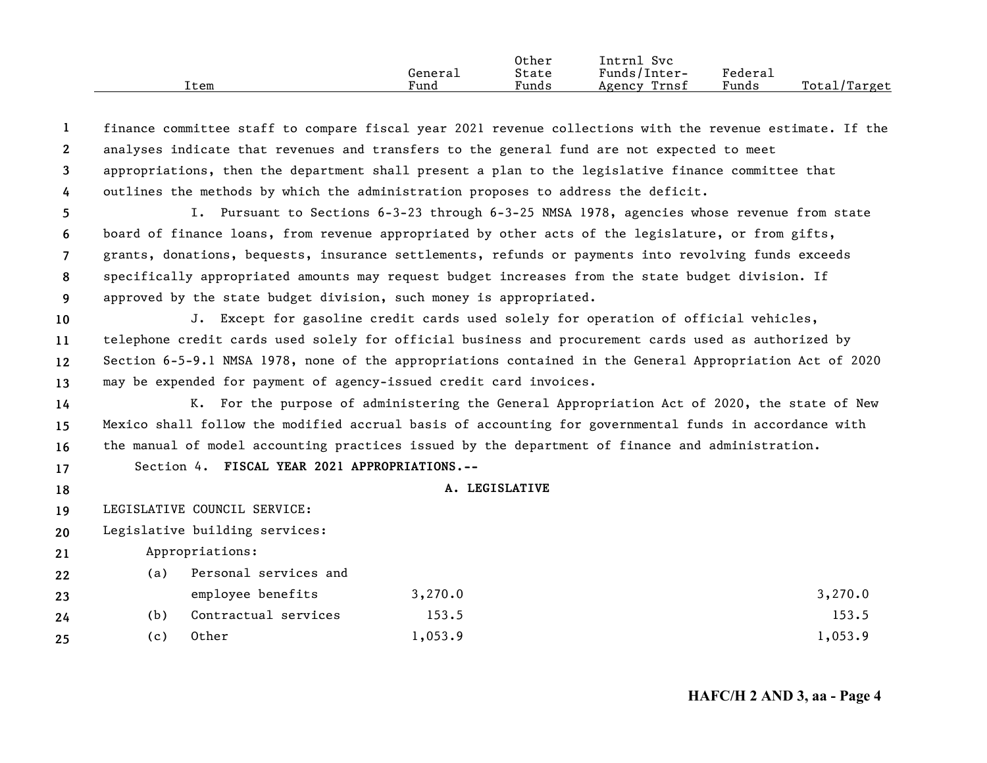|      |         | Other | Svc<br>Intrnl   |         |              |
|------|---------|-------|-----------------|---------|--------------|
|      | General | State | Funds/Inter-    | Federau |              |
| Item | Fund    | Funds | Trnsf<br>Agency | Funds   | Total/Target |

| -1              |                                                                                            |                | finance committee staff to compare fiscal year 2021 revenue collections with the revenue estimate. If the |  |  |  |  |
|-----------------|--------------------------------------------------------------------------------------------|----------------|-----------------------------------------------------------------------------------------------------------|--|--|--|--|
| $\mathbf{2}$    | analyses indicate that revenues and transfers to the general fund are not expected to meet |                |                                                                                                           |  |  |  |  |
| 3               |                                                                                            |                | appropriations, then the department shall present a plan to the legislative finance committee that        |  |  |  |  |
| $\overline{4}$  | outlines the methods by which the administration proposes to address the deficit.          |                |                                                                                                           |  |  |  |  |
| 5               |                                                                                            |                | I. Pursuant to Sections 6-3-23 through 6-3-25 NMSA 1978, agencies whose revenue from state                |  |  |  |  |
| 6               |                                                                                            |                | board of finance loans, from revenue appropriated by other acts of the legislature, or from gifts,        |  |  |  |  |
| $\overline{7}$  |                                                                                            |                | grants, donations, bequests, insurance settlements, refunds or payments into revolving funds exceeds      |  |  |  |  |
| 8               |                                                                                            |                | specifically appropriated amounts may request budget increases from the state budget division. If         |  |  |  |  |
| 9               | approved by the state budget division, such money is appropriated.                         |                |                                                                                                           |  |  |  |  |
| 10              |                                                                                            |                | J. Except for gasoline credit cards used solely for operation of official vehicles,                       |  |  |  |  |
| 11              |                                                                                            |                | telephone credit cards used solely for official business and procurement cards used as authorized by      |  |  |  |  |
| 12 <sup>2</sup> |                                                                                            |                | Section 6-5-9.1 NMSA 1978, none of the appropriations contained in the General Appropriation Act of 2020  |  |  |  |  |
| 13              | may be expended for payment of agency-issued credit card invoices.                         |                |                                                                                                           |  |  |  |  |
| 14              |                                                                                            |                | K. For the purpose of administering the General Appropriation Act of 2020, the state of New               |  |  |  |  |
| 15              |                                                                                            |                | Mexico shall follow the modified accrual basis of accounting for governmental funds in accordance with    |  |  |  |  |
| 16              |                                                                                            |                | the manual of model accounting practices issued by the department of finance and administration.          |  |  |  |  |
| 17              | Section 4. FISCAL YEAR 2021 APPROPRIATIONS.--                                              |                |                                                                                                           |  |  |  |  |
| 18              |                                                                                            | A. LEGISLATIVE |                                                                                                           |  |  |  |  |
| 19              | LEGISLATIVE COUNCIL SERVICE:                                                               |                |                                                                                                           |  |  |  |  |
| 20              | Legislative building services:                                                             |                |                                                                                                           |  |  |  |  |
| 21              | Appropriations:                                                                            |                |                                                                                                           |  |  |  |  |
| 22              | Personal services and<br>(a)                                                               |                |                                                                                                           |  |  |  |  |
| 23              | employee benefits                                                                          | 3,270.0        | 3,270.0                                                                                                   |  |  |  |  |
| 24              | Contractual services<br>(b)                                                                | 153.5          | 153.5                                                                                                     |  |  |  |  |
| 25              | Other<br>(c)                                                                               | 1,053.9        | 1,053.9                                                                                                   |  |  |  |  |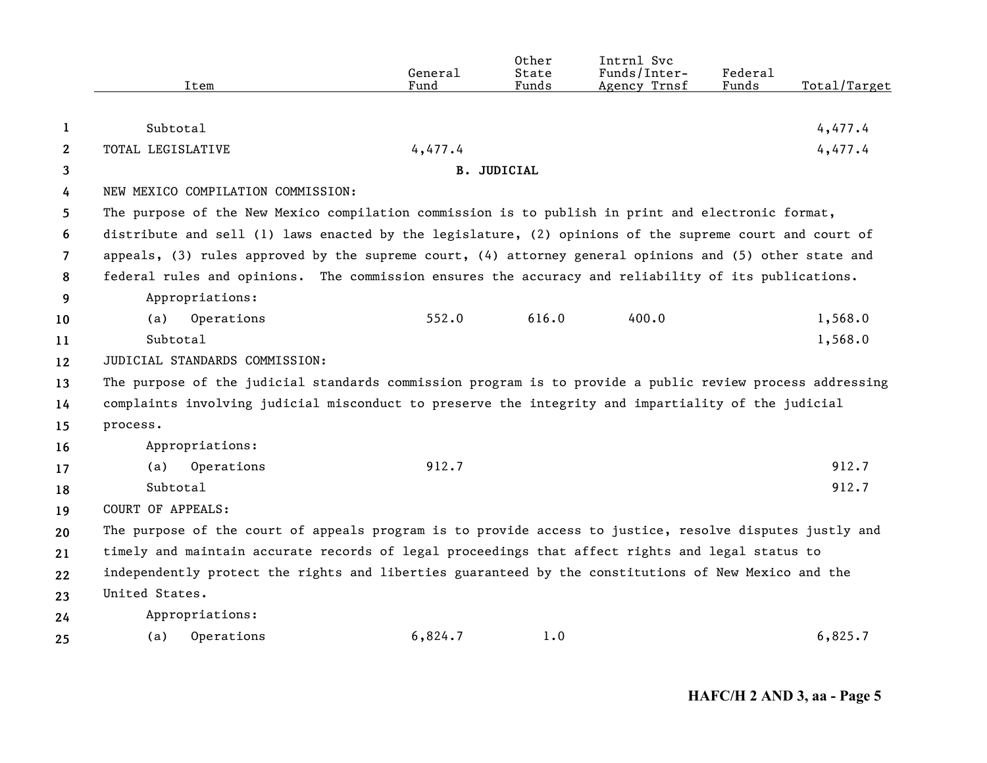|                       | Item                                                                                                      | General<br>Fund | Other<br>State<br>Funds | Intrnl Svc<br>Funds/Inter-<br>Agency Trnsf | Federal<br>Funds | Total/Target |
|-----------------------|-----------------------------------------------------------------------------------------------------------|-----------------|-------------------------|--------------------------------------------|------------------|--------------|
|                       |                                                                                                           |                 |                         |                                            |                  |              |
| 1                     | Subtotal                                                                                                  |                 |                         |                                            |                  | 4,477.4      |
| $\mathbf{2}^{\prime}$ | TOTAL LEGISLATIVE                                                                                         | 4,477.4         |                         |                                            |                  | 4,477.4      |
| 3                     |                                                                                                           |                 | <b>B. JUDICIAL</b>      |                                            |                  |              |
| 4                     | NEW MEXICO COMPILATION COMMISSION:                                                                        |                 |                         |                                            |                  |              |
| 5.                    | The purpose of the New Mexico compilation commission is to publish in print and electronic format,        |                 |                         |                                            |                  |              |
| 6                     | distribute and sell (1) laws enacted by the legislature, (2) opinions of the supreme court and court of   |                 |                         |                                            |                  |              |
| $\overline{7}$        | appeals, (3) rules approved by the supreme court, (4) attorney general opinions and (5) other state and   |                 |                         |                                            |                  |              |
| 8                     | federal rules and opinions. The commission ensures the accuracy and reliability of its publications.      |                 |                         |                                            |                  |              |
| 9                     | Appropriations:                                                                                           |                 |                         |                                            |                  |              |
| 10                    | Operations<br>(a)                                                                                         | 552.0           | 616.0                   | 400.0                                      |                  | 1,568.0      |
| 11                    | Subtotal                                                                                                  |                 |                         |                                            |                  | 1,568.0      |
| $12 \,$               | JUDICIAL STANDARDS COMMISSION:                                                                            |                 |                         |                                            |                  |              |
| 13                    | The purpose of the judicial standards commission program is to provide a public review process addressing |                 |                         |                                            |                  |              |
| 14                    | complaints involving judicial misconduct to preserve the integrity and impartiality of the judicial       |                 |                         |                                            |                  |              |
| 15                    | process.                                                                                                  |                 |                         |                                            |                  |              |
| 16                    | Appropriations:                                                                                           |                 |                         |                                            |                  |              |
| 17                    | Operations<br>(a)                                                                                         | 912.7           |                         |                                            |                  | 912.7        |
| 18                    | Subtotal                                                                                                  |                 |                         |                                            |                  | 912.7        |
| 19                    | <b>COURT OF APPEALS:</b>                                                                                  |                 |                         |                                            |                  |              |
| 20                    | The purpose of the court of appeals program is to provide access to justice, resolve disputes justly and  |                 |                         |                                            |                  |              |
| 21                    | timely and maintain accurate records of legal proceedings that affect rights and legal status to          |                 |                         |                                            |                  |              |
| 22                    | independently protect the rights and liberties guaranteed by the constitutions of New Mexico and the      |                 |                         |                                            |                  |              |
| 23                    | United States.                                                                                            |                 |                         |                                            |                  |              |
| 24                    | Appropriations:                                                                                           |                 |                         |                                            |                  |              |
| 25                    | Operations<br>(a)                                                                                         | 6,824.7         | 1.0                     |                                            |                  | 6,825.7      |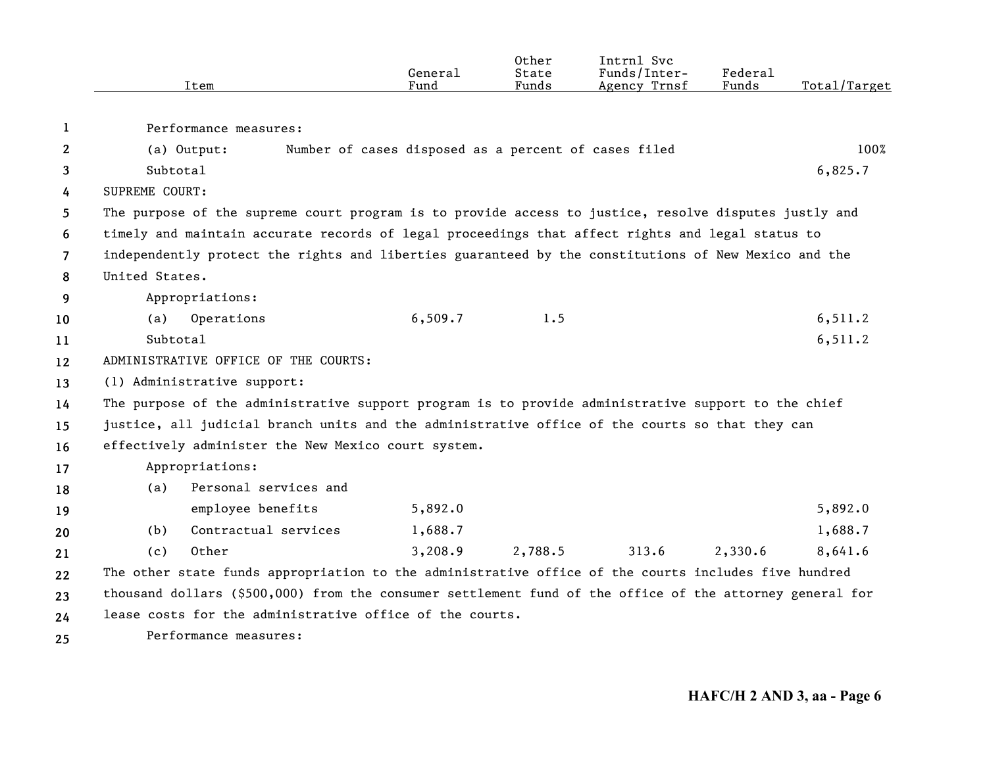|     | Item                                                                                                     | General<br>Fund                                      | Other<br>State<br>Funds | Intrnl Svc<br>Funds/Inter-<br>Agency Trnsf | Federal<br>Funds | Total/Target |
|-----|----------------------------------------------------------------------------------------------------------|------------------------------------------------------|-------------------------|--------------------------------------------|------------------|--------------|
|     |                                                                                                          |                                                      |                         |                                            |                  |              |
| 1   | Performance measures:                                                                                    |                                                      |                         |                                            |                  |              |
| 2   | (a) Output:                                                                                              | Number of cases disposed as a percent of cases filed |                         |                                            |                  | 100%         |
| 3   | Subtotal                                                                                                 |                                                      |                         |                                            |                  | 6,825.7      |
| 4   | SUPREME COURT:                                                                                           |                                                      |                         |                                            |                  |              |
| 5.  | The purpose of the supreme court program is to provide access to justice, resolve disputes justly and    |                                                      |                         |                                            |                  |              |
| 6   | timely and maintain accurate records of legal proceedings that affect rights and legal status to         |                                                      |                         |                                            |                  |              |
| 7   | independently protect the rights and liberties guaranteed by the constitutions of New Mexico and the     |                                                      |                         |                                            |                  |              |
| 8   | United States.                                                                                           |                                                      |                         |                                            |                  |              |
| 9   | Appropriations:                                                                                          |                                                      |                         |                                            |                  |              |
| 10  | Operations<br>(a)                                                                                        | 6,509.7                                              | 1.5                     |                                            |                  | 6, 511.2     |
| 11  | Subtotal                                                                                                 |                                                      |                         |                                            |                  | 6,511.2      |
| 12  | ADMINISTRATIVE OFFICE OF THE COURTS:                                                                     |                                                      |                         |                                            |                  |              |
| 13  | (1) Administrative support:                                                                              |                                                      |                         |                                            |                  |              |
| 14  | The purpose of the administrative support program is to provide administrative support to the chief      |                                                      |                         |                                            |                  |              |
| 15  | justice, all judicial branch units and the administrative office of the courts so that they can          |                                                      |                         |                                            |                  |              |
| 16  | effectively administer the New Mexico court system.                                                      |                                                      |                         |                                            |                  |              |
| 17  | Appropriations:                                                                                          |                                                      |                         |                                            |                  |              |
| 18  | Personal services and<br>(a)                                                                             |                                                      |                         |                                            |                  |              |
| 19  | employee benefits                                                                                        | 5,892.0                                              |                         |                                            |                  | 5,892.0      |
| 20  | Contractual services<br>(b)                                                                              | 1,688.7                                              |                         |                                            |                  | 1,688.7      |
| 21  | Other<br>(c)                                                                                             | 3,208.9                                              | 2,788.5                 | 313.6                                      | 2,330.6          | 8,641.6      |
| 22  | The other state funds appropriation to the administrative office of the courts includes five hundred     |                                                      |                         |                                            |                  |              |
| 23  | thousand dollars (\$500,000) from the consumer settlement fund of the office of the attorney general for |                                                      |                         |                                            |                  |              |
| 24  | lease costs for the administrative office of the courts.                                                 |                                                      |                         |                                            |                  |              |
| 25. | Performance measures:                                                                                    |                                                      |                         |                                            |                  |              |

**25**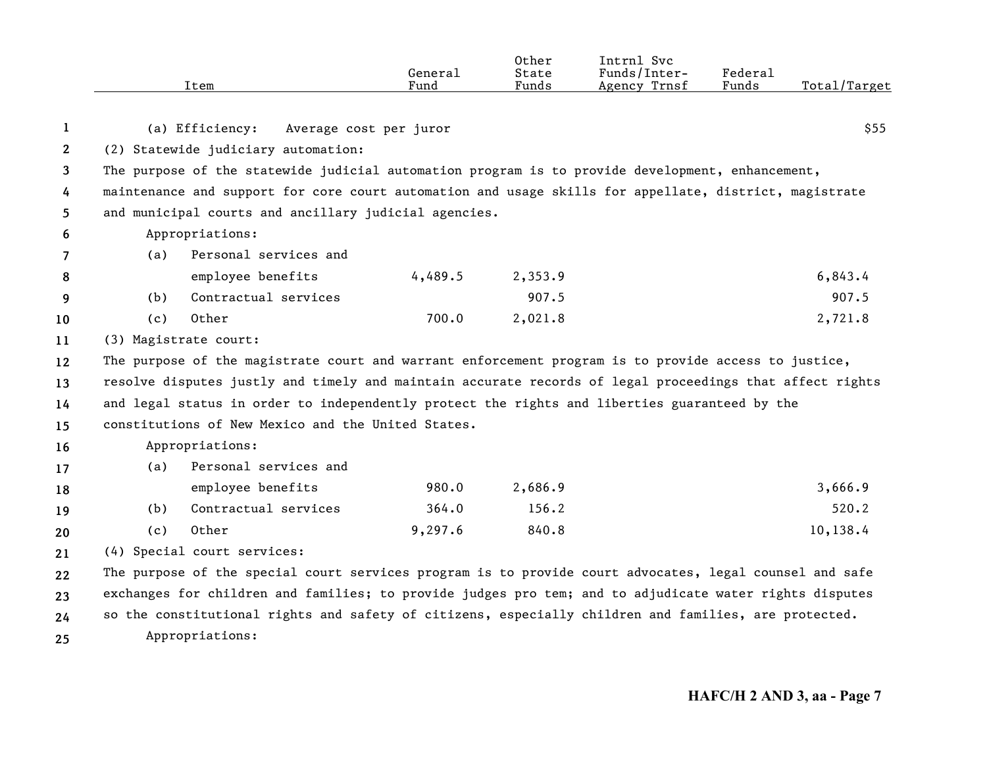|              | Item                                                                                                     | General<br>Fund        | Other<br>State<br>Funds | Intrnl Svc<br>Funds/Inter-<br>Agency Trnsf | Federal<br>Funds | Total/Target |
|--------------|----------------------------------------------------------------------------------------------------------|------------------------|-------------------------|--------------------------------------------|------------------|--------------|
| 1            | (a) Efficiency:                                                                                          | Average cost per juror |                         |                                            |                  | \$55         |
| $\mathbf{2}$ | (2) Statewide judiciary automation:                                                                      |                        |                         |                                            |                  |              |
| 3            | The purpose of the statewide judicial automation program is to provide development, enhancement,         |                        |                         |                                            |                  |              |
| 4            | maintenance and support for core court automation and usage skills for appellate, district, magistrate   |                        |                         |                                            |                  |              |
| 5            | and municipal courts and ancillary judicial agencies.                                                    |                        |                         |                                            |                  |              |
| 6            | Appropriations:                                                                                          |                        |                         |                                            |                  |              |
| 7            | Personal services and<br>(a)                                                                             |                        |                         |                                            |                  |              |
| 8            | employee benefits                                                                                        | 4,489.5                | 2,353.9                 |                                            |                  | 6,843.4      |
| 9            | Contractual services<br>(b)                                                                              |                        | 907.5                   |                                            |                  | 907.5        |
| 10           | Other<br>(c)                                                                                             | 700.0                  | 2,021.8                 |                                            |                  | 2,721.8      |
| 11           | (3) Magistrate court:                                                                                    |                        |                         |                                            |                  |              |
| 12           | The purpose of the magistrate court and warrant enforcement program is to provide access to justice,     |                        |                         |                                            |                  |              |
| 13           | resolve disputes justly and timely and maintain accurate records of legal proceedings that affect rights |                        |                         |                                            |                  |              |
| 14           | and legal status in order to independently protect the rights and liberties guaranteed by the            |                        |                         |                                            |                  |              |
| 15           | constitutions of New Mexico and the United States.                                                       |                        |                         |                                            |                  |              |
| 16           | Appropriations:                                                                                          |                        |                         |                                            |                  |              |
| 17           | Personal services and<br>(a)                                                                             |                        |                         |                                            |                  |              |
| 18           | employee benefits                                                                                        | 980.0                  | 2,686.9                 |                                            |                  | 3,666.9      |
| 19           | Contractual services<br>(b)                                                                              | 364.0                  | 156.2                   |                                            |                  | 520.2        |
| 20           | Other<br>(c)                                                                                             | 9,297.6                | 840.8                   |                                            |                  | 10,138.4     |
| 21           | (4) Special court services:                                                                              |                        |                         |                                            |                  |              |
| 22           | The purpose of the special court services program is to provide court advocates, legal counsel and safe  |                        |                         |                                            |                  |              |
| 23           | exchanges for children and families; to provide judges pro tem; and to adjudicate water rights disputes  |                        |                         |                                            |                  |              |
| 24           | so the constitutional rights and safety of citizens, especially children and families, are protected.    |                        |                         |                                            |                  |              |
| 25           | Appropriations:                                                                                          |                        |                         |                                            |                  |              |

**25**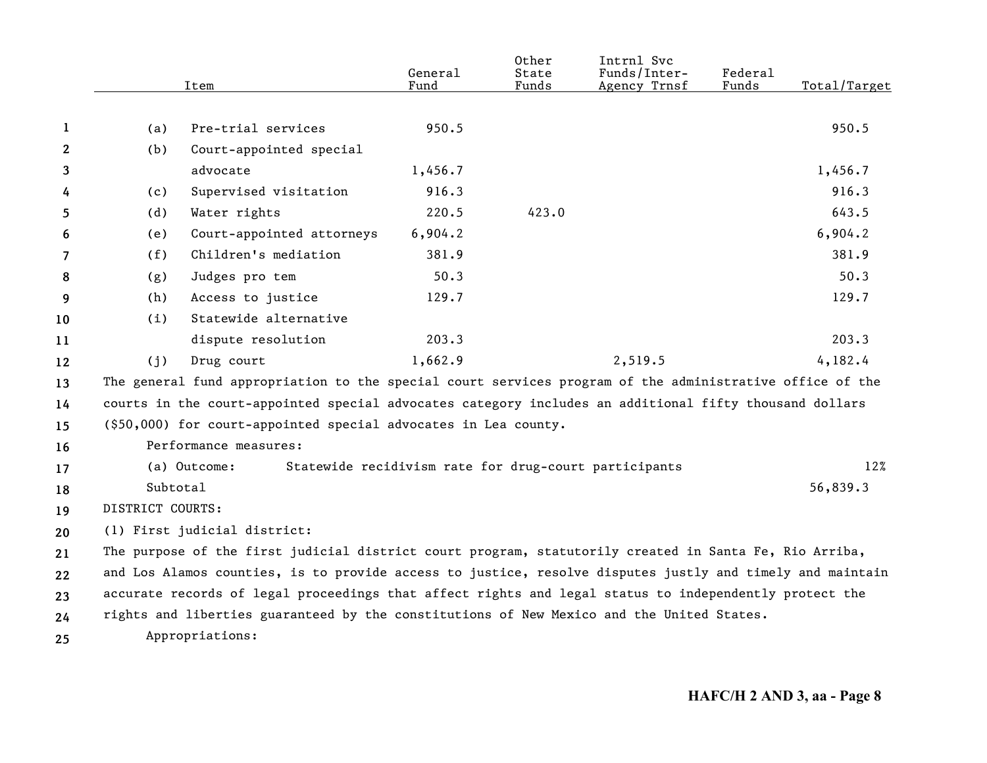|              |                  | Item                                                                                                      | General<br>Fund | Other<br>State<br>Funds | Intrnl Svc<br>Funds/Inter-<br>Agency Trnsf | Federal<br>Funds | Total/Target |
|--------------|------------------|-----------------------------------------------------------------------------------------------------------|-----------------|-------------------------|--------------------------------------------|------------------|--------------|
|              |                  |                                                                                                           |                 |                         |                                            |                  |              |
| 1            | (a)              | Pre-trial services                                                                                        | 950.5           |                         |                                            |                  | 950.5        |
| $\mathbf{2}$ | (b)              | Court-appointed special                                                                                   |                 |                         |                                            |                  |              |
| 3            |                  | advocate                                                                                                  | 1,456.7         |                         |                                            |                  | 1,456.7      |
| 4            | (c)              | Supervised visitation                                                                                     | 916.3           |                         |                                            |                  | 916.3        |
| 5            | (d)              | Water rights                                                                                              | 220.5           | 423.0                   |                                            |                  | 643.5        |
| 6            | (e)              | Court-appointed attorneys                                                                                 | 6,904.2         |                         |                                            |                  | 6,904.2      |
| 7            | (f)              | Children's mediation                                                                                      | 381.9           |                         |                                            |                  | 381.9        |
| 8            | (g)              | Judges pro tem                                                                                            | 50.3            |                         |                                            |                  | 50.3         |
| 9            | (h)              | Access to justice                                                                                         | 129.7           |                         |                                            |                  | 129.7        |
| 10           | (i)              | Statewide alternative                                                                                     |                 |                         |                                            |                  |              |
| 11           |                  | dispute resolution                                                                                        | 203.3           |                         |                                            |                  | 203.3        |
| 12           | (i)              | Drug court                                                                                                | 1,662.9         |                         | 2,519.5                                    |                  | 4,182.4      |
| 13           |                  | The general fund appropriation to the special court services program of the administrative office of the  |                 |                         |                                            |                  |              |
| 14           |                  | courts in the court-appointed special advocates category includes an additional fifty thousand dollars    |                 |                         |                                            |                  |              |
| 15           |                  | (\$50,000) for court-appointed special advocates in Lea county.                                           |                 |                         |                                            |                  |              |
| 16           |                  | Performance measures:                                                                                     |                 |                         |                                            |                  |              |
| 17           |                  | Statewide recidivism rate for drug-court participants<br>(a) Outcome:                                     |                 |                         |                                            |                  | 12%          |
| 18           | Subtotal         |                                                                                                           |                 |                         |                                            |                  | 56,839.3     |
| 19           | DISTRICT COURTS: |                                                                                                           |                 |                         |                                            |                  |              |
| 20           |                  | (1) First judicial district:                                                                              |                 |                         |                                            |                  |              |
| 21           |                  | The purpose of the first judicial district court program, statutorily created in Santa Fe, Rio Arriba,    |                 |                         |                                            |                  |              |
| 22           |                  | and Los Alamos counties, is to provide access to justice, resolve disputes justly and timely and maintain |                 |                         |                                            |                  |              |
| 23           |                  | accurate records of legal proceedings that affect rights and legal status to independently protect the    |                 |                         |                                            |                  |              |
| 24           |                  | rights and liberties guaranteed by the constitutions of New Mexico and the United States.                 |                 |                         |                                            |                  |              |
| 25           |                  | Appropriations:                                                                                           |                 |                         |                                            |                  |              |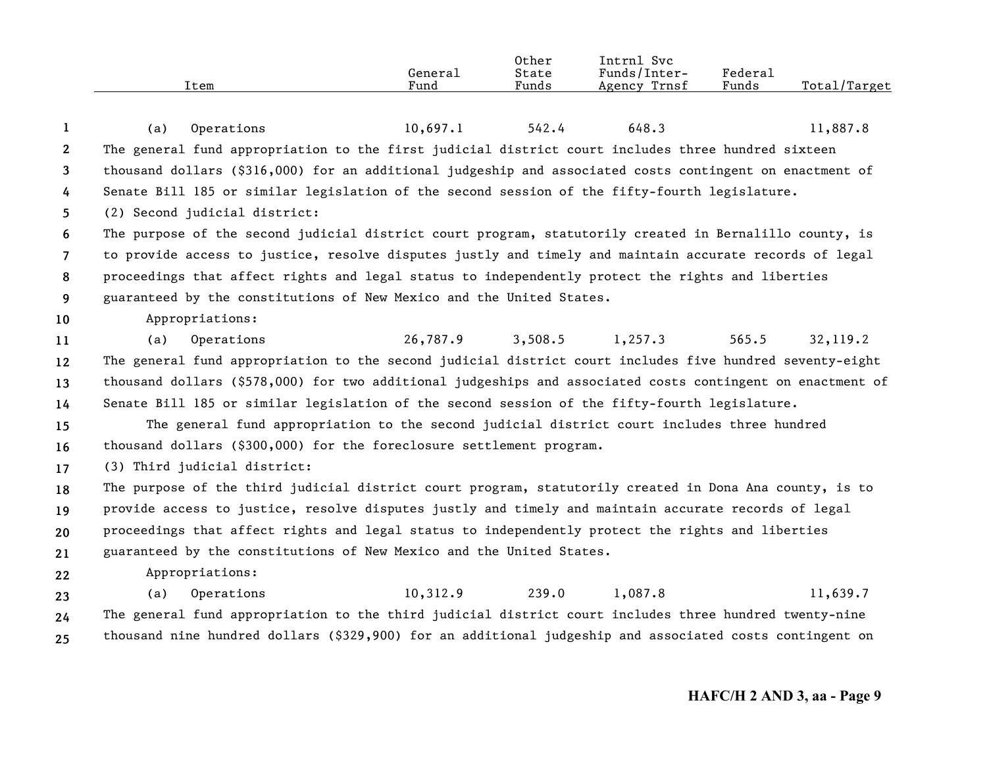|      |         | Other | Svc<br>Intrnl   |         |                    |
|------|---------|-------|-----------------|---------|--------------------|
|      | Genera⊥ | State | Funds/Inter-    | Federal |                    |
| Item | Fund    | Funds | Trnsf<br>Agency | Funds   | Total,<br>./Target |
|      |         |       |                 |         |                    |

| 1                     | (a) | Operations                                                                                                 | 10,697.1                       | 542.4 | 648.3   | 11,887.8 |
|-----------------------|-----|------------------------------------------------------------------------------------------------------------|--------------------------------|-------|---------|----------|
| $\mathbf{2}^{\prime}$ |     | The general fund appropriation to the first judicial district court includes three hundred sixteen         |                                |       |         |          |
| 3                     |     | thousand dollars (\$316,000) for an additional judgeship and associated costs contingent on enactment of   |                                |       |         |          |
| 4                     |     | Senate Bill 185 or similar legislation of the second session of the fifty-fourth legislature.              |                                |       |         |          |
| 5                     |     | (2) Second judicial district:                                                                              |                                |       |         |          |
| 6                     |     | The purpose of the second judicial district court program, statutorily created in Bernalillo county, is    |                                |       |         |          |
| $7^{\circ}$           |     | to provide access to justice, resolve disputes justly and timely and maintain accurate records of legal    |                                |       |         |          |
| 8                     |     | proceedings that affect rights and legal status to independently protect the rights and liberties          |                                |       |         |          |
| 9                     |     | guaranteed by the constitutions of New Mexico and the United States.                                       |                                |       |         |          |
| 10 <sup>°</sup>       |     | Appropriations:                                                                                            |                                |       |         |          |
| 11                    | (a) | Operations                                                                                                 | 26,787.9 3,508.5 1,257.3 565.5 |       |         | 32,119.2 |
| $12 \,$               |     | The general fund appropriation to the second judicial district court includes five hundred seventy-eight   |                                |       |         |          |
| 13                    |     | thousand dollars (\$578,000) for two additional judgeships and associated costs contingent on enactment of |                                |       |         |          |
| 14                    |     | Senate Bill 185 or similar legislation of the second session of the fifty-fourth legislature.              |                                |       |         |          |
| 15                    |     | The general fund appropriation to the second judicial district court includes three hundred                |                                |       |         |          |
| 16                    |     | thousand dollars (\$300,000) for the foreclosure settlement program.                                       |                                |       |         |          |
| 17                    |     | (3) Third judicial district:                                                                               |                                |       |         |          |
| 18                    |     | The purpose of the third judicial district court program, statutorily created in Dona Ana county, is to    |                                |       |         |          |
| 19                    |     | provide access to justice, resolve disputes justly and timely and maintain accurate records of legal       |                                |       |         |          |
| 20                    |     | proceedings that affect rights and legal status to independently protect the rights and liberties          |                                |       |         |          |
| 21                    |     | guaranteed by the constitutions of New Mexico and the United States.                                       |                                |       |         |          |
| 22                    |     | Appropriations:                                                                                            |                                |       |         |          |
| 23                    | (a) | Operations                                                                                                 | $10,312.9$ 239.0               |       | 1,087.8 | 11,639.7 |
| 24                    |     | The general fund appropriation to the third judicial district court includes three hundred twenty-nine     |                                |       |         |          |
| 25                    |     | thousand nine hundred dollars (\$329,900) for an additional judgeship and associated costs contingent on   |                                |       |         |          |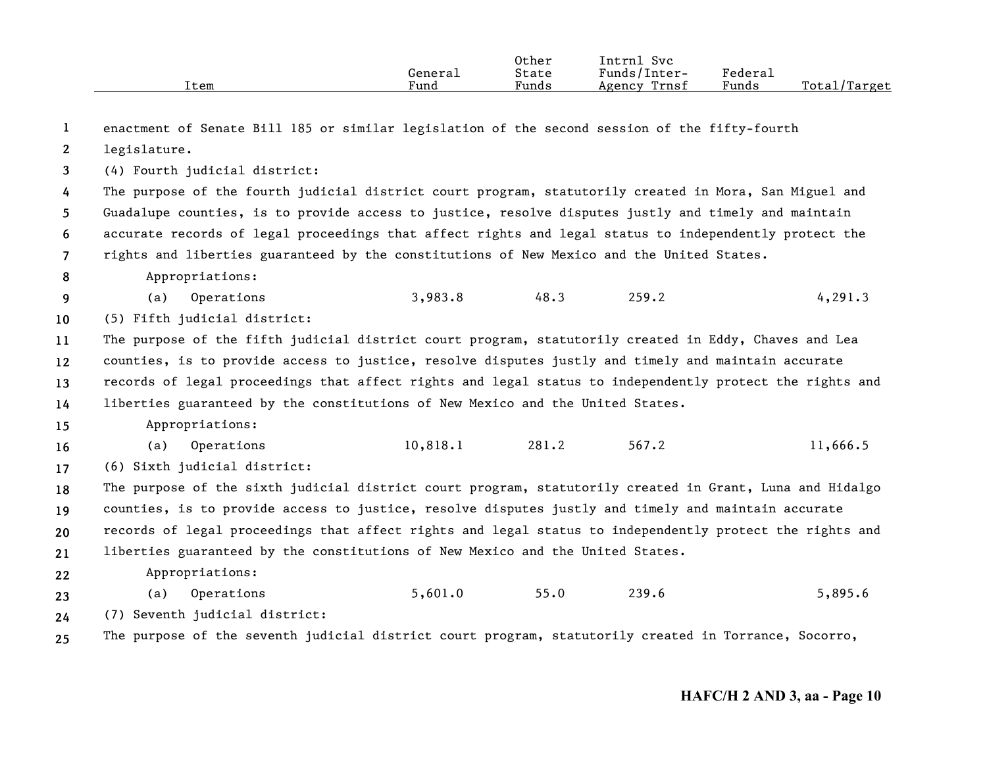|      |         | Other | Intrnl<br><b>Svc</b> |                     |                  |
|------|---------|-------|----------------------|---------------------|------------------|
|      | General | State | Funds/Inter-         | Federa <sub>1</sub> |                  |
| Item | Fund    | Funds | Trnsf<br>Agency      | Funds               | Total<br>'Target |

| 1              | enactment of Senate Bill 185 or similar legislation of the second session of the fifty-fourth            |          |       |       |          |
|----------------|----------------------------------------------------------------------------------------------------------|----------|-------|-------|----------|
| $\mathbf{2}$   | legislature.                                                                                             |          |       |       |          |
| 3              | (4) Fourth judicial district:                                                                            |          |       |       |          |
| 4              | The purpose of the fourth judicial district court program, statutorily created in Mora, San Miguel and   |          |       |       |          |
| 5.             | Guadalupe counties, is to provide access to justice, resolve disputes justly and timely and maintain     |          |       |       |          |
| 6              | accurate records of legal proceedings that affect rights and legal status to independently protect the   |          |       |       |          |
| $\overline{7}$ | rights and liberties guaranteed by the constitutions of New Mexico and the United States.                |          |       |       |          |
| 8              | Appropriations:                                                                                          |          |       |       |          |
| 9              | Operations<br>(a)                                                                                        | 3,983.8  | 48.3  | 259.2 | 4, 291.3 |
| 10             | (5) Fifth judicial district:                                                                             |          |       |       |          |
| 11             | The purpose of the fifth judicial district court program, statutorily created in Eddy, Chaves and Lea    |          |       |       |          |
| 12             | counties, is to provide access to justice, resolve disputes justly and timely and maintain accurate      |          |       |       |          |
| 13             | records of legal proceedings that affect rights and legal status to independently protect the rights and |          |       |       |          |
| 14             | liberties guaranteed by the constitutions of New Mexico and the United States.                           |          |       |       |          |
| 15             | Appropriations:                                                                                          |          |       |       |          |
| 16             | Operations<br>(a)                                                                                        | 10,818.1 | 281.2 | 567.2 | 11,666.5 |
| 17             | (6) Sixth judicial district:                                                                             |          |       |       |          |
| 18             | The purpose of the sixth judicial district court program, statutorily created in Grant, Luna and Hidalgo |          |       |       |          |
| 19             | counties, is to provide access to justice, resolve disputes justly and timely and maintain accurate      |          |       |       |          |
| 20             | records of legal proceedings that affect rights and legal status to independently protect the rights and |          |       |       |          |
| 21             | liberties guaranteed by the constitutions of New Mexico and the United States.                           |          |       |       |          |
| 22             | Appropriations:                                                                                          |          |       |       |          |
| 23             | Operations<br>(a)                                                                                        | 5,601.0  | 55.0  | 239.6 | 5,895.6  |
| 24             | (7) Seventh judicial district:                                                                           |          |       |       |          |
| 25             | The purpose of the seventh judicial district court program, statutorily created in Torrance, Socorro,    |          |       |       |          |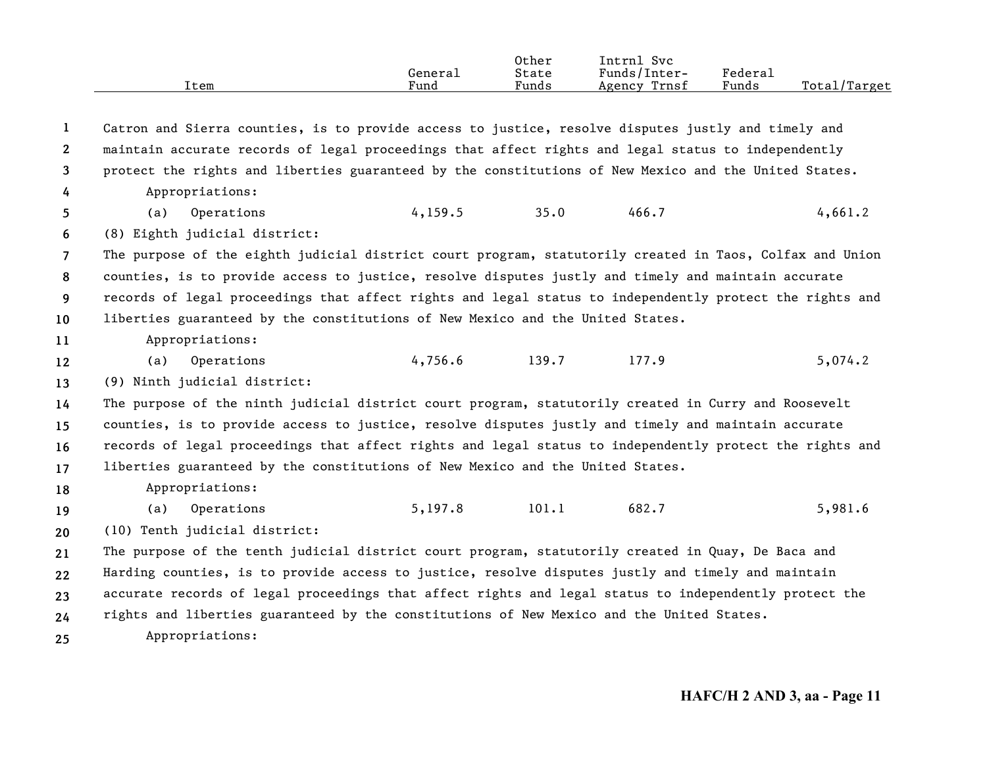|      |         | Other | Intrnl<br><b>Svc</b> |         |                    |
|------|---------|-------|----------------------|---------|--------------------|
|      | Generai | State | Funds/Inter-         | Federau |                    |
| Item | Fund    | Funds | Trnsf<br>Agency      | Funds   | Total/<br>'/Target |

**12345678910111213141516171819202122232425**Catron and Sierra counties, is to provide access to justice, resolve disputes justly and timely and maintain accurate records of legal proceedings that affect rights and legal status to independently protect the rights and liberties guaranteed by the constitutions of New Mexico and the United States. Appropriations: (a) Operations 4,159.5 35.0 466.7 4,661.2 (8) Eighth judicial district: The purpose of the eighth judicial district court program, statutorily created in Taos, Colfax and Union counties, is to provide access to justice, resolve disputes justly and timely and maintain accurate records of legal proceedings that affect rights and legal status to independently protect the rights and liberties guaranteed by the constitutions of New Mexico and the United States. Appropriations: (a) Operations 4,756.6 139.7 177.9 5,074.2 (9) Ninth judicial district: The purpose of the ninth judicial district court program, statutorily created in Curry and Roosevelt counties, is to provide access to justice, resolve disputes justly and timely and maintain accurate records of legal proceedings that affect rights and legal status to independently protect the rights and liberties guaranteed by the constitutions of New Mexico and the United States. Appropriations: (a) Operations 5,197.8 101.1 682.7 5,981.6 (10) Tenth judicial district: The purpose of the tenth judicial district court program, statutorily created in Quay, De Baca and Harding counties, is to provide access to justice, resolve disputes justly and timely and maintain accurate records of legal proceedings that affect rights and legal status to independently protect the rights and liberties guaranteed by the constitutions of New Mexico and the United States. Appropriations: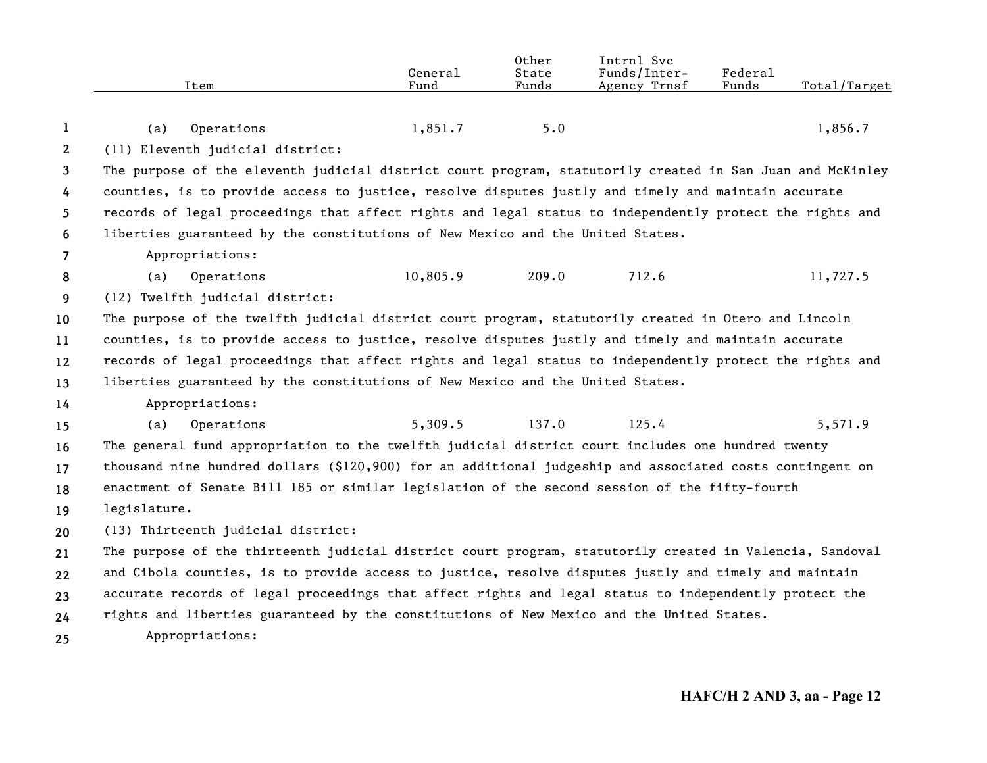| Item | General<br>Fund                                                                                                                                                                                                                | Other<br>State<br>Funds        | Intrnl Svc<br>Funds/Inter-<br>Agency Trnsf | Federal<br>Funds                                                                                                                                                                   | Total/Target                                                                                                                                                                                                                                                                                                                                                                                                                                                                                                                                                                                                                                                                                                                                                                                                                                                                                                                                                                                                                                                                                                                                                                                                                                                                                                                                                                                          |
|------|--------------------------------------------------------------------------------------------------------------------------------------------------------------------------------------------------------------------------------|--------------------------------|--------------------------------------------|------------------------------------------------------------------------------------------------------------------------------------------------------------------------------------|-------------------------------------------------------------------------------------------------------------------------------------------------------------------------------------------------------------------------------------------------------------------------------------------------------------------------------------------------------------------------------------------------------------------------------------------------------------------------------------------------------------------------------------------------------------------------------------------------------------------------------------------------------------------------------------------------------------------------------------------------------------------------------------------------------------------------------------------------------------------------------------------------------------------------------------------------------------------------------------------------------------------------------------------------------------------------------------------------------------------------------------------------------------------------------------------------------------------------------------------------------------------------------------------------------------------------------------------------------------------------------------------------------|
|      |                                                                                                                                                                                                                                |                                |                                            |                                                                                                                                                                                    | 1,856.7                                                                                                                                                                                                                                                                                                                                                                                                                                                                                                                                                                                                                                                                                                                                                                                                                                                                                                                                                                                                                                                                                                                                                                                                                                                                                                                                                                                               |
|      |                                                                                                                                                                                                                                |                                |                                            |                                                                                                                                                                                    |                                                                                                                                                                                                                                                                                                                                                                                                                                                                                                                                                                                                                                                                                                                                                                                                                                                                                                                                                                                                                                                                                                                                                                                                                                                                                                                                                                                                       |
|      |                                                                                                                                                                                                                                |                                |                                            |                                                                                                                                                                                    |                                                                                                                                                                                                                                                                                                                                                                                                                                                                                                                                                                                                                                                                                                                                                                                                                                                                                                                                                                                                                                                                                                                                                                                                                                                                                                                                                                                                       |
|      |                                                                                                                                                                                                                                |                                |                                            |                                                                                                                                                                                    |                                                                                                                                                                                                                                                                                                                                                                                                                                                                                                                                                                                                                                                                                                                                                                                                                                                                                                                                                                                                                                                                                                                                                                                                                                                                                                                                                                                                       |
|      |                                                                                                                                                                                                                                |                                |                                            |                                                                                                                                                                                    |                                                                                                                                                                                                                                                                                                                                                                                                                                                                                                                                                                                                                                                                                                                                                                                                                                                                                                                                                                                                                                                                                                                                                                                                                                                                                                                                                                                                       |
|      |                                                                                                                                                                                                                                |                                |                                            |                                                                                                                                                                                    |                                                                                                                                                                                                                                                                                                                                                                                                                                                                                                                                                                                                                                                                                                                                                                                                                                                                                                                                                                                                                                                                                                                                                                                                                                                                                                                                                                                                       |
|      |                                                                                                                                                                                                                                |                                |                                            |                                                                                                                                                                                    |                                                                                                                                                                                                                                                                                                                                                                                                                                                                                                                                                                                                                                                                                                                                                                                                                                                                                                                                                                                                                                                                                                                                                                                                                                                                                                                                                                                                       |
|      |                                                                                                                                                                                                                                |                                |                                            |                                                                                                                                                                                    | 11,727.5                                                                                                                                                                                                                                                                                                                                                                                                                                                                                                                                                                                                                                                                                                                                                                                                                                                                                                                                                                                                                                                                                                                                                                                                                                                                                                                                                                                              |
|      |                                                                                                                                                                                                                                |                                |                                            |                                                                                                                                                                                    |                                                                                                                                                                                                                                                                                                                                                                                                                                                                                                                                                                                                                                                                                                                                                                                                                                                                                                                                                                                                                                                                                                                                                                                                                                                                                                                                                                                                       |
|      |                                                                                                                                                                                                                                |                                |                                            |                                                                                                                                                                                    |                                                                                                                                                                                                                                                                                                                                                                                                                                                                                                                                                                                                                                                                                                                                                                                                                                                                                                                                                                                                                                                                                                                                                                                                                                                                                                                                                                                                       |
|      |                                                                                                                                                                                                                                |                                |                                            |                                                                                                                                                                                    |                                                                                                                                                                                                                                                                                                                                                                                                                                                                                                                                                                                                                                                                                                                                                                                                                                                                                                                                                                                                                                                                                                                                                                                                                                                                                                                                                                                                       |
|      |                                                                                                                                                                                                                                |                                |                                            |                                                                                                                                                                                    |                                                                                                                                                                                                                                                                                                                                                                                                                                                                                                                                                                                                                                                                                                                                                                                                                                                                                                                                                                                                                                                                                                                                                                                                                                                                                                                                                                                                       |
|      |                                                                                                                                                                                                                                |                                |                                            |                                                                                                                                                                                    |                                                                                                                                                                                                                                                                                                                                                                                                                                                                                                                                                                                                                                                                                                                                                                                                                                                                                                                                                                                                                                                                                                                                                                                                                                                                                                                                                                                                       |
|      |                                                                                                                                                                                                                                |                                |                                            |                                                                                                                                                                                    |                                                                                                                                                                                                                                                                                                                                                                                                                                                                                                                                                                                                                                                                                                                                                                                                                                                                                                                                                                                                                                                                                                                                                                                                                                                                                                                                                                                                       |
|      |                                                                                                                                                                                                                                |                                |                                            |                                                                                                                                                                                    | 5,571.9                                                                                                                                                                                                                                                                                                                                                                                                                                                                                                                                                                                                                                                                                                                                                                                                                                                                                                                                                                                                                                                                                                                                                                                                                                                                                                                                                                                               |
|      |                                                                                                                                                                                                                                |                                |                                            |                                                                                                                                                                                    |                                                                                                                                                                                                                                                                                                                                                                                                                                                                                                                                                                                                                                                                                                                                                                                                                                                                                                                                                                                                                                                                                                                                                                                                                                                                                                                                                                                                       |
|      |                                                                                                                                                                                                                                |                                |                                            |                                                                                                                                                                                    |                                                                                                                                                                                                                                                                                                                                                                                                                                                                                                                                                                                                                                                                                                                                                                                                                                                                                                                                                                                                                                                                                                                                                                                                                                                                                                                                                                                                       |
|      |                                                                                                                                                                                                                                |                                |                                            |                                                                                                                                                                                    |                                                                                                                                                                                                                                                                                                                                                                                                                                                                                                                                                                                                                                                                                                                                                                                                                                                                                                                                                                                                                                                                                                                                                                                                                                                                                                                                                                                                       |
|      |                                                                                                                                                                                                                                |                                |                                            |                                                                                                                                                                                    |                                                                                                                                                                                                                                                                                                                                                                                                                                                                                                                                                                                                                                                                                                                                                                                                                                                                                                                                                                                                                                                                                                                                                                                                                                                                                                                                                                                                       |
|      |                                                                                                                                                                                                                                |                                |                                            |                                                                                                                                                                                    |                                                                                                                                                                                                                                                                                                                                                                                                                                                                                                                                                                                                                                                                                                                                                                                                                                                                                                                                                                                                                                                                                                                                                                                                                                                                                                                                                                                                       |
|      |                                                                                                                                                                                                                                |                                |                                            |                                                                                                                                                                                    |                                                                                                                                                                                                                                                                                                                                                                                                                                                                                                                                                                                                                                                                                                                                                                                                                                                                                                                                                                                                                                                                                                                                                                                                                                                                                                                                                                                                       |
|      |                                                                                                                                                                                                                                |                                |                                            |                                                                                                                                                                                    |                                                                                                                                                                                                                                                                                                                                                                                                                                                                                                                                                                                                                                                                                                                                                                                                                                                                                                                                                                                                                                                                                                                                                                                                                                                                                                                                                                                                       |
|      |                                                                                                                                                                                                                                |                                |                                            |                                                                                                                                                                                    |                                                                                                                                                                                                                                                                                                                                                                                                                                                                                                                                                                                                                                                                                                                                                                                                                                                                                                                                                                                                                                                                                                                                                                                                                                                                                                                                                                                                       |
|      |                                                                                                                                                                                                                                |                                |                                            |                                                                                                                                                                                    |                                                                                                                                                                                                                                                                                                                                                                                                                                                                                                                                                                                                                                                                                                                                                                                                                                                                                                                                                                                                                                                                                                                                                                                                                                                                                                                                                                                                       |
|      |                                                                                                                                                                                                                                |                                |                                            |                                                                                                                                                                                    |                                                                                                                                                                                                                                                                                                                                                                                                                                                                                                                                                                                                                                                                                                                                                                                                                                                                                                                                                                                                                                                                                                                                                                                                                                                                                                                                                                                                       |
|      | Operations<br>(a)<br>(11) Eleventh judicial district:<br>Appropriations:<br>(a)<br>Operations<br>(12) Twelfth judicial district:<br>Appropriations:<br>Operations<br>(a)<br>legislature.<br>(13) Thirteenth judicial district: | 1,851.7<br>10,805.9<br>5,309.5 | 5.0<br>209.0<br>137.0                      | liberties guaranteed by the constitutions of New Mexico and the United States.<br>712.6<br>liberties guaranteed by the constitutions of New Mexico and the United States.<br>125.4 | The purpose of the eleventh judicial district court program, statutorily created in San Juan and McKinley<br>counties, is to provide access to justice, resolve disputes justly and timely and maintain accurate<br>records of legal proceedings that affect rights and legal status to independently protect the rights and<br>The purpose of the twelfth judicial district court program, statutorily created in Otero and Lincoln<br>counties, is to provide access to justice, resolve disputes justly and timely and maintain accurate<br>records of legal proceedings that affect rights and legal status to independently protect the rights and<br>The general fund appropriation to the twelfth judicial district court includes one hundred twenty<br>thousand nine hundred dollars (\$120,900) for an additional judgeship and associated costs contingent on<br>enactment of Senate Bill 185 or similar legislation of the second session of the fifty-fourth<br>The purpose of the thirteenth judicial district court program, statutorily created in Valencia, Sandoval<br>and Cibola counties, is to provide access to justice, resolve disputes justly and timely and maintain<br>accurate records of legal proceedings that affect rights and legal status to independently protect the<br>rights and liberties guaranteed by the constitutions of New Mexico and the United States. |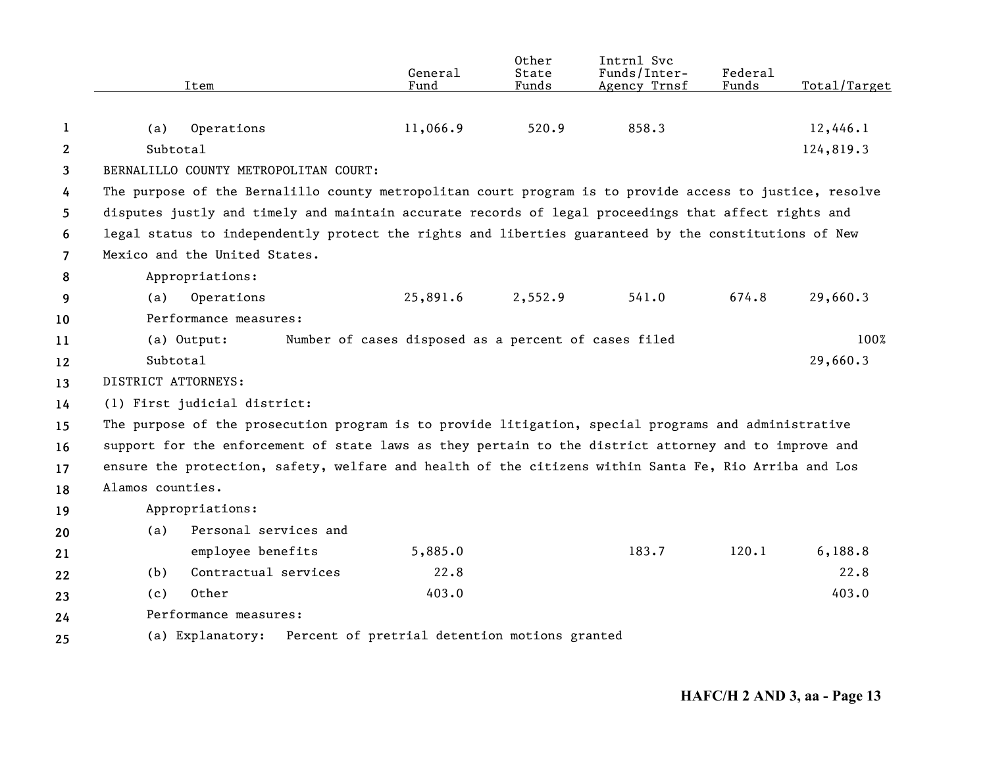|                       | Item                                                                                                     | General<br>Fund                                      | Other<br>State<br>Funds | Intrnl Svc<br>Funds/Inter-<br>Agency Trnsf | Federal<br>Funds | Total/Target |
|-----------------------|----------------------------------------------------------------------------------------------------------|------------------------------------------------------|-------------------------|--------------------------------------------|------------------|--------------|
| 1                     | Operations<br>(a)                                                                                        | 11,066.9                                             | 520.9                   | 858.3                                      |                  | 12,446.1     |
| $\mathbf{2}^{\prime}$ | Subtotal                                                                                                 |                                                      |                         |                                            |                  | 124,819.3    |
| 3                     | BERNALILLO COUNTY METROPOLITAN COURT:                                                                    |                                                      |                         |                                            |                  |              |
| 4                     | The purpose of the Bernalillo county metropolitan court program is to provide access to justice, resolve |                                                      |                         |                                            |                  |              |
| 5.                    | disputes justly and timely and maintain accurate records of legal proceedings that affect rights and     |                                                      |                         |                                            |                  |              |
| 6                     | legal status to independently protect the rights and liberties guaranteed by the constitutions of New    |                                                      |                         |                                            |                  |              |
| $\overline{7}$        | Mexico and the United States.                                                                            |                                                      |                         |                                            |                  |              |
| 8                     | Appropriations:                                                                                          |                                                      |                         |                                            |                  |              |
| 9                     | Operations<br>(a)                                                                                        | 25,891.6                                             | 2,552.9                 | 541.0                                      | 674.8            | 29,660.3     |
| 10                    | Performance measures:                                                                                    |                                                      |                         |                                            |                  |              |
| 11                    | (a) Output:                                                                                              | Number of cases disposed as a percent of cases filed |                         |                                            |                  | 100%         |
| 12                    | Subtotal                                                                                                 |                                                      |                         |                                            |                  | 29,660.3     |
| 13                    | DISTRICT ATTORNEYS:                                                                                      |                                                      |                         |                                            |                  |              |
| 14                    | (1) First judicial district:                                                                             |                                                      |                         |                                            |                  |              |
| 15                    | The purpose of the prosecution program is to provide litigation, special programs and administrative     |                                                      |                         |                                            |                  |              |
| 16                    | support for the enforcement of state laws as they pertain to the district attorney and to improve and    |                                                      |                         |                                            |                  |              |
| 17                    | ensure the protection, safety, welfare and health of the citizens within Santa Fe, Rio Arriba and Los    |                                                      |                         |                                            |                  |              |
| 18                    | Alamos counties.                                                                                         |                                                      |                         |                                            |                  |              |
| 19                    | Appropriations:                                                                                          |                                                      |                         |                                            |                  |              |
| 20                    | Personal services and<br>(a)                                                                             |                                                      |                         |                                            |                  |              |
| 21                    | employee benefits                                                                                        | 5,885.0                                              |                         | 183.7                                      | 120.1            | 6,188.8      |
| 22                    | Contractual services<br>(b)                                                                              | 22.8                                                 |                         |                                            |                  | 22.8         |
| 23                    | Other<br>(c)                                                                                             | 403.0                                                |                         |                                            |                  | 403.0        |
| 24                    | Performance measures:                                                                                    |                                                      |                         |                                            |                  |              |
| 25                    | (a) Explanatory:                                                                                         | Percent of pretrial detention motions granted        |                         |                                            |                  |              |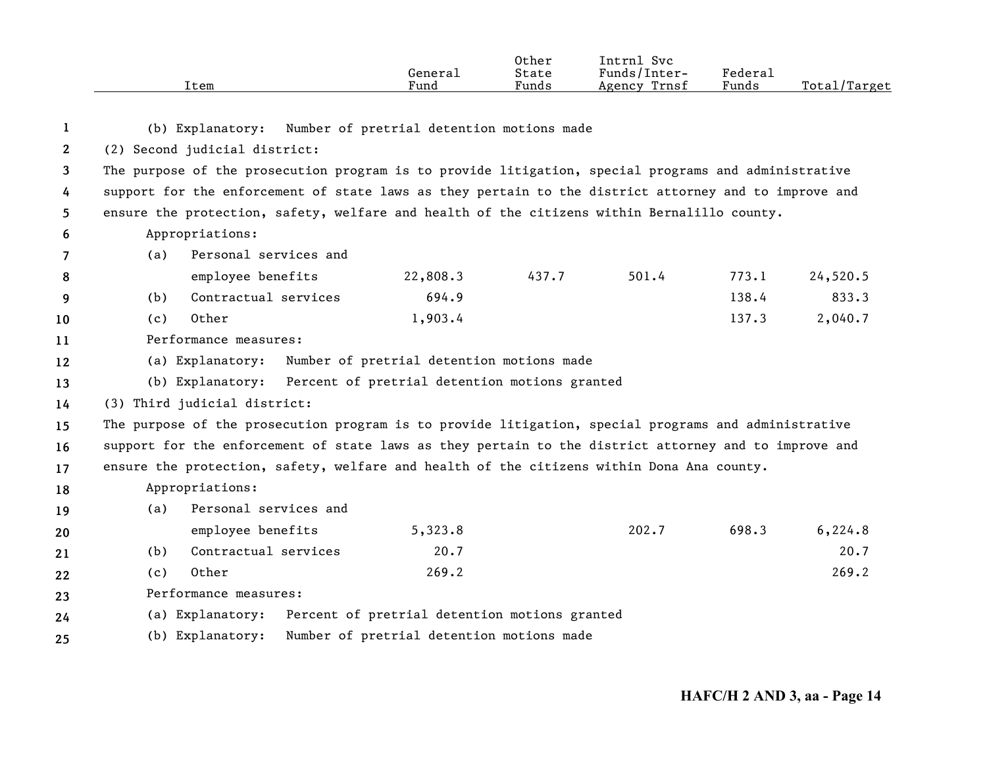|              | Item                                                                                                  | General<br>Fund                               | Other<br>State<br>Funds | Intrnl Svc<br>Funds/Inter-<br>Agency Trnsf | Federal<br>Funds | Total/Target |
|--------------|-------------------------------------------------------------------------------------------------------|-----------------------------------------------|-------------------------|--------------------------------------------|------------------|--------------|
| -1           | (b) Explanatory:                                                                                      | Number of pretrial detention motions made     |                         |                                            |                  |              |
| $\mathbf{2}$ | (2) Second judicial district:                                                                         |                                               |                         |                                            |                  |              |
| 3            | The purpose of the prosecution program is to provide litigation, special programs and administrative  |                                               |                         |                                            |                  |              |
| 4            | support for the enforcement of state laws as they pertain to the district attorney and to improve and |                                               |                         |                                            |                  |              |
| 5            | ensure the protection, safety, welfare and health of the citizens within Bernalillo county.           |                                               |                         |                                            |                  |              |
| 6            | Appropriations:                                                                                       |                                               |                         |                                            |                  |              |
| 7            | Personal services and<br>(a)                                                                          |                                               |                         |                                            |                  |              |
| 8            | employee benefits                                                                                     | 22,808.3                                      | 437.7                   | 501.4                                      | 773.1            | 24,520.5     |
| 9            | Contractual services<br>(b)                                                                           | 694.9                                         |                         |                                            | 138.4            | 833.3        |
| 10           | Other<br>(c)                                                                                          | 1,903.4                                       |                         |                                            | 137.3            | 2,040.7      |
| 11           | Performance measures:                                                                                 |                                               |                         |                                            |                  |              |
| 12           | (a) Explanatory:                                                                                      | Number of pretrial detention motions made     |                         |                                            |                  |              |
| 13           | (b) Explanatory:                                                                                      | Percent of pretrial detention motions granted |                         |                                            |                  |              |
| 14           | (3) Third judicial district:                                                                          |                                               |                         |                                            |                  |              |
| 15           | The purpose of the prosecution program is to provide litigation, special programs and administrative  |                                               |                         |                                            |                  |              |
| 16           | support for the enforcement of state laws as they pertain to the district attorney and to improve and |                                               |                         |                                            |                  |              |
| 17           | ensure the protection, safety, welfare and health of the citizens within Dona Ana county.             |                                               |                         |                                            |                  |              |
| 18           | Appropriations:                                                                                       |                                               |                         |                                            |                  |              |
| 19           | Personal services and<br>(a)                                                                          |                                               |                         |                                            |                  |              |
| 20           | employee benefits                                                                                     | 5,323.8                                       |                         | 202.7                                      | 698.3            | 6,224.8      |
| 21           | Contractual services<br>(b)                                                                           | 20.7                                          |                         |                                            |                  | 20.7         |
| 22           | Other<br>(c)                                                                                          | 269.2                                         |                         |                                            |                  | 269.2        |
| 23           | Performance measures:                                                                                 |                                               |                         |                                            |                  |              |
| 24           | (a) Explanatory:                                                                                      | Percent of pretrial detention motions granted |                         |                                            |                  |              |
| 25           | (b) Explanatory:                                                                                      | Number of pretrial detention motions made     |                         |                                            |                  |              |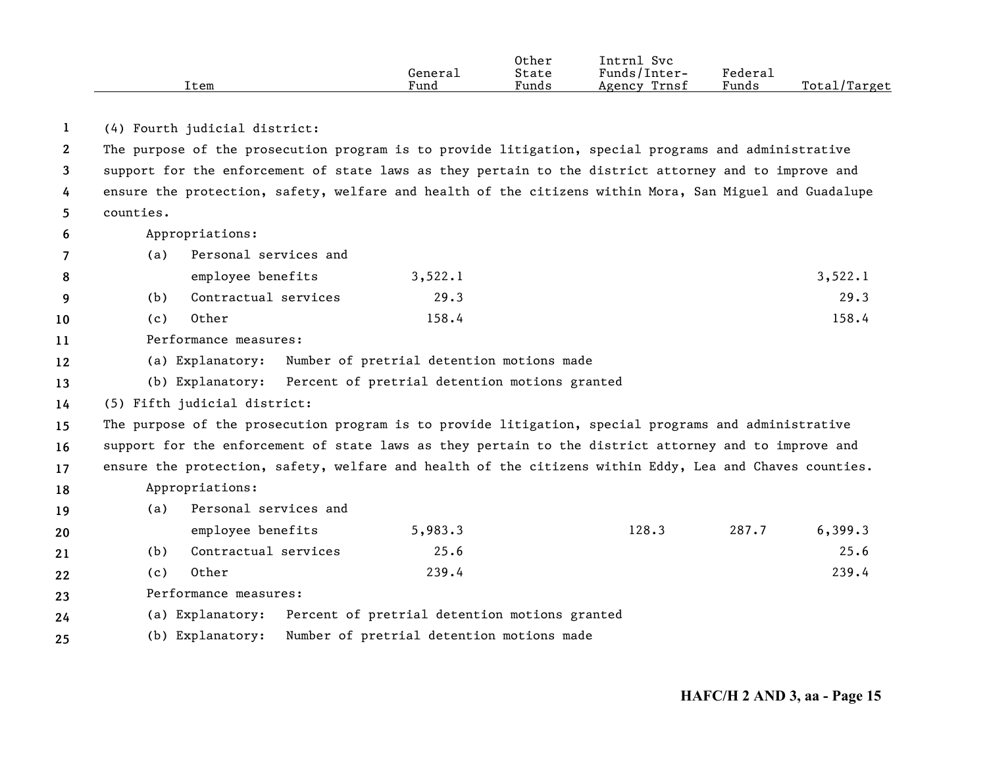|      |         | Other | Intrn1<br>Svc   |         |                    |
|------|---------|-------|-----------------|---------|--------------------|
|      | General | State | Funds/Inter-    | Federai |                    |
| Item | Fund    | Funds | Trnsf<br>Agency | Funds   | Total,<br>l/Target |

**1**(4) Fourth judicial district:

**2345**The purpose of the prosecution program is to provide litigation, special programs and administrative support for the enforcement of state laws as they pertain to the district attorney and to improve and ensure the protection, safety, welfare and health of the citizens within Mora, San Miguel and Guadalupe counties.

**6**Appropriations:

**8910**

**202122**

**7**(a) Personal services and

|      | employee benefits    | 3,522.1 | 3,522.1 |
|------|----------------------|---------|---------|
| (b). | Contractual services | 29.3    | 29.3    |
| (c)  | Other                | 158.4   | 158.4   |

**11**Performance measures:

**12**(a) Explanatory: Number of pretrial detention motions made

**13**(b) Explanatory: Percent of pretrial detention motions granted

**14**(5) Fifth judicial district:

**15161718**The purpose of the prosecution program is to provide litigation, special programs and administrative support for the enforcement of state laws as they pertain to the district attorney and to improve and ensure the protection, safety, welfare and health of the citizens within Eddy, Lea and Chaves counties. Appropriations:

**19**(a) Personal services and

|      | employee benefits    | 5,983.3 | 128.3 | 287.7 | 6,399.3 |
|------|----------------------|---------|-------|-------|---------|
| (b). | Contractual services | 25.6    |       |       | 25.6    |
| (C)  | Other                | 239.4   |       |       | 239.4   |

**23**Performance measures:

**24**(a) Explanatory: Percent of pretrial detention motions granted

**25**(b) Explanatory: Number of pretrial detention motions made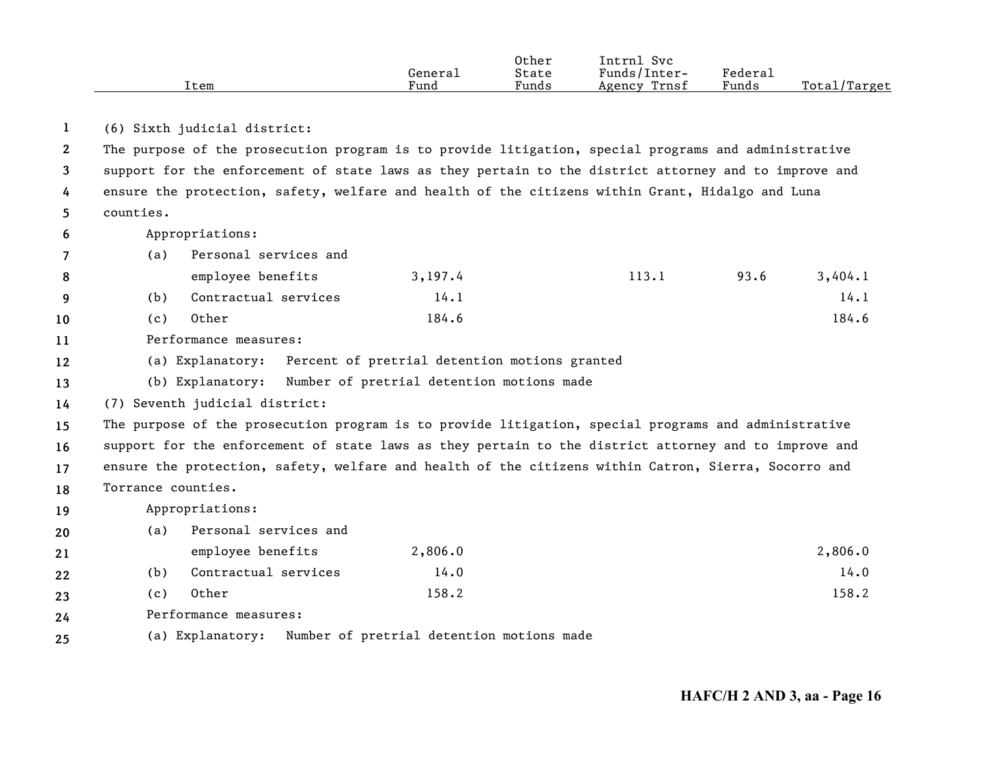|      |         | Other | Svc<br>Intrnl |                     |                   |
|------|---------|-------|---------------|---------------------|-------------------|
|      | General | State | Funds/Inter-  | Federa <sub>1</sub> |                   |
| Item | Fund    | Funds | Agency Trnsf  | Funds               | Total/<br>'Target |

**1**(6) Sixth judicial district:

**2345**The purpose of the prosecution program is to provide litigation, special programs and administrative support for the enforcement of state laws as they pertain to the district attorney and to improve and ensure the protection, safety, welfare and health of the citizens within Grant, Hidalgo and Luna counties.

**6**Appropriations:

**8910**

**7**(a) Personal services and

| employee benefits    | 3,197.4 | 113.1 | 93.6 | 3,404.1 |
|----------------------|---------|-------|------|---------|
| Contractual services | 14.1    |       |      | 14.1    |
| Other                | 184.6   |       |      | 184.6   |

**11**Performance measures:

**12**(a) Explanatory: Percent of pretrial detention motions granted

**13**(b) Explanatory: Number of pretrial detention motions made

**14**(7) Seventh judicial district:

**15161718**The purpose of the prosecution program is to provide litigation, special programs and administrative support for the enforcement of state laws as they pertain to the district attorney and to improve and ensure the protection, safety, welfare and health of the citizens within Catron, Sierra, Socorro and Torrance counties.

**19**Appropriations:

| 20 | (a)           | Personal services and |         |         |
|----|---------------|-----------------------|---------|---------|
| 21 |               | employee benefits     | 2,806.0 | 2,806.0 |
| 22 | (b)           | Contractual services  | 14.0    | 14.0    |
| 23 | (c)           | Other                 | 158.2   | 158.2   |
|    | $\sim$ $\sim$ |                       |         |         |

**24**Performance measures:

**25**(a) Explanatory: Number of pretrial detention motions made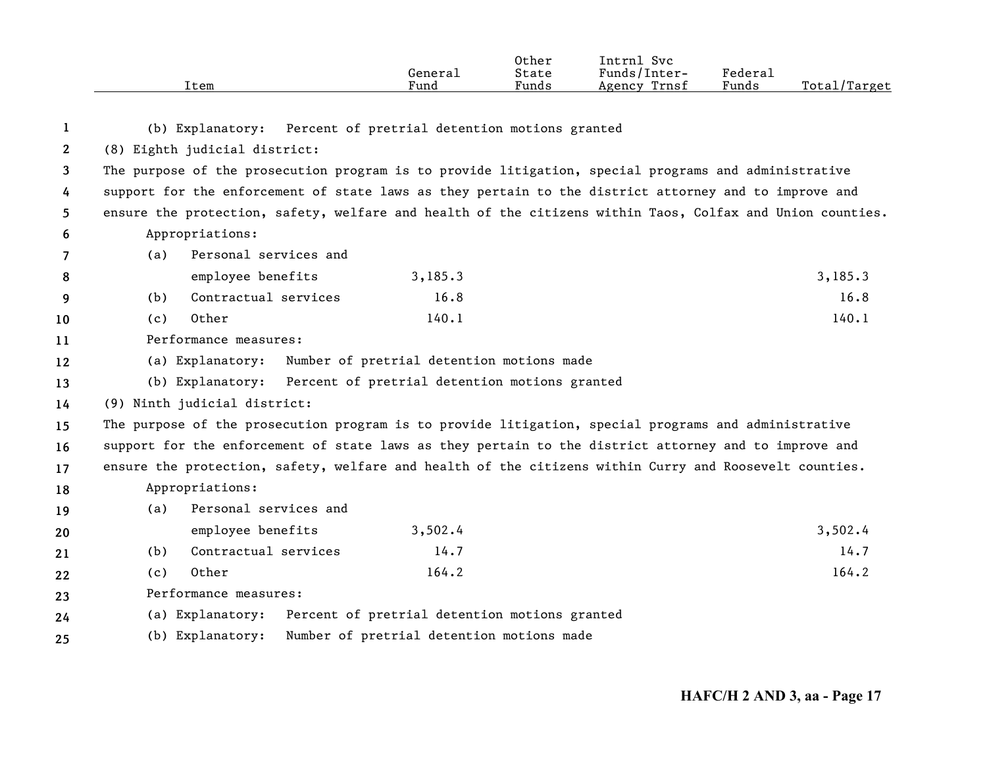|              | Item                                                                                                      | General<br>Fund                               | Other<br>State<br>Funds | Intrnl Svc<br>Funds/Inter-<br>Agency Trnsf | Federal<br>Funds | Total/Target |
|--------------|-----------------------------------------------------------------------------------------------------------|-----------------------------------------------|-------------------------|--------------------------------------------|------------------|--------------|
| 1            | (b) Explanatory:                                                                                          | Percent of pretrial detention motions granted |                         |                                            |                  |              |
| $\mathbf{2}$ | (8) Eighth judicial district:                                                                             |                                               |                         |                                            |                  |              |
| 3            | The purpose of the prosecution program is to provide litigation, special programs and administrative      |                                               |                         |                                            |                  |              |
| 4            | support for the enforcement of state laws as they pertain to the district attorney and to improve and     |                                               |                         |                                            |                  |              |
| 5            | ensure the protection, safety, welfare and health of the citizens within Taos, Colfax and Union counties. |                                               |                         |                                            |                  |              |
| 6            | Appropriations:                                                                                           |                                               |                         |                                            |                  |              |
| 7            | Personal services and<br>(a)                                                                              |                                               |                         |                                            |                  |              |
| 8            | employee benefits                                                                                         | 3,185.3                                       |                         |                                            |                  | 3,185.3      |
| 9            | Contractual services<br>(b)                                                                               | 16.8                                          |                         |                                            |                  | 16.8         |
| 10           | Other<br>(c)                                                                                              | 140.1                                         |                         |                                            |                  | 140.1        |
| 11           | Performance measures:                                                                                     |                                               |                         |                                            |                  |              |
| 12           | (a) Explanatory:                                                                                          | Number of pretrial detention motions made     |                         |                                            |                  |              |
| 13           | (b) Explanatory:                                                                                          | Percent of pretrial detention motions granted |                         |                                            |                  |              |
| 14           | (9) Ninth judicial district:                                                                              |                                               |                         |                                            |                  |              |
| 15           | The purpose of the prosecution program is to provide litigation, special programs and administrative      |                                               |                         |                                            |                  |              |
| 16           | support for the enforcement of state laws as they pertain to the district attorney and to improve and     |                                               |                         |                                            |                  |              |
| 17           | ensure the protection, safety, welfare and health of the citizens within Curry and Roosevelt counties.    |                                               |                         |                                            |                  |              |
| 18           | Appropriations:                                                                                           |                                               |                         |                                            |                  |              |
| 19           | Personal services and<br>(a)                                                                              |                                               |                         |                                            |                  |              |
| 20           | employee benefits                                                                                         | 3,502.4                                       |                         |                                            |                  | 3,502.4      |
| 21           | Contractual services<br>(b)                                                                               | 14.7                                          |                         |                                            |                  | 14.7         |
| 22           | Other<br>(c)                                                                                              | 164.2                                         |                         |                                            |                  | 164.2        |
| 23           | Performance measures:                                                                                     |                                               |                         |                                            |                  |              |
| 24           | (a) Explanatory:                                                                                          | Percent of pretrial detention motions granted |                         |                                            |                  |              |
| 25           | (b) Explanatory:                                                                                          | Number of pretrial detention motions made     |                         |                                            |                  |              |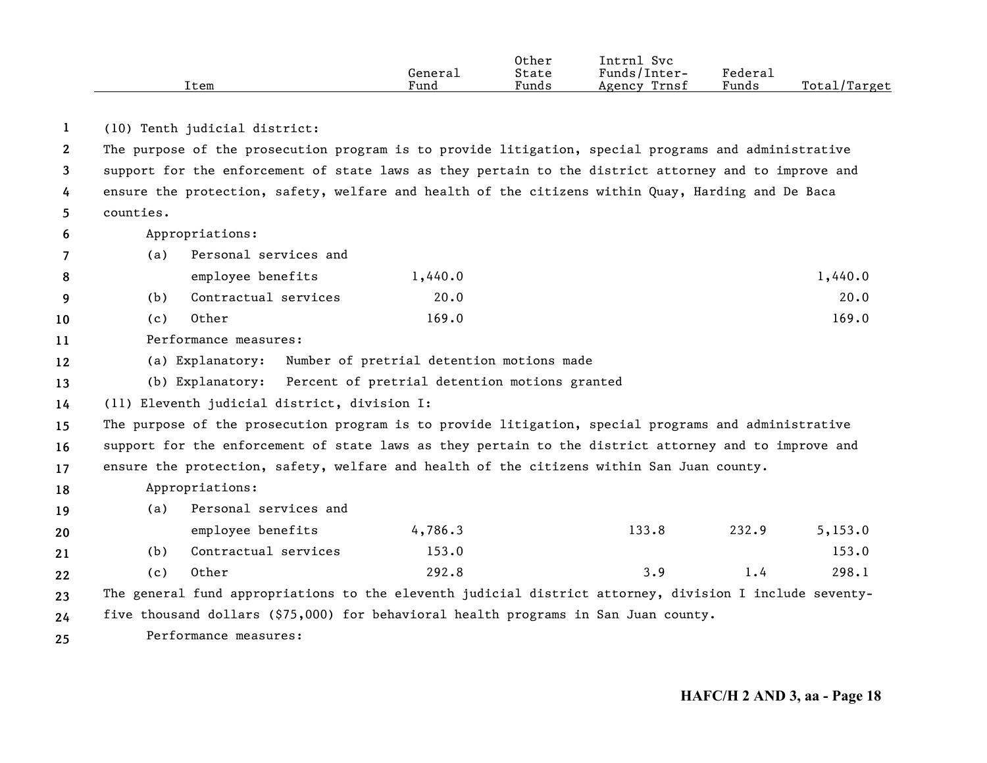|      |         | Other | Svc<br>Intrnl   |         |                    |
|------|---------|-------|-----------------|---------|--------------------|
|      | Generai | State | Funds/Inter-    | Federau |                    |
| Item | Fund    | Funds | Trnsf<br>Agency | Funds   | Total,<br>'Target' |

**1**(10) Tenth judicial district:

**2345**The purpose of the prosecution program is to provide litigation, special programs and administrative support for the enforcement of state laws as they pertain to the district attorney and to improve and ensure the protection, safety, welfare and health of the citizens within Quay, Harding and De Baca counties.

**6**Appropriations:

**89**

**202122**

|--|

| employee benefits    | 1,440.0 | 1,440.0 |
|----------------------|---------|---------|
| Contractual services | 20.0    | 20.0    |

**10**(c) Other  $169.0$   $169.0$ 

**11**Performance measures:

- **12**(a) Explanatory: Number of pretrial detention motions made
- **13**(b) Explanatory: Percent of pretrial detention motions granted

**14**(11) Eleventh judicial district, division I:

**151617**The purpose of the prosecution program is to provide litigation, special programs and administrative support for the enforcement of state laws as they pertain to the district attorney and to improve and ensure the protection, safety, welfare and health of the citizens within San Juan county.

**18**Appropriations:

**19**(a) Personal services and

|       | employee benefits    | 4,786,3 | 133.8 | 232.9 | 5,153.0 |
|-------|----------------------|---------|-------|-------|---------|
|       | Contractual services | 153.0   |       |       | 153.0   |
| ( C ) | Other                | 292.8   |       |       | 298.1   |

**2324**The general fund appropriations to the eleventh judicial district attorney, division I include seventyfive thousand dollars (\$75,000) for behavioral health programs in San Juan county.

**25**Performance measures: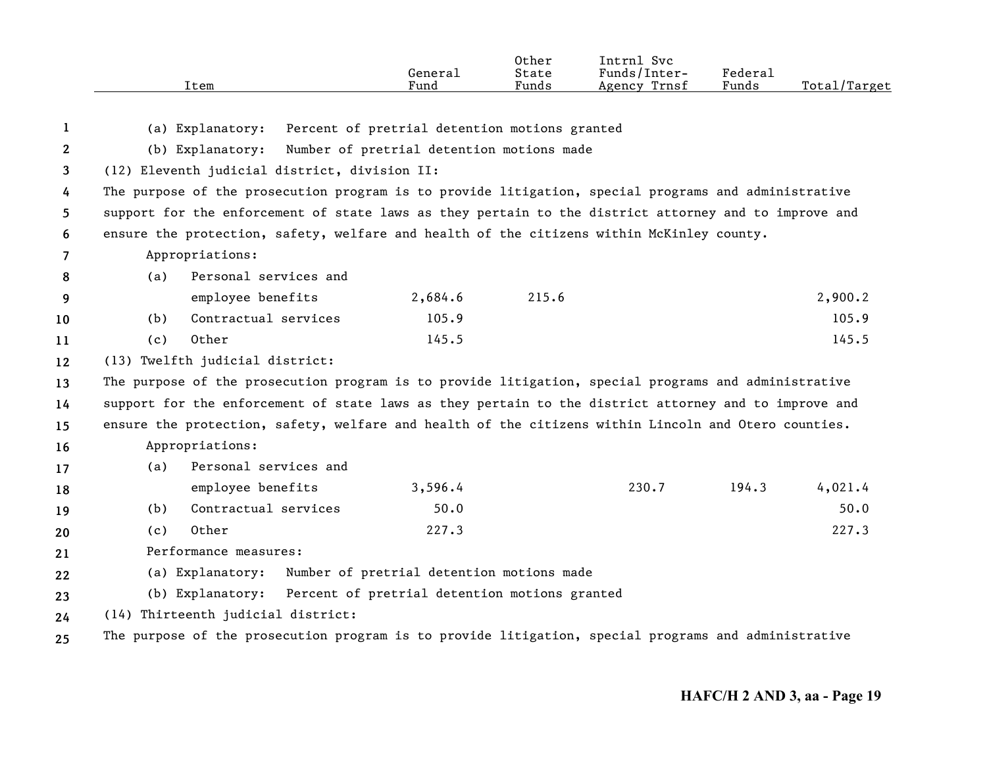|                |     | Item                                                                                                  | General<br>Fund                               | Other<br>State<br>Funds | Intrnl Svc<br>Funds/Inter-<br>Agency Trnsf | Federal<br>Funds | Total/Target |
|----------------|-----|-------------------------------------------------------------------------------------------------------|-----------------------------------------------|-------------------------|--------------------------------------------|------------------|--------------|
|                |     |                                                                                                       |                                               |                         |                                            |                  |              |
| 1              |     | (a) Explanatory:                                                                                      | Percent of pretrial detention motions granted |                         |                                            |                  |              |
| $\mathbf{2}$   |     | (b) Explanatory:                                                                                      | Number of pretrial detention motions made     |                         |                                            |                  |              |
| 3              |     | (12) Eleventh judicial district, division II:                                                         |                                               |                         |                                            |                  |              |
| 4              |     | The purpose of the prosecution program is to provide litigation, special programs and administrative  |                                               |                         |                                            |                  |              |
| 5              |     | support for the enforcement of state laws as they pertain to the district attorney and to improve and |                                               |                         |                                            |                  |              |
| 6              |     | ensure the protection, safety, welfare and health of the citizens within McKinley county.             |                                               |                         |                                            |                  |              |
| $\overline{7}$ |     | Appropriations:                                                                                       |                                               |                         |                                            |                  |              |
| 8              | (a) | Personal services and                                                                                 |                                               |                         |                                            |                  |              |
| 9              |     | employee benefits                                                                                     | 2,684.6                                       | 215.6                   |                                            |                  | 2,900.2      |
| 10             | (b) | Contractual services                                                                                  | 105.9                                         |                         |                                            |                  | 105.9        |
| 11             | (c) | Other                                                                                                 | 145.5                                         |                         |                                            |                  | 145.5        |
| 12             |     | (13) Twelfth judicial district:                                                                       |                                               |                         |                                            |                  |              |
| 13             |     | The purpose of the prosecution program is to provide litigation, special programs and administrative  |                                               |                         |                                            |                  |              |
| 14             |     | support for the enforcement of state laws as they pertain to the district attorney and to improve and |                                               |                         |                                            |                  |              |
| 15             |     | ensure the protection, safety, welfare and health of the citizens within Lincoln and Otero counties.  |                                               |                         |                                            |                  |              |
| 16             |     | Appropriations:                                                                                       |                                               |                         |                                            |                  |              |
| 17             | (a) | Personal services and                                                                                 |                                               |                         |                                            |                  |              |
| 18             |     | employee benefits                                                                                     | 3,596.4                                       |                         | 230.7                                      | 194.3            | 4,021.4      |
| 19             | (b) | Contractual services                                                                                  | 50.0                                          |                         |                                            |                  | 50.0         |
| 20             | (c) | Other                                                                                                 | 227.3                                         |                         |                                            |                  | 227.3        |
| 21             |     | Performance measures:                                                                                 |                                               |                         |                                            |                  |              |
| 22             |     | (a) Explanatory:                                                                                      | Number of pretrial detention motions made     |                         |                                            |                  |              |
| 23             |     | (b) Explanatory:                                                                                      | Percent of pretrial detention motions granted |                         |                                            |                  |              |
| 24             |     | (14) Thirteenth judicial district:                                                                    |                                               |                         |                                            |                  |              |
| 25             |     | The purpose of the prosecution program is to provide litigation, special programs and administrative  |                                               |                         |                                            |                  |              |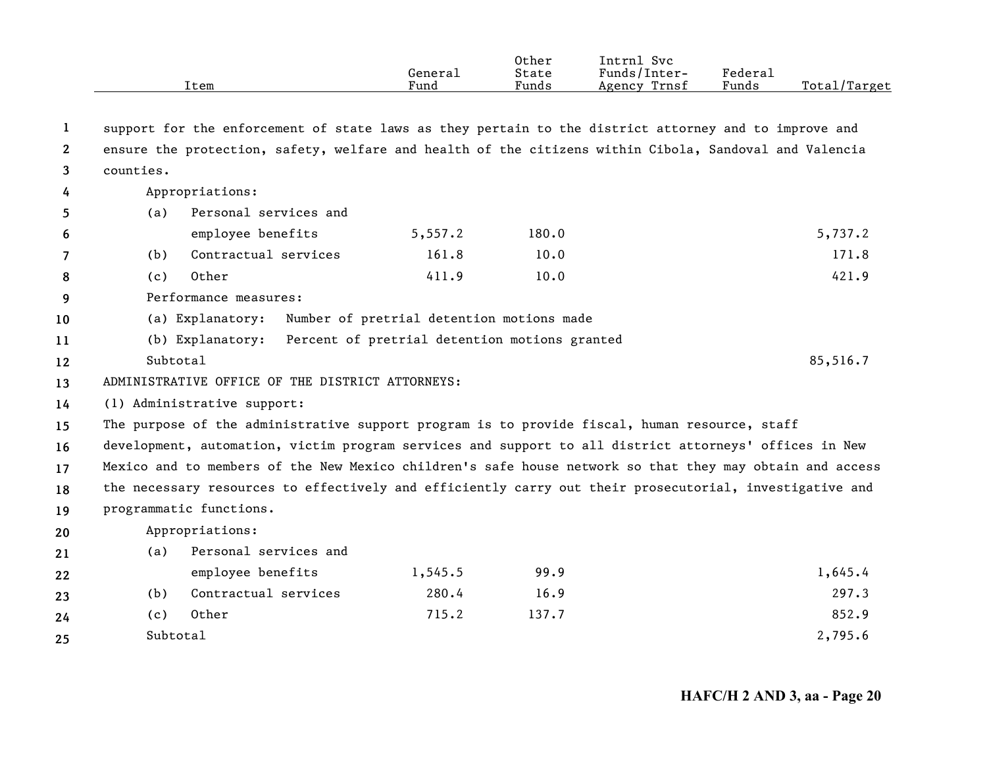|                       |           | Item                                                                                                     | General<br>Fund                               | Other<br>State<br>Funds | Intrnl Svc<br>Funds/Inter-<br>Agency Trnsf | Federal<br>Funds | Total/Target |
|-----------------------|-----------|----------------------------------------------------------------------------------------------------------|-----------------------------------------------|-------------------------|--------------------------------------------|------------------|--------------|
| 1                     |           | support for the enforcement of state laws as they pertain to the district attorney and to improve and    |                                               |                         |                                            |                  |              |
| $\mathbf{2}^{\prime}$ |           | ensure the protection, safety, welfare and health of the citizens within Cibola, Sandoval and Valencia   |                                               |                         |                                            |                  |              |
| 3                     | counties. |                                                                                                          |                                               |                         |                                            |                  |              |
| 4                     |           | Appropriations:                                                                                          |                                               |                         |                                            |                  |              |
| 5                     | (a)       | Personal services and                                                                                    |                                               |                         |                                            |                  |              |
| 6                     |           | employee benefits                                                                                        | 5,557.2                                       | 180.0                   |                                            |                  | 5,737.2      |
| 7                     | (b)       | Contractual services                                                                                     | 161.8                                         | 10.0                    |                                            |                  | 171.8        |
| 8                     | (c)       | Other                                                                                                    | 411.9                                         | 10.0                    |                                            |                  | 421.9        |
| 9                     |           | Performance measures:                                                                                    |                                               |                         |                                            |                  |              |
| 10                    |           | (a) Explanatory:                                                                                         | Number of pretrial detention motions made     |                         |                                            |                  |              |
| 11                    |           | (b) Explanatory:                                                                                         | Percent of pretrial detention motions granted |                         |                                            |                  |              |
| 12                    | Subtotal  |                                                                                                          |                                               |                         |                                            |                  | 85,516.7     |
| 13                    |           | ADMINISTRATIVE OFFICE OF THE DISTRICT ATTORNEYS:                                                         |                                               |                         |                                            |                  |              |
| 14                    |           | (1) Administrative support:                                                                              |                                               |                         |                                            |                  |              |
| 15                    |           | The purpose of the administrative support program is to provide fiscal, human resource, staff            |                                               |                         |                                            |                  |              |
| 16                    |           | development, automation, victim program services and support to all district attorneys' offices in New   |                                               |                         |                                            |                  |              |
| 17                    |           | Mexico and to members of the New Mexico children's safe house network so that they may obtain and access |                                               |                         |                                            |                  |              |
| 18                    |           | the necessary resources to effectively and efficiently carry out their prosecutorial, investigative and  |                                               |                         |                                            |                  |              |
| 19                    |           | programmatic functions.                                                                                  |                                               |                         |                                            |                  |              |
| 20                    |           | Appropriations:                                                                                          |                                               |                         |                                            |                  |              |
| 21                    | (a)       | Personal services and                                                                                    |                                               |                         |                                            |                  |              |
| 22                    |           | employee benefits                                                                                        | 1,545.5                                       | 99.9                    |                                            |                  | 1,645.4      |
| 23                    | (b)       | Contractual services                                                                                     | 280.4                                         | 16.9                    |                                            |                  | 297.3        |

(c) Other 715.2 137.7 852.9

**24 25**

Subtotal

 $1$  and  $2,795.6$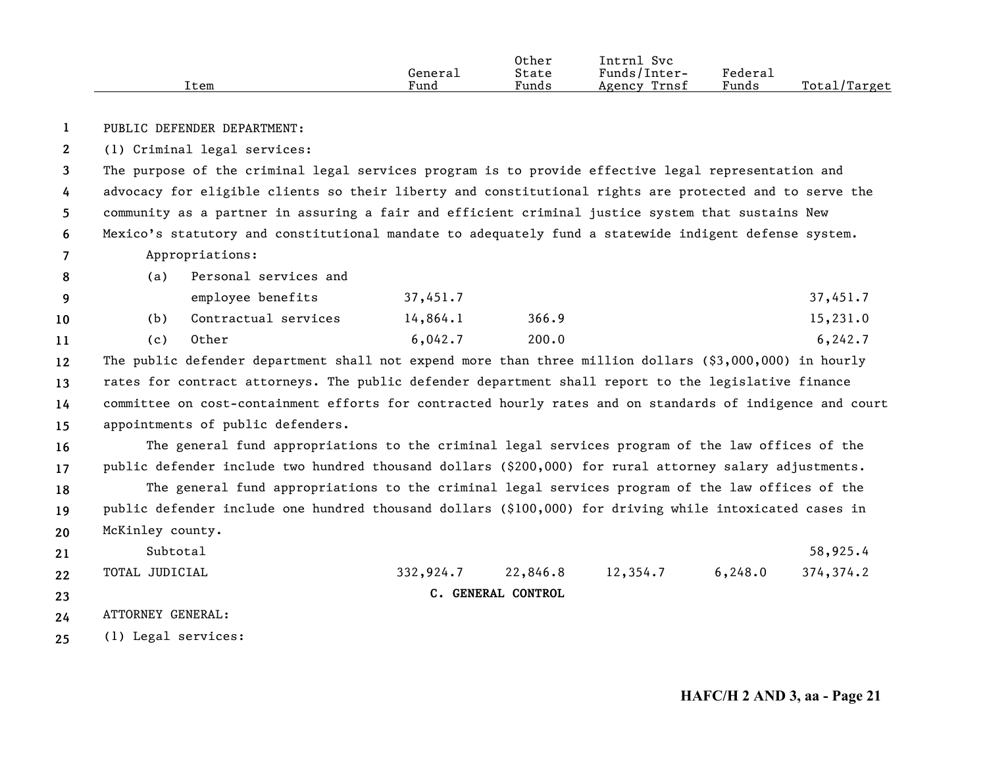|      |         | Other | Intrnl<br>Svc   |         |              |
|------|---------|-------|-----------------|---------|--------------|
|      | General | State | Funds/Inter-    | Federal |              |
| Item | Fund    | Funds | Trnsf<br>Agency | Funds   | Total/Target |

**1**PUBLIC DEFENDER DEPARTMENT:

**2**(1) Criminal legal services:

**3456**The purpose of the criminal legal services program is to provide effective legal representation and advocacy for eligible clients so their liberty and constitutional rights are protected and to serve the community as a partner in assuring a fair and efficient criminal justice system that sustains New Mexico's statutory and constitutional mandate to adequately fund a statewide indigent defense system.

## **7**Appropriations:

| -8  | (a)  | Personal services and |          |       |          |
|-----|------|-----------------------|----------|-------|----------|
| - 9 |      | employee benefits     | 37,451.7 |       | 37,451.7 |
| 10  | (b)  | Contractual services  | 14,864.1 | 366.9 | 15,231.0 |
|     | (C ) | Other                 | 6,042.7  | 200.0 | 6, 242.7 |

**12131415**The public defender department shall not expend more than three million dollars (\$3,000,000) in hourly rates for contract attorneys. The public defender department shall report to the legislative finance committee on cost-containment efforts for contracted hourly rates and on standards of indigence and court appointments of public defenders.

**1617181920**The general fund appropriations to the criminal legal services program of the law offices of the public defender include two hundred thousand dollars (\$200,000) for rural attorney salary adjustments. The general fund appropriations to the criminal legal services program of the law offices of the public defender include one hundred thousand dollars (\$100,000) for driving while intoxicated cases in McKinley county.

- **212223**Subtotal $1$  58,925.4 TOTAL JUDICIAL 332,924.7 22,846.8 12,354.7 6,248.0 374,374.2 **C. GENERAL CONTROL**
- **24**ATTORNEY GENERAL:
- **25**(1) Legal services: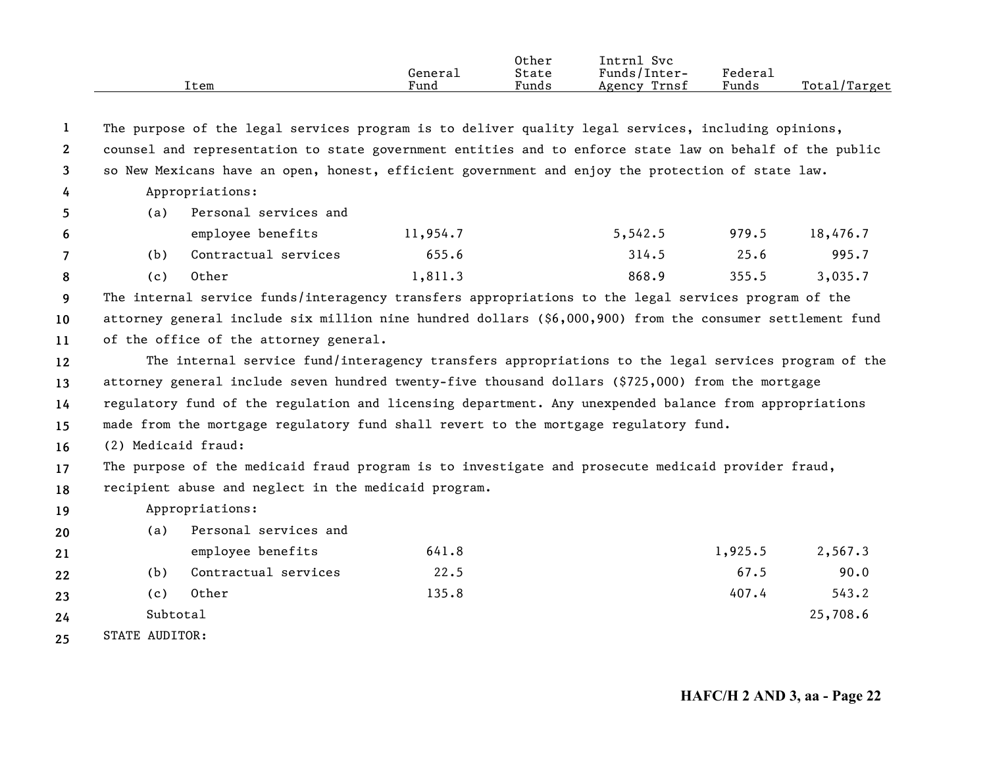|              |                       | Item                                                                                                      | General<br>Fund | Other<br>State<br>Funds | Intrnl Svc<br>Funds/Inter-<br>Agency Trnsf | Federal<br>Funds | Total/Target |
|--------------|-----------------------|-----------------------------------------------------------------------------------------------------------|-----------------|-------------------------|--------------------------------------------|------------------|--------------|
|              |                       |                                                                                                           |                 |                         |                                            |                  |              |
| 1            |                       | The purpose of the legal services program is to deliver quality legal services, including opinions,       |                 |                         |                                            |                  |              |
| $\mathbf{2}$ |                       | counsel and representation to state government entities and to enforce state law on behalf of the public  |                 |                         |                                            |                  |              |
| 3            |                       | so New Mexicans have an open, honest, efficient government and enjoy the protection of state law.         |                 |                         |                                            |                  |              |
| 4            |                       | Appropriations:                                                                                           |                 |                         |                                            |                  |              |
| 5            | (a)                   | Personal services and                                                                                     |                 |                         |                                            |                  |              |
| 6            |                       | employee benefits                                                                                         | 11,954.7        |                         | 5,542.5                                    | 979.5            | 18,476.7     |
| 7            | (b)                   | Contractual services                                                                                      | 655.6           |                         | 314.5                                      | 25.6             | 995.7        |
| 8            | (c)                   | Other                                                                                                     | 1,811.3         |                         | 868.9                                      | 355.5            | 3,035.7      |
| 9            |                       | The internal service funds/interagency transfers appropriations to the legal services program of the      |                 |                         |                                            |                  |              |
| 10           |                       | attorney general include six million nine hundred dollars (\$6,000,900) from the consumer settlement fund |                 |                         |                                            |                  |              |
| 11           |                       | of the office of the attorney general.                                                                    |                 |                         |                                            |                  |              |
| 12           |                       | The internal service fund/interagency transfers appropriations to the legal services program of the       |                 |                         |                                            |                  |              |
| 13           |                       | attorney general include seven hundred twenty-five thousand dollars (\$725,000) from the mortgage         |                 |                         |                                            |                  |              |
| 14           |                       | regulatory fund of the regulation and licensing department. Any unexpended balance from appropriations    |                 |                         |                                            |                  |              |
| 15           |                       | made from the mortgage regulatory fund shall revert to the mortgage regulatory fund.                      |                 |                         |                                            |                  |              |
| 16           | (2) Medicaid fraud:   |                                                                                                           |                 |                         |                                            |                  |              |
| 17           |                       | The purpose of the medicaid fraud program is to investigate and prosecute medicaid provider fraud,        |                 |                         |                                            |                  |              |
| 18           |                       | recipient abuse and neglect in the medicaid program.                                                      |                 |                         |                                            |                  |              |
| 19           |                       | Appropriations:                                                                                           |                 |                         |                                            |                  |              |
| 20           | (a)                   | Personal services and                                                                                     |                 |                         |                                            |                  |              |
| 21           |                       | employee benefits                                                                                         | 641.8           |                         |                                            | 1,925.5          | 2,567.3      |
| 22           | (b)                   | Contractual services                                                                                      | 22.5            |                         |                                            | 67.5             | 90.0         |
| 23           | (c)                   | Other                                                                                                     | 135.8           |                         |                                            | 407.4            | 543.2        |
| 24           | Subtotal              |                                                                                                           |                 |                         |                                            |                  | 25,708.6     |
| 25           | <b>STATE AUDITOR:</b> |                                                                                                           |                 |                         |                                            |                  |              |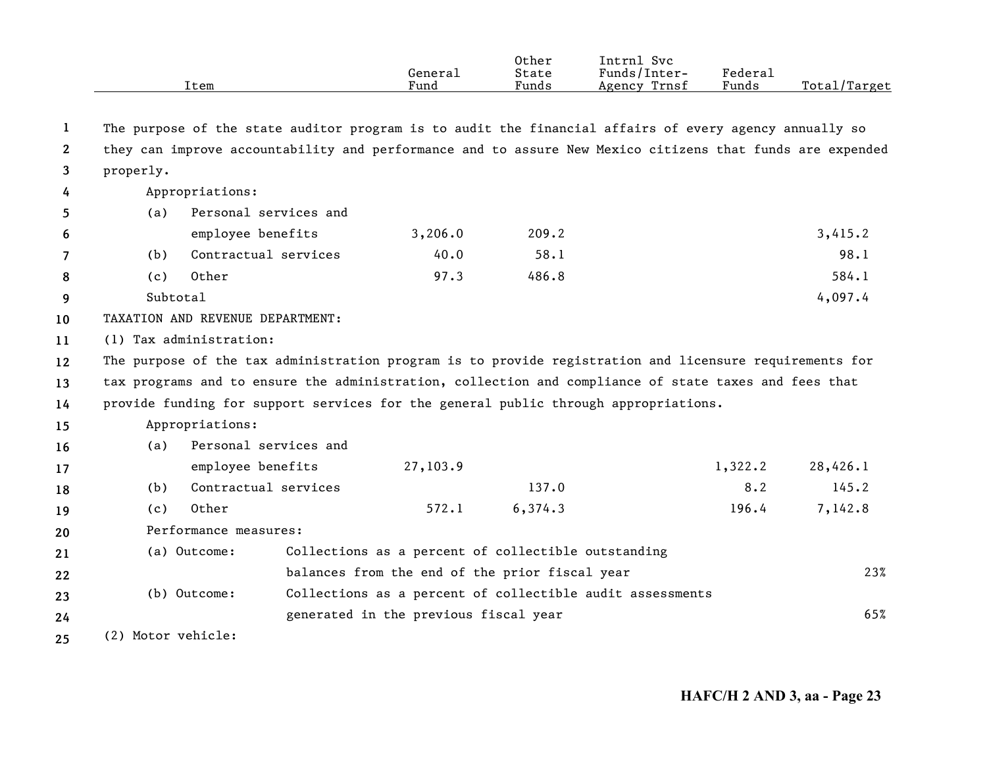|                       |                    | Item                                                                                                      | General<br>Fund                                           | Other<br>State<br>Funds | Intrnl Svc<br>Funds/Inter-<br>Agency Trnsf | Federal<br>Funds | Total/Target |
|-----------------------|--------------------|-----------------------------------------------------------------------------------------------------------|-----------------------------------------------------------|-------------------------|--------------------------------------------|------------------|--------------|
|                       |                    |                                                                                                           |                                                           |                         |                                            |                  |              |
| 1                     |                    | The purpose of the state auditor program is to audit the financial affairs of every agency annually so    |                                                           |                         |                                            |                  |              |
| $\mathbf{2}^{\prime}$ |                    | they can improve accountability and performance and to assure New Mexico citizens that funds are expended |                                                           |                         |                                            |                  |              |
| 3                     | properly.          |                                                                                                           |                                                           |                         |                                            |                  |              |
| 4                     |                    | Appropriations:                                                                                           |                                                           |                         |                                            |                  |              |
| 5.                    | (a)                | Personal services and                                                                                     |                                                           |                         |                                            |                  |              |
| 6                     |                    | employee benefits                                                                                         | 3,206.0                                                   | 209.2                   |                                            |                  | 3,415.2      |
| 7                     | (b)                | Contractual services                                                                                      | 40.0                                                      | 58.1                    |                                            |                  | 98.1         |
| 8                     | (c)                | Other                                                                                                     | 97.3                                                      | 486.8                   |                                            |                  | 584.1        |
| 9                     | Subtotal           |                                                                                                           |                                                           |                         |                                            |                  | 4,097.4      |
| 10                    |                    | TAXATION AND REVENUE DEPARTMENT:                                                                          |                                                           |                         |                                            |                  |              |
| 11                    |                    | (1) Tax administration:                                                                                   |                                                           |                         |                                            |                  |              |
| 12                    |                    | The purpose of the tax administration program is to provide registration and licensure requirements for   |                                                           |                         |                                            |                  |              |
| 13                    |                    | tax programs and to ensure the administration, collection and compliance of state taxes and fees that     |                                                           |                         |                                            |                  |              |
| 14                    |                    | provide funding for support services for the general public through appropriations.                       |                                                           |                         |                                            |                  |              |
| 15                    |                    | Appropriations:                                                                                           |                                                           |                         |                                            |                  |              |
| 16                    | (a)                | Personal services and                                                                                     |                                                           |                         |                                            |                  |              |
| 17                    |                    | employee benefits                                                                                         | 27,103.9                                                  |                         |                                            | 1,322.2          | 28,426.1     |
| 18                    | (b)                | Contractual services                                                                                      |                                                           | 137.0                   |                                            | 8.2              | 145.2        |
| 19                    | (c)                | Other                                                                                                     | 572.1                                                     | 6,374.3                 |                                            | 196.4            | 7,142.8      |
| 20                    |                    | Performance measures:                                                                                     |                                                           |                         |                                            |                  |              |
| 21                    |                    | (a) Outcome:                                                                                              | Collections as a percent of collectible outstanding       |                         |                                            |                  |              |
| 22                    |                    |                                                                                                           | balances from the end of the prior fiscal year            |                         |                                            |                  | 23%          |
| 23                    |                    | (b) Outcome:                                                                                              | Collections as a percent of collectible audit assessments |                         |                                            |                  |              |
| 24                    |                    |                                                                                                           | generated in the previous fiscal year                     |                         |                                            |                  | 65%          |
| 25                    | (2) Motor vehicle: |                                                                                                           |                                                           |                         |                                            |                  |              |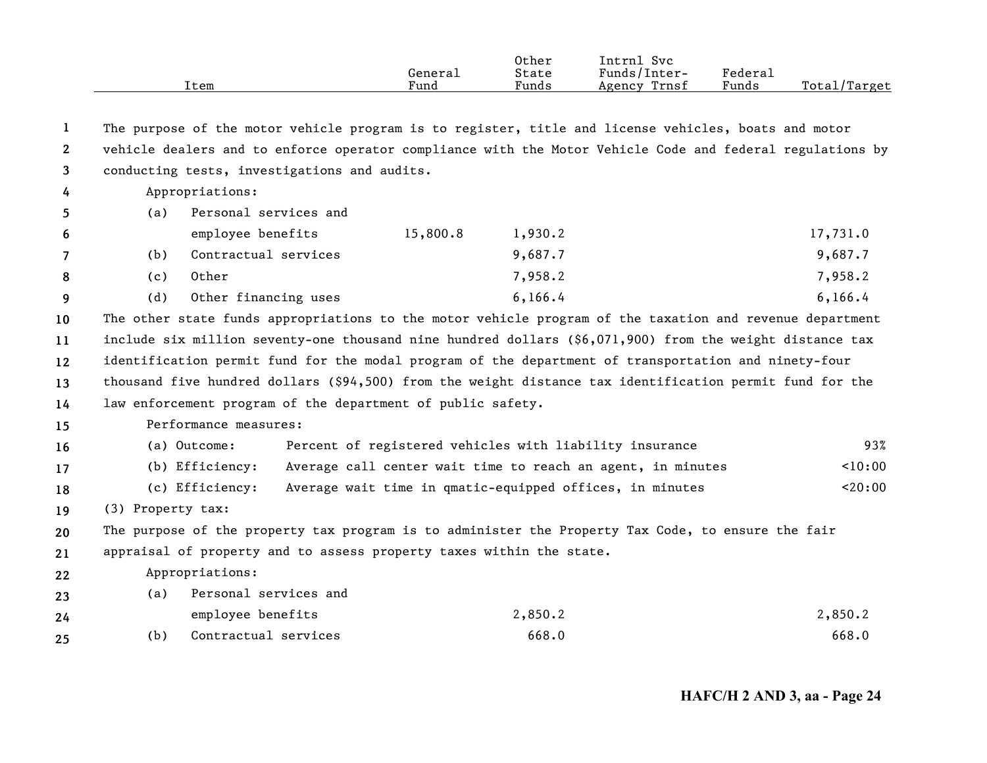|    |                   | Item                                                                                                      | General<br>Fund | Other<br>State<br>Funds | Intrnl Svc<br>Funds/Inter-<br>Agency Trnsf                  | Federal<br>Funds | Total/Target |
|----|-------------------|-----------------------------------------------------------------------------------------------------------|-----------------|-------------------------|-------------------------------------------------------------|------------------|--------------|
| 1  |                   | The purpose of the motor vehicle program is to register, title and license vehicles, boats and motor      |                 |                         |                                                             |                  |              |
| 2  |                   | vehicle dealers and to enforce operator compliance with the Motor Vehicle Code and federal regulations by |                 |                         |                                                             |                  |              |
| 3  |                   | conducting tests, investigations and audits.                                                              |                 |                         |                                                             |                  |              |
| 4  |                   | Appropriations:                                                                                           |                 |                         |                                                             |                  |              |
| 5  | (a)               | Personal services and                                                                                     |                 |                         |                                                             |                  |              |
| 6  |                   | employee benefits                                                                                         | 15,800.8        | 1,930.2                 |                                                             |                  | 17,731.0     |
| 7  | (b)               | Contractual services                                                                                      |                 | 9,687.7                 |                                                             |                  | 9,687.7      |
| 8  | (c)               | Other                                                                                                     |                 | 7,958.2                 |                                                             |                  | 7,958.2      |
| 9  | (d)               | Other financing uses                                                                                      |                 | 6, 166.4                |                                                             |                  | 6, 166.4     |
| 10 |                   | The other state funds appropriations to the motor vehicle program of the taxation and revenue department  |                 |                         |                                                             |                  |              |
| 11 |                   | include six million seventy-one thousand nine hundred dollars (\$6,071,900) from the weight distance tax  |                 |                         |                                                             |                  |              |
| 12 |                   | identification permit fund for the modal program of the department of transportation and ninety-four      |                 |                         |                                                             |                  |              |
| 13 |                   | thousand five hundred dollars (\$94,500) from the weight distance tax identification permit fund for the  |                 |                         |                                                             |                  |              |
| 14 |                   | law enforcement program of the department of public safety.                                               |                 |                         |                                                             |                  |              |
| 15 |                   | Performance measures:                                                                                     |                 |                         |                                                             |                  |              |
| 16 |                   | (a) Outcome:                                                                                              |                 |                         | Percent of registered vehicles with liability insurance     |                  | 93%          |
| 17 |                   | (b) Efficiency:                                                                                           |                 |                         | Average call center wait time to reach an agent, in minutes |                  | 10:00        |
| 18 |                   | (c) Efficiency:                                                                                           |                 |                         | Average wait time in qmatic-equipped offices, in minutes    |                  | < 20:00      |
| 19 | (3) Property tax: |                                                                                                           |                 |                         |                                                             |                  |              |
| 20 |                   | The purpose of the property tax program is to administer the Property Tax Code, to ensure the fair        |                 |                         |                                                             |                  |              |
| 21 |                   | appraisal of property and to assess property taxes within the state.                                      |                 |                         |                                                             |                  |              |
| 22 |                   | Appropriations:                                                                                           |                 |                         |                                                             |                  |              |
| 23 | (a)               | Personal services and                                                                                     |                 |                         |                                                             |                  |              |
| 24 |                   | employee benefits                                                                                         |                 | 2,850.2                 |                                                             |                  | 2,850.2      |
| 25 | (b)               | Contractual services                                                                                      |                 | 668.0                   |                                                             |                  | 668.0        |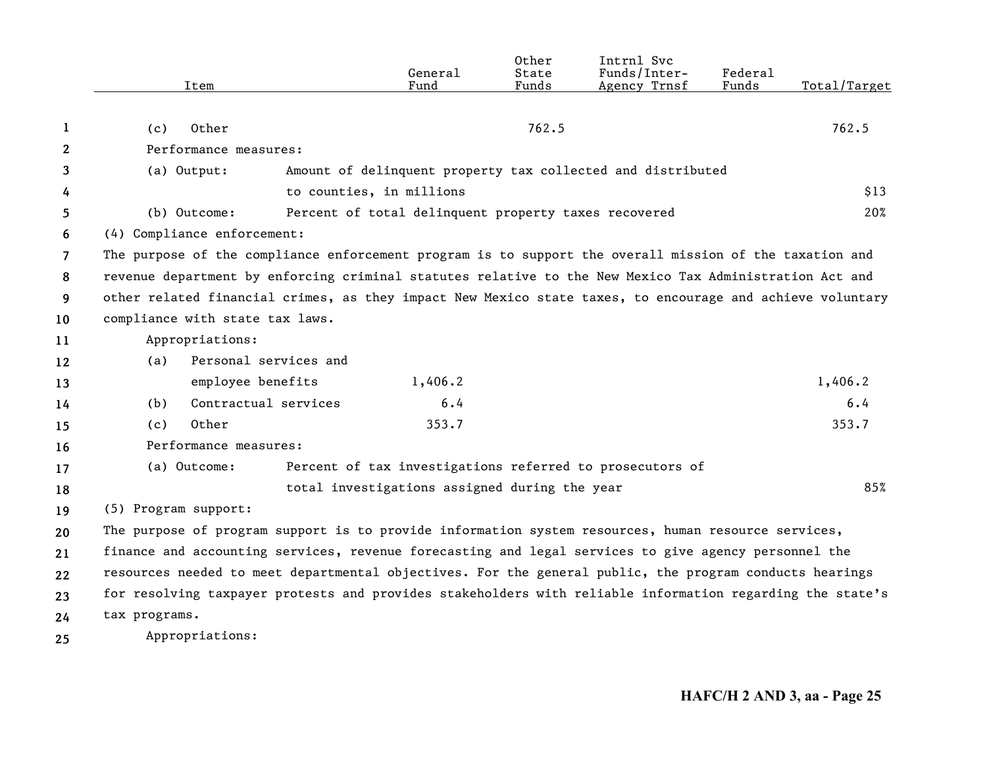|                |                                                                                                           | General                                                     | Other<br>State | Intrnl Svc<br>Funds/Inter- | Federal |              |
|----------------|-----------------------------------------------------------------------------------------------------------|-------------------------------------------------------------|----------------|----------------------------|---------|--------------|
|                | Item                                                                                                      | Fund                                                        | Funds          | Agency Trnsf               | Funds   | Total/Target |
|                |                                                                                                           |                                                             |                |                            |         |              |
| 1              | Other<br>(c)                                                                                              |                                                             | 762.5          |                            |         | 762.5        |
| 2              | Performance measures:                                                                                     |                                                             |                |                            |         |              |
| 3              | (a) Output:                                                                                               | Amount of delinquent property tax collected and distributed |                |                            |         |              |
| 4              |                                                                                                           | to counties, in millions                                    |                |                            |         | \$13         |
| 5.             | (b) Outcome:                                                                                              | Percent of total delinquent property taxes recovered        |                |                            |         | 20%          |
| 6              | (4) Compliance enforcement:                                                                               |                                                             |                |                            |         |              |
| $\overline{7}$ | The purpose of the compliance enforcement program is to support the overall mission of the taxation and   |                                                             |                |                            |         |              |
| 8              | revenue department by enforcing criminal statutes relative to the New Mexico Tax Administration Act and   |                                                             |                |                            |         |              |
| 9              | other related financial crimes, as they impact New Mexico state taxes, to encourage and achieve voluntary |                                                             |                |                            |         |              |
| 10             | compliance with state tax laws.                                                                           |                                                             |                |                            |         |              |
| 11             | Appropriations:                                                                                           |                                                             |                |                            |         |              |
| 12             | Personal services and<br>(a)                                                                              |                                                             |                |                            |         |              |
| 13             | employee benefits                                                                                         | 1,406.2                                                     |                |                            |         | 1,406.2      |
| 14             | Contractual services<br>(b)                                                                               | 6.4                                                         |                |                            |         | 6.4          |
| 15             | Other<br>(c)                                                                                              | 353.7                                                       |                |                            |         | 353.7        |
| 16             | Performance measures:                                                                                     |                                                             |                |                            |         |              |
| 17             | (a) Outcome:                                                                                              | Percent of tax investigations referred to prosecutors of    |                |                            |         |              |
| 18             |                                                                                                           | total investigations assigned during the year               |                |                            |         | 85%          |
| 19             | (5) Program support:                                                                                      |                                                             |                |                            |         |              |
| 20             | The purpose of program support is to provide information system resources, human resource services,       |                                                             |                |                            |         |              |
| 21             | finance and accounting services, revenue forecasting and legal services to give agency personnel the      |                                                             |                |                            |         |              |
| 22             | resources needed to meet departmental objectives. For the general public, the program conducts hearings   |                                                             |                |                            |         |              |
| 23             | for resolving taxpayer protests and provides stakeholders with reliable information regarding the state's |                                                             |                |                            |         |              |
| 24             | tax programs.                                                                                             |                                                             |                |                            |         |              |
| 25             | Appropriations:                                                                                           |                                                             |                |                            |         |              |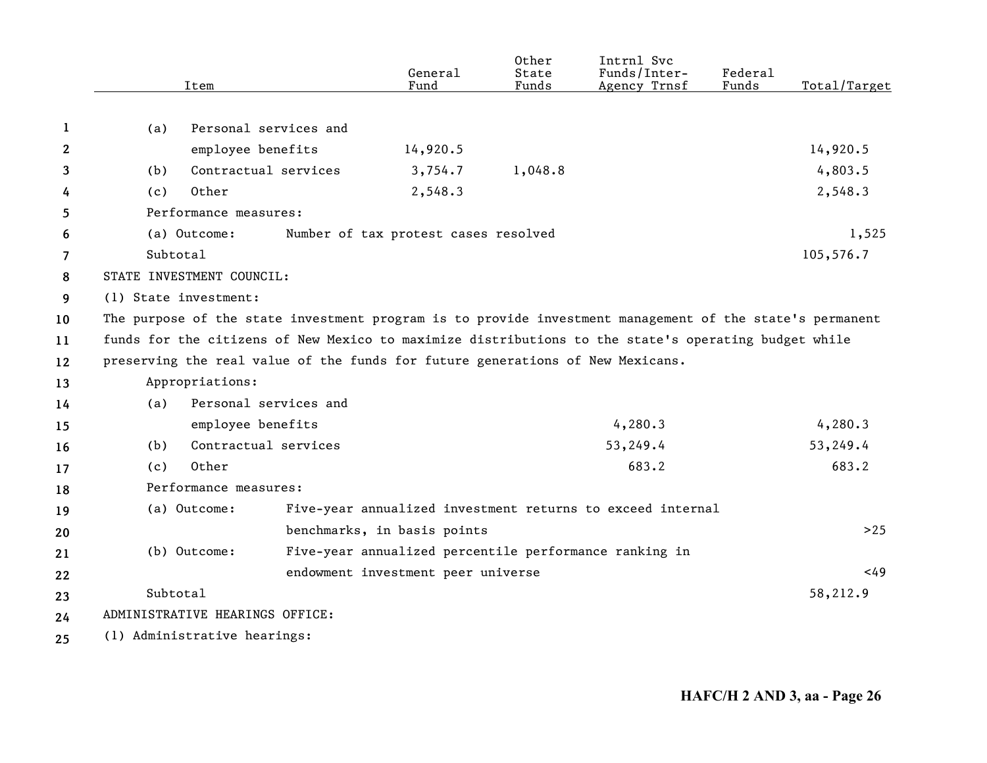|              | Item                                                                                                     | General<br>Fund                      | Other<br>State<br>Funds | Intrnl Svc<br>Funds/Inter-<br>Agency Trnsf                 | Federal<br>Funds | Total/Target |
|--------------|----------------------------------------------------------------------------------------------------------|--------------------------------------|-------------------------|------------------------------------------------------------|------------------|--------------|
|              |                                                                                                          |                                      |                         |                                                            |                  |              |
| 1            | Personal services and<br>(a)                                                                             |                                      |                         |                                                            |                  |              |
| $\mathbf{2}$ | employee benefits                                                                                        | 14,920.5                             |                         |                                                            |                  | 14,920.5     |
| 3            | Contractual services<br>(b)                                                                              | 3,754.7                              | 1,048.8                 |                                                            |                  | 4,803.5      |
| 4            | Other<br>(c)                                                                                             | 2,548.3                              |                         |                                                            |                  | 2,548.3      |
| 5            | Performance measures:                                                                                    |                                      |                         |                                                            |                  |              |
| 6            | (a) Outcome:                                                                                             | Number of tax protest cases resolved |                         |                                                            |                  | 1,525        |
| 7            | Subtotal                                                                                                 |                                      |                         |                                                            |                  | 105,576.7    |
| 8            | STATE INVESTMENT COUNCIL:                                                                                |                                      |                         |                                                            |                  |              |
| 9            | (1) State investment:                                                                                    |                                      |                         |                                                            |                  |              |
| 10           | The purpose of the state investment program is to provide investment management of the state's permanent |                                      |                         |                                                            |                  |              |
| 11           | funds for the citizens of New Mexico to maximize distributions to the state's operating budget while     |                                      |                         |                                                            |                  |              |
| 12           | preserving the real value of the funds for future generations of New Mexicans.                           |                                      |                         |                                                            |                  |              |
| 13           | Appropriations:                                                                                          |                                      |                         |                                                            |                  |              |
| 14           | Personal services and<br>(a)                                                                             |                                      |                         |                                                            |                  |              |
| 15           | employee benefits                                                                                        |                                      |                         | 4,280.3                                                    |                  | 4,280.3      |
| 16           | Contractual services<br>(b)                                                                              |                                      |                         | 53,249.4                                                   |                  | 53,249.4     |
| 17           | Other<br>(c)                                                                                             |                                      |                         | 683.2                                                      |                  | 683.2        |
| 18           | Performance measures:                                                                                    |                                      |                         |                                                            |                  |              |
| 19           | (a) Outcome:                                                                                             |                                      |                         | Five-year annualized investment returns to exceed internal |                  |              |
| 20           |                                                                                                          | benchmarks, in basis points          |                         |                                                            |                  | $>25$        |
| 21           | (b) Outcome:                                                                                             |                                      |                         | Five-year annualized percentile performance ranking in     |                  |              |
| 22           |                                                                                                          | endowment investment peer universe   |                         |                                                            |                  | <49          |
| 23           | Subtotal                                                                                                 |                                      |                         |                                                            |                  | 58,212.9     |
| 24           | ADMINISTRATIVE HEARINGS OFFICE:                                                                          |                                      |                         |                                                            |                  |              |
| 25           | (1) Administrative hearings:                                                                             |                                      |                         |                                                            |                  |              |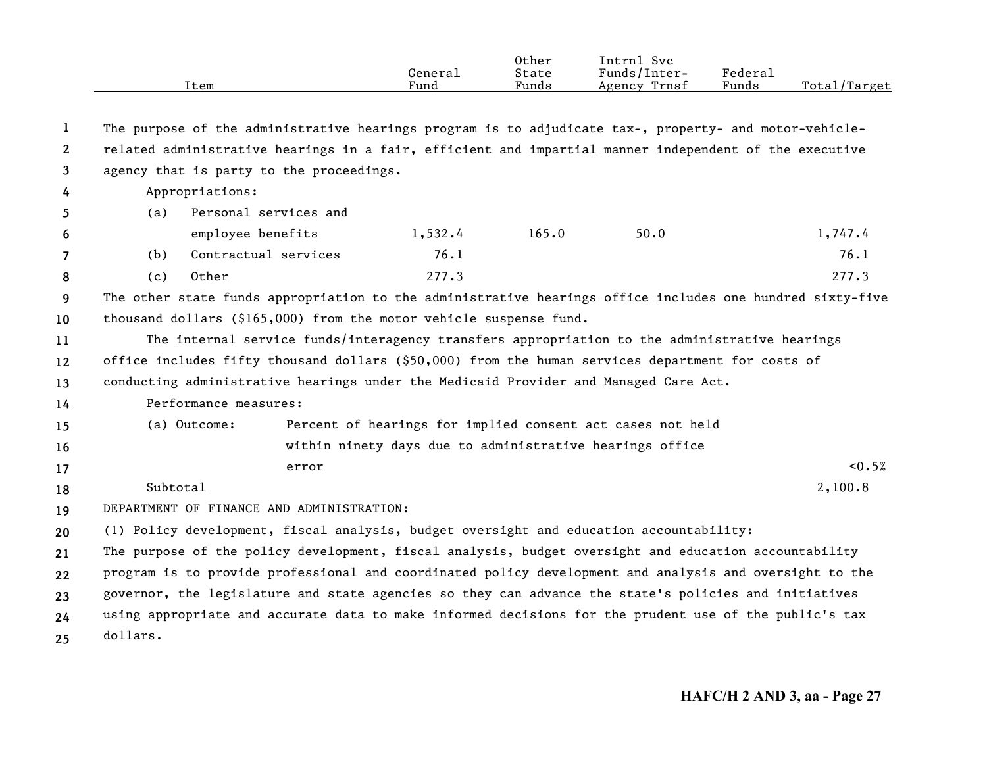|                |                                                                                               | Item                  |                                           | General<br>Fund | Other<br>State<br>Funds | Intrnl Svc<br>Funds/Inter-<br>Agency Trnsf                                                                | Federal<br>Funds | Total/Target |  |
|----------------|-----------------------------------------------------------------------------------------------|-----------------------|-------------------------------------------|-----------------|-------------------------|-----------------------------------------------------------------------------------------------------------|------------------|--------------|--|
| 1              |                                                                                               |                       |                                           |                 |                         | The purpose of the administrative hearings program is to adjudicate tax-, property- and motor-vehicle-    |                  |              |  |
| $\mathbf{2}$   |                                                                                               |                       |                                           |                 |                         | related administrative hearings in a fair, efficient and impartial manner independent of the executive    |                  |              |  |
| 3              |                                                                                               |                       | agency that is party to the proceedings.  |                 |                         |                                                                                                           |                  |              |  |
| 4              |                                                                                               | Appropriations:       |                                           |                 |                         |                                                                                                           |                  |              |  |
| 5              | (a)                                                                                           |                       | Personal services and                     |                 |                         |                                                                                                           |                  |              |  |
| 6              |                                                                                               | employee benefits     |                                           | 1,532.4         | 165.0                   | 50.0                                                                                                      |                  | 1,747.4      |  |
| $\overline{7}$ | (b)                                                                                           | Contractual services  |                                           | 76.1            |                         |                                                                                                           |                  | 76.1         |  |
| 8              | (c)                                                                                           | Other                 |                                           | 277.3           |                         |                                                                                                           |                  | 277.3        |  |
| 9              |                                                                                               |                       |                                           |                 |                         | The other state funds appropriation to the administrative hearings office includes one hundred sixty-five |                  |              |  |
| 10             | thousand dollars (\$165,000) from the motor vehicle suspense fund.                            |                       |                                           |                 |                         |                                                                                                           |                  |              |  |
| 11             | The internal service funds/interagency transfers appropriation to the administrative hearings |                       |                                           |                 |                         |                                                                                                           |                  |              |  |
| 12             |                                                                                               |                       |                                           |                 |                         | office includes fifty thousand dollars (\$50,000) from the human services department for costs of         |                  |              |  |
| 13             |                                                                                               |                       |                                           |                 |                         | conducting administrative hearings under the Medicaid Provider and Managed Care Act.                      |                  |              |  |
| 14             |                                                                                               | Performance measures: |                                           |                 |                         |                                                                                                           |                  |              |  |
| 15             |                                                                                               | (a) Outcome:          |                                           |                 |                         | Percent of hearings for implied consent act cases not held                                                |                  |              |  |
| 16             |                                                                                               |                       |                                           |                 |                         | within ninety days due to administrative hearings office                                                  |                  |              |  |
| 17             |                                                                                               |                       | error                                     |                 |                         |                                                                                                           |                  | < 0.5%       |  |
| 18             | Subtotal                                                                                      |                       |                                           |                 |                         |                                                                                                           |                  | 2,100.8      |  |
| 19             |                                                                                               |                       | DEPARTMENT OF FINANCE AND ADMINISTRATION: |                 |                         |                                                                                                           |                  |              |  |
| 20             |                                                                                               |                       |                                           |                 |                         | (1) Policy development, fiscal analysis, budget oversight and education accountability:                   |                  |              |  |
| 21             |                                                                                               |                       |                                           |                 |                         | The purpose of the policy development, fiscal analysis, budget oversight and education accountability     |                  |              |  |
| 22             |                                                                                               |                       |                                           |                 |                         | program is to provide professional and coordinated policy development and analysis and oversight to the   |                  |              |  |
| 23             |                                                                                               |                       |                                           |                 |                         | governor, the legislature and state agencies so they can advance the state's policies and initiatives     |                  |              |  |
| 24             |                                                                                               |                       |                                           |                 |                         | using appropriate and accurate data to make informed decisions for the prudent use of the public's tax    |                  |              |  |
| 25             | dollars.                                                                                      |                       |                                           |                 |                         |                                                                                                           |                  |              |  |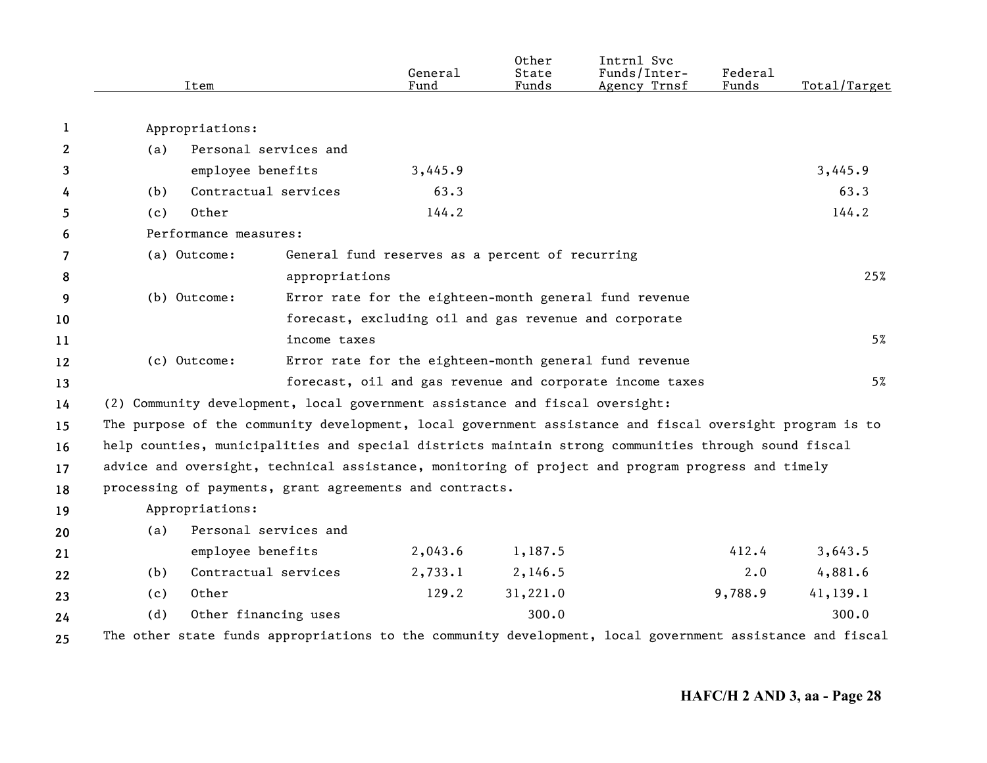|              | Item                                                                                                      |                       | General<br>Fund                                       | Other<br>State<br>Funds | Intrnl Svc<br>Funds/Inter-<br>Agency Trnsf               | Federal<br>Funds | Total/Target |  |
|--------------|-----------------------------------------------------------------------------------------------------------|-----------------------|-------------------------------------------------------|-------------------------|----------------------------------------------------------|------------------|--------------|--|
| 1            | Appropriations:                                                                                           |                       |                                                       |                         |                                                          |                  |              |  |
| $\mathbf{2}$ | (a)                                                                                                       | Personal services and |                                                       |                         |                                                          |                  |              |  |
| 3            | employee benefits                                                                                         |                       | 3,445.9                                               |                         |                                                          |                  | 3,445.9      |  |
| 4            | (b)                                                                                                       | Contractual services  | 63.3                                                  |                         |                                                          |                  | 63.3         |  |
| 5            | Other<br>(c)                                                                                              |                       | 144.2                                                 |                         |                                                          |                  | 144.2        |  |
| 6            | Performance measures:                                                                                     |                       |                                                       |                         |                                                          |                  |              |  |
| 7            | (a) Outcome:<br>General fund reserves as a percent of recurring                                           |                       |                                                       |                         |                                                          |                  |              |  |
| 8            |                                                                                                           | appropriations        |                                                       |                         |                                                          |                  | 25%          |  |
| 9            | (b) Outcome:                                                                                              |                       |                                                       |                         | Error rate for the eighteen-month general fund revenue   |                  |              |  |
| 10           |                                                                                                           |                       | forecast, excluding oil and gas revenue and corporate |                         |                                                          |                  |              |  |
| 11           |                                                                                                           | income taxes          |                                                       |                         |                                                          |                  | 5%           |  |
| 12           | (c) Outcome:                                                                                              |                       |                                                       |                         | Error rate for the eighteen-month general fund revenue   |                  |              |  |
| 13           |                                                                                                           |                       |                                                       |                         | forecast, oil and gas revenue and corporate income taxes |                  | 5%           |  |
| 14           | (2) Community development, local government assistance and fiscal oversight:                              |                       |                                                       |                         |                                                          |                  |              |  |
| 15           | The purpose of the community development, local government assistance and fiscal oversight program is to  |                       |                                                       |                         |                                                          |                  |              |  |
| 16           | help counties, municipalities and special districts maintain strong communities through sound fiscal      |                       |                                                       |                         |                                                          |                  |              |  |
| 17           | advice and oversight, technical assistance, monitoring of project and program progress and timely         |                       |                                                       |                         |                                                          |                  |              |  |
| 18           | processing of payments, grant agreements and contracts.                                                   |                       |                                                       |                         |                                                          |                  |              |  |
| 19           | Appropriations:                                                                                           |                       |                                                       |                         |                                                          |                  |              |  |
| 20           | (a)                                                                                                       | Personal services and |                                                       |                         |                                                          |                  |              |  |
| 21           | employee benefits                                                                                         |                       | 2,043.6                                               | 1,187.5                 |                                                          | 412.4            | 3,643.5      |  |
| 22           | (b)                                                                                                       | Contractual services  | 2,733.1                                               | 2,146.5                 |                                                          | $2 \cdot 0$      | 4,881.6      |  |
| 23           | Other<br>(c)                                                                                              |                       | 129.2                                                 | 31,221.0                |                                                          | 9,788.9          | 41,139.1     |  |
| 24           | (d)                                                                                                       | Other financing uses  |                                                       | 300.0                   |                                                          |                  | 300.0        |  |
| 25           | The other state funds appropriations to the community development, local government assistance and fiscal |                       |                                                       |                         |                                                          |                  |              |  |
|              |                                                                                                           |                       |                                                       |                         |                                                          |                  |              |  |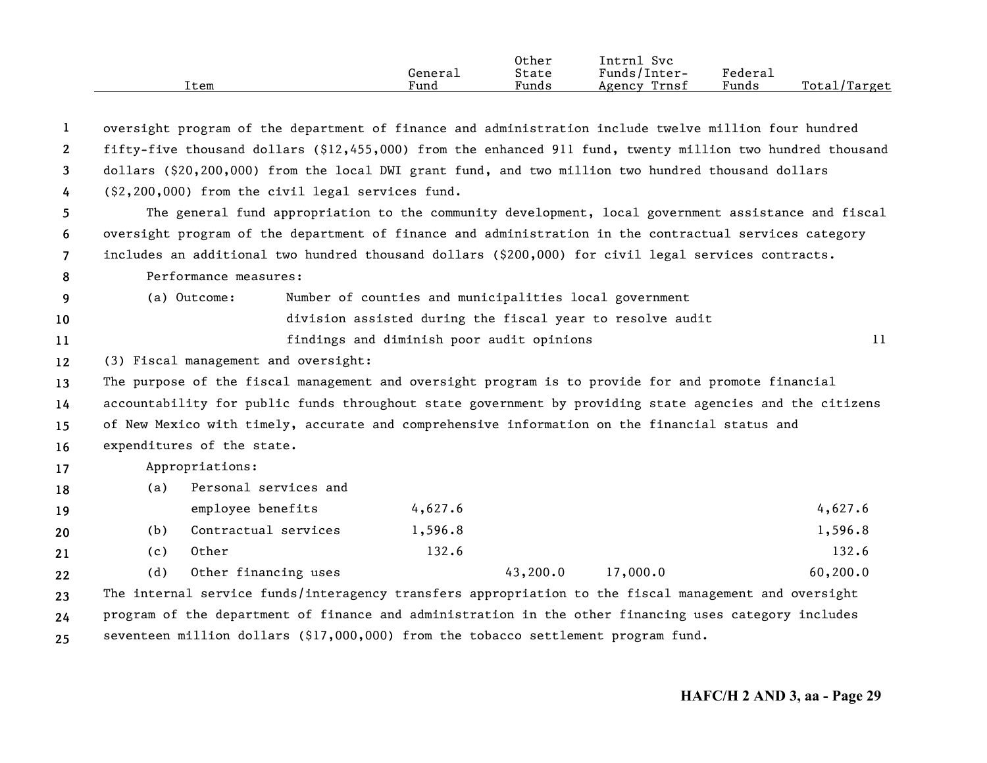|      | General<br>Fund | Other<br>State<br>Funds | Intrnl<br>Svc<br>Funds/Inter-<br>Trnsf | Federal<br>Funds | Total/Target |
|------|-----------------|-------------------------|----------------------------------------|------------------|--------------|
| Item |                 |                         | Agency                                 |                  |              |

| $\mathbf{1}$   | oversight program of the department of finance and administration include twelve million four hundred      |  |                                                        |                                                           |           |  |  |  |  |
|----------------|------------------------------------------------------------------------------------------------------------|--|--------------------------------------------------------|-----------------------------------------------------------|-----------|--|--|--|--|
| $\mathbf{2}$   | fifty-five thousand dollars (\$12,455,000) from the enhanced 911 fund, twenty million two hundred thousand |  |                                                        |                                                           |           |  |  |  |  |
| 3              | dollars (\$20,200,000) from the local DWI grant fund, and two million two hundred thousand dollars         |  |                                                        |                                                           |           |  |  |  |  |
| 4              | (\$2,200,000) from the civil legal services fund.                                                          |  |                                                        |                                                           |           |  |  |  |  |
| 5              | The general fund appropriation to the community development, local government assistance and fiscal        |  |                                                        |                                                           |           |  |  |  |  |
| 6              | oversight program of the department of finance and administration in the contractual services category     |  |                                                        |                                                           |           |  |  |  |  |
| $\overline{7}$ | includes an additional two hundred thousand dollars (\$200,000) for civil legal services contracts.        |  |                                                        |                                                           |           |  |  |  |  |
| 8              | Performance measures:                                                                                      |  |                                                        |                                                           |           |  |  |  |  |
| 9              | (a) Outcome:                                                                                               |  | Number of counties and municipalities local government |                                                           |           |  |  |  |  |
| 10             |                                                                                                            |  |                                                        | division assisted during the fiscal year to resolve audit |           |  |  |  |  |
| 11             |                                                                                                            |  | findings and diminish poor audit opinions              |                                                           | 11        |  |  |  |  |
| $12 \,$        | (3) Fiscal management and oversight:                                                                       |  |                                                        |                                                           |           |  |  |  |  |
| 13             | The purpose of the fiscal management and oversight program is to provide for and promote financial         |  |                                                        |                                                           |           |  |  |  |  |
| 14             | accountability for public funds throughout state government by providing state agencies and the citizens   |  |                                                        |                                                           |           |  |  |  |  |
| 15             | of New Mexico with timely, accurate and comprehensive information on the financial status and              |  |                                                        |                                                           |           |  |  |  |  |
| 16             | expenditures of the state.                                                                                 |  |                                                        |                                                           |           |  |  |  |  |
| 17             | Appropriations:                                                                                            |  |                                                        |                                                           |           |  |  |  |  |
| 18             | Personal services and<br>(a)                                                                               |  |                                                        |                                                           |           |  |  |  |  |
| 19             | employee benefits                                                                                          |  | 4,627.6                                                |                                                           | 4,627.6   |  |  |  |  |
| 20             | Contractual services<br>(b)                                                                                |  | 1,596.8                                                |                                                           | 1,596.8   |  |  |  |  |
| 21             | Other<br>(c)                                                                                               |  | 132.6                                                  |                                                           | 132.6     |  |  |  |  |
| 22             | Other financing uses<br>(d)                                                                                |  | 43,200.0                                               | 17,000.0                                                  | 60, 200.0 |  |  |  |  |
| 23             | The internal service funds/interagency transfers appropriation to the fiscal management and oversight      |  |                                                        |                                                           |           |  |  |  |  |
| 24             | program of the department of finance and administration in the other financing uses category includes      |  |                                                        |                                                           |           |  |  |  |  |
| 25             | seventeen million dollars (\$17,000,000) from the tobacco settlement program fund.                         |  |                                                        |                                                           |           |  |  |  |  |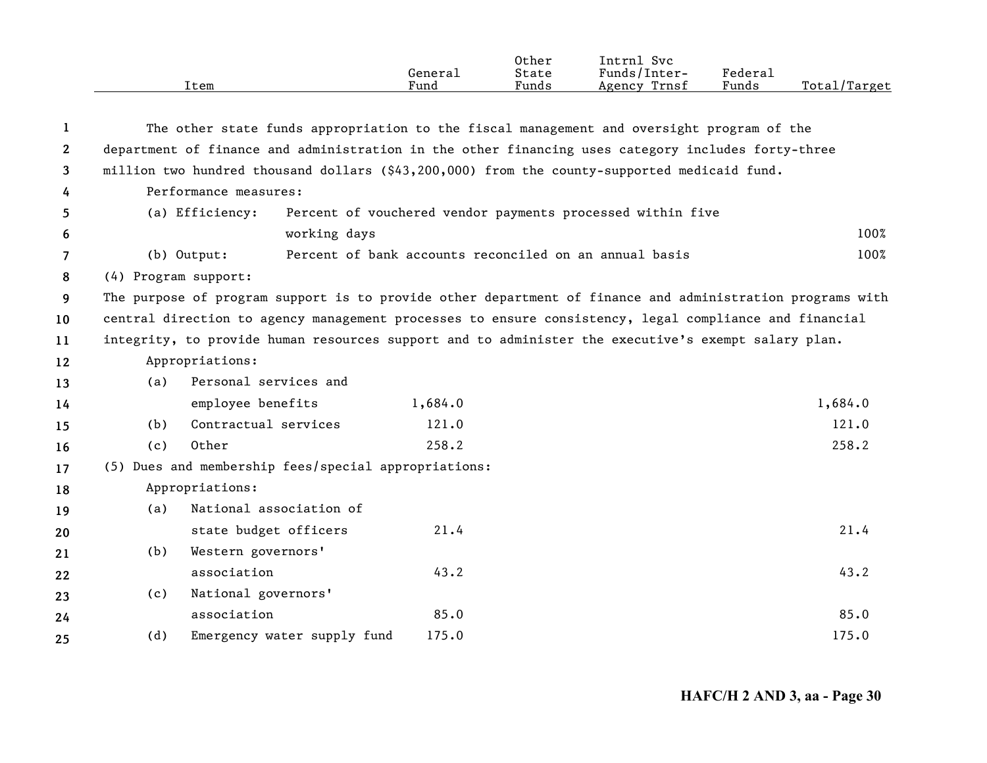|              |                                                                                                           | Item                                                                                                | General<br>Fund | Other<br>State<br>Funds | Intrnl Svc<br>Funds/Inter-<br>Agency Trnsf                 | Federal<br>Funds | Total/Target |  |  |  |
|--------------|-----------------------------------------------------------------------------------------------------------|-----------------------------------------------------------------------------------------------------|-----------------|-------------------------|------------------------------------------------------------|------------------|--------------|--|--|--|
|              |                                                                                                           |                                                                                                     |                 |                         |                                                            |                  |              |  |  |  |
| 1            |                                                                                                           | The other state funds appropriation to the fiscal management and oversight program of the           |                 |                         |                                                            |                  |              |  |  |  |
| $\mathbf{2}$ |                                                                                                           | department of finance and administration in the other financing uses category includes forty-three  |                 |                         |                                                            |                  |              |  |  |  |
| 3            |                                                                                                           | million two hundred thousand dollars (\$43,200,000) from the county-supported medicaid fund.        |                 |                         |                                                            |                  |              |  |  |  |
| 4            |                                                                                                           | Performance measures:                                                                               |                 |                         |                                                            |                  |              |  |  |  |
| 5            |                                                                                                           | (a) Efficiency:                                                                                     |                 |                         | Percent of vouchered vendor payments processed within five |                  |              |  |  |  |
| 6            |                                                                                                           | working days                                                                                        |                 |                         |                                                            |                  | 100%         |  |  |  |
| 7            |                                                                                                           | $(b)$ Output:                                                                                       |                 |                         | Percent of bank accounts reconciled on an annual basis     |                  | 100%         |  |  |  |
| 8            | (4) Program support:                                                                                      |                                                                                                     |                 |                         |                                                            |                  |              |  |  |  |
| 9            | The purpose of program support is to provide other department of finance and administration programs with |                                                                                                     |                 |                         |                                                            |                  |              |  |  |  |
| 10           | central direction to agency management processes to ensure consistency, legal compliance and financial    |                                                                                                     |                 |                         |                                                            |                  |              |  |  |  |
| 11           |                                                                                                           | integrity, to provide human resources support and to administer the executive's exempt salary plan. |                 |                         |                                                            |                  |              |  |  |  |
| 12           |                                                                                                           | Appropriations:                                                                                     |                 |                         |                                                            |                  |              |  |  |  |
| 13           | (a)                                                                                                       | Personal services and                                                                               |                 |                         |                                                            |                  |              |  |  |  |
| 14           |                                                                                                           | employee benefits                                                                                   | 1,684.0         |                         |                                                            |                  | 1,684.0      |  |  |  |
| 15           | (b)                                                                                                       | Contractual services                                                                                | 121.0           |                         |                                                            |                  | 121.0        |  |  |  |
| 16           | (c)                                                                                                       | Other                                                                                               | 258.2           |                         |                                                            |                  | 258.2        |  |  |  |
| 17           |                                                                                                           | (5) Dues and membership fees/special appropriations:                                                |                 |                         |                                                            |                  |              |  |  |  |
| 18           |                                                                                                           | Appropriations:                                                                                     |                 |                         |                                                            |                  |              |  |  |  |
| 19           | (a)                                                                                                       | National association of                                                                             |                 |                         |                                                            |                  |              |  |  |  |
| 20           |                                                                                                           | state budget officers                                                                               | 21.4            |                         |                                                            |                  | 21.4         |  |  |  |
| 21           | (b)                                                                                                       | Western governors'                                                                                  |                 |                         |                                                            |                  |              |  |  |  |
| 22           |                                                                                                           | association                                                                                         | 43.2            |                         |                                                            |                  | 43.2         |  |  |  |
| 23           | (c)                                                                                                       | National governors'                                                                                 |                 |                         |                                                            |                  |              |  |  |  |
| 24           |                                                                                                           | association                                                                                         | 85.0            |                         |                                                            |                  | 85.0         |  |  |  |
| 25           | (d)                                                                                                       | Emergency water supply fund                                                                         | 175.0           |                         |                                                            |                  | 175.0        |  |  |  |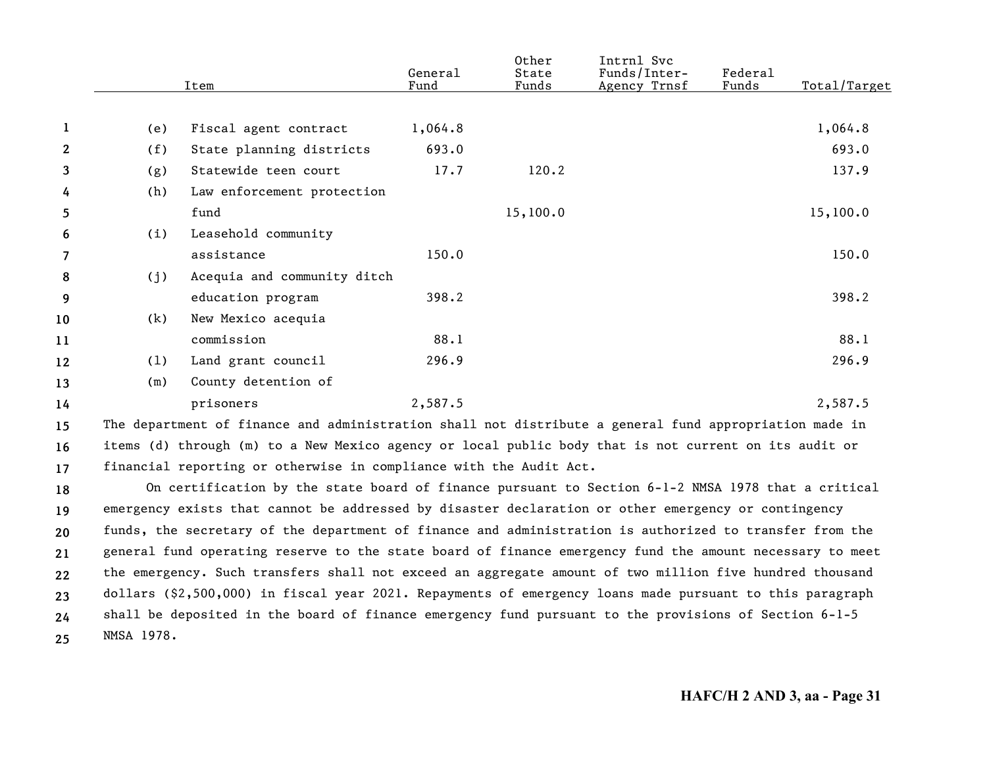|              |     | Item                                                                                                   | General<br>Fund | Other<br>State<br>Funds | Intrnl Svc<br>Funds/Inter-<br>Agency Trnsf | Federa1<br>Funds | Total/Target |
|--------------|-----|--------------------------------------------------------------------------------------------------------|-----------------|-------------------------|--------------------------------------------|------------------|--------------|
|              |     |                                                                                                        |                 |                         |                                            |                  |              |
| 1            | (e) | Fiscal agent contract                                                                                  | 1,064.8         |                         |                                            |                  | 1,064.8      |
| $\mathbf{2}$ | (f) | State planning districts                                                                               | 693.0           |                         |                                            |                  | 693.0        |
| 3            | (g) | Statewide teen court                                                                                   | 17.7            | 120.2                   |                                            |                  | 137.9        |
| 4            | (h) | Law enforcement protection                                                                             |                 |                         |                                            |                  |              |
| 5            |     | fund                                                                                                   |                 | 15,100.0                |                                            |                  | 15,100.0     |
| 6            | (i) | Leasehold community                                                                                    |                 |                         |                                            |                  |              |
| 7            |     | assistance                                                                                             | 150.0           |                         |                                            |                  | 150.0        |
| 8            | (j) | Acequia and community ditch                                                                            |                 |                         |                                            |                  |              |
| 9            |     | education program                                                                                      | 398.2           |                         |                                            |                  | 398.2        |
| 10           | (k) | New Mexico acequia                                                                                     |                 |                         |                                            |                  |              |
| 11           |     | commission                                                                                             | 88.1            |                         |                                            |                  | 88.1         |
| 12           | (1) | Land grant council                                                                                     | 296.9           |                         |                                            |                  | 296.9        |
| 13           | (m) | County detention of                                                                                    |                 |                         |                                            |                  |              |
| 14           |     | prisoners                                                                                              | 2,587.5         |                         |                                            |                  | 2,587.5      |
| 15           |     | The department of finance and administration shall not distribute a general fund appropriation made in |                 |                         |                                            |                  |              |
| 16           |     | items (d) through (m) to a New Mexico agency or local public body that is not current on its audit or  |                 |                         |                                            |                  |              |

**17**financial reporting or otherwise in compliance with the Audit Act.

**1819202122232425**On certification by the state board of finance pursuant to Section 6-1-2 NMSA 1978 that a critical emergency exists that cannot be addressed by disaster declaration or other emergency or contingency funds, the secretary of the department of finance and administration is authorized to transfer from the general fund operating reserve to the state board of finance emergency fund the amount necessary to meet the emergency. Such transfers shall not exceed an aggregate amount of two million five hundred thousand dollars (\$2,500,000) in fiscal year 2021. Repayments of emergency loans made pursuant to this paragraph shall be deposited in the board of finance emergency fund pursuant to the provisions of Section 6-1-5 NMSA 1978.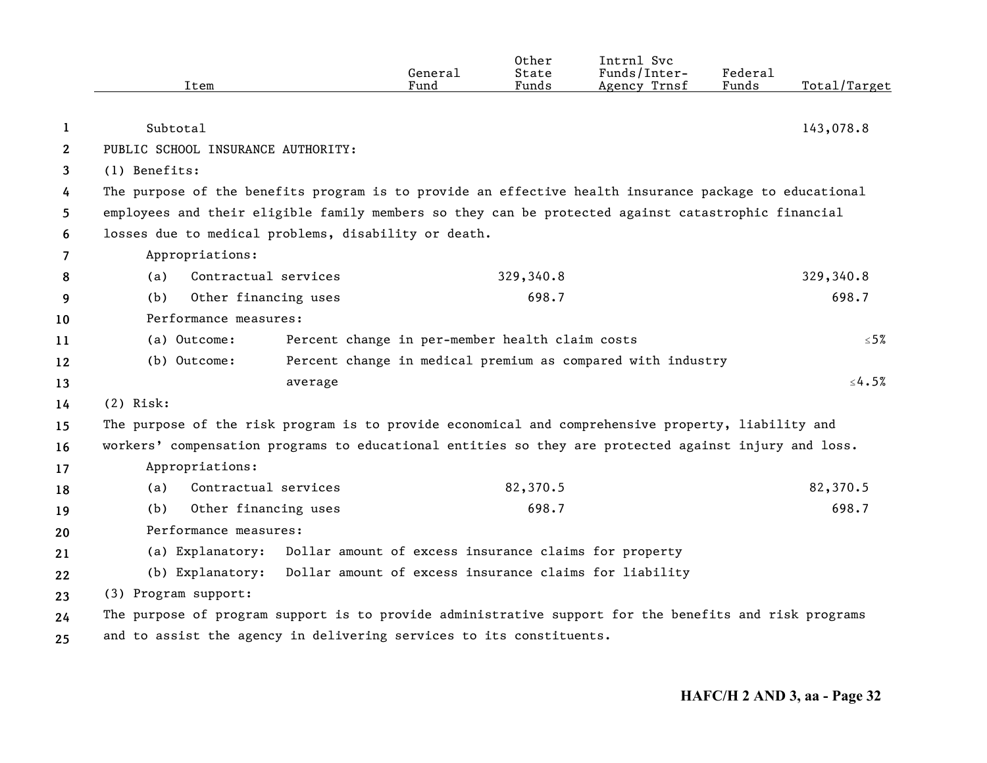|                | Item                                                                                                   | General<br>Fund                                        | Other<br>State<br>Funds | Intrnl Svc<br>Funds/Inter-<br>Agency Trnsf                  | Federal<br>Funds | Total/Target |  |  |  |
|----------------|--------------------------------------------------------------------------------------------------------|--------------------------------------------------------|-------------------------|-------------------------------------------------------------|------------------|--------------|--|--|--|
|                |                                                                                                        |                                                        |                         |                                                             |                  |              |  |  |  |
| 1              | Subtotal                                                                                               |                                                        |                         |                                                             |                  | 143,078.8    |  |  |  |
| $\mathbf{2}$   | PUBLIC SCHOOL INSURANCE AUTHORITY:                                                                     |                                                        |                         |                                                             |                  |              |  |  |  |
| 3              | (1) Benefits:                                                                                          |                                                        |                         |                                                             |                  |              |  |  |  |
| 4              | The purpose of the benefits program is to provide an effective health insurance package to educational |                                                        |                         |                                                             |                  |              |  |  |  |
| 5              | employees and their eligible family members so they can be protected against catastrophic financial    |                                                        |                         |                                                             |                  |              |  |  |  |
| 6              | losses due to medical problems, disability or death.                                                   |                                                        |                         |                                                             |                  |              |  |  |  |
| $\overline{7}$ | Appropriations:                                                                                        |                                                        |                         |                                                             |                  |              |  |  |  |
| 8              | Contractual services<br>(a)                                                                            |                                                        | 329,340.8               |                                                             |                  | 329,340.8    |  |  |  |
| 9              | Other financing uses<br>698.7<br>(b)                                                                   |                                                        |                         |                                                             |                  | 698.7        |  |  |  |
| 10             | Performance measures:                                                                                  |                                                        |                         |                                                             |                  |              |  |  |  |
| 11             | (a) Outcome:<br>Percent change in per-member health claim costs                                        |                                                        |                         |                                                             |                  | ≤5%          |  |  |  |
| 12             | (b) Outcome:                                                                                           |                                                        |                         | Percent change in medical premium as compared with industry |                  |              |  |  |  |
| 13             | average                                                                                                |                                                        |                         |                                                             |                  | $\leq 4.5\%$ |  |  |  |
| 14             | $(2)$ Risk:                                                                                            |                                                        |                         |                                                             |                  |              |  |  |  |
| 15             | The purpose of the risk program is to provide economical and comprehensive property, liability and     |                                                        |                         |                                                             |                  |              |  |  |  |
| 16             | workers' compensation programs to educational entities so they are protected against injury and loss.  |                                                        |                         |                                                             |                  |              |  |  |  |
| 17             | Appropriations:                                                                                        |                                                        |                         |                                                             |                  |              |  |  |  |
| 18             | Contractual services<br>(a)                                                                            |                                                        | 82,370.5                |                                                             |                  | 82,370.5     |  |  |  |
| 19             | Other financing uses<br>(b)                                                                            |                                                        | 698.7                   |                                                             |                  | 698.7        |  |  |  |
| 20             | Performance measures:                                                                                  |                                                        |                         |                                                             |                  |              |  |  |  |
| 21             | (a) Explanatory:                                                                                       | Dollar amount of excess insurance claims for property  |                         |                                                             |                  |              |  |  |  |
| 22             | (b) Explanatory:                                                                                       | Dollar amount of excess insurance claims for liability |                         |                                                             |                  |              |  |  |  |
| 23             | (3) Program support:                                                                                   |                                                        |                         |                                                             |                  |              |  |  |  |
| 24             | The purpose of program support is to provide administrative support for the benefits and risk programs |                                                        |                         |                                                             |                  |              |  |  |  |
| 25             | and to assist the agency in delivering services to its constituents.                                   |                                                        |                         |                                                             |                  |              |  |  |  |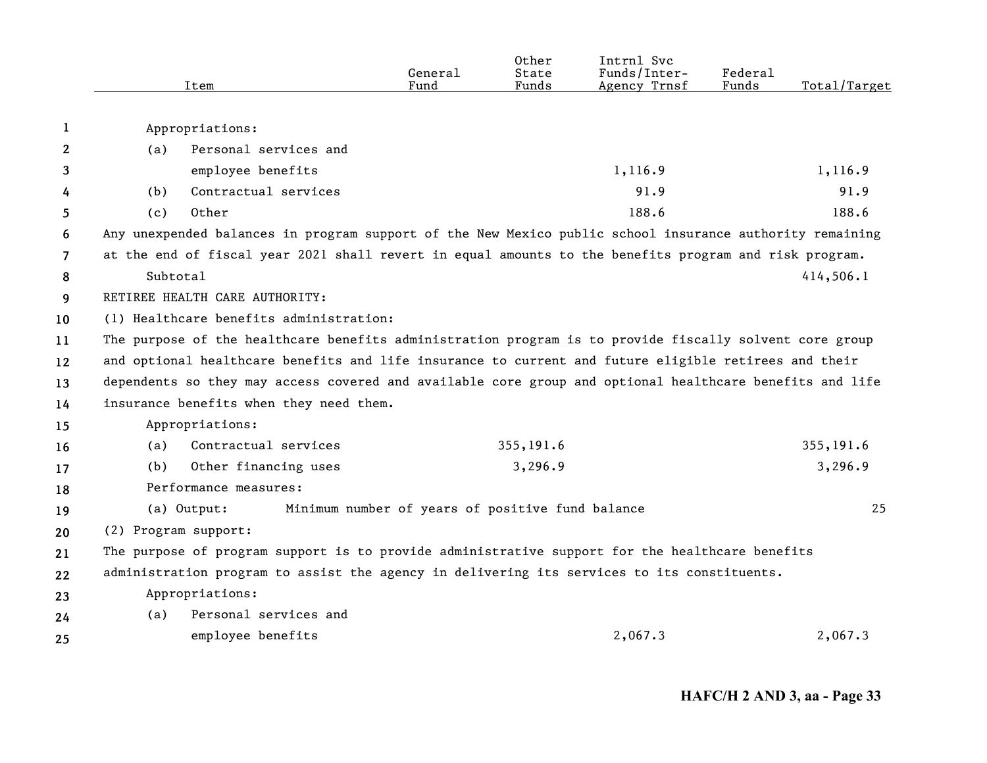|                | Item                                                                                                   |                                                                                                          | General                                          | Other<br>State | Intrnl Svc<br>Funds/Inter- | Federal<br>Funds |              |  |  |  |
|----------------|--------------------------------------------------------------------------------------------------------|----------------------------------------------------------------------------------------------------------|--------------------------------------------------|----------------|----------------------------|------------------|--------------|--|--|--|
|                |                                                                                                        |                                                                                                          | Fund                                             | Funds          | Agency Trnsf               |                  | Total/Target |  |  |  |
| 1              |                                                                                                        | Appropriations:                                                                                          |                                                  |                |                            |                  |              |  |  |  |
| $\mathbf{2}$   | (a)                                                                                                    | Personal services and                                                                                    |                                                  |                |                            |                  |              |  |  |  |
| 3              |                                                                                                        | employee benefits                                                                                        |                                                  |                | 1,116.9                    |                  | 1,116.9      |  |  |  |
| 4              | (b)                                                                                                    | Contractual services                                                                                     |                                                  |                | 91.9                       |                  | 91.9         |  |  |  |
| 5              | (c)                                                                                                    | Other                                                                                                    |                                                  |                | 188.6                      |                  | 188.6        |  |  |  |
| 6              |                                                                                                        | Any unexpended balances in program support of the New Mexico public school insurance authority remaining |                                                  |                |                            |                  |              |  |  |  |
| $\overline{7}$ | at the end of fiscal year 2021 shall revert in equal amounts to the benefits program and risk program. |                                                                                                          |                                                  |                |                            |                  |              |  |  |  |
| 8              | Subtotal                                                                                               |                                                                                                          |                                                  |                |                            |                  | 414,506.1    |  |  |  |
| 9              |                                                                                                        | RETIREE HEALTH CARE AUTHORITY:                                                                           |                                                  |                |                            |                  |              |  |  |  |
| 10             | (1) Healthcare benefits administration:                                                                |                                                                                                          |                                                  |                |                            |                  |              |  |  |  |
| 11             |                                                                                                        | The purpose of the healthcare benefits administration program is to provide fiscally solvent core group  |                                                  |                |                            |                  |              |  |  |  |
| 12             |                                                                                                        | and optional healthcare benefits and life insurance to current and future eligible retirees and their    |                                                  |                |                            |                  |              |  |  |  |
| 13             |                                                                                                        | dependents so they may access covered and available core group and optional healthcare benefits and life |                                                  |                |                            |                  |              |  |  |  |
| 14             |                                                                                                        | insurance benefits when they need them.                                                                  |                                                  |                |                            |                  |              |  |  |  |
| 15             |                                                                                                        | Appropriations:                                                                                          |                                                  |                |                            |                  |              |  |  |  |
| 16             | (a)                                                                                                    | Contractual services                                                                                     |                                                  | 355,191.6      |                            |                  | 355,191.6    |  |  |  |
| 17             | (b)                                                                                                    | Other financing uses                                                                                     |                                                  | 3,296.9        |                            |                  | 3,296.9      |  |  |  |
| 18             |                                                                                                        | Performance measures:                                                                                    |                                                  |                |                            |                  |              |  |  |  |
| 19             |                                                                                                        | (a) Output:                                                                                              | Minimum number of years of positive fund balance |                |                            |                  | 25           |  |  |  |
| 20             | (2) Program support:                                                                                   |                                                                                                          |                                                  |                |                            |                  |              |  |  |  |
| 21             |                                                                                                        | The purpose of program support is to provide administrative support for the healthcare benefits          |                                                  |                |                            |                  |              |  |  |  |
| 22             |                                                                                                        | administration program to assist the agency in delivering its services to its constituents.              |                                                  |                |                            |                  |              |  |  |  |
| 23             |                                                                                                        | Appropriations:                                                                                          |                                                  |                |                            |                  |              |  |  |  |
| 24             | (a)                                                                                                    | Personal services and                                                                                    |                                                  |                |                            |                  |              |  |  |  |
| 25             |                                                                                                        | employee benefits                                                                                        |                                                  |                | 2,067.3                    |                  | 2,067.3      |  |  |  |
|                |                                                                                                        |                                                                                                          |                                                  |                |                            |                  |              |  |  |  |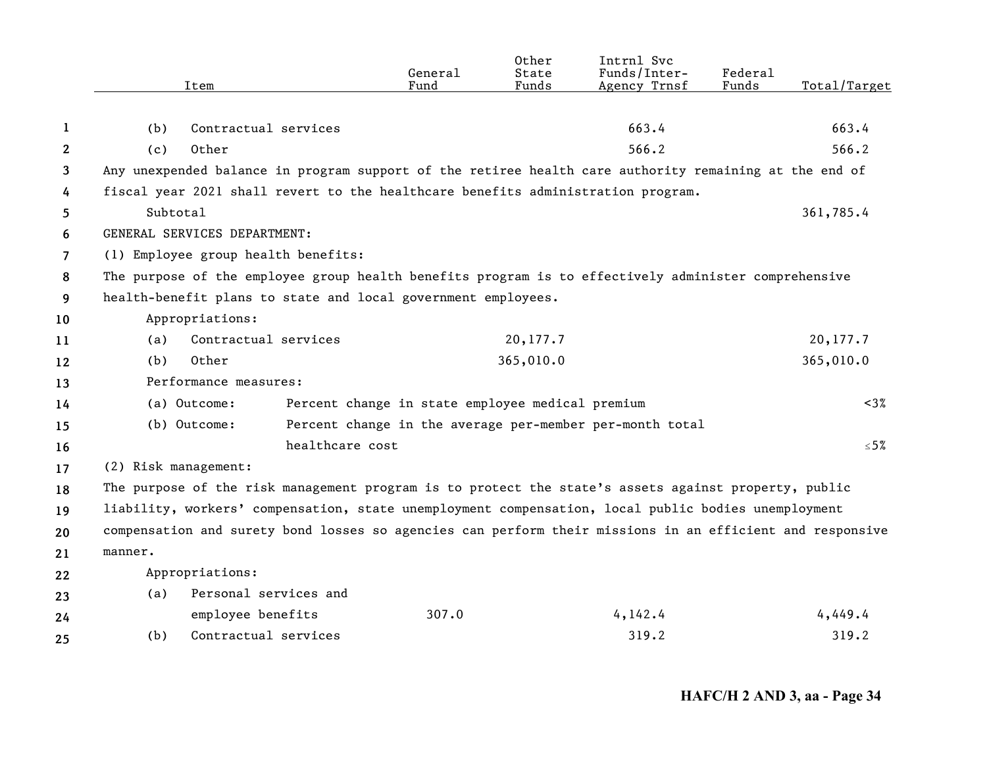|                | Item                                                                                                      | General<br>Fund                                          | Other<br>State<br>Funds | Intrnl Svc<br>Funds/Inter-<br>Agency Trnsf | Federal<br>Funds | Total/Target |  |  |  |  |  |
|----------------|-----------------------------------------------------------------------------------------------------------|----------------------------------------------------------|-------------------------|--------------------------------------------|------------------|--------------|--|--|--|--|--|
|                |                                                                                                           |                                                          |                         |                                            |                  |              |  |  |  |  |  |
| 1              | Contractual services<br>(b)                                                                               |                                                          |                         | 663.4                                      |                  | 663.4        |  |  |  |  |  |
| $\mathbf{2}$   | Other<br>(c)                                                                                              |                                                          |                         | 566.2                                      |                  | 566.2        |  |  |  |  |  |
| 3              | Any unexpended balance in program support of the retiree health care authority remaining at the end of    |                                                          |                         |                                            |                  |              |  |  |  |  |  |
| 4              | fiscal year 2021 shall revert to the healthcare benefits administration program.                          |                                                          |                         |                                            |                  |              |  |  |  |  |  |
| 5              | Subtotal                                                                                                  |                                                          |                         |                                            |                  | 361,785.4    |  |  |  |  |  |
| 6              | GENERAL SERVICES DEPARTMENT:                                                                              |                                                          |                         |                                            |                  |              |  |  |  |  |  |
| $\overline{7}$ | (1) Employee group health benefits:                                                                       |                                                          |                         |                                            |                  |              |  |  |  |  |  |
| 8              | The purpose of the employee group health benefits program is to effectively administer comprehensive      |                                                          |                         |                                            |                  |              |  |  |  |  |  |
| 9              | health-benefit plans to state and local government employees.                                             |                                                          |                         |                                            |                  |              |  |  |  |  |  |
| 10             | Appropriations:                                                                                           |                                                          |                         |                                            |                  |              |  |  |  |  |  |
| 11             | Contractual services<br>(a)                                                                               |                                                          | 20,177.7                |                                            |                  | 20,177.7     |  |  |  |  |  |
| 12             | Other<br>(b)                                                                                              |                                                          | 365,010.0               |                                            |                  | 365,010.0    |  |  |  |  |  |
| 13             | Performance measures:                                                                                     |                                                          |                         |                                            |                  |              |  |  |  |  |  |
| 14             | (a) Outcome:                                                                                              | Percent change in state employee medical premium         |                         |                                            |                  | $< 3\%$      |  |  |  |  |  |
| 15             | (b) Outcome:                                                                                              | Percent change in the average per-member per-month total |                         |                                            |                  |              |  |  |  |  |  |
| 16             | healthcare cost                                                                                           |                                                          |                         |                                            |                  | $≤ 5%$       |  |  |  |  |  |
| 17             | (2) Risk management:                                                                                      |                                                          |                         |                                            |                  |              |  |  |  |  |  |
| 18             | The purpose of the risk management program is to protect the state's assets against property, public      |                                                          |                         |                                            |                  |              |  |  |  |  |  |
| 19             | liability, workers' compensation, state unemployment compensation, local public bodies unemployment       |                                                          |                         |                                            |                  |              |  |  |  |  |  |
| 20             | compensation and surety bond losses so agencies can perform their missions in an efficient and responsive |                                                          |                         |                                            |                  |              |  |  |  |  |  |
| 21             | manner.                                                                                                   |                                                          |                         |                                            |                  |              |  |  |  |  |  |
| 22             | Appropriations:                                                                                           |                                                          |                         |                                            |                  |              |  |  |  |  |  |
| 23             | Personal services and<br>(a)                                                                              |                                                          |                         |                                            |                  |              |  |  |  |  |  |
| 24             | employee benefits                                                                                         | 307.0                                                    |                         | 4,142.4                                    |                  | 4,449.4      |  |  |  |  |  |
| 25             | Contractual services<br>(b)                                                                               |                                                          |                         | 319.2                                      |                  | 319.2        |  |  |  |  |  |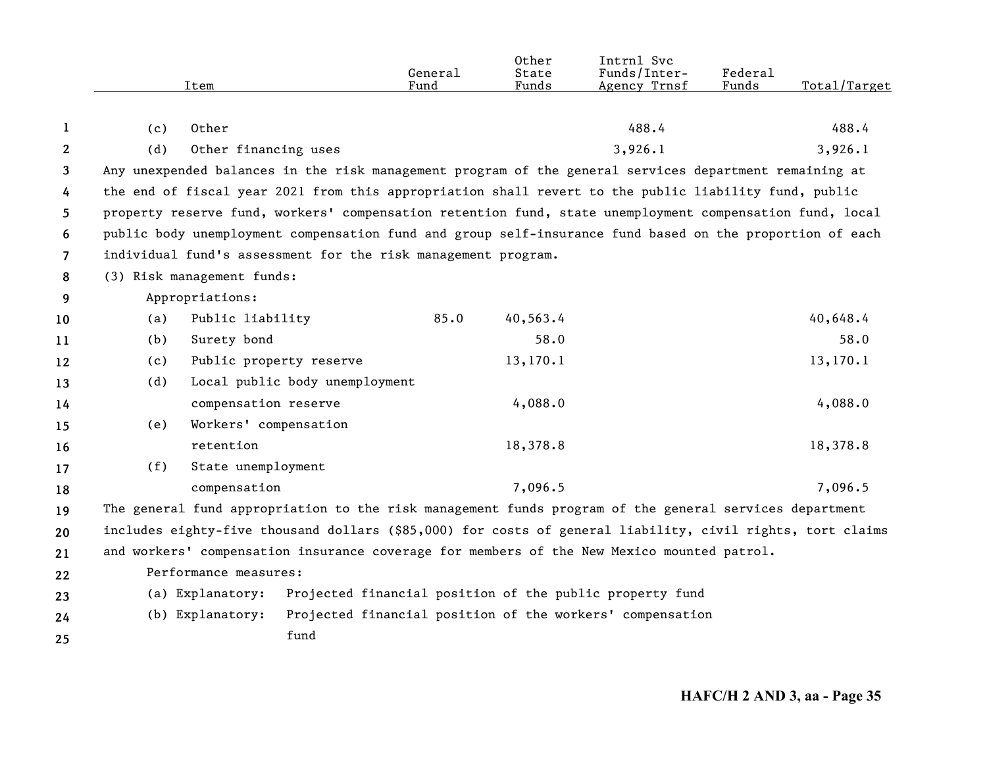|                |     |                            |                                | General                                                       | Other<br>State | Intrnl Svc<br>Funds/Inter-                                                                                 | Federal |              |
|----------------|-----|----------------------------|--------------------------------|---------------------------------------------------------------|----------------|------------------------------------------------------------------------------------------------------------|---------|--------------|
|                |     | Item                       |                                | Fund                                                          | Funds          | Agency Trnsf                                                                                               | Funds   | Total/Target |
| 1              | (c) | Other                      |                                |                                                               |                | 488.4                                                                                                      |         | 488.4        |
| $\mathbf{2}$   | (d) | Other financing uses       |                                |                                                               |                | 3,926.1                                                                                                    |         | 3,926.1      |
| 3              |     |                            |                                |                                                               |                | Any unexpended balances in the risk management program of the general services department remaining at     |         |              |
| 4              |     |                            |                                |                                                               |                | the end of fiscal year 2021 from this appropriation shall revert to the public liability fund, public      |         |              |
| 5              |     |                            |                                |                                                               |                | property reserve fund, workers' compensation retention fund, state unemployment compensation fund, local   |         |              |
| 6              |     |                            |                                |                                                               |                | public body unemployment compensation fund and group self-insurance fund based on the proportion of each   |         |              |
| $\overline{7}$ |     |                            |                                | individual fund's assessment for the risk management program. |                |                                                                                                            |         |              |
| 8              |     | (3) Risk management funds: |                                |                                                               |                |                                                                                                            |         |              |
| 9              |     | Appropriations:            |                                |                                                               |                |                                                                                                            |         |              |
| 10             | (a) | Public liability           |                                | 85.0                                                          | 40,563.4       |                                                                                                            |         | 40,648.4     |
| 11             | (b) | Surety bond                |                                |                                                               | 58.0           |                                                                                                            |         | 58.0         |
| 12             | (c) | Public property reserve    |                                |                                                               | 13, 170.1      |                                                                                                            |         | 13,170.1     |
| 13             | (d) |                            | Local public body unemployment |                                                               |                |                                                                                                            |         |              |
| 14             |     | compensation reserve       |                                |                                                               | 4,088.0        |                                                                                                            |         | 4,088.0      |
| 15             | (e) | Workers' compensation      |                                |                                                               |                |                                                                                                            |         |              |
| 16             |     | retention                  |                                |                                                               | 18,378.8       |                                                                                                            |         | 18,378.8     |
| 17             | (f) | State unemployment         |                                |                                                               |                |                                                                                                            |         |              |
| 18             |     | compensation               |                                |                                                               | 7,096.5        |                                                                                                            |         | 7,096.5      |
| 19             |     |                            |                                |                                                               |                | The general fund appropriation to the risk management funds program of the general services department     |         |              |
| 20             |     |                            |                                |                                                               |                | includes eighty-five thousand dollars (\$85,000) for costs of general liability, civil rights, tort claims |         |              |
| 21             |     |                            |                                |                                                               |                | and workers' compensation insurance coverage for members of the New Mexico mounted patrol.                 |         |              |
| 22             |     | Performance measures:      |                                |                                                               |                |                                                                                                            |         |              |
| 23             |     | (a) Explanatory:           |                                |                                                               |                | Projected financial position of the public property fund                                                   |         |              |
| 24             |     | (b) Explanatory:           |                                |                                                               |                | Projected financial position of the workers' compensation                                                  |         |              |
| 25             |     |                            | fund                           |                                                               |                |                                                                                                            |         |              |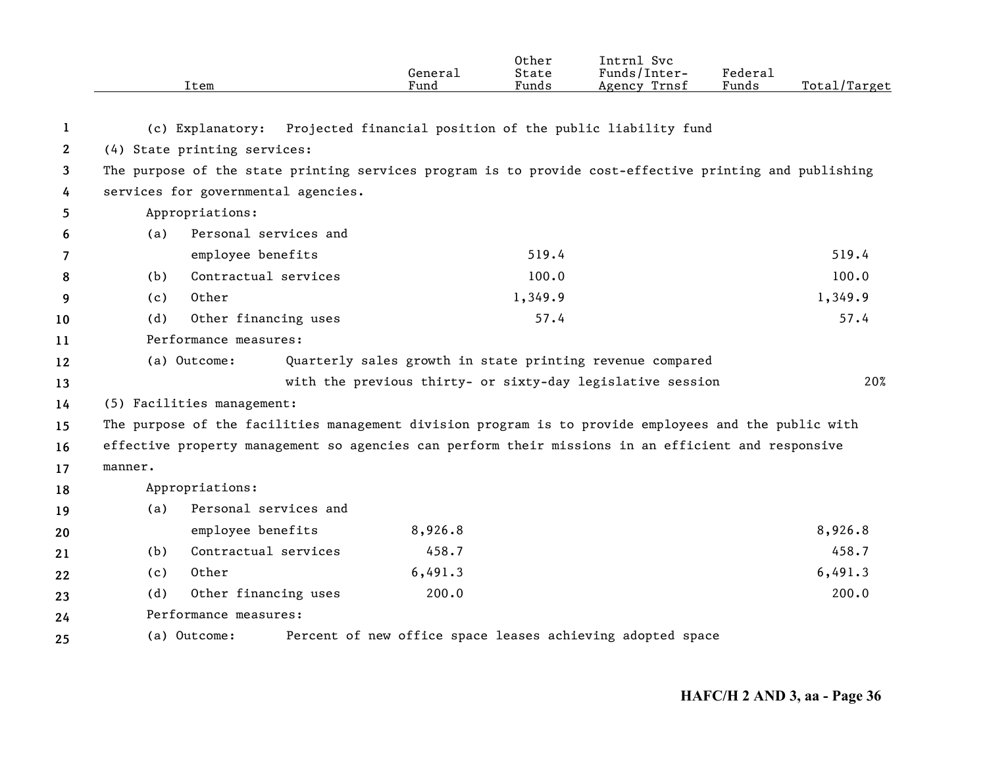|              |         | Item                                                                                                    | General<br>Fund | Other<br>State<br>Funds | Intrnl Svc<br>Funds/Inter-<br>Agency Trnsf                 | Federal<br>Funds | Total/Target |
|--------------|---------|---------------------------------------------------------------------------------------------------------|-----------------|-------------------------|------------------------------------------------------------|------------------|--------------|
| 1            |         | (c) Explanatory:                                                                                        |                 |                         | Projected financial position of the public liability fund  |                  |              |
| $\mathbf{2}$ |         | (4) State printing services:                                                                            |                 |                         |                                                            |                  |              |
| 3            |         | The purpose of the state printing services program is to provide cost-effective printing and publishing |                 |                         |                                                            |                  |              |
| 4            |         | services for governmental agencies.                                                                     |                 |                         |                                                            |                  |              |
| 5            |         | Appropriations:                                                                                         |                 |                         |                                                            |                  |              |
| 6            | (a)     | Personal services and                                                                                   |                 |                         |                                                            |                  |              |
| 7            |         | employee benefits                                                                                       |                 | 519.4                   |                                                            |                  | 519.4        |
| 8            | (b)     | Contractual services                                                                                    |                 | 100.0                   |                                                            |                  | 100.0        |
| 9            | (c)     | Other                                                                                                   |                 | 1,349.9                 |                                                            |                  | 1,349.9      |
| 10           | (d)     | Other financing uses                                                                                    |                 | 57.4                    |                                                            |                  | 57.4         |
| 11           |         | Performance measures:                                                                                   |                 |                         |                                                            |                  |              |
| 12           |         | (a) Outcome:                                                                                            |                 |                         | Quarterly sales growth in state printing revenue compared  |                  |              |
| 13           |         |                                                                                                         |                 |                         | with the previous thirty- or sixty-day legislative session |                  | 20%          |
| 14           |         | (5) Facilities management:                                                                              |                 |                         |                                                            |                  |              |
| 15           |         | The purpose of the facilities management division program is to provide employees and the public with   |                 |                         |                                                            |                  |              |
| 16           |         | effective property management so agencies can perform their missions in an efficient and responsive     |                 |                         |                                                            |                  |              |
| 17           | manner. |                                                                                                         |                 |                         |                                                            |                  |              |
| 18           |         | Appropriations:                                                                                         |                 |                         |                                                            |                  |              |
| 19           | (a)     | Personal services and                                                                                   |                 |                         |                                                            |                  |              |
| 20           |         | employee benefits                                                                                       | 8,926.8         |                         |                                                            |                  | 8,926.8      |
| 21           | (b)     | Contractual services                                                                                    | 458.7           |                         |                                                            |                  | 458.7        |
| 22           | (c)     | Other                                                                                                   | 6,491.3         |                         |                                                            |                  | 6,491.3      |
| 23           | (d)     | Other financing uses                                                                                    | 200.0           |                         |                                                            |                  | 200.0        |
| 24           |         | Performance measures:                                                                                   |                 |                         |                                                            |                  |              |
| 25           |         | (a) Outcome:                                                                                            |                 |                         | Percent of new office space leases achieving adopted space |                  |              |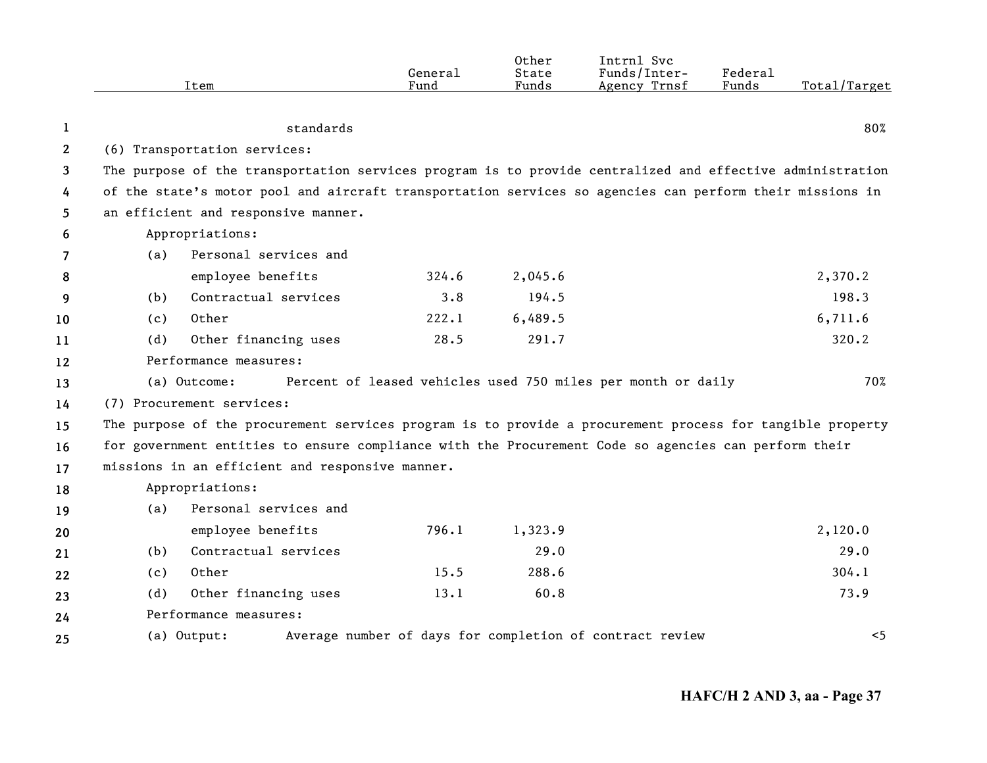|              |     | Item                                                                                                      | General<br>Fund | 0ther<br>State<br>Funds | Intrnl Svc<br>Funds/Inter-<br>Agency Trnsf                   | Federal<br>Funds | Total/Target |
|--------------|-----|-----------------------------------------------------------------------------------------------------------|-----------------|-------------------------|--------------------------------------------------------------|------------------|--------------|
| 1            |     | standards                                                                                                 |                 |                         |                                                              |                  | 80%          |
| $\mathbf{2}$ |     | (6) Transportation services:                                                                              |                 |                         |                                                              |                  |              |
| 3            |     | The purpose of the transportation services program is to provide centralized and effective administration |                 |                         |                                                              |                  |              |
| 4            |     | of the state's motor pool and aircraft transportation services so agencies can perform their missions in  |                 |                         |                                                              |                  |              |
| 5            |     | an efficient and responsive manner.                                                                       |                 |                         |                                                              |                  |              |
| 6            |     | Appropriations:                                                                                           |                 |                         |                                                              |                  |              |
| 7            | (a) | Personal services and                                                                                     |                 |                         |                                                              |                  |              |
| 8            |     | employee benefits                                                                                         | 324.6           | 2,045.6                 |                                                              |                  | 2,370.2      |
| 9            | (b) | Contractual services                                                                                      | 3.8             | 194.5                   |                                                              |                  | 198.3        |
| 10           | (c) | Other                                                                                                     | 222.1           | 6,489.5                 |                                                              |                  | 6,711.6      |
| 11           | (d) | Other financing uses                                                                                      | 28.5            | 291.7                   |                                                              |                  | 320.2        |
| 12           |     | Performance measures:                                                                                     |                 |                         |                                                              |                  |              |
| 13           |     | (a) Outcome:                                                                                              |                 |                         | Percent of leased vehicles used 750 miles per month or daily |                  | 70%          |
| 14           |     | (7) Procurement services:                                                                                 |                 |                         |                                                              |                  |              |
| 15           |     | The purpose of the procurement services program is to provide a procurement process for tangible property |                 |                         |                                                              |                  |              |
| 16           |     | for government entities to ensure compliance with the Procurement Code so agencies can perform their      |                 |                         |                                                              |                  |              |
| 17           |     | missions in an efficient and responsive manner.                                                           |                 |                         |                                                              |                  |              |
| 18           |     | Appropriations:                                                                                           |                 |                         |                                                              |                  |              |
| 19           | (a) | Personal services and                                                                                     |                 |                         |                                                              |                  |              |
| 20           |     | employee benefits                                                                                         | 796.1           | 1,323.9                 |                                                              |                  | 2,120.0      |
| 21           | (b) | Contractual services                                                                                      |                 | 29.0                    |                                                              |                  | 29.0         |
| 22           | (c) | Other                                                                                                     | 15.5            | 288.6                   |                                                              |                  | 304.1        |
| 23           | (d) | Other financing uses                                                                                      | 13.1            | 60.8                    |                                                              |                  | 73.9         |
| 24           |     | Performance measures:                                                                                     |                 |                         |                                                              |                  |              |
| 25           |     | (a) Output:                                                                                               |                 |                         | Average number of days for completion of contract review     |                  | $<$ 5        |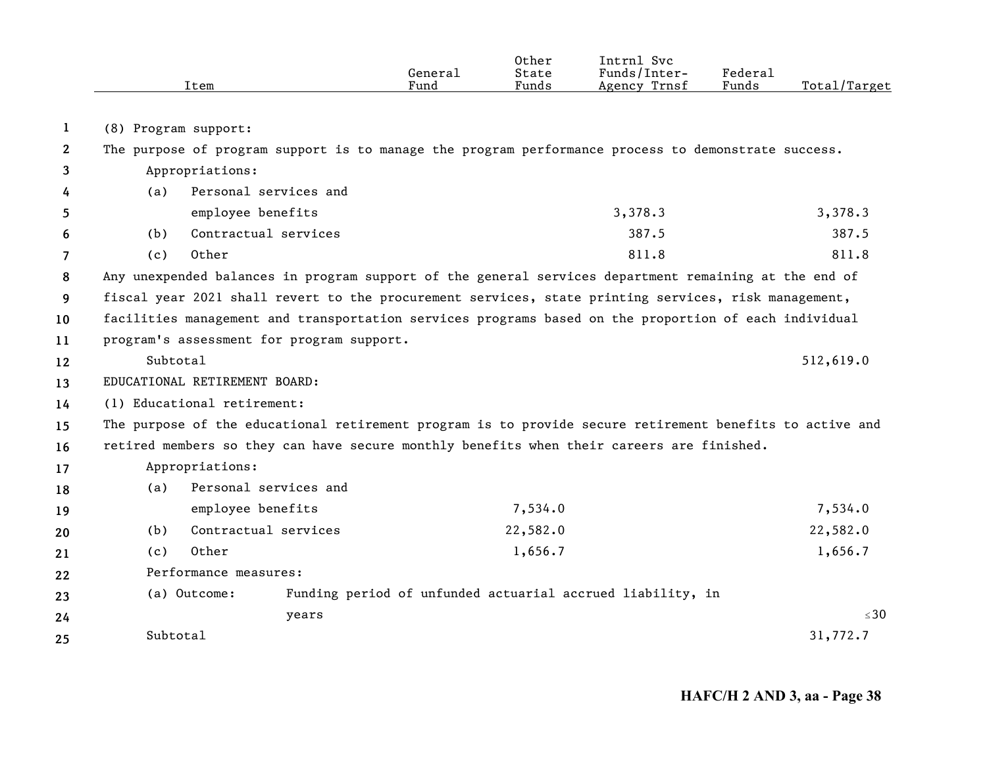|    |                      | Item                                                                                                  |                                           | General<br>Fund | Other<br>State<br>Funds | Intrnl Svc<br>Funds/Inter-<br>Agency Trnsf                                                               | Federal<br>Funds | Total/Target |
|----|----------------------|-------------------------------------------------------------------------------------------------------|-------------------------------------------|-----------------|-------------------------|----------------------------------------------------------------------------------------------------------|------------------|--------------|
| 1  | (8) Program support: |                                                                                                       |                                           |                 |                         |                                                                                                          |                  |              |
| 2  |                      |                                                                                                       |                                           |                 |                         | The purpose of program support is to manage the program performance process to demonstrate success.      |                  |              |
| 3  |                      | Appropriations:                                                                                       |                                           |                 |                         |                                                                                                          |                  |              |
| 4  | (a)                  |                                                                                                       | Personal services and                     |                 |                         |                                                                                                          |                  |              |
| 5  |                      | employee benefits                                                                                     |                                           |                 |                         | 3,378.3                                                                                                  |                  | 3,378.3      |
| 6  | (b)                  |                                                                                                       | Contractual services                      |                 |                         | 387.5                                                                                                    |                  | 387.5        |
| 7  | (c)                  | Other                                                                                                 |                                           |                 |                         | 811.8                                                                                                    |                  | 811.8        |
| 8  |                      | Any unexpended balances in program support of the general services department remaining at the end of |                                           |                 |                         |                                                                                                          |                  |              |
| 9  |                      | fiscal year 2021 shall revert to the procurement services, state printing services, risk management,  |                                           |                 |                         |                                                                                                          |                  |              |
| 10 |                      |                                                                                                       |                                           |                 |                         | facilities management and transportation services programs based on the proportion of each individual    |                  |              |
| 11 |                      |                                                                                                       | program's assessment for program support. |                 |                         |                                                                                                          |                  |              |
| 12 | Subtotal             |                                                                                                       |                                           |                 |                         |                                                                                                          |                  | 512,619.0    |
| 13 |                      | EDUCATIONAL RETIREMENT BOARD:                                                                         |                                           |                 |                         |                                                                                                          |                  |              |
| 14 |                      | (1) Educational retirement:                                                                           |                                           |                 |                         |                                                                                                          |                  |              |
| 15 |                      |                                                                                                       |                                           |                 |                         | The purpose of the educational retirement program is to provide secure retirement benefits to active and |                  |              |
| 16 |                      |                                                                                                       |                                           |                 |                         | retired members so they can have secure monthly benefits when their careers are finished.                |                  |              |
| 17 |                      | Appropriations:                                                                                       |                                           |                 |                         |                                                                                                          |                  |              |
| 18 | (a)                  |                                                                                                       | Personal services and                     |                 |                         |                                                                                                          |                  |              |
| 19 |                      | employee benefits                                                                                     |                                           |                 | 7,534.0                 |                                                                                                          |                  | 7,534.0      |
| 20 | (b)                  |                                                                                                       | Contractual services                      |                 | 22,582.0                |                                                                                                          |                  | 22,582.0     |
| 21 | (c)                  | Other                                                                                                 |                                           |                 | 1,656.7                 |                                                                                                          |                  | 1,656.7      |
| 22 |                      | Performance measures:                                                                                 |                                           |                 |                         |                                                                                                          |                  |              |
| 23 |                      | (a) Outcome:                                                                                          |                                           |                 |                         | Funding period of unfunded actuarial accrued liability, in                                               |                  |              |
| 24 |                      |                                                                                                       | years                                     |                 |                         |                                                                                                          |                  | $\leq 30$    |
|    | Subtotal             |                                                                                                       |                                           |                 |                         |                                                                                                          |                  | 31,772.7     |
| 25 |                      |                                                                                                       |                                           |                 |                         |                                                                                                          |                  |              |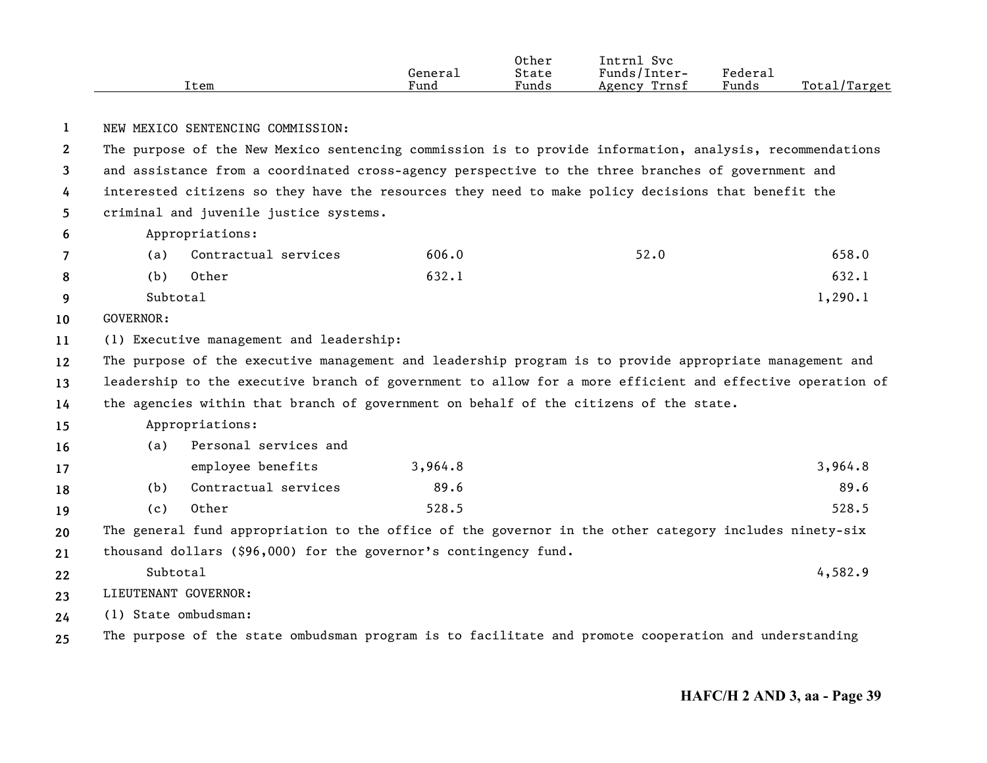|      |         | Other | $ -$<br>Svc<br>Intrnl |                     |                   |
|------|---------|-------|-----------------------|---------------------|-------------------|
|      | General | State | Funds/Inter-          | Federa <sub>1</sub> |                   |
| Item | Fund    | Funds | Trnsf<br>Agency       | Funds               | Total/<br>'Target |

## **1**NEW MEXICO SENTENCING COMMISSION:

**2345**The purpose of the New Mexico sentencing commission is to provide information, analysis, recommendations and assistance from a coordinated cross-agency perspective to the three branches of government and interested citizens so they have the resources they need to make policy decisions that benefit the criminal and juvenile justice systems.

**6**Appropriations:

|  | (a) Contractual services | 606.0 | 52.0 | 658.0 |
|--|--------------------------|-------|------|-------|
|  | (b) Other                | 632.1 |      | 632.1 |

- **9** Subtotal $1,290.1$
- **10**GOVERNOR:

**11**(1) Executive management and leadership:

**121314**The purpose of the executive management and leadership program is to provide appropriate management and leadership to the executive branch of government to allow for a more efficient and effective operation of the agencies within that branch of government on behalf of the citizens of the state.

**15**Appropriations:

| 16 | (a) | Personal services and |         |         |
|----|-----|-----------------------|---------|---------|
| 17 |     | employee benefits     | 3,964.8 | 3,964.8 |
| 18 | (b) | Contractual services  | 89.6    | 89.6    |
| 19 | (C) | Other                 | 528.5   | 528.5   |

**2021**The general fund appropriation to the office of the governor in the other category includes ninety-six thousand dollars (\$96,000) for the governor's contingency fund.

- **222324**Subtotal $1$  and  $4,582.9$ LIEUTENANT GOVERNOR:(1) State ombudsman:
- **25**The purpose of the state ombudsman program is to facilitate and promote cooperation and understanding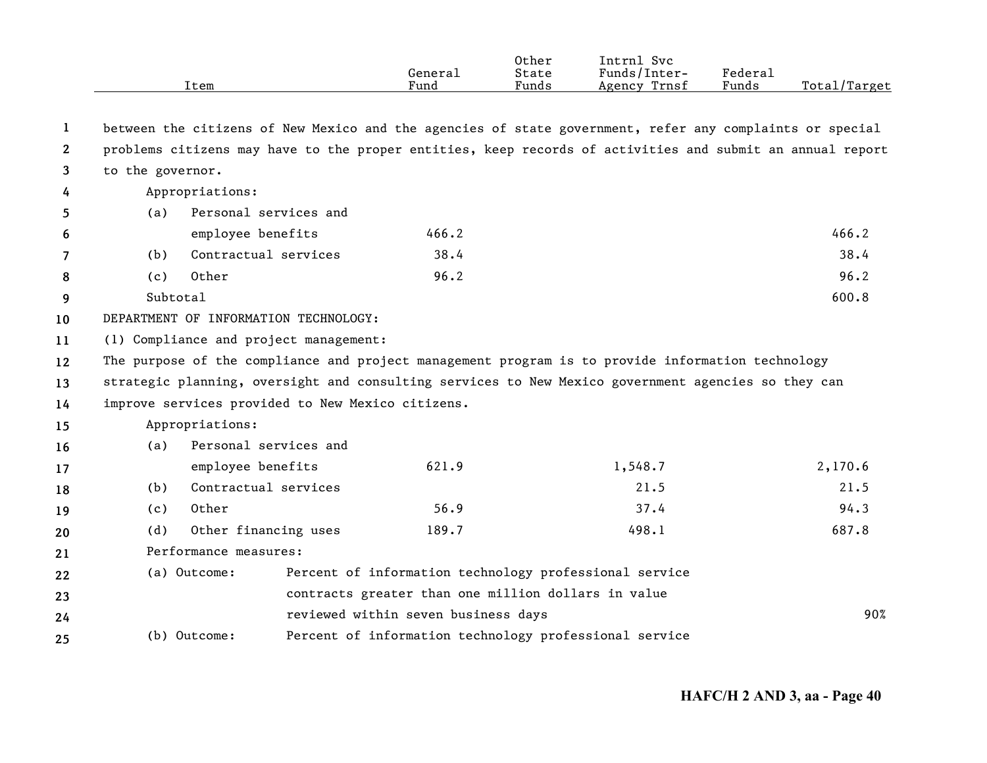|                       |                  | Item                                              | General<br>Fund                                                                                           | Other<br>State<br>Funds | Intrnl Svc<br>Funds/Inter-<br>Agency Trnsf | Federal<br>Funds | Total/Target |  |
|-----------------------|------------------|---------------------------------------------------|-----------------------------------------------------------------------------------------------------------|-------------------------|--------------------------------------------|------------------|--------------|--|
| 1                     |                  |                                                   | between the citizens of New Mexico and the agencies of state government, refer any complaints or special  |                         |                                            |                  |              |  |
| $\mathbf{2}^{\prime}$ |                  |                                                   | problems citizens may have to the proper entities, keep records of activities and submit an annual report |                         |                                            |                  |              |  |
| 3                     | to the governor. |                                                   |                                                                                                           |                         |                                            |                  |              |  |
| 4                     |                  | Appropriations:                                   |                                                                                                           |                         |                                            |                  |              |  |
| 5.                    | (a)              | Personal services and                             |                                                                                                           |                         |                                            |                  |              |  |
| 6                     |                  | employee benefits                                 | 466.2                                                                                                     |                         |                                            |                  | 466.2        |  |
| $\overline{7}$        | (b)              | Contractual services                              | 38.4                                                                                                      |                         |                                            |                  | 38.4         |  |
| 8                     | (c)              | Other                                             | 96.2                                                                                                      |                         |                                            |                  | 96.2         |  |
| 9                     |                  | Subtotal                                          |                                                                                                           |                         |                                            |                  |              |  |
| 10                    |                  | DEPARTMENT OF INFORMATION TECHNOLOGY:             |                                                                                                           |                         |                                            |                  |              |  |
| 11                    |                  | (1) Compliance and project management:            |                                                                                                           |                         |                                            |                  |              |  |
| $12 \,$               |                  |                                                   | The purpose of the compliance and project management program is to provide information technology         |                         |                                            |                  |              |  |
| 13                    |                  |                                                   | strategic planning, oversight and consulting services to New Mexico government agencies so they can       |                         |                                            |                  |              |  |
| 14                    |                  | improve services provided to New Mexico citizens. |                                                                                                           |                         |                                            |                  |              |  |
| 15                    |                  | Appropriations:                                   |                                                                                                           |                         |                                            |                  |              |  |
| 16                    | (a)              | Personal services and                             |                                                                                                           |                         |                                            |                  |              |  |
| 17                    |                  | employee benefits                                 | 621.9                                                                                                     |                         | 1,548.7                                    |                  | 2,170.6      |  |
| 18                    | (b)              | Contractual services                              |                                                                                                           |                         | 21.5                                       |                  | 21.5         |  |
| 19                    | (c)              | Other                                             | 56.9                                                                                                      |                         | 37.4                                       |                  | 94.3         |  |
| 20                    | (d)              | Other financing uses                              | 189.7                                                                                                     |                         | 498.1                                      |                  | 687.8        |  |
| 21                    |                  | Performance measures:                             |                                                                                                           |                         |                                            |                  |              |  |
| 22                    |                  | (a) Outcome:                                      | Percent of information technology professional service                                                    |                         |                                            |                  |              |  |
| 23                    |                  |                                                   | contracts greater than one million dollars in value                                                       |                         |                                            |                  |              |  |
| 24                    |                  |                                                   | reviewed within seven business days                                                                       |                         |                                            |                  | 90%          |  |
| 25                    |                  | (b) Outcome:                                      | Percent of information technology professional service                                                    |                         |                                            |                  |              |  |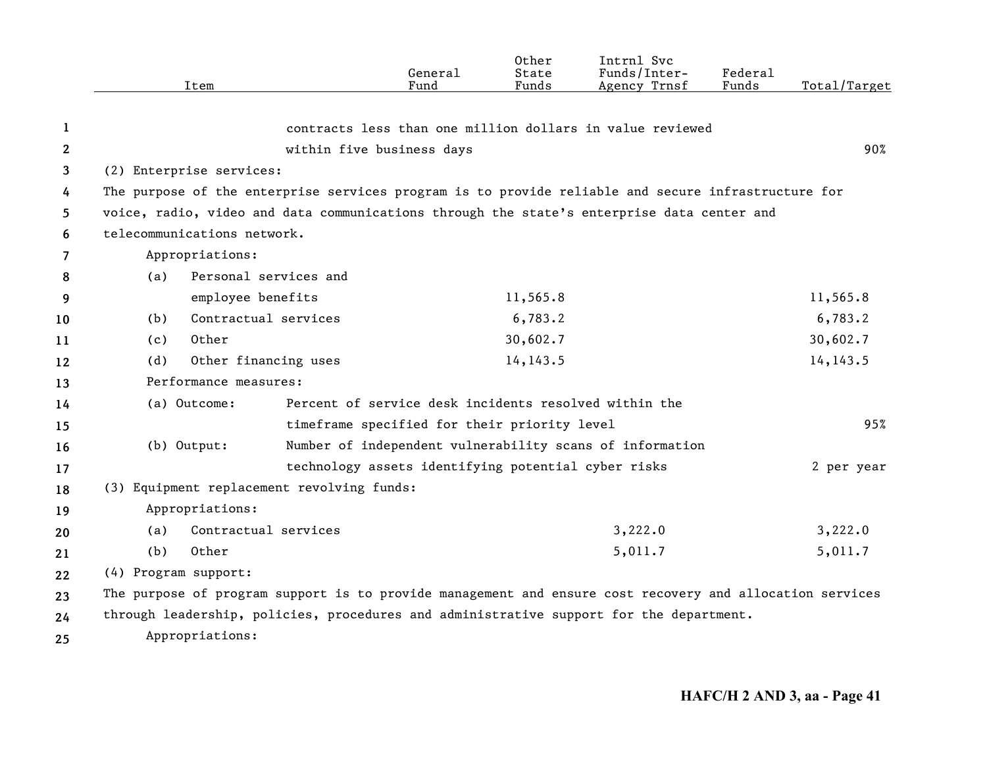|              |                      | Item                        |                                                                                                          | General<br>Fund | Other<br>State<br>Funds | Intrnl Svc<br>Funds/Inter-<br>Agency Trnsf | Federal<br>Funds | Total/Target |
|--------------|----------------------|-----------------------------|----------------------------------------------------------------------------------------------------------|-----------------|-------------------------|--------------------------------------------|------------------|--------------|
|              |                      |                             |                                                                                                          |                 |                         |                                            |                  |              |
| 1            |                      |                             | contracts less than one million dollars in value reviewed                                                |                 |                         |                                            |                  |              |
| $\mathbf{2}$ |                      |                             | within five business days                                                                                |                 |                         |                                            |                  | 90%          |
| 3            |                      | (2) Enterprise services:    |                                                                                                          |                 |                         |                                            |                  |              |
| 4            |                      |                             | The purpose of the enterprise services program is to provide reliable and secure infrastructure for      |                 |                         |                                            |                  |              |
| 5            |                      |                             | voice, radio, video and data communications through the state's enterprise data center and               |                 |                         |                                            |                  |              |
| 6            |                      | telecommunications network. |                                                                                                          |                 |                         |                                            |                  |              |
| 7            |                      | Appropriations:             |                                                                                                          |                 |                         |                                            |                  |              |
| 8            | (a)                  | Personal services and       |                                                                                                          |                 |                         |                                            |                  |              |
| 9            |                      | employee benefits           |                                                                                                          |                 | 11,565.8                |                                            |                  | 11,565.8     |
| 10           | (b)                  | Contractual services        |                                                                                                          |                 | 6,783.2                 |                                            |                  | 6,783.2      |
| 11           | (c)                  | Other                       |                                                                                                          |                 | 30,602.7                |                                            |                  | 30,602.7     |
| 12           | (d)                  | Other financing uses        |                                                                                                          |                 | 14, 143.5               |                                            |                  | 14, 143.5    |
| 13           |                      | Performance measures:       |                                                                                                          |                 |                         |                                            |                  |              |
| 14           |                      | (a) Outcome:                | Percent of service desk incidents resolved within the                                                    |                 |                         |                                            |                  |              |
| 15           |                      |                             | timeframe specified for their priority level                                                             |                 |                         |                                            |                  | 95%          |
| 16           |                      | $(b)$ Output:               | Number of independent vulnerability scans of information                                                 |                 |                         |                                            |                  |              |
| 17           |                      |                             | technology assets identifying potential cyber risks                                                      |                 |                         |                                            |                  | 2 per year   |
| 18           |                      |                             | (3) Equipment replacement revolving funds:                                                               |                 |                         |                                            |                  |              |
| 19           |                      | Appropriations:             |                                                                                                          |                 |                         |                                            |                  |              |
| 20           | (a)                  | Contractual services        |                                                                                                          |                 |                         | 3,222.0                                    |                  | 3,222.0      |
| 21           | (b)                  | Other                       |                                                                                                          |                 |                         | 5,011.7                                    |                  | 5,011.7      |
| 22           | (4) Program support: |                             |                                                                                                          |                 |                         |                                            |                  |              |
| 23           |                      |                             | The purpose of program support is to provide management and ensure cost recovery and allocation services |                 |                         |                                            |                  |              |
| 24           |                      |                             | through leadership, policies, procedures and administrative support for the department.                  |                 |                         |                                            |                  |              |
| 25           |                      | Appropriations:             |                                                                                                          |                 |                         |                                            |                  |              |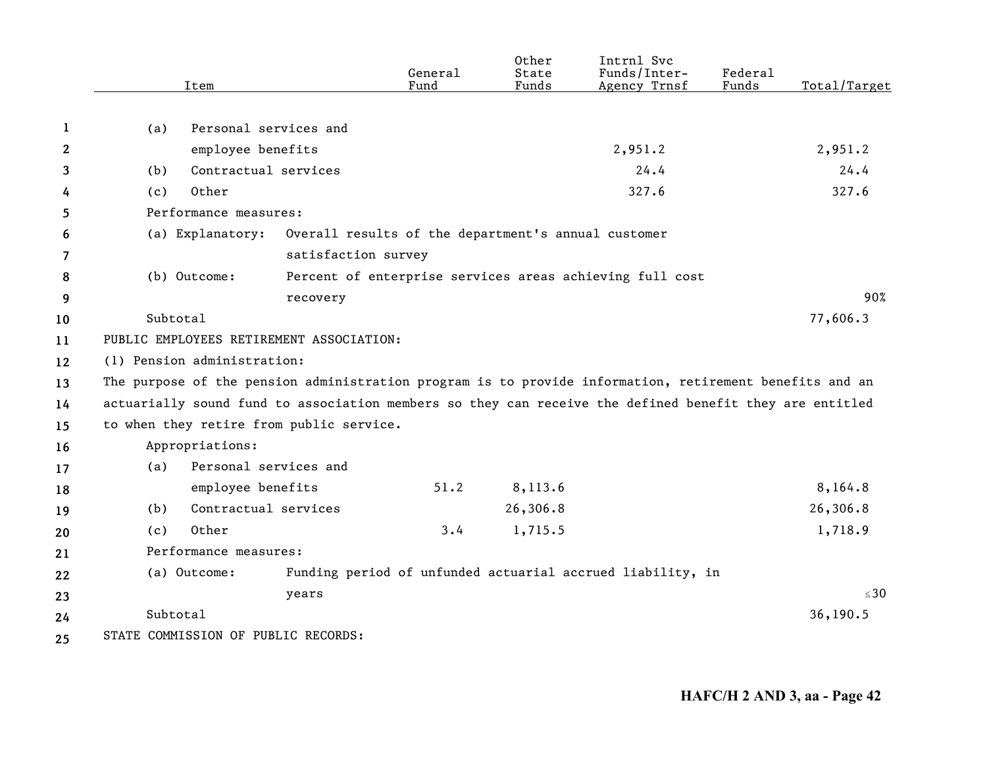|              | Item                                                                                                    | General<br>Fund                                            | Other<br>State<br>Funds | Intrnl Svc<br>Funds/Inter-<br>Agency Trnsf | Federal<br>Funds | Total/Target |
|--------------|---------------------------------------------------------------------------------------------------------|------------------------------------------------------------|-------------------------|--------------------------------------------|------------------|--------------|
|              |                                                                                                         |                                                            |                         |                                            |                  |              |
| 1            | Personal services and<br>(a)                                                                            |                                                            |                         |                                            |                  |              |
| $\mathbf{2}$ | employee benefits                                                                                       |                                                            |                         | 2,951.2                                    |                  | 2,951.2      |
| 3            | Contractual services<br>(b)                                                                             |                                                            |                         | 24.4                                       |                  | 24.4         |
| 4            | Other<br>(c)                                                                                            |                                                            |                         | 327.6                                      |                  | 327.6        |
| 5            | Performance measures:                                                                                   |                                                            |                         |                                            |                  |              |
| 6            | (a) Explanatory:                                                                                        | Overall results of the department's annual customer        |                         |                                            |                  |              |
| 7            |                                                                                                         | satisfaction survey                                        |                         |                                            |                  |              |
| 8            | (b) Outcome:                                                                                            | Percent of enterprise services areas achieving full cost   |                         |                                            |                  |              |
| 9            | recovery                                                                                                |                                                            |                         |                                            |                  | 90%          |
| 10           | Subtotal                                                                                                |                                                            |                         |                                            |                  | 77,606.3     |
| 11           | PUBLIC EMPLOYEES RETIREMENT ASSOCIATION:                                                                |                                                            |                         |                                            |                  |              |
| 12           | (1) Pension administration:                                                                             |                                                            |                         |                                            |                  |              |
| 13           | The purpose of the pension administration program is to provide information, retirement benefits and an |                                                            |                         |                                            |                  |              |
| 14           | actuarially sound fund to association members so they can receive the defined benefit they are entitled |                                                            |                         |                                            |                  |              |
| 15           | to when they retire from public service.                                                                |                                                            |                         |                                            |                  |              |
| 16           | Appropriations:                                                                                         |                                                            |                         |                                            |                  |              |
| 17           | Personal services and<br>(a)                                                                            |                                                            |                         |                                            |                  |              |
| 18           | employee benefits                                                                                       | 51.2                                                       | 8,113.6                 |                                            |                  | 8,164.8      |
| 19           | Contractual services<br>(b)                                                                             |                                                            | 26,306.8                |                                            |                  | 26,306.8     |
| 20           | Other<br>(c)                                                                                            | 3.4                                                        | 1,715.5                 |                                            |                  | 1,718.9      |
| 21           | Performance measures:                                                                                   |                                                            |                         |                                            |                  |              |
| 22           | (a) Outcome:                                                                                            | Funding period of unfunded actuarial accrued liability, in |                         |                                            |                  |              |
| 23           | years                                                                                                   |                                                            |                         |                                            |                  | $\leq 30$    |
| 24           | Subtotal                                                                                                |                                                            |                         |                                            |                  | 36,190.5     |
| 25           | STATE COMMISSION OF PUBLIC RECORDS:                                                                     |                                                            |                         |                                            |                  |              |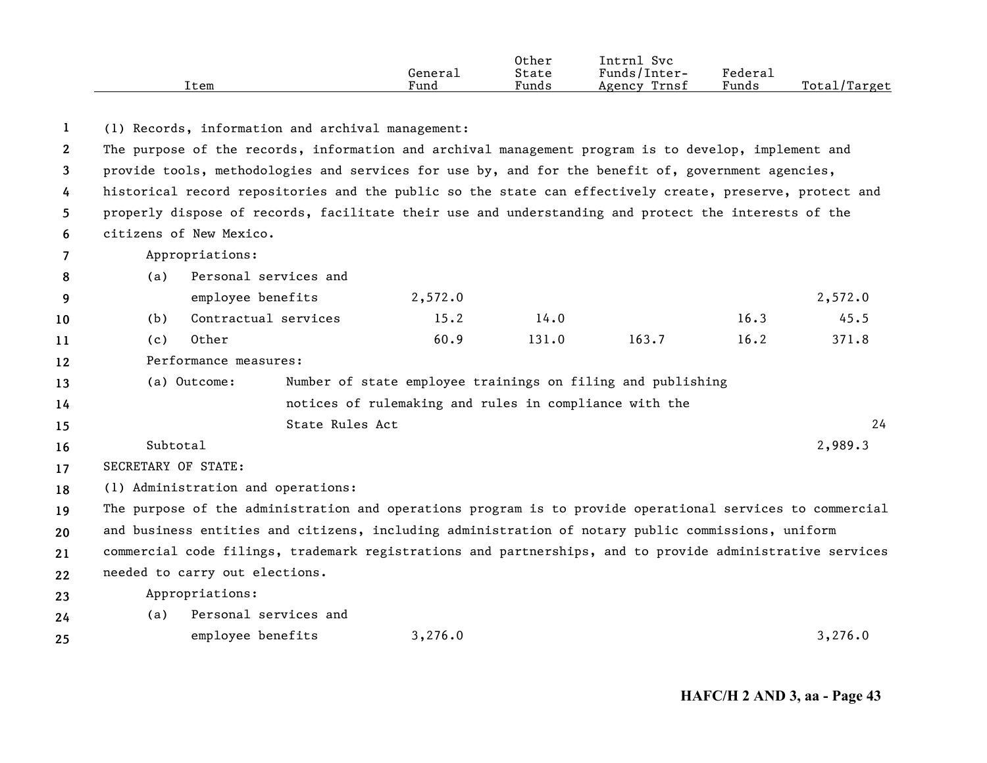|      |         | Other | Intrn]<br>Svc   |         |              |
|------|---------|-------|-----------------|---------|--------------|
|      | General | State | Funds/Inter-    | Federau |              |
| Item | Fund    | Funds | Trnsf<br>Agency | Funds   | Total/Target |

**12345678910111213141516171819202122**(1) Records, information and archival management: The purpose of the records, information and archival management program is to develop, implement and provide tools, methodologies and services for use by, and for the benefit of, government agencies, historical record repositories and the public so the state can effectively create, preserve, protect and properly dispose of records, facilitate their use and understanding and protect the interests of the citizens of New Mexico.Appropriations: (a) Personal services and employee benefits 2,572.0 2,572.0 (b) Contractual services 15.2 14.0 16.3 45.5 (c) Other 60.9 131.0 163.7 16.2 371.8 Performance measures:(a) Outcome: Number of state employee trainings on filing and publishing notices of rulemaking and rules in compliance with the State Rules Actt to the contract of  $\sim$  24 Subtotal $1^{2}$ SECRETARY OF STATE:(1) Administration and operations: The purpose of the administration and operations program is to provide operational services to commercial and business entities and citizens, including administration of notary public commissions, uniform commercial code filings, trademark registrations and partnerships, and to provide administrative services needed to carry out elections.

**23**Appropriations:

**2425**(a) Personal services and employee benefits 3,276.0 3,276.0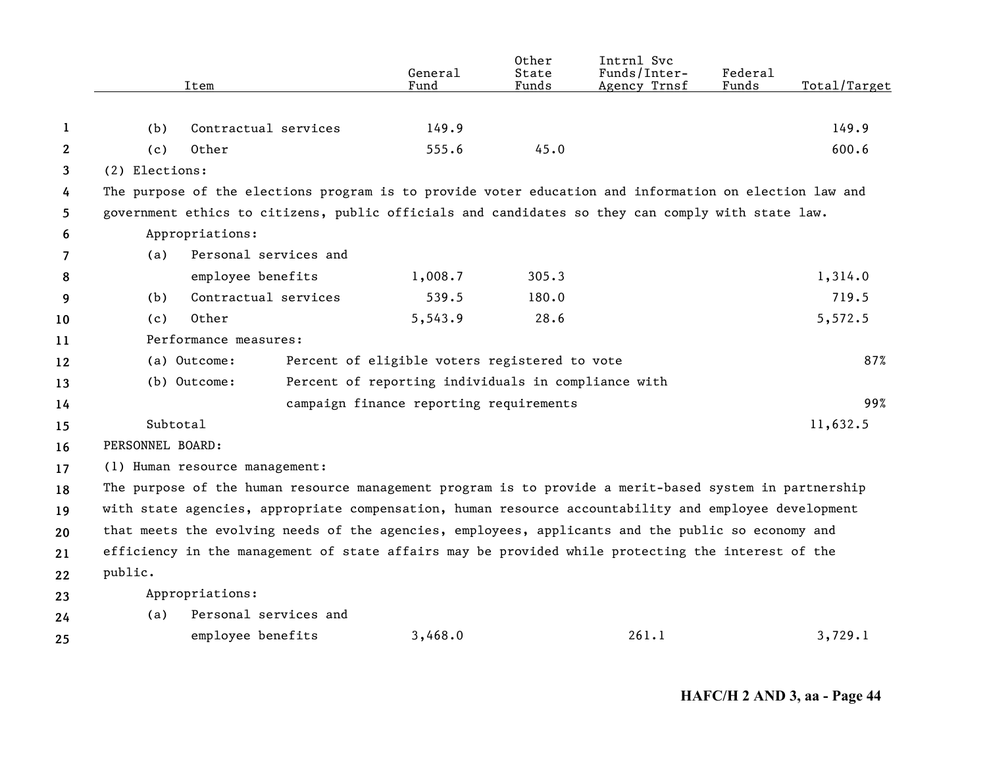|    |                  | Item                                                                                                   | General<br>Fund                                     | Other<br>State<br>Funds | Intrnl Svc<br>Funds/Inter-<br>Agency Trnsf | Federal<br>Funds | Total/Target |
|----|------------------|--------------------------------------------------------------------------------------------------------|-----------------------------------------------------|-------------------------|--------------------------------------------|------------------|--------------|
|    |                  |                                                                                                        |                                                     |                         |                                            |                  |              |
| 1  | (b)              | Contractual services                                                                                   | 149.9                                               |                         |                                            |                  | 149.9        |
| 2  | (c)              | Other                                                                                                  | 555.6                                               | 45.0                    |                                            |                  | 600.6        |
| 3  | (2) Elections:   |                                                                                                        |                                                     |                         |                                            |                  |              |
| 4  |                  | The purpose of the elections program is to provide voter education and information on election law and |                                                     |                         |                                            |                  |              |
| 5  |                  | government ethics to citizens, public officials and candidates so they can comply with state law.      |                                                     |                         |                                            |                  |              |
| 6  |                  | Appropriations:                                                                                        |                                                     |                         |                                            |                  |              |
| 7  | (a)              | Personal services and                                                                                  |                                                     |                         |                                            |                  |              |
| 8  |                  | employee benefits                                                                                      | 1,008.7                                             | 305.3                   |                                            |                  | 1,314.0      |
| 9  | (b)              | Contractual services                                                                                   | 539.5                                               | 180.0                   |                                            |                  | 719.5        |
| 10 | (c)              | Other                                                                                                  | 5,543.9                                             | 28.6                    |                                            |                  | 5,572.5      |
| 11 |                  | Performance measures:                                                                                  |                                                     |                         |                                            |                  |              |
| 12 |                  | (a) Outcome:                                                                                           | Percent of eligible voters registered to vote       |                         |                                            |                  | 87%          |
| 13 |                  | (b) Outcome:                                                                                           | Percent of reporting individuals in compliance with |                         |                                            |                  |              |
| 14 |                  |                                                                                                        | campaign finance reporting requirements             |                         |                                            |                  | 99%          |
| 15 | Subtotal         |                                                                                                        |                                                     |                         |                                            |                  | 11,632.5     |
| 16 | PERSONNEL BOARD: |                                                                                                        |                                                     |                         |                                            |                  |              |
| 17 |                  | (1) Human resource management:                                                                         |                                                     |                         |                                            |                  |              |
| 18 |                  | The purpose of the human resource management program is to provide a merit-based system in partnership |                                                     |                         |                                            |                  |              |
| 19 |                  | with state agencies, appropriate compensation, human resource accountability and employee development  |                                                     |                         |                                            |                  |              |
| 20 |                  | that meets the evolving needs of the agencies, employees, applicants and the public so economy and     |                                                     |                         |                                            |                  |              |
| 21 |                  | efficiency in the management of state affairs may be provided while protecting the interest of the     |                                                     |                         |                                            |                  |              |
| 22 | public.          |                                                                                                        |                                                     |                         |                                            |                  |              |
| 23 |                  | Appropriations:                                                                                        |                                                     |                         |                                            |                  |              |
| 24 | (a)              | Personal services and                                                                                  |                                                     |                         |                                            |                  |              |
| 25 |                  | employee benefits                                                                                      | 3,468.0                                             |                         | 261.1                                      |                  | 3,729.1      |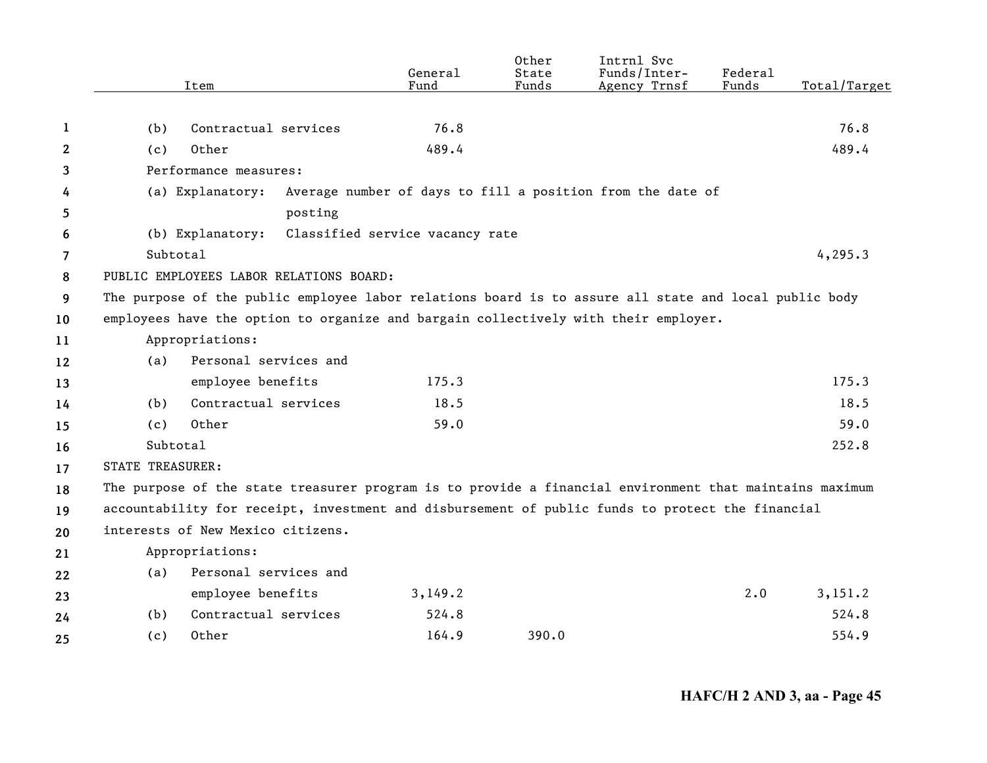|                | Item                              | General<br>Fund                                                                                         | Other<br>State<br>Funds | Intrnl Svc<br>Funds/Inter-<br>Agency Trnsf | Federal<br>Funds | Total/Target |  |  |  |  |
|----------------|-----------------------------------|---------------------------------------------------------------------------------------------------------|-------------------------|--------------------------------------------|------------------|--------------|--|--|--|--|
|                |                                   |                                                                                                         |                         |                                            |                  |              |  |  |  |  |
| 1              | Contractual services<br>(b)       | 76.8                                                                                                    |                         |                                            |                  | 76.8         |  |  |  |  |
| 2              | Other<br>(c)                      | 489.4                                                                                                   |                         |                                            |                  | 489.4        |  |  |  |  |
| 3              | Performance measures:             |                                                                                                         |                         |                                            |                  |              |  |  |  |  |
| 4              | (a) Explanatory:                  | Average number of days to fill a position from the date of                                              |                         |                                            |                  |              |  |  |  |  |
| 5              |                                   | posting                                                                                                 |                         |                                            |                  |              |  |  |  |  |
| 6              | (b) Explanatory:                  | Classified service vacancy rate                                                                         |                         |                                            |                  |              |  |  |  |  |
| $\overline{7}$ | Subtotal                          |                                                                                                         |                         |                                            |                  | 4, 295.3     |  |  |  |  |
| 8              |                                   | PUBLIC EMPLOYEES LABOR RELATIONS BOARD:                                                                 |                         |                                            |                  |              |  |  |  |  |
| 9              |                                   | The purpose of the public employee labor relations board is to assure all state and local public body   |                         |                                            |                  |              |  |  |  |  |
| 10             |                                   | employees have the option to organize and bargain collectively with their employer.                     |                         |                                            |                  |              |  |  |  |  |
| 11             | Appropriations:                   |                                                                                                         |                         |                                            |                  |              |  |  |  |  |
| 12             | Personal services and<br>(a)      |                                                                                                         |                         |                                            |                  |              |  |  |  |  |
| 13             | employee benefits                 | 175.3                                                                                                   |                         |                                            |                  | 175.3        |  |  |  |  |
| 14             | Contractual services<br>(b)       | 18.5                                                                                                    |                         |                                            |                  | 18.5         |  |  |  |  |
| 15             | Other<br>(c)                      | 59.0                                                                                                    |                         |                                            |                  | 59.0         |  |  |  |  |
| 16             | Subtotal                          |                                                                                                         |                         |                                            |                  | 252.8        |  |  |  |  |
| 17             | STATE TREASURER:                  |                                                                                                         |                         |                                            |                  |              |  |  |  |  |
| 18             |                                   | The purpose of the state treasurer program is to provide a financial environment that maintains maximum |                         |                                            |                  |              |  |  |  |  |
| 19             |                                   | accountability for receipt, investment and disbursement of public funds to protect the financial        |                         |                                            |                  |              |  |  |  |  |
| 20             | interests of New Mexico citizens. |                                                                                                         |                         |                                            |                  |              |  |  |  |  |
| 21             | Appropriations:                   |                                                                                                         |                         |                                            |                  |              |  |  |  |  |
| 22             | Personal services and<br>(a)      |                                                                                                         |                         |                                            |                  |              |  |  |  |  |
| 23             | employee benefits                 | 3,149.2                                                                                                 |                         |                                            | 2.0              | 3,151.2      |  |  |  |  |
| 24             | Contractual services<br>(b)       | 524.8                                                                                                   |                         |                                            |                  | 524.8        |  |  |  |  |
| 25             | (c)<br>Other                      | 164.9                                                                                                   | 390.0                   |                                            |                  | 554.9        |  |  |  |  |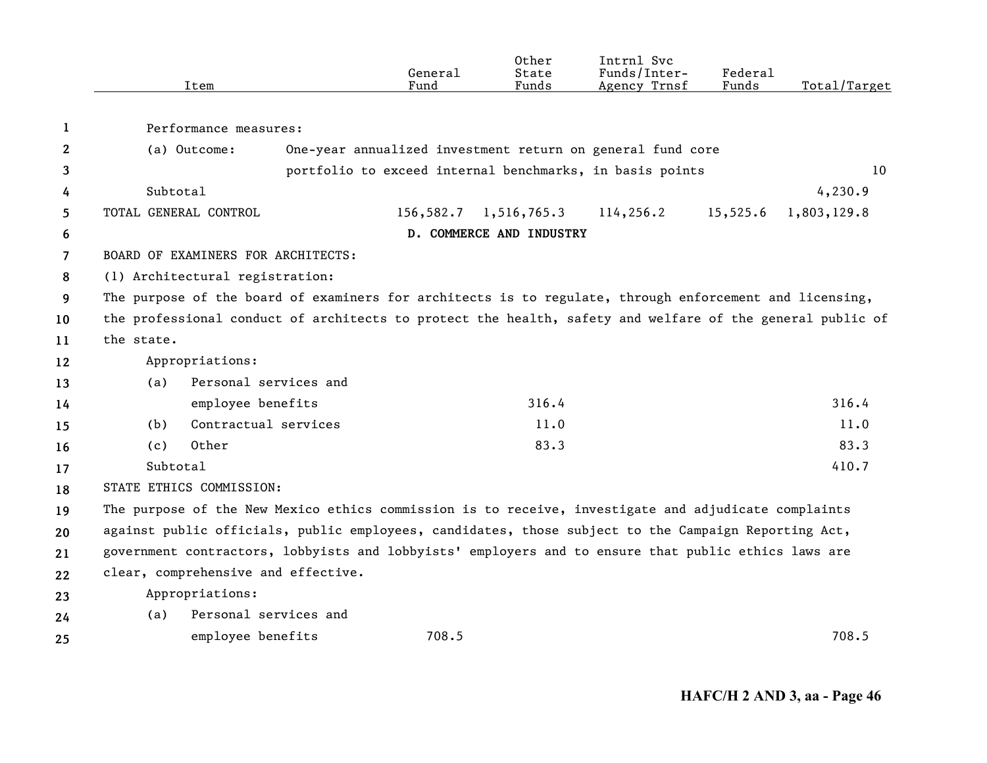|                | Item                                                                                                      |                                                                                                                                            | General<br>Fund | Other<br>State<br>Funds  | Intrnl Svc<br>Funds/Inter-<br>Agency Trnsf                 | Federal<br>Funds | Total/Target |  |  |
|----------------|-----------------------------------------------------------------------------------------------------------|--------------------------------------------------------------------------------------------------------------------------------------------|-----------------|--------------------------|------------------------------------------------------------|------------------|--------------|--|--|
| 1              | Performance measures:                                                                                     |                                                                                                                                            |                 |                          |                                                            |                  |              |  |  |
| $\mathbf{2}$   | (a) Outcome:                                                                                              |                                                                                                                                            |                 |                          | One-year annualized investment return on general fund core |                  |              |  |  |
| 3              |                                                                                                           |                                                                                                                                            |                 |                          | portfolio to exceed internal benchmarks, in basis points   |                  | 10           |  |  |
| 4              | Subtotal                                                                                                  |                                                                                                                                            |                 |                          |                                                            |                  | 4, 230.9     |  |  |
| 5              | TOTAL GENERAL CONTROL                                                                                     |                                                                                                                                            | 156,582.7       | 1,516,765.3              | 114,256.2                                                  | 15,525.6         | 1,803,129.8  |  |  |
| 6              |                                                                                                           |                                                                                                                                            |                 | D. COMMERCE AND INDUSTRY |                                                            |                  |              |  |  |
| $\overline{7}$ | BOARD OF EXAMINERS FOR ARCHITECTS:                                                                        |                                                                                                                                            |                 |                          |                                                            |                  |              |  |  |
| 8              |                                                                                                           |                                                                                                                                            |                 |                          |                                                            |                  |              |  |  |
|                |                                                                                                           | (1) Architectural registration:<br>The purpose of the board of examiners for architects is to regulate, through enforcement and licensing, |                 |                          |                                                            |                  |              |  |  |
| 9              | the professional conduct of architects to protect the health, safety and welfare of the general public of |                                                                                                                                            |                 |                          |                                                            |                  |              |  |  |
| 10             |                                                                                                           |                                                                                                                                            |                 |                          |                                                            |                  |              |  |  |
| 11             | the state.                                                                                                |                                                                                                                                            |                 |                          |                                                            |                  |              |  |  |
| 12             | Appropriations:                                                                                           |                                                                                                                                            |                 |                          |                                                            |                  |              |  |  |
| 13             | (a)                                                                                                       | Personal services and                                                                                                                      |                 |                          |                                                            |                  |              |  |  |
| 14             | employee benefits                                                                                         |                                                                                                                                            |                 | 316.4                    |                                                            |                  | 316.4        |  |  |
| 15             | Contractual services<br>(b)                                                                               |                                                                                                                                            |                 | 11.0                     |                                                            |                  | 11.0         |  |  |
| 16             | Other<br>(c)                                                                                              |                                                                                                                                            |                 | 83.3                     |                                                            |                  | 83.3         |  |  |
| 17             | Subtotal                                                                                                  |                                                                                                                                            |                 |                          |                                                            |                  | 410.7        |  |  |
| 18             | STATE ETHICS COMMISSION:                                                                                  |                                                                                                                                            |                 |                          |                                                            |                  |              |  |  |
| 19             | The purpose of the New Mexico ethics commission is to receive, investigate and adjudicate complaints      |                                                                                                                                            |                 |                          |                                                            |                  |              |  |  |
| 20             | against public officials, public employees, candidates, those subject to the Campaign Reporting Act,      |                                                                                                                                            |                 |                          |                                                            |                  |              |  |  |
| 21             | government contractors, lobbyists and lobbyists' employers and to ensure that public ethics laws are      |                                                                                                                                            |                 |                          |                                                            |                  |              |  |  |
| 22             | clear, comprehensive and effective.                                                                       |                                                                                                                                            |                 |                          |                                                            |                  |              |  |  |
| 23             | Appropriations:                                                                                           |                                                                                                                                            |                 |                          |                                                            |                  |              |  |  |
| 24             | (a)                                                                                                       | Personal services and                                                                                                                      |                 |                          |                                                            |                  |              |  |  |
| 25             | employee benefits                                                                                         |                                                                                                                                            | 708.5           |                          |                                                            |                  | 708.5        |  |  |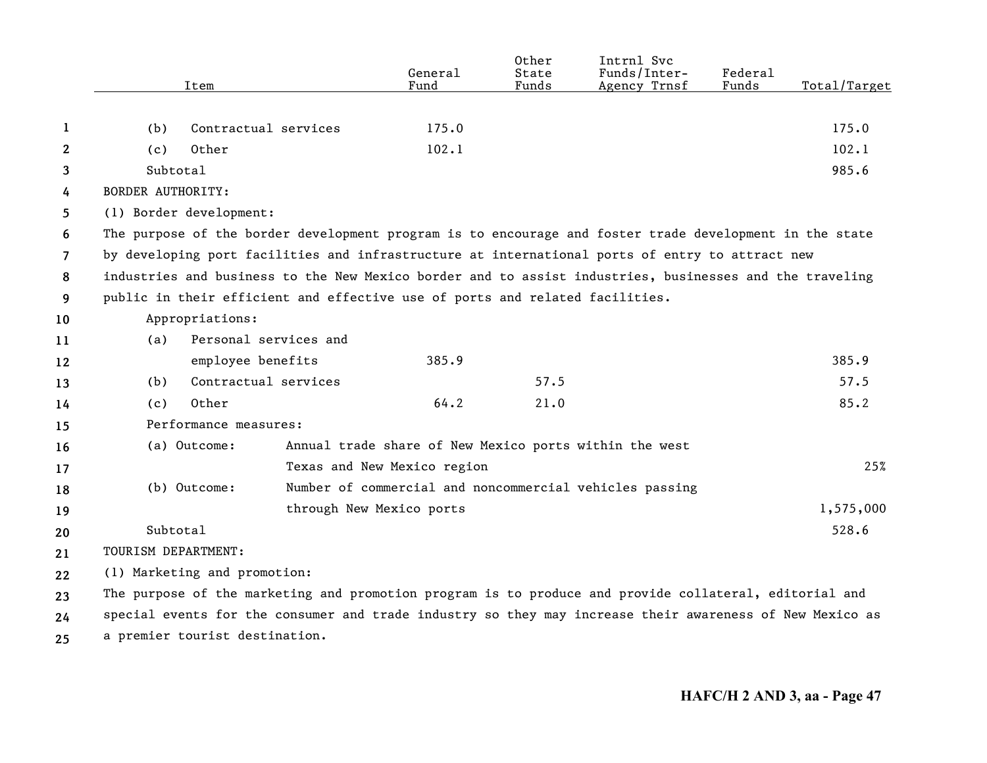|                |                          | Item                                                                                                     | General<br>Fund             | Other<br>State<br>Funds | Intrnl Svc<br>Funds/Inter-<br>Agency Trnsf              | Federal<br>Funds | Total/Target |
|----------------|--------------------------|----------------------------------------------------------------------------------------------------------|-----------------------------|-------------------------|---------------------------------------------------------|------------------|--------------|
|                |                          |                                                                                                          |                             |                         |                                                         |                  |              |
| 1              | (b)                      | Contractual services                                                                                     | 175.0                       |                         |                                                         |                  | 175.0        |
| 2              | (c)                      | Other                                                                                                    | 102.1                       |                         |                                                         |                  | 102.1        |
| 3              | Subtotal                 |                                                                                                          |                             |                         |                                                         |                  | 985.6        |
| 4              | <b>BORDER AUTHORITY:</b> |                                                                                                          |                             |                         |                                                         |                  |              |
| 5              | (1) Border development:  |                                                                                                          |                             |                         |                                                         |                  |              |
| 6              |                          | The purpose of the border development program is to encourage and foster trade development in the state  |                             |                         |                                                         |                  |              |
| $\overline{7}$ |                          | by developing port facilities and infrastructure at international ports of entry to attract new          |                             |                         |                                                         |                  |              |
| 8              |                          | industries and business to the New Mexico border and to assist industries, businesses and the traveling  |                             |                         |                                                         |                  |              |
| 9              |                          | public in their efficient and effective use of ports and related facilities.                             |                             |                         |                                                         |                  |              |
| 10             |                          | Appropriations:                                                                                          |                             |                         |                                                         |                  |              |
| 11             | (a)                      | Personal services and                                                                                    |                             |                         |                                                         |                  |              |
| 12             |                          | employee benefits                                                                                        | 385.9                       |                         |                                                         |                  | 385.9        |
| 13             | (b)                      | Contractual services                                                                                     |                             | 57.5                    |                                                         |                  | 57.5         |
| 14             | (c)                      | Other                                                                                                    | 64.2                        | 21.0                    |                                                         |                  | 85.2         |
| 15             |                          | Performance measures:                                                                                    |                             |                         |                                                         |                  |              |
| 16             |                          | (a) Outcome:                                                                                             |                             |                         | Annual trade share of New Mexico ports within the west  |                  |              |
| 17             |                          |                                                                                                          | Texas and New Mexico region |                         |                                                         |                  | 25%          |
| 18             |                          | (b) Outcome:                                                                                             |                             |                         | Number of commercial and noncommercial vehicles passing |                  |              |
| 19             |                          |                                                                                                          | through New Mexico ports    |                         |                                                         |                  | 1,575,000    |
| 20             | Subtotal                 |                                                                                                          |                             |                         |                                                         |                  | 528.6        |
| 21             | TOURISM DEPARTMENT:      |                                                                                                          |                             |                         |                                                         |                  |              |
| 22             |                          | (1) Marketing and promotion:                                                                             |                             |                         |                                                         |                  |              |
| 23             |                          | The purpose of the marketing and promotion program is to produce and provide collateral, editorial and   |                             |                         |                                                         |                  |              |
| 24             |                          | special events for the consumer and trade industry so they may increase their awareness of New Mexico as |                             |                         |                                                         |                  |              |
| 25             |                          | a premier tourist destination.                                                                           |                             |                         |                                                         |                  |              |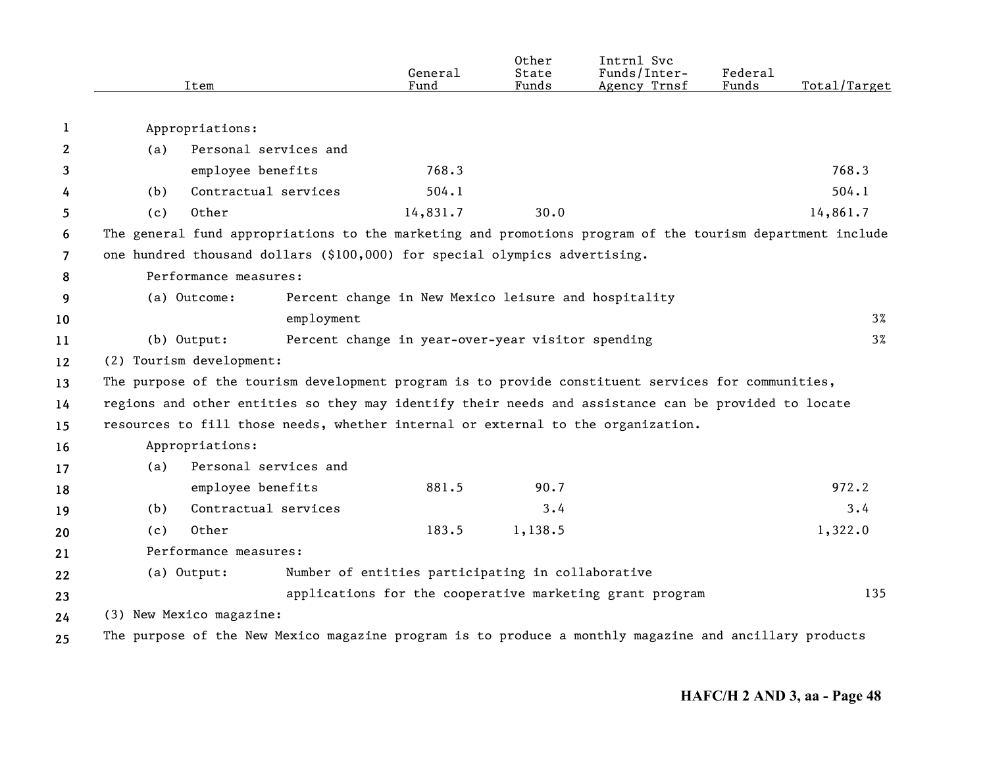|                | Item                                                                                                      | General<br>Fund                                          | Other<br>State<br>Funds | Intrnl Svc<br>Funds/Inter-<br>Agency Trnsf | Federal<br>Funds | Total/Target |
|----------------|-----------------------------------------------------------------------------------------------------------|----------------------------------------------------------|-------------------------|--------------------------------------------|------------------|--------------|
| 1              | Appropriations:                                                                                           |                                                          |                         |                                            |                  |              |
| 2              | Personal services and<br>(a)                                                                              |                                                          |                         |                                            |                  |              |
| 3              | employee benefits                                                                                         | 768.3                                                    |                         |                                            |                  | 768.3        |
| 4              | Contractual services<br>(b)                                                                               | 504.1                                                    |                         |                                            |                  | 504.1        |
| 5              | Other<br>(c)                                                                                              | 14,831.7                                                 | 30.0                    |                                            |                  | 14,861.7     |
| 6              | The general fund appropriations to the marketing and promotions program of the tourism department include |                                                          |                         |                                            |                  |              |
| $\overline{7}$ | one hundred thousand dollars (\$100,000) for special olympics advertising.                                |                                                          |                         |                                            |                  |              |
| 8              | Performance measures:                                                                                     |                                                          |                         |                                            |                  |              |
| 9              | (a) Outcome:                                                                                              | Percent change in New Mexico leisure and hospitality     |                         |                                            |                  |              |
| 10             | employment                                                                                                |                                                          |                         |                                            |                  | $3\%$        |
| 11             | (b) Output:                                                                                               | Percent change in year-over-year visitor spending        |                         |                                            |                  | $3\%$        |
| 12             | (2) Tourism development:                                                                                  |                                                          |                         |                                            |                  |              |
| 13             | The purpose of the tourism development program is to provide constituent services for communities,        |                                                          |                         |                                            |                  |              |
| 14             | regions and other entities so they may identify their needs and assistance can be provided to locate      |                                                          |                         |                                            |                  |              |
| 15             | resources to fill those needs, whether internal or external to the organization.                          |                                                          |                         |                                            |                  |              |
| 16             | Appropriations:                                                                                           |                                                          |                         |                                            |                  |              |
| 17             | Personal services and<br>(a)                                                                              |                                                          |                         |                                            |                  |              |
| 18             | employee benefits                                                                                         | 881.5                                                    | 90.7                    |                                            |                  | 972.2        |
| 19             | Contractual services<br>(b)                                                                               |                                                          | 3.4                     |                                            |                  | 3.4          |
| 20             | Other<br>(c)                                                                                              | 183.5                                                    | 1,138.5                 |                                            |                  | 1,322.0      |
| 21             | Performance measures:                                                                                     |                                                          |                         |                                            |                  |              |
| 22             | (a) Output:                                                                                               | Number of entities participating in collaborative        |                         |                                            |                  |              |
| 23             |                                                                                                           | applications for the cooperative marketing grant program |                         |                                            |                  | 135          |
| 24             | (3) New Mexico magazine:                                                                                  |                                                          |                         |                                            |                  |              |
| 25             | The purpose of the New Mexico magazine program is to produce a monthly magazine and ancillary products    |                                                          |                         |                                            |                  |              |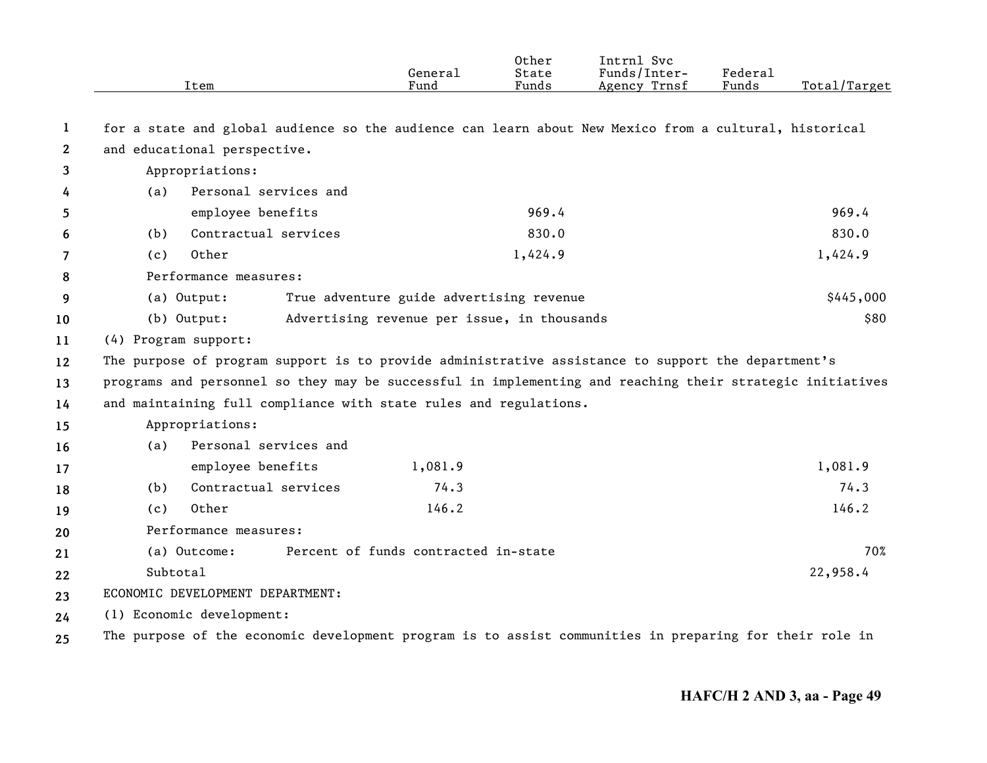|              | Item                                                                                                      | General<br>Fund                             | 0ther<br>State<br>Funds | Intrnl Svc<br>Funds/Inter-<br>Agency Trnsf | Federal<br>Funds | Total/Target |  |
|--------------|-----------------------------------------------------------------------------------------------------------|---------------------------------------------|-------------------------|--------------------------------------------|------------------|--------------|--|
| 1            | for a state and global audience so the audience can learn about New Mexico from a cultural, historical    |                                             |                         |                                            |                  |              |  |
| $\mathbf{2}$ | and educational perspective.                                                                              |                                             |                         |                                            |                  |              |  |
| 3            | Appropriations:                                                                                           |                                             |                         |                                            |                  |              |  |
| 4            | Personal services and<br>(a)                                                                              |                                             |                         |                                            |                  |              |  |
| 5            | employee benefits                                                                                         |                                             | 969.4                   |                                            |                  | 969.4        |  |
| 6            | Contractual services<br>(b)                                                                               |                                             | 830.0                   |                                            |                  | 830.0        |  |
| 7            | Other<br>(c)                                                                                              |                                             | 1,424.9                 |                                            |                  | 1,424.9      |  |
| 8            | Performance measures:                                                                                     |                                             |                         |                                            |                  |              |  |
| 9            | (a) Output:<br>True adventure guide advertising revenue                                                   |                                             |                         |                                            |                  | \$445,000    |  |
| 10           | (b) Output:                                                                                               | Advertising revenue per issue, in thousands |                         |                                            |                  | \$80         |  |
| 11           | (4) Program support:                                                                                      |                                             |                         |                                            |                  |              |  |
| 12           | The purpose of program support is to provide administrative assistance to support the department's        |                                             |                         |                                            |                  |              |  |
| 13           | programs and personnel so they may be successful in implementing and reaching their strategic initiatives |                                             |                         |                                            |                  |              |  |
| 14           | and maintaining full compliance with state rules and regulations.                                         |                                             |                         |                                            |                  |              |  |
| 15           | Appropriations:                                                                                           |                                             |                         |                                            |                  |              |  |
| 16           | Personal services and<br>(a)                                                                              |                                             |                         |                                            |                  |              |  |
| 17           | employee benefits                                                                                         | 1,081.9                                     |                         |                                            |                  | 1,081.9      |  |
| 18           | Contractual services<br>(b)                                                                               | 74.3                                        |                         |                                            |                  | 74.3         |  |
| 19           | Other<br>(c)                                                                                              | 146.2                                       |                         |                                            |                  | 146.2        |  |
| 20           | Performance measures:                                                                                     |                                             |                         |                                            |                  |              |  |
| 21           | (a) Outcome:                                                                                              | Percent of funds contracted in-state        |                         |                                            |                  | 70%          |  |
| 22           | Subtotal                                                                                                  |                                             |                         |                                            |                  | 22,958.4     |  |
| 23           | ECONOMIC DEVELOPMENT DEPARTMENT:                                                                          |                                             |                         |                                            |                  |              |  |
| 24           | (1) Economic development:                                                                                 |                                             |                         |                                            |                  |              |  |
| 25           | The purpose of the economic development program is to assist communities in preparing for their role in   |                                             |                         |                                            |                  |              |  |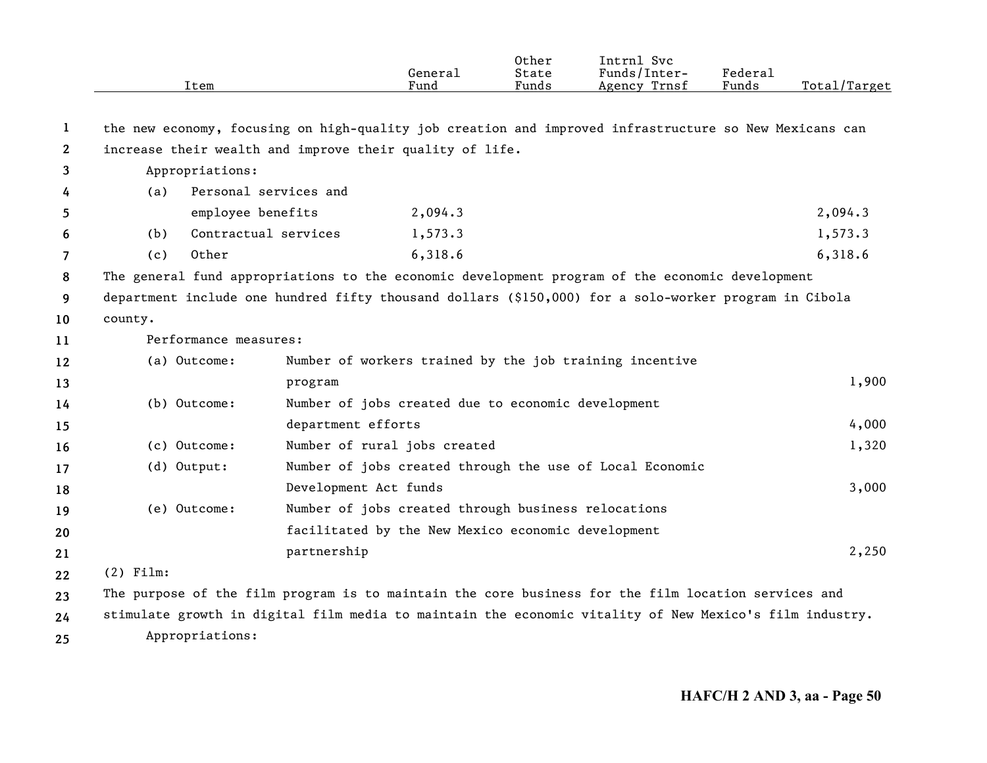|                       | Item                                                                                                    |                       | General<br>Fund                                     | Other<br>State<br>Funds | Intrnl Svc<br>Funds/Inter-<br>Agency Trnsf               | Federal<br>Funds | Total/Target |  |
|-----------------------|---------------------------------------------------------------------------------------------------------|-----------------------|-----------------------------------------------------|-------------------------|----------------------------------------------------------|------------------|--------------|--|
| $\bf{l}$              | the new economy, focusing on high-quality job creation and improved infrastructure so New Mexicans can  |                       |                                                     |                         |                                                          |                  |              |  |
| $\mathbf{2}^{\prime}$ | increase their wealth and improve their quality of life.                                                |                       |                                                     |                         |                                                          |                  |              |  |
| 3                     | Appropriations:                                                                                         |                       |                                                     |                         |                                                          |                  |              |  |
| 4                     | (a)                                                                                                     | Personal services and |                                                     |                         |                                                          |                  |              |  |
| 5                     |                                                                                                         | employee benefits     | 2,094.3                                             |                         |                                                          |                  | 2,094.3      |  |
| 6                     | (b)                                                                                                     | Contractual services  | 1,573.3                                             |                         |                                                          |                  | 1,573.3      |  |
| 7                     | Other<br>(c)                                                                                            |                       | 6,318.6                                             |                         |                                                          |                  | 6,318.6      |  |
| 8                     | The general fund appropriations to the economic development program of the economic development         |                       |                                                     |                         |                                                          |                  |              |  |
| 9                     | department include one hundred fifty thousand dollars (\$150,000) for a solo-worker program in Cibola   |                       |                                                     |                         |                                                          |                  |              |  |
| 10                    | county.                                                                                                 |                       |                                                     |                         |                                                          |                  |              |  |
| 11                    | Performance measures:                                                                                   |                       |                                                     |                         |                                                          |                  |              |  |
| 12                    | (a) Outcome:                                                                                            |                       |                                                     |                         | Number of workers trained by the job training incentive  |                  |              |  |
| 13                    |                                                                                                         | program               |                                                     |                         |                                                          |                  | 1,900        |  |
| 14                    | (b) Outcome:                                                                                            |                       | Number of jobs created due to economic development  |                         |                                                          |                  |              |  |
| 15                    |                                                                                                         | department efforts    |                                                     |                         |                                                          |                  | 4,000        |  |
| 16                    | (c) Outcome:                                                                                            |                       | Number of rural jobs created                        |                         |                                                          |                  | 1,320        |  |
| 17                    | (d) Output:                                                                                             |                       |                                                     |                         | Number of jobs created through the use of Local Economic |                  |              |  |
| 18                    |                                                                                                         | Development Act funds |                                                     |                         |                                                          |                  | 3,000        |  |
| 19                    | (e) Outcome:                                                                                            |                       | Number of jobs created through business relocations |                         |                                                          |                  |              |  |
| 20                    |                                                                                                         |                       | facilitated by the New Mexico economic development  |                         |                                                          |                  |              |  |
| 21                    |                                                                                                         | partnership           |                                                     |                         |                                                          |                  | 2,250        |  |
| 22                    | $(2)$ Film:                                                                                             |                       |                                                     |                         |                                                          |                  |              |  |
| 23                    | The purpose of the film program is to maintain the core business for the film location services and     |                       |                                                     |                         |                                                          |                  |              |  |
| 24                    | stimulate growth in digital film media to maintain the economic vitality of New Mexico's film industry. |                       |                                                     |                         |                                                          |                  |              |  |
| 25                    | Appropriations:                                                                                         |                       |                                                     |                         |                                                          |                  |              |  |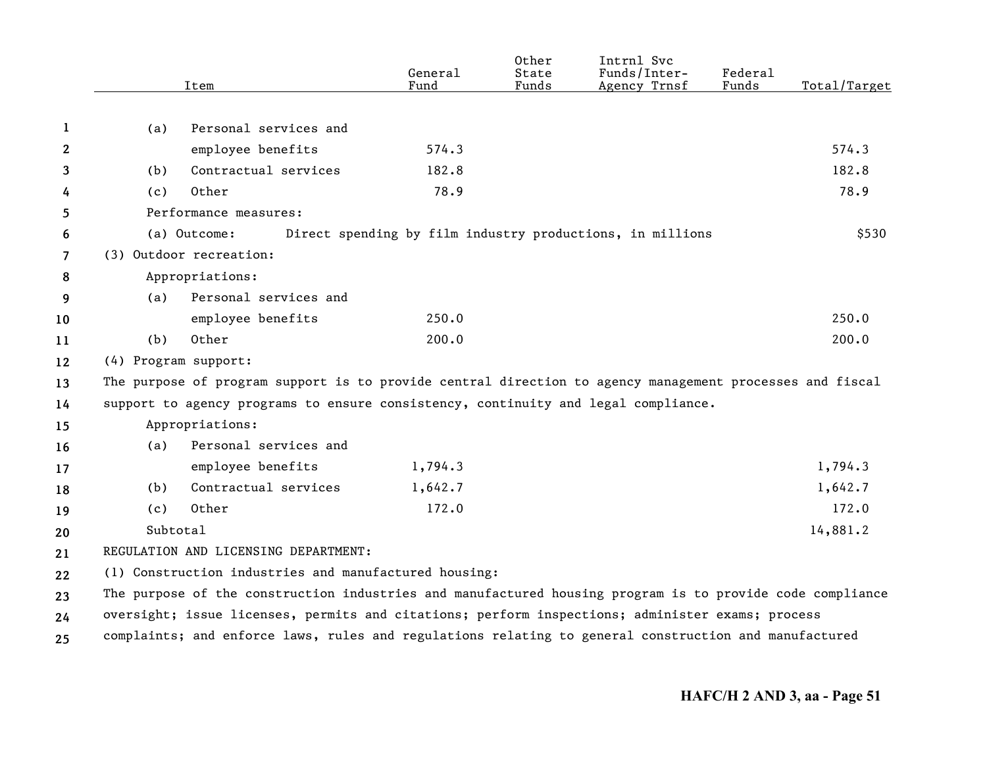|                |                      | Item                                                                                                      | General<br>Fund | Other<br>State<br>Funds | Intrnl Svc<br>Funds/Inter-<br>Agency Trnsf                | Federal<br>Funds | Total/Target |
|----------------|----------------------|-----------------------------------------------------------------------------------------------------------|-----------------|-------------------------|-----------------------------------------------------------|------------------|--------------|
|                |                      |                                                                                                           |                 |                         |                                                           |                  |              |
| 1              | (a)                  | Personal services and                                                                                     |                 |                         |                                                           |                  |              |
| $\mathbf{2}$   |                      | employee benefits                                                                                         | 574.3           |                         |                                                           |                  | 574.3        |
| 3              | (b)                  | Contractual services                                                                                      | 182.8           |                         |                                                           |                  | 182.8        |
| 4              | (c)                  | Other                                                                                                     | 78.9            |                         |                                                           |                  | 78.9         |
| 5              |                      | Performance measures:                                                                                     |                 |                         |                                                           |                  |              |
| 6              |                      | (a) Outcome:                                                                                              |                 |                         | Direct spending by film industry productions, in millions |                  | \$530        |
| $\overline{7}$ |                      | (3) Outdoor recreation:                                                                                   |                 |                         |                                                           |                  |              |
| 8              |                      | Appropriations:                                                                                           |                 |                         |                                                           |                  |              |
| 9              | (a)                  | Personal services and                                                                                     |                 |                         |                                                           |                  |              |
| 10             |                      | employee benefits                                                                                         | 250.0           |                         |                                                           |                  | 250.0        |
| 11             | (b)                  | Other                                                                                                     | 200.0           |                         |                                                           |                  | 200.0        |
| 12             | (4) Program support: |                                                                                                           |                 |                         |                                                           |                  |              |
| 13             |                      | The purpose of program support is to provide central direction to agency management processes and fiscal  |                 |                         |                                                           |                  |              |
| 14             |                      | support to agency programs to ensure consistency, continuity and legal compliance.                        |                 |                         |                                                           |                  |              |
| 15             |                      | Appropriations:                                                                                           |                 |                         |                                                           |                  |              |
| 16             | (a)                  | Personal services and                                                                                     |                 |                         |                                                           |                  |              |
| 17             |                      | employee benefits                                                                                         | 1,794.3         |                         |                                                           |                  | 1,794.3      |
| 18             | (b)                  | Contractual services                                                                                      | 1,642.7         |                         |                                                           |                  | 1,642.7      |
| 19             | (c)                  | Other                                                                                                     | 172.0           |                         |                                                           |                  | 172.0        |
| 20             | Subtotal             |                                                                                                           |                 |                         |                                                           |                  | 14,881.2     |
| 21             |                      | REGULATION AND LICENSING DEPARTMENT:                                                                      |                 |                         |                                                           |                  |              |
| 22             |                      | (1) Construction industries and manufactured housing:                                                     |                 |                         |                                                           |                  |              |
| 23             |                      | The purpose of the construction industries and manufactured housing program is to provide code compliance |                 |                         |                                                           |                  |              |
| 24             |                      | oversight; issue licenses, permits and citations; perform inspections; administer exams; process          |                 |                         |                                                           |                  |              |
| 25             |                      | complaints; and enforce laws, rules and regulations relating to general construction and manufactured     |                 |                         |                                                           |                  |              |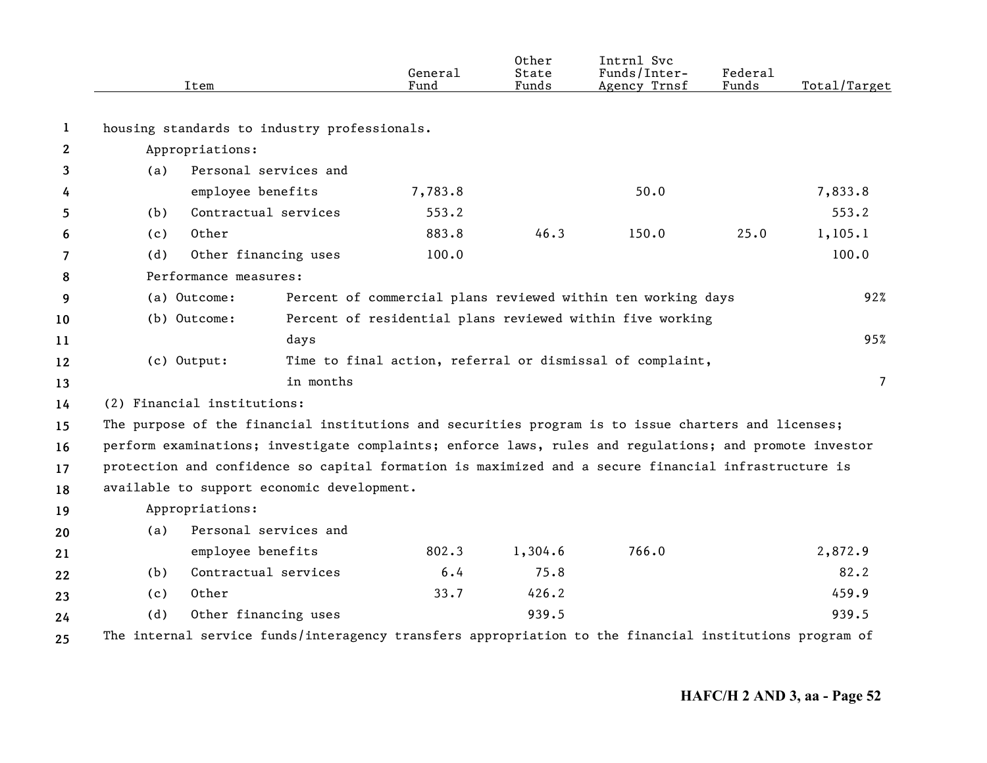|              |             | Item                                                                                                    | General<br>Fund | Other<br>State<br>Funds | Intrnl Svc<br>Funds/Inter-<br>Agency Trnsf                   | Federal<br>Funds | Total/Target |
|--------------|-------------|---------------------------------------------------------------------------------------------------------|-----------------|-------------------------|--------------------------------------------------------------|------------------|--------------|
| 1            |             | housing standards to industry professionals.                                                            |                 |                         |                                                              |                  |              |
| $\mathbf{2}$ |             | Appropriations:                                                                                         |                 |                         |                                                              |                  |              |
| 3            | (a)         | Personal services and                                                                                   |                 |                         |                                                              |                  |              |
| 4            |             | employee benefits                                                                                       | 7,783.8         |                         | 50.0                                                         |                  | 7,833.8      |
| 5            | (b)         | Contractual services                                                                                    | 553.2           |                         |                                                              |                  | 553.2        |
| 6            | (c)         | Other                                                                                                   | 883.8           | 46.3                    | 150.0                                                        | 25.0             | 1, 105.1     |
| 7            | (d)         | Other financing uses                                                                                    | 100.0           |                         |                                                              |                  | 100.0        |
| 8            |             | Performance measures:                                                                                   |                 |                         |                                                              |                  |              |
| 9            |             | (a) Outcome:                                                                                            |                 |                         | Percent of commercial plans reviewed within ten working days |                  | 92%          |
| 10           |             | (b) Outcome:                                                                                            |                 |                         | Percent of residential plans reviewed within five working    |                  |              |
| 11           |             | days                                                                                                    |                 |                         |                                                              |                  | 95%          |
| 12           | (c) Output: |                                                                                                         |                 |                         | Time to final action, referral or dismissal of complaint,    |                  |              |
| 13           |             | in months                                                                                               |                 |                         |                                                              |                  | 7            |
| 14           |             | (2) Financial institutions:                                                                             |                 |                         |                                                              |                  |              |
| 15           |             | The purpose of the financial institutions and securities program is to issue charters and licenses;     |                 |                         |                                                              |                  |              |
| 16           |             | perform examinations; investigate complaints; enforce laws, rules and regulations; and promote investor |                 |                         |                                                              |                  |              |
| 17           |             | protection and confidence so capital formation is maximized and a secure financial infrastructure is    |                 |                         |                                                              |                  |              |
| 18           |             | available to support economic development.                                                              |                 |                         |                                                              |                  |              |
| 19           |             | Appropriations:                                                                                         |                 |                         |                                                              |                  |              |
| 20           | (a)         | Personal services and                                                                                   |                 |                         |                                                              |                  |              |
| 21           |             | employee benefits                                                                                       | 802.3           | 1,304.6                 | 766.0                                                        |                  | 2,872.9      |
| 22           | (b)         | Contractual services                                                                                    | 6.4             | 75.8                    |                                                              |                  | 82.2         |
| 23           | (c)         | Other                                                                                                   | 33.7            | 426.2                   |                                                              |                  | 459.9        |
| 24           | (d)         | Other financing uses                                                                                    |                 | 939.5                   |                                                              |                  | 939.5        |
| 25           |             | The internal service funds/interagency transfers appropriation to the financial institutions program of |                 |                         |                                                              |                  |              |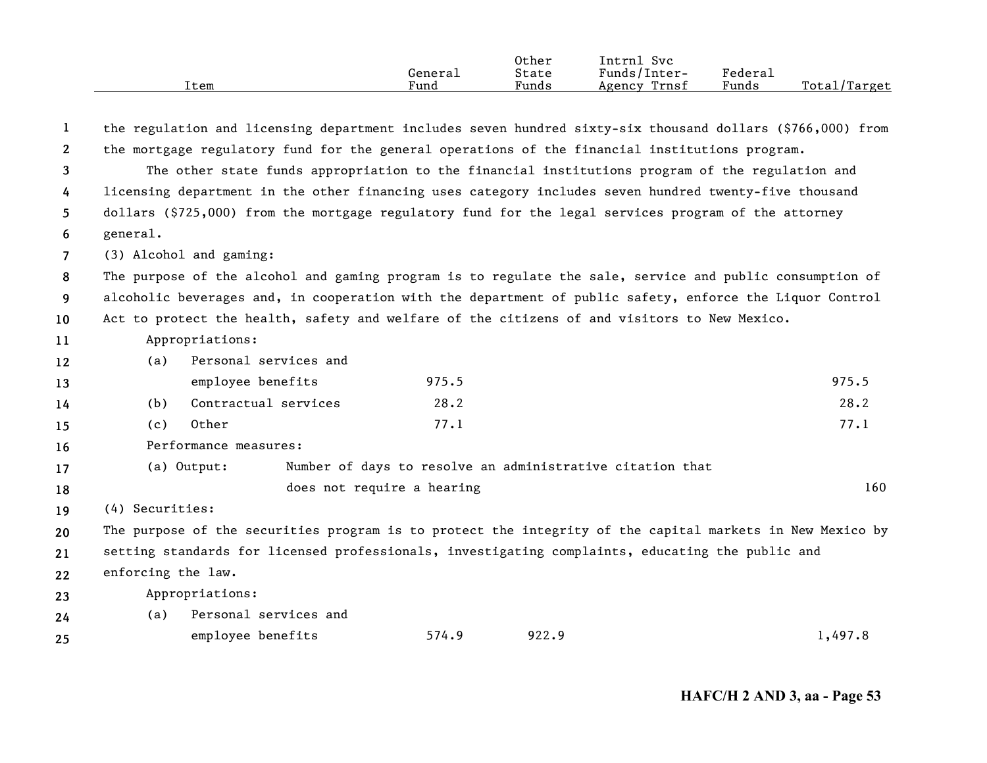| Item | General<br>Fund | Other<br>State<br>Funds | Svc<br>Intrnl<br>Funds/Inter-<br>Trnsf<br>Agency | Federal<br>Funds | Total/Target |
|------|-----------------|-------------------------|--------------------------------------------------|------------------|--------------|
|      |                 |                         |                                                  |                  |              |

| $\bf{1}$       |                                                                                                          |                                                                                                          |                            |                                                           | the regulation and licensing department includes seven hundred sixty-six thousand dollars (\$766,000) from |  |  |  |  |
|----------------|----------------------------------------------------------------------------------------------------------|----------------------------------------------------------------------------------------------------------|----------------------------|-----------------------------------------------------------|------------------------------------------------------------------------------------------------------------|--|--|--|--|
| $\mathbf{2}$   |                                                                                                          | the mortgage regulatory fund for the general operations of the financial institutions program.           |                            |                                                           |                                                                                                            |  |  |  |  |
| 3              |                                                                                                          | The other state funds appropriation to the financial institutions program of the regulation and          |                            |                                                           |                                                                                                            |  |  |  |  |
| 4              |                                                                                                          | licensing department in the other financing uses category includes seven hundred twenty-five thousand    |                            |                                                           |                                                                                                            |  |  |  |  |
| 5              |                                                                                                          | dollars (\$725,000) from the mortgage regulatory fund for the legal services program of the attorney     |                            |                                                           |                                                                                                            |  |  |  |  |
| 6              | general.                                                                                                 |                                                                                                          |                            |                                                           |                                                                                                            |  |  |  |  |
| $\overline{7}$ |                                                                                                          | (3) Alcohol and gaming:                                                                                  |                            |                                                           |                                                                                                            |  |  |  |  |
| 8              | The purpose of the alcohol and gaming program is to regulate the sale, service and public consumption of |                                                                                                          |                            |                                                           |                                                                                                            |  |  |  |  |
| 9              |                                                                                                          | alcoholic beverages and, in cooperation with the department of public safety, enforce the Liquor Control |                            |                                                           |                                                                                                            |  |  |  |  |
| 10             |                                                                                                          | Act to protect the health, safety and welfare of the citizens of and visitors to New Mexico.             |                            |                                                           |                                                                                                            |  |  |  |  |
| 11             |                                                                                                          | Appropriations:                                                                                          |                            |                                                           |                                                                                                            |  |  |  |  |
| 12             | (a)                                                                                                      | Personal services and                                                                                    |                            |                                                           |                                                                                                            |  |  |  |  |
| 13             |                                                                                                          | employee benefits                                                                                        | 975.5                      |                                                           | 975.5                                                                                                      |  |  |  |  |
| 14             | (b)                                                                                                      | Contractual services                                                                                     | 28.2                       |                                                           | 28.2                                                                                                       |  |  |  |  |
| 15             | (c)                                                                                                      | Other                                                                                                    | 77.1                       |                                                           | 77.1                                                                                                       |  |  |  |  |
| 16             |                                                                                                          | Performance measures:                                                                                    |                            |                                                           |                                                                                                            |  |  |  |  |
| 17             |                                                                                                          | (a) Output:                                                                                              |                            | Number of days to resolve an administrative citation that |                                                                                                            |  |  |  |  |
| 18             |                                                                                                          |                                                                                                          | does not require a hearing |                                                           | 160                                                                                                        |  |  |  |  |
| 19             | (4) Securities:                                                                                          |                                                                                                          |                            |                                                           |                                                                                                            |  |  |  |  |
| 20             |                                                                                                          |                                                                                                          |                            |                                                           | The purpose of the securities program is to protect the integrity of the capital markets in New Mexico by  |  |  |  |  |
| 21             |                                                                                                          | setting standards for licensed professionals, investigating complaints, educating the public and         |                            |                                                           |                                                                                                            |  |  |  |  |
| 22             | enforcing the law.                                                                                       |                                                                                                          |                            |                                                           |                                                                                                            |  |  |  |  |
| 23             |                                                                                                          | Appropriations:                                                                                          |                            |                                                           |                                                                                                            |  |  |  |  |
| 24             | (a)                                                                                                      | Personal services and                                                                                    |                            |                                                           |                                                                                                            |  |  |  |  |
| 25             |                                                                                                          | employee benefits                                                                                        | 574.9                      | 922.9                                                     | 1,497.8                                                                                                    |  |  |  |  |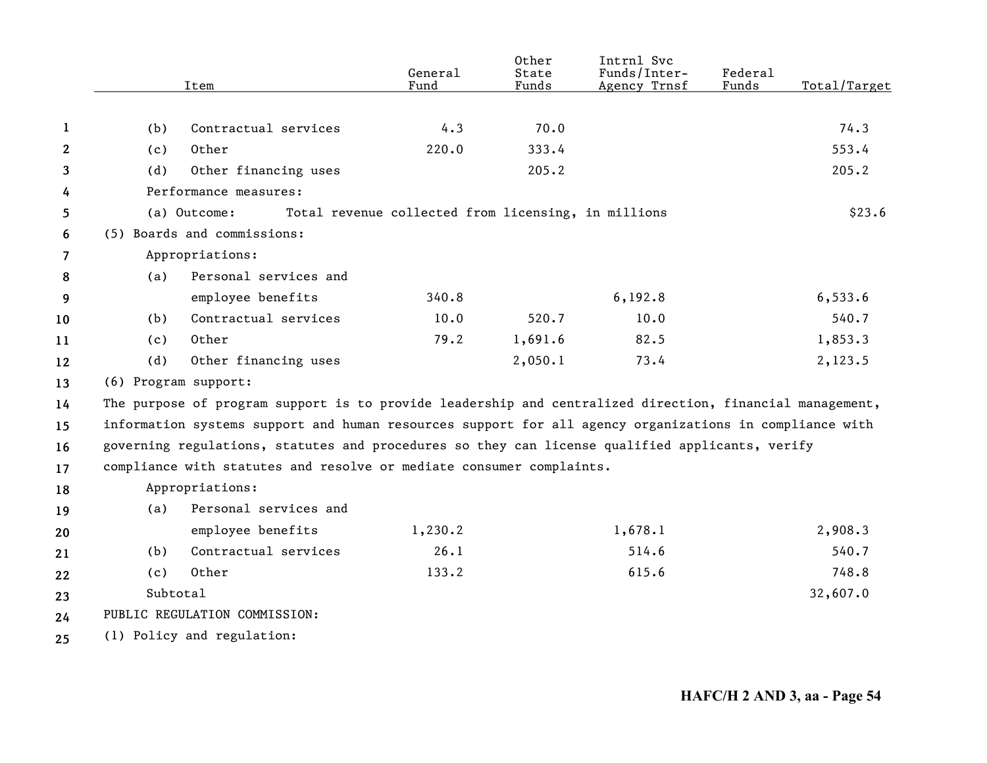|              |                      | Item                                                                                                     | General<br>Fund                                     | Other<br>State<br>Funds | Intrnl Svc<br>Funds/Inter-<br>Agency Trnsf | Federal<br>Funds | Total/Target |
|--------------|----------------------|----------------------------------------------------------------------------------------------------------|-----------------------------------------------------|-------------------------|--------------------------------------------|------------------|--------------|
|              |                      |                                                                                                          |                                                     |                         |                                            |                  |              |
| 1            | (b)                  | Contractual services                                                                                     | 4.3                                                 | 70.0                    |                                            |                  | 74.3         |
| $\mathbf{2}$ | (c)                  | Other                                                                                                    | 220.0                                               | 333.4                   |                                            |                  | 553.4        |
| 3            | (d)                  | Other financing uses                                                                                     |                                                     | 205.2                   |                                            |                  | 205.2        |
| 4            |                      | Performance measures:                                                                                    |                                                     |                         |                                            |                  |              |
| 5            |                      | (a) Outcome:                                                                                             | Total revenue collected from licensing, in millions |                         |                                            |                  | \$23.6       |
| 6            |                      | (5) Boards and commissions:                                                                              |                                                     |                         |                                            |                  |              |
| 7            |                      | Appropriations:                                                                                          |                                                     |                         |                                            |                  |              |
| 8            | (a)                  | Personal services and                                                                                    |                                                     |                         |                                            |                  |              |
| 9            |                      | employee benefits                                                                                        | 340.8                                               |                         | 6, 192.8                                   |                  | 6, 533.6     |
| 10           | (b)                  | Contractual services                                                                                     | 10.0                                                | 520.7                   | 10.0                                       |                  | 540.7        |
| 11           | (c)                  | Other                                                                                                    | 79.2                                                | 1,691.6                 | 82.5                                       |                  | 1,853.3      |
| 12           | (d)                  | Other financing uses                                                                                     |                                                     | 2,050.1                 | 73.4                                       |                  | 2,123.5      |
| 13           | (6) Program support: |                                                                                                          |                                                     |                         |                                            |                  |              |
| 14           |                      | The purpose of program support is to provide leadership and centralized direction, financial management, |                                                     |                         |                                            |                  |              |
| 15           |                      | information systems support and human resources support for all agency organizations in compliance with  |                                                     |                         |                                            |                  |              |
| 16           |                      | governing regulations, statutes and procedures so they can license qualified applicants, verify          |                                                     |                         |                                            |                  |              |
| 17           |                      | compliance with statutes and resolve or mediate consumer complaints.                                     |                                                     |                         |                                            |                  |              |
| 18           |                      | Appropriations:                                                                                          |                                                     |                         |                                            |                  |              |
| 19           | (a)                  | Personal services and                                                                                    |                                                     |                         |                                            |                  |              |
| 20           |                      | employee benefits                                                                                        | 1,230.2                                             |                         | 1,678.1                                    |                  | 2,908.3      |
| 21           | (b)                  | Contractual services                                                                                     | 26.1                                                |                         | 514.6                                      |                  | 540.7        |
| 22           | (c)                  | Other                                                                                                    | 133.2                                               |                         | 615.6                                      |                  | 748.8        |
| 23           | Subtotal             |                                                                                                          |                                                     |                         |                                            |                  | 32,607.0     |
| 24           |                      | PUBLIC REGULATION COMMISSION:                                                                            |                                                     |                         |                                            |                  |              |
| 25           |                      | (1) Policy and regulation:                                                                               |                                                     |                         |                                            |                  |              |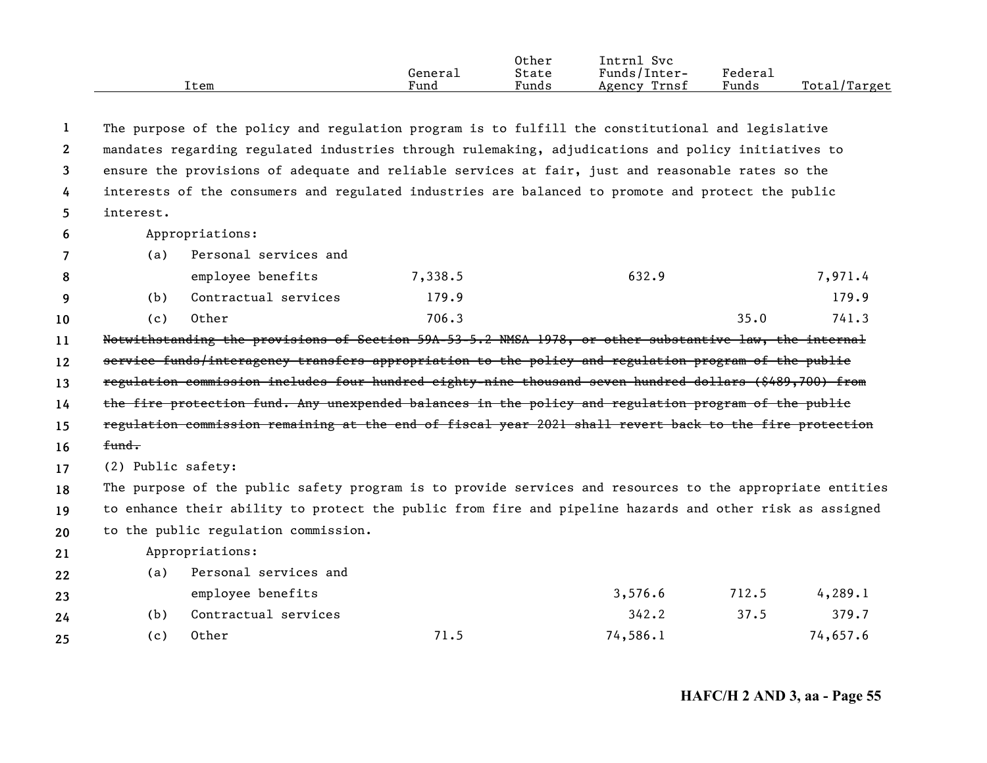|      | Generai | Other<br>State | Svc<br>[ntrnl<br>Funds/Inter- | Federal |              |
|------|---------|----------------|-------------------------------|---------|--------------|
| Item | Fund    | Funds          | Trnsf<br>Agency               | Funds   | Total/Target |

| 1              |                    | The purpose of the policy and regulation program is to fulfill the constitutional and legislative         |         |          |       |          |  |
|----------------|--------------------|-----------------------------------------------------------------------------------------------------------|---------|----------|-------|----------|--|
| $\mathbf{2}$   |                    | mandates regarding regulated industries through rulemaking, adjudications and policy initiatives to       |         |          |       |          |  |
| 3              |                    | ensure the provisions of adequate and reliable services at fair, just and reasonable rates so the         |         |          |       |          |  |
| 4              |                    | interests of the consumers and regulated industries are balanced to promote and protect the public        |         |          |       |          |  |
| 5.             | interest.          |                                                                                                           |         |          |       |          |  |
| 6              |                    | Appropriations:                                                                                           |         |          |       |          |  |
| $\overline{7}$ | (a)                | Personal services and                                                                                     |         |          |       |          |  |
| 8              |                    | employee benefits                                                                                         | 7,338.5 | 632.9    |       | 7,971.4  |  |
| 9              | (b)                | Contractual services                                                                                      | 179.9   |          |       | 179.9    |  |
| 10             | (c)                | Other                                                                                                     | 706.3   |          | 35.0  | 741.3    |  |
| 11             |                    | Notwithstanding the provisions of Section 59A-53-5.2 NMSA 1978, or other substantive law, the internal    |         |          |       |          |  |
| 12             |                    | service funds/interagency transfers appropriation to the policy and regulation program of the public      |         |          |       |          |  |
| 13             |                    | regulation commission includes four hundred eighty-nine thousand seven hundred dollars (\$489,700) from   |         |          |       |          |  |
| 14             |                    | the fire protection fund. Any unexpended balances in the policy and regulation program of the public      |         |          |       |          |  |
| 15             |                    | regulation commission remaining at the end of fiscal year 2021 shall revert back to the fire protection   |         |          |       |          |  |
| 16             | fund.              |                                                                                                           |         |          |       |          |  |
| 17             | (2) Public safety: |                                                                                                           |         |          |       |          |  |
| 18             |                    | The purpose of the public safety program is to provide services and resources to the appropriate entities |         |          |       |          |  |
| 19             |                    | to enhance their ability to protect the public from fire and pipeline hazards and other risk as assigned  |         |          |       |          |  |
| 20             |                    | to the public regulation commission.                                                                      |         |          |       |          |  |
| 21             |                    | Appropriations:                                                                                           |         |          |       |          |  |
| 22             | (a)                | Personal services and                                                                                     |         |          |       |          |  |
| 23             |                    | employee benefits                                                                                         |         | 3,576.6  | 712.5 | 4,289.1  |  |
| 24             | (b)                | Contractual services                                                                                      |         | 342.2    | 37.5  | 379.7    |  |
| 25             | (c)                | Other                                                                                                     | 71.5    | 74,586.1 |       | 74,657.6 |  |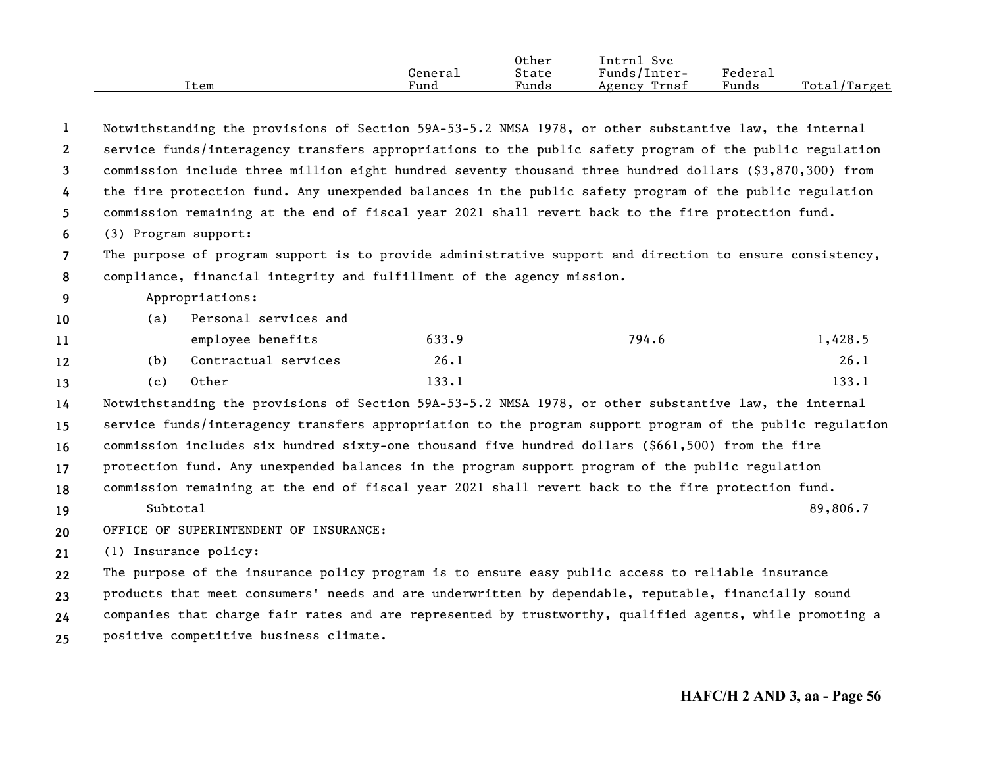|      |         | Other | $\sim$<br>Intrnl<br><b>Svc</b> |                     |                  |
|------|---------|-------|--------------------------------|---------------------|------------------|
|      | General | State | Funds/Inter-                   | "edera <sub>1</sub> |                  |
| Item | Fund    | Funds | Trnsf<br>Agency                | Funds               | Total,<br>Target |

| 1              |                                                                                                         |                                        |                                                                        | Notwithstanding the provisions of Section 59A-53-5.2 NMSA 1978, or other substantive law, the internal    |          |  |  |
|----------------|---------------------------------------------------------------------------------------------------------|----------------------------------------|------------------------------------------------------------------------|-----------------------------------------------------------------------------------------------------------|----------|--|--|
| $\mathbf{2}$   |                                                                                                         |                                        |                                                                        | service funds/interagency transfers appropriations to the public safety program of the public regulation  |          |  |  |
| 3              |                                                                                                         |                                        |                                                                        | commission include three million eight hundred seventy thousand three hundred dollars (\$3,870,300) from  |          |  |  |
| 4              | the fire protection fund. Any unexpended balances in the public safety program of the public regulation |                                        |                                                                        |                                                                                                           |          |  |  |
| 5              |                                                                                                         |                                        |                                                                        | commission remaining at the end of fiscal year 2021 shall revert back to the fire protection fund.        |          |  |  |
| 6              | (3) Program support:                                                                                    |                                        |                                                                        |                                                                                                           |          |  |  |
| $\overline{7}$ |                                                                                                         |                                        |                                                                        | The purpose of program support is to provide administrative support and direction to ensure consistency,  |          |  |  |
| 8              |                                                                                                         |                                        | compliance, financial integrity and fulfillment of the agency mission. |                                                                                                           |          |  |  |
| 9              |                                                                                                         | Appropriations:                        |                                                                        |                                                                                                           |          |  |  |
| 10             | (a)                                                                                                     | Personal services and                  |                                                                        |                                                                                                           |          |  |  |
| 11             |                                                                                                         | employee benefits                      | 633.9                                                                  | 794.6                                                                                                     | 1,428.5  |  |  |
| 12             | (b)                                                                                                     | Contractual services                   | 26.1                                                                   |                                                                                                           | 26.1     |  |  |
| 13             | (c)                                                                                                     | Other                                  | 133.1                                                                  |                                                                                                           | 133.1    |  |  |
| 14             |                                                                                                         |                                        |                                                                        | Notwithstanding the provisions of Section 59A-53-5.2 NMSA 1978, or other substantive law, the internal    |          |  |  |
| 15             |                                                                                                         |                                        |                                                                        | service funds/interagency transfers appropriation to the program support program of the public regulation |          |  |  |
| 16             |                                                                                                         |                                        |                                                                        | commission includes six hundred sixty-one thousand five hundred dollars (\$661,500) from the fire         |          |  |  |
| 17             |                                                                                                         |                                        |                                                                        | protection fund. Any unexpended balances in the program support program of the public regulation          |          |  |  |
| 18             |                                                                                                         |                                        |                                                                        | commission remaining at the end of fiscal year 2021 shall revert back to the fire protection fund.        |          |  |  |
| 19             | Subtotal                                                                                                |                                        |                                                                        |                                                                                                           | 89,806.7 |  |  |
| 20             |                                                                                                         | OFFICE OF SUPERINTENDENT OF INSURANCE: |                                                                        |                                                                                                           |          |  |  |
| 21             |                                                                                                         | (1) Insurance policy:                  |                                                                        |                                                                                                           |          |  |  |
| 22             |                                                                                                         |                                        |                                                                        | The purpose of the insurance policy program is to ensure easy public access to reliable insurance         |          |  |  |
| 23             |                                                                                                         |                                        |                                                                        | products that meet consumers' needs and are underwritten by dependable, reputable, financially sound      |          |  |  |
| 24             |                                                                                                         |                                        |                                                                        | companies that charge fair rates and are represented by trustworthy, qualified agents, while promoting a  |          |  |  |
| 25             |                                                                                                         | positive competitive business climate. |                                                                        |                                                                                                           |          |  |  |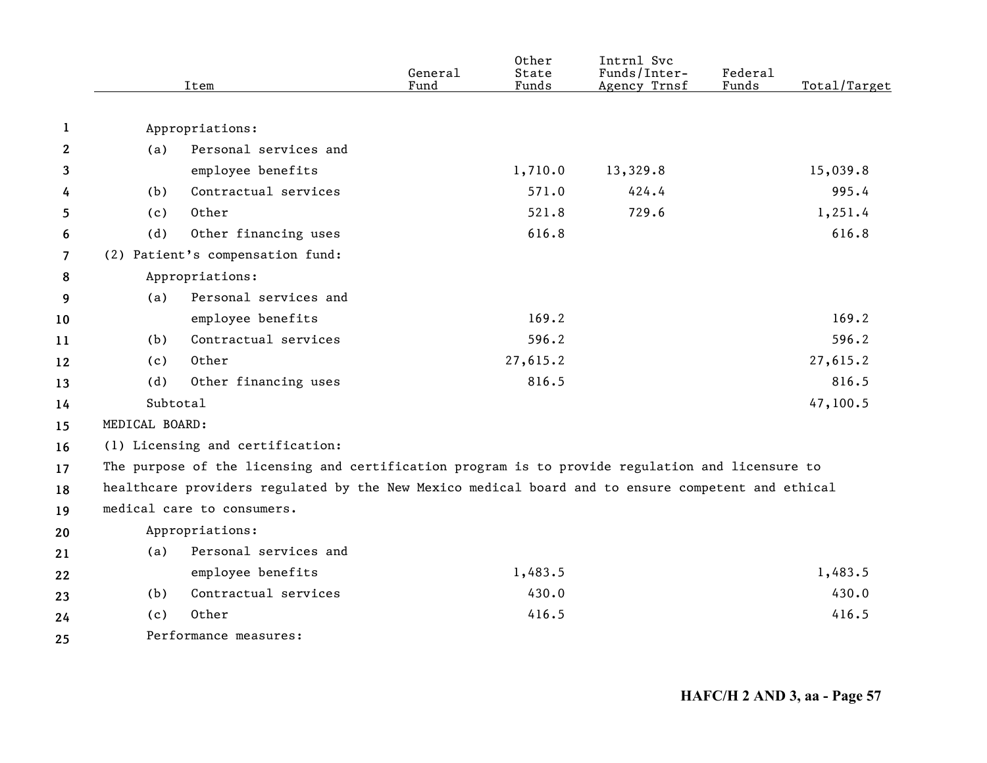|                | Item           |                                                                                                    | General<br>Fund | Other<br>State<br>Funds | Intrnl Svc<br>Funds/Inter-<br>Agency Trnsf | Federal<br>Funds | Total/Target |
|----------------|----------------|----------------------------------------------------------------------------------------------------|-----------------|-------------------------|--------------------------------------------|------------------|--------------|
| 1              |                | Appropriations:                                                                                    |                 |                         |                                            |                  |              |
| $\mathbf{2}$   | (a)            | Personal services and                                                                              |                 |                         |                                            |                  |              |
| 3              |                | employee benefits                                                                                  |                 | 1,710.0                 | 13,329.8                                   |                  | 15,039.8     |
| 4              | (b)            | Contractual services                                                                               |                 | 571.0                   | 424.4                                      |                  | 995.4        |
| 5              | (c)            | Other                                                                                              |                 | 521.8                   | 729.6                                      |                  | 1,251.4      |
| 6              | (d)            | Other financing uses                                                                               |                 | 616.8                   |                                            |                  | 616.8        |
| $\overline{7}$ |                | (2) Patient's compensation fund:                                                                   |                 |                         |                                            |                  |              |
| 8              |                | Appropriations:                                                                                    |                 |                         |                                            |                  |              |
| 9              | (a)            | Personal services and                                                                              |                 |                         |                                            |                  |              |
| 10             |                | employee benefits                                                                                  |                 | 169.2                   |                                            |                  | 169.2        |
| 11             | (b)            | Contractual services                                                                               |                 | 596.2                   |                                            |                  | 596.2        |
| 12             | (c)            | Other                                                                                              |                 | 27,615.2                |                                            |                  | 27,615.2     |
| 13             | (d)            | Other financing uses                                                                               |                 | 816.5                   |                                            |                  | 816.5        |
| 14             | Subtotal       |                                                                                                    |                 |                         |                                            |                  | 47,100.5     |
| 15             | MEDICAL BOARD: |                                                                                                    |                 |                         |                                            |                  |              |
| 16             |                | (1) Licensing and certification:                                                                   |                 |                         |                                            |                  |              |
| 17             |                | The purpose of the licensing and certification program is to provide regulation and licensure to   |                 |                         |                                            |                  |              |
| 18             |                | healthcare providers regulated by the New Mexico medical board and to ensure competent and ethical |                 |                         |                                            |                  |              |
| 19             |                | medical care to consumers.                                                                         |                 |                         |                                            |                  |              |
| 20             |                | Appropriations:                                                                                    |                 |                         |                                            |                  |              |
| 21             | (a)            | Personal services and                                                                              |                 |                         |                                            |                  |              |
| 22             |                | employee benefits                                                                                  |                 | 1,483.5                 |                                            |                  | 1,483.5      |
| 23             | (b)            | Contractual services                                                                               |                 | 430.0                   |                                            |                  | 430.0        |
| 24             | (c)            | Other                                                                                              |                 | 416.5                   |                                            |                  | 416.5        |
| 25             |                | Performance measures:                                                                              |                 |                         |                                            |                  |              |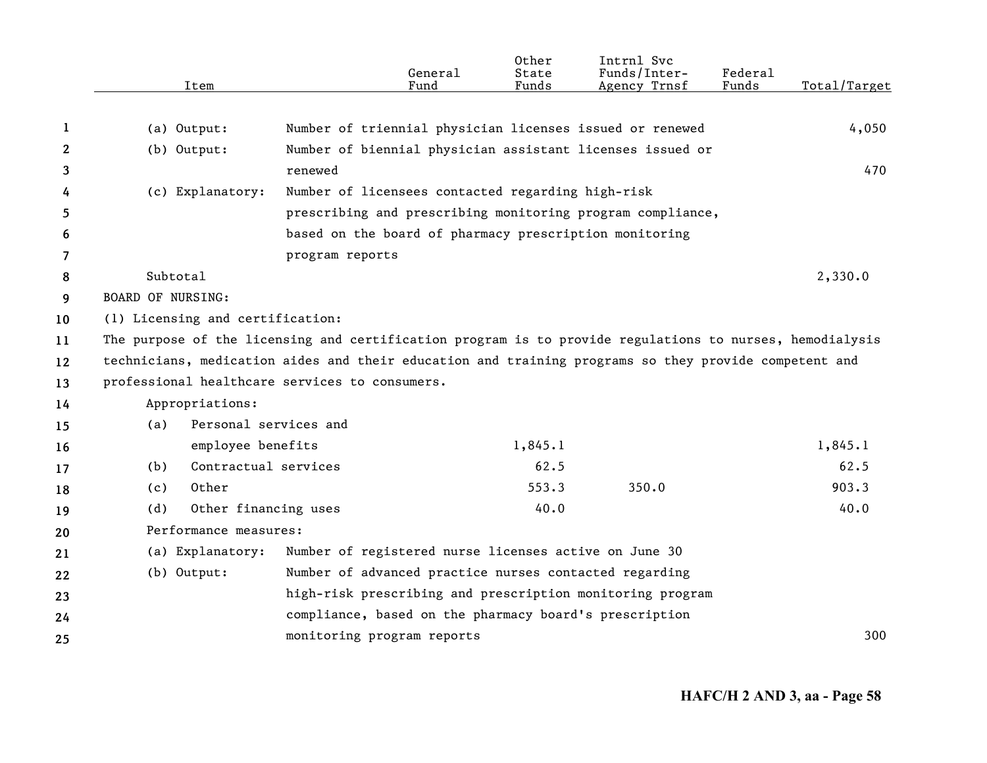|              | Item                             | General<br>Fund                                                                                          | Other<br>State<br>Funds | Intrnl Svc<br>Funds/Inter-<br>Agency Trnsf | Federal<br>Funds | Total/Target |
|--------------|----------------------------------|----------------------------------------------------------------------------------------------------------|-------------------------|--------------------------------------------|------------------|--------------|
|              |                                  |                                                                                                          |                         |                                            |                  |              |
| 1            | (a) Output:                      | Number of triennial physician licenses issued or renewed                                                 |                         |                                            |                  | 4,050        |
| $\mathbf{2}$ | $(b)$ Output:                    | Number of biennial physician assistant licenses issued or                                                |                         |                                            |                  |              |
| 3            |                                  | renewed                                                                                                  |                         |                                            |                  | 470          |
| 4            | (c) Explanatory:                 | Number of licensees contacted regarding high-risk                                                        |                         |                                            |                  |              |
| 5.           |                                  | prescribing and prescribing monitoring program compliance,                                               |                         |                                            |                  |              |
| 6            |                                  | based on the board of pharmacy prescription monitoring                                                   |                         |                                            |                  |              |
| 7            |                                  | program reports                                                                                          |                         |                                            |                  |              |
| 8            | Subtotal                         |                                                                                                          |                         |                                            |                  | 2,330.0      |
| 9            | <b>BOARD OF NURSING:</b>         |                                                                                                          |                         |                                            |                  |              |
| 10           | (1) Licensing and certification: |                                                                                                          |                         |                                            |                  |              |
| 11           |                                  | The purpose of the licensing and certification program is to provide regulations to nurses, hemodialysis |                         |                                            |                  |              |
| 12           |                                  | technicians, medication aides and their education and training programs so they provide competent and    |                         |                                            |                  |              |
| 13           |                                  | professional healthcare services to consumers.                                                           |                         |                                            |                  |              |
| 14           | Appropriations:                  |                                                                                                          |                         |                                            |                  |              |
| 15           | (a)                              | Personal services and                                                                                    |                         |                                            |                  |              |
| 16           | employee benefits                |                                                                                                          | 1,845.1                 |                                            |                  | 1,845.1      |
| 17           | Contractual services<br>(b)      |                                                                                                          | 62.5                    |                                            |                  | 62.5         |
| 18           | Other<br>(c)                     |                                                                                                          | 553.3                   | 350.0                                      |                  | 903.3        |
| 19           | Other financing uses<br>(d)      |                                                                                                          | 40.0                    |                                            |                  | 40.0         |
| 20           | Performance measures:            |                                                                                                          |                         |                                            |                  |              |
| 21           | (a) Explanatory:                 | Number of registered nurse licenses active on June 30                                                    |                         |                                            |                  |              |
| 22           | $(b)$ Output:                    | Number of advanced practice nurses contacted regarding                                                   |                         |                                            |                  |              |
| 23           |                                  | high-risk prescribing and prescription monitoring program                                                |                         |                                            |                  |              |
| 24           |                                  | compliance, based on the pharmacy board's prescription                                                   |                         |                                            |                  |              |
| 25           |                                  | monitoring program reports                                                                               |                         |                                            |                  | 300          |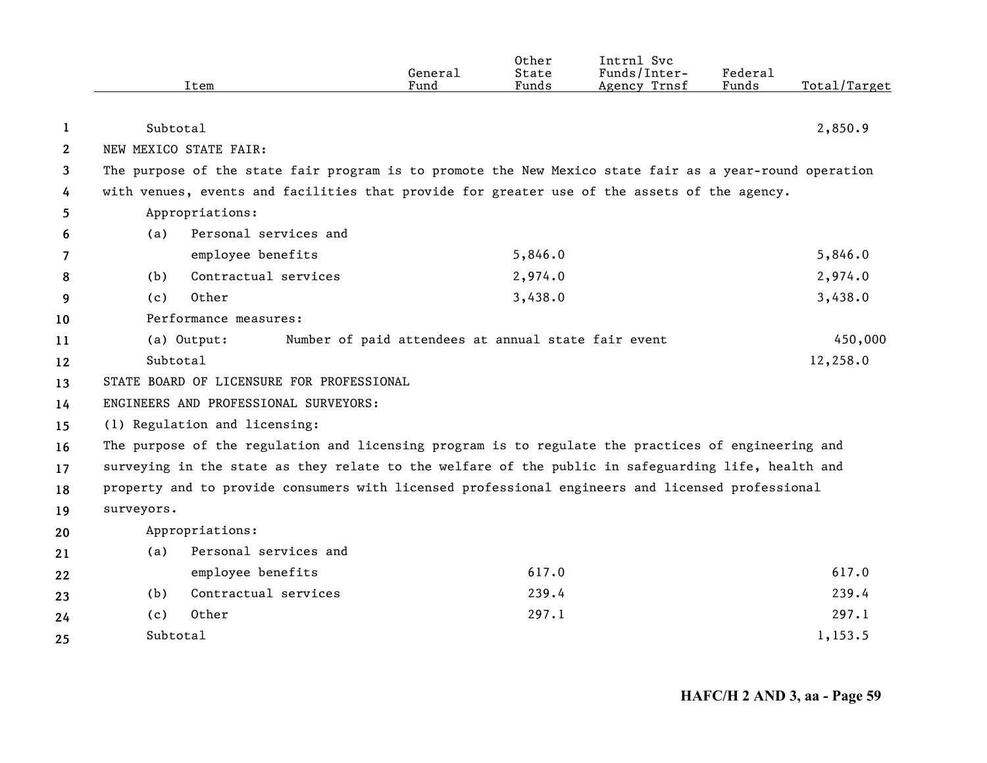|              | Item                                                                                                    | General<br>Fund                                     | Other<br>State<br>Funds | Intrnl Svc<br>Funds/Inter-<br>Agency Trnsf | Federal<br>Funds | Total/Target |
|--------------|---------------------------------------------------------------------------------------------------------|-----------------------------------------------------|-------------------------|--------------------------------------------|------------------|--------------|
|              |                                                                                                         |                                                     |                         |                                            |                  |              |
| 1            | Subtotal                                                                                                |                                                     |                         |                                            |                  | 2,850.9      |
| $\mathbf{2}$ | NEW MEXICO STATE FAIR:                                                                                  |                                                     |                         |                                            |                  |              |
| 3            | The purpose of the state fair program is to promote the New Mexico state fair as a year-round operation |                                                     |                         |                                            |                  |              |
| 4            | with venues, events and facilities that provide for greater use of the assets of the agency.            |                                                     |                         |                                            |                  |              |
| 5            | Appropriations:                                                                                         |                                                     |                         |                                            |                  |              |
| 6            | Personal services and<br>(a)                                                                            |                                                     |                         |                                            |                  |              |
| 7            | employee benefits                                                                                       |                                                     | 5,846.0                 |                                            |                  | 5,846.0      |
| 8            | Contractual services<br>(b)                                                                             |                                                     | 2,974.0                 |                                            |                  | 2,974.0      |
| 9            | Other<br>(c)                                                                                            |                                                     | 3,438.0                 |                                            |                  | 3,438.0      |
| 10           | Performance measures:                                                                                   |                                                     |                         |                                            |                  |              |
| 11           | (a) Output:                                                                                             | Number of paid attendees at annual state fair event |                         |                                            |                  | 450,000      |
| 12           | Subtotal                                                                                                |                                                     |                         |                                            |                  | 12,258.0     |
| 13           | STATE BOARD OF LICENSURE FOR PROFESSIONAL                                                               |                                                     |                         |                                            |                  |              |
| 14           | ENGINEERS AND PROFESSIONAL SURVEYORS:                                                                   |                                                     |                         |                                            |                  |              |
| 15           | (1) Regulation and licensing:                                                                           |                                                     |                         |                                            |                  |              |
| 16           | The purpose of the regulation and licensing program is to regulate the practices of engineering and     |                                                     |                         |                                            |                  |              |
| 17           | surveying in the state as they relate to the welfare of the public in safeguarding life, health and     |                                                     |                         |                                            |                  |              |
| 18           | property and to provide consumers with licensed professional engineers and licensed professional        |                                                     |                         |                                            |                  |              |
| 19           | surveyors.                                                                                              |                                                     |                         |                                            |                  |              |
| 20           | Appropriations:                                                                                         |                                                     |                         |                                            |                  |              |
| 21           | Personal services and<br>(a)                                                                            |                                                     |                         |                                            |                  |              |
| 22           | employee benefits                                                                                       |                                                     | 617.0                   |                                            |                  | 617.0        |
| 23           | Contractual services<br>(b)                                                                             |                                                     | 239.4                   |                                            |                  | 239.4        |
| 24           | Other<br>(c)                                                                                            |                                                     | 297.1                   |                                            |                  | 297.1        |
| 25           | Subtotal                                                                                                |                                                     |                         |                                            |                  | 1,153.5      |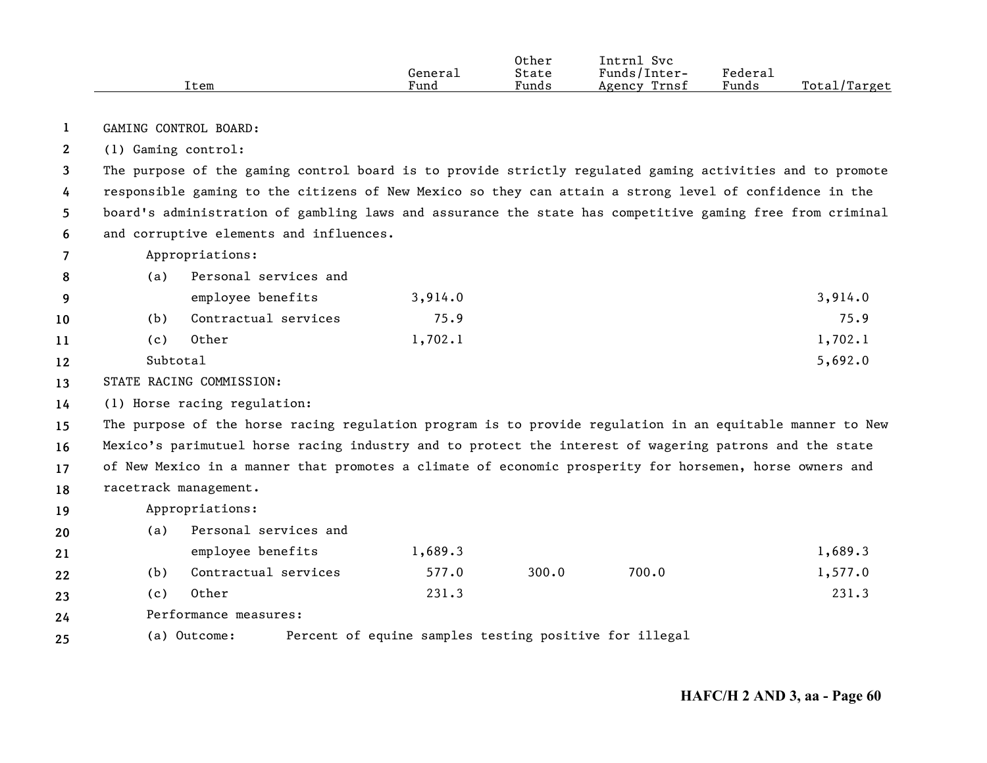|      |         | Other | Intrnl<br>Svc   |         |                   |
|------|---------|-------|-----------------|---------|-------------------|
|      | Genera⊥ | State | Funds/Inter-    | Federau |                   |
| Item | Fund    | Funds | Trnsf<br>Agency | Funds   | Total,<br>'Target |

**1**GAMING CONTROL BOARD:

**2**(1) Gaming control:

**3456**The purpose of the gaming control board is to provide strictly regulated gaming activities and to promote responsible gaming to the citizens of New Mexico so they can attain a strong level of confidence in the board's administration of gambling laws and assurance the state has competitive gaming free from criminal and corruptive elements and influences.

**7**Appropriations:

|          | (a)      | Personal services and |         |         |
|----------|----------|-----------------------|---------|---------|
| <b>q</b> |          | employee benefits     | 3,914.0 | 3,914.0 |
| 10       | (b)      | Contractual services  | 75.9    | 75.9    |
| 11       | (c)      | Other                 | 1,702.1 | 1,702.1 |
| 12       | Subtotal |                       |         | 5,692.0 |

**13**STATE RACING COMMISSION:

**14**(1) Horse racing regulation:

**15161718**The purpose of the horse racing regulation program is to provide regulation in an equitable manner to New Mexico's parimutuel horse racing industry and to protect the interest of wagering patrons and the state of New Mexico in a manner that promotes a climate of economic prosperity for horsemen, horse owners and racetrack management.

**19**Appropriations:

| 20 | (a) | Personal services and |         |       |       |         |
|----|-----|-----------------------|---------|-------|-------|---------|
| 21 |     | employee benefits     | 1,689.3 |       |       | 1,689.3 |
| 22 | (b) | Contractual services  | 577.0   | 300.0 | 700.0 | 1,577.0 |
| 23 | (c) | Other                 | 231.3   |       |       | 231.3   |
| 24 |     | Performance measures: |         |       |       |         |

**25**(a) Outcome: Percent of equine samples testing positive for illegal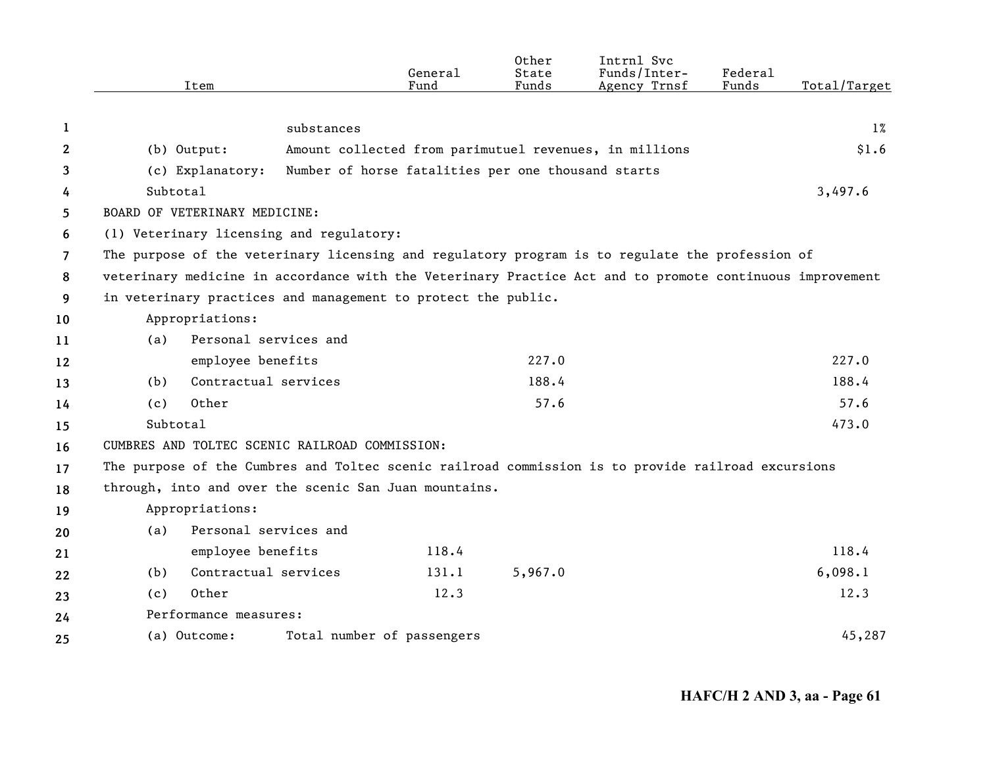|                | Item                                                                                                     |                       | General<br>Fund                                    | State<br>Funds | Funds/Inter-<br>Agency Trnsf                           | Federal<br>Funds | Total/Target |
|----------------|----------------------------------------------------------------------------------------------------------|-----------------------|----------------------------------------------------|----------------|--------------------------------------------------------|------------------|--------------|
|                |                                                                                                          |                       |                                                    |                |                                                        |                  |              |
| 1              |                                                                                                          | substances            |                                                    |                |                                                        |                  | $1\%$        |
| $\mathbf{2}$   | (b) Output:                                                                                              |                       |                                                    |                | Amount collected from parimutuel revenues, in millions |                  | \$1.6        |
| 3              | (c) Explanatory:                                                                                         |                       | Number of horse fatalities per one thousand starts |                |                                                        |                  |              |
| 4              | Subtotal                                                                                                 |                       |                                                    |                |                                                        |                  | 3,497.6      |
| 5              | BOARD OF VETERINARY MEDICINE:                                                                            |                       |                                                    |                |                                                        |                  |              |
| 6              | (1) Veterinary licensing and regulatory:                                                                 |                       |                                                    |                |                                                        |                  |              |
| $\overline{7}$ | The purpose of the veterinary licensing and regulatory program is to regulate the profession of          |                       |                                                    |                |                                                        |                  |              |
| 8              | veterinary medicine in accordance with the Veterinary Practice Act and to promote continuous improvement |                       |                                                    |                |                                                        |                  |              |
| 9              | in veterinary practices and management to protect the public.                                            |                       |                                                    |                |                                                        |                  |              |
| 10             | Appropriations:                                                                                          |                       |                                                    |                |                                                        |                  |              |
| 11             | (a)                                                                                                      | Personal services and |                                                    |                |                                                        |                  |              |
| 12             | employee benefits                                                                                        |                       |                                                    | 227.0          |                                                        |                  | 227.0        |
| 13             | (b)                                                                                                      | Contractual services  |                                                    | 188.4          |                                                        |                  | 188.4        |
| 14             | Other<br>(c)                                                                                             |                       |                                                    | 57.6           |                                                        |                  | 57.6         |
| 15             | Subtotal                                                                                                 |                       |                                                    |                |                                                        |                  | 473.0        |
| 16             | CUMBRES AND TOLTEC SCENIC RAILROAD COMMISSION:                                                           |                       |                                                    |                |                                                        |                  |              |
| 17             | The purpose of the Cumbres and Toltec scenic railroad commission is to provide railroad excursions       |                       |                                                    |                |                                                        |                  |              |
| 18             | through, into and over the scenic San Juan mountains.                                                    |                       |                                                    |                |                                                        |                  |              |
| 19             | Appropriations:                                                                                          |                       |                                                    |                |                                                        |                  |              |
| 20             | (a)                                                                                                      | Personal services and |                                                    |                |                                                        |                  |              |
| 21             | employee benefits                                                                                        |                       | 118.4                                              |                |                                                        |                  | 118.4        |
| 22             | (b)                                                                                                      | Contractual services  | 131.1                                              | 5,967.0        |                                                        |                  | 6,098.1      |
| 23             | Other<br>(c)                                                                                             |                       | 12.3                                               |                |                                                        |                  | 12.3         |
| 24             | Performance measures:                                                                                    |                       |                                                    |                |                                                        |                  |              |
| 25             | (a) Outcome:                                                                                             |                       | Total number of passengers                         |                |                                                        |                  | 45,287       |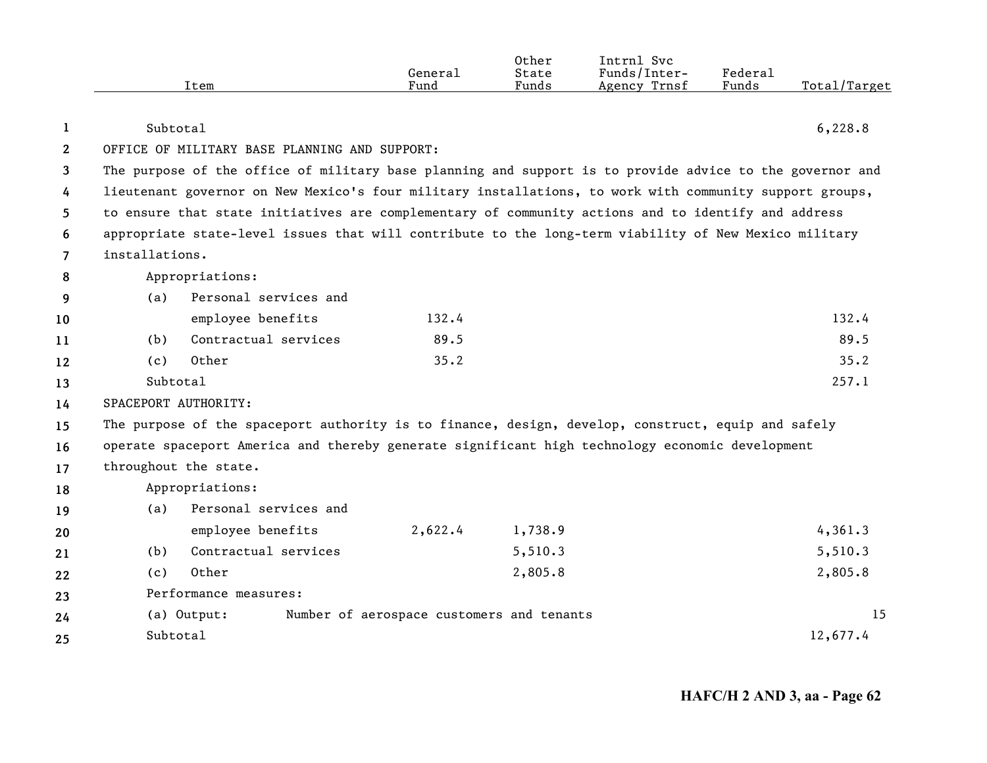|      | General | Other<br>State | Intrnl<br>Svc<br>Funds/Inter- | Federal |              |
|------|---------|----------------|-------------------------------|---------|--------------|
|      |         |                |                               |         |              |
| Item | Fund    | Funds          | Trnsf<br>Agency               | Funds   | Total/Target |

| 1              | Subtotal             |                                                                                                       |                                           |         | 6,228.8                                                                                                  |
|----------------|----------------------|-------------------------------------------------------------------------------------------------------|-------------------------------------------|---------|----------------------------------------------------------------------------------------------------------|
| $\mathbf{2}$   |                      | OFFICE OF MILITARY BASE PLANNING AND SUPPORT:                                                         |                                           |         |                                                                                                          |
| 3              |                      |                                                                                                       |                                           |         | The purpose of the office of military base planning and support is to provide advice to the governor and |
| 4              |                      |                                                                                                       |                                           |         | lieutenant governor on New Mexico's four military installations, to work with community support groups,  |
| 5              |                      | to ensure that state initiatives are complementary of community actions and to identify and address   |                                           |         |                                                                                                          |
| 6              |                      | appropriate state-level issues that will contribute to the long-term viability of New Mexico military |                                           |         |                                                                                                          |
| $\overline{7}$ | installations.       |                                                                                                       |                                           |         |                                                                                                          |
| 8              |                      | Appropriations:                                                                                       |                                           |         |                                                                                                          |
| 9              | (a)                  | Personal services and                                                                                 |                                           |         |                                                                                                          |
| 10             |                      | employee benefits                                                                                     | 132.4                                     |         | 132.4                                                                                                    |
| 11             | (b)                  | Contractual services                                                                                  | 89.5                                      |         | 89.5                                                                                                     |
| 12             | (c)                  | Other                                                                                                 | 35.2                                      |         | 35.2                                                                                                     |
| 13             | Subtotal             |                                                                                                       |                                           |         | 257.1                                                                                                    |
| 14             | SPACEPORT AUTHORITY: |                                                                                                       |                                           |         |                                                                                                          |
| 15             |                      | The purpose of the spaceport authority is to finance, design, develop, construct, equip and safely    |                                           |         |                                                                                                          |
| 16             |                      | operate spaceport America and thereby generate significant high technology economic development       |                                           |         |                                                                                                          |
| 17             |                      | throughout the state.                                                                                 |                                           |         |                                                                                                          |
| 18             |                      | Appropriations:                                                                                       |                                           |         |                                                                                                          |
| 19             | (a)                  | Personal services and                                                                                 |                                           |         |                                                                                                          |
| 20             |                      | employee benefits                                                                                     | 2,622.4                                   | 1,738.9 | 4,361.3                                                                                                  |
| 21             | (b)                  | Contractual services                                                                                  |                                           | 5,510.3 | 5,510.3                                                                                                  |
| 22             | (c)                  | Other                                                                                                 |                                           | 2,805.8 | 2,805.8                                                                                                  |
| 23             |                      | Performance measures:                                                                                 |                                           |         |                                                                                                          |
| 24             |                      | (a) Output:                                                                                           | Number of aerospace customers and tenants |         | 15                                                                                                       |
| 25             | Subtotal             |                                                                                                       |                                           |         | 12,677.4                                                                                                 |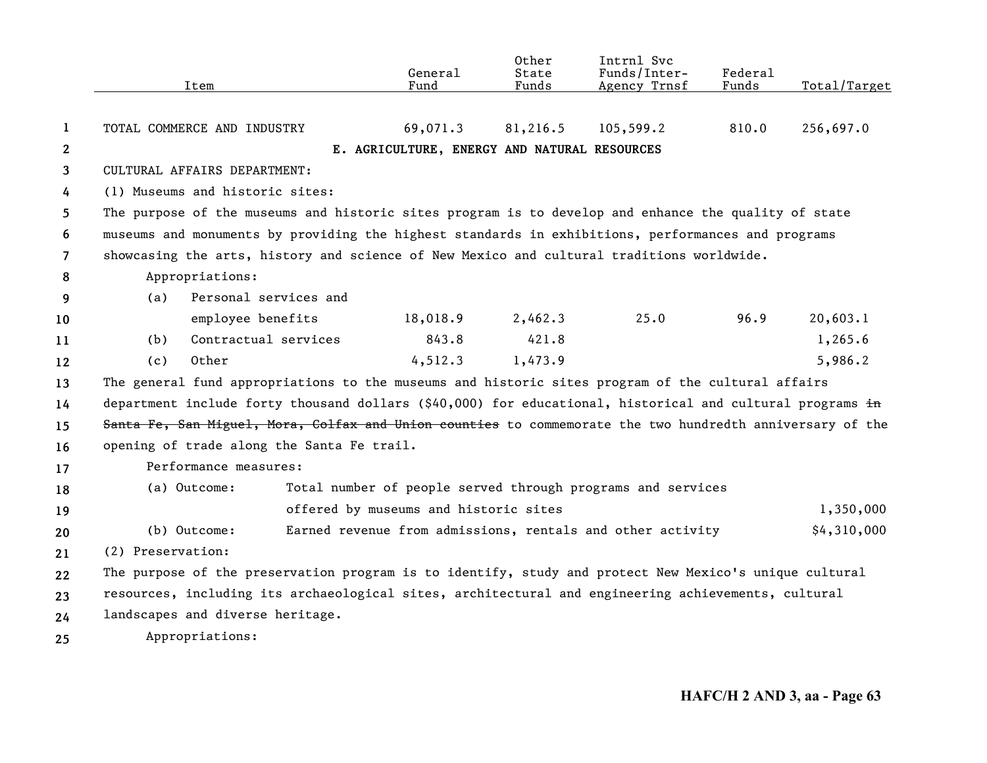|                |                   | Item                                                                                                 |                                            | General<br>Fund                              | Other<br>State<br>Funds | Intrnl Svc<br>Funds/Inter-<br>Agency Trnsf                                                                | Federal<br>Funds | Total/Target |
|----------------|-------------------|------------------------------------------------------------------------------------------------------|--------------------------------------------|----------------------------------------------|-------------------------|-----------------------------------------------------------------------------------------------------------|------------------|--------------|
|                |                   |                                                                                                      |                                            |                                              |                         |                                                                                                           |                  |              |
| 1              |                   | TOTAL COMMERCE AND INDUSTRY                                                                          |                                            | 69,071.3                                     | 81,216.5                | 105,599.2                                                                                                 | 810.0            | 256,697.0    |
| $\mathbf{2}$   |                   |                                                                                                      |                                            | E. AGRICULTURE, ENERGY AND NATURAL RESOURCES |                         |                                                                                                           |                  |              |
| 3              |                   | CULTURAL AFFAIRS DEPARTMENT:                                                                         |                                            |                                              |                         |                                                                                                           |                  |              |
| 4              |                   | (1) Museums and historic sites:                                                                      |                                            |                                              |                         |                                                                                                           |                  |              |
| 5.             |                   | The purpose of the museums and historic sites program is to develop and enhance the quality of state |                                            |                                              |                         |                                                                                                           |                  |              |
| 6              |                   |                                                                                                      |                                            |                                              |                         | museums and monuments by providing the highest standards in exhibitions, performances and programs        |                  |              |
| $\overline{7}$ |                   |                                                                                                      |                                            |                                              |                         | showcasing the arts, history and science of New Mexico and cultural traditions worldwide.                 |                  |              |
| 8              |                   | Appropriations:                                                                                      |                                            |                                              |                         |                                                                                                           |                  |              |
| 9              | (a)               |                                                                                                      | Personal services and                      |                                              |                         |                                                                                                           |                  |              |
| 10             |                   | employee benefits                                                                                    |                                            | 18,018.9                                     | 2,462.3                 | 25.0                                                                                                      | 96.9             | 20,603.1     |
| 11             | (b)               | Contractual services                                                                                 |                                            | 843.8                                        | 421.8                   |                                                                                                           |                  | 1,265.6      |
| 12             | (c)               | Other                                                                                                |                                            | 4,512.3                                      | 1,473.9                 |                                                                                                           |                  | 5,986.2      |
| 13             |                   |                                                                                                      |                                            |                                              |                         | The general fund appropriations to the museums and historic sites program of the cultural affairs         |                  |              |
| 14             |                   |                                                                                                      |                                            |                                              |                         | department include forty thousand dollars (\$40,000) for educational, historical and cultural programs in |                  |              |
| 15             |                   |                                                                                                      |                                            |                                              |                         | Santa Fe, San Miguel, Mora, Colfax and Union counties to commemorate the two hundredth anniversary of the |                  |              |
| 16             |                   |                                                                                                      | opening of trade along the Santa Fe trail. |                                              |                         |                                                                                                           |                  |              |
| 17             |                   | Performance measures:                                                                                |                                            |                                              |                         |                                                                                                           |                  |              |
| 18             |                   | (a) Outcome:                                                                                         |                                            |                                              |                         | Total number of people served through programs and services                                               |                  |              |
| 19             |                   |                                                                                                      |                                            | offered by museums and historic sites        |                         |                                                                                                           |                  | 1,350,000    |
| 20             |                   | (b) Outcome:                                                                                         |                                            |                                              |                         | Earned revenue from admissions, rentals and other activity                                                |                  | \$4,310,000  |
| 21             | (2) Preservation: |                                                                                                      |                                            |                                              |                         |                                                                                                           |                  |              |
| 22             |                   |                                                                                                      |                                            |                                              |                         | The purpose of the preservation program is to identify, study and protect New Mexico's unique cultural    |                  |              |
| 23             |                   |                                                                                                      |                                            |                                              |                         | resources, including its archaeological sites, architectural and engineering achievements, cultural       |                  |              |
| 24             |                   | landscapes and diverse heritage.                                                                     |                                            |                                              |                         |                                                                                                           |                  |              |
| 25             |                   | Appropriations:                                                                                      |                                            |                                              |                         |                                                                                                           |                  |              |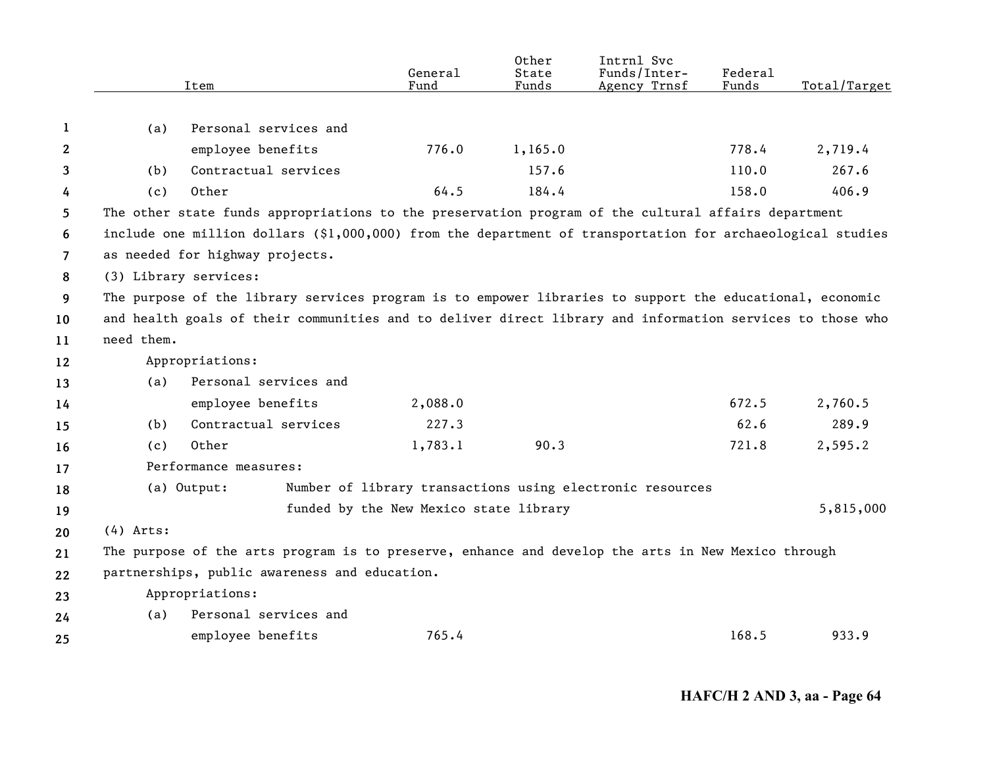|                |             | Item                                                                                                       | General<br>Fund                        | 0ther<br>State<br>Funds | Intrnl Svc<br>Funds/Inter-<br>Agency Trnsf                | <b>Federal</b><br>Funds | Total/Target |
|----------------|-------------|------------------------------------------------------------------------------------------------------------|----------------------------------------|-------------------------|-----------------------------------------------------------|-------------------------|--------------|
|                |             |                                                                                                            |                                        |                         |                                                           |                         |              |
| 1              | (a)         | Personal services and                                                                                      |                                        |                         |                                                           |                         |              |
| 2              |             | employee benefits                                                                                          | 776.0                                  | 1,165.0                 |                                                           | 778.4                   | 2,719.4      |
| 3              | (b)         | Contractual services                                                                                       |                                        | 157.6                   |                                                           | 110.0                   | 267.6        |
| 4              | (c)         | Other                                                                                                      | 64.5                                   | 184.4                   |                                                           | 158.0                   | 406.9        |
| 5              |             | The other state funds appropriations to the preservation program of the cultural affairs department        |                                        |                         |                                                           |                         |              |
| 6              |             | include one million dollars (\$1,000,000) from the department of transportation for archaeological studies |                                        |                         |                                                           |                         |              |
| $\overline{7}$ |             | as needed for highway projects.                                                                            |                                        |                         |                                                           |                         |              |
| 8              |             | (3) Library services:                                                                                      |                                        |                         |                                                           |                         |              |
| 9              |             | The purpose of the library services program is to empower libraries to support the educational, economic   |                                        |                         |                                                           |                         |              |
| 10             |             | and health goals of their communities and to deliver direct library and information services to those who  |                                        |                         |                                                           |                         |              |
| 11             | need them.  |                                                                                                            |                                        |                         |                                                           |                         |              |
| 12             |             | Appropriations:                                                                                            |                                        |                         |                                                           |                         |              |
| 13             | (a)         | Personal services and                                                                                      |                                        |                         |                                                           |                         |              |
| 14             |             | employee benefits                                                                                          | 2,088.0                                |                         |                                                           | 672.5                   | 2,760.5      |
| 15             | (b)         | Contractual services                                                                                       | 227.3                                  |                         |                                                           | 62.6                    | 289.9        |
| 16             | (c)         | Other                                                                                                      | 1,783.1                                | 90.3                    |                                                           | 721.8                   | 2,595.2      |
| 17             |             | Performance measures:                                                                                      |                                        |                         |                                                           |                         |              |
| 18             |             | (a) Output:                                                                                                |                                        |                         | Number of library transactions using electronic resources |                         |              |
| 19             |             |                                                                                                            | funded by the New Mexico state library |                         |                                                           |                         | 5,815,000    |
| 20             | $(4)$ Arts: |                                                                                                            |                                        |                         |                                                           |                         |              |
| 21             |             | The purpose of the arts program is to preserve, enhance and develop the arts in New Mexico through         |                                        |                         |                                                           |                         |              |
| 22             |             | partnerships, public awareness and education.                                                              |                                        |                         |                                                           |                         |              |
| 23             |             | Appropriations:                                                                                            |                                        |                         |                                                           |                         |              |
| 24             | (a)         | Personal services and                                                                                      |                                        |                         |                                                           |                         |              |
| 25             |             | employee benefits                                                                                          | 765.4                                  |                         |                                                           | 168.5                   | 933.9        |
|                |             |                                                                                                            |                                        |                         |                                                           |                         |              |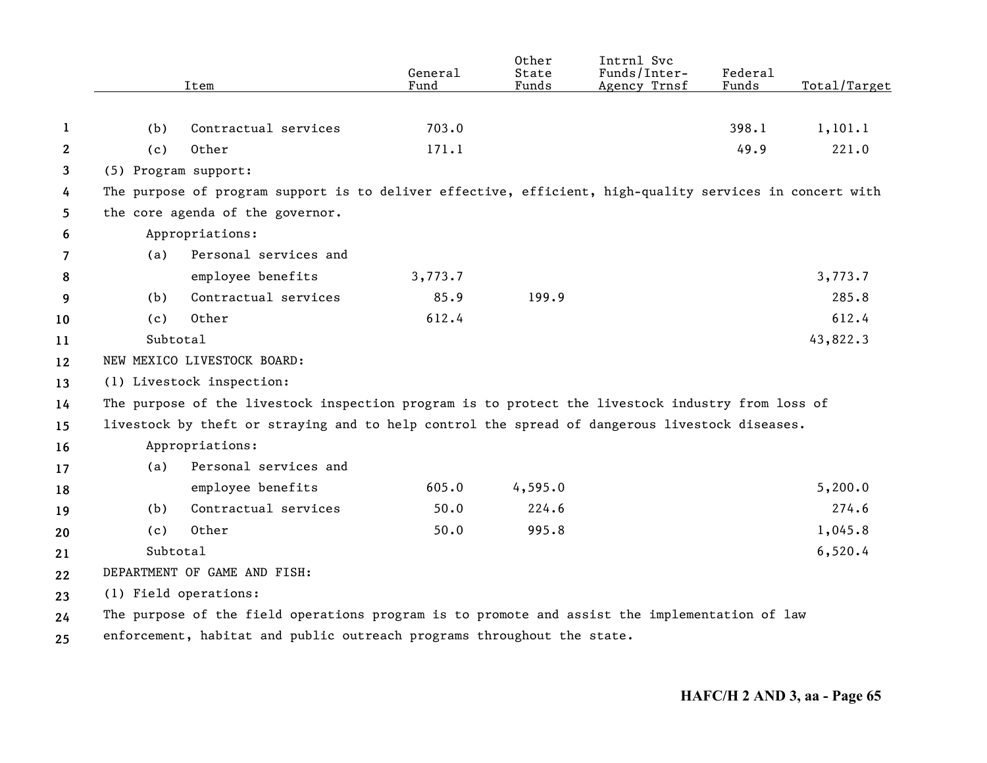|                |                      | Item                                                                                                     | General<br>Fund | Other<br>State<br>Funds | Intrnl Svc<br>Funds/Inter-<br>Agency Trnsf | Federal<br>Funds | Total/Target |
|----------------|----------------------|----------------------------------------------------------------------------------------------------------|-----------------|-------------------------|--------------------------------------------|------------------|--------------|
|                |                      |                                                                                                          |                 |                         |                                            |                  |              |
| 1              | (b)                  | Contractual services                                                                                     | 703.0           |                         |                                            | 398.1            | 1, 101.1     |
| $\mathbf{2}$   | (c)                  | Other                                                                                                    | 171.1           |                         |                                            | 49.9             | 221.0        |
| 3              | (5) Program support: |                                                                                                          |                 |                         |                                            |                  |              |
| 4              |                      | The purpose of program support is to deliver effective, efficient, high-quality services in concert with |                 |                         |                                            |                  |              |
| 5              |                      | the core agenda of the governor.                                                                         |                 |                         |                                            |                  |              |
| 6              |                      | Appropriations:                                                                                          |                 |                         |                                            |                  |              |
| $\overline{7}$ | (a)                  | Personal services and                                                                                    |                 |                         |                                            |                  |              |
| 8              |                      | employee benefits                                                                                        | 3,773.7         |                         |                                            |                  | 3,773.7      |
| 9              | (b)                  | Contractual services                                                                                     | 85.9            | 199.9                   |                                            |                  | 285.8        |
| 10             | (c)                  | Other                                                                                                    | 612.4           |                         |                                            |                  | 612.4        |
| 11             | Subtotal             |                                                                                                          |                 |                         |                                            |                  | 43,822.3     |
| 12             |                      | NEW MEXICO LIVESTOCK BOARD:                                                                              |                 |                         |                                            |                  |              |
| 13             |                      | (1) Livestock inspection:                                                                                |                 |                         |                                            |                  |              |
| 14             |                      | The purpose of the livestock inspection program is to protect the livestock industry from loss of        |                 |                         |                                            |                  |              |
| 15             |                      | livestock by theft or straying and to help control the spread of dangerous livestock diseases.           |                 |                         |                                            |                  |              |
| 16             |                      | Appropriations:                                                                                          |                 |                         |                                            |                  |              |
| 17             | (a)                  | Personal services and                                                                                    |                 |                         |                                            |                  |              |
| 18             |                      | employee benefits                                                                                        | 605.0           | 4,595.0                 |                                            |                  | 5,200.0      |
| 19             | (b)                  | Contractual services                                                                                     | 50.0            | 224.6                   |                                            |                  | 274.6        |
| 20             | (c)                  | Other                                                                                                    | 50.0            | 995.8                   |                                            |                  | 1,045.8      |
| 21             | Subtotal             |                                                                                                          |                 |                         |                                            |                  | 6,520.4      |
| 22             |                      | DEPARTMENT OF GAME AND FISH:                                                                             |                 |                         |                                            |                  |              |
| 23             |                      | (1) Field operations:                                                                                    |                 |                         |                                            |                  |              |
| 24             |                      | The purpose of the field operations program is to promote and assist the implementation of law           |                 |                         |                                            |                  |              |
| 25             |                      | enforcement, habitat and public outreach programs throughout the state.                                  |                 |                         |                                            |                  |              |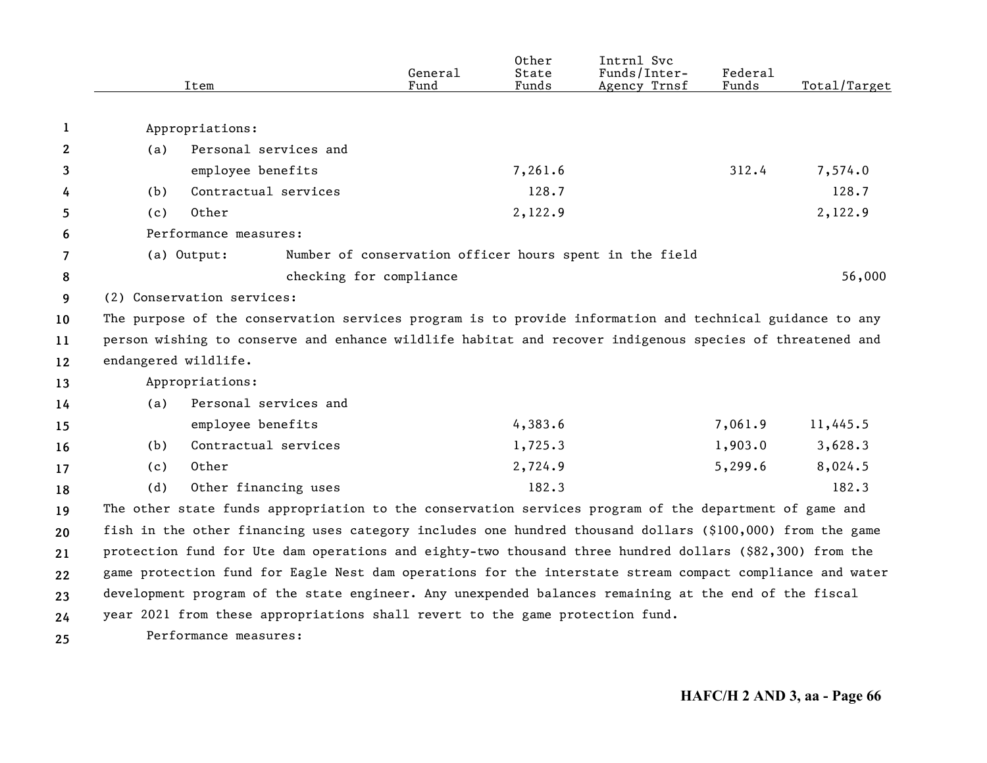|    |                      | Item                       |                         | General<br>Fund                                                               | Other<br>State<br>Funds | Intrnl Svc<br>Funds/Inter-<br>Agency Trnsf                                                                | Federal<br>Funds | Total/Target |
|----|----------------------|----------------------------|-------------------------|-------------------------------------------------------------------------------|-------------------------|-----------------------------------------------------------------------------------------------------------|------------------|--------------|
|    |                      |                            |                         |                                                                               |                         |                                                                                                           |                  |              |
| 1  |                      | Appropriations:            |                         |                                                                               |                         |                                                                                                           |                  |              |
| 2  | (a)                  | Personal services and      |                         |                                                                               |                         |                                                                                                           |                  |              |
| 3  |                      | employee benefits          |                         |                                                                               | 7,261.6                 |                                                                                                           | 312.4            | 7,574.0      |
| 4  | (b)                  | Contractual services       |                         |                                                                               | 128.7                   |                                                                                                           |                  | 128.7        |
| 5  | (c)                  | Other                      |                         |                                                                               | 2,122.9                 |                                                                                                           |                  | 2,122.9      |
| 6  |                      | Performance measures:      |                         |                                                                               |                         |                                                                                                           |                  |              |
| 7  |                      | (a) Output:                |                         |                                                                               |                         | Number of conservation officer hours spent in the field                                                   |                  |              |
| 8  |                      |                            | checking for compliance |                                                                               |                         |                                                                                                           |                  | 56,000       |
| 9  |                      | (2) Conservation services: |                         |                                                                               |                         |                                                                                                           |                  |              |
| 10 |                      |                            |                         |                                                                               |                         | The purpose of the conservation services program is to provide information and technical guidance to any  |                  |              |
| 11 |                      |                            |                         |                                                                               |                         | person wishing to conserve and enhance wildlife habitat and recover indigenous species of threatened and  |                  |              |
| 12 | endangered wildlife. |                            |                         |                                                                               |                         |                                                                                                           |                  |              |
| 13 |                      | Appropriations:            |                         |                                                                               |                         |                                                                                                           |                  |              |
| 14 | (a)                  | Personal services and      |                         |                                                                               |                         |                                                                                                           |                  |              |
| 15 |                      | employee benefits          |                         |                                                                               | 4,383.6                 |                                                                                                           | 7,061.9          | 11,445.5     |
| 16 | (b)                  | Contractual services       |                         |                                                                               | 1,725.3                 |                                                                                                           | 1,903.0          | 3,628.3      |
| 17 | (c)                  | Other                      |                         |                                                                               | 2,724.9                 |                                                                                                           | 5,299.6          | 8,024.5      |
| 18 | (d)                  | Other financing uses       |                         |                                                                               | 182.3                   |                                                                                                           |                  | 182.3        |
| 19 |                      |                            |                         |                                                                               |                         | The other state funds appropriation to the conservation services program of the department of game and    |                  |              |
| 20 |                      |                            |                         |                                                                               |                         | fish in the other financing uses category includes one hundred thousand dollars (\$100,000) from the game |                  |              |
| 21 |                      |                            |                         |                                                                               |                         | protection fund for Ute dam operations and eighty-two thousand three hundred dollars (\$82,300) from the  |                  |              |
| 22 |                      |                            |                         |                                                                               |                         | game protection fund for Eagle Nest dam operations for the interstate stream compact compliance and water |                  |              |
| 23 |                      |                            |                         |                                                                               |                         | development program of the state engineer. Any unexpended balances remaining at the end of the fiscal     |                  |              |
| 24 |                      |                            |                         | year 2021 from these appropriations shall revert to the game protection fund. |                         |                                                                                                           |                  |              |
| 25 |                      | Performance measures:      |                         |                                                                               |                         |                                                                                                           |                  |              |
|    |                      |                            |                         |                                                                               |                         |                                                                                                           |                  |              |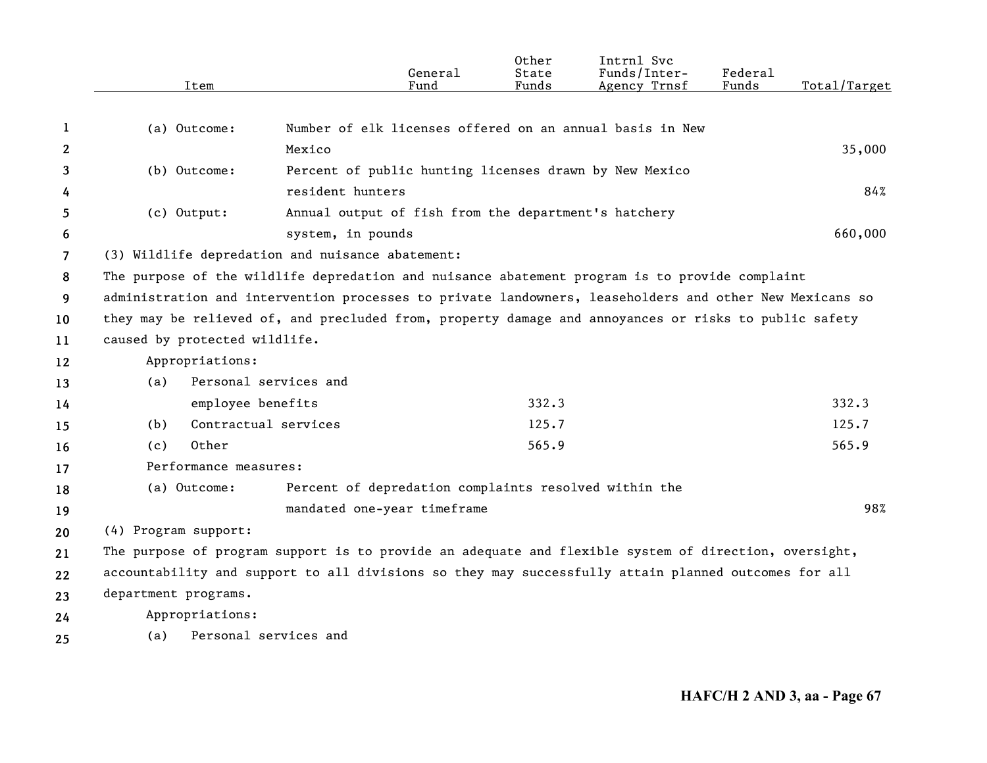|    |                               | General                                                                                                 | Other<br>State | Intrnl Svc<br>Funds/Inter- | <b>Federal</b> |              |
|----|-------------------------------|---------------------------------------------------------------------------------------------------------|----------------|----------------------------|----------------|--------------|
|    | Item                          | Fund                                                                                                    | Funds          | Agency Trnsf               | Funds          | Total/Target |
|    |                               |                                                                                                         |                |                            |                |              |
| 1  | (a) Outcome:                  | Number of elk licenses offered on an annual basis in New                                                |                |                            |                |              |
| 2  |                               | Mexico                                                                                                  |                |                            |                | 35,000       |
| 3  | (b) Outcome:                  | Percent of public hunting licenses drawn by New Mexico                                                  |                |                            |                |              |
| 4  |                               | resident hunters                                                                                        |                |                            |                | 84%          |
| 5  | (c) Output:                   | Annual output of fish from the department's hatchery                                                    |                |                            |                |              |
| 6  |                               | system, in pounds                                                                                       |                |                            |                | 660,000      |
| 7  |                               | (3) Wildlife depredation and nuisance abatement:                                                        |                |                            |                |              |
| 8  |                               | The purpose of the wildlife depredation and nuisance abatement program is to provide complaint          |                |                            |                |              |
| 9  |                               | administration and intervention processes to private landowners, leaseholders and other New Mexicans so |                |                            |                |              |
| 10 |                               | they may be relieved of, and precluded from, property damage and annoyances or risks to public safety   |                |                            |                |              |
| 11 | caused by protected wildlife. |                                                                                                         |                |                            |                |              |
| 12 | Appropriations:               |                                                                                                         |                |                            |                |              |
| 13 | (a)                           | Personal services and                                                                                   |                |                            |                |              |
| 14 | employee benefits             |                                                                                                         | 332.3          |                            |                | 332.3        |
| 15 | (b)                           | Contractual services                                                                                    | 125.7          |                            |                | 125.7        |
| 16 | Other<br>(c)                  |                                                                                                         | 565.9          |                            |                | 565.9        |
| 17 | Performance measures:         |                                                                                                         |                |                            |                |              |
| 18 | (a) Outcome:                  | Percent of depredation complaints resolved within the                                                   |                |                            |                |              |
| 19 |                               | mandated one-year timeframe                                                                             |                |                            |                | 98%          |
| 20 | (4) Program support:          |                                                                                                         |                |                            |                |              |
| 21 |                               | The purpose of program support is to provide an adequate and flexible system of direction, oversight,   |                |                            |                |              |
| 22 |                               | accountability and support to all divisions so they may successfully attain planned outcomes for all    |                |                            |                |              |
| 23 | department programs.          |                                                                                                         |                |                            |                |              |
| 24 | Appropriations:               |                                                                                                         |                |                            |                |              |
| 25 | (a)                           | Personal services and                                                                                   |                |                            |                |              |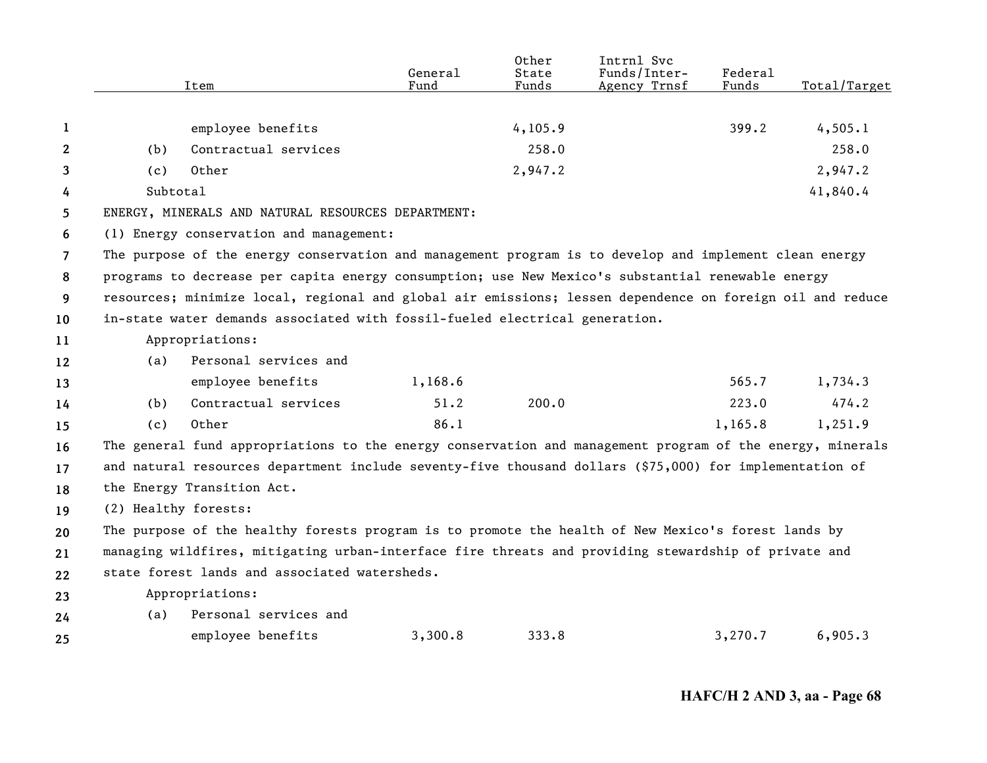|                |                      | Item                                                                                                      | General<br>Fund | Other<br>State<br>Funds | Intrnl Svc<br>Funds/Inter-<br>Agency Trnsf | Federal<br>Funds | Total/Target |
|----------------|----------------------|-----------------------------------------------------------------------------------------------------------|-----------------|-------------------------|--------------------------------------------|------------------|--------------|
|                |                      |                                                                                                           |                 |                         |                                            |                  |              |
| 1              |                      | employee benefits                                                                                         |                 | 4, 105.9                |                                            | 399.2            | 4,505.1      |
| $\mathbf{2}$   | (b)                  | Contractual services                                                                                      |                 | 258.0                   |                                            |                  | 258.0        |
| 3              | (c)                  | Other                                                                                                     |                 | 2,947.2                 |                                            |                  | 2,947.2      |
| 4              | Subtotal             |                                                                                                           |                 |                         |                                            |                  | 41,840.4     |
| 5              |                      | ENERGY, MINERALS AND NATURAL RESOURCES DEPARTMENT:                                                        |                 |                         |                                            |                  |              |
| 6              |                      | (1) Energy conservation and management:                                                                   |                 |                         |                                            |                  |              |
| $\overline{7}$ |                      | The purpose of the energy conservation and management program is to develop and implement clean energy    |                 |                         |                                            |                  |              |
| 8              |                      | programs to decrease per capita energy consumption; use New Mexico's substantial renewable energy         |                 |                         |                                            |                  |              |
| 9              |                      | resources; minimize local, regional and global air emissions; lessen dependence on foreign oil and reduce |                 |                         |                                            |                  |              |
| 10             |                      | in-state water demands associated with fossil-fueled electrical generation.                               |                 |                         |                                            |                  |              |
| 11             |                      | Appropriations:                                                                                           |                 |                         |                                            |                  |              |
| 12             | (a)                  | Personal services and                                                                                     |                 |                         |                                            |                  |              |
| 13             |                      | employee benefits                                                                                         | 1,168.6         |                         |                                            | 565.7            | 1,734.3      |
| 14             | (b)                  | Contractual services                                                                                      | 51.2            | 200.0                   |                                            | 223.0            | 474.2        |
| 15             | (c)                  | Other                                                                                                     | 86.1            |                         |                                            | 1,165.8          | 1,251.9      |
| 16             |                      | The general fund appropriations to the energy conservation and management program of the energy, minerals |                 |                         |                                            |                  |              |
| 17             |                      | and natural resources department include seventy-five thousand dollars (\$75,000) for implementation of   |                 |                         |                                            |                  |              |
| 18             |                      | the Energy Transition Act.                                                                                |                 |                         |                                            |                  |              |
| 19             | (2) Healthy forests: |                                                                                                           |                 |                         |                                            |                  |              |
| 20             |                      | The purpose of the healthy forests program is to promote the health of New Mexico's forest lands by       |                 |                         |                                            |                  |              |
| 21             |                      | managing wildfires, mitigating urban-interface fire threats and providing stewardship of private and      |                 |                         |                                            |                  |              |
| 22             |                      | state forest lands and associated watersheds.                                                             |                 |                         |                                            |                  |              |
| 23             |                      | Appropriations:                                                                                           |                 |                         |                                            |                  |              |
| 24             | (a)                  | Personal services and                                                                                     |                 |                         |                                            |                  |              |
| 25             |                      | employee benefits                                                                                         | 3,300.8         | 333.8                   |                                            | 3,270.7          | 6,905.3      |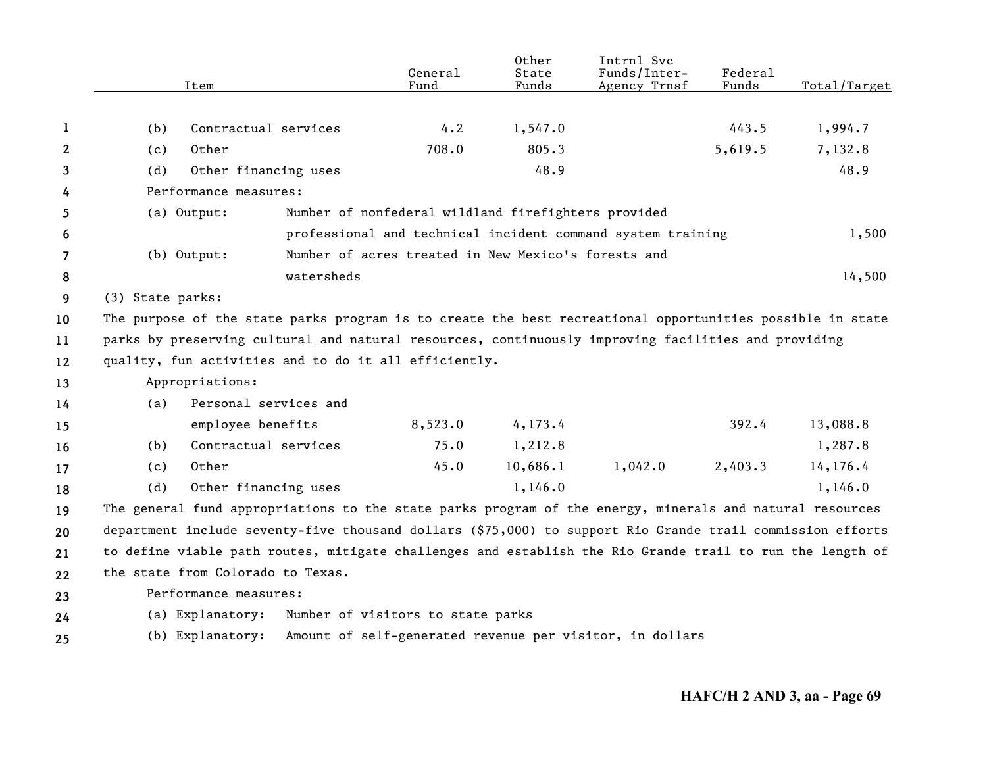|              |                                                                                                           | Item                              |                                                       | General<br>Fund                                     | Other<br>State<br>Funds | Intrnl Svc<br>Funds/Inter-<br>Agency Trnsf                                                                 | <b>Federal</b><br>Funds | Total/Target |
|--------------|-----------------------------------------------------------------------------------------------------------|-----------------------------------|-------------------------------------------------------|-----------------------------------------------------|-------------------------|------------------------------------------------------------------------------------------------------------|-------------------------|--------------|
|              |                                                                                                           |                                   |                                                       |                                                     |                         |                                                                                                            |                         |              |
| 1            | (b)                                                                                                       | Contractual services              |                                                       | 4.2                                                 | 1,547.0                 |                                                                                                            | 443.5                   | 1,994.7      |
| $\mathbf{2}$ | (c)                                                                                                       | Other                             |                                                       | 708.0                                               | 805.3                   |                                                                                                            | 5,619.5                 | 7,132.8      |
| 3            | (d)                                                                                                       | Other financing uses              |                                                       |                                                     | 48.9                    |                                                                                                            |                         | 48.9         |
| 4            |                                                                                                           | Performance measures:             |                                                       |                                                     |                         |                                                                                                            |                         |              |
| 5            |                                                                                                           | (a) Output:                       |                                                       | Number of nonfederal wildland firefighters provided |                         |                                                                                                            |                         |              |
| 6            |                                                                                                           |                                   |                                                       |                                                     |                         | professional and technical incident command system training                                                |                         | 1,500        |
| 7            |                                                                                                           | $(b)$ Output:                     |                                                       | Number of acres treated in New Mexico's forests and |                         |                                                                                                            |                         |              |
| 8            |                                                                                                           |                                   | watersheds                                            |                                                     |                         |                                                                                                            |                         | 14,500       |
| 9            | (3) State parks:                                                                                          |                                   |                                                       |                                                     |                         |                                                                                                            |                         |              |
| 10           |                                                                                                           |                                   |                                                       |                                                     |                         | The purpose of the state parks program is to create the best recreational opportunities possible in state  |                         |              |
| 11           |                                                                                                           |                                   |                                                       |                                                     |                         | parks by preserving cultural and natural resources, continuously improving facilities and providing        |                         |              |
| 12           |                                                                                                           |                                   | quality, fun activities and to do it all efficiently. |                                                     |                         |                                                                                                            |                         |              |
| 13           |                                                                                                           | Appropriations:                   |                                                       |                                                     |                         |                                                                                                            |                         |              |
| 14           | (a)                                                                                                       | Personal services and             |                                                       |                                                     |                         |                                                                                                            |                         |              |
| 15           |                                                                                                           | employee benefits                 |                                                       | 8,523.0                                             | 4, 173.4                |                                                                                                            | 392.4                   | 13,088.8     |
| 16           | (b)                                                                                                       | Contractual services              |                                                       | 75.0                                                | 1,212.8                 |                                                                                                            |                         | 1,287.8      |
| 17           | (c)                                                                                                       | Other                             |                                                       | 45.0                                                | 10,686.1                | 1,042.0                                                                                                    | 2,403.3                 | 14,176.4     |
| 18           | (d)                                                                                                       | Other financing uses              |                                                       |                                                     | 1,146.0                 |                                                                                                            |                         | 1,146.0      |
| 19           |                                                                                                           |                                   |                                                       |                                                     |                         | The general fund appropriations to the state parks program of the energy, minerals and natural resources   |                         |              |
| 20           |                                                                                                           |                                   |                                                       |                                                     |                         | department include seventy-five thousand dollars (\$75,000) to support Rio Grande trail commission efforts |                         |              |
| 21           | to define viable path routes, mitigate challenges and establish the Rio Grande trail to run the length of |                                   |                                                       |                                                     |                         |                                                                                                            |                         |              |
| 22           |                                                                                                           | the state from Colorado to Texas. |                                                       |                                                     |                         |                                                                                                            |                         |              |
| 23           |                                                                                                           | Performance measures:             |                                                       |                                                     |                         |                                                                                                            |                         |              |
| 24           |                                                                                                           | (a) Explanatory:                  |                                                       | Number of visitors to state parks                   |                         |                                                                                                            |                         |              |
| 25           |                                                                                                           | (b) Explanatory:                  |                                                       |                                                     |                         | Amount of self-generated revenue per visitor, in dollars                                                   |                         |              |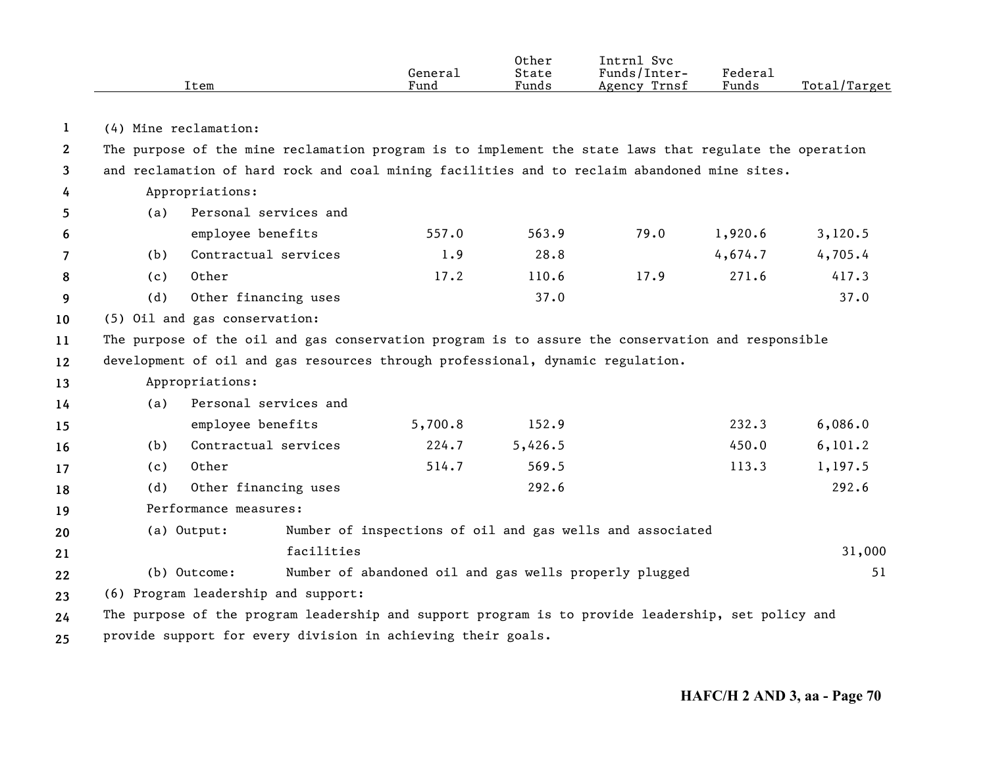|    |                                                                                                                                                                                                        | Item                                                                                               | General<br>Fund                                        | <b>Other</b><br>State<br>Funds | Intrnl Svc<br>Funds/Inter-<br>Agency Trnsf                | Federal<br>Funds | Total/Target |  |  |
|----|--------------------------------------------------------------------------------------------------------------------------------------------------------------------------------------------------------|----------------------------------------------------------------------------------------------------|--------------------------------------------------------|--------------------------------|-----------------------------------------------------------|------------------|--------------|--|--|
| 1  |                                                                                                                                                                                                        | (4) Mine reclamation:                                                                              |                                                        |                                |                                                           |                  |              |  |  |
| 2  |                                                                                                                                                                                                        |                                                                                                    |                                                        |                                |                                                           |                  |              |  |  |
| 3  | The purpose of the mine reclamation program is to implement the state laws that regulate the operation<br>and reclamation of hard rock and coal mining facilities and to reclaim abandoned mine sites. |                                                                                                    |                                                        |                                |                                                           |                  |              |  |  |
| 4  | Appropriations:                                                                                                                                                                                        |                                                                                                    |                                                        |                                |                                                           |                  |              |  |  |
| 5  | (a)                                                                                                                                                                                                    | Personal services and                                                                              |                                                        |                                |                                                           |                  |              |  |  |
| 6  |                                                                                                                                                                                                        | employee benefits                                                                                  | 557.0                                                  | 563.9                          | 79.0                                                      | 1,920.6          | 3,120.5      |  |  |
| 7  | (b)                                                                                                                                                                                                    | Contractual services                                                                               | 1.9                                                    | 28.8                           |                                                           | 4,674.7          | 4,705.4      |  |  |
| 8  | (c)                                                                                                                                                                                                    | Other                                                                                              | 17.2                                                   | 110.6                          | 17.9                                                      | 271.6            | 417.3        |  |  |
| 9  | (d)                                                                                                                                                                                                    | Other financing uses                                                                               |                                                        | 37.0                           |                                                           |                  | 37.0         |  |  |
| 10 |                                                                                                                                                                                                        | (5) Oil and gas conservation:                                                                      |                                                        |                                |                                                           |                  |              |  |  |
| 11 |                                                                                                                                                                                                        | The purpose of the oil and gas conservation program is to assure the conservation and responsible  |                                                        |                                |                                                           |                  |              |  |  |
| 12 |                                                                                                                                                                                                        | development of oil and gas resources through professional, dynamic regulation.                     |                                                        |                                |                                                           |                  |              |  |  |
| 13 |                                                                                                                                                                                                        | Appropriations:                                                                                    |                                                        |                                |                                                           |                  |              |  |  |
| 14 | (a)                                                                                                                                                                                                    | Personal services and                                                                              |                                                        |                                |                                                           |                  |              |  |  |
| 15 |                                                                                                                                                                                                        | employee benefits                                                                                  | 5,700.8                                                | 152.9                          |                                                           | 232.3            | 6,086.0      |  |  |
| 16 | (b)                                                                                                                                                                                                    | Contractual services                                                                               | 224.7                                                  | 5,426.5                        |                                                           | 450.0            | 6, 101.2     |  |  |
| 17 | (c)                                                                                                                                                                                                    | Other                                                                                              | 514.7                                                  | 569.5                          |                                                           | 113.3            | 1,197.5      |  |  |
| 18 | (d)                                                                                                                                                                                                    | Other financing uses                                                                               |                                                        | 292.6                          |                                                           |                  | 292.6        |  |  |
| 19 | Performance measures:                                                                                                                                                                                  |                                                                                                    |                                                        |                                |                                                           |                  |              |  |  |
| 20 |                                                                                                                                                                                                        | (a) Output:                                                                                        |                                                        |                                | Number of inspections of oil and gas wells and associated |                  |              |  |  |
| 21 |                                                                                                                                                                                                        | facilities                                                                                         |                                                        |                                |                                                           |                  | 31,000       |  |  |
| 22 |                                                                                                                                                                                                        | (b) Outcome:                                                                                       | Number of abandoned oil and gas wells properly plugged |                                |                                                           |                  | 51           |  |  |
| 23 | (6) Program leadership and support:                                                                                                                                                                    |                                                                                                    |                                                        |                                |                                                           |                  |              |  |  |
| 24 |                                                                                                                                                                                                        | The purpose of the program leadership and support program is to provide leadership, set policy and |                                                        |                                |                                                           |                  |              |  |  |
| 25 |                                                                                                                                                                                                        | provide support for every division in achieving their goals.                                       |                                                        |                                |                                                           |                  |              |  |  |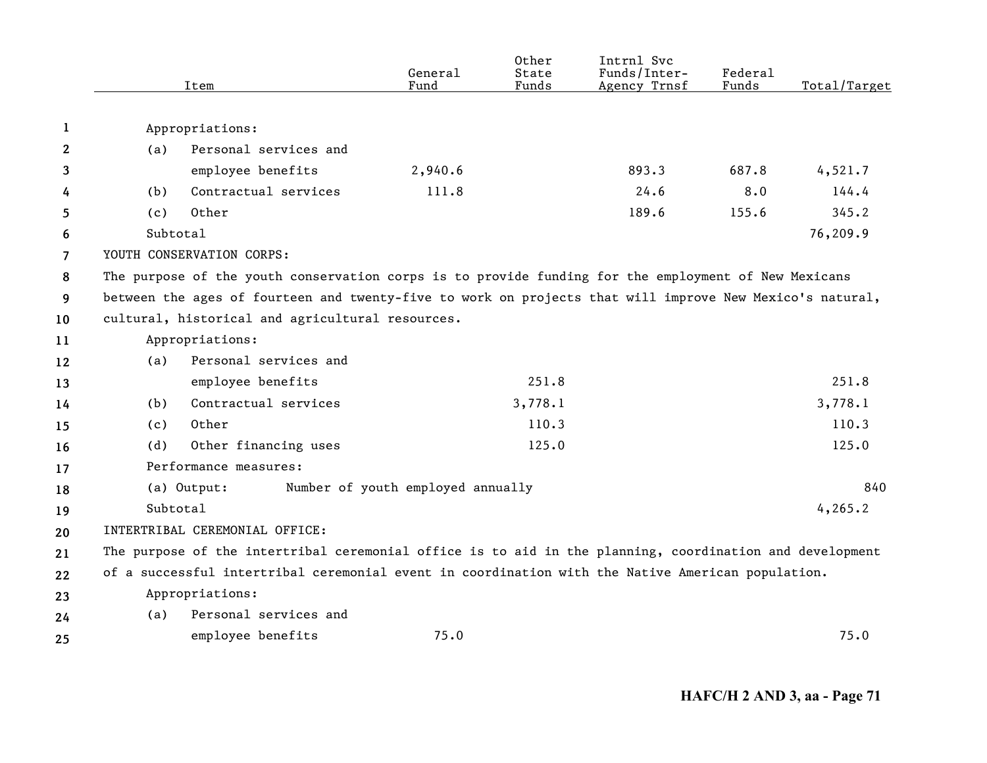|    |          | Item                                                                                                     | General<br>Fund                   | Other<br>State<br>Funds | Intrnl Svc<br>Funds/Inter-<br>Agency Trnsf | Federal<br>Funds | Total/Target |
|----|----------|----------------------------------------------------------------------------------------------------------|-----------------------------------|-------------------------|--------------------------------------------|------------------|--------------|
|    |          |                                                                                                          |                                   |                         |                                            |                  |              |
| 1  |          | Appropriations:                                                                                          |                                   |                         |                                            |                  |              |
| 2  | (a)      | Personal services and                                                                                    |                                   |                         |                                            |                  |              |
| 3  |          | employee benefits                                                                                        | 2,940.6                           |                         | 893.3                                      | 687.8            | 4,521.7      |
| 4  | (b)      | Contractual services                                                                                     | 111.8                             |                         | 24.6                                       | 8.0              | 144.4        |
| 5  | (c)      | Other                                                                                                    |                                   |                         | 189.6                                      | 155.6            | 345.2        |
| 6  | Subtotal |                                                                                                          |                                   |                         |                                            |                  | 76,209.9     |
| 7  |          | YOUTH CONSERVATION CORPS:                                                                                |                                   |                         |                                            |                  |              |
| 8  |          | The purpose of the youth conservation corps is to provide funding for the employment of New Mexicans     |                                   |                         |                                            |                  |              |
| 9  |          | between the ages of fourteen and twenty-five to work on projects that will improve New Mexico's natural, |                                   |                         |                                            |                  |              |
| 10 |          | cultural, historical and agricultural resources.                                                         |                                   |                         |                                            |                  |              |
| 11 |          | Appropriations:                                                                                          |                                   |                         |                                            |                  |              |
| 12 | (a)      | Personal services and                                                                                    |                                   |                         |                                            |                  |              |
| 13 |          | employee benefits                                                                                        |                                   | 251.8                   |                                            |                  | 251.8        |
| 14 | (b)      | Contractual services                                                                                     |                                   | 3,778.1                 |                                            |                  | 3,778.1      |
| 15 | (c)      | Other                                                                                                    |                                   | 110.3                   |                                            |                  | 110.3        |
| 16 | (d)      | Other financing uses                                                                                     |                                   | 125.0                   |                                            |                  | 125.0        |
| 17 |          | Performance measures:                                                                                    |                                   |                         |                                            |                  |              |
| 18 |          | (a) Output:                                                                                              | Number of youth employed annually |                         |                                            |                  | 840          |
| 19 | Subtotal |                                                                                                          |                                   |                         |                                            |                  | 4, 265.2     |
| 20 |          | INTERTRIBAL CEREMONIAL OFFICE:                                                                           |                                   |                         |                                            |                  |              |
| 21 |          | The purpose of the intertribal ceremonial office is to aid in the planning, coordination and development |                                   |                         |                                            |                  |              |
| 22 |          | of a successful intertribal ceremonial event in coordination with the Native American population.        |                                   |                         |                                            |                  |              |
| 23 |          | Appropriations:                                                                                          |                                   |                         |                                            |                  |              |
| 24 | (a)      | Personal services and                                                                                    |                                   |                         |                                            |                  |              |
| 25 |          | employee benefits                                                                                        | 75.0                              |                         |                                            |                  | 75.0         |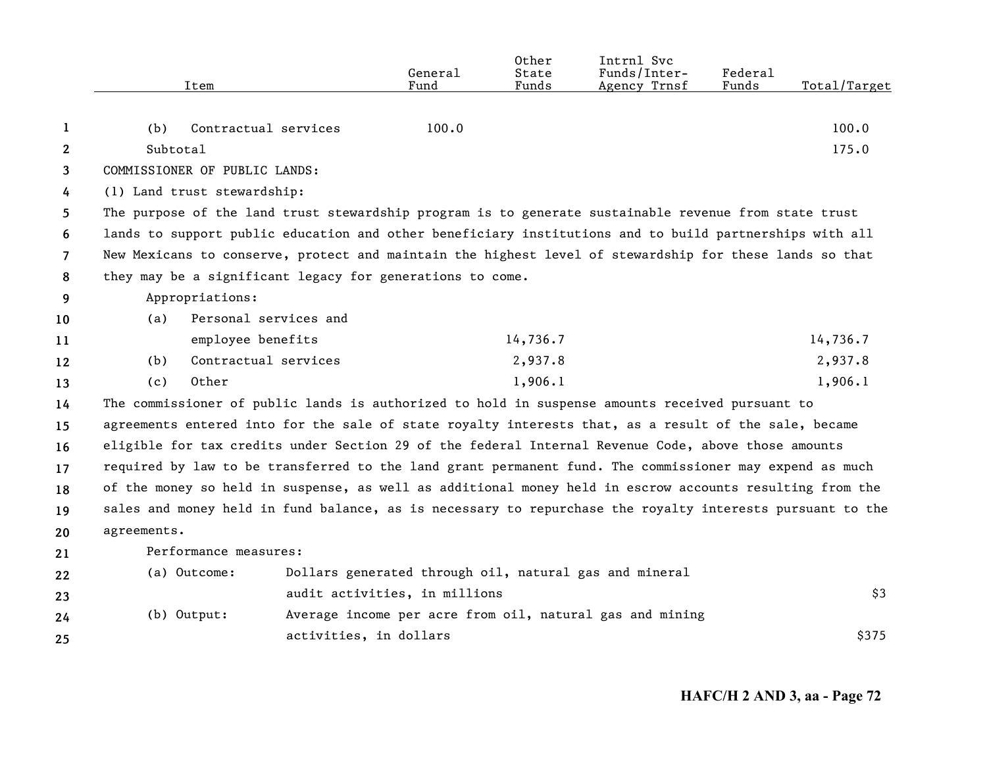|                | Item                                                                                                      |                        | General<br>Fund               | Other<br>State<br>Funds | Intrnl Svc<br>Funds/Inter-<br>Agency Trnsf               | Federal<br>Funds | Total/Target |
|----------------|-----------------------------------------------------------------------------------------------------------|------------------------|-------------------------------|-------------------------|----------------------------------------------------------|------------------|--------------|
|                |                                                                                                           |                        |                               |                         |                                                          |                  |              |
| 1              | (b)                                                                                                       | Contractual services   | 100.0                         |                         |                                                          |                  | 100.0        |
| $\mathbf{2}$   | Subtotal                                                                                                  |                        |                               |                         |                                                          |                  | 175.0        |
| 3              | COMMISSIONER OF PUBLIC LANDS:                                                                             |                        |                               |                         |                                                          |                  |              |
| 4              | (1) Land trust stewardship:                                                                               |                        |                               |                         |                                                          |                  |              |
| 5              | The purpose of the land trust stewardship program is to generate sustainable revenue from state trust     |                        |                               |                         |                                                          |                  |              |
| 6              | lands to support public education and other beneficiary institutions and to build partnerships with all   |                        |                               |                         |                                                          |                  |              |
| $\overline{7}$ | New Mexicans to conserve, protect and maintain the highest level of stewardship for these lands so that   |                        |                               |                         |                                                          |                  |              |
| 8              | they may be a significant legacy for generations to come.                                                 |                        |                               |                         |                                                          |                  |              |
| 9              | Appropriations:                                                                                           |                        |                               |                         |                                                          |                  |              |
| 10             | (a)                                                                                                       | Personal services and  |                               |                         |                                                          |                  |              |
| 11             |                                                                                                           | employee benefits      |                               | 14,736.7                |                                                          |                  | 14,736.7     |
| 12             | (b)                                                                                                       | Contractual services   |                               | 2,937.8                 |                                                          |                  | 2,937.8      |
| 13             | Other<br>(c)                                                                                              |                        |                               | 1,906.1                 |                                                          |                  | 1,906.1      |
| 14             | The commissioner of public lands is authorized to hold in suspense amounts received pursuant to           |                        |                               |                         |                                                          |                  |              |
| 15             | agreements entered into for the sale of state royalty interests that, as a result of the sale, became     |                        |                               |                         |                                                          |                  |              |
| 16             | eligible for tax credits under Section 29 of the federal Internal Revenue Code, above those amounts       |                        |                               |                         |                                                          |                  |              |
| 17             | required by law to be transferred to the land grant permanent fund. The commissioner may expend as much   |                        |                               |                         |                                                          |                  |              |
| 18             | of the money so held in suspense, as well as additional money held in escrow accounts resulting from the  |                        |                               |                         |                                                          |                  |              |
| 19             | sales and money held in fund balance, as is necessary to repurchase the royalty interests pursuant to the |                        |                               |                         |                                                          |                  |              |
| 20             | agreements.                                                                                               |                        |                               |                         |                                                          |                  |              |
| 21             | Performance measures:                                                                                     |                        |                               |                         |                                                          |                  |              |
| 22             | (a) Outcome:                                                                                              |                        |                               |                         | Dollars generated through oil, natural gas and mineral   |                  |              |
| 23             |                                                                                                           |                        | audit activities, in millions |                         |                                                          |                  | \$3          |
| 24             | $(b)$ Output:                                                                                             |                        |                               |                         | Average income per acre from oil, natural gas and mining |                  |              |
| 25             |                                                                                                           | activities, in dollars |                               |                         |                                                          |                  | \$375        |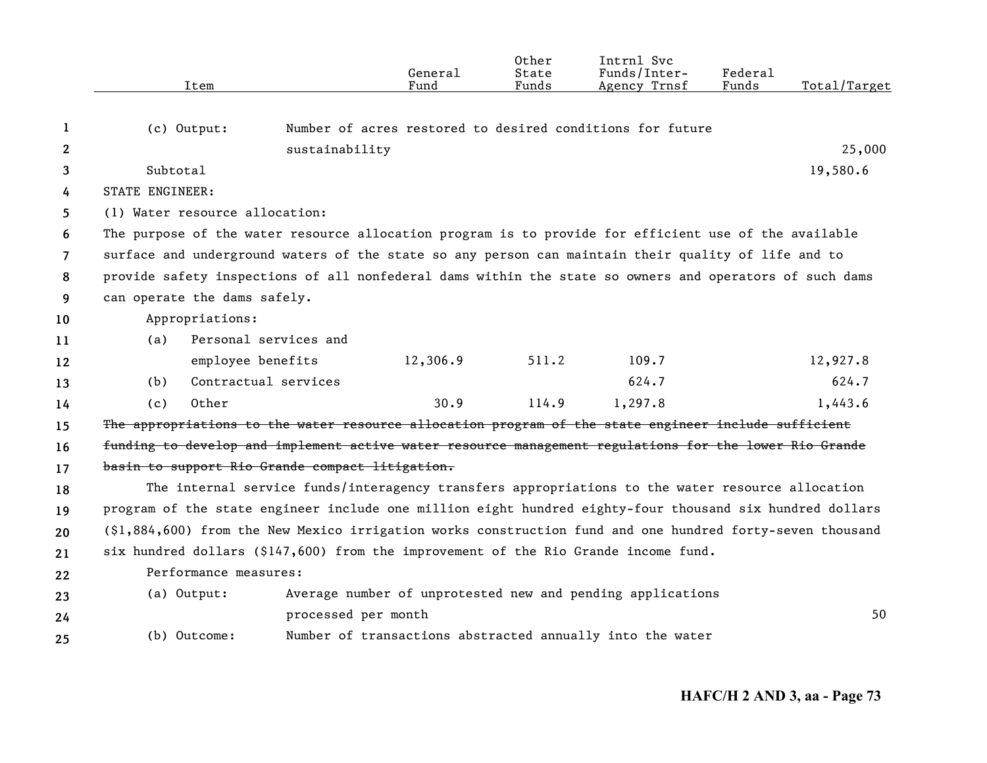|                |                        |                                                 |                     | General  | Other<br>State | Intrnl Svc<br>Funds/Inter-                                                                                | Federal |              |
|----------------|------------------------|-------------------------------------------------|---------------------|----------|----------------|-----------------------------------------------------------------------------------------------------------|---------|--------------|
|                |                        | Item                                            |                     | Fund     | Funds          | Agency Trnsf                                                                                              | Funds   | Total/Target |
| 1              |                        | $(c)$ Output:                                   |                     |          |                | Number of acres restored to desired conditions for future                                                 |         |              |
| $\mathbf{2}$   |                        |                                                 | sustainability      |          |                |                                                                                                           |         | 25,000       |
| 3              | Subtotal               |                                                 |                     |          |                |                                                                                                           |         | 19,580.6     |
| 4              | <b>STATE ENGINEER:</b> |                                                 |                     |          |                |                                                                                                           |         |              |
| 5              |                        | (1) Water resource allocation:                  |                     |          |                |                                                                                                           |         |              |
| 6              |                        |                                                 |                     |          |                | The purpose of the water resource allocation program is to provide for efficient use of the available     |         |              |
| $\overline{7}$ |                        |                                                 |                     |          |                | surface and underground waters of the state so any person can maintain their quality of life and to       |         |              |
| 8              |                        |                                                 |                     |          |                | provide safety inspections of all nonfederal dams within the state so owners and operators of such dams   |         |              |
| 9              |                        | can operate the dams safely.                    |                     |          |                |                                                                                                           |         |              |
| 10             |                        | Appropriations:                                 |                     |          |                |                                                                                                           |         |              |
| 11             | (a)                    | Personal services and                           |                     |          |                |                                                                                                           |         |              |
| 12             |                        | employee benefits                               |                     | 12,306.9 | 511.2          | 109.7                                                                                                     |         | 12,927.8     |
| 13             | (b)                    | Contractual services                            |                     |          |                | 624.7                                                                                                     |         | 624.7        |
| 14             | (c)                    | Other                                           |                     | 30.9     | 114.9          | 1,297.8                                                                                                   |         | 1,443.6      |
| 15             |                        |                                                 |                     |          |                | The appropriations to the water resource allocation program of the state engineer include sufficient      |         |              |
| 16             |                        |                                                 |                     |          |                | funding to develop and implement active water resource management regulations for the lower Rio Grande    |         |              |
| 17             |                        | basin to support Rio Grande compact litigation. |                     |          |                |                                                                                                           |         |              |
| 18             |                        |                                                 |                     |          |                | The internal service funds/interagency transfers appropriations to the water resource allocation          |         |              |
| 19             |                        |                                                 |                     |          |                | program of the state engineer include one million eight hundred eighty-four thousand six hundred dollars  |         |              |
| 20             |                        |                                                 |                     |          |                | (\$1,884,600) from the New Mexico irrigation works construction fund and one hundred forty-seven thousand |         |              |
| 21             |                        |                                                 |                     |          |                | six hundred dollars (\$147,600) from the improvement of the Rio Grande income fund.                       |         |              |
| 22             |                        | Performance measures:                           |                     |          |                |                                                                                                           |         |              |
| 23             |                        | (a) Output:                                     |                     |          |                | Average number of unprotested new and pending applications                                                |         |              |
| 24             |                        |                                                 | processed per month |          |                |                                                                                                           |         | 50           |
| 25             |                        | (b) Outcome:                                    |                     |          |                | Number of transactions abstracted annually into the water                                                 |         |              |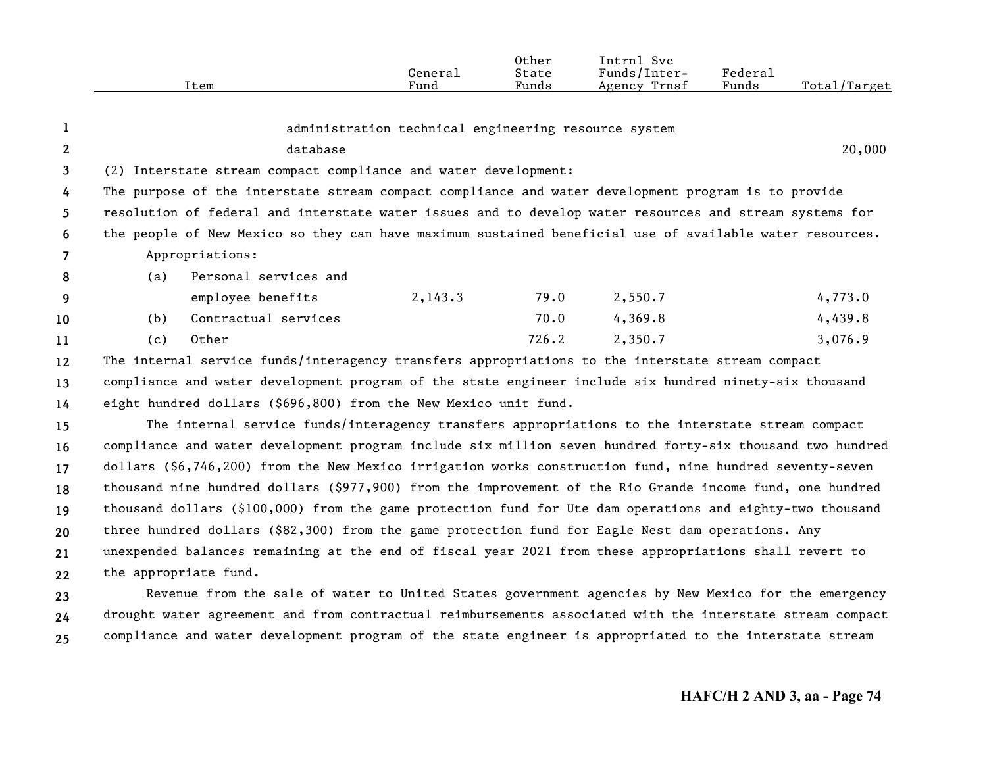|                                                                                                          |          |                                                                                                |         | Intrnl Svc                                                                        |                                                                      |                                                                                                                                                                                                                    |  |  |  |  |  |  |  |
|----------------------------------------------------------------------------------------------------------|----------|------------------------------------------------------------------------------------------------|---------|-----------------------------------------------------------------------------------|----------------------------------------------------------------------|--------------------------------------------------------------------------------------------------------------------------------------------------------------------------------------------------------------------|--|--|--|--|--|--|--|
| Item                                                                                                     |          | Fund                                                                                           | Funds   | Agency Trnsf                                                                      | Funds                                                                | Total/Target                                                                                                                                                                                                       |  |  |  |  |  |  |  |
|                                                                                                          |          |                                                                                                |         |                                                                                   |                                                                      |                                                                                                                                                                                                                    |  |  |  |  |  |  |  |
|                                                                                                          |          |                                                                                                |         |                                                                                   |                                                                      |                                                                                                                                                                                                                    |  |  |  |  |  |  |  |
|                                                                                                          | database |                                                                                                |         |                                                                                   |                                                                      | 20,000                                                                                                                                                                                                             |  |  |  |  |  |  |  |
|                                                                                                          |          |                                                                                                |         |                                                                                   |                                                                      |                                                                                                                                                                                                                    |  |  |  |  |  |  |  |
|                                                                                                          |          |                                                                                                |         |                                                                                   |                                                                      |                                                                                                                                                                                                                    |  |  |  |  |  |  |  |
| resolution of federal and interstate water issues and to develop water resources and stream systems for  |          |                                                                                                |         |                                                                                   |                                                                      |                                                                                                                                                                                                                    |  |  |  |  |  |  |  |
| the people of New Mexico so they can have maximum sustained beneficial use of available water resources. |          |                                                                                                |         |                                                                                   |                                                                      |                                                                                                                                                                                                                    |  |  |  |  |  |  |  |
|                                                                                                          |          |                                                                                                |         |                                                                                   |                                                                      |                                                                                                                                                                                                                    |  |  |  |  |  |  |  |
| (a)                                                                                                      |          |                                                                                                |         |                                                                                   |                                                                      |                                                                                                                                                                                                                    |  |  |  |  |  |  |  |
|                                                                                                          |          | 2,143.3                                                                                        | 79.0    | 2,550.7                                                                           |                                                                      | 4,773.0                                                                                                                                                                                                            |  |  |  |  |  |  |  |
| (b)                                                                                                      |          |                                                                                                | 70.0    | 4,369.8                                                                           |                                                                      | 4,439.8                                                                                                                                                                                                            |  |  |  |  |  |  |  |
| (c)                                                                                                      |          |                                                                                                | 726.2   | 2,350.7                                                                           |                                                                      | 3,076.9                                                                                                                                                                                                            |  |  |  |  |  |  |  |
|                                                                                                          |          |                                                                                                |         |                                                                                   |                                                                      |                                                                                                                                                                                                                    |  |  |  |  |  |  |  |
| compliance and water development program of the state engineer include six hundred ninety-six thousand   |          |                                                                                                |         |                                                                                   |                                                                      |                                                                                                                                                                                                                    |  |  |  |  |  |  |  |
|                                                                                                          |          |                                                                                                |         |                                                                                   |                                                                      | eight hundred dollars (\$696,800) from the New Mexico unit fund.                                                                                                                                                   |  |  |  |  |  |  |  |
| The internal service funds/interagency transfers appropriations to the interstate stream compact         |          |                                                                                                |         |                                                                                   |                                                                      |                                                                                                                                                                                                                    |  |  |  |  |  |  |  |
|                                                                                                          |          | Appropriations:<br>Personal services and<br>employee benefits<br>Contractual services<br>Other | General | Other<br>State<br>(2) Interstate stream compact compliance and water development: | Funds/Inter-<br>administration technical engineering resource system | Federal<br>The purpose of the interstate stream compact compliance and water development program is to provide<br>The internal service funds/interagency transfers appropriations to the interstate stream compact |  |  |  |  |  |  |  |

**16171819202122**compliance and water development program include six million seven hundred forty-six thousand two hundred dollars (\$6,746,200) from the New Mexico irrigation works construction fund, nine hundred seventy-seven thousand nine hundred dollars (\$977,900) from the improvement of the Rio Grande income fund, one hundred thousand dollars (\$100,000) from the game protection fund for Ute dam operations and eighty-two thousand three hundred dollars (\$82,300) from the game protection fund for Eagle Nest dam operations. Any unexpended balances remaining at the end of fiscal year 2021 from these appropriations shall revert to the appropriate fund.

**232425**Revenue from the sale of water to United States government agencies by New Mexico for the emergency drought water agreement and from contractual reimbursements associated with the interstate stream compact compliance and water development program of the state engineer is appropriated to the interstate stream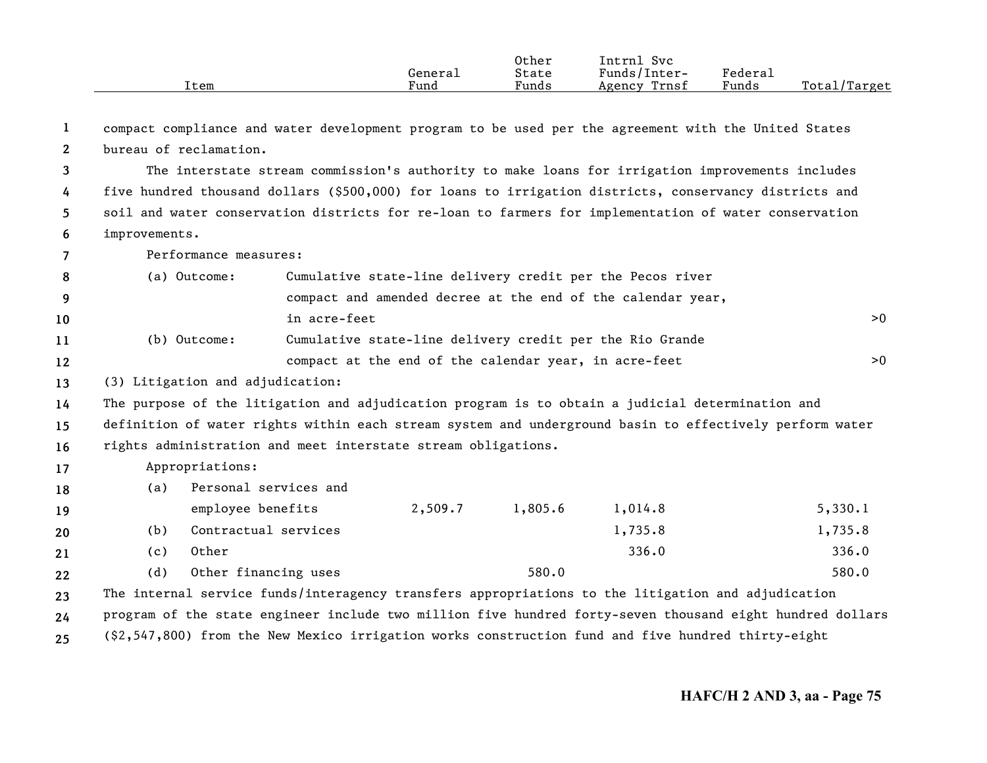|      |         | Other           | Intrnl<br><b>Svc</b> |                       |                  |
|------|---------|-----------------|----------------------|-----------------------|------------------|
|      | General | State           | Funds/Inter-         | $"$ edera $\lrcorner$ |                  |
| Item | Fund    | $\sim$<br>Funds | Trnsf<br>Agency      | Funds                 | Total<br>'Target |

**123456**compact compliance and water development program to be used per the agreement with the United States bureau of reclamation.The interstate stream commission's authority to make loans for irrigation improvements includes five hundred thousand dollars (\$500,000) for loans to irrigation districts, conservancy districts and soil and water conservation districts for re-loan to farmers for implementation of water conservation improvements.

**7**Performance measures:

| - 8     | (a) Outcome: | Cumulative state-line delivery credit per the Pecos river   |    |
|---------|--------------|-------------------------------------------------------------|----|
| - 9     |              | compact and amended decree at the end of the calendar year, |    |
| 10      |              | in acre-feet                                                | >0 |
| 11      | (b) Outcome: | Cumulative state-line delivery credit per the Rio Grande    |    |
| $12 \,$ |              | compact at the end of the calendar year, in acre-feet       | >0 |

#### **13**(3) Litigation and adjudication:

**14**The purpose of the litigation and adjudication program is to obtain a judicial determination and

**1516**definition of water rights within each stream system and underground basin to effectively perform water rights administration and meet interstate stream obligations.

## **17**Appropriations:

**18**(a) Personal services and

| 19 |     | employee benefits    | 2,509.7 | 1,805.6 | 1,014.8 | 5,330.1 |
|----|-----|----------------------|---------|---------|---------|---------|
| 20 | (b) | Contractual services |         |         | 1,735.8 | 1,735.8 |
| 21 | (c) | Other                |         |         | 336.0   | 336.0   |
| 22 | (d) | Other financing uses |         | 580.0   |         | 580.0   |

**232425**The internal service funds/interagency transfers appropriations to the litigation and adjudication program of the state engineer include two million five hundred forty-seven thousand eight hundred dollars (\$2,547,800) from the New Mexico irrigation works construction fund and five hundred thirty-eight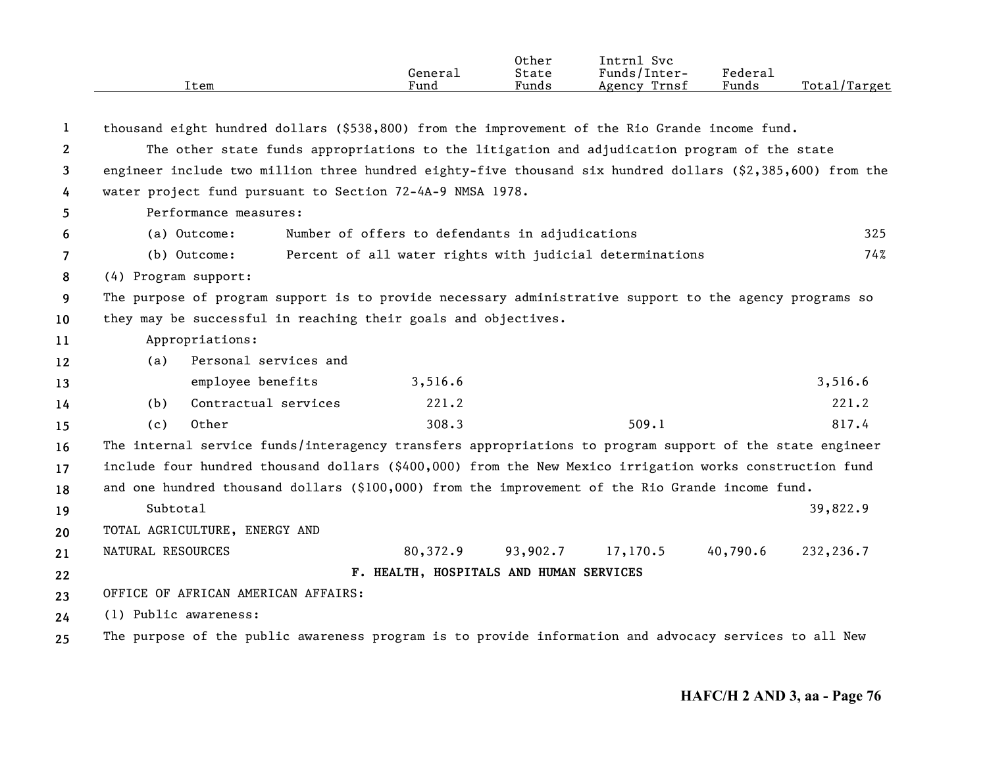|              | Item                                                                                                       | General<br>Fund                                 | Other<br>State<br>Funds | Intrnl Svc<br>Funds/Inter-<br>Agency Trnsf               | Federal<br>Funds | Total/Target |  |  |
|--------------|------------------------------------------------------------------------------------------------------------|-------------------------------------------------|-------------------------|----------------------------------------------------------|------------------|--------------|--|--|
| 1            | thousand eight hundred dollars (\$538,800) from the improvement of the Rio Grande income fund.             |                                                 |                         |                                                          |                  |              |  |  |
| $\mathbf{2}$ | The other state funds appropriations to the litigation and adjudication program of the state               |                                                 |                         |                                                          |                  |              |  |  |
| 3            | engineer include two million three hundred eighty-five thousand six hundred dollars (\$2,385,600) from the |                                                 |                         |                                                          |                  |              |  |  |
| 4            | water project fund pursuant to Section 72-4A-9 NMSA 1978.                                                  |                                                 |                         |                                                          |                  |              |  |  |
| 5            | Performance measures:                                                                                      |                                                 |                         |                                                          |                  |              |  |  |
| 6            | (a) Outcome:                                                                                               | Number of offers to defendants in adjudications |                         |                                                          |                  | 325          |  |  |
| 7            | (b) Outcome:                                                                                               |                                                 |                         | Percent of all water rights with judicial determinations |                  | 74%          |  |  |
| 8            | (4) Program support:                                                                                       |                                                 |                         |                                                          |                  |              |  |  |
| 9            | The purpose of program support is to provide necessary administrative support to the agency programs so    |                                                 |                         |                                                          |                  |              |  |  |
| 10           | they may be successful in reaching their goals and objectives.                                             |                                                 |                         |                                                          |                  |              |  |  |
| 11           | Appropriations:                                                                                            |                                                 |                         |                                                          |                  |              |  |  |
| 12           | Personal services and<br>(a)                                                                               |                                                 |                         |                                                          |                  |              |  |  |
| 13           | employee benefits                                                                                          | 3,516.6                                         |                         |                                                          |                  | 3,516.6      |  |  |
| 14           | Contractual services<br>(b)                                                                                | 221.2                                           |                         |                                                          |                  | 221.2        |  |  |
| 15           | Other<br>(c)                                                                                               | 308.3                                           |                         | 509.1                                                    |                  | 817.4        |  |  |
| 16           | The internal service funds/interagency transfers appropriations to program support of the state engineer   |                                                 |                         |                                                          |                  |              |  |  |
| 17           | include four hundred thousand dollars (\$400,000) from the New Mexico irrigation works construction fund   |                                                 |                         |                                                          |                  |              |  |  |
| 18           | and one hundred thousand dollars (\$100,000) from the improvement of the Rio Grande income fund.           |                                                 |                         |                                                          |                  |              |  |  |
| 19           | Subtotal                                                                                                   |                                                 |                         |                                                          |                  | 39,822.9     |  |  |
| 20           | TOTAL AGRICULTURE, ENERGY AND                                                                              |                                                 |                         |                                                          |                  |              |  |  |
| 21           | NATURAL RESOURCES                                                                                          | 80,372.9                                        | 93,902.7                | 17,170.5                                                 | 40,790.6         | 232,236.7    |  |  |
| 22           |                                                                                                            | F. HEALTH, HOSPITALS AND HUMAN SERVICES         |                         |                                                          |                  |              |  |  |
| 23           | OFFICE OF AFRICAN AMERICAN AFFAIRS:                                                                        |                                                 |                         |                                                          |                  |              |  |  |
| 24           | (1) Public awareness:                                                                                      |                                                 |                         |                                                          |                  |              |  |  |
| 25           | The purpose of the public awareness program is to provide information and advocacy services to all New     |                                                 |                         |                                                          |                  |              |  |  |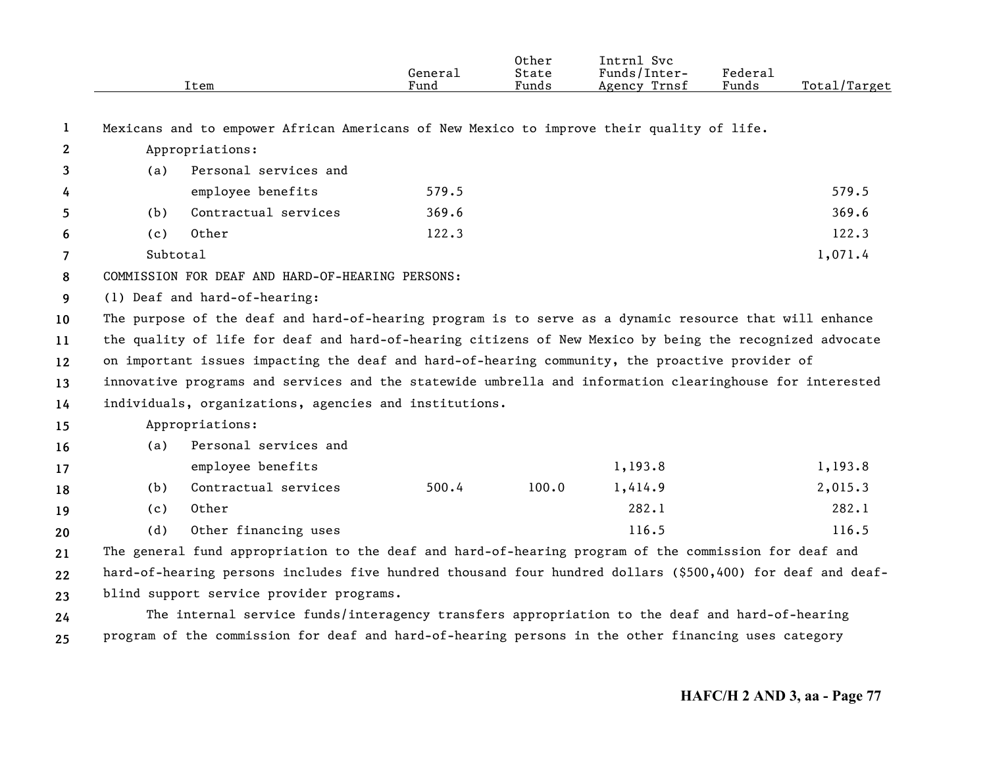|              | Item                                                                                                       | General<br>Fund | Other<br>State<br>Funds | Intrnl Svc<br>Funds/Inter-<br>Agency Trnsf | <b>Federal</b><br>Funds | Total/Target |
|--------------|------------------------------------------------------------------------------------------------------------|-----------------|-------------------------|--------------------------------------------|-------------------------|--------------|
| 1            | Mexicans and to empower African Americans of New Mexico to improve their quality of life.                  |                 |                         |                                            |                         |              |
| $\mathbf{2}$ | Appropriations:                                                                                            |                 |                         |                                            |                         |              |
| 3            | Personal services and<br>(a)                                                                               |                 |                         |                                            |                         |              |
| 4            | employee benefits                                                                                          | 579.5           |                         |                                            |                         | 579.5        |
| 5            | Contractual services<br>(b)                                                                                | 369.6           |                         |                                            |                         | 369.6        |
| 6            | 0ther<br>(c)                                                                                               | 122.3           |                         |                                            |                         | 122.3        |
| 7            | Subtotal                                                                                                   |                 |                         |                                            |                         | 1,071.4      |
| 8            | COMMISSION FOR DEAF AND HARD-OF-HEARING PERSONS:                                                           |                 |                         |                                            |                         |              |
| 9            | (1) Deaf and hard-of-hearing:                                                                              |                 |                         |                                            |                         |              |
| 10           | The purpose of the deaf and hard-of-hearing program is to serve as a dynamic resource that will enhance    |                 |                         |                                            |                         |              |
| 11           | the quality of life for deaf and hard-of-hearing citizens of New Mexico by being the recognized advocate   |                 |                         |                                            |                         |              |
| 12           | on important issues impacting the deaf and hard-of-hearing community, the proactive provider of            |                 |                         |                                            |                         |              |
| 13           | innovative programs and services and the statewide umbrella and information clearinghouse for interested   |                 |                         |                                            |                         |              |
| 14           | individuals, organizations, agencies and institutions.                                                     |                 |                         |                                            |                         |              |
| 15           | Appropriations:                                                                                            |                 |                         |                                            |                         |              |
| 16           | Personal services and<br>(a)                                                                               |                 |                         |                                            |                         |              |
| 17           | employee benefits                                                                                          |                 |                         | 1,193.8                                    |                         | 1,193.8      |
| 18           | Contractual services<br>(b)                                                                                | 500.4           | 100.0                   | 1,414.9                                    |                         | 2,015.3      |
| 19           | Other<br>(c)                                                                                               |                 |                         | 282.1                                      |                         | 282.1        |
| 20           | (d)<br>Other financing uses                                                                                |                 |                         | 116.5                                      |                         | 116.5        |
| 21           | The general fund appropriation to the deaf and hard-of-hearing program of the commission for deaf and      |                 |                         |                                            |                         |              |
| 22           | hard-of-hearing persons includes five hundred thousand four hundred dollars (\$500,400) for deaf and deaf- |                 |                         |                                            |                         |              |
| 23           | blind support service provider programs.                                                                   |                 |                         |                                            |                         |              |
| 24           | The internal service funds/interagency transfers appropriation to the deaf and hard-of-hearing             |                 |                         |                                            |                         |              |
| 25           | program of the commission for deaf and hard-of-hearing persons in the other financing uses category        |                 |                         |                                            |                         |              |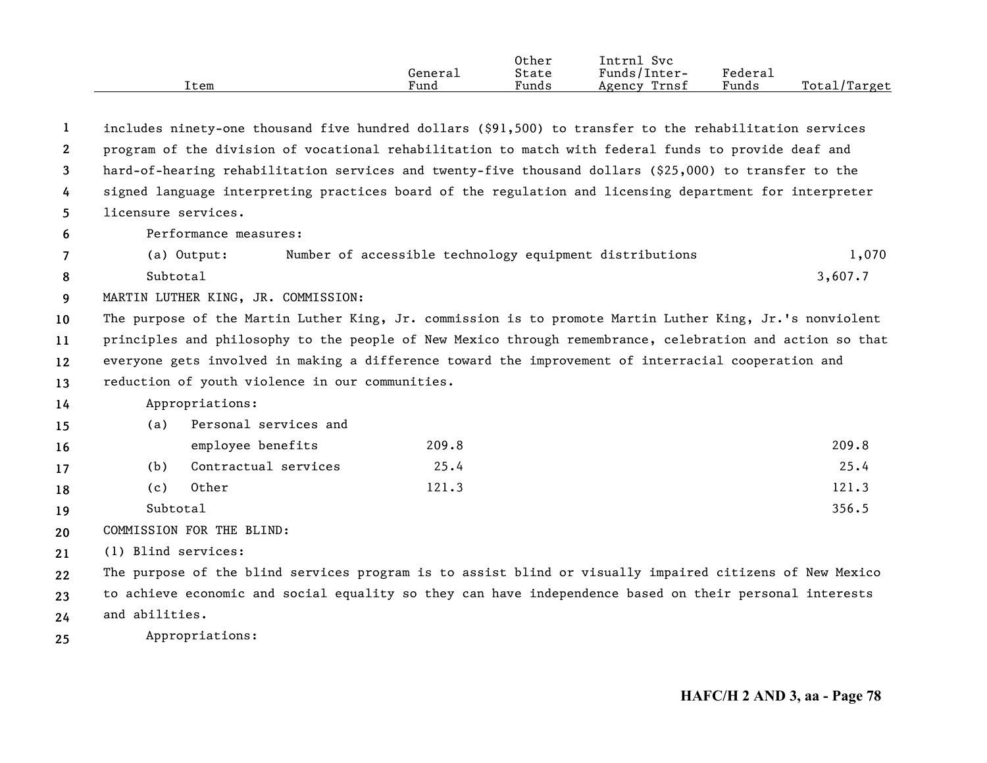|      |         | Other | Svc<br>Intrnl   |         |                  |
|------|---------|-------|-----------------|---------|------------------|
|      | General | State | Funds/Inter-    | Federau |                  |
| Item | Fund    | Funds | Trnsf<br>Agency | Funds   | Total,<br>Target |

**123456789101112131415161718192021222324**includes ninety-one thousand five hundred dollars (\$91,500) to transfer to the rehabilitation services program of the division of vocational rehabilitation to match with federal funds to provide deaf and hard-of-hearing rehabilitation services and twenty-five thousand dollars (\$25,000) to transfer to the signed language interpreting practices board of the regulation and licensing department for interpreter licensure services.Performance measures:(a) Output: Number of accessible technology equipment distributions 1,070 Subtotal $\frac{3}{607}.7$ MARTIN LUTHER KING, JR. COMMISSION: The purpose of the Martin Luther King, Jr. commission is to promote Martin Luther King, Jr.'s nonviolent principles and philosophy to the people of New Mexico through remembrance, celebration and action so that everyone gets involved in making a difference toward the improvement of interracial cooperation and reduction of youth violence in our communities. Appropriations: (a) Personal services and employee benefits 209.8 209.8 (b) Contractual services 25.4 25.4 (c) Other 121.3 121.3 Subtotal $\frac{356.5}{ }$ COMMISSION FOR THE BLIND:(1) Blind services: The purpose of the blind services program is to assist blind or visually impaired citizens of New Mexico to achieve economic and social equality so they can have independence based on their personal interests and abilities.

**25**Appropriations: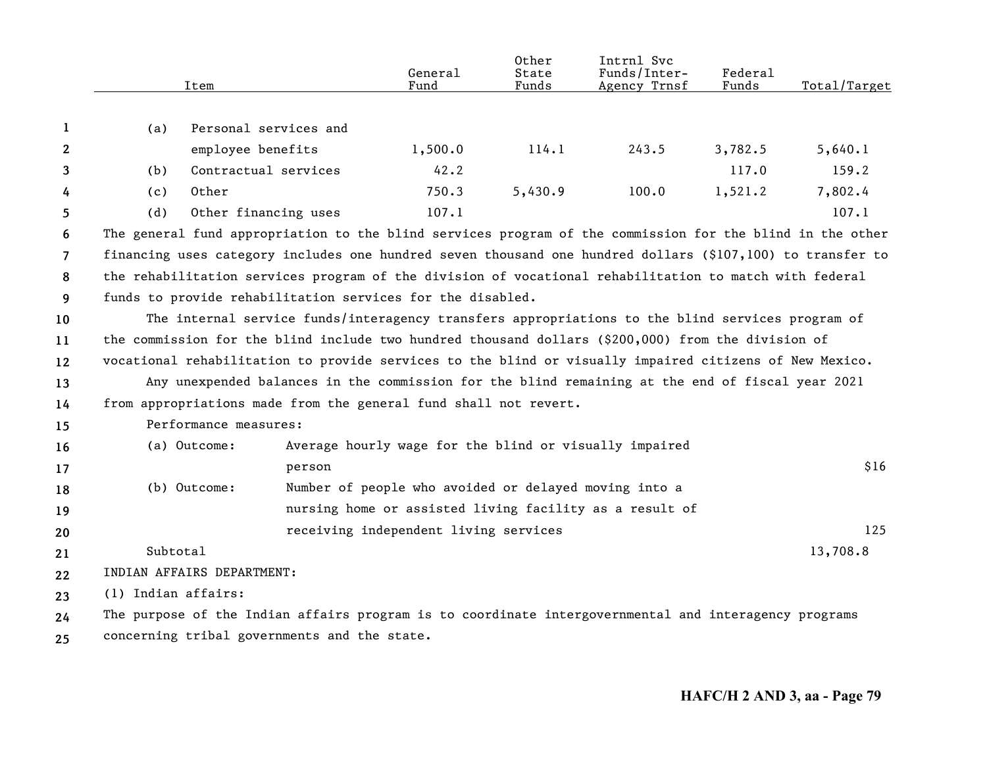|                |                     | Item                                         | General<br>Fund                                                                                            | 0ther<br>State<br>Funds | Intrnl Svc<br>Funds/Inter-<br>Agency Trnsf | Federal<br>Funds | Total/Target |
|----------------|---------------------|----------------------------------------------|------------------------------------------------------------------------------------------------------------|-------------------------|--------------------------------------------|------------------|--------------|
| 1              | (a)                 | Personal services and                        |                                                                                                            |                         |                                            |                  |              |
| 2              |                     | employee benefits                            | 1,500.0                                                                                                    | 114.1                   | 243.5                                      | 3,782.5          | 5,640.1      |
| 3              | (b)                 | Contractual services                         | 42.2                                                                                                       |                         |                                            | 117.0            | 159.2        |
| 4              | (c)                 | Other                                        | 750.3                                                                                                      | 5,430.9                 | 100.0                                      | 1,521.2          | 7,802.4      |
| 5              | (d)                 | Other financing uses                         | 107.1                                                                                                      |                         |                                            |                  | 107.1        |
| 6              |                     |                                              | The general fund appropriation to the blind services program of the commission for the blind in the other  |                         |                                            |                  |              |
| $\overline{7}$ |                     |                                              | financing uses category includes one hundred seven thousand one hundred dollars (\$107,100) to transfer to |                         |                                            |                  |              |
| 8              |                     |                                              | the rehabilitation services program of the division of vocational rehabilitation to match with federal     |                         |                                            |                  |              |
| 9              |                     |                                              | funds to provide rehabilitation services for the disabled.                                                 |                         |                                            |                  |              |
| 10             |                     |                                              | The internal service funds/interagency transfers appropriations to the blind services program of           |                         |                                            |                  |              |
| 11             |                     |                                              | the commission for the blind include two hundred thousand dollars (\$200,000) from the division of         |                         |                                            |                  |              |
| 12             |                     |                                              | vocational rehabilitation to provide services to the blind or visually impaired citizens of New Mexico.    |                         |                                            |                  |              |
| 13             |                     |                                              | Any unexpended balances in the commission for the blind remaining at the end of fiscal year 2021           |                         |                                            |                  |              |
| 14             |                     |                                              | from appropriations made from the general fund shall not revert.                                           |                         |                                            |                  |              |
| 15             |                     | Performance measures:                        |                                                                                                            |                         |                                            |                  |              |
| 16             |                     | (a) Outcome:                                 | Average hourly wage for the blind or visually impaired                                                     |                         |                                            |                  |              |
| 17             |                     | person                                       |                                                                                                            |                         |                                            |                  | \$16         |
| 18             |                     | (b) Outcome:                                 | Number of people who avoided or delayed moving into a                                                      |                         |                                            |                  |              |
| 19             |                     |                                              | nursing home or assisted living facility as a result of                                                    |                         |                                            |                  |              |
| 20             |                     |                                              | receiving independent living services                                                                      |                         |                                            |                  | 125          |
| 21             | Subtotal            |                                              |                                                                                                            |                         |                                            |                  | 13,708.8     |
| 22             |                     | INDIAN AFFAIRS DEPARTMENT:                   |                                                                                                            |                         |                                            |                  |              |
| 23             | (1) Indian affairs: |                                              |                                                                                                            |                         |                                            |                  |              |
| 24             |                     |                                              | The purpose of the Indian affairs program is to coordinate intergovernmental and interagency programs      |                         |                                            |                  |              |
| 25             |                     | concerning tribal governments and the state. |                                                                                                            |                         |                                            |                  |              |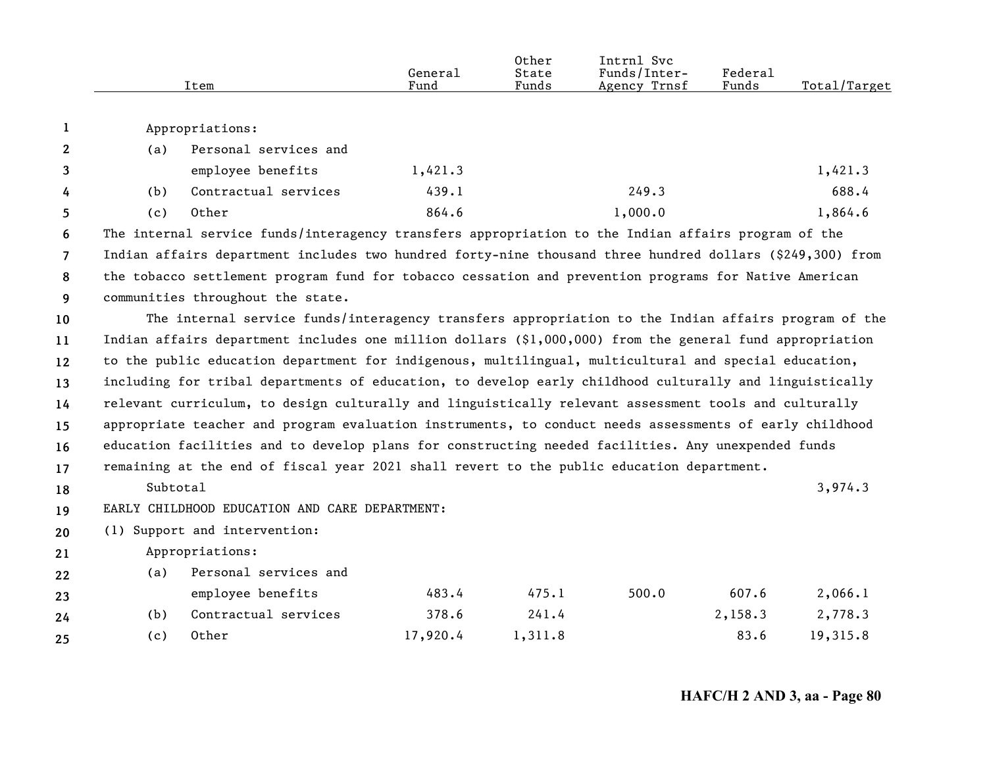|                |          | Item                                                                                                      | General<br>Fund | Other<br>State<br>Funds | Intrnl Svc<br>Funds/Inter-<br>Agency Trnsf | Federal<br>Funds | Total/Target |
|----------------|----------|-----------------------------------------------------------------------------------------------------------|-----------------|-------------------------|--------------------------------------------|------------------|--------------|
| 1              |          | Appropriations:                                                                                           |                 |                         |                                            |                  |              |
| $\mathbf{2}$   | (a)      | Personal services and                                                                                     |                 |                         |                                            |                  |              |
| 3              |          | employee benefits                                                                                         | 1,421.3         |                         |                                            |                  | 1,421.3      |
| 4              | (b)      | Contractual services                                                                                      | 439.1           |                         | 249.3                                      |                  | 688.4        |
| 5              | (c)      | Other                                                                                                     | 864.6           |                         | 1,000.0                                    |                  | 1,864.6      |
| 6              |          | The internal service funds/interagency transfers appropriation to the Indian affairs program of the       |                 |                         |                                            |                  |              |
| $\overline{7}$ |          | Indian affairs department includes two hundred forty-nine thousand three hundred dollars (\$249,300) from |                 |                         |                                            |                  |              |
| 8              |          | the tobacco settlement program fund for tobacco cessation and prevention programs for Native American     |                 |                         |                                            |                  |              |
| 9              |          | communities throughout the state.                                                                         |                 |                         |                                            |                  |              |
| 10             |          | The internal service funds/interagency transfers appropriation to the Indian affairs program of the       |                 |                         |                                            |                  |              |
| 11             |          | Indian affairs department includes one million dollars (\$1,000,000) from the general fund appropriation  |                 |                         |                                            |                  |              |
| 12             |          | to the public education department for indigenous, multilingual, multicultural and special education,     |                 |                         |                                            |                  |              |
| 13             |          | including for tribal departments of education, to develop early childhood culturally and linguistically   |                 |                         |                                            |                  |              |
| 14             |          | relevant curriculum, to design culturally and linguistically relevant assessment tools and culturally     |                 |                         |                                            |                  |              |
| 15             |          | appropriate teacher and program evaluation instruments, to conduct needs assessments of early childhood   |                 |                         |                                            |                  |              |
| 16             |          | education facilities and to develop plans for constructing needed facilities. Any unexpended funds        |                 |                         |                                            |                  |              |
| 17             |          | remaining at the end of fiscal year 2021 shall revert to the public education department.                 |                 |                         |                                            |                  |              |
| 18             | Subtotal |                                                                                                           |                 |                         |                                            |                  | 3,974.3      |
| 19             |          | EARLY CHILDHOOD EDUCATION AND CARE DEPARTMENT:                                                            |                 |                         |                                            |                  |              |
| 20             |          | (1) Support and intervention:                                                                             |                 |                         |                                            |                  |              |
| 21             |          | Appropriations:                                                                                           |                 |                         |                                            |                  |              |
| 22             | (a)      | Personal services and                                                                                     |                 |                         |                                            |                  |              |
| 23             |          | employee benefits                                                                                         | 483.4           | 475.1                   | 500.0                                      | 607.6            | 2,066.1      |
| 24             | (b)      | Contractual services                                                                                      | 378.6           | 241.4                   |                                            | 2,158.3          | 2,778.3      |
| 25             | (c)      | Other                                                                                                     | 17,920.4        | 1,311.8                 |                                            | 83.6             | 19,315.8     |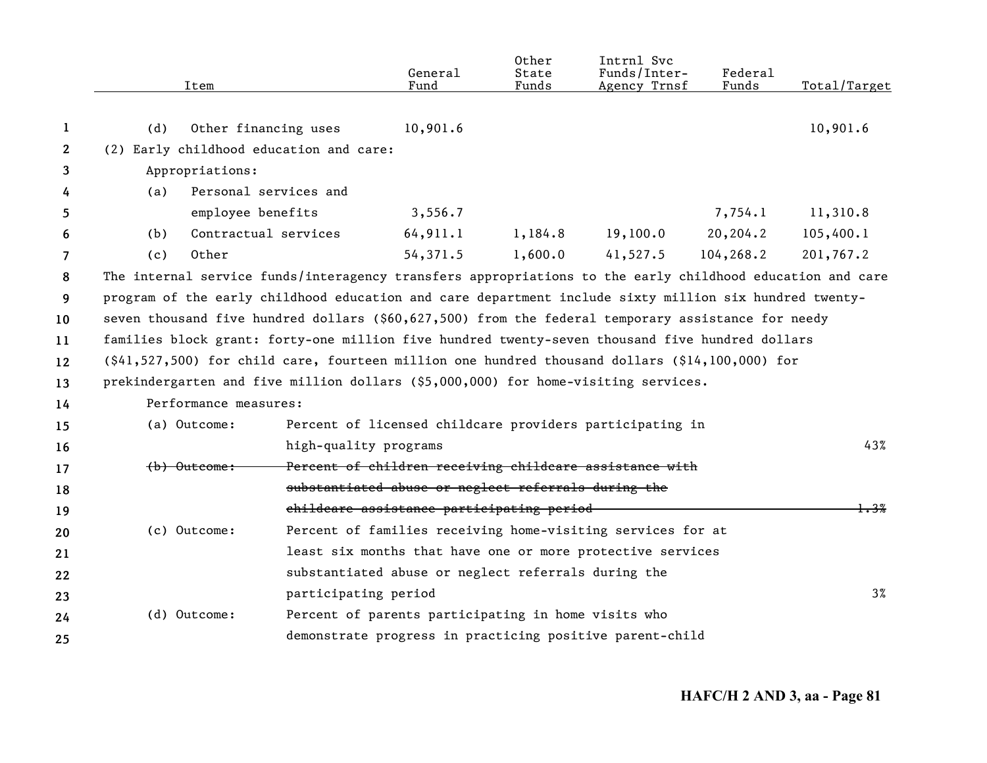|              |     | Item                  |                                         | General<br>Fund                                     | Other<br>State<br>Funds | Intrnl Svc<br>Funds/Inter-<br>Agency Trnsf                                                                                               | Federal<br>Funds | Total/Target |
|--------------|-----|-----------------------|-----------------------------------------|-----------------------------------------------------|-------------------------|------------------------------------------------------------------------------------------------------------------------------------------|------------------|--------------|
| 1            | (d) | Other financing uses  |                                         | 10,901.6                                            |                         |                                                                                                                                          |                  | 10,901.6     |
| $\mathbf{2}$ |     |                       | (2) Early childhood education and care: |                                                     |                         |                                                                                                                                          |                  |              |
| 3            |     | Appropriations:       |                                         |                                                     |                         |                                                                                                                                          |                  |              |
| 4            | (a) |                       | Personal services and                   |                                                     |                         |                                                                                                                                          |                  |              |
| 5.           |     | employee benefits     |                                         | 3,556.7                                             |                         |                                                                                                                                          | 7,754.1          | 11,310.8     |
| 6            | (b) | Contractual services  |                                         | 64,911.1                                            | 1,184.8                 | 19,100.0                                                                                                                                 | 20, 204.2        | 105,400.1    |
| 7            | (c) | Other                 |                                         | 54,371.5                                            | 1,600.0                 | 41,527.5                                                                                                                                 | 104,268.2        | 201,767.2    |
| 8            |     |                       |                                         |                                                     |                         | The internal service funds/interagency transfers appropriations to the early childhood education and care                                |                  |              |
| 9            |     |                       |                                         |                                                     |                         | program of the early childhood education and care department include sixty million six hundred twenty-                                   |                  |              |
| 10           |     |                       |                                         |                                                     |                         | seven thousand five hundred dollars $(§60,627,500)$ from the federal temporary assistance for needy                                      |                  |              |
| 11           |     |                       |                                         |                                                     |                         | families block grant: forty-one million five hundred twenty-seven thousand five hundred dollars                                          |                  |              |
| 12           |     |                       |                                         |                                                     |                         | $(\frac{6}{41}, \frac{527}{500})$ for child care, fourteen million one hundred thousand dollars $(\frac{614}{100}, \frac{100}{000})$ for |                  |              |
| 13           |     |                       |                                         |                                                     |                         | prekindergarten and five million dollars (\$5,000,000) for home-visiting services.                                                       |                  |              |
| 14           |     | Performance measures: |                                         |                                                     |                         |                                                                                                                                          |                  |              |
| 15           |     | (a) Outcome:          |                                         |                                                     |                         | Percent of licensed childcare providers participating in                                                                                 |                  |              |
| 16           |     |                       | high-quality programs                   |                                                     |                         |                                                                                                                                          |                  | 43%          |
| 17           |     | $(b)$ $0$ utcome:     |                                         |                                                     |                         | Percent of children receiving childcare assistance with                                                                                  |                  |              |
| 18           |     |                       |                                         | substantiated abuse or neglect referrals during the |                         |                                                                                                                                          |                  |              |
| 19           |     |                       |                                         | childcare assistance participating period           |                         |                                                                                                                                          |                  | 1.3%         |
| 20           |     | (c) Outcome:          |                                         |                                                     |                         | Percent of families receiving home-visiting services for at                                                                              |                  |              |
| 21           |     |                       |                                         |                                                     |                         | least six months that have one or more protective services                                                                               |                  |              |
| 22           |     |                       |                                         | substantiated abuse or neglect referrals during the |                         |                                                                                                                                          |                  |              |
| 23           |     |                       | participating period                    |                                                     |                         |                                                                                                                                          |                  | $3\%$        |
| 24           |     | (d) Outcome:          |                                         | Percent of parents participating in home visits who |                         |                                                                                                                                          |                  |              |
| 25           |     |                       |                                         |                                                     |                         | demonstrate progress in practicing positive parent-child                                                                                 |                  |              |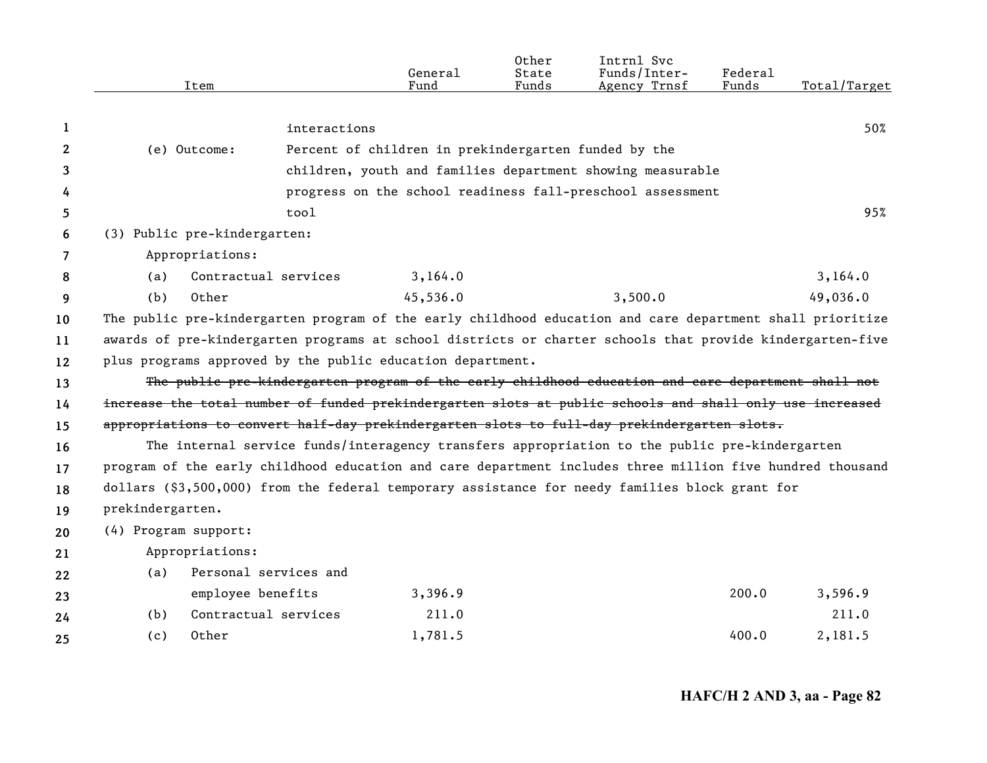|    | Item                                                                                                      |                       | General<br>Fund                                      | Other<br>State<br>Funds | Intrnl Svc<br>Funds/Inter-<br>Agency Trnsf                                                         | Federal<br>Funds | Total/Target |
|----|-----------------------------------------------------------------------------------------------------------|-----------------------|------------------------------------------------------|-------------------------|----------------------------------------------------------------------------------------------------|------------------|--------------|
|    |                                                                                                           |                       |                                                      |                         |                                                                                                    |                  |              |
| 1  |                                                                                                           | interactions          |                                                      |                         |                                                                                                    |                  | 50%          |
| 2  | (e) Outcome:                                                                                              |                       | Percent of children in prekindergarten funded by the |                         |                                                                                                    |                  |              |
| 3  |                                                                                                           |                       |                                                      |                         | children, youth and families department showing measurable                                         |                  |              |
| 4  |                                                                                                           |                       |                                                      |                         | progress on the school readiness fall-preschool assessment                                         |                  |              |
| 5. |                                                                                                           | tool                  |                                                      |                         |                                                                                                    |                  | 95%          |
| 6  | (3) Public pre-kindergarten:                                                                              |                       |                                                      |                         |                                                                                                    |                  |              |
| 7  | Appropriations:                                                                                           |                       |                                                      |                         |                                                                                                    |                  |              |
| 8  | (a)                                                                                                       | Contractual services  | 3,164.0                                              |                         |                                                                                                    |                  | 3,164.0      |
| 9  | (b)<br>Other                                                                                              |                       | 45,536.0                                             |                         | 3,500.0                                                                                            |                  | 49,036.0     |
| 10 | The public pre-kindergarten program of the early childhood education and care department shall prioritize |                       |                                                      |                         |                                                                                                    |                  |              |
| 11 | awards of pre-kindergarten programs at school districts or charter schools that provide kindergarten-five |                       |                                                      |                         |                                                                                                    |                  |              |
| 12 | plus programs approved by the public education department.                                                |                       |                                                      |                         |                                                                                                    |                  |              |
| 13 |                                                                                                           |                       |                                                      |                         | The public pre-kindergarten program of the early childhood education and care department shall not |                  |              |
| 14 | increase the total number of funded prekindergarten slots at public schools and shall only use increased  |                       |                                                      |                         |                                                                                                    |                  |              |
| 15 | appropriations to convert half-day prekindergarten slots to full-day prekindergarten slots.               |                       |                                                      |                         |                                                                                                    |                  |              |
| 16 |                                                                                                           |                       |                                                      |                         | The internal service funds/interagency transfers appropriation to the public pre-kindergarten      |                  |              |
| 17 | program of the early childhood education and care department includes three million five hundred thousand |                       |                                                      |                         |                                                                                                    |                  |              |
| 18 | dollars (\$3,500,000) from the federal temporary assistance for needy families block grant for            |                       |                                                      |                         |                                                                                                    |                  |              |
| 19 | prekindergarten.                                                                                          |                       |                                                      |                         |                                                                                                    |                  |              |
| 20 | (4) Program support:                                                                                      |                       |                                                      |                         |                                                                                                    |                  |              |
| 21 | Appropriations:                                                                                           |                       |                                                      |                         |                                                                                                    |                  |              |
| 22 | (a)                                                                                                       | Personal services and |                                                      |                         |                                                                                                    |                  |              |
| 23 | employee benefits                                                                                         |                       | 3,396.9                                              |                         |                                                                                                    | 200.0            | 3,596.9      |
| 24 | (b)                                                                                                       | Contractual services  | 211.0                                                |                         |                                                                                                    |                  | 211.0        |
| 25 | Other<br>(c)                                                                                              |                       | 1,781.5                                              |                         |                                                                                                    | 400.0            | 2,181.5      |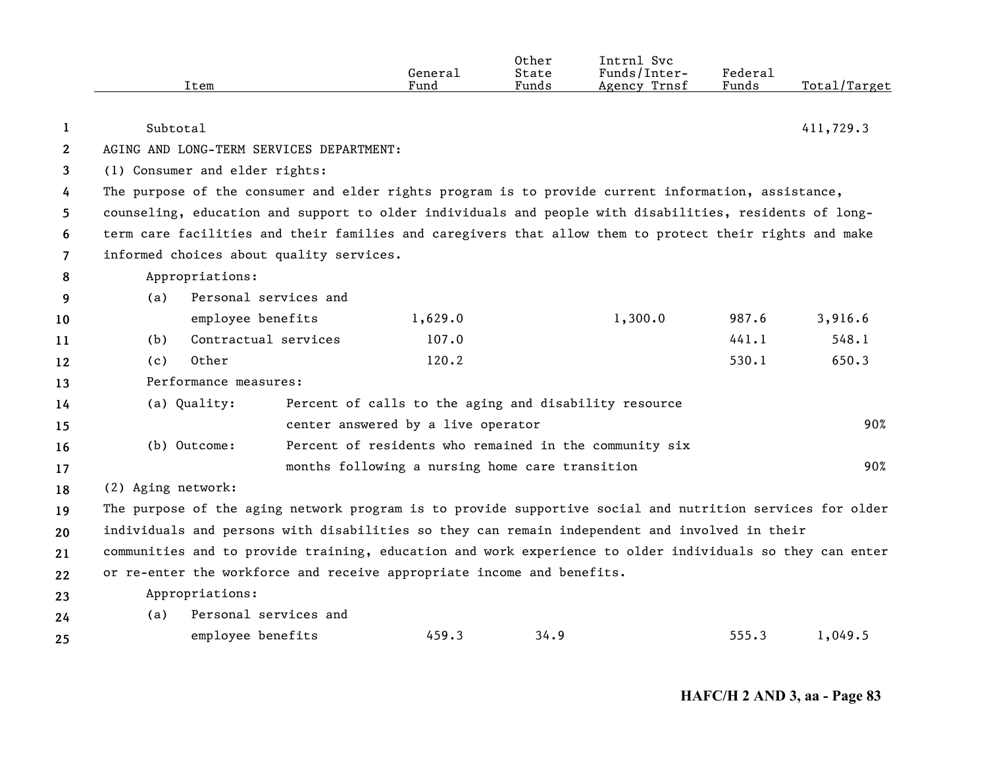|                |                    | Item                           |                                          | General<br>Fund                                                        | Other<br>State<br>Funds | Intrnl Svc<br>Funds/Inter-<br>Agency Trnsf                                                                | Federal<br>Funds | Total/Target |
|----------------|--------------------|--------------------------------|------------------------------------------|------------------------------------------------------------------------|-------------------------|-----------------------------------------------------------------------------------------------------------|------------------|--------------|
| 1              | Subtotal           |                                |                                          |                                                                        |                         |                                                                                                           |                  | 411,729.3    |
| $\mathbf{2}$   |                    |                                | AGING AND LONG-TERM SERVICES DEPARTMENT: |                                                                        |                         |                                                                                                           |                  |              |
| 3              |                    | (1) Consumer and elder rights: |                                          |                                                                        |                         |                                                                                                           |                  |              |
| 4              |                    |                                |                                          |                                                                        |                         | The purpose of the consumer and elder rights program is to provide current information, assistance,       |                  |              |
| 5              |                    |                                |                                          |                                                                        |                         | counseling, education and support to older individuals and people with disabilities, residents of long-   |                  |              |
| 6              |                    |                                |                                          |                                                                        |                         | term care facilities and their families and caregivers that allow them to protect their rights and make   |                  |              |
| $\overline{7}$ |                    |                                | informed choices about quality services. |                                                                        |                         |                                                                                                           |                  |              |
| 8              |                    | Appropriations:                |                                          |                                                                        |                         |                                                                                                           |                  |              |
| 9              | (a)                | Personal services and          |                                          |                                                                        |                         |                                                                                                           |                  |              |
| 10             |                    | employee benefits              |                                          | 1,629.0                                                                |                         | 1,300.0                                                                                                   | 987.6            | 3,916.6      |
| 11             | (b)                | Contractual services           |                                          | 107.0                                                                  |                         |                                                                                                           | 441.1            | 548.1        |
| 12             | (c)                | Other                          |                                          | 120.2                                                                  |                         |                                                                                                           | 530.1            | 650.3        |
| 13             |                    | Performance measures:          |                                          |                                                                        |                         |                                                                                                           |                  |              |
| 14             |                    | (a) Quality:                   |                                          | Percent of calls to the aging and disability resource                  |                         |                                                                                                           |                  |              |
| 15             |                    |                                |                                          | center answered by a live operator                                     |                         |                                                                                                           |                  | 90%          |
| 16             |                    | (b) Outcome:                   |                                          | Percent of residents who remained in the community six                 |                         |                                                                                                           |                  |              |
| 17             |                    |                                |                                          | months following a nursing home care transition                        |                         |                                                                                                           |                  | 90%          |
| 18             | (2) Aging network: |                                |                                          |                                                                        |                         |                                                                                                           |                  |              |
| 19             |                    |                                |                                          |                                                                        |                         | The purpose of the aging network program is to provide supportive social and nutrition services for older |                  |              |
| 20             |                    |                                |                                          |                                                                        |                         | individuals and persons with disabilities so they can remain independent and involved in their            |                  |              |
| 21             |                    |                                |                                          |                                                                        |                         | communities and to provide training, education and work experience to older individuals so they can enter |                  |              |
| 22             |                    |                                |                                          | or re-enter the workforce and receive appropriate income and benefits. |                         |                                                                                                           |                  |              |
| 23             |                    | Appropriations:                |                                          |                                                                        |                         |                                                                                                           |                  |              |
| 24             | (a)                | Personal services and          |                                          |                                                                        |                         |                                                                                                           |                  |              |
| 25             |                    | employee benefits              |                                          | 459.3                                                                  | 34.9                    |                                                                                                           | 555.3            | 1,049.5      |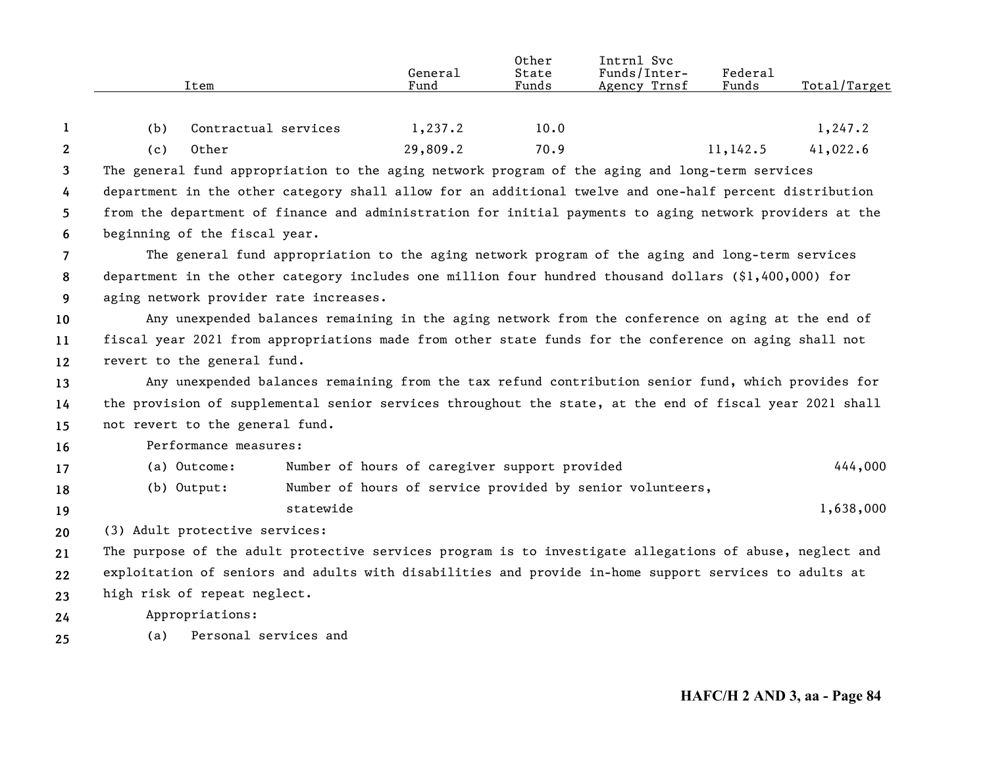|                | Item                                                                                                     |                                                                                                    | General<br>Fund                               | Other<br>State<br>Funds | Intrnl Svc<br>Funds/Inter-<br>Agency Trnsf                | Federal<br>Funds | Total/Target |
|----------------|----------------------------------------------------------------------------------------------------------|----------------------------------------------------------------------------------------------------|-----------------------------------------------|-------------------------|-----------------------------------------------------------|------------------|--------------|
| 1              | (b)                                                                                                      | Contractual services                                                                               | 1,237.2                                       | 10.0                    |                                                           |                  | 1,247.2      |
| $\mathbf{2}$   | (c)<br>Other                                                                                             |                                                                                                    | 29,809.2                                      | 70.9                    |                                                           | 11,142.5         | 41,022.6     |
| 3              | The general fund appropriation to the aging network program of the aging and long-term services          |                                                                                                    |                                               |                         |                                                           |                  |              |
| 4              | department in the other category shall allow for an additional twelve and one-half percent distribution  |                                                                                                    |                                               |                         |                                                           |                  |              |
| 5              | from the department of finance and administration for initial payments to aging network providers at the |                                                                                                    |                                               |                         |                                                           |                  |              |
| 6              | beginning of the fiscal year.                                                                            |                                                                                                    |                                               |                         |                                                           |                  |              |
| $\overline{7}$ |                                                                                                          | The general fund appropriation to the aging network program of the aging and long-term services    |                                               |                         |                                                           |                  |              |
| 8              | department in the other category includes one million four hundred thousand dollars (\$1,400,000) for    |                                                                                                    |                                               |                         |                                                           |                  |              |
| 9              | aging network provider rate increases.                                                                   |                                                                                                    |                                               |                         |                                                           |                  |              |
| 10             |                                                                                                          | Any unexpended balances remaining in the aging network from the conference on aging at the end of  |                                               |                         |                                                           |                  |              |
| 11             | fiscal year 2021 from appropriations made from other state funds for the conference on aging shall not   |                                                                                                    |                                               |                         |                                                           |                  |              |
| 12             | revert to the general fund.                                                                              |                                                                                                    |                                               |                         |                                                           |                  |              |
| 13             |                                                                                                          | Any unexpended balances remaining from the tax refund contribution senior fund, which provides for |                                               |                         |                                                           |                  |              |
| 14             | the provision of supplemental senior services throughout the state, at the end of fiscal year 2021 shall |                                                                                                    |                                               |                         |                                                           |                  |              |
| 15             | not revert to the general fund.                                                                          |                                                                                                    |                                               |                         |                                                           |                  |              |
| 16             | Performance measures:                                                                                    |                                                                                                    |                                               |                         |                                                           |                  |              |
| 17             | (a) Outcome:                                                                                             |                                                                                                    | Number of hours of caregiver support provided |                         |                                                           |                  | 444,000      |
| 18             | $(b)$ Output:                                                                                            |                                                                                                    |                                               |                         | Number of hours of service provided by senior volunteers, |                  |              |
| 19             |                                                                                                          | statewide                                                                                          |                                               |                         |                                                           |                  | 1,638,000    |
| 20             | (3) Adult protective services:                                                                           |                                                                                                    |                                               |                         |                                                           |                  |              |
| 21             | The purpose of the adult protective services program is to investigate allegations of abuse, neglect and |                                                                                                    |                                               |                         |                                                           |                  |              |
| 22             | exploitation of seniors and adults with disabilities and provide in-home support services to adults at   |                                                                                                    |                                               |                         |                                                           |                  |              |
| 23             | high risk of repeat neglect.                                                                             |                                                                                                    |                                               |                         |                                                           |                  |              |
| 24             | Appropriations:                                                                                          |                                                                                                    |                                               |                         |                                                           |                  |              |
| 25             | (a)                                                                                                      | Personal services and                                                                              |                                               |                         |                                                           |                  |              |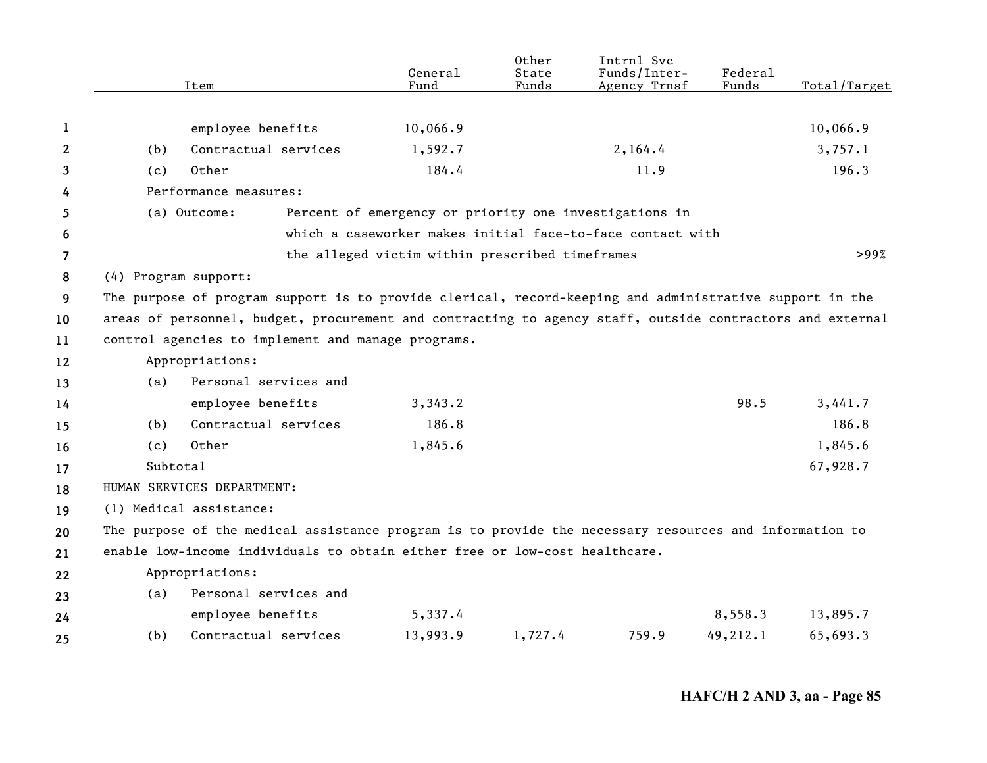|                |                      | Item                                                                                                      | General<br>Fund                                        | Other<br>State<br>Funds | Intrnl Svc<br>Funds/Inter-<br>Agency Trnsf                 | Federal<br>Funds | Total/Target |  |  |
|----------------|----------------------|-----------------------------------------------------------------------------------------------------------|--------------------------------------------------------|-------------------------|------------------------------------------------------------|------------------|--------------|--|--|
|                |                      |                                                                                                           |                                                        |                         |                                                            |                  |              |  |  |
| 1              |                      | employee benefits                                                                                         | 10,066.9                                               |                         |                                                            |                  | 10,066.9     |  |  |
| $\mathbf{2}$   | (b)                  | Contractual services                                                                                      | 1,592.7                                                |                         | 2,164.4                                                    |                  | 3,757.1      |  |  |
| 3              | (c)                  | Other                                                                                                     | 184.4                                                  |                         | 11.9                                                       |                  | 196.3        |  |  |
| 4              |                      | Performance measures:                                                                                     |                                                        |                         |                                                            |                  |              |  |  |
| 5              |                      | (a) Outcome:                                                                                              | Percent of emergency or priority one investigations in |                         |                                                            |                  |              |  |  |
| 6              |                      |                                                                                                           |                                                        |                         | which a caseworker makes initial face-to-face contact with |                  |              |  |  |
| $\overline{7}$ |                      |                                                                                                           | the alleged victim within prescribed timeframes        |                         |                                                            |                  | >99%         |  |  |
| 8              | (4) Program support: |                                                                                                           |                                                        |                         |                                                            |                  |              |  |  |
| 9              |                      | The purpose of program support is to provide clerical, record-keeping and administrative support in the   |                                                        |                         |                                                            |                  |              |  |  |
| 10             |                      | areas of personnel, budget, procurement and contracting to agency staff, outside contractors and external |                                                        |                         |                                                            |                  |              |  |  |
| 11             |                      | control agencies to implement and manage programs.                                                        |                                                        |                         |                                                            |                  |              |  |  |
| 12             |                      | Appropriations:                                                                                           |                                                        |                         |                                                            |                  |              |  |  |
| 13             | (a)                  | Personal services and                                                                                     |                                                        |                         |                                                            |                  |              |  |  |
| 14             |                      | employee benefits                                                                                         | 3,343.2                                                |                         |                                                            | 98.5             | 3,441.7      |  |  |
| 15             | (b)                  | Contractual services                                                                                      | 186.8                                                  |                         |                                                            |                  | 186.8        |  |  |
| 16             | (c)                  | Other                                                                                                     | 1,845.6                                                |                         |                                                            |                  | 1,845.6      |  |  |
| 17             | Subtotal             |                                                                                                           |                                                        |                         |                                                            |                  | 67,928.7     |  |  |
| 18             |                      | HUMAN SERVICES DEPARTMENT:                                                                                |                                                        |                         |                                                            |                  |              |  |  |
| 19             |                      | (1) Medical assistance:                                                                                   |                                                        |                         |                                                            |                  |              |  |  |
| 20             |                      | The purpose of the medical assistance program is to provide the necessary resources and information to    |                                                        |                         |                                                            |                  |              |  |  |
| 21             |                      | enable low-income individuals to obtain either free or low-cost healthcare.                               |                                                        |                         |                                                            |                  |              |  |  |
| 22             |                      | Appropriations:                                                                                           |                                                        |                         |                                                            |                  |              |  |  |
| 23             | (a)                  | Personal services and                                                                                     |                                                        |                         |                                                            |                  |              |  |  |
| 24             |                      | employee benefits                                                                                         | 5,337.4                                                |                         |                                                            | 8,558.3          | 13,895.7     |  |  |
| 25             | (b)                  | Contractual services                                                                                      | 13,993.9                                               | 1,727.4                 | 759.9                                                      | 49,212.1         | 65,693.3     |  |  |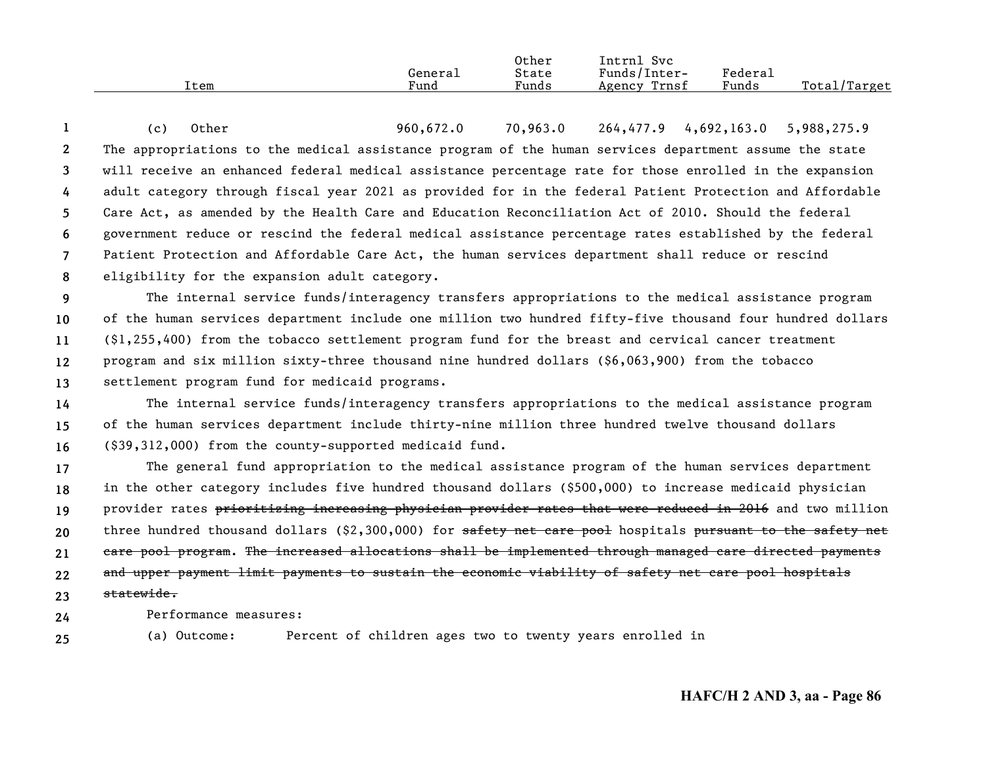|      |           | Other                         | Intrnl<br>Svc   |                     |                  |
|------|-----------|-------------------------------|-----------------|---------------------|------------------|
|      | General   | State                         | Funds/Inter-    | Federa <sub>1</sub> |                  |
| Item | –<br>Fund | $\sim$ $\sim$ $\sim$<br>Funds | Trnsf<br>Agency | $\sim$<br>Funds     | Total<br>/Target |

**12345678**(c) Other 960,672.0 70,963.0 264,477.9 4,692,163.0 5,988,275.9 The appropriations to the medical assistance program of the human services department assume the state will receive an enhanced federal medical assistance percentage rate for those enrolled in the expansion adult category through fiscal year 2021 as provided for in the federal Patient Protection and Affordable Care Act, as amended by the Health Care and Education Reconciliation Act of 2010. Should the federal government reduce or rescind the federal medical assistance percentage rates established by the federal Patient Protection and Affordable Care Act, the human services department shall reduce or rescind eligibility for the expansion adult category.

**9 10111213**The internal service funds/interagency transfers appropriations to the medical assistance program of the human services department include one million two hundred fifty-five thousand four hundred dollars (\$1,255,400) from the tobacco settlement program fund for the breast and cervical cancer treatment program and six million sixty-three thousand nine hundred dollars (\$6,063,900) from the tobacco settlement program fund for medicaid programs.

**141516**The internal service funds/interagency transfers appropriations to the medical assistance program of the human services department include thirty-nine million three hundred twelve thousand dollars (\$39,312,000) from the county-supported medicaid fund.

**17181920212223**The general fund appropriation to the medical assistance program of the human services department in the other category includes five hundred thousand dollars (\$500,000) to increase medicaid physician provider rates prioritizing increasing physician provider rates that were reduced in 2016 and two million three hundred thousand dollars (\$2,300,000) for <del>safety net care pool</del> hospitals <del>pursuant to the safety net</del> care pool program. The increased allocations shall be implemented through managed care directed payments and upper payment limit payments to sustain the economic viability of safety net care pool hospitals statewide.

Performance measures:

**24**

**25**(a) Outcome: Percent of children ages two to twenty years enrolled in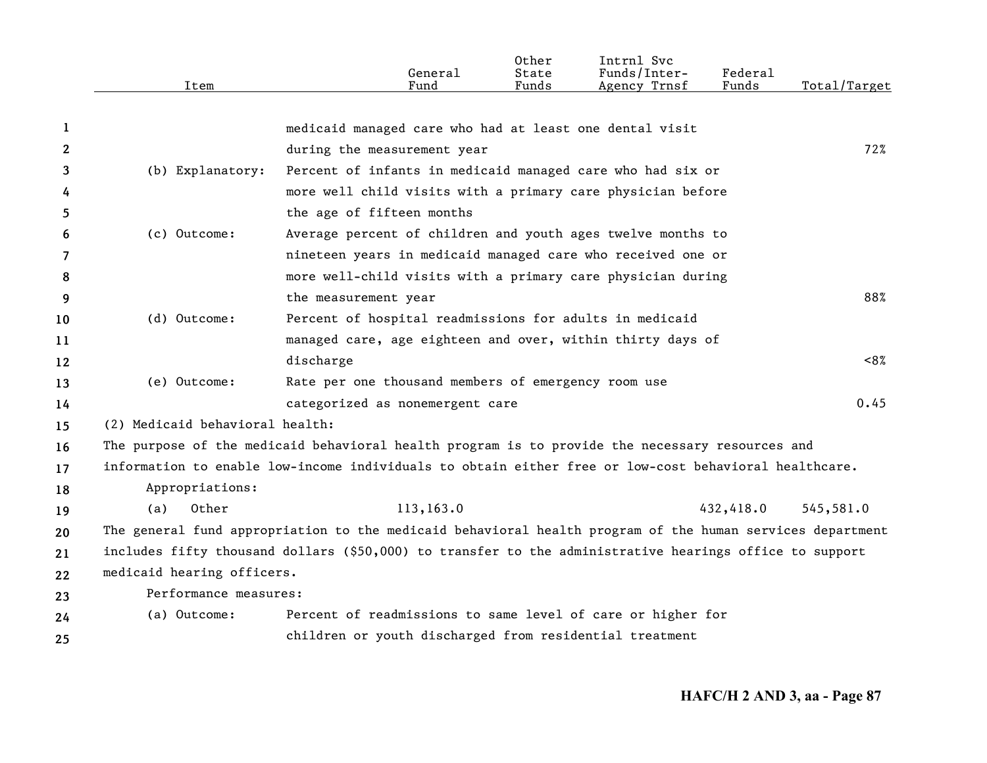|                       |                                 | General                                                                                                   | 0ther<br>State | Intrnl Svc<br>Funds/Inter- | <b>Federal</b> |              |
|-----------------------|---------------------------------|-----------------------------------------------------------------------------------------------------------|----------------|----------------------------|----------------|--------------|
|                       | Item                            | Fund                                                                                                      | Funds          | Agency Trnsf               | Funds          | Total/Target |
| 1                     |                                 | medicaid managed care who had at least one dental visit                                                   |                |                            |                |              |
| $\mathbf{2}^{\prime}$ |                                 | during the measurement year                                                                               |                |                            |                | 72%          |
| 3                     | (b) Explanatory:                | Percent of infants in medicaid managed care who had six or                                                |                |                            |                |              |
| 4                     |                                 | more well child visits with a primary care physician before                                               |                |                            |                |              |
| 5.                    |                                 | the age of fifteen months                                                                                 |                |                            |                |              |
| 6                     | (c) Outcome:                    | Average percent of children and youth ages twelve months to                                               |                |                            |                |              |
| 7                     |                                 | nineteen years in medicaid managed care who received one or                                               |                |                            |                |              |
| 8                     |                                 | more well-child visits with a primary care physician during                                               |                |                            |                |              |
| 9                     |                                 | the measurement year                                                                                      |                |                            |                | 88%          |
| 10                    | (d) Outcome:                    | Percent of hospital readmissions for adults in medicaid                                                   |                |                            |                |              |
| 11                    |                                 | managed care, age eighteen and over, within thirty days of                                                |                |                            |                |              |
| 12                    |                                 | discharge                                                                                                 |                |                            |                | <8%          |
| 13                    | (e) Outcome:                    | Rate per one thousand members of emergency room use                                                       |                |                            |                |              |
| 14                    |                                 | categorized as nonemergent care                                                                           |                |                            |                | 0.45         |
| 15                    | (2) Medicaid behavioral health: |                                                                                                           |                |                            |                |              |
| 16                    |                                 | The purpose of the medicaid behavioral health program is to provide the necessary resources and           |                |                            |                |              |
| 17                    |                                 | information to enable low-income individuals to obtain either free or low-cost behavioral healthcare.     |                |                            |                |              |
| 18                    | Appropriations:                 |                                                                                                           |                |                            |                |              |
| 19                    | Other<br>(a)                    | 113,163.0                                                                                                 |                |                            | 432,418.0      | 545,581.0    |
| 20                    |                                 | The general fund appropriation to the medicaid behavioral health program of the human services department |                |                            |                |              |
| 21                    |                                 | includes fifty thousand dollars (\$50,000) to transfer to the administrative hearings office to support   |                |                            |                |              |
| 22                    | medicaid hearing officers.      |                                                                                                           |                |                            |                |              |
| 23                    | Performance measures:           |                                                                                                           |                |                            |                |              |
| 24                    | (a) Outcome:                    | Percent of readmissions to same level of care or higher for                                               |                |                            |                |              |
| 25                    |                                 | children or youth discharged from residential treatment                                                   |                |                            |                |              |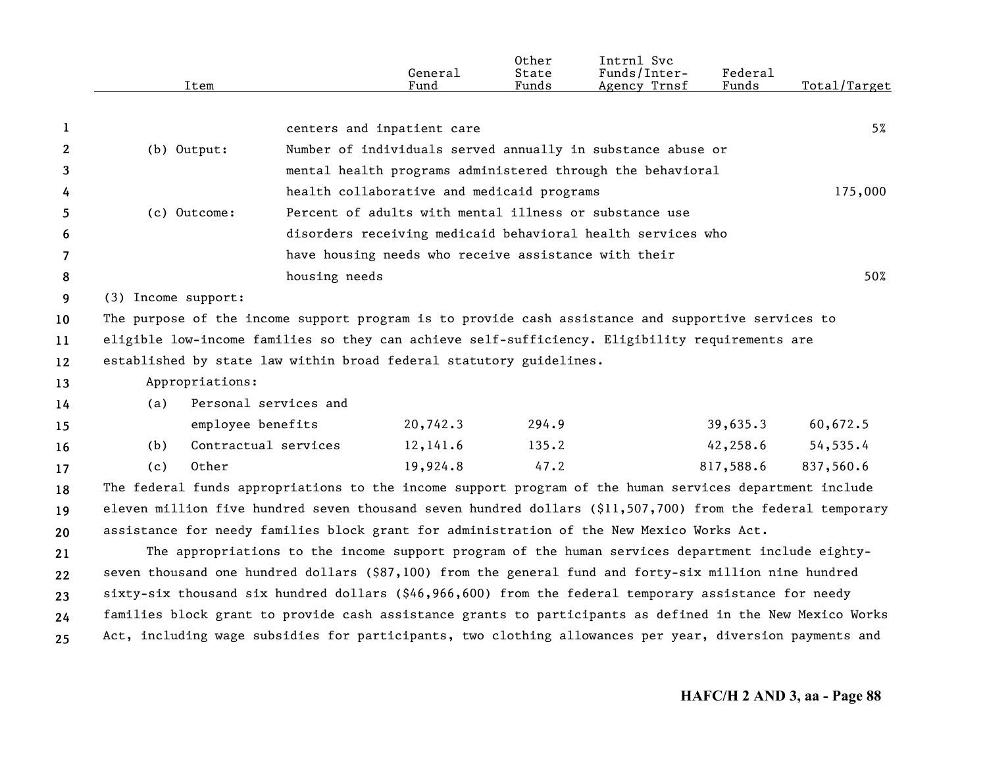|    |                     | Item                 |                       | General<br>Fund                                                     | Other<br>State<br>Funds | Intrnl Svc<br>Funds/Inter-<br>Agency Trnsf                                                                 | <b>Federal</b><br>Funds | Total/Target |
|----|---------------------|----------------------|-----------------------|---------------------------------------------------------------------|-------------------------|------------------------------------------------------------------------------------------------------------|-------------------------|--------------|
|    |                     |                      |                       |                                                                     |                         |                                                                                                            |                         |              |
| 1  |                     |                      |                       | centers and inpatient care                                          |                         |                                                                                                            |                         | 5%           |
| 2  |                     | (b) Output:          |                       |                                                                     |                         | Number of individuals served annually in substance abuse or                                                |                         |              |
| 3  |                     |                      |                       |                                                                     |                         | mental health programs administered through the behavioral                                                 |                         |              |
| 4  |                     |                      |                       | health collaborative and medicaid programs                          |                         |                                                                                                            |                         | 175,000      |
| 5. |                     | (c) Outcome:         |                       |                                                                     |                         | Percent of adults with mental illness or substance use                                                     |                         |              |
| 6  |                     |                      |                       |                                                                     |                         | disorders receiving medicaid behavioral health services who                                                |                         |              |
| 7  |                     |                      |                       | have housing needs who receive assistance with their                |                         |                                                                                                            |                         |              |
| 8  |                     |                      | housing needs         |                                                                     |                         |                                                                                                            |                         | 50%          |
| 9  | (3) Income support: |                      |                       |                                                                     |                         |                                                                                                            |                         |              |
| 10 |                     |                      |                       |                                                                     |                         | The purpose of the income support program is to provide cash assistance and supportive services to         |                         |              |
| 11 |                     |                      |                       |                                                                     |                         | eligible low-income families so they can achieve self-sufficiency. Eligibility requirements are            |                         |              |
| 12 |                     |                      |                       | established by state law within broad federal statutory guidelines. |                         |                                                                                                            |                         |              |
| 13 |                     | Appropriations:      |                       |                                                                     |                         |                                                                                                            |                         |              |
| 14 | (a)                 |                      | Personal services and |                                                                     |                         |                                                                                                            |                         |              |
| 15 |                     | employee benefits    |                       | 20,742.3                                                            | 294.9                   |                                                                                                            | 39,635.3                | 60,672.5     |
| 16 | (b)                 | Contractual services |                       | 12,141.6                                                            | 135.2                   |                                                                                                            | 42, 258.6               | 54,535.4     |
| 17 | (c)                 | Other                |                       | 19,924.8                                                            | 47.2                    |                                                                                                            | 817,588.6               | 837,560.6    |
| 18 |                     |                      |                       |                                                                     |                         | The federal funds appropriations to the income support program of the human services department include    |                         |              |
| 19 |                     |                      |                       |                                                                     |                         | eleven million five hundred seven thousand seven hundred dollars (\$11,507,700) from the federal temporary |                         |              |
| 20 |                     |                      |                       |                                                                     |                         | assistance for needy families block grant for administration of the New Mexico Works Act.                  |                         |              |
| 21 |                     |                      |                       |                                                                     |                         | The appropriations to the income support program of the human services department include eighty-          |                         |              |
| 22 |                     |                      |                       |                                                                     |                         | seven thousand one hundred dollars (\$87,100) from the general fund and forty-six million nine hundred     |                         |              |
| 23 |                     |                      |                       |                                                                     |                         | sixty-six thousand six hundred dollars (\$46,966,600) from the federal temporary assistance for needy      |                         |              |
| 24 |                     |                      |                       |                                                                     |                         | families block grant to provide cash assistance grants to participants as defined in the New Mexico Works  |                         |              |
| 25 |                     |                      |                       |                                                                     |                         | Act, including wage subsidies for participants, two clothing allowances per year, diversion payments and   |                         |              |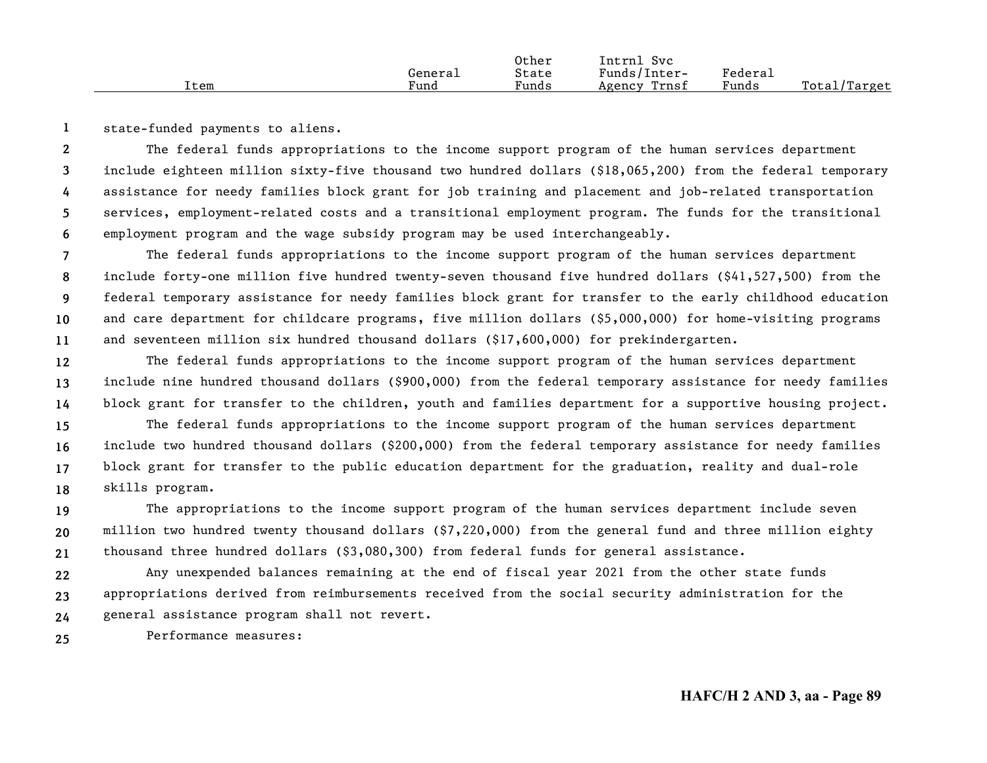|      |         | Other | Svc<br>Intrnl   |         |              |
|------|---------|-------|-----------------|---------|--------------|
|      | General | State | Funds/Inter-    | Federau |              |
| Item | Fund    | Funds | Trnsf<br>Agency | Funds   | Total/Target |

**1**state-funded payments to aliens.

**23456**The federal funds appropriations to the income support program of the human services department include eighteen million sixty-five thousand two hundred dollars (\$18,065,200) from the federal temporary assistance for needy families block grant for job training and placement and job-related transportation services, employment-related costs and a transitional employment program. The funds for the transitional employment program and the wage subsidy program may be used interchangeably.

**7891011**The federal funds appropriations to the income support program of the human services department include forty-one million five hundred twenty-seven thousand five hundred dollars (\$41,527,500) from the federal temporary assistance for needy families block grant for transfer to the early childhood education and care department for childcare programs, five million dollars (\$5,000,000) for home-visiting programs and seventeen million six hundred thousand dollars (\$17,600,000) for prekindergarten.

**121314**The federal funds appropriations to the income support program of the human services department include nine hundred thousand dollars (\$900,000) from the federal temporary assistance for needy families block grant for transfer to the children, youth and families department for a supportive housing project.

**15161718**The federal funds appropriations to the income support program of the human services department include two hundred thousand dollars (\$200,000) from the federal temporary assistance for needy families block grant for transfer to the public education department for the graduation, reality and dual-role skills program.

**192021**The appropriations to the income support program of the human services department include seven million two hundred twenty thousand dollars (\$7,220,000) from the general fund and three million eighty thousand three hundred dollars (\$3,080,300) from federal funds for general assistance.

**222324**Any unexpended balances remaining at the end of fiscal year 2021 from the other state funds appropriations derived from reimbursements received from the social security administration for the general assistance program shall not revert.

**25**Performance measures: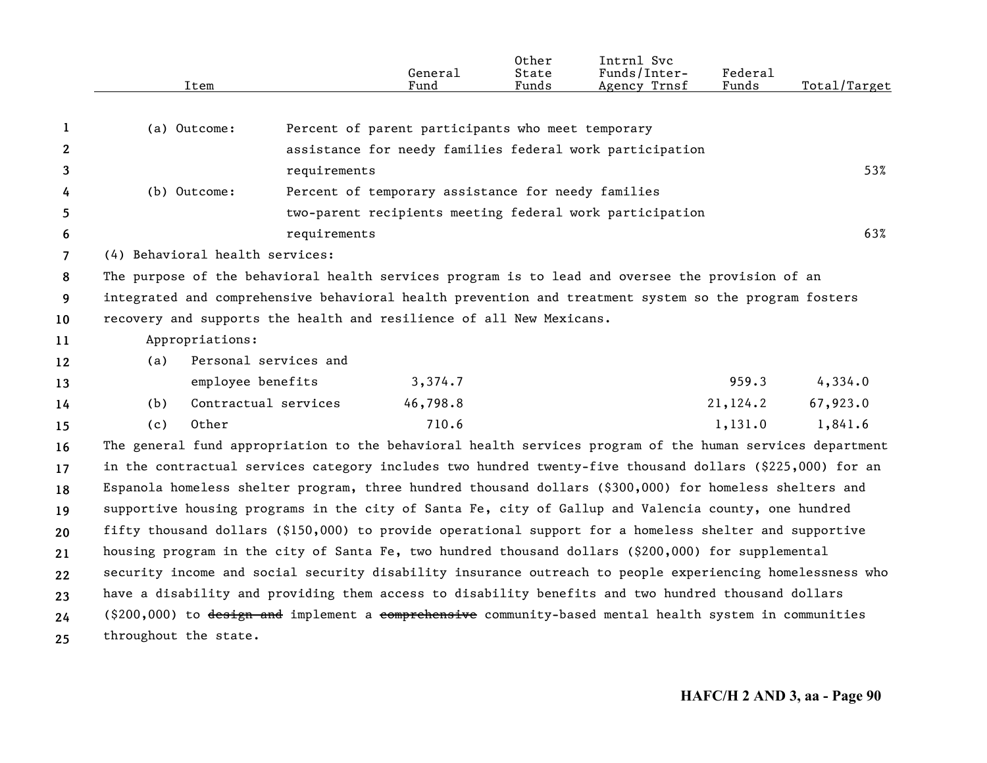|                | Item                                                                                                      |                       | General<br>Fund                                    | Other<br>State<br>Funds | Intrnl Svc<br>Funds/Inter-<br>Agency Trnsf               | Federal<br>Funds | Total/Target |
|----------------|-----------------------------------------------------------------------------------------------------------|-----------------------|----------------------------------------------------|-------------------------|----------------------------------------------------------|------------------|--------------|
| 1              | (a) Outcome:                                                                                              |                       | Percent of parent participants who meet temporary  |                         |                                                          |                  |              |
| $\mathbf{2}$   |                                                                                                           |                       |                                                    |                         | assistance for needy families federal work participation |                  |              |
| 3              |                                                                                                           | requirements          |                                                    |                         |                                                          |                  | 53%          |
| 4              | (b) Outcome:                                                                                              |                       | Percent of temporary assistance for needy families |                         |                                                          |                  |              |
| 5              |                                                                                                           |                       |                                                    |                         | two-parent recipients meeting federal work participation |                  |              |
| 6              |                                                                                                           | requirements          |                                                    |                         |                                                          |                  | 63%          |
| $\overline{7}$ | (4) Behavioral health services:                                                                           |                       |                                                    |                         |                                                          |                  |              |
| 8              | The purpose of the behavioral health services program is to lead and oversee the provision of an          |                       |                                                    |                         |                                                          |                  |              |
| 9              | integrated and comprehensive behavioral health prevention and treatment system so the program fosters     |                       |                                                    |                         |                                                          |                  |              |
| 10             | recovery and supports the health and resilience of all New Mexicans.                                      |                       |                                                    |                         |                                                          |                  |              |
| 11             | Appropriations:                                                                                           |                       |                                                    |                         |                                                          |                  |              |
| 12             | (a)                                                                                                       | Personal services and |                                                    |                         |                                                          |                  |              |
| 13             | employee benefits                                                                                         |                       | 3,374.7                                            |                         |                                                          | 959.3            | 4,334.0      |
| 14             | (b)                                                                                                       | Contractual services  | 46,798.8                                           |                         |                                                          | 21,124.2         | 67,923.0     |
| 15             | Other<br>(c)                                                                                              |                       | 710.6                                              |                         |                                                          | 1,131.0          | 1,841.6      |
| 16             | The general fund appropriation to the behavioral health services program of the human services department |                       |                                                    |                         |                                                          |                  |              |
| 17             | in the contractual services category includes two hundred twenty-five thousand dollars (\$225,000) for an |                       |                                                    |                         |                                                          |                  |              |
| 18             | Espanola homeless shelter program, three hundred thousand dollars (\$300,000) for homeless shelters and   |                       |                                                    |                         |                                                          |                  |              |
| 19             | supportive housing programs in the city of Santa Fe, city of Gallup and Valencia county, one hundred      |                       |                                                    |                         |                                                          |                  |              |
| 20             | fifty thousand dollars (\$150,000) to provide operational support for a homeless shelter and supportive   |                       |                                                    |                         |                                                          |                  |              |
| 21             | housing program in the city of Santa Fe, two hundred thousand dollars (\$200,000) for supplemental        |                       |                                                    |                         |                                                          |                  |              |
|                | security income and social security disability insurance outreach to people experiencing homelessness who |                       |                                                    |                         |                                                          |                  |              |
| 22             | have a disability and providing them access to disability benefits and two hundred thousand dollars       |                       |                                                    |                         |                                                          |                  |              |
| 23<br>24       | (\$200,000) to design and implement a comprehensive community-based mental health system in communities   |                       |                                                    |                         |                                                          |                  |              |
| 25             | throughout the state.                                                                                     |                       |                                                    |                         |                                                          |                  |              |
|                |                                                                                                           |                       |                                                    |                         |                                                          |                  |              |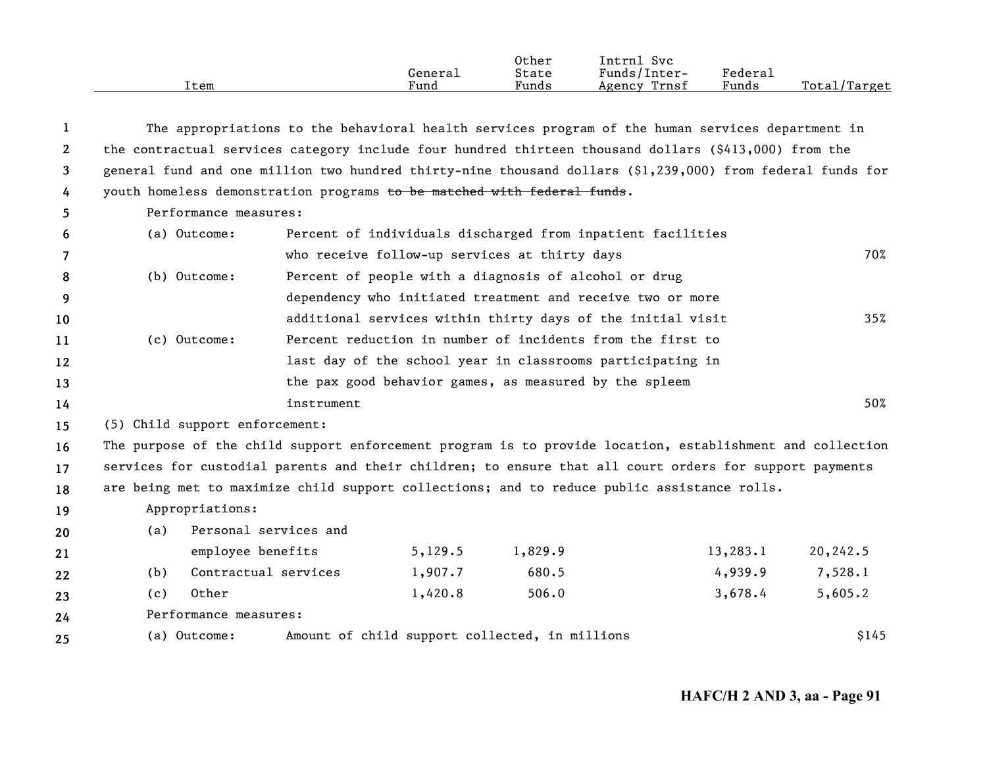|      |         | Other | Intrnl<br><b>Svc</b> |         |                   |
|------|---------|-------|----------------------|---------|-------------------|
|      | Generai | State | Funds/Inter-         | Federau |                   |
| Item | Fund    | Funds | Trnsf<br>Agency      | Funds   | Total/<br>'Target |

| 1               |                                                                                             | The appropriations to the behavioral health services program of the human services department in |         |                                                             |                                                                                                            |          |  |  |
|-----------------|---------------------------------------------------------------------------------------------|--------------------------------------------------------------------------------------------------|---------|-------------------------------------------------------------|------------------------------------------------------------------------------------------------------------|----------|--|--|
| $\overline{2}$  |                                                                                             |                                                                                                  |         |                                                             | the contractual services category include four hundred thirteen thousand dollars (\$413,000) from the      |          |  |  |
| 3               |                                                                                             |                                                                                                  |         |                                                             | general fund and one million two hundred thirty-nine thousand dollars (\$1,239,000) from federal funds for |          |  |  |
| 4               | youth homeless demonstration programs to be matched with federal funds.                     |                                                                                                  |         |                                                             |                                                                                                            |          |  |  |
| 5               | Performance measures:                                                                       |                                                                                                  |         |                                                             |                                                                                                            |          |  |  |
| 6               | (a) Outcome:                                                                                |                                                                                                  |         | Percent of individuals discharged from inpatient facilities |                                                                                                            |          |  |  |
| $\overline{7}$  |                                                                                             |                                                                                                  |         | who receive follow-up services at thirty days               |                                                                                                            | 70%      |  |  |
| 8               | (b) Outcome:                                                                                |                                                                                                  |         | Percent of people with a diagnosis of alcohol or drug       |                                                                                                            |          |  |  |
| 9               |                                                                                             |                                                                                                  |         | dependency who initiated treatment and receive two or more  |                                                                                                            |          |  |  |
| 10              |                                                                                             |                                                                                                  |         | additional services within thirty days of the initial visit |                                                                                                            | 35%      |  |  |
| 11              | (c) Outcome:                                                                                |                                                                                                  |         | Percent reduction in number of incidents from the first to  |                                                                                                            |          |  |  |
| 12              |                                                                                             |                                                                                                  |         | last day of the school year in classrooms participating in  |                                                                                                            |          |  |  |
| 13              |                                                                                             |                                                                                                  |         | the pax good behavior games, as measured by the spleem      |                                                                                                            |          |  |  |
| 14              |                                                                                             | instrument                                                                                       |         |                                                             |                                                                                                            | 50%      |  |  |
| 15              | (5) Child support enforcement:                                                              |                                                                                                  |         |                                                             |                                                                                                            |          |  |  |
| 16              |                                                                                             |                                                                                                  |         |                                                             | The purpose of the child support enforcement program is to provide location, establishment and collection  |          |  |  |
| 17 <sup>2</sup> |                                                                                             |                                                                                                  |         |                                                             | services for custodial parents and their children; to ensure that all court orders for support payments    |          |  |  |
| 18              | are being met to maximize child support collections; and to reduce public assistance rolls. |                                                                                                  |         |                                                             |                                                                                                            |          |  |  |
| 19              | Appropriations:                                                                             |                                                                                                  |         |                                                             |                                                                                                            |          |  |  |
| 20              | (a)                                                                                         | Personal services and                                                                            |         |                                                             |                                                                                                            |          |  |  |
| 21              | employee benefits                                                                           |                                                                                                  | 5,129.5 | 1,829.9                                                     | 13,283.1                                                                                                   | 20,242.5 |  |  |
| 22              | Contractual services<br>(b)                                                                 |                                                                                                  | 1,907.7 | 680.5                                                       | 4,939.9                                                                                                    | 7,528.1  |  |  |
| 23              | Other<br>(c)                                                                                |                                                                                                  | 1,420.8 | 506.0                                                       | 3,678.4                                                                                                    | 5,605.2  |  |  |
| 24              | Performance measures:                                                                       |                                                                                                  |         |                                                             |                                                                                                            |          |  |  |
| 25              | (a) Outcome:                                                                                |                                                                                                  |         | Amount of child support collected, in millions              |                                                                                                            | \$145    |  |  |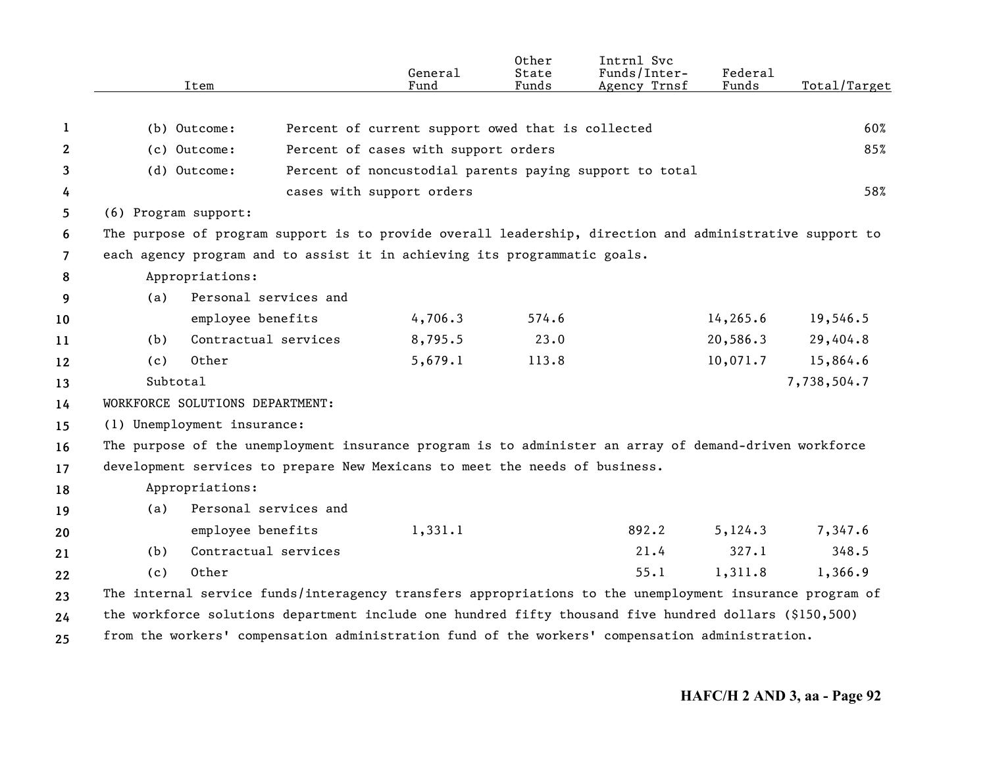|                | Item                                                                                                     |                       | General<br>Fund                                         | Other<br>State<br>Funds | Intrnl Svc<br>Funds/Inter-<br>Agency Trnsf | Federal<br>Funds | Total/Target |
|----------------|----------------------------------------------------------------------------------------------------------|-----------------------|---------------------------------------------------------|-------------------------|--------------------------------------------|------------------|--------------|
| 1              | (b) Outcome:                                                                                             |                       | Percent of current support owed that is collected       |                         |                                            |                  | 60%          |
| 2              | (c) Outcome:                                                                                             |                       | Percent of cases with support orders                    |                         |                                            |                  | 85%          |
| 3              | (d) Outcome:                                                                                             |                       | Percent of noncustodial parents paying support to total |                         |                                            |                  |              |
| 4              |                                                                                                          |                       | cases with support orders                               |                         |                                            |                  | 58%          |
| 5              | (6) Program support:                                                                                     |                       |                                                         |                         |                                            |                  |              |
| 6              | The purpose of program support is to provide overall leadership, direction and administrative support to |                       |                                                         |                         |                                            |                  |              |
| $\overline{7}$ | each agency program and to assist it in achieving its programmatic goals.                                |                       |                                                         |                         |                                            |                  |              |
| 8              | Appropriations:                                                                                          |                       |                                                         |                         |                                            |                  |              |
| 9              | (a)                                                                                                      | Personal services and |                                                         |                         |                                            |                  |              |
| 10             | employee benefits                                                                                        |                       | 4,706.3                                                 | 574.6                   |                                            | 14, 265.6        | 19,546.5     |
| 11             | (b)                                                                                                      | Contractual services  | 8,795.5                                                 | 23.0                    |                                            | 20,586.3         | 29,404.8     |
| 12             | Other<br>(c)                                                                                             |                       | 5,679.1                                                 | 113.8                   |                                            | 10,071.7         | 15,864.6     |
| 13             | Subtotal                                                                                                 |                       |                                                         |                         |                                            |                  | 7,738,504.7  |
| 14             | WORKFORCE SOLUTIONS DEPARTMENT:                                                                          |                       |                                                         |                         |                                            |                  |              |
| 15             | (1) Unemployment insurance:                                                                              |                       |                                                         |                         |                                            |                  |              |
| 16             | The purpose of the unemployment insurance program is to administer an array of demand-driven workforce   |                       |                                                         |                         |                                            |                  |              |
| 17             | development services to prepare New Mexicans to meet the needs of business.                              |                       |                                                         |                         |                                            |                  |              |
| 18             | Appropriations:                                                                                          |                       |                                                         |                         |                                            |                  |              |
| 19             | (a)                                                                                                      | Personal services and |                                                         |                         |                                            |                  |              |
| 20             | employee benefits                                                                                        |                       | 1,331.1                                                 |                         | 892.2                                      | 5, 124.3         | 7,347.6      |
| 21             | (b)                                                                                                      | Contractual services  |                                                         |                         | 21.4                                       | 327.1            | 348.5        |
| 22             | Other<br>(c)                                                                                             |                       |                                                         |                         | 55.1                                       | 1,311.8          | 1,366.9      |
| 23             | The internal service funds/interagency transfers appropriations to the unemployment insurance program of |                       |                                                         |                         |                                            |                  |              |
| 24             | the workforce solutions department include one hundred fifty thousand five hundred dollars (\$150,500)   |                       |                                                         |                         |                                            |                  |              |
| 25             | from the workers' compensation administration fund of the workers' compensation administration.          |                       |                                                         |                         |                                            |                  |              |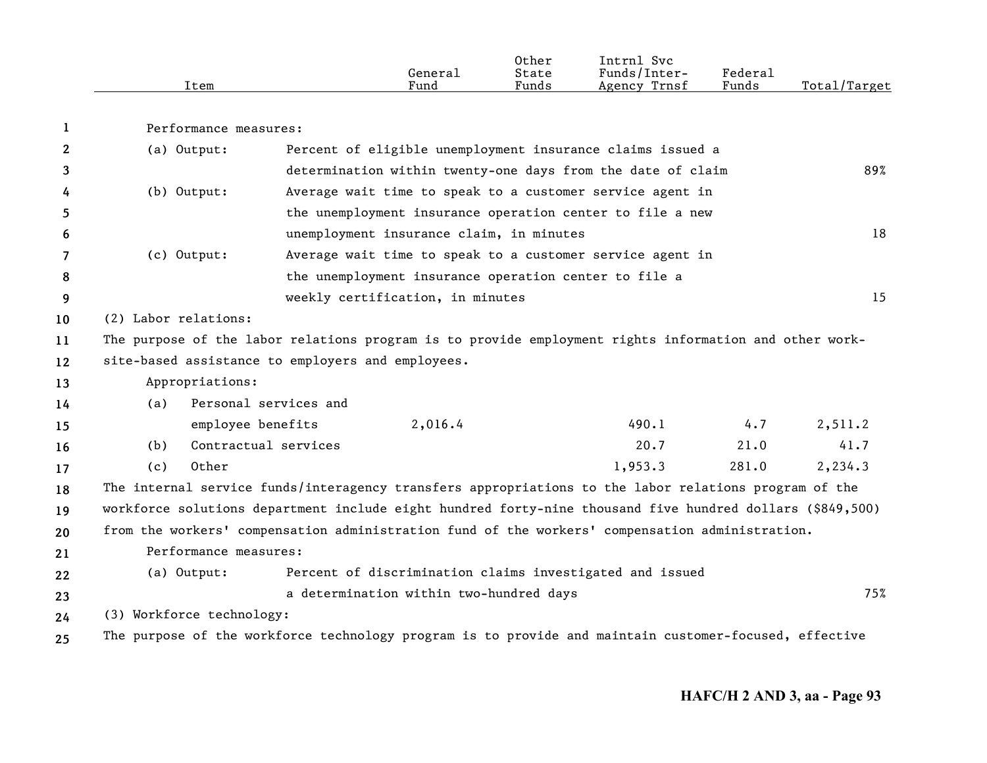|      |         | Other | Intrnl<br>Svc   |                     |                     |
|------|---------|-------|-----------------|---------------------|---------------------|
|      | General | State | Funds/Inter-    | Federa <sub>1</sub> |                     |
| Item | Fund    | Funds | Trnsf<br>Agency | Funds               | Total/<br>$T$ arget |

| Performance measures: |
|-----------------------|
|-----------------------|

**1**

| $\mathbf{2}$      | (a) Output:                                       |                                          | Percent of eligible unemployment insurance claims issued a                                             |       |          |
|-------------------|---------------------------------------------------|------------------------------------------|--------------------------------------------------------------------------------------------------------|-------|----------|
| 3                 |                                                   |                                          | determination within twenty-one days from the date of claim                                            |       | 89%      |
| 4                 | (b) Output:                                       |                                          | Average wait time to speak to a customer service agent in                                              |       |          |
| 5                 |                                                   |                                          | the unemployment insurance operation center to file a new                                              |       |          |
| 6                 |                                                   | unemployment insurance claim, in minutes |                                                                                                        |       | 18       |
|                   | (c) Output:                                       |                                          | Average wait time to speak to a customer service agent in                                              |       |          |
| 8                 |                                                   |                                          | the unemployment insurance operation center to file a                                                  |       |          |
| 9                 |                                                   | weekly certification, in minutes         |                                                                                                        |       | 15       |
| 10 <sup>°</sup>   | (2) Labor relations:                              |                                          |                                                                                                        |       |          |
| 11                |                                                   |                                          | The purpose of the labor relations program is to provide employment rights information and other work- |       |          |
| $12 \overline{ }$ | site-based assistance to employers and employees. |                                          |                                                                                                        |       |          |
| 13                | Appropriations:                                   |                                          |                                                                                                        |       |          |
| 14                | Personal services and<br>(a)                      |                                          |                                                                                                        |       |          |
| 15                | employee benefits                                 | 2,016.4                                  | 490.1                                                                                                  | 4.7   | 2, 511.2 |
| 16                | Contractual services<br>(b)                       |                                          | 20.7                                                                                                   | 21.0  | 41.7     |
| 17                | Other<br>(c)                                      |                                          | 1,953.3                                                                                                | 281.0 | 2,234.3  |
| 18                |                                                   |                                          | The internal service funds/interagency transfers appropriations to the labor relations program of the  |       |          |

**19 20**workforce solutions department include eight hundred forty-nine thousand five hundred dollars (\$849,500) from the workers' compensation administration fund of the workers' compensation administration.

**212223**Performance measures:(a) Output: Percent of discrimination claims investigated and issued a determination within two-hundred days 75%

**24** (3) Workforce technology:

**25** The purpose of the workforce technology program is to provide and maintain customer-focused, effective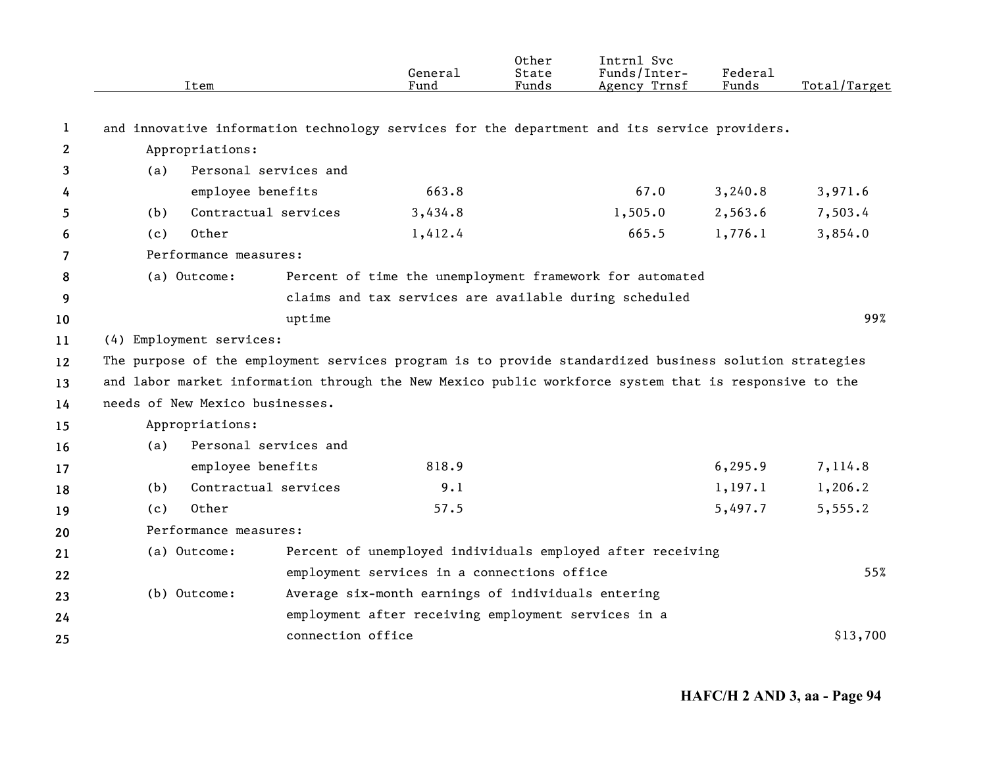|              |     | Item                            |                   | General<br>Fund                                        | Other<br>State<br>Funds | Intrnl Svc<br>Funds/Inter-<br>Agency Trnsf                                                             | Federal<br>Funds | Total/Target |
|--------------|-----|---------------------------------|-------------------|--------------------------------------------------------|-------------------------|--------------------------------------------------------------------------------------------------------|------------------|--------------|
| 1            |     |                                 |                   |                                                        |                         | and innovative information technology services for the department and its service providers.           |                  |              |
| $\mathbf{2}$ |     | Appropriations:                 |                   |                                                        |                         |                                                                                                        |                  |              |
| 3            | (a) | Personal services and           |                   |                                                        |                         |                                                                                                        |                  |              |
| 4            |     | employee benefits               |                   | 663.8                                                  |                         | 67.0                                                                                                   | 3,240.8          | 3,971.6      |
| 5            | (b) | Contractual services            |                   | 3,434.8                                                |                         | 1,505.0                                                                                                | 2,563.6          | 7,503.4      |
| 6            | (c) | Other                           |                   | 1,412.4                                                |                         | 665.5                                                                                                  | 1,776.1          | 3,854.0      |
| 7            |     | Performance measures:           |                   |                                                        |                         |                                                                                                        |                  |              |
| 8            |     | (a) Outcome:                    |                   |                                                        |                         | Percent of time the unemployment framework for automated                                               |                  |              |
| 9            |     |                                 |                   | claims and tax services are available during scheduled |                         |                                                                                                        |                  |              |
| 10           |     |                                 | uptime            |                                                        |                         |                                                                                                        |                  | 99%          |
| 11           |     | (4) Employment services:        |                   |                                                        |                         |                                                                                                        |                  |              |
| 12           |     |                                 |                   |                                                        |                         | The purpose of the employment services program is to provide standardized business solution strategies |                  |              |
| 13           |     |                                 |                   |                                                        |                         | and labor market information through the New Mexico public workforce system that is responsive to the  |                  |              |
| 14           |     | needs of New Mexico businesses. |                   |                                                        |                         |                                                                                                        |                  |              |
| 15           |     | Appropriations:                 |                   |                                                        |                         |                                                                                                        |                  |              |
| 16           | (a) | Personal services and           |                   |                                                        |                         |                                                                                                        |                  |              |
| 17           |     | employee benefits               |                   | 818.9                                                  |                         |                                                                                                        | 6, 295.9         | 7,114.8      |
| 18           | (b) | Contractual services            |                   | 9.1                                                    |                         |                                                                                                        | 1, 197.1         | 1,206.2      |
| 19           | (c) | Other                           |                   | 57.5                                                   |                         |                                                                                                        | 5,497.7          | 5,555.2      |
| 20           |     | Performance measures:           |                   |                                                        |                         |                                                                                                        |                  |              |
| 21           |     | (a) Outcome:                    |                   |                                                        |                         | Percent of unemployed individuals employed after receiving                                             |                  |              |
| 22           |     |                                 |                   | employment services in a connections office            |                         |                                                                                                        |                  | 55%          |
| 23           |     | (b) Outcome:                    |                   | Average six-month earnings of individuals entering     |                         |                                                                                                        |                  |              |
| 24           |     |                                 |                   | employment after receiving employment services in a    |                         |                                                                                                        |                  |              |
| 25           |     |                                 | connection office |                                                        |                         |                                                                                                        |                  | \$13,700     |
|              |     |                                 |                   |                                                        |                         |                                                                                                        |                  |              |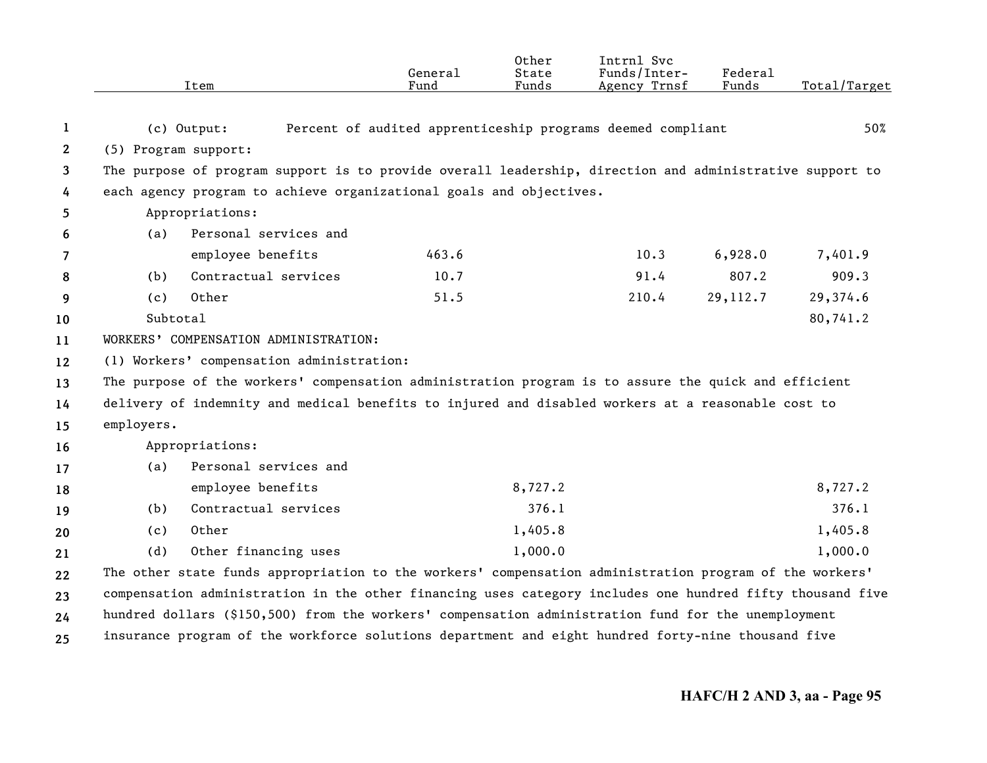|              |                      | Item                                                                                                      | General<br>Fund | 0ther<br>State<br>Funds | Intrnl Svc<br>Funds/Inter-<br>Agency Trnsf                  | Federal<br>Funds | Total/Target |
|--------------|----------------------|-----------------------------------------------------------------------------------------------------------|-----------------|-------------------------|-------------------------------------------------------------|------------------|--------------|
| 1            |                      | (c) Output:                                                                                               |                 |                         | Percent of audited apprenticeship programs deemed compliant |                  | 50%          |
| $\mathbf{2}$ | (5) Program support: |                                                                                                           |                 |                         |                                                             |                  |              |
| 3            |                      | The purpose of program support is to provide overall leadership, direction and administrative support to  |                 |                         |                                                             |                  |              |
| 4            |                      | each agency program to achieve organizational goals and objectives.                                       |                 |                         |                                                             |                  |              |
| 5            |                      | Appropriations:                                                                                           |                 |                         |                                                             |                  |              |
| 6            | (a)                  | Personal services and                                                                                     |                 |                         |                                                             |                  |              |
| 7            |                      | employee benefits                                                                                         | 463.6           |                         | 10.3                                                        | 6,928.0          | 7,401.9      |
| 8            | (b)                  | Contractual services                                                                                      | 10.7            |                         | 91.4                                                        | 807.2            | 909.3        |
| 9            | (c)                  | Other                                                                                                     | 51.5            |                         | 210.4                                                       | 29, 112.7        | 29,374.6     |
| 10           | Subtotal             |                                                                                                           |                 |                         |                                                             |                  | 80,741.2     |
| 11           |                      | WORKERS' COMPENSATION ADMINISTRATION:                                                                     |                 |                         |                                                             |                  |              |
| 12           |                      | (1) Workers' compensation administration:                                                                 |                 |                         |                                                             |                  |              |
| 13           |                      | The purpose of the workers' compensation administration program is to assure the quick and efficient      |                 |                         |                                                             |                  |              |
| 14           |                      | delivery of indemnity and medical benefits to injured and disabled workers at a reasonable cost to        |                 |                         |                                                             |                  |              |
| 15           | employers.           |                                                                                                           |                 |                         |                                                             |                  |              |
| 16           |                      | Appropriations:                                                                                           |                 |                         |                                                             |                  |              |
| 17           | (a)                  | Personal services and                                                                                     |                 |                         |                                                             |                  |              |
| 18           |                      | employee benefits                                                                                         |                 | 8,727.2                 |                                                             |                  | 8,727.2      |
| 19           | (b)                  | Contractual services                                                                                      |                 | 376.1                   |                                                             |                  | 376.1        |
| 20           | (c)                  | Other                                                                                                     |                 | 1,405.8                 |                                                             |                  | 1,405.8      |
| 21           | (d)                  | Other financing uses                                                                                      |                 | 1,000.0                 |                                                             |                  | 1,000.0      |
| 22           |                      | The other state funds appropriation to the workers' compensation administration program of the workers'   |                 |                         |                                                             |                  |              |
| 23           |                      | compensation administration in the other financing uses category includes one hundred fifty thousand five |                 |                         |                                                             |                  |              |
| 24           |                      | hundred dollars (\$150,500) from the workers' compensation administration fund for the unemployment       |                 |                         |                                                             |                  |              |
| 25           |                      | insurance program of the workforce solutions department and eight hundred forty-nine thousand five        |                 |                         |                                                             |                  |              |
|              |                      |                                                                                                           |                 |                         |                                                             |                  |              |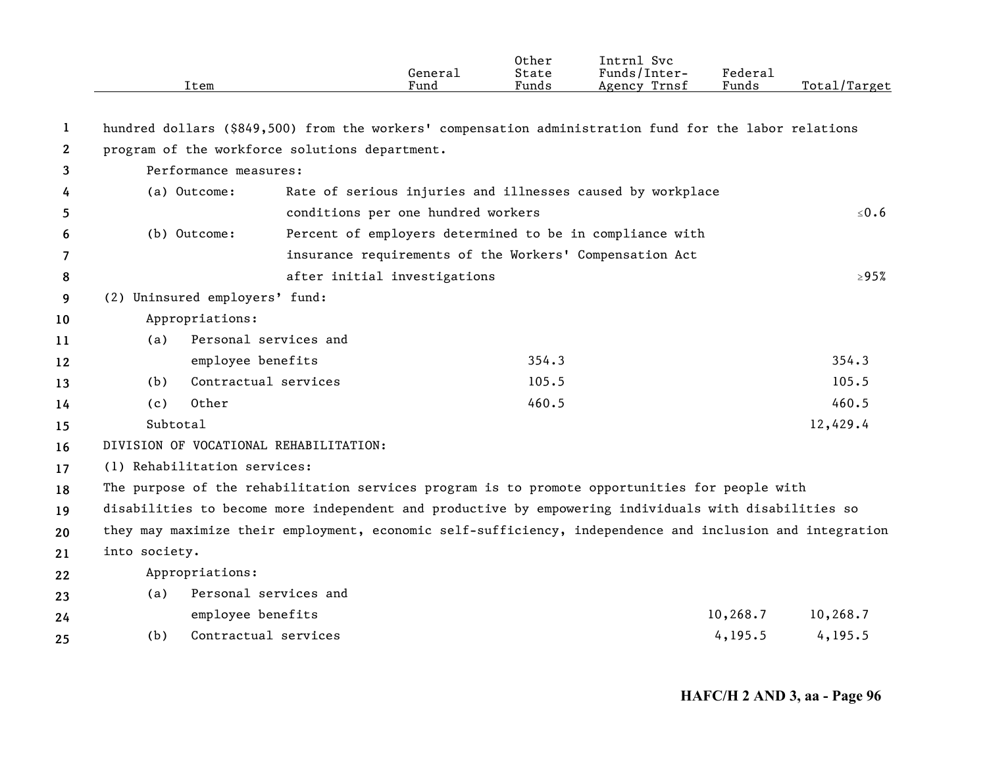|              |               | Item                           |                                                | General<br>Fund                    | Other<br>State<br>Funds | Intrnl Svc<br>Funds/Inter-<br>Agency Trnsf                                                                | Federal<br>Funds | Total/Target |
|--------------|---------------|--------------------------------|------------------------------------------------|------------------------------------|-------------------------|-----------------------------------------------------------------------------------------------------------|------------------|--------------|
| 1            |               |                                |                                                |                                    |                         | hundred dollars (\$849,500) from the workers' compensation administration fund for the labor relations    |                  |              |
| $\mathbf{2}$ |               |                                | program of the workforce solutions department. |                                    |                         |                                                                                                           |                  |              |
| 3            |               | Performance measures:          |                                                |                                    |                         |                                                                                                           |                  |              |
| 4            |               | (a) Outcome:                   |                                                |                                    |                         | Rate of serious injuries and illnesses caused by workplace                                                |                  |              |
| 5            |               |                                |                                                | conditions per one hundred workers |                         |                                                                                                           |                  | ≤ $0.6$      |
| 6            |               | (b) Outcome:                   |                                                |                                    |                         | Percent of employers determined to be in compliance with                                                  |                  |              |
| 7            |               |                                |                                                |                                    |                         | insurance requirements of the Workers' Compensation Act                                                   |                  |              |
| 8            |               |                                |                                                | after initial investigations       |                         |                                                                                                           |                  | $\geq 95\%$  |
| 9            |               | (2) Uninsured employers' fund: |                                                |                                    |                         |                                                                                                           |                  |              |
| 10           |               | Appropriations:                |                                                |                                    |                         |                                                                                                           |                  |              |
| 11           | (a)           |                                | Personal services and                          |                                    |                         |                                                                                                           |                  |              |
| 12           |               | employee benefits              |                                                |                                    | 354.3                   |                                                                                                           |                  | 354.3        |
| 13           | (b)           | Contractual services           |                                                |                                    | 105.5                   |                                                                                                           |                  | 105.5        |
| 14           | (c)           | Other                          |                                                |                                    | 460.5                   |                                                                                                           |                  | 460.5        |
| 15           | Subtotal      |                                |                                                |                                    |                         |                                                                                                           |                  | 12,429.4     |
| 16           |               |                                | DIVISION OF VOCATIONAL REHABILITATION:         |                                    |                         |                                                                                                           |                  |              |
| 17           |               | (1) Rehabilitation services:   |                                                |                                    |                         |                                                                                                           |                  |              |
| 18           |               |                                |                                                |                                    |                         | The purpose of the rehabilitation services program is to promote opportunities for people with            |                  |              |
| 19           |               |                                |                                                |                                    |                         | disabilities to become more independent and productive by empowering individuals with disabilities so     |                  |              |
| 20           |               |                                |                                                |                                    |                         | they may maximize their employment, economic self-sufficiency, independence and inclusion and integration |                  |              |
| 21           | into society. |                                |                                                |                                    |                         |                                                                                                           |                  |              |
| 22           |               | Appropriations:                |                                                |                                    |                         |                                                                                                           |                  |              |
| 23           | (a)           |                                | Personal services and                          |                                    |                         |                                                                                                           |                  |              |
| 24           |               | employee benefits              |                                                |                                    |                         |                                                                                                           | 10,268.7         | 10,268.7     |
| 25           | (b)           | Contractual services           |                                                |                                    |                         |                                                                                                           | 4, 195.5         | 4, 195.5     |
|              |               |                                |                                                |                                    |                         |                                                                                                           |                  |              |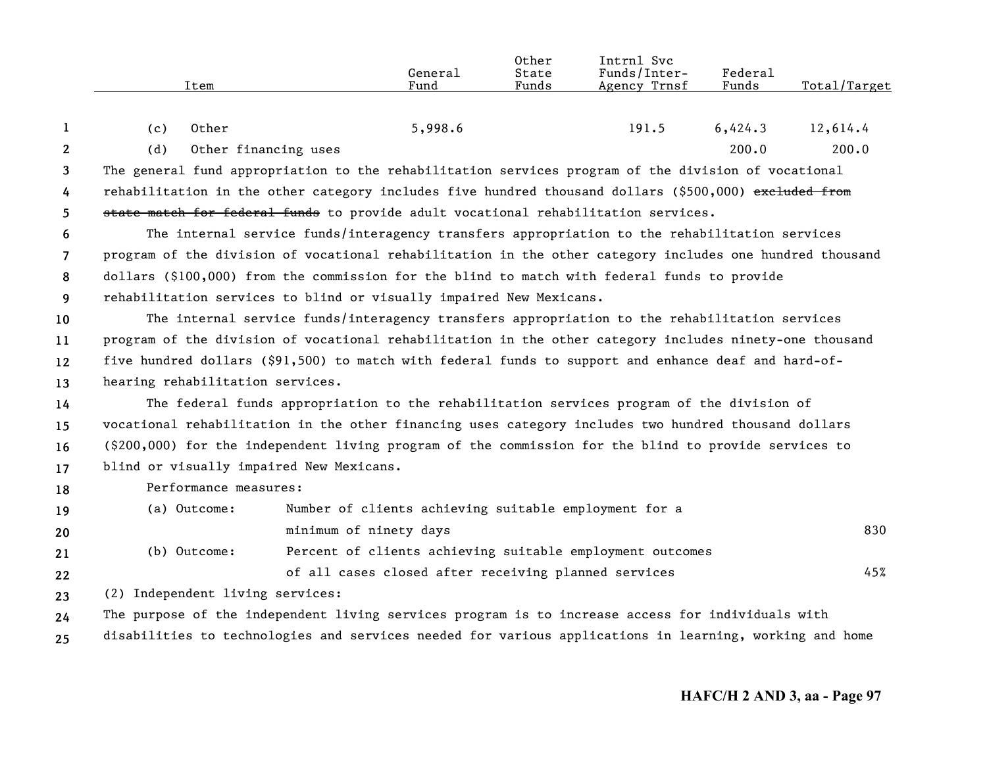|                | Item                                                                                                    | General<br>Fund                                                                                          | Other<br>State<br>Funds | Intrnl Svc<br>Funds/Inter-<br>Agency Trnsf | Federal<br>Funds | Total/Target |  |  |
|----------------|---------------------------------------------------------------------------------------------------------|----------------------------------------------------------------------------------------------------------|-------------------------|--------------------------------------------|------------------|--------------|--|--|
| 1              | Other<br>(c)                                                                                            | 5,998.6                                                                                                  |                         | 191.5                                      | 6,424.3          | 12,614.4     |  |  |
| $\mathbf{2}$   | (d)                                                                                                     | Other financing uses                                                                                     |                         |                                            | 200.0            | 200.0        |  |  |
| 3              |                                                                                                         | The general fund appropriation to the rehabilitation services program of the division of vocational      |                         |                                            |                  |              |  |  |
| 4              |                                                                                                         | rehabilitation in the other category includes five hundred thousand dollars (\$500,000) exeluded from    |                         |                                            |                  |              |  |  |
| 5              |                                                                                                         | state match for federal funds to provide adult vocational rehabilitation services.                       |                         |                                            |                  |              |  |  |
| 6              |                                                                                                         | The internal service funds/interagency transfers appropriation to the rehabilitation services            |                         |                                            |                  |              |  |  |
| $\overline{7}$ |                                                                                                         | program of the division of vocational rehabilitation in the other category includes one hundred thousand |                         |                                            |                  |              |  |  |
| 8              | dollars (\$100,000) from the commission for the blind to match with federal funds to provide            |                                                                                                          |                         |                                            |                  |              |  |  |
| 9              | rehabilitation services to blind or visually impaired New Mexicans.                                     |                                                                                                          |                         |                                            |                  |              |  |  |
| 10             |                                                                                                         | The internal service funds/interagency transfers appropriation to the rehabilitation services            |                         |                                            |                  |              |  |  |
| 11             | program of the division of vocational rehabilitation in the other category includes ninety-one thousand |                                                                                                          |                         |                                            |                  |              |  |  |
| 12             | five hundred dollars (\$91,500) to match with federal funds to support and enhance deaf and hard-of-    |                                                                                                          |                         |                                            |                  |              |  |  |
| 13             | hearing rehabilitation services.                                                                        |                                                                                                          |                         |                                            |                  |              |  |  |
| 14             |                                                                                                         | The federal funds appropriation to the rehabilitation services program of the division of                |                         |                                            |                  |              |  |  |
| 15             |                                                                                                         | vocational rehabilitation in the other financing uses category includes two hundred thousand dollars     |                         |                                            |                  |              |  |  |
| 16             |                                                                                                         | (\$200,000) for the independent living program of the commission for the blind to provide services to    |                         |                                            |                  |              |  |  |
| 17             | blind or visually impaired New Mexicans.                                                                |                                                                                                          |                         |                                            |                  |              |  |  |
| 18             | Performance measures:                                                                                   |                                                                                                          |                         |                                            |                  |              |  |  |
| 19             | (a) Outcome:                                                                                            | Number of clients achieving suitable employment for a                                                    |                         |                                            |                  |              |  |  |
| 20             |                                                                                                         | minimum of ninety days                                                                                   |                         |                                            |                  | 830          |  |  |
| 21             | (b) Outcome:                                                                                            | Percent of clients achieving suitable employment outcomes                                                |                         |                                            |                  |              |  |  |
| 22             |                                                                                                         | of all cases closed after receiving planned services                                                     |                         |                                            |                  | 45%          |  |  |
| 23             | (2) Independent living services:                                                                        |                                                                                                          |                         |                                            |                  |              |  |  |
| 24             |                                                                                                         | The purpose of the independent living services program is to increase access for individuals with        |                         |                                            |                  |              |  |  |
| 25             |                                                                                                         | disabilities to technologies and services needed for various applications in learning, working and home  |                         |                                            |                  |              |  |  |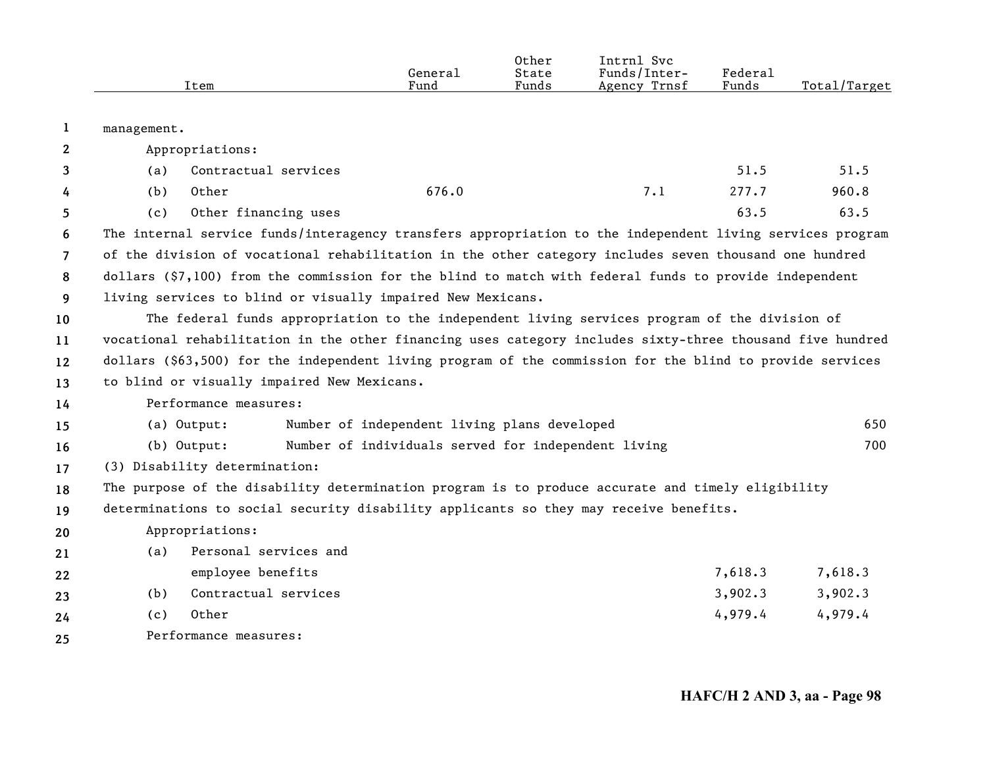|                       | Item                                                                                                      | General<br>Fund                                     | Other<br>State<br>Funds | Intrnl Svc<br>Funds/Inter-<br>Agency Trnsf | Federal<br>Funds | Total/Target |  |
|-----------------------|-----------------------------------------------------------------------------------------------------------|-----------------------------------------------------|-------------------------|--------------------------------------------|------------------|--------------|--|
| 1                     | management.                                                                                               |                                                     |                         |                                            |                  |              |  |
| $\mathbf{2}^{\prime}$ | Appropriations:                                                                                           |                                                     |                         |                                            |                  |              |  |
| 3                     | Contractual services<br>(a)                                                                               |                                                     |                         |                                            | 51.5             | 51.5         |  |
| 4                     | Other<br>(b)                                                                                              | 676.0                                               |                         | 7.1                                        | 277.7            | 960.8        |  |
| 5.                    | Other financing uses<br>(c)                                                                               |                                                     |                         |                                            | 63.5             | 63.5         |  |
| 6                     | The internal service funds/interagency transfers appropriation to the independent living services program |                                                     |                         |                                            |                  |              |  |
| $\overline{7}$        | of the division of vocational rehabilitation in the other category includes seven thousand one hundred    |                                                     |                         |                                            |                  |              |  |
| 8                     | dollars (\$7,100) from the commission for the blind to match with federal funds to provide independent    |                                                     |                         |                                            |                  |              |  |
| 9                     | living services to blind or visually impaired New Mexicans.                                               |                                                     |                         |                                            |                  |              |  |
| 10                    | The federal funds appropriation to the independent living services program of the division of             |                                                     |                         |                                            |                  |              |  |
| 11                    | vocational rehabilitation in the other financing uses category includes sixty-three thousand five hundred |                                                     |                         |                                            |                  |              |  |
| $12 \,$               | dollars (\$63,500) for the independent living program of the commission for the blind to provide services |                                                     |                         |                                            |                  |              |  |
| 13                    | to blind or visually impaired New Mexicans.                                                               |                                                     |                         |                                            |                  |              |  |
| 14                    | Performance measures:                                                                                     |                                                     |                         |                                            |                  |              |  |
| 15                    | (a) Output:                                                                                               | Number of independent living plans developed        |                         |                                            |                  | 650          |  |
| 16                    | (b) Output:                                                                                               | Number of individuals served for independent living |                         |                                            |                  | 700          |  |
| 17                    | (3) Disability determination:                                                                             |                                                     |                         |                                            |                  |              |  |
| 18                    | The purpose of the disability determination program is to produce accurate and timely eligibility         |                                                     |                         |                                            |                  |              |  |
| 19                    | determinations to social security disability applicants so they may receive benefits.                     |                                                     |                         |                                            |                  |              |  |
| 20                    | Appropriations:                                                                                           |                                                     |                         |                                            |                  |              |  |
| 21                    | Personal services and<br>(a)                                                                              |                                                     |                         |                                            |                  |              |  |
| 22                    | employee benefits                                                                                         |                                                     |                         |                                            | 7,618.3          | 7,618.3      |  |
| 23                    | Contractual services<br>(b)                                                                               |                                                     |                         |                                            | 3,902.3          | 3,902.3      |  |
| 24                    | Other<br>(c)                                                                                              |                                                     |                         |                                            | 4,979.4          | 4,979.4      |  |
| 25                    | Performance measures:                                                                                     |                                                     |                         |                                            |                  |              |  |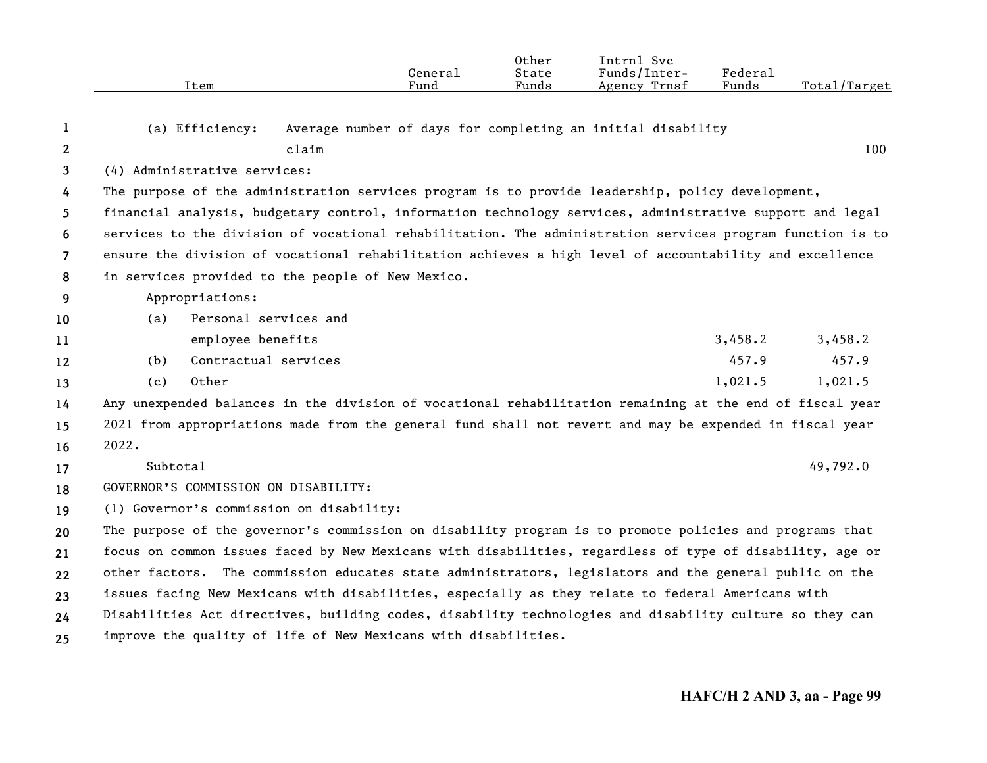|                |          | Item                         |                                                                | General<br>Fund | Other<br>State<br>Funds | Intrnl Svc<br>Funds/Inter-<br>Agency Trnsf                                                                | Federal<br>Funds | Total/Target |
|----------------|----------|------------------------------|----------------------------------------------------------------|-----------------|-------------------------|-----------------------------------------------------------------------------------------------------------|------------------|--------------|
|                |          |                              |                                                                |                 |                         |                                                                                                           |                  |              |
| 1              |          | (a) Efficiency:              |                                                                |                 |                         | Average number of days for completing an initial disability                                               |                  |              |
| $\mathbf{2}$   |          |                              | claim                                                          |                 |                         |                                                                                                           |                  | 100          |
| 3              |          | (4) Administrative services: |                                                                |                 |                         |                                                                                                           |                  |              |
| 4              |          |                              |                                                                |                 |                         | The purpose of the administration services program is to provide leadership, policy development,          |                  |              |
| 5              |          |                              |                                                                |                 |                         | financial analysis, budgetary control, information technology services, administrative support and legal  |                  |              |
| 6              |          |                              |                                                                |                 |                         | services to the division of vocational rehabilitation. The administration services program function is to |                  |              |
| $\overline{7}$ |          |                              |                                                                |                 |                         | ensure the division of vocational rehabilitation achieves a high level of accountability and excellence   |                  |              |
| 8              |          |                              | in services provided to the people of New Mexico.              |                 |                         |                                                                                                           |                  |              |
| 9              |          | Appropriations:              |                                                                |                 |                         |                                                                                                           |                  |              |
| 10             | (a)      | Personal services and        |                                                                |                 |                         |                                                                                                           |                  |              |
| 11             |          | employee benefits            |                                                                |                 |                         |                                                                                                           | 3,458.2          | 3,458.2      |
| 12             | (b)      | Contractual services         |                                                                |                 |                         |                                                                                                           | 457.9            | 457.9        |
| 13             | (c)      | Other                        |                                                                |                 |                         |                                                                                                           | 1,021.5          | 1,021.5      |
| 14             |          |                              |                                                                |                 |                         | Any unexpended balances in the division of vocational rehabilitation remaining at the end of fiscal year  |                  |              |
| 15             |          |                              |                                                                |                 |                         | 2021 from appropriations made from the general fund shall not revert and may be expended in fiscal year   |                  |              |
| 16             | 2022.    |                              |                                                                |                 |                         |                                                                                                           |                  |              |
| 17             | Subtotal |                              |                                                                |                 |                         |                                                                                                           |                  | 49,792.0     |
| 18             |          |                              | GOVERNOR'S COMMISSION ON DISABILITY:                           |                 |                         |                                                                                                           |                  |              |
| 19             |          |                              | (1) Governor's commission on disability:                       |                 |                         |                                                                                                           |                  |              |
| 20             |          |                              |                                                                |                 |                         | The purpose of the governor's commission on disability program is to promote policies and programs that   |                  |              |
| 21             |          |                              |                                                                |                 |                         | focus on common issues faced by New Mexicans with disabilities, regardless of type of disability, age or  |                  |              |
| 22             |          |                              |                                                                |                 |                         | other factors. The commission educates state administrators, legislators and the general public on the    |                  |              |
| 23             |          |                              |                                                                |                 |                         | issues facing New Mexicans with disabilities, especially as they relate to federal Americans with         |                  |              |
| 24             |          |                              |                                                                |                 |                         | Disabilities Act directives, building codes, disability technologies and disability culture so they can   |                  |              |
| 25             |          |                              | improve the quality of life of New Mexicans with disabilities. |                 |                         |                                                                                                           |                  |              |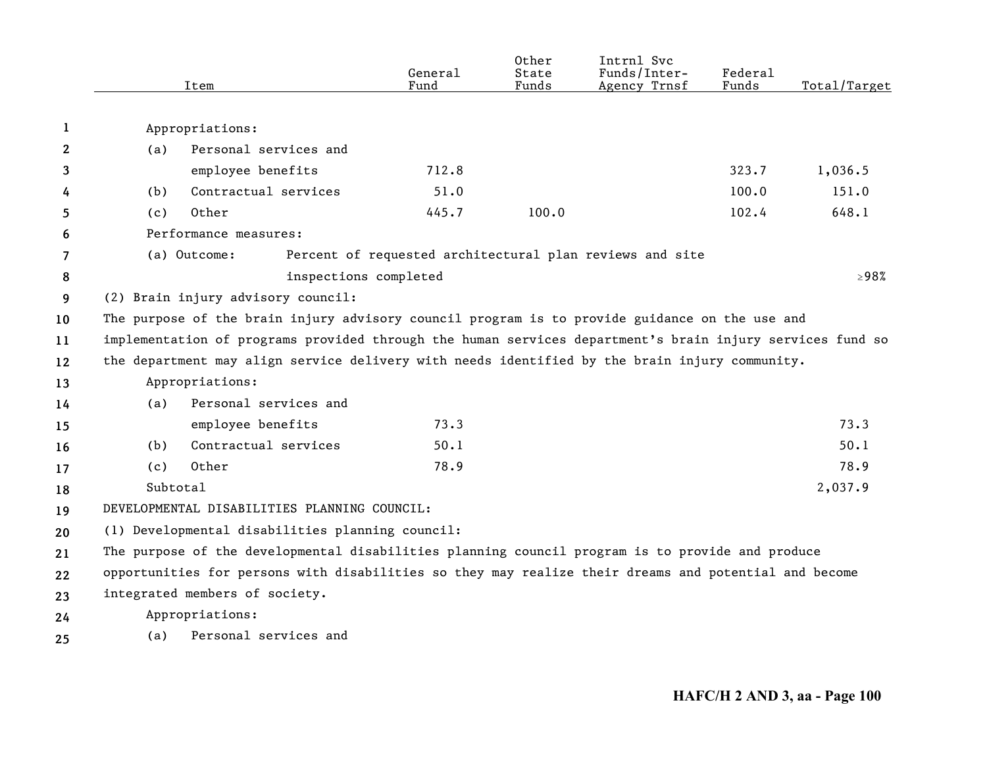|    |          | Item                                                                                                      | General<br>Fund | Other<br>State<br>Funds | Intrnl Svc<br>Funds/Inter-<br>Agency Trnsf               | Federal<br>Funds | Total/Target |
|----|----------|-----------------------------------------------------------------------------------------------------------|-----------------|-------------------------|----------------------------------------------------------|------------------|--------------|
|    |          |                                                                                                           |                 |                         |                                                          |                  |              |
| 1  |          | Appropriations:                                                                                           |                 |                         |                                                          |                  |              |
| 2  | (a)      | Personal services and                                                                                     |                 |                         |                                                          |                  |              |
| 3  |          | employee benefits                                                                                         | 712.8           |                         |                                                          | 323.7            | 1,036.5      |
| 4  | (b)      | Contractual services                                                                                      | 51.0            |                         |                                                          | 100.0            | 151.0        |
| 5  | (c)      | Other                                                                                                     | 445.7           | 100.0                   |                                                          | 102.4            | 648.1        |
| 6  |          | Performance measures:                                                                                     |                 |                         |                                                          |                  |              |
| 7  |          | (a) Outcome:                                                                                              |                 |                         | Percent of requested architectural plan reviews and site |                  |              |
| 8  |          | inspections completed                                                                                     |                 |                         |                                                          |                  | $\geq$ 98%   |
| 9  |          | (2) Brain injury advisory council:                                                                        |                 |                         |                                                          |                  |              |
| 10 |          | The purpose of the brain injury advisory council program is to provide guidance on the use and            |                 |                         |                                                          |                  |              |
| 11 |          | implementation of programs provided through the human services department's brain injury services fund so |                 |                         |                                                          |                  |              |
| 12 |          | the department may align service delivery with needs identified by the brain injury community.            |                 |                         |                                                          |                  |              |
| 13 |          | Appropriations:                                                                                           |                 |                         |                                                          |                  |              |
| 14 | (a)      | Personal services and                                                                                     |                 |                         |                                                          |                  |              |
| 15 |          | employee benefits                                                                                         | 73.3            |                         |                                                          |                  | 73.3         |
| 16 | (b)      | Contractual services                                                                                      | 50.1            |                         |                                                          |                  | 50.1         |
| 17 | (c)      | Other                                                                                                     | 78.9            |                         |                                                          |                  | 78.9         |
| 18 | Subtotal |                                                                                                           |                 |                         |                                                          |                  | 2,037.9      |
| 19 |          | DEVELOPMENTAL DISABILITIES PLANNING COUNCIL:                                                              |                 |                         |                                                          |                  |              |
| 20 |          | (1) Developmental disabilities planning council:                                                          |                 |                         |                                                          |                  |              |
| 21 |          | The purpose of the developmental disabilities planning council program is to provide and produce          |                 |                         |                                                          |                  |              |
| 22 |          | opportunities for persons with disabilities so they may realize their dreams and potential and become     |                 |                         |                                                          |                  |              |
| 23 |          | integrated members of society.                                                                            |                 |                         |                                                          |                  |              |
| 24 |          | Appropriations:                                                                                           |                 |                         |                                                          |                  |              |
| 25 | (a)      | Personal services and                                                                                     |                 |                         |                                                          |                  |              |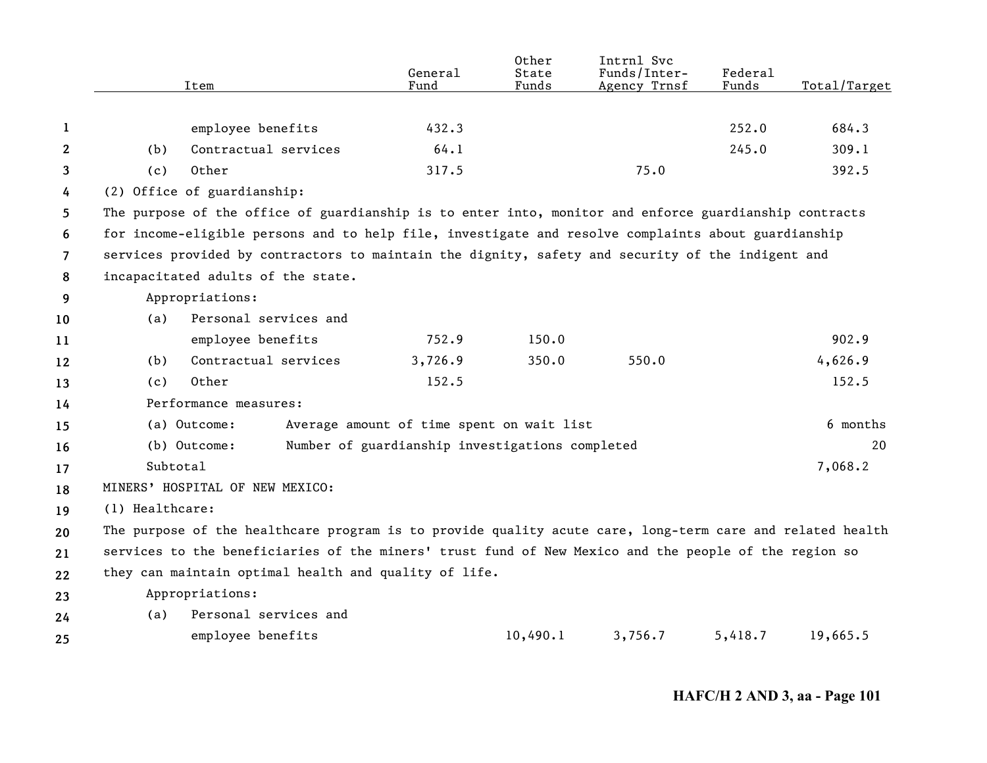|                |                 | Item                                                                                                      | General<br>Fund                                 | Other<br>State<br>Funds | Intrnl Svc<br>Funds/Inter-<br>Agency Trnsf | <b>Federal</b><br>Funds | Total/Target |
|----------------|-----------------|-----------------------------------------------------------------------------------------------------------|-------------------------------------------------|-------------------------|--------------------------------------------|-------------------------|--------------|
|                |                 |                                                                                                           |                                                 |                         |                                            |                         |              |
| 1              |                 | employee benefits                                                                                         | 432.3                                           |                         |                                            | 252.0                   | 684.3        |
| 2              | (b)             | Contractual services                                                                                      | 64.1                                            |                         |                                            | 245.0                   | 309.1        |
| 3              | (c)             | Other                                                                                                     | 317.5                                           |                         | 75.0                                       |                         | 392.5        |
| 4              |                 | (2) Office of guardianship:                                                                               |                                                 |                         |                                            |                         |              |
| 5.             |                 | The purpose of the office of guardianship is to enter into, monitor and enforce guardianship contracts    |                                                 |                         |                                            |                         |              |
| 6              |                 | for income-eligible persons and to help file, investigate and resolve complaints about guardianship       |                                                 |                         |                                            |                         |              |
| $\overline{7}$ |                 | services provided by contractors to maintain the dignity, safety and security of the indigent and         |                                                 |                         |                                            |                         |              |
| 8              |                 | incapacitated adults of the state.                                                                        |                                                 |                         |                                            |                         |              |
| 9              |                 | Appropriations:                                                                                           |                                                 |                         |                                            |                         |              |
| 10             | (a)             | Personal services and                                                                                     |                                                 |                         |                                            |                         |              |
| 11             |                 | employee benefits                                                                                         | 752.9                                           | 150.0                   |                                            |                         | 902.9        |
| 12             | (b)             | Contractual services                                                                                      | 3,726.9                                         | 350.0                   | 550.0                                      |                         | 4,626.9      |
| 13             | (c)             | Other                                                                                                     | 152.5                                           |                         |                                            |                         | 152.5        |
| 14             |                 | Performance measures:                                                                                     |                                                 |                         |                                            |                         |              |
| 15             |                 | (a) Outcome:                                                                                              | Average amount of time spent on wait list       |                         |                                            |                         | 6 months     |
| 16             |                 | (b) Outcome:                                                                                              | Number of guardianship investigations completed |                         |                                            |                         | 20           |
| 17             | Subtotal        |                                                                                                           |                                                 |                         |                                            |                         | 7,068.2      |
| 18             |                 | MINERS' HOSPITAL OF NEW MEXICO:                                                                           |                                                 |                         |                                            |                         |              |
| 19             | (1) Healthcare: |                                                                                                           |                                                 |                         |                                            |                         |              |
| 20             |                 | The purpose of the healthcare program is to provide quality acute care, long-term care and related health |                                                 |                         |                                            |                         |              |
| 21             |                 | services to the beneficiaries of the miners' trust fund of New Mexico and the people of the region so     |                                                 |                         |                                            |                         |              |
| 22             |                 | they can maintain optimal health and quality of life.                                                     |                                                 |                         |                                            |                         |              |
| 23             |                 | Appropriations:                                                                                           |                                                 |                         |                                            |                         |              |
| 24             | (a)             | Personal services and                                                                                     |                                                 |                         |                                            |                         |              |
| 25             |                 | employee benefits                                                                                         |                                                 | 10,490.1                | 3,756.7                                    | 5,418.7                 | 19,665.5     |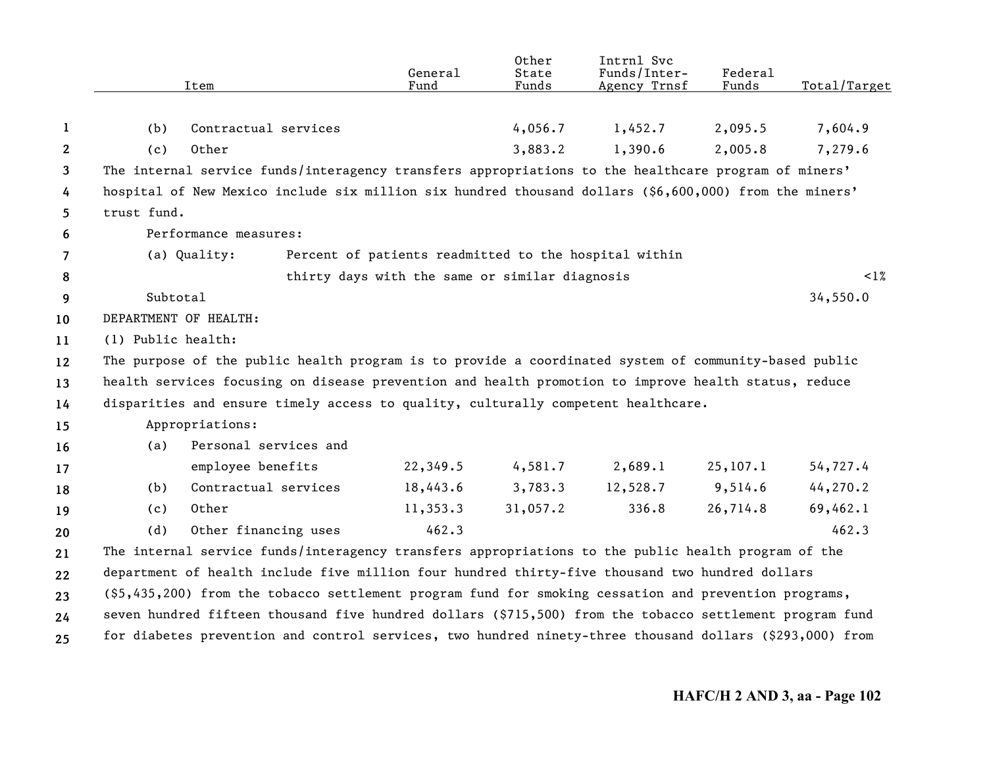|              | Item                                                                                                     | General<br>Fund                                       | Other<br>State<br>Funds | Intrnl Svc<br>Funds/Inter-<br>Agency Trnsf | Federal<br>Funds | Total/Target |
|--------------|----------------------------------------------------------------------------------------------------------|-------------------------------------------------------|-------------------------|--------------------------------------------|------------------|--------------|
|              |                                                                                                          |                                                       |                         |                                            |                  |              |
| 1            | Contractual services<br>(b)                                                                              |                                                       | 4,056.7                 | 1,452.7                                    | 2,095.5          | 7,604.9      |
| $\mathbf{2}$ | Other<br>(c)                                                                                             |                                                       | 3,883.2                 | 1,390.6                                    | 2,005.8          | 7,279.6      |
| 3            | The internal service funds/interagency transfers appropriations to the healthcare program of miners'     |                                                       |                         |                                            |                  |              |
| 4            | hospital of New Mexico include six million six hundred thousand dollars (\$6,600,000) from the miners'   |                                                       |                         |                                            |                  |              |
| 5            | trust fund.                                                                                              |                                                       |                         |                                            |                  |              |
| 6            | Performance measures:                                                                                    |                                                       |                         |                                            |                  |              |
| 7            | (a) Quality:                                                                                             | Percent of patients readmitted to the hospital within |                         |                                            |                  |              |
| 8            |                                                                                                          | thirty days with the same or similar diagnosis        |                         |                                            |                  | $\leq 1\%$   |
| 9            | Subtotal                                                                                                 |                                                       |                         |                                            |                  | 34,550.0     |
| 10           | DEPARTMENT OF HEALTH:                                                                                    |                                                       |                         |                                            |                  |              |
| 11           | (1) Public health:                                                                                       |                                                       |                         |                                            |                  |              |
| 12           | The purpose of the public health program is to provide a coordinated system of community-based public    |                                                       |                         |                                            |                  |              |
| 13           | health services focusing on disease prevention and health promotion to improve health status, reduce     |                                                       |                         |                                            |                  |              |
| 14           | disparities and ensure timely access to quality, culturally competent healthcare.                        |                                                       |                         |                                            |                  |              |
| 15           | Appropriations:                                                                                          |                                                       |                         |                                            |                  |              |
| 16           | Personal services and<br>(a)                                                                             |                                                       |                         |                                            |                  |              |
| 17           | employee benefits                                                                                        | 22,349.5                                              | 4,581.7                 | 2,689.1                                    | 25, 107.1        | 54,727.4     |
| 18           | Contractual services<br>(b)                                                                              | 18,443.6                                              | 3,783.3                 | 12,528.7                                   | 9,514.6          | 44,270.2     |
| 19           | Other<br>(c)                                                                                             | 11,353.3                                              | 31,057.2                | 336.8                                      | 26,714.8         | 69,462.1     |
| 20           | Other financing uses<br>(d)                                                                              | 462.3                                                 |                         |                                            |                  | 462.3        |
| 21           | The internal service funds/interagency transfers appropriations to the public health program of the      |                                                       |                         |                                            |                  |              |
| 22           | department of health include five million four hundred thirty-five thousand two hundred dollars          |                                                       |                         |                                            |                  |              |
| 23           | (\$5,435,200) from the tobacco settlement program fund for smoking cessation and prevention programs,    |                                                       |                         |                                            |                  |              |
| 24           | seven hundred fifteen thousand five hundred dollars (\$715,500) from the tobacco settlement program fund |                                                       |                         |                                            |                  |              |
| 25           | for diabetes prevention and control services, two hundred ninety-three thousand dollars (\$293,000) from |                                                       |                         |                                            |                  |              |
|              |                                                                                                          |                                                       |                         |                                            |                  |              |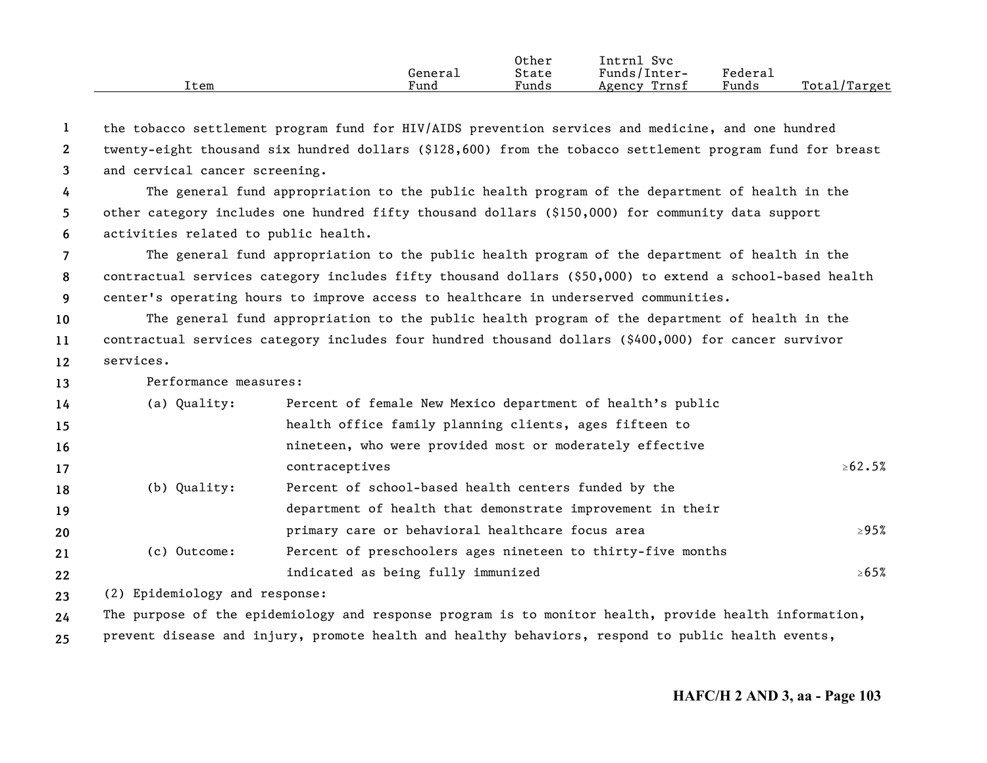|      |         | Other | Svc<br>'ntrnl   |         |              |
|------|---------|-------|-----------------|---------|--------------|
|      | General | State | Funds/Inter-    | Federau |              |
| Item | Fund    | Funds | Trnsf<br>Agency | Funds   | Total/Target |

**123**the tobacco settlement program fund for HIV/AIDS prevention services and medicine, and one hundred twenty-eight thousand six hundred dollars (\$128,600) from the tobacco settlement program fund for breast and cervical cancer screening.

**456**The general fund appropriation to the public health program of the department of health in the other category includes one hundred fifty thousand dollars (\$150,000) for community data support activities related to public health.

**789** The general fund appropriation to the public health program of the department of health in the contractual services category includes fifty thousand dollars (\$50,000) to extend a school-based health center's operating hours to improve access to healthcare in underserved communities.

**101112**The general fund appropriation to the public health program of the department of health in the contractual services category includes four hundred thousand dollars (\$400,000) for cancer survivor services.

**13**Performance measures:

| 14 | (a) Quality: | Percent of female New Mexico department of health's public  |               |
|----|--------------|-------------------------------------------------------------|---------------|
| 15 |              | health office family planning clients, ages fifteen to      |               |
| 16 |              | nineteen, who were provided most or moderately effective    |               |
| 17 |              | contraceptives                                              | $\geq 62.5\%$ |
| 18 | (b) Quality: | Percent of school-based health centers funded by the        |               |
| 19 |              | department of health that demonstrate improvement in their  |               |
| 20 |              | primary care or behavioral healthcare focus area            | $\geq$ 95%    |
| 21 | (c) Outcome: | Percent of preschoolers ages nineteen to thirty-five months |               |
| 22 |              | indicated as being fully immunized                          | $\geq 65\%$   |

**23**(2) Epidemiology and response:

**24**The purpose of the epidemiology and response program is to monitor health, provide health information,

**25**prevent disease and injury, promote health and healthy behaviors, respond to public health events,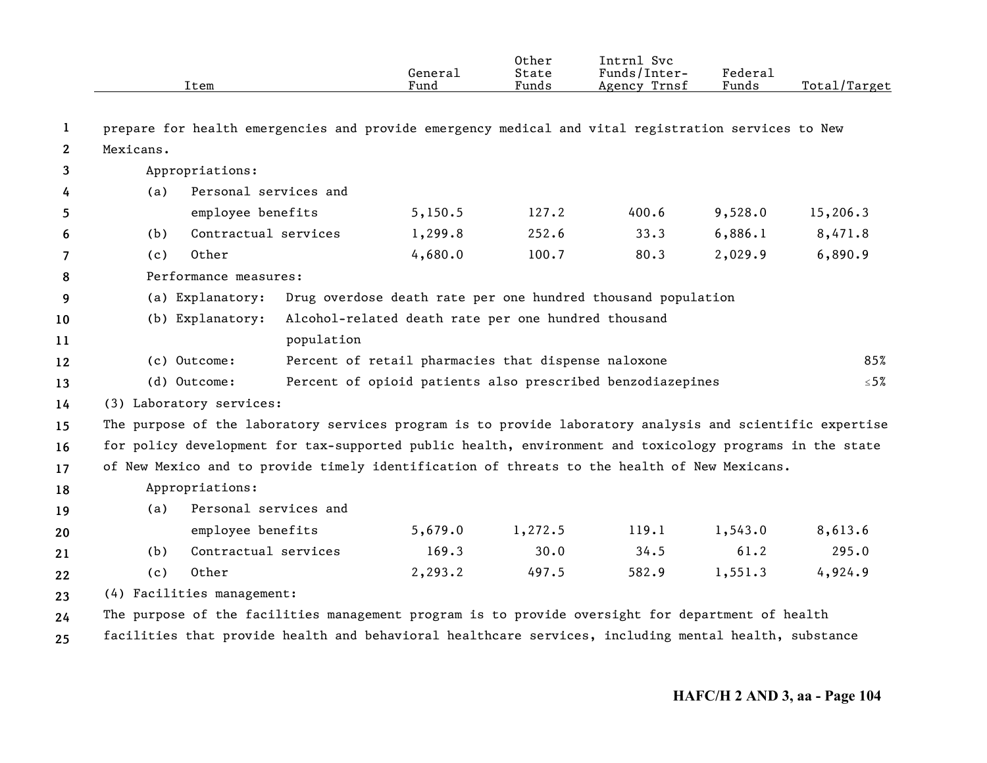|              |                            | Item                  |            | General<br>Fund                                     | Other<br>State<br>Funds | Intrnl Svc<br>Funds/Inter-<br>Agency Trnsf                                                                | Federal<br>Funds | Total/Target |
|--------------|----------------------------|-----------------------|------------|-----------------------------------------------------|-------------------------|-----------------------------------------------------------------------------------------------------------|------------------|--------------|
| 1            |                            |                       |            |                                                     |                         | prepare for health emergencies and provide emergency medical and vital registration services to New       |                  |              |
| $\mathbf{2}$ | Mexicans.                  |                       |            |                                                     |                         |                                                                                                           |                  |              |
| 3            |                            | Appropriations:       |            |                                                     |                         |                                                                                                           |                  |              |
| 4            | (a)                        | Personal services and |            |                                                     |                         |                                                                                                           |                  |              |
| 5            |                            | employee benefits     |            | 5,150.5                                             | 127.2                   | 400.6                                                                                                     | 9,528.0          | 15,206.3     |
| 6            | (b)                        | Contractual services  |            | 1,299.8                                             | 252.6                   | 33.3                                                                                                      | 6,886.1          | 8,471.8      |
| 7            | (c)                        | Other                 |            | 4,680.0                                             | 100.7                   | 80.3                                                                                                      | 2,029.9          | 6,890.9      |
| 8            |                            | Performance measures: |            |                                                     |                         |                                                                                                           |                  |              |
| 9            |                            | (a) Explanatory:      |            |                                                     |                         | Drug overdose death rate per one hundred thousand population                                              |                  |              |
| 10           |                            | (b) Explanatory:      |            | Alcohol-related death rate per one hundred thousand |                         |                                                                                                           |                  |              |
| 11           |                            |                       | population |                                                     |                         |                                                                                                           |                  |              |
| 12           | (c) Outcome:               |                       |            | Percent of retail pharmacies that dispense naloxone |                         |                                                                                                           |                  | 85%          |
| 13           | (d) Outcome:               |                       |            |                                                     |                         | Percent of opioid patients also prescribed benzodiazepines                                                |                  | $\leq 5\%$   |
| 14           | (3) Laboratory services:   |                       |            |                                                     |                         |                                                                                                           |                  |              |
| 15           |                            |                       |            |                                                     |                         | The purpose of the laboratory services program is to provide laboratory analysis and scientific expertise |                  |              |
| 16           |                            |                       |            |                                                     |                         | for policy development for tax-supported public health, environment and toxicology programs in the state  |                  |              |
| 17           |                            |                       |            |                                                     |                         | of New Mexico and to provide timely identification of threats to the health of New Mexicans.              |                  |              |
| 18           |                            | Appropriations:       |            |                                                     |                         |                                                                                                           |                  |              |
| 19           | (a)                        | Personal services and |            |                                                     |                         |                                                                                                           |                  |              |
| 20           |                            | employee benefits     |            | 5,679.0                                             | 1,272.5                 | 119.1                                                                                                     | 1,543.0          | 8,613.6      |
| 21           | (b)                        | Contractual services  |            | 169.3                                               | 30.0                    | 34.5                                                                                                      | 61.2             | 295.0        |
| 22           | (c)                        | Other                 |            | 2,293.2                                             | 497.5                   | 582.9                                                                                                     | 1,551.3          | 4,924.9      |
| 23           | (4) Facilities management: |                       |            |                                                     |                         |                                                                                                           |                  |              |
| 24           |                            |                       |            |                                                     |                         | The purpose of the facilities management program is to provide oversight for department of health         |                  |              |
| 25           |                            |                       |            |                                                     |                         | facilities that provide health and behavioral healthcare services, including mental health, substance     |                  |              |
|              |                            |                       |            |                                                     |                         |                                                                                                           |                  |              |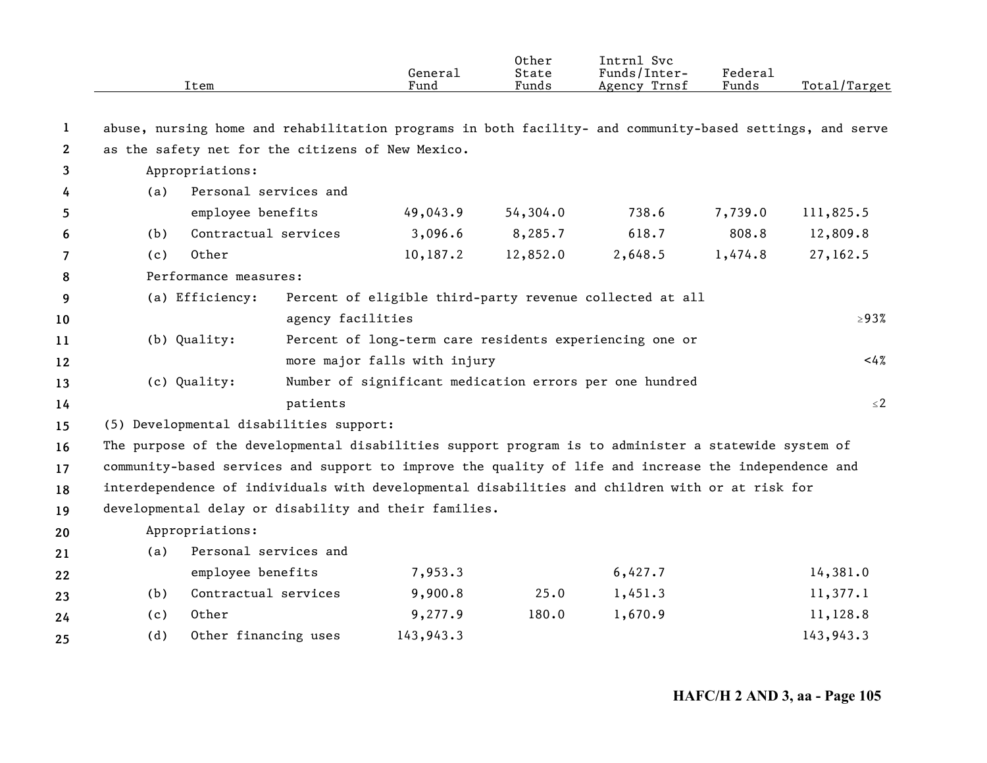|                |     | Item                                    | General<br>Fund                                                                                           | Other<br>State<br>Funds | Intrnl Svc<br>Funds/Inter-<br>Agency Trnsf | Federal<br>Funds | Total/Target |
|----------------|-----|-----------------------------------------|-----------------------------------------------------------------------------------------------------------|-------------------------|--------------------------------------------|------------------|--------------|
| $\mathbf{1}$   |     |                                         | abuse, nursing home and rehabilitation programs in both facility- and community-based settings, and serve |                         |                                            |                  |              |
| $\overline{2}$ |     |                                         | as the safety net for the citizens of New Mexico.                                                         |                         |                                            |                  |              |
| 3              |     | Appropriations:                         |                                                                                                           |                         |                                            |                  |              |
| 4              | (a) | Personal services and                   |                                                                                                           |                         |                                            |                  |              |
| 5              |     | employee benefits                       | 49,043.9                                                                                                  | 54,304.0                | 738.6                                      | 7,739.0          | 111,825.5    |
| 6              | (b) | Contractual services                    | 3,096.6                                                                                                   | 8,285.7                 | 618.7                                      | 808.8            | 12,809.8     |
| 7              | (c) | Other                                   | 10,187.2                                                                                                  | 12,852.0                | 2,648.5                                    | 1,474.8          | 27,162.5     |
| 8              |     | Performance measures:                   |                                                                                                           |                         |                                            |                  |              |
| 9              |     | (a) Efficiency:                         | Percent of eligible third-party revenue collected at all                                                  |                         |                                            |                  |              |
| 10             |     |                                         | agency facilities                                                                                         |                         |                                            |                  | $\geq$ 93%   |
| 11             |     | (b) Quality:                            | Percent of long-term care residents experiencing one or                                                   |                         |                                            |                  |              |
| 12             |     |                                         | more major falls with injury                                                                              |                         |                                            |                  | 4%           |
| 13             |     | (c) Quality:                            | Number of significant medication errors per one hundred                                                   |                         |                                            |                  |              |
| 14             |     | patients                                |                                                                                                           |                         |                                            |                  | $\leq 2$     |
| 15             |     | (5) Developmental disabilities support: |                                                                                                           |                         |                                            |                  |              |
| 16             |     |                                         | The purpose of the developmental disabilities support program is to administer a statewide system of      |                         |                                            |                  |              |
| 17             |     |                                         | community-based services and support to improve the quality of life and increase the independence and     |                         |                                            |                  |              |
| 18             |     |                                         | interdependence of individuals with developmental disabilities and children with or at risk for           |                         |                                            |                  |              |
| 19             |     |                                         | developmental delay or disability and their families.                                                     |                         |                                            |                  |              |
| 20             |     | Appropriations:                         |                                                                                                           |                         |                                            |                  |              |
| 21             | (a) | Personal services and                   |                                                                                                           |                         |                                            |                  |              |
| 22             |     | employee benefits                       | 7,953.3                                                                                                   |                         | 6,427.7                                    |                  | 14,381.0     |
| 23             | (b) | Contractual services                    | 9,900.8                                                                                                   | 25.0                    | 1,451.3                                    |                  | 11,377.1     |
| 24             | (c) | Other                                   | 9,277.9                                                                                                   | 180.0                   | 1,670.9                                    |                  | 11,128.8     |
| 25             | (d) | Other financing uses                    | 143,943.3                                                                                                 |                         |                                            |                  | 143,943.3    |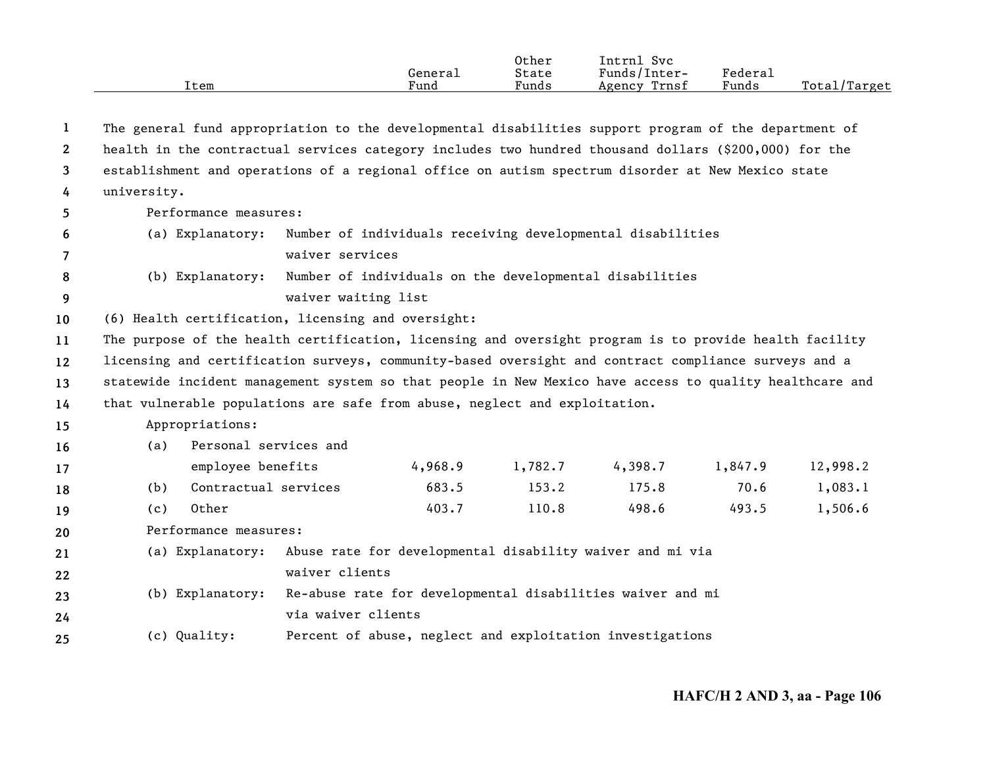| [tem                                                                                                  | General<br>Fund | Other<br>State<br>Funds | Intrnl Svc<br>Funds/Inter-<br>Agency Trnsf | Federal<br>Funds | Total/Target |
|-------------------------------------------------------------------------------------------------------|-----------------|-------------------------|--------------------------------------------|------------------|--------------|
| The general fund appropriation to the developmental disabilities support program of the department of |                 |                         |                                            |                  |              |
| health in the contractual services category includes two hundred thousand dollars (\$200,000) for the |                 |                         |                                            |                  |              |

**3**establishment and operations of a regional office on autism spectrum disorder at New Mexico state

**4**university.

**5**

Performance measures:

**67**(a) Explanatory: Number of individuals receiving developmental disabilities waiver services

# **89** (b) Explanatory: Number of individuals on the developmental disabilities waiver waiting list

**10**(6) Health certification, licensing and oversight:

**11**The purpose of the health certification, licensing and oversight program is to provide health facility

**121314**licensing and certification surveys, community-based oversight and contract compliance surveys and a statewide incident management system so that people in New Mexico have access to quality healthcare and that vulnerable populations are safe from abuse, neglect and exploitation.

## **15**Appropriations:

| 16 | (a)   | Personal services and |         |         |         |         |                                                   |  |
|----|-------|-----------------------|---------|---------|---------|---------|---------------------------------------------------|--|
| 17 |       | employee benefits     | 4,968.9 | 1,782.7 | 4,398.7 | 1,847.9 | 12,998.2                                          |  |
| 18 | (b)   | Contractual services  | 683.5   | 153.2   | 175.8   | 70.6    | $1\,\raisebox{1pt}{\text{\circle*{1.5}}},083\,.1$ |  |
| 19 | ( C ) | Other                 | 403.7   | 110.8   | 498.6   | 493.5   | 1,506.6                                           |  |

**20**Performance measures:

**2122**(a) Explanatory: Abuse rate for developmental disability waiver and mi via waiver clients

- **2324**(b) Explanatory: Re-abuse rate for developmental disabilities waiver and mi via waiver clients
- **25**(c) Quality: Percent of abuse, neglect and exploitation investigations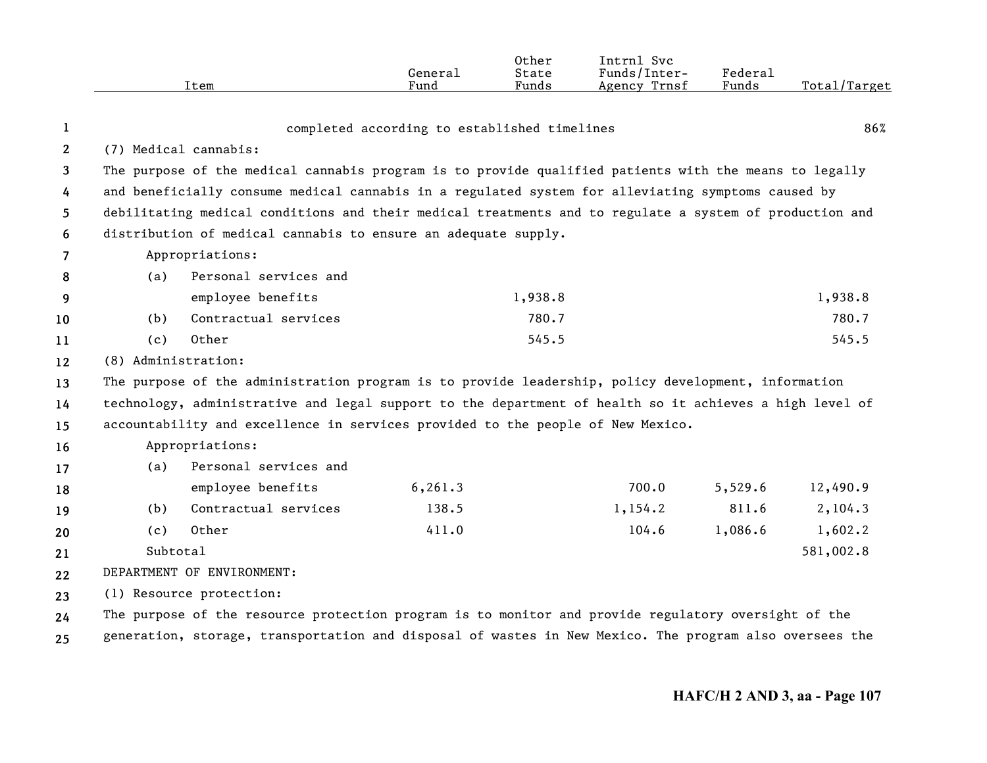|                |                     | Item                                                                                                    | General<br>Fund                              | Other<br>State<br>Funds | Intrnl Svc<br>Funds/Inter-<br>Agency Trnsf | Federal<br>Funds | Total/Target |
|----------------|---------------------|---------------------------------------------------------------------------------------------------------|----------------------------------------------|-------------------------|--------------------------------------------|------------------|--------------|
|                |                     |                                                                                                         |                                              |                         |                                            |                  |              |
| $\mathbf{1}$   |                     |                                                                                                         | completed according to established timelines |                         |                                            |                  | 86%          |
| $\mathbf{2}$   |                     | (7) Medical cannabis:                                                                                   |                                              |                         |                                            |                  |              |
| 3              |                     | The purpose of the medical cannabis program is to provide qualified patients with the means to legally  |                                              |                         |                                            |                  |              |
| 4              |                     | and beneficially consume medical cannabis in a regulated system for alleviating symptoms caused by      |                                              |                         |                                            |                  |              |
| 5              |                     | debilitating medical conditions and their medical treatments and to regulate a system of production and |                                              |                         |                                            |                  |              |
| 6              |                     | distribution of medical cannabis to ensure an adequate supply.                                          |                                              |                         |                                            |                  |              |
| $\overline{7}$ |                     | Appropriations:                                                                                         |                                              |                         |                                            |                  |              |
| 8              | (a)                 | Personal services and                                                                                   |                                              |                         |                                            |                  |              |
| 9              |                     | employee benefits                                                                                       |                                              | 1,938.8                 |                                            |                  | 1,938.8      |
| 10             | (b)                 | Contractual services                                                                                    |                                              | 780.7                   |                                            |                  | 780.7        |
| 11             | (c)                 | Other                                                                                                   |                                              | 545.5                   |                                            |                  | 545.5        |
| 12             | (8) Administration: |                                                                                                         |                                              |                         |                                            |                  |              |
| 13             |                     | The purpose of the administration program is to provide leadership, policy development, information     |                                              |                         |                                            |                  |              |
| 14             |                     | technology, administrative and legal support to the department of health so it achieves a high level of |                                              |                         |                                            |                  |              |
| 15             |                     | accountability and excellence in services provided to the people of New Mexico.                         |                                              |                         |                                            |                  |              |
| 16             |                     | Appropriations:                                                                                         |                                              |                         |                                            |                  |              |
| 17             | (a)                 | Personal services and                                                                                   |                                              |                         |                                            |                  |              |
| 18             |                     | employee benefits                                                                                       | 6, 261.3                                     |                         | 700.0                                      | 5,529.6          | 12,490.9     |
| 19             | (b)                 | Contractual services                                                                                    | 138.5                                        |                         | 1,154.2                                    | 811.6            | 2,104.3      |
| 20             | (c)                 | Other                                                                                                   | 411.0                                        |                         | 104.6                                      | 1,086.6          | 1,602.2      |
| 21             | Subtotal            |                                                                                                         |                                              |                         |                                            |                  | 581,002.8    |
| 22             |                     | DEPARTMENT OF ENVIRONMENT:                                                                              |                                              |                         |                                            |                  |              |
| 23             |                     | (1) Resource protection:                                                                                |                                              |                         |                                            |                  |              |
| 24             |                     | The purpose of the resource protection program is to monitor and provide regulatory oversight of the    |                                              |                         |                                            |                  |              |
| 25             |                     | generation, storage, transportation and disposal of wastes in New Mexico. The program also oversees the |                                              |                         |                                            |                  |              |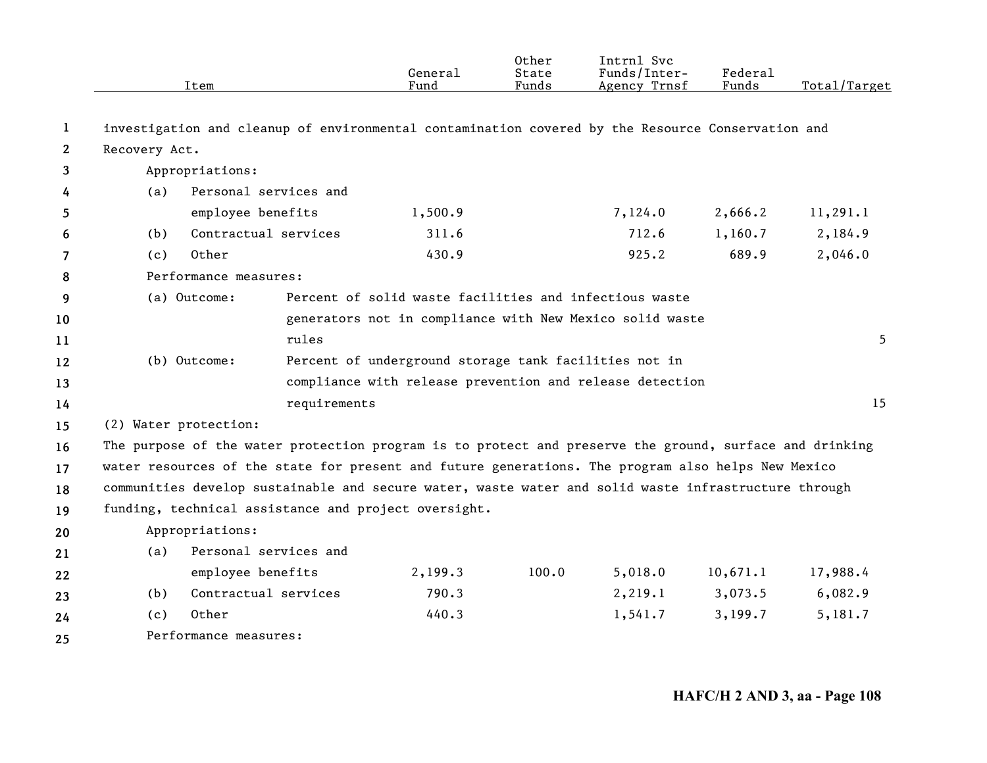|              |                       | Item                                                                                                    | General<br>Fund                                          | Other<br>State<br>Funds | Intrnl Svc<br>Funds/Inter-<br>Agency Trnsf | Federal<br>Funds | Total/Target |
|--------------|-----------------------|---------------------------------------------------------------------------------------------------------|----------------------------------------------------------|-------------------------|--------------------------------------------|------------------|--------------|
| 1            |                       | investigation and cleanup of environmental contamination covered by the Resource Conservation and       |                                                          |                         |                                            |                  |              |
| $\mathbf{2}$ | Recovery Act.         |                                                                                                         |                                                          |                         |                                            |                  |              |
| 3            |                       | Appropriations:                                                                                         |                                                          |                         |                                            |                  |              |
| 4            | (a)                   | Personal services and                                                                                   |                                                          |                         |                                            |                  |              |
| 5            |                       | employee benefits                                                                                       | 1,500.9                                                  |                         | 7,124.0                                    | 2,666.2          | 11,291.1     |
| 6            | (b)                   | Contractual services                                                                                    | 311.6                                                    |                         | 712.6                                      | 1,160.7          | 2,184.9      |
| 7            | (c)                   | Other                                                                                                   | 430.9                                                    |                         | 925.2                                      | 689.9            | 2,046.0      |
| 8            |                       | Performance measures:                                                                                   |                                                          |                         |                                            |                  |              |
| 9            |                       | (a) Outcome:                                                                                            | Percent of solid waste facilities and infectious waste   |                         |                                            |                  |              |
| 10           |                       |                                                                                                         | generators not in compliance with New Mexico solid waste |                         |                                            |                  |              |
| 11           |                       | rules                                                                                                   |                                                          |                         |                                            |                  | 5.           |
| 12           |                       | (b) Outcome:                                                                                            | Percent of underground storage tank facilities not in    |                         |                                            |                  |              |
| 13           |                       |                                                                                                         | compliance with release prevention and release detection |                         |                                            |                  |              |
| 14           |                       | requirements                                                                                            |                                                          |                         |                                            |                  | 15           |
| 15           | (2) Water protection: |                                                                                                         |                                                          |                         |                                            |                  |              |
| 16           |                       | The purpose of the water protection program is to protect and preserve the ground, surface and drinking |                                                          |                         |                                            |                  |              |
| 17           |                       | water resources of the state for present and future generations. The program also helps New Mexico      |                                                          |                         |                                            |                  |              |
| 18           |                       | communities develop sustainable and secure water, waste water and solid waste infrastructure through    |                                                          |                         |                                            |                  |              |
| 19           |                       | funding, technical assistance and project oversight.                                                    |                                                          |                         |                                            |                  |              |
| 20           |                       | Appropriations:                                                                                         |                                                          |                         |                                            |                  |              |
| 21           | (a)                   | Personal services and                                                                                   |                                                          |                         |                                            |                  |              |
| 22           |                       | employee benefits                                                                                       | 2,199.3                                                  | 100.0                   | 5,018.0                                    | 10,671.1         | 17,988.4     |
| 23           | (b)                   | Contractual services                                                                                    | 790.3                                                    |                         | 2,219.1                                    | 3,073.5          | 6,082.9      |
| 24           | (c)                   | Other                                                                                                   | 440.3                                                    |                         | 1,541.7                                    | 3,199.7          | 5,181.7      |
| 25           |                       | Performance measures:                                                                                   |                                                          |                         |                                            |                  |              |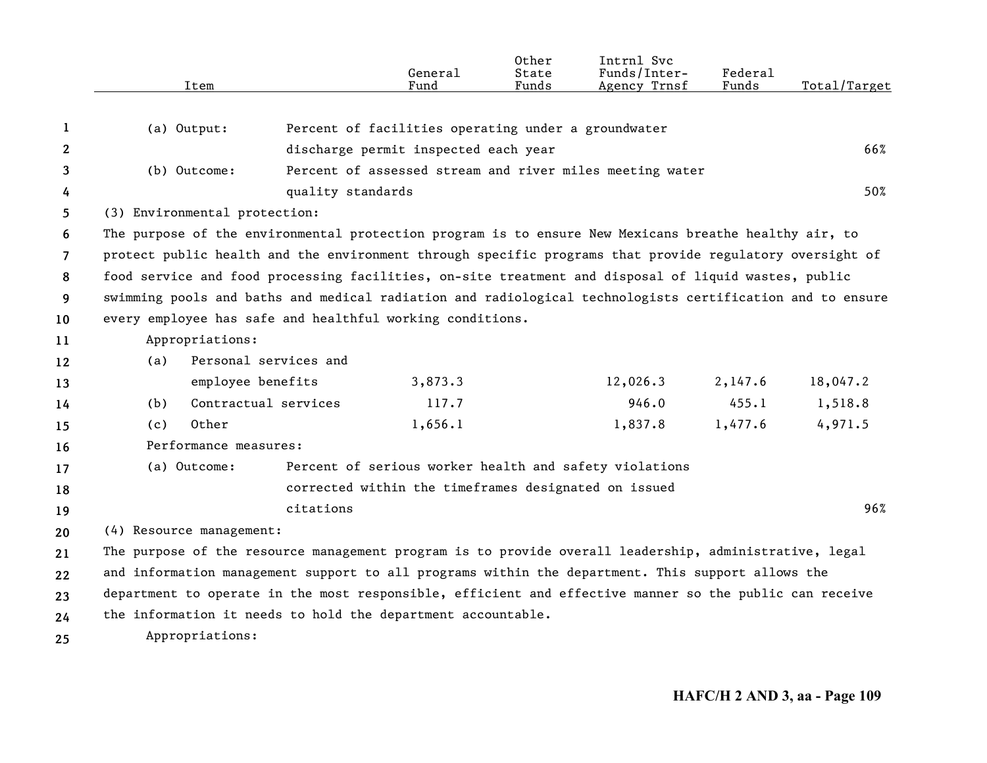|                | Item                                                                                                      | General<br>Fund                                          | Other<br>State<br>Funds | Intrnl Svc<br>Funds/Inter-<br>Agency Trnsf | Federal<br>Funds | Total/Target |
|----------------|-----------------------------------------------------------------------------------------------------------|----------------------------------------------------------|-------------------------|--------------------------------------------|------------------|--------------|
|                |                                                                                                           |                                                          |                         |                                            |                  |              |
| 1              | (a) Output:                                                                                               | Percent of facilities operating under a groundwater      |                         |                                            |                  |              |
| $\mathbf{2}$   |                                                                                                           | discharge permit inspected each year                     |                         |                                            |                  | 66%          |
| 3              | (b) Outcome:                                                                                              | Percent of assessed stream and river miles meeting water |                         |                                            |                  |              |
| 4              |                                                                                                           | quality standards                                        |                         |                                            |                  | 50%          |
| 5.             | (3) Environmental protection:                                                                             |                                                          |                         |                                            |                  |              |
| 6              | The purpose of the environmental protection program is to ensure New Mexicans breathe healthy air, to     |                                                          |                         |                                            |                  |              |
| $\overline{7}$ | protect public health and the environment through specific programs that provide regulatory oversight of  |                                                          |                         |                                            |                  |              |
| 8              | food service and food processing facilities, on-site treatment and disposal of liquid wastes, public      |                                                          |                         |                                            |                  |              |
| 9              | swimming pools and baths and medical radiation and radiological technologists certification and to ensure |                                                          |                         |                                            |                  |              |
| 10             | every employee has safe and healthful working conditions.                                                 |                                                          |                         |                                            |                  |              |
| 11             | Appropriations:                                                                                           |                                                          |                         |                                            |                  |              |
| 12             | Personal services and<br>(a)                                                                              |                                                          |                         |                                            |                  |              |
| 13             | employee benefits                                                                                         | 3,873.3                                                  |                         | 12,026.3                                   | 2,147.6          | 18,047.2     |
| 14             | Contractual services<br>(b)                                                                               | 117.7                                                    |                         | 946.0                                      | 455.1            | 1,518.8      |
| 15             | Other<br>(c)                                                                                              | 1,656.1                                                  |                         | 1,837.8                                    | 1,477.6          | 4,971.5      |
| 16             | Performance measures:                                                                                     |                                                          |                         |                                            |                  |              |
| 17             | (a) Outcome:                                                                                              | Percent of serious worker health and safety violations   |                         |                                            |                  |              |
| 18             |                                                                                                           | corrected within the timeframes designated on issued     |                         |                                            |                  |              |
| 19             | citations                                                                                                 |                                                          |                         |                                            |                  | 96%          |
| 20             | (4) Resource management:                                                                                  |                                                          |                         |                                            |                  |              |
| 21             | The purpose of the resource management program is to provide overall leadership, administrative, legal    |                                                          |                         |                                            |                  |              |
| $22 \,$        | and information management support to all programs within the department. This support allows the         |                                                          |                         |                                            |                  |              |
| 23             | department to operate in the most responsible, efficient and effective manner so the public can receive   |                                                          |                         |                                            |                  |              |
| 24             | the information it needs to hold the department accountable.                                              |                                                          |                         |                                            |                  |              |
| 25             | Appropriations:                                                                                           |                                                          |                         |                                            |                  |              |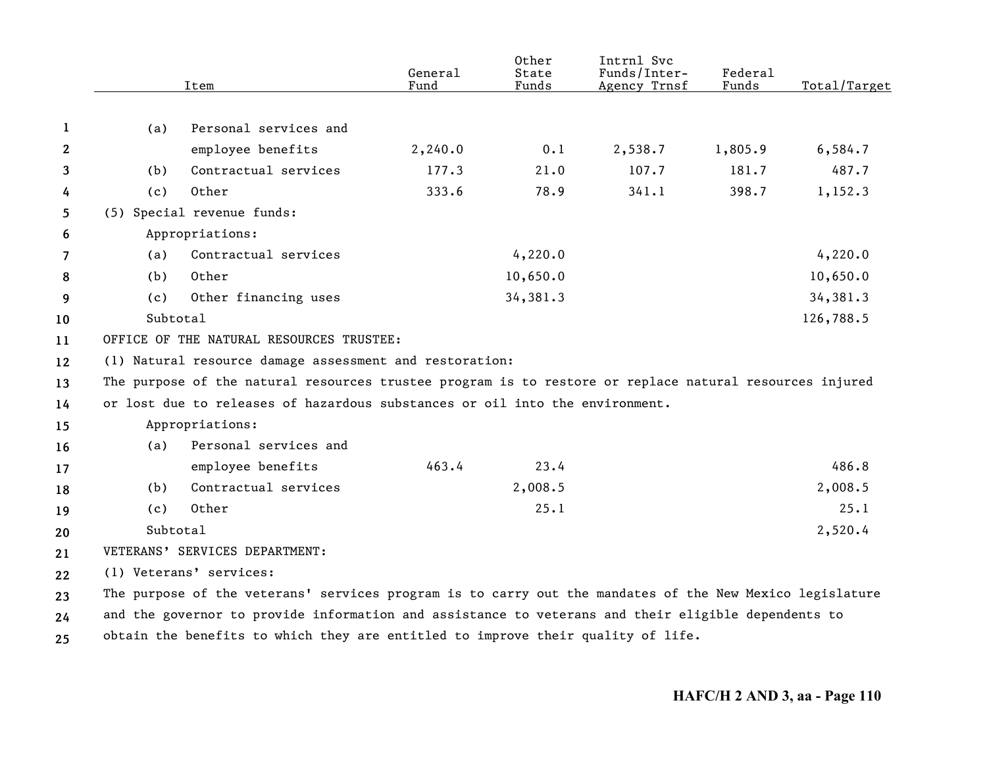|    |          | Item                                                                                                     | General<br>Fund | Other<br>State<br>Funds | Intrnl Svc<br>Funds/Inter-<br>Agency Trnsf | Federal<br>Funds | Total/Target |
|----|----------|----------------------------------------------------------------------------------------------------------|-----------------|-------------------------|--------------------------------------------|------------------|--------------|
|    |          |                                                                                                          |                 |                         |                                            |                  |              |
| 1  | (a)      | Personal services and                                                                                    |                 |                         |                                            |                  |              |
| 2  |          | employee benefits                                                                                        | 2,240.0         | 0.1                     | 2,538.7                                    | 1,805.9          | 6,584.7      |
| 3  | (b)      | Contractual services                                                                                     | 177.3           | 21.0                    | 107.7                                      | 181.7            | 487.7        |
| 4  | (c)      | Other                                                                                                    | 333.6           | 78.9                    | 341.1                                      | 398.7            | 1,152.3      |
| 5  |          | (5) Special revenue funds:                                                                               |                 |                         |                                            |                  |              |
| 6  |          | Appropriations:                                                                                          |                 |                         |                                            |                  |              |
| 7  | (a)      | Contractual services                                                                                     |                 | 4,220.0                 |                                            |                  | 4,220.0      |
| 8  | (b)      | Other                                                                                                    |                 | 10,650.0                |                                            |                  | 10,650.0     |
| 9  | (c)      | Other financing uses                                                                                     |                 | 34,381.3                |                                            |                  | 34,381.3     |
| 10 | Subtotal |                                                                                                          |                 |                         |                                            |                  | 126,788.5    |
| 11 |          | OFFICE OF THE NATURAL RESOURCES TRUSTEE:                                                                 |                 |                         |                                            |                  |              |
| 12 |          | (1) Natural resource damage assessment and restoration:                                                  |                 |                         |                                            |                  |              |
| 13 |          | The purpose of the natural resources trustee program is to restore or replace natural resources injured  |                 |                         |                                            |                  |              |
| 14 |          | or lost due to releases of hazardous substances or oil into the environment.                             |                 |                         |                                            |                  |              |
| 15 |          | Appropriations:                                                                                          |                 |                         |                                            |                  |              |
| 16 | (a)      | Personal services and                                                                                    |                 |                         |                                            |                  |              |
| 17 |          | employee benefits                                                                                        | 463.4           | 23.4                    |                                            |                  | 486.8        |
| 18 | (b)      | Contractual services                                                                                     |                 | 2,008.5                 |                                            |                  | 2,008.5      |
| 19 | (c)      | Other                                                                                                    |                 | 25.1                    |                                            |                  | 25.1         |
| 20 | Subtotal |                                                                                                          |                 |                         |                                            |                  | 2,520.4      |
| 21 |          | VETERANS' SERVICES DEPARTMENT:                                                                           |                 |                         |                                            |                  |              |
| 22 |          | (1) Veterans' services:                                                                                  |                 |                         |                                            |                  |              |
| 23 |          | The purpose of the veterans' services program is to carry out the mandates of the New Mexico legislature |                 |                         |                                            |                  |              |
| 24 |          | and the governor to provide information and assistance to veterans and their eligible dependents to      |                 |                         |                                            |                  |              |
| 25 |          | obtain the benefits to which they are entitled to improve their quality of life.                         |                 |                         |                                            |                  |              |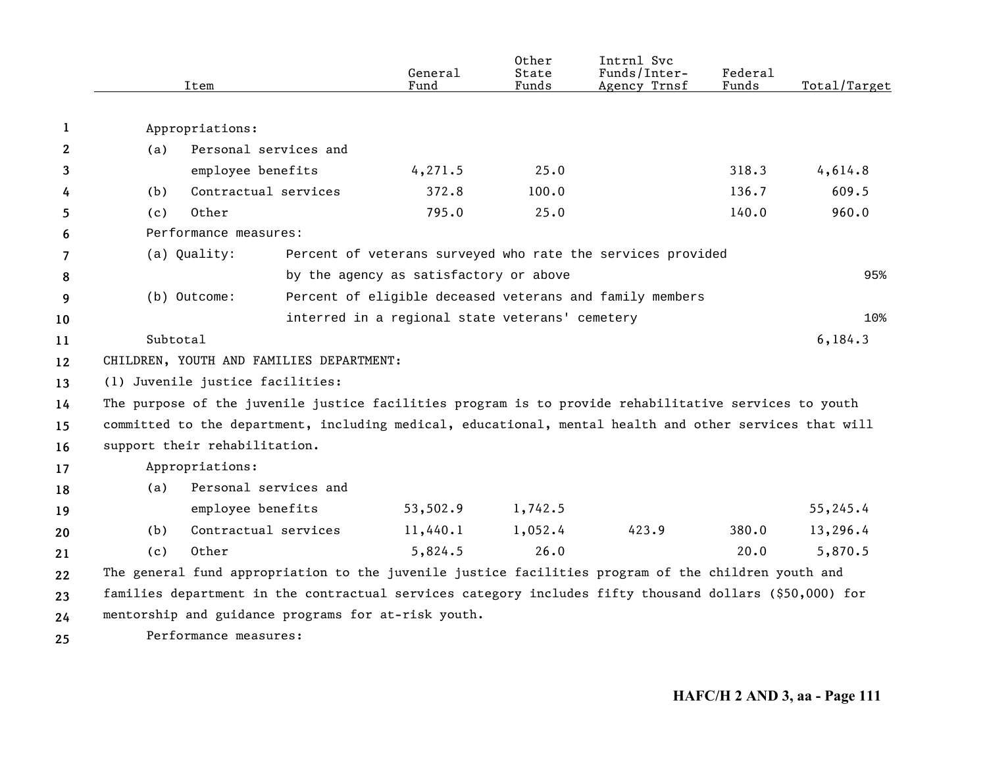|                |          | Item                                                                                                    | General<br>Fund                                 | Other<br>State<br>Funds | Intrnl Svc<br>Funds/Inter-<br>Agency Trnsf                  | Federal<br>Funds | Total/Target |
|----------------|----------|---------------------------------------------------------------------------------------------------------|-------------------------------------------------|-------------------------|-------------------------------------------------------------|------------------|--------------|
| 1              |          | Appropriations:                                                                                         |                                                 |                         |                                                             |                  |              |
| $\mathbf{2}$   | (a)      | Personal services and                                                                                   |                                                 |                         |                                                             |                  |              |
| 3              |          | employee benefits                                                                                       | 4,271.5                                         | 25.0                    |                                                             | 318.3            | 4,614.8      |
| 4              | (b)      | Contractual services                                                                                    | 372.8                                           | 100.0                   |                                                             | 136.7            | 609.5        |
| 5              | (c)      | Other                                                                                                   | 795.0                                           | 25.0                    |                                                             | 140.0            | 960.0        |
| 6              |          | Performance measures:                                                                                   |                                                 |                         |                                                             |                  |              |
| $\overline{7}$ |          | (a) Quality:                                                                                            |                                                 |                         | Percent of veterans surveyed who rate the services provided |                  |              |
| 8              |          |                                                                                                         | by the agency as satisfactory or above          |                         |                                                             |                  | 95%          |
| 9              |          | (b) Outcome:                                                                                            |                                                 |                         | Percent of eligible deceased veterans and family members    |                  |              |
| 10             |          |                                                                                                         | interred in a regional state veterans' cemetery |                         |                                                             |                  | 10%          |
| 11             | Subtotal |                                                                                                         |                                                 |                         |                                                             |                  | 6, 184.3     |
| 12             |          | CHILDREN, YOUTH AND FAMILIES DEPARTMENT:                                                                |                                                 |                         |                                                             |                  |              |
| 13             |          | (1) Juvenile justice facilities:                                                                        |                                                 |                         |                                                             |                  |              |
| 14             |          | The purpose of the juvenile justice facilities program is to provide rehabilitative services to youth   |                                                 |                         |                                                             |                  |              |
| 15             |          | committed to the department, including medical, educational, mental health and other services that will |                                                 |                         |                                                             |                  |              |
| 16             |          | support their rehabilitation.                                                                           |                                                 |                         |                                                             |                  |              |
| 17             |          | Appropriations:                                                                                         |                                                 |                         |                                                             |                  |              |
| 18             | (a)      | Personal services and                                                                                   |                                                 |                         |                                                             |                  |              |
| 19             |          | employee benefits                                                                                       | 53,502.9                                        | 1,742.5                 |                                                             |                  | 55,245.4     |
| 20             | (b)      | Contractual services                                                                                    | 11,440.1                                        | 1,052.4                 | 423.9                                                       | 380.0            | 13,296.4     |
| 21             | (c)      | Other                                                                                                   | 5,824.5                                         | 26.0                    |                                                             | 20.0             | 5,870.5      |
| 22             |          | The general fund appropriation to the juvenile justice facilities program of the children youth and     |                                                 |                         |                                                             |                  |              |
| 23             |          | families department in the contractual services category includes fifty thousand dollars (\$50,000) for |                                                 |                         |                                                             |                  |              |
| 24             |          | mentorship and guidance programs for at-risk youth.                                                     |                                                 |                         |                                                             |                  |              |
|                |          |                                                                                                         |                                                 |                         |                                                             |                  |              |

**25** Performance measures: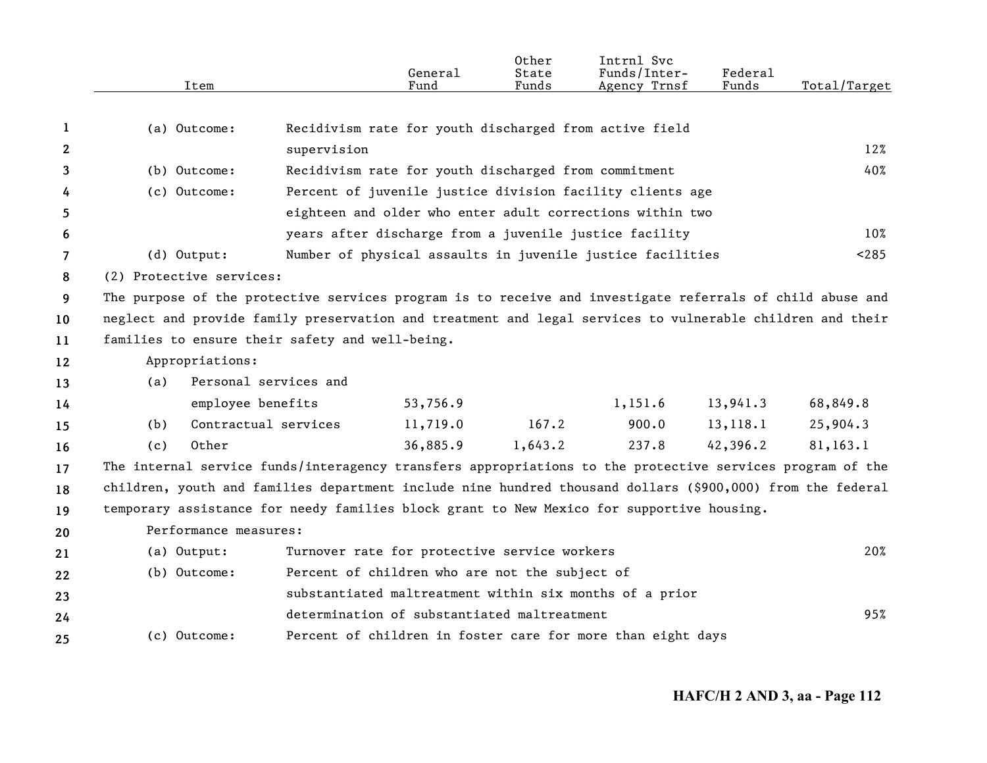|                | Item                                                                                                       |                       | General<br>Fund                                      | Other<br>State<br>Funds | Intrnl Svc<br>Funds/Inter-<br>Agency Trnsf                  | Federal<br>Funds | Total/Target |
|----------------|------------------------------------------------------------------------------------------------------------|-----------------------|------------------------------------------------------|-------------------------|-------------------------------------------------------------|------------------|--------------|
|                |                                                                                                            |                       |                                                      |                         |                                                             |                  |              |
| 1              | (a) Outcome:                                                                                               |                       |                                                      |                         | Recidivism rate for youth discharged from active field      |                  |              |
| $\mathbf{2}$   |                                                                                                            | supervision           |                                                      |                         |                                                             |                  | 12%          |
| 3              | (b) Outcome:                                                                                               |                       | Recidivism rate for youth discharged from commitment |                         |                                                             |                  | 40%          |
| 4              | (c) Outcome:                                                                                               |                       |                                                      |                         | Percent of juvenile justice division facility clients age   |                  |              |
| 5              |                                                                                                            |                       |                                                      |                         | eighteen and older who enter adult corrections within two   |                  |              |
| 6              |                                                                                                            |                       |                                                      |                         | years after discharge from a juvenile justice facility      |                  | $10\%$       |
| $\overline{7}$ | (d) Output:                                                                                                |                       |                                                      |                         | Number of physical assaults in juvenile justice facilities  |                  | < 285        |
| 8              | (2) Protective services:                                                                                   |                       |                                                      |                         |                                                             |                  |              |
| 9              | The purpose of the protective services program is to receive and investigate referrals of child abuse and  |                       |                                                      |                         |                                                             |                  |              |
| 10             | neglect and provide family preservation and treatment and legal services to vulnerable children and their  |                       |                                                      |                         |                                                             |                  |              |
| 11             | families to ensure their safety and well-being.                                                            |                       |                                                      |                         |                                                             |                  |              |
| 12             | Appropriations:                                                                                            |                       |                                                      |                         |                                                             |                  |              |
| 13             | (a)                                                                                                        | Personal services and |                                                      |                         |                                                             |                  |              |
| 14             | employee benefits                                                                                          |                       | 53,756.9                                             |                         | 1,151.6                                                     | 13,941.3         | 68,849.8     |
| 15             | (b)                                                                                                        | Contractual services  | 11,719.0                                             | 167.2                   | 900.0                                                       | 13, 118.1        | 25,904.3     |
| 16             | Other<br>(c)                                                                                               |                       | 36,885.9                                             | 1,643.2                 | 237.8                                                       | 42,396.2         | 81,163.1     |
| 17             | The internal service funds/interagency transfers appropriations to the protective services program of the  |                       |                                                      |                         |                                                             |                  |              |
| 18             | children, youth and families department include nine hundred thousand dollars (\$900,000) from the federal |                       |                                                      |                         |                                                             |                  |              |
| 19             | temporary assistance for needy families block grant to New Mexico for supportive housing.                  |                       |                                                      |                         |                                                             |                  |              |
| 20             | Performance measures:                                                                                      |                       |                                                      |                         |                                                             |                  |              |
| 21             | (a) Output:                                                                                                |                       | Turnover rate for protective service workers         |                         |                                                             |                  | 20%          |
| 22             | (b) Outcome:                                                                                               |                       | Percent of children who are not the subject of       |                         |                                                             |                  |              |
| 23             |                                                                                                            |                       |                                                      |                         | substantiated maltreatment within six months of a prior     |                  |              |
| 24             |                                                                                                            |                       | determination of substantiated maltreatment          |                         |                                                             |                  | 95%          |
| 25             | (c) Outcome:                                                                                               |                       |                                                      |                         | Percent of children in foster care for more than eight days |                  |              |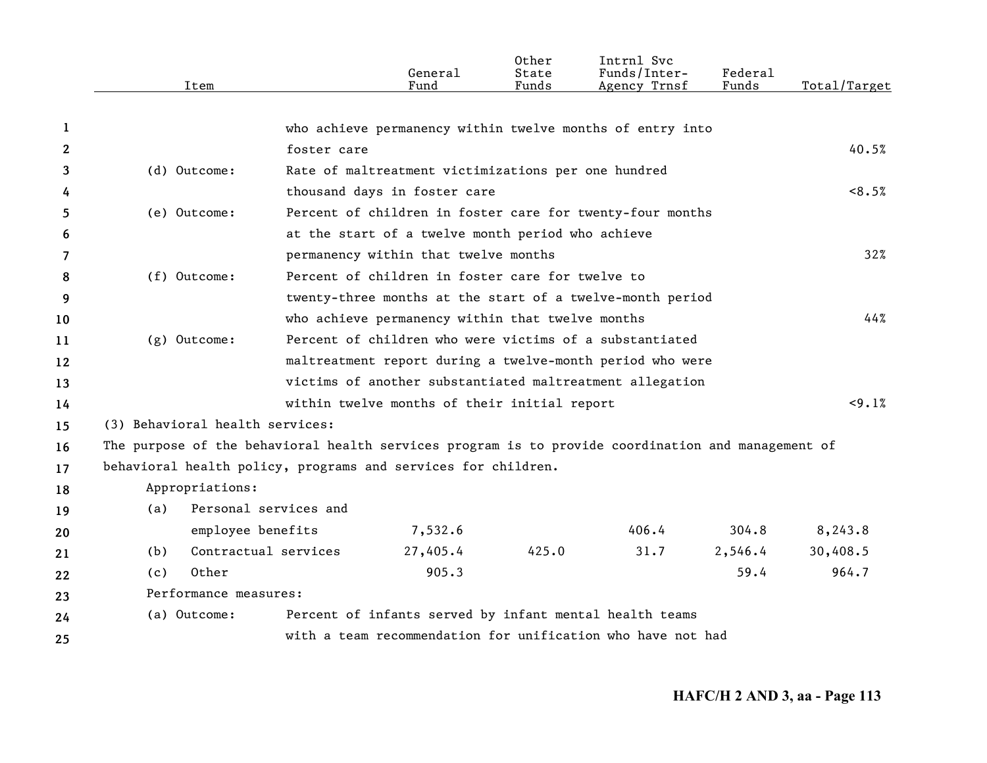|              | Item                                                                                               |                       | General<br>Fund                                             | Other<br>State<br>Funds | Intrnl Svc<br>Funds/Inter-<br>Agency Trnsf | Federal<br>Funds | Total/Target |
|--------------|----------------------------------------------------------------------------------------------------|-----------------------|-------------------------------------------------------------|-------------------------|--------------------------------------------|------------------|--------------|
| 1            |                                                                                                    |                       | who achieve permanency within twelve months of entry into   |                         |                                            |                  |              |
| $\mathbf{2}$ |                                                                                                    | foster care           |                                                             |                         |                                            |                  | 40.5%        |
| 3            | (d) Outcome:                                                                                       |                       | Rate of maltreatment victimizations per one hundred         |                         |                                            |                  |              |
| 4            |                                                                                                    |                       | thousand days in foster care                                |                         |                                            |                  | <8.5%        |
| 5            | (e) Outcome:                                                                                       |                       | Percent of children in foster care for twenty-four months   |                         |                                            |                  |              |
| 6            |                                                                                                    |                       | at the start of a twelve month period who achieve           |                         |                                            |                  |              |
| 7            |                                                                                                    |                       | permanency within that twelve months                        |                         |                                            |                  | 32%          |
| 8            | (f) Outcome:                                                                                       |                       | Percent of children in foster care for twelve to            |                         |                                            |                  |              |
| 9            |                                                                                                    |                       | twenty-three months at the start of a twelve-month period   |                         |                                            |                  |              |
| 10           |                                                                                                    |                       | who achieve permanency within that twelve months            |                         |                                            |                  | 44%          |
| 11           | $(g)$ Outcome:                                                                                     |                       | Percent of children who were victims of a substantiated     |                         |                                            |                  |              |
| 12           |                                                                                                    |                       | maltreatment report during a twelve-month period who were   |                         |                                            |                  |              |
| 13           |                                                                                                    |                       | victims of another substantiated maltreatment allegation    |                         |                                            |                  |              |
| 14           |                                                                                                    |                       | within twelve months of their initial report                |                         |                                            |                  | <9.1%        |
| 15           | (3) Behavioral health services:                                                                    |                       |                                                             |                         |                                            |                  |              |
| 16           | The purpose of the behavioral health services program is to provide coordination and management of |                       |                                                             |                         |                                            |                  |              |
| 17           | behavioral health policy, programs and services for children.                                      |                       |                                                             |                         |                                            |                  |              |
| 18           | Appropriations:                                                                                    |                       |                                                             |                         |                                            |                  |              |
| 19           | (a)                                                                                                | Personal services and |                                                             |                         |                                            |                  |              |
| 20           | employee benefits                                                                                  |                       | 7,532.6                                                     |                         | 406.4                                      | 304.8            | 8,243.8      |
| 21           | (b)                                                                                                | Contractual services  | 27,405.4                                                    | 425.0                   | 31.7                                       | 2,546.4          | 30,408.5     |
| 22           | Other<br>(c)                                                                                       |                       | 905.3                                                       |                         |                                            | 59.4             | 964.7        |
| 23           | Performance measures:                                                                              |                       |                                                             |                         |                                            |                  |              |
| 24           | (a) Outcome:                                                                                       |                       | Percent of infants served by infant mental health teams     |                         |                                            |                  |              |
| 25           |                                                                                                    |                       | with a team recommendation for unification who have not had |                         |                                            |                  |              |
|              |                                                                                                    |                       |                                                             |                         |                                            |                  |              |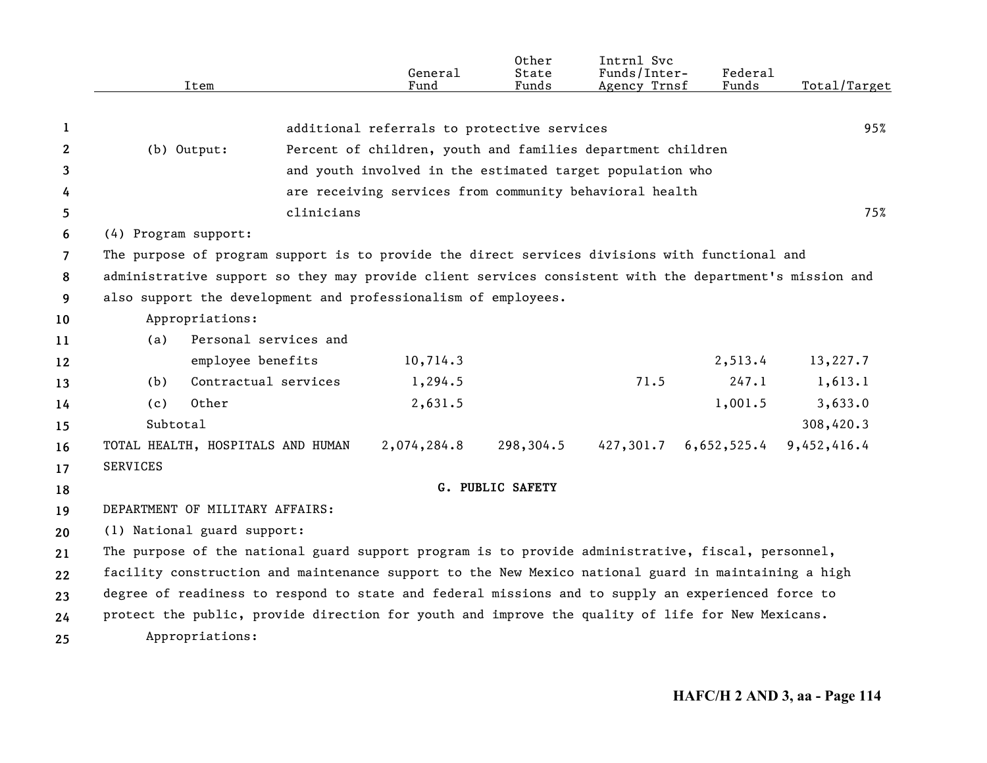|                |                      | Item                              | General<br>Fund                                                                                         | Other<br>State<br>Funds | Intrnl Svc<br>Funds/Inter-<br>Agency Trnsf | Federal<br>Funds | Total/Target |
|----------------|----------------------|-----------------------------------|---------------------------------------------------------------------------------------------------------|-------------------------|--------------------------------------------|------------------|--------------|
|                |                      |                                   |                                                                                                         |                         |                                            |                  |              |
| 1              |                      |                                   | additional referrals to protective services                                                             |                         |                                            |                  | 95%          |
| 2              |                      | (b) Output:                       | Percent of children, youth and families department children                                             |                         |                                            |                  |              |
| 3              |                      |                                   | and youth involved in the estimated target population who                                               |                         |                                            |                  |              |
| 4              |                      |                                   | are receiving services from community behavioral health                                                 |                         |                                            |                  |              |
| 5              |                      |                                   | clinicians                                                                                              |                         |                                            |                  | 75%          |
| 6              | (4) Program support: |                                   |                                                                                                         |                         |                                            |                  |              |
| $\overline{7}$ |                      |                                   | The purpose of program support is to provide the direct services divisions with functional and          |                         |                                            |                  |              |
| 8              |                      |                                   | administrative support so they may provide client services consistent with the department's mission and |                         |                                            |                  |              |
| 9              |                      |                                   | also support the development and professionalism of employees.                                          |                         |                                            |                  |              |
| 10             |                      | Appropriations:                   |                                                                                                         |                         |                                            |                  |              |
| 11             | (a)                  | Personal services and             |                                                                                                         |                         |                                            |                  |              |
| 12             |                      | employee benefits                 | 10,714.3                                                                                                |                         |                                            | 2,513.4          | 13,227.7     |
| 13             | (b)                  | Contractual services              | 1,294.5                                                                                                 |                         | 71.5                                       | 247.1            | 1,613.1      |
| 14             | (c)                  | Other                             | 2,631.5                                                                                                 |                         |                                            | 1,001.5          | 3,633.0      |
| 15             | Subtotal             |                                   |                                                                                                         |                         |                                            |                  | 308,420.3    |
| 16             |                      | TOTAL HEALTH, HOSPITALS AND HUMAN | 2,074,284.8                                                                                             | 298,304.5               | 427,301.7                                  | 6,652,525.4      | 9,452,416.4  |
| 17             | <b>SERVICES</b>      |                                   |                                                                                                         |                         |                                            |                  |              |
| 18             |                      |                                   |                                                                                                         | G. PUBLIC SAFETY        |                                            |                  |              |
| 19             |                      | DEPARTMENT OF MILITARY AFFAIRS:   |                                                                                                         |                         |                                            |                  |              |
| 20             |                      | (1) National guard support:       |                                                                                                         |                         |                                            |                  |              |
| 21             |                      |                                   | The purpose of the national guard support program is to provide administrative, fiscal, personnel,      |                         |                                            |                  |              |
| 22             |                      |                                   | facility construction and maintenance support to the New Mexico national guard in maintaining a high    |                         |                                            |                  |              |
| 23             |                      |                                   | degree of readiness to respond to state and federal missions and to supply an experienced force to      |                         |                                            |                  |              |
| 24             |                      |                                   | protect the public, provide direction for youth and improve the quality of life for New Mexicans.       |                         |                                            |                  |              |
| 25             |                      | Appropriations:                   |                                                                                                         |                         |                                            |                  |              |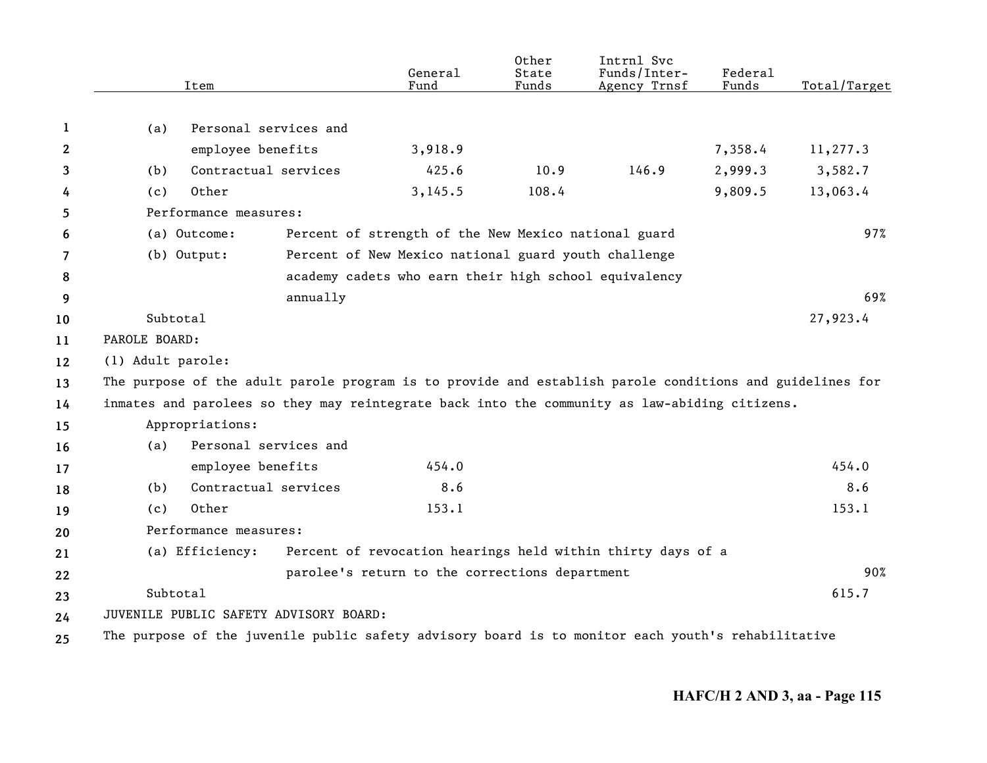|    | Item              |                                                                                                          | General<br>Fund                                       | Other<br>State<br>Funds | Intrnl Svc<br>Funds/Inter-<br>Agency Trnsf                  | Federal<br>Funds | Total/Target |
|----|-------------------|----------------------------------------------------------------------------------------------------------|-------------------------------------------------------|-------------------------|-------------------------------------------------------------|------------------|--------------|
|    |                   |                                                                                                          |                                                       |                         |                                                             |                  |              |
| 1  | (a)               | Personal services and                                                                                    |                                                       |                         |                                                             |                  |              |
| 2  |                   | employee benefits                                                                                        | 3,918.9                                               |                         |                                                             | 7,358.4          | 11,277.3     |
| 3  | (b)               | Contractual services                                                                                     | 425.6                                                 | 10.9                    | 146.9                                                       | 2,999.3          | 3,582.7      |
| 4  | (c)               | Other                                                                                                    | 3, 145.5                                              | 108.4                   |                                                             | 9,809.5          | 13,063.4     |
| 5  |                   | Performance measures:                                                                                    |                                                       |                         |                                                             |                  |              |
| 6  | (a) Outcome:      |                                                                                                          | Percent of strength of the New Mexico national guard  |                         |                                                             |                  | 97%          |
| 7  | (b) Output:       |                                                                                                          | Percent of New Mexico national guard youth challenge  |                         |                                                             |                  |              |
| 8  |                   |                                                                                                          | academy cadets who earn their high school equivalency |                         |                                                             |                  |              |
| 9  |                   | annually                                                                                                 |                                                       |                         |                                                             |                  | 69%          |
| 10 | Subtotal          |                                                                                                          |                                                       |                         |                                                             |                  | 27,923.4     |
| 11 | PAROLE BOARD:     |                                                                                                          |                                                       |                         |                                                             |                  |              |
| 12 | (1) Adult parole: |                                                                                                          |                                                       |                         |                                                             |                  |              |
| 13 |                   | The purpose of the adult parole program is to provide and establish parole conditions and guidelines for |                                                       |                         |                                                             |                  |              |
| 14 |                   | inmates and parolees so they may reintegrate back into the community as law-abiding citizens.            |                                                       |                         |                                                             |                  |              |
| 15 |                   | Appropriations:                                                                                          |                                                       |                         |                                                             |                  |              |
| 16 | (a)               | Personal services and                                                                                    |                                                       |                         |                                                             |                  |              |
| 17 |                   | employee benefits                                                                                        | 454.0                                                 |                         |                                                             |                  | 454.0        |
| 18 | (b)               | Contractual services                                                                                     | 8.6                                                   |                         |                                                             |                  | 8.6          |
| 19 | (c)               | Other                                                                                                    | 153.1                                                 |                         |                                                             |                  | 153.1        |
| 20 |                   | Performance measures:                                                                                    |                                                       |                         |                                                             |                  |              |
| 21 |                   | (a) Efficiency:                                                                                          |                                                       |                         | Percent of revocation hearings held within thirty days of a |                  |              |
| 22 |                   |                                                                                                          | parolee's return to the corrections department        |                         |                                                             |                  | 90%          |
| 23 | Subtotal          |                                                                                                          |                                                       |                         |                                                             |                  | 615.7        |
| 24 |                   | JUVENILE PUBLIC SAFETY ADVISORY BOARD:                                                                   |                                                       |                         |                                                             |                  |              |
| 25 |                   | The purpose of the juvenile public safety advisory board is to monitor each youth's rehabilitative       |                                                       |                         |                                                             |                  |              |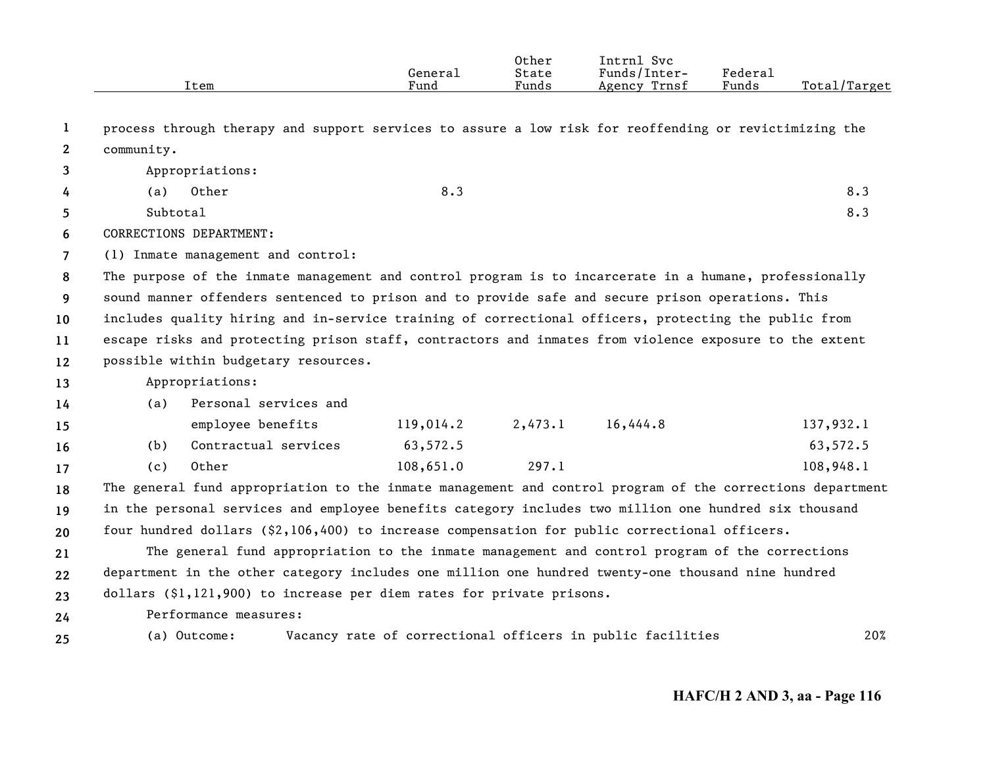|                |            | Item                                                                                                      | General<br>Fund | Other<br>State<br>Funds | Intrnl Svc<br>Funds/Inter-<br>Agency Trnsf                 | Federal<br>Funds | Total/Target |
|----------------|------------|-----------------------------------------------------------------------------------------------------------|-----------------|-------------------------|------------------------------------------------------------|------------------|--------------|
| 1              |            | process through therapy and support services to assure a low risk for reoffending or revictimizing the    |                 |                         |                                                            |                  |              |
| $\mathbf{2}$   | community. |                                                                                                           |                 |                         |                                                            |                  |              |
| 3              |            | Appropriations:                                                                                           |                 |                         |                                                            |                  |              |
| 4              | (a)        | Other                                                                                                     | 8.3             |                         |                                                            |                  | 8.3          |
| 5.             | Subtotal   |                                                                                                           |                 |                         |                                                            |                  | 8.3          |
| 6              |            | CORRECTIONS DEPARTMENT:                                                                                   |                 |                         |                                                            |                  |              |
| $\overline{7}$ |            | (1) Inmate management and control:                                                                        |                 |                         |                                                            |                  |              |
| 8              |            | The purpose of the inmate management and control program is to incarcerate in a humane, professionally    |                 |                         |                                                            |                  |              |
| 9              |            | sound manner offenders sentenced to prison and to provide safe and secure prison operations. This         |                 |                         |                                                            |                  |              |
| 10             |            | includes quality hiring and in-service training of correctional officers, protecting the public from      |                 |                         |                                                            |                  |              |
| 11             |            | escape risks and protecting prison staff, contractors and inmates from violence exposure to the extent    |                 |                         |                                                            |                  |              |
| 12             |            | possible within budgetary resources.                                                                      |                 |                         |                                                            |                  |              |
| 13             |            | Appropriations:                                                                                           |                 |                         |                                                            |                  |              |
| 14             | (a)        | Personal services and                                                                                     |                 |                         |                                                            |                  |              |
| 15             |            | employee benefits                                                                                         | 119,014.2       | 2,473.1                 | 16,444.8                                                   |                  | 137,932.1    |
| 16             | (b)        | Contractual services                                                                                      | 63,572.5        |                         |                                                            |                  | 63,572.5     |
| 17             | (c)        | Other                                                                                                     | 108,651.0       | 297.1                   |                                                            |                  | 108,948.1    |
| 18             |            | The general fund appropriation to the inmate management and control program of the corrections department |                 |                         |                                                            |                  |              |
| 19             |            | in the personal services and employee benefits category includes two million one hundred six thousand     |                 |                         |                                                            |                  |              |
| 20             |            | four hundred dollars (\$2,106,400) to increase compensation for public correctional officers.             |                 |                         |                                                            |                  |              |
| 21             |            | The general fund appropriation to the inmate management and control program of the corrections            |                 |                         |                                                            |                  |              |
| 22             |            | department in the other category includes one million one hundred twenty-one thousand nine hundred        |                 |                         |                                                            |                  |              |
| 23             |            | dollars $(§1, 121, 900)$ to increase per diem rates for private prisons.                                  |                 |                         |                                                            |                  |              |
| 24             |            | Performance measures:                                                                                     |                 |                         |                                                            |                  |              |
| 25             |            | (a) Outcome:                                                                                              |                 |                         | Vacancy rate of correctional officers in public facilities |                  | 20%          |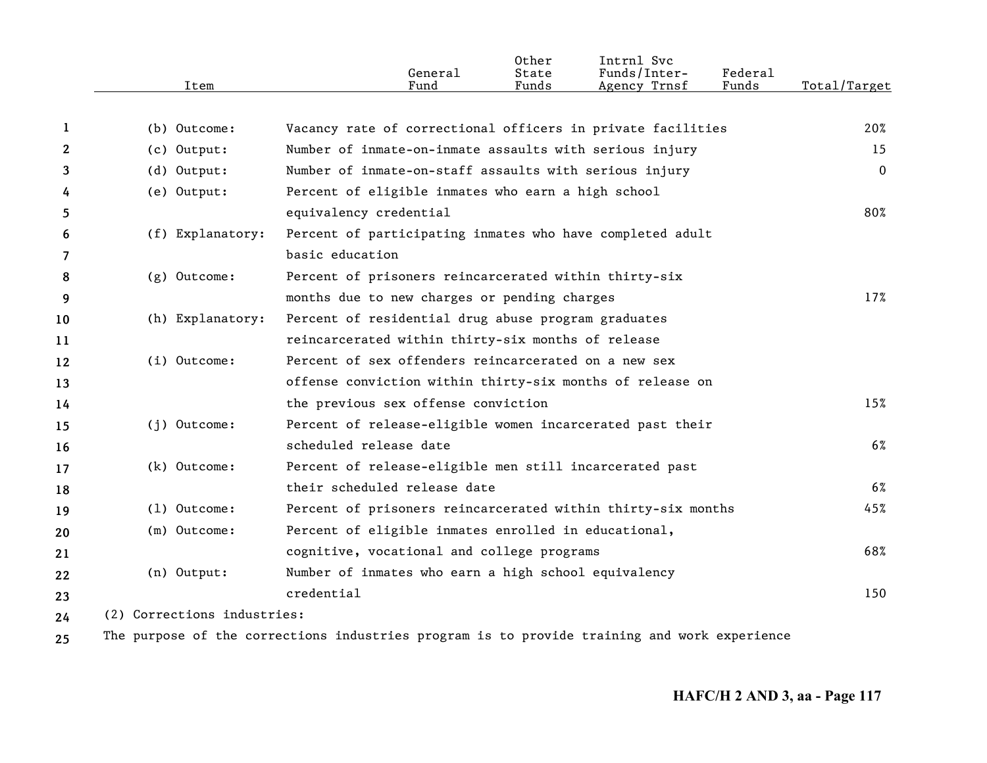|              | Item                        | General<br>Fund                                              | Other<br>State<br>Funds | Intrnl Svc<br>Funds/Inter-<br>Agency Trnsf | Federal<br>Funds | Total/Target |
|--------------|-----------------------------|--------------------------------------------------------------|-------------------------|--------------------------------------------|------------------|--------------|
| 1            | (b) Outcome:                | Vacancy rate of correctional officers in private facilities  |                         |                                            |                  | 20%          |
| $\mathbf{2}$ | (c) Output:                 | Number of inmate-on-inmate assaults with serious injury      |                         |                                            |                  | 15           |
| 3            | (d) Output:                 | Number of inmate-on-staff assaults with serious injury       |                         |                                            |                  | $\mathbf 0$  |
| 4            | (e) Output:                 | Percent of eligible inmates who earn a high school           |                         |                                            |                  |              |
| 5            |                             | equivalency credential                                       |                         |                                            |                  | 80%          |
| 6            | (f) Explanatory:            | Percent of participating inmates who have completed adult    |                         |                                            |                  |              |
| 7            |                             | basic education                                              |                         |                                            |                  |              |
| 8            | $(g)$ Outcome:              | Percent of prisoners reincarcerated within thirty-six        |                         |                                            |                  |              |
| 9            |                             | months due to new charges or pending charges                 |                         |                                            |                  | 17%          |
| 10           | (h) Explanatory:            | Percent of residential drug abuse program graduates          |                         |                                            |                  |              |
| 11           |                             | reincarcerated within thirty-six months of release           |                         |                                            |                  |              |
| 12           | $(i)$ Outcome:              | Percent of sex offenders reincarcerated on a new sex         |                         |                                            |                  |              |
| 13           |                             | offense conviction within thirty-six months of release on    |                         |                                            |                  |              |
| 14           |                             | the previous sex offense conviction                          |                         |                                            |                  | 15%          |
| 15           | $(i)$ Outcome:              | Percent of release-eligible women incarcerated past their    |                         |                                            |                  |              |
| 16           |                             | scheduled release date                                       |                         |                                            |                  | 6%           |
| 17           | (k) Outcome:                | Percent of release-eligible men still incarcerated past      |                         |                                            |                  |              |
| 18           |                             | their scheduled release date                                 |                         |                                            |                  | $6\%$        |
| 19           | $(1)$ Outcome:              | Percent of prisoners reincarcerated within thirty-six months |                         |                                            |                  | 45%          |
| 20           | (m) Outcome:                | Percent of eligible inmates enrolled in educational,         |                         |                                            |                  |              |
| 21           |                             | cognitive, vocational and college programs                   |                         |                                            |                  | 68%          |
| 22           | (n) Output:                 | Number of inmates who earn a high school equivalency         |                         |                                            |                  |              |
| 23           |                             | $c$ redential                                                |                         |                                            |                  | 150          |
| 24           | (2) Corrections industries: |                                                              |                         |                                            |                  |              |
|              |                             |                                                              |                         |                                            |                  |              |

**25** The purpose of the corrections industries program is to provide training and work experience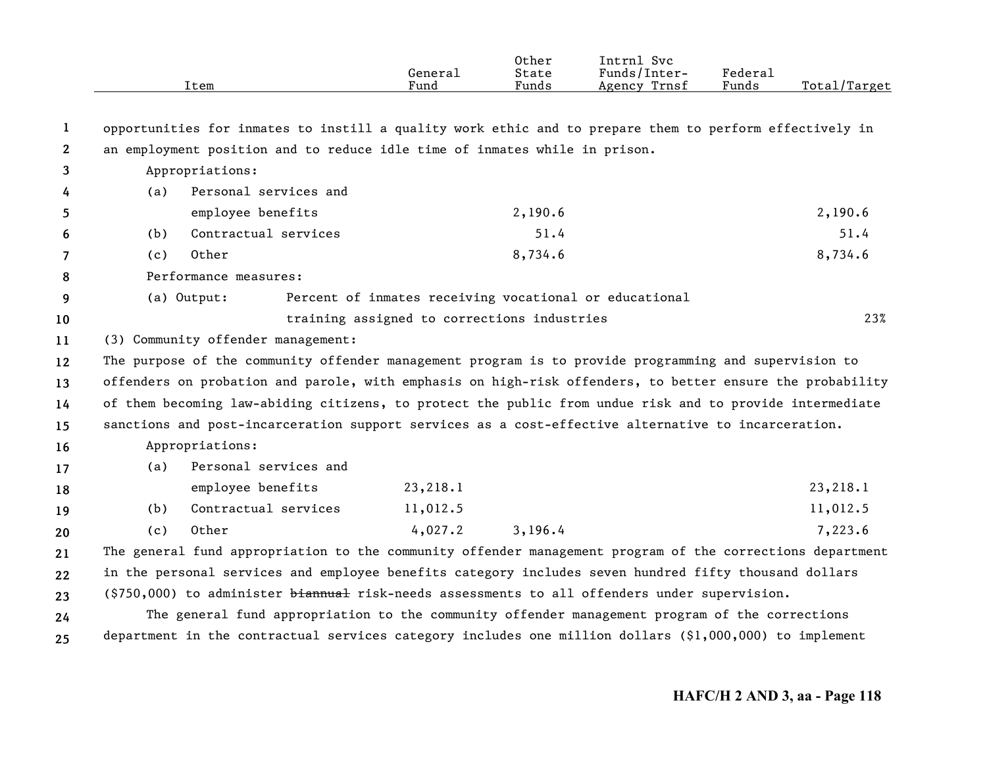|              |     | Item                                                                                                      | General<br>Fund                             | Other<br>State<br>Funds | Intrnl Svc<br>Funds/Inter-<br>Agency Trnsf             | Federal<br>Funds | Total/Target |
|--------------|-----|-----------------------------------------------------------------------------------------------------------|---------------------------------------------|-------------------------|--------------------------------------------------------|------------------|--------------|
| 1            |     | opportunities for inmates to instill a quality work ethic and to prepare them to perform effectively in   |                                             |                         |                                                        |                  |              |
| $\mathbf{2}$ |     | an employment position and to reduce idle time of inmates while in prison.                                |                                             |                         |                                                        |                  |              |
| 3            |     | Appropriations:                                                                                           |                                             |                         |                                                        |                  |              |
| 4            | (a) | Personal services and                                                                                     |                                             |                         |                                                        |                  |              |
| 5            |     | employee benefits                                                                                         |                                             | 2,190.6                 |                                                        |                  | 2,190.6      |
| 6            | (b) | Contractual services                                                                                      |                                             | 51.4                    |                                                        |                  | 51.4         |
| 7            | (c) | Other                                                                                                     |                                             | 8,734.6                 |                                                        |                  | 8,734.6      |
| 8            |     | Performance measures:                                                                                     |                                             |                         |                                                        |                  |              |
| 9            |     | (a) Output:                                                                                               |                                             |                         | Percent of inmates receiving vocational or educational |                  |              |
| 10           |     |                                                                                                           | training assigned to corrections industries |                         |                                                        |                  | 23%          |
| 11           |     | (3) Community offender management:                                                                        |                                             |                         |                                                        |                  |              |
| 12           |     | The purpose of the community offender management program is to provide programming and supervision to     |                                             |                         |                                                        |                  |              |
| 13           |     | offenders on probation and parole, with emphasis on high-risk offenders, to better ensure the probability |                                             |                         |                                                        |                  |              |
| 14           |     | of them becoming law-abiding citizens, to protect the public from undue risk and to provide intermediate  |                                             |                         |                                                        |                  |              |
| 15           |     | sanctions and post-incarceration support services as a cost-effective alternative to incarceration.       |                                             |                         |                                                        |                  |              |
| 16           |     | Appropriations:                                                                                           |                                             |                         |                                                        |                  |              |
| 17           | (a) | Personal services and                                                                                     |                                             |                         |                                                        |                  |              |
| 18           |     | employee benefits                                                                                         | 23,218.1                                    |                         |                                                        |                  | 23,218.1     |
| 19           | (b) | Contractual services                                                                                      | 11,012.5                                    |                         |                                                        |                  | 11,012.5     |
| 20           | (c) | Other                                                                                                     | 4,027.2                                     | 3,196.4                 |                                                        |                  | 7,223.6      |
| 21           |     | The general fund appropriation to the community offender management program of the corrections department |                                             |                         |                                                        |                  |              |
| 22           |     | in the personal services and employee benefits category includes seven hundred fifty thousand dollars     |                                             |                         |                                                        |                  |              |
| 23           |     | (\$750,000) to administer biannual risk-needs assessments to all offenders under supervision.             |                                             |                         |                                                        |                  |              |
| 24           |     | The general fund appropriation to the community offender management program of the corrections            |                                             |                         |                                                        |                  |              |
| 25           |     | department in the contractual services category includes one million dollars (\$1,000,000) to implement   |                                             |                         |                                                        |                  |              |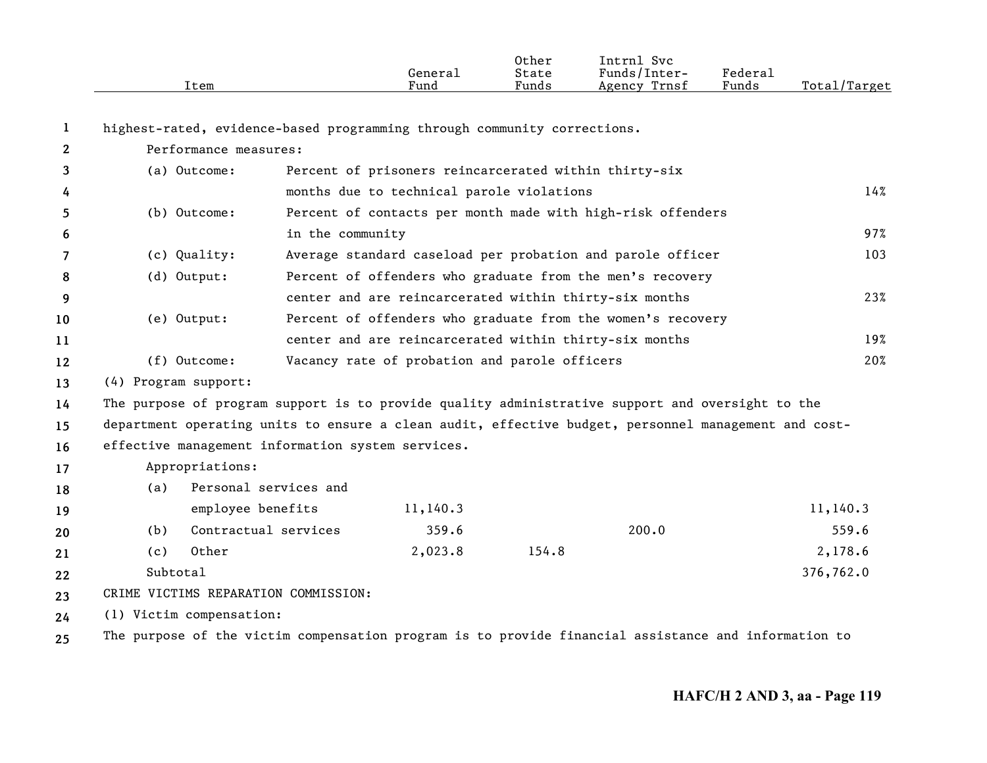|              | Item                                                                                                 |                       | General<br>Fund                                       | Other<br>State<br>Funds | Intrnl Svc<br>Funds/Inter-<br>Agency Trnsf                  | Federal<br>Funds | Total/Target |
|--------------|------------------------------------------------------------------------------------------------------|-----------------------|-------------------------------------------------------|-------------------------|-------------------------------------------------------------|------------------|--------------|
| 1            | highest-rated, evidence-based programming through community corrections.                             |                       |                                                       |                         |                                                             |                  |              |
| $\mathbf{2}$ | Performance measures:                                                                                |                       |                                                       |                         |                                                             |                  |              |
| 3            | (a) Outcome:                                                                                         |                       | Percent of prisoners reincarcerated within thirty-six |                         |                                                             |                  |              |
| 4            |                                                                                                      |                       | months due to technical parole violations             |                         |                                                             |                  | 14%          |
| 5            | (b) Outcome:                                                                                         |                       |                                                       |                         | Percent of contacts per month made with high-risk offenders |                  |              |
| 6            |                                                                                                      | in the community      |                                                       |                         |                                                             |                  | 97%          |
| 7            | (c) Quality:                                                                                         |                       |                                                       |                         | Average standard caseload per probation and parole officer  |                  | 103          |
| 8            | (d) Output:                                                                                          |                       |                                                       |                         | Percent of offenders who graduate from the men's recovery   |                  |              |
| 9            |                                                                                                      |                       |                                                       |                         | center and are reincarcerated within thirty-six months      |                  | 23%          |
| 10           | (e) Output:                                                                                          |                       |                                                       |                         | Percent of offenders who graduate from the women's recovery |                  |              |
| 11           |                                                                                                      |                       |                                                       |                         | center and are reincarcerated within thirty-six months      |                  | 19%          |
| 12           | (f) Outcome:                                                                                         |                       | Vacancy rate of probation and parole officers         |                         |                                                             |                  | 20%          |
| 13           | (4) Program support:                                                                                 |                       |                                                       |                         |                                                             |                  |              |
| 14           | The purpose of program support is to provide quality administrative support and oversight to the     |                       |                                                       |                         |                                                             |                  |              |
| 15           | department operating units to ensure a clean audit, effective budget, personnel management and cost- |                       |                                                       |                         |                                                             |                  |              |
| 16           | effective management information system services.                                                    |                       |                                                       |                         |                                                             |                  |              |
| 17           | Appropriations:                                                                                      |                       |                                                       |                         |                                                             |                  |              |
| 18           | (a)                                                                                                  | Personal services and |                                                       |                         |                                                             |                  |              |
| 19           | employee benefits                                                                                    |                       | 11,140.3                                              |                         |                                                             |                  | 11,140.3     |
| 20           | Contractual services<br>(b)                                                                          |                       | 359.6                                                 |                         | 200.0                                                       |                  | 559.6        |
| 21           | Other<br>(c)                                                                                         |                       | 2,023.8                                               | 154.8                   |                                                             |                  | 2,178.6      |
| 22           | Subtotal                                                                                             |                       |                                                       |                         |                                                             |                  | 376,762.0    |
| 23           | CRIME VICTIMS REPARATION COMMISSION:                                                                 |                       |                                                       |                         |                                                             |                  |              |
| 24           | (1) Victim compensation:                                                                             |                       |                                                       |                         |                                                             |                  |              |
| 25           | The purpose of the victim compensation program is to provide financial assistance and information to |                       |                                                       |                         |                                                             |                  |              |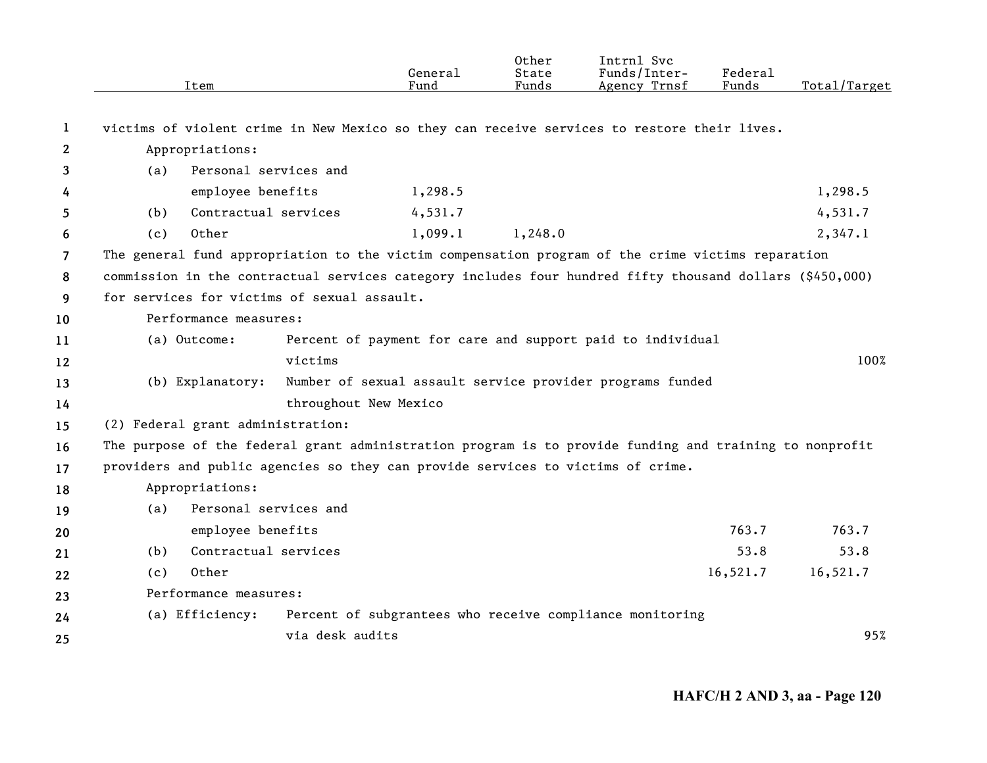|                   | Item                                                                                                     |                       | General<br>Fund | Other<br>State<br>Funds | Intrnl Svc<br>Funds/Inter-<br>Agency Trnsf                 | <b>Federal</b><br>Funds | Total/Target |
|-------------------|----------------------------------------------------------------------------------------------------------|-----------------------|-----------------|-------------------------|------------------------------------------------------------|-------------------------|--------------|
| 1                 | victims of violent crime in New Mexico so they can receive services to restore their lives.              |                       |                 |                         |                                                            |                         |              |
| 2                 | Appropriations:                                                                                          |                       |                 |                         |                                                            |                         |              |
| 3                 | (a)                                                                                                      | Personal services and |                 |                         |                                                            |                         |              |
| 4                 | employee benefits                                                                                        |                       | 1,298.5         |                         |                                                            |                         | 1,298.5      |
| 5                 | (b)                                                                                                      | Contractual services  | 4,531.7         |                         |                                                            |                         | 4,531.7      |
| 6                 | Other<br>(c)                                                                                             |                       | 1,099.1         | 1,248.0                 |                                                            |                         | 2,347.1      |
| 7                 | The general fund appropriation to the victim compensation program of the crime victims reparation        |                       |                 |                         |                                                            |                         |              |
| 8                 | commission in the contractual services category includes four hundred fifty thousand dollars (\$450,000) |                       |                 |                         |                                                            |                         |              |
| 9                 | for services for victims of sexual assault.                                                              |                       |                 |                         |                                                            |                         |              |
| 10                | Performance measures:                                                                                    |                       |                 |                         |                                                            |                         |              |
| 11                | (a) Outcome:                                                                                             |                       |                 |                         | Percent of payment for care and support paid to individual |                         |              |
| $12 \overline{ }$ |                                                                                                          | victims               |                 |                         |                                                            |                         | 100%         |
| 13                | (b) Explanatory:                                                                                         |                       |                 |                         | Number of sexual assault service provider programs funded  |                         |              |
| 14                |                                                                                                          | throughout New Mexico |                 |                         |                                                            |                         |              |
| 15                | (2) Federal grant administration:                                                                        |                       |                 |                         |                                                            |                         |              |
| 16                | The purpose of the federal grant administration program is to provide funding and training to nonprofit  |                       |                 |                         |                                                            |                         |              |
| 17                | providers and public agencies so they can provide services to victims of crime.                          |                       |                 |                         |                                                            |                         |              |
| 18                | Appropriations:                                                                                          |                       |                 |                         |                                                            |                         |              |
| 19                | (a)                                                                                                      | Personal services and |                 |                         |                                                            |                         |              |
| 20                | employee benefits                                                                                        |                       |                 |                         |                                                            | 763.7                   | 763.7        |
| 21                | (b)                                                                                                      | Contractual services  |                 |                         |                                                            | 53.8                    | 53.8         |
| 22                | Other<br>(c)                                                                                             |                       |                 |                         |                                                            | 16,521.7                | 16,521.7     |
| 23                | Performance measures:                                                                                    |                       |                 |                         |                                                            |                         |              |
| 24                | (a) Efficiency:                                                                                          |                       |                 |                         | Percent of subgrantees who receive compliance monitoring   |                         |              |
| 25                |                                                                                                          | via desk audits       |                 |                         |                                                            |                         | 95%          |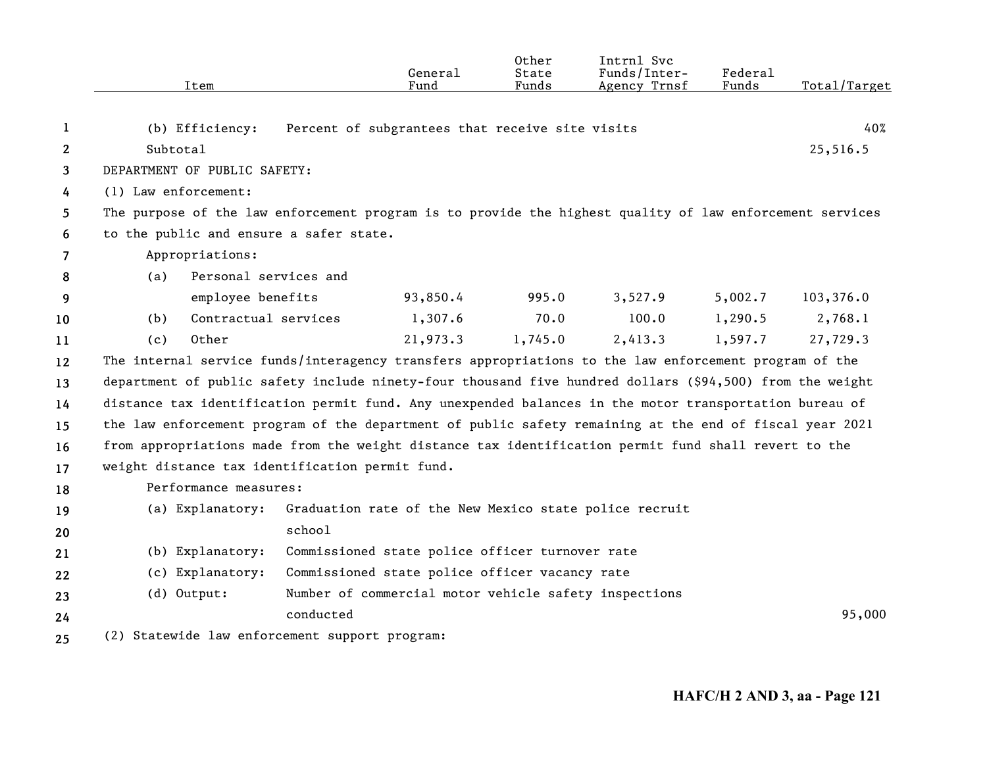|              | Item                                                                                                     | General<br>Fund                                                                                          | Other<br>State<br>Funds | Intrnl Svc<br>Funds/Inter-<br>Agency Trnsf | Federal<br>Funds | Total/Target |
|--------------|----------------------------------------------------------------------------------------------------------|----------------------------------------------------------------------------------------------------------|-------------------------|--------------------------------------------|------------------|--------------|
|              |                                                                                                          |                                                                                                          |                         |                                            |                  |              |
| 1            | (b) Efficiency:                                                                                          | Percent of subgrantees that receive site visits                                                          |                         |                                            |                  | 40%          |
| $\mathbf{2}$ | Subtotal                                                                                                 |                                                                                                          |                         |                                            |                  | 25,516.5     |
| 3            | DEPARTMENT OF PUBLIC SAFETY:                                                                             |                                                                                                          |                         |                                            |                  |              |
| 4            | (1) Law enforcement:                                                                                     |                                                                                                          |                         |                                            |                  |              |
| 5.           | The purpose of the law enforcement program is to provide the highest quality of law enforcement services |                                                                                                          |                         |                                            |                  |              |
| 6            | to the public and ensure a safer state.                                                                  |                                                                                                          |                         |                                            |                  |              |
| 7            | Appropriations:                                                                                          |                                                                                                          |                         |                                            |                  |              |
| 8            | Personal services and<br>(a)                                                                             |                                                                                                          |                         |                                            |                  |              |
| 9            | employee benefits                                                                                        | 93,850.4                                                                                                 | 995.0                   | 3,527.9                                    | 5,002.7          | 103,376.0    |
| 10           | Contractual services<br>(b)                                                                              | 1,307.6                                                                                                  | 70.0                    | 100.0                                      | 1,290.5          | 2,768.1      |
| 11           | (c)<br>Other                                                                                             | 21,973.3                                                                                                 | 1,745.0                 | 2,413.3                                    | 1,597.7          | 27,729.3     |
| 12           | The internal service funds/interagency transfers appropriations to the law enforcement program of the    |                                                                                                          |                         |                                            |                  |              |
| 13           |                                                                                                          | department of public safety include ninety-four thousand five hundred dollars (\$94,500) from the weight |                         |                                            |                  |              |
| 14           | distance tax identification permit fund. Any unexpended balances in the motor transportation bureau of   |                                                                                                          |                         |                                            |                  |              |
| 15           | the law enforcement program of the department of public safety remaining at the end of fiscal year 2021  |                                                                                                          |                         |                                            |                  |              |
| 16           | from appropriations made from the weight distance tax identification permit fund shall revert to the     |                                                                                                          |                         |                                            |                  |              |
| 17           | weight distance tax identification permit fund.                                                          |                                                                                                          |                         |                                            |                  |              |
| 18           | Performance measures:                                                                                    |                                                                                                          |                         |                                            |                  |              |
| 19           | (a) Explanatory:                                                                                         | Graduation rate of the New Mexico state police recruit                                                   |                         |                                            |                  |              |
| 20           |                                                                                                          | school                                                                                                   |                         |                                            |                  |              |
| 21           | (b) Explanatory:                                                                                         | Commissioned state police officer turnover rate                                                          |                         |                                            |                  |              |
| 22           | (c) Explanatory:                                                                                         | Commissioned state police officer vacancy rate                                                           |                         |                                            |                  |              |
| 23           | $(d)$ Output:                                                                                            | Number of commercial motor vehicle safety inspections                                                    |                         |                                            |                  |              |
| 24           |                                                                                                          | conducted                                                                                                |                         |                                            |                  | 95,000       |
| 25           |                                                                                                          | (2) Statewide law enforcement support program:                                                           |                         |                                            |                  |              |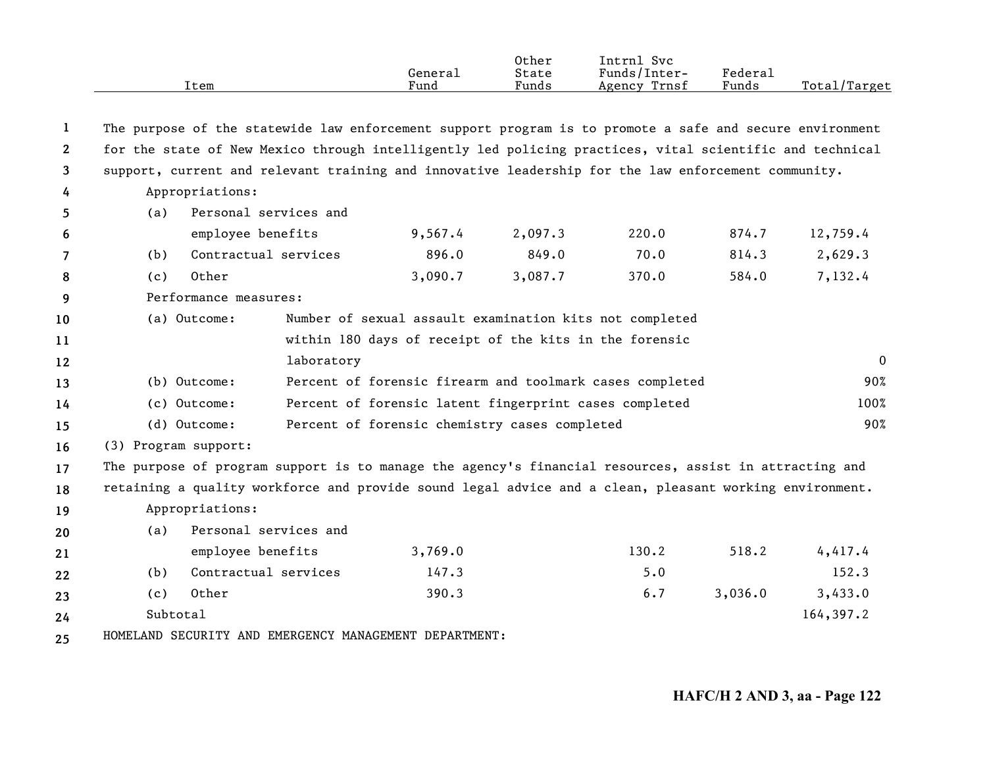|                       | Item                                                                                                     |                       | General<br>Fund                                        | Other<br>State<br>Funds | Intrnl Svc<br>Funds/Inter-<br>Agency Trnsf               | <b>Federal</b><br>Funds | Total/Target   |
|-----------------------|----------------------------------------------------------------------------------------------------------|-----------------------|--------------------------------------------------------|-------------------------|----------------------------------------------------------|-------------------------|----------------|
| 1                     | The purpose of the statewide law enforcement support program is to promote a safe and secure environment |                       |                                                        |                         |                                                          |                         |                |
| $\mathbf{2}^{\prime}$ | for the state of New Mexico through intelligently led policing practices, vital scientific and technical |                       |                                                        |                         |                                                          |                         |                |
| 3                     | support, current and relevant training and innovative leadership for the law enforcement community.      |                       |                                                        |                         |                                                          |                         |                |
| 4                     | Appropriations:                                                                                          |                       |                                                        |                         |                                                          |                         |                |
| 5                     | (a)                                                                                                      | Personal services and |                                                        |                         |                                                          |                         |                |
| 6                     |                                                                                                          | employee benefits     | 9,567.4                                                | 2,097.3                 | 220.0                                                    | 874.7                   | 12,759.4       |
| $\overline{7}$        | (b)                                                                                                      | Contractual services  | 896.0                                                  | 849.0                   | 70.0                                                     | 814.3                   | 2,629.3        |
| 8                     | Other<br>(c)                                                                                             |                       | 3,090.7                                                | 3,087.7                 | 370.0                                                    | 584.0                   | 7,132.4        |
| 9                     | Performance measures:                                                                                    |                       |                                                        |                         |                                                          |                         |                |
| 10                    | (a) Outcome:                                                                                             |                       |                                                        |                         | Number of sexual assault examination kits not completed  |                         |                |
| 11                    | within 180 days of receipt of the kits in the forensic                                                   |                       |                                                        |                         |                                                          |                         |                |
| $12 \,$               |                                                                                                          | laboratory            |                                                        |                         |                                                          |                         | $\overline{0}$ |
| 13                    | (b) Outcome:                                                                                             |                       |                                                        |                         | Percent of forensic firearm and toolmark cases completed |                         | 90%            |
| 14                    | (c) Outcome:                                                                                             |                       | Percent of forensic latent fingerprint cases completed |                         |                                                          |                         | 100%           |
| 15                    | (d) Outcome:                                                                                             |                       | Percent of forensic chemistry cases completed          |                         |                                                          |                         | 90%            |
| 16                    | (3) Program support:                                                                                     |                       |                                                        |                         |                                                          |                         |                |
| 17                    | The purpose of program support is to manage the agency's financial resources, assist in attracting and   |                       |                                                        |                         |                                                          |                         |                |
| 18                    | retaining a quality workforce and provide sound legal advice and a clean, pleasant working environment.  |                       |                                                        |                         |                                                          |                         |                |
| 19                    | Appropriations:                                                                                          |                       |                                                        |                         |                                                          |                         |                |
| 20                    | (a)                                                                                                      | Personal services and |                                                        |                         |                                                          |                         |                |
| 21                    |                                                                                                          | employee benefits     | 3,769.0                                                |                         | 130.2                                                    | 518.2                   | 4,417.4        |
| 22                    | (b)                                                                                                      | Contractual services  | 147.3                                                  |                         | 5.0                                                      |                         | 152.3          |
| 23                    | Other<br>(c)                                                                                             |                       | 390.3                                                  |                         | 6.7                                                      | 3,036.0                 | 3,433.0        |
| 24                    | Subtotal                                                                                                 |                       |                                                        |                         |                                                          |                         | 164,397.2      |
| 25                    | HOMELAND SECURITY AND EMERGENCY MANAGEMENT DEPARTMENT:                                                   |                       |                                                        |                         |                                                          |                         |                |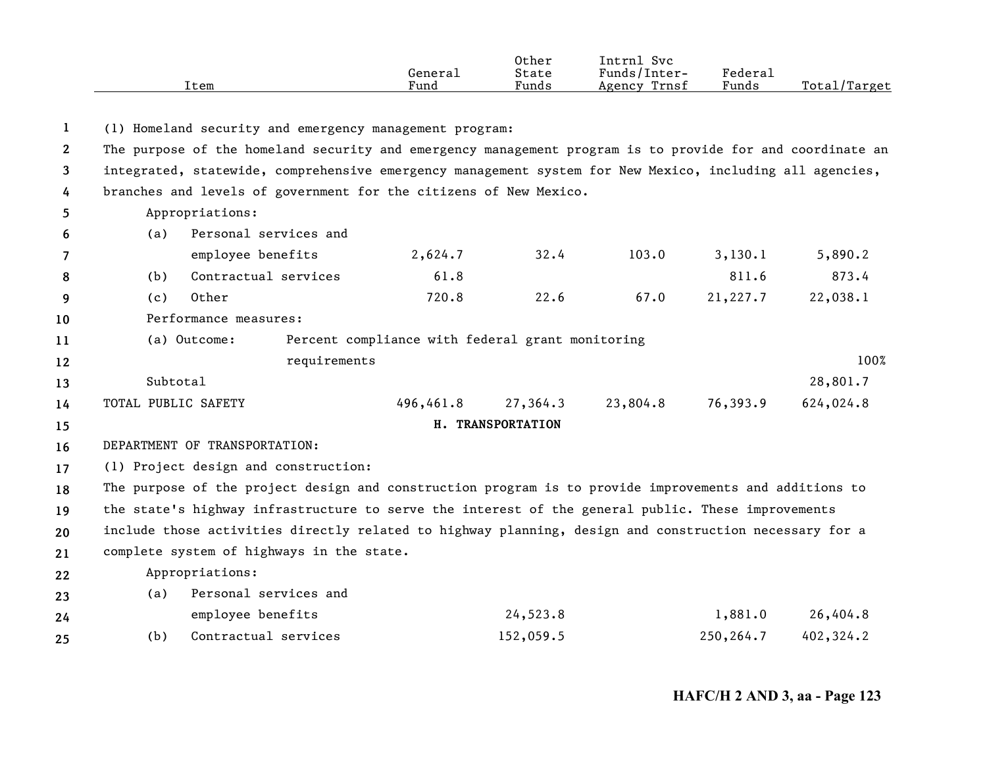| Fund<br>Funds<br>Item | Funds<br>Trnsf<br>Agency | Total<br>'Target' |
|-----------------------|--------------------------|-------------------|
|-----------------------|--------------------------|-------------------|

**1**(1) Homeland security and emergency management program:

**23**The purpose of the homeland security and emergency management program is to provide for and coordinate an integrated, statewide, comprehensive emergency management system for New Mexico, including all agencies,

**4**branches and levels of government for the citizens of New Mexico.

|    |       | Appropriations:       |         |      |       |          |          |
|----|-------|-----------------------|---------|------|-------|----------|----------|
| -6 | (a)   | Personal services and |         |      |       |          |          |
|    |       | employee benefits     | 2,624.7 | 32.4 | 103.0 | 3,130,1  | 5,890.2  |
| 8  | (b)   | Contractual services  | 61.8    |      |       | 811.6    | 873.4    |
| q  | ( C ) | Other                 | 720.8   | 22.6 | 67.0  | 21,227.7 | 22,038.1 |

**10**Performance measures:

**1112**(a) Outcome: Percent compliance with federal grant monitoring requirements 100%

**131415**Subtotal1 and 28,801.7  $\geq 28,801.7$ TOTAL PUBLIC SAFETY 496,461.8 27,364.3 23,804.8 76,393.9 624,024.8 **H. TRANSPORTATION**

**16**DEPARTMENT OF TRANSPORTATION:

**17**(1) Project design and construction:

**18192021**The purpose of the project design and construction program is to provide improvements and additions to the state's highway infrastructure to serve the interest of the general public. These improvements include those activities directly related to highway planning, design and construction necessary for a complete system of highways in the state.

**22**Appropriations:

| 23 | (a) | Personal services and |           |           |           |
|----|-----|-----------------------|-----------|-----------|-----------|
| 24 |     | employee benefits     | 24,523.8  | 1,881.0   | 26,404.8  |
| 25 | (b) | Contractual services  | 152,059.5 | 250,264.7 | 402,324.2 |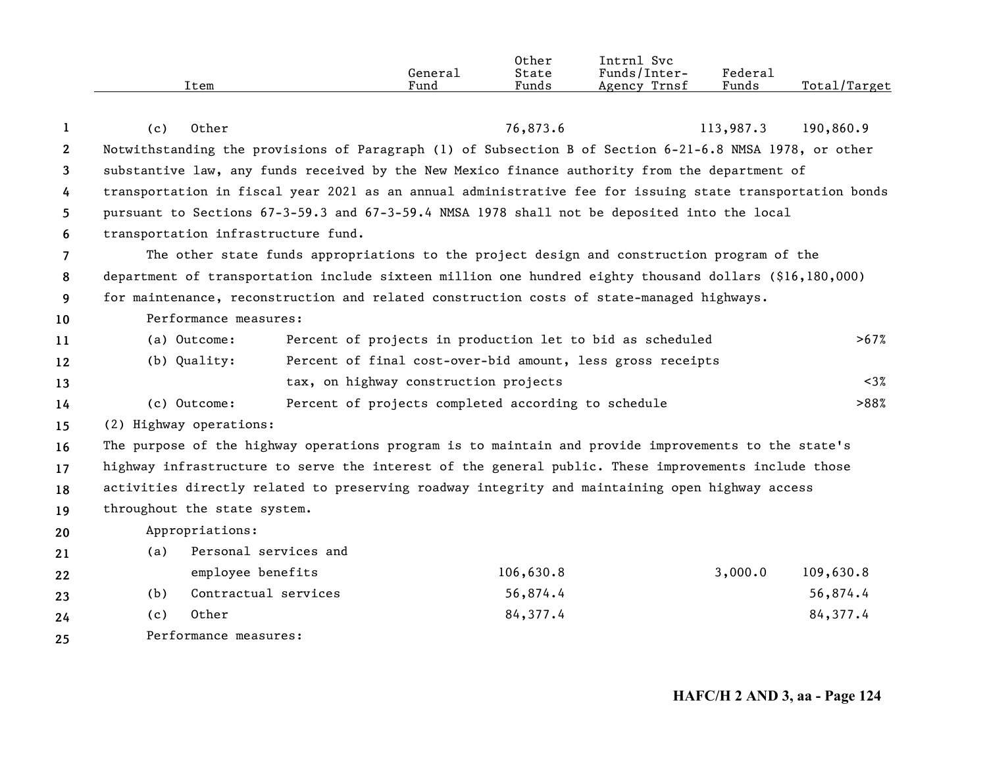|                | Item                                                                                                      | General<br>Fund                                            | Other<br>State<br>Funds | Intrnl Svc<br>Funds/Inter-<br>Agency Trnsf | Federal<br>Funds | Total/Target |
|----------------|-----------------------------------------------------------------------------------------------------------|------------------------------------------------------------|-------------------------|--------------------------------------------|------------------|--------------|
|                |                                                                                                           |                                                            |                         |                                            |                  |              |
| 1              | Other<br>(c)                                                                                              |                                                            | 76,873.6                |                                            | 113,987.3        | 190,860.9    |
| $2^{\circ}$    | Notwithstanding the provisions of Paragraph (1) of Subsection B of Section 6-21-6.8 NMSA 1978, or other   |                                                            |                         |                                            |                  |              |
| 3              | substantive law, any funds received by the New Mexico finance authority from the department of            |                                                            |                         |                                            |                  |              |
| 4              | transportation in fiscal year 2021 as an annual administrative fee for issuing state transportation bonds |                                                            |                         |                                            |                  |              |
| 5              | pursuant to Sections 67-3-59.3 and 67-3-59.4 NMSA 1978 shall not be deposited into the local              |                                                            |                         |                                            |                  |              |
| 6              | transportation infrastructure fund.                                                                       |                                                            |                         |                                            |                  |              |
| $\overline{7}$ | The other state funds appropriations to the project design and construction program of the                |                                                            |                         |                                            |                  |              |
| 8              | department of transportation include sixteen million one hundred eighty thousand dollars (\$16,180,000)   |                                                            |                         |                                            |                  |              |
| 9              | for maintenance, reconstruction and related construction costs of state-managed highways.                 |                                                            |                         |                                            |                  |              |
| 10             | Performance measures:                                                                                     |                                                            |                         |                                            |                  |              |
| 11             | (a) Outcome:                                                                                              | Percent of projects in production let to bid as scheduled  |                         |                                            |                  | >67%         |
| 12             | (b) Quality:                                                                                              | Percent of final cost-over-bid amount, less gross receipts |                         |                                            |                  |              |
| 13             |                                                                                                           | tax, on highway construction projects                      |                         |                                            |                  | $<3\%$       |
| 14             | (c) Outcome:                                                                                              | Percent of projects completed according to schedule        |                         |                                            |                  | >88%         |
| 15             | (2) Highway operations:                                                                                   |                                                            |                         |                                            |                  |              |
| 16             | The purpose of the highway operations program is to maintain and provide improvements to the state's      |                                                            |                         |                                            |                  |              |
| 17             | highway infrastructure to serve the interest of the general public. These improvements include those      |                                                            |                         |                                            |                  |              |
| 18             | activities directly related to preserving roadway integrity and maintaining open highway access           |                                                            |                         |                                            |                  |              |
| 19             | throughout the state system.                                                                              |                                                            |                         |                                            |                  |              |
| 20             | Appropriations:                                                                                           |                                                            |                         |                                            |                  |              |
| 21             | Personal services and<br>(a)                                                                              |                                                            |                         |                                            |                  |              |
| 22             | employee benefits                                                                                         |                                                            | 106,630.8               |                                            | 3,000.0          | 109,630.8    |
| 23             | Contractual services<br>(b)                                                                               |                                                            | 56,874.4                |                                            |                  | 56,874.4     |
| 24             | Other<br>(c)                                                                                              |                                                            | 84,377.4                |                                            |                  | 84,377.4     |
|                | $\mathbf{r}$ $\mathbf{r}$                                                                                 |                                                            |                         |                                            |                  |              |

**25** Performance measures: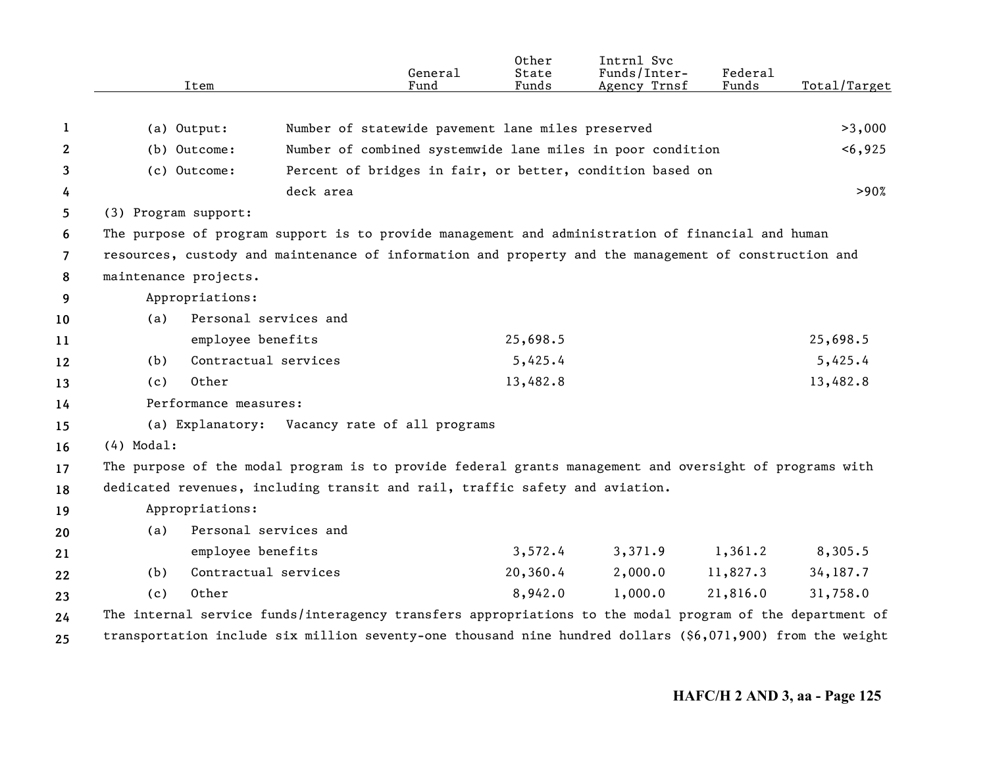|    | Item                  | General<br>Fund                                                                                            | Other<br>State<br>Funds | Intrnl Svc<br>Funds/Inter-<br>Agency Trnsf | Federal<br>Funds | Total/Target |
|----|-----------------------|------------------------------------------------------------------------------------------------------------|-------------------------|--------------------------------------------|------------------|--------------|
| 1  | (a) Output:           | Number of statewide pavement lane miles preserved                                                          |                         |                                            |                  | >3,000       |
| 2  | (b) Outcome:          | Number of combined systemwide lane miles in poor condition                                                 |                         |                                            |                  | < 6,925      |
| 3  | (c) Outcome:          | Percent of bridges in fair, or better, condition based on                                                  |                         |                                            |                  |              |
| 4  |                       | deck area                                                                                                  |                         |                                            |                  | >90%         |
| 5  | (3) Program support:  |                                                                                                            |                         |                                            |                  |              |
| 6  |                       | The purpose of program support is to provide management and administration of financial and human          |                         |                                            |                  |              |
| 7  |                       | resources, custody and maintenance of information and property and the management of construction and      |                         |                                            |                  |              |
| 8  | maintenance projects. |                                                                                                            |                         |                                            |                  |              |
| 9  | Appropriations:       |                                                                                                            |                         |                                            |                  |              |
| 10 | (a)                   | Personal services and                                                                                      |                         |                                            |                  |              |
| 11 | employee benefits     |                                                                                                            | 25,698.5                |                                            |                  | 25,698.5     |
| 12 | (b)                   | Contractual services                                                                                       | 5,425.4                 |                                            |                  | 5,425.4      |
| 13 | Other<br>(c)          |                                                                                                            | 13,482.8                |                                            |                  | 13,482.8     |
| 14 | Performance measures: |                                                                                                            |                         |                                            |                  |              |
| 15 | (a) Explanatory:      | Vacancy rate of all programs                                                                               |                         |                                            |                  |              |
| 16 | $(4)$ Modal:          |                                                                                                            |                         |                                            |                  |              |
| 17 |                       | The purpose of the modal program is to provide federal grants management and oversight of programs with    |                         |                                            |                  |              |
| 18 |                       | dedicated revenues, including transit and rail, traffic safety and aviation.                               |                         |                                            |                  |              |
| 19 | Appropriations:       |                                                                                                            |                         |                                            |                  |              |
| 20 | (a)                   | Personal services and                                                                                      |                         |                                            |                  |              |
| 21 | employee benefits     |                                                                                                            | 3,572.4                 | 3,371.9                                    | 1,361.2          | 8,305.5      |
| 22 | (b)                   | Contractual services                                                                                       | 20,360.4                | 2,000.0                                    | 11,827.3         | 34, 187.7    |
| 23 | 0ther<br>(c)          |                                                                                                            | 8,942.0                 | 1,000.0                                    | 21,816.0         | 31,758.0     |
| 24 |                       | The internal service funds/interagency transfers appropriations to the modal program of the department of  |                         |                                            |                  |              |
| 25 |                       | transportation include six million seventy-one thousand nine hundred dollars (\$6,071,900) from the weight |                         |                                            |                  |              |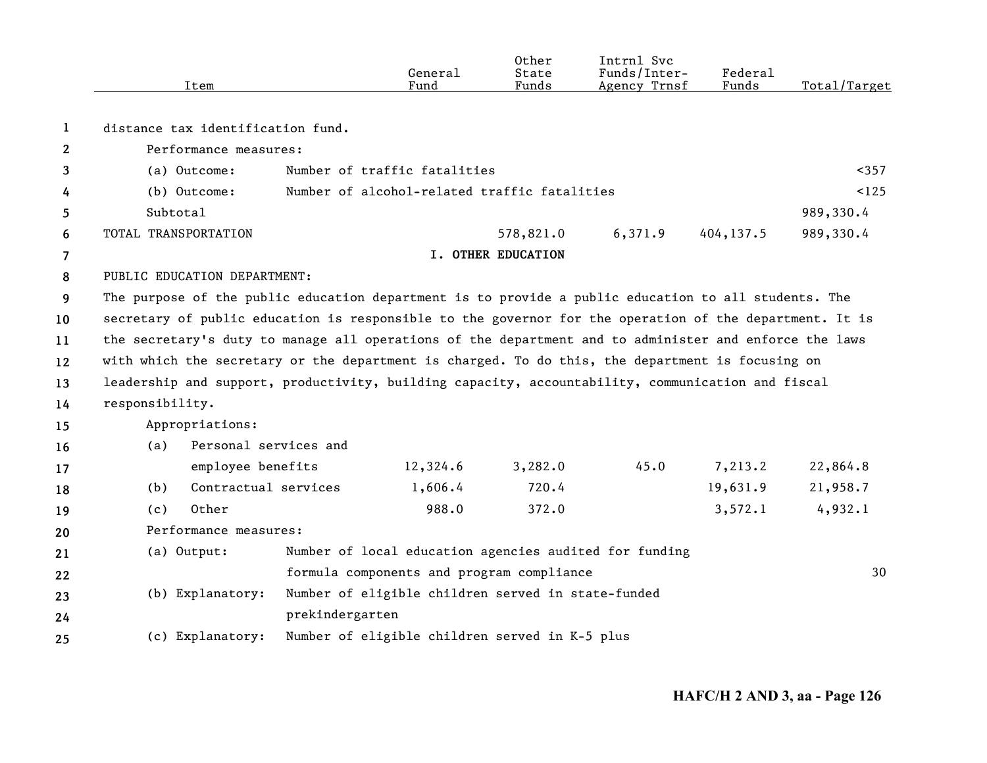|              | Item                                                                                                   |                                                                                                         | General<br>Fund                                        | Other<br>State<br>Funds   | Intrnl Svc<br>Funds/Inter-<br>Agency Trnsf | Federal<br>Funds | Total/Target |  |  |
|--------------|--------------------------------------------------------------------------------------------------------|---------------------------------------------------------------------------------------------------------|--------------------------------------------------------|---------------------------|--------------------------------------------|------------------|--------------|--|--|
| 1            | distance tax identification fund.                                                                      |                                                                                                         |                                                        |                           |                                            |                  |              |  |  |
| $\mathbf{2}$ | Performance measures:                                                                                  |                                                                                                         |                                                        |                           |                                            |                  |              |  |  |
| 3            | (a) Outcome:                                                                                           |                                                                                                         | Number of traffic fatalities                           |                           |                                            |                  | $357$        |  |  |
| 4            | Number of alcohol-related traffic fatalities<br>(b) Outcome:                                           |                                                                                                         |                                                        |                           |                                            |                  |              |  |  |
| 5            | Subtotal                                                                                               |                                                                                                         |                                                        |                           |                                            |                  | 989,330.4    |  |  |
| 6            | TOTAL TRANSPORTATION                                                                                   |                                                                                                         |                                                        | 578,821.0                 | 6,371.9                                    | 404, 137.5       | 989,330.4    |  |  |
| 7            |                                                                                                        |                                                                                                         |                                                        | <b>I. OTHER EDUCATION</b> |                                            |                  |              |  |  |
| 8            | PUBLIC EDUCATION DEPARTMENT:                                                                           |                                                                                                         |                                                        |                           |                                            |                  |              |  |  |
| 9            | The purpose of the public education department is to provide a public education to all students. The   |                                                                                                         |                                                        |                           |                                            |                  |              |  |  |
| 10           |                                                                                                        | secretary of public education is responsible to the governor for the operation of the department. It is |                                                        |                           |                                            |                  |              |  |  |
| 11           | the secretary's duty to manage all operations of the department and to administer and enforce the laws |                                                                                                         |                                                        |                           |                                            |                  |              |  |  |
| 12           | with which the secretary or the department is charged. To do this, the department is focusing on       |                                                                                                         |                                                        |                           |                                            |                  |              |  |  |
| 13           | leadership and support, productivity, building capacity, accountability, communication and fiscal      |                                                                                                         |                                                        |                           |                                            |                  |              |  |  |
| 14           | responsibility.                                                                                        |                                                                                                         |                                                        |                           |                                            |                  |              |  |  |
| 15           | Appropriations:                                                                                        |                                                                                                         |                                                        |                           |                                            |                  |              |  |  |
| 16           | Personal services and<br>(a)                                                                           |                                                                                                         |                                                        |                           |                                            |                  |              |  |  |
| 17           | employee benefits                                                                                      |                                                                                                         | 12,324.6                                               | 3,282.0                   | 45.0                                       | 7,213.2          | 22,864.8     |  |  |
| 18           | Contractual services<br>(b)                                                                            |                                                                                                         | 1,606.4                                                | 720.4                     |                                            | 19,631.9         | 21,958.7     |  |  |
| 19           | Other<br>(c)                                                                                           |                                                                                                         | 988.0                                                  | 372.0                     |                                            | 3,572.1          | 4,932.1      |  |  |
| 20           | Performance measures:                                                                                  |                                                                                                         |                                                        |                           |                                            |                  |              |  |  |
| 21           | (a) Output:                                                                                            |                                                                                                         | Number of local education agencies audited for funding |                           |                                            |                  |              |  |  |
| 22           |                                                                                                        |                                                                                                         | formula components and program compliance              |                           |                                            |                  | 30           |  |  |
| 23           | (b) Explanatory:                                                                                       |                                                                                                         | Number of eligible children served in state-funded     |                           |                                            |                  |              |  |  |
| 24           |                                                                                                        | prekindergarten                                                                                         |                                                        |                           |                                            |                  |              |  |  |
| 25           | (c) Explanatory:                                                                                       |                                                                                                         | Number of eligible children served in K-5 plus         |                           |                                            |                  |              |  |  |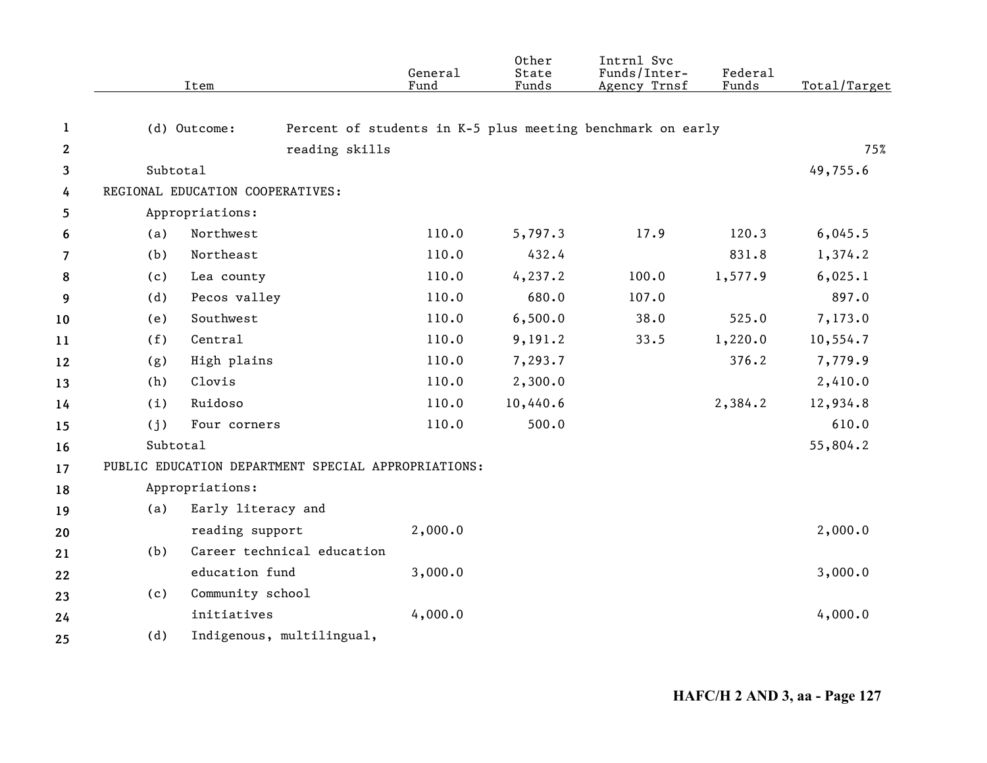|              |          | Item                             |                            | General<br>Fund                                     | Other<br>State<br>Funds | Intrnl Svc<br>Funds/Inter-<br>Agency Trnsf                 | Federal<br>Funds | Total/Target |
|--------------|----------|----------------------------------|----------------------------|-----------------------------------------------------|-------------------------|------------------------------------------------------------|------------------|--------------|
| $\mathbf{1}$ |          | (d) Outcome:                     |                            |                                                     |                         | Percent of students in K-5 plus meeting benchmark on early |                  |              |
| $\mathbf{2}$ |          |                                  | reading skills             |                                                     |                         |                                                            |                  | 75%          |
| 3            | Subtotal |                                  |                            |                                                     |                         |                                                            |                  | 49,755.6     |
| 4            |          | REGIONAL EDUCATION COOPERATIVES: |                            |                                                     |                         |                                                            |                  |              |
| 5            |          | Appropriations:                  |                            |                                                     |                         |                                                            |                  |              |
| 6            | (a)      | Northwest                        |                            | 110.0                                               | 5,797.3                 | 17.9                                                       | 120.3            | 6,045.5      |
| 7            | (b)      | Northeast                        |                            | 110.0                                               | 432.4                   |                                                            | 831.8            | 1,374.2      |
| 8            | (c)      | Lea county                       |                            | 110.0                                               | 4, 237.2                | 100.0                                                      | 1,577.9          | 6,025.1      |
| 9            | (d)      | Pecos valley                     |                            | 110.0                                               | 680.0                   | 107.0                                                      |                  | 897.0        |
| 10           | (e)      | Southwest                        |                            | 110.0                                               | 6,500.0                 | 38.0                                                       | 525.0            | 7,173.0      |
| 11           | (f)      | Central                          |                            | 110.0                                               | 9,191.2                 | 33.5                                                       | 1,220.0          | 10,554.7     |
| 12           | (g)      | High plains                      |                            | 110.0                                               | 7,293.7                 |                                                            | 376.2            | 7,779.9      |
| 13           | (h)      | Clovis                           |                            | 110.0                                               | 2,300.0                 |                                                            |                  | 2,410.0      |
| 14           | (i)      | Ruidoso                          |                            | 110.0                                               | 10,440.6                |                                                            | 2,384.2          | 12,934.8     |
| 15           | (j)      | Four corners                     |                            | 110.0                                               | 500.0                   |                                                            |                  | 610.0        |
| 16           | Subtotal |                                  |                            |                                                     |                         |                                                            |                  | 55,804.2     |
| 17           |          |                                  |                            | PUBLIC EDUCATION DEPARTMENT SPECIAL APPROPRIATIONS: |                         |                                                            |                  |              |
| 18           |          | Appropriations:                  |                            |                                                     |                         |                                                            |                  |              |
| 19           | (a)      | Early literacy and               |                            |                                                     |                         |                                                            |                  |              |
| 20           |          | reading support                  |                            | 2,000.0                                             |                         |                                                            |                  | 2,000.0      |
| 21           | (b)      |                                  | Career technical education |                                                     |                         |                                                            |                  |              |
| 22           |          | education fund                   |                            | 3,000.0                                             |                         |                                                            |                  | 3,000.0      |
| 23           | (c)      | Community school                 |                            |                                                     |                         |                                                            |                  |              |
| 24           |          | initiatives                      |                            | 4,000.0                                             |                         |                                                            |                  | 4,000.0      |
| 25           | (d)      |                                  | Indigenous, multilingual,  |                                                     |                         |                                                            |                  |              |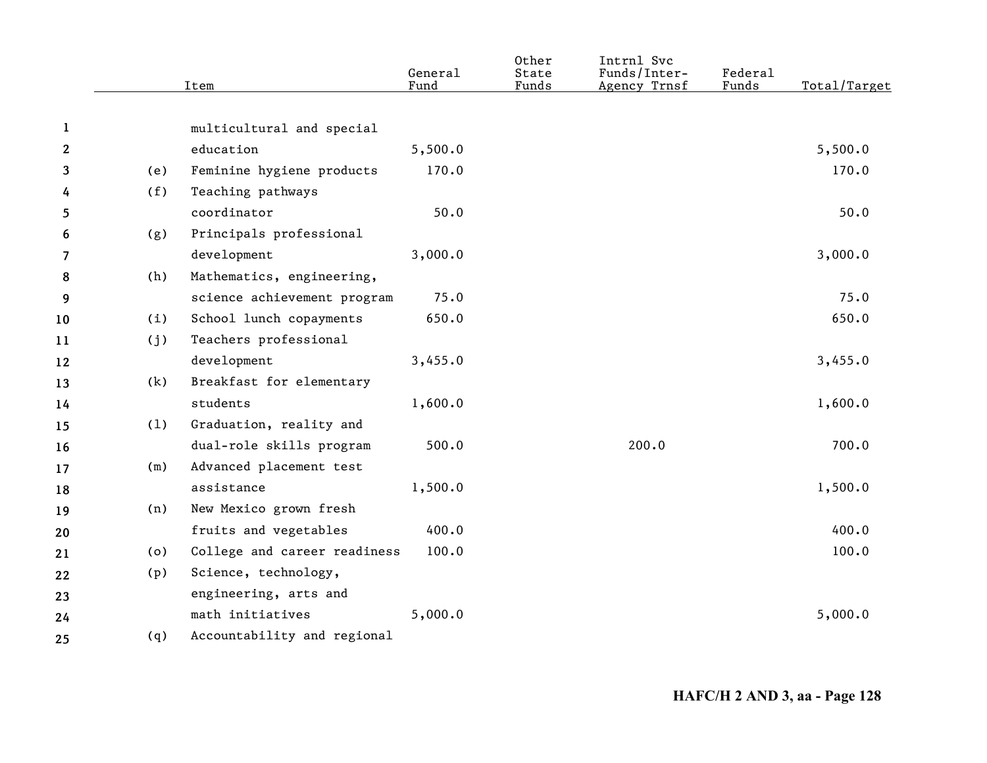| (e)<br>(f)<br>(g) | multicultural and special<br>education<br>Feminine hygiene products<br>Teaching pathways | 5,500.0<br>170.0 |                             | Agency Trnsf | Total/Target |
|-------------------|------------------------------------------------------------------------------------------|------------------|-----------------------------|--------------|--------------|
|                   |                                                                                          |                  |                             |              |              |
|                   |                                                                                          |                  |                             |              |              |
|                   |                                                                                          |                  |                             |              | 5,500.0      |
|                   |                                                                                          |                  |                             |              | 170.0        |
|                   |                                                                                          |                  |                             |              |              |
|                   | coordinator                                                                              | 50.0             |                             |              | 50.0         |
|                   | Principals professional                                                                  |                  |                             |              |              |
|                   | development                                                                              | 3,000.0          |                             |              | 3,000.0      |
| (h)               | Mathematics, engineering,                                                                |                  |                             |              |              |
|                   | science achievement program                                                              | 75.0             |                             |              | 75.0         |
| (i)               | School lunch copayments                                                                  | 650.0            |                             |              | 650.0        |
| (j)               | Teachers professional                                                                    |                  |                             |              |              |
|                   | development                                                                              | 3,455.0          |                             |              | 3,455.0      |
| (k)               | Breakfast for elementary                                                                 |                  |                             |              |              |
|                   | students                                                                                 | 1,600.0          |                             |              | 1,600.0      |
| (1)               | Graduation, reality and                                                                  |                  |                             |              |              |
|                   | dual-role skills program                                                                 | 500.0            |                             | 200.0        | 700.0        |
| (m)               | Advanced placement test                                                                  |                  |                             |              |              |
|                   | assistance                                                                               | 1,500.0          |                             |              | 1,500.0      |
| (n)               | New Mexico grown fresh                                                                   |                  |                             |              |              |
|                   | fruits and vegetables                                                                    | 400.0            |                             |              | 400.0        |
| (0)               | College and career readiness                                                             | 100.0            |                             |              | 100.0        |
| (p)               | Science, technology,                                                                     |                  |                             |              |              |
|                   | engineering, arts and                                                                    |                  |                             |              |              |
|                   | math initiatives                                                                         | 5,000.0          |                             |              | 5,000.0      |
|                   |                                                                                          |                  |                             |              |              |
|                   |                                                                                          |                  | Accountability and regional | (q)          |              |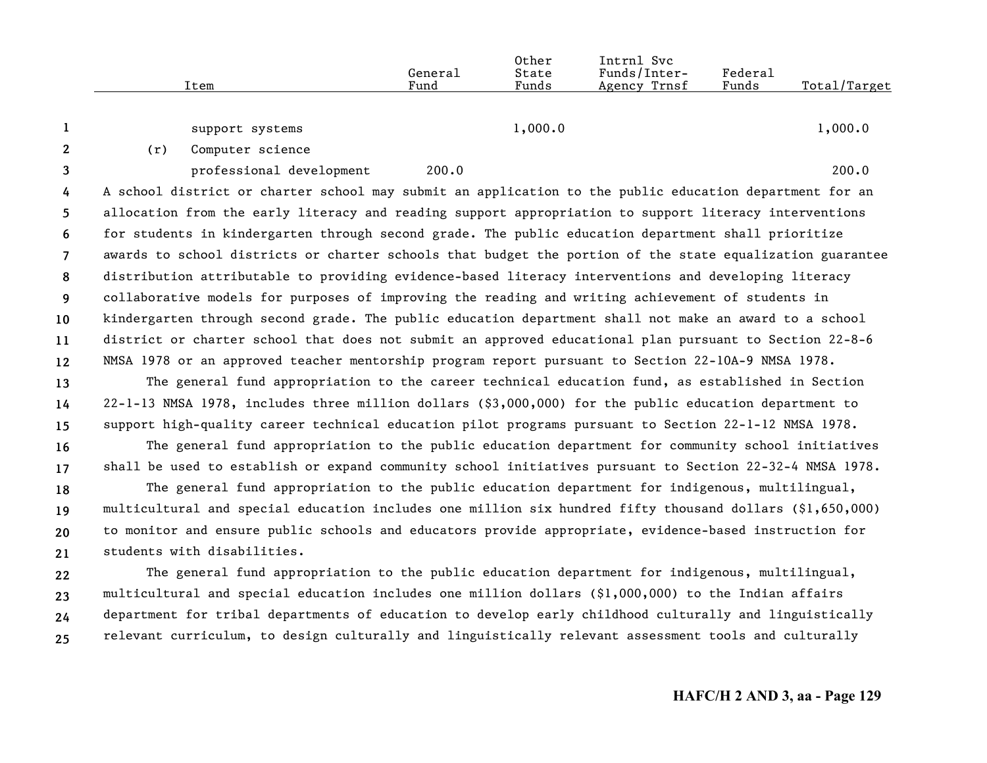|                | Item                        | General<br>Fund                                                                                           | Other<br>State<br>Funds | Intrnl Svc<br>Funds/Inter-<br>Agency Trnsf | <b>Federal</b><br>Funds | Total/Target |
|----------------|-----------------------------|-----------------------------------------------------------------------------------------------------------|-------------------------|--------------------------------------------|-------------------------|--------------|
| 1              | support systems             |                                                                                                           | 1,000.0                 |                                            |                         | 1,000.0      |
| $\mathbf{2}$   | Computer science<br>(r)     |                                                                                                           |                         |                                            |                         |              |
| $\mathbf{3}$   | professional development    | 200.0                                                                                                     |                         |                                            |                         | 200.0        |
| 4              |                             | A school district or charter school may submit an application to the public education department for an   |                         |                                            |                         |              |
| 5              |                             | allocation from the early literacy and reading support appropriation to support literacy interventions    |                         |                                            |                         |              |
| 6              |                             | for students in kindergarten through second grade. The public education department shall prioritize       |                         |                                            |                         |              |
| $\overline{7}$ |                             | awards to school districts or charter schools that budget the portion of the state equalization guarantee |                         |                                            |                         |              |
| 8              |                             | distribution attributable to providing evidence-based literacy interventions and developing literacy      |                         |                                            |                         |              |
| 9              |                             | collaborative models for purposes of improving the reading and writing achievement of students in         |                         |                                            |                         |              |
| 10             |                             | kindergarten through second grade. The public education department shall not make an award to a school    |                         |                                            |                         |              |
| 11             |                             | district or charter school that does not submit an approved educational plan pursuant to Section 22-8-6   |                         |                                            |                         |              |
| 12             |                             | NMSA 1978 or an approved teacher mentorship program report pursuant to Section 22-10A-9 NMSA 1978.        |                         |                                            |                         |              |
| 13             |                             | The general fund appropriation to the career technical education fund, as established in Section          |                         |                                            |                         |              |
| 14             |                             | 22-1-13 NMSA 1978, includes three million dollars (\$3,000,000) for the public education department to    |                         |                                            |                         |              |
| 15             |                             | support high-quality career technical education pilot programs pursuant to Section 22-1-12 NMSA 1978.     |                         |                                            |                         |              |
| 16             |                             | The general fund appropriation to the public education department for community school initiatives        |                         |                                            |                         |              |
| 17             |                             | shall be used to establish or expand community school initiatives pursuant to Section 22-32-4 NMSA 1978.  |                         |                                            |                         |              |
| 18             |                             | The general fund appropriation to the public education department for indigenous, multilingual,           |                         |                                            |                         |              |
| 19             |                             | multicultural and special education includes one million six hundred fifty thousand dollars (\$1,650,000) |                         |                                            |                         |              |
| 20             |                             | to monitor and ensure public schools and educators provide appropriate, evidence-based instruction for    |                         |                                            |                         |              |
| 21             | students with disabilities. |                                                                                                           |                         |                                            |                         |              |
| $22 \,$        |                             | The general fund appropriation to the public education department for indigenous, multilingual,           |                         |                                            |                         |              |
| 23             |                             | multicultural and special education includes one million dollars (\$1,000,000) to the Indian affairs      |                         |                                            |                         |              |
| 24             |                             | department for tribal departments of education to develop early childhood culturally and linguistically   |                         |                                            |                         |              |
| 25             |                             | relevant curriculum, to design culturally and linguistically relevant assessment tools and culturally     |                         |                                            |                         |              |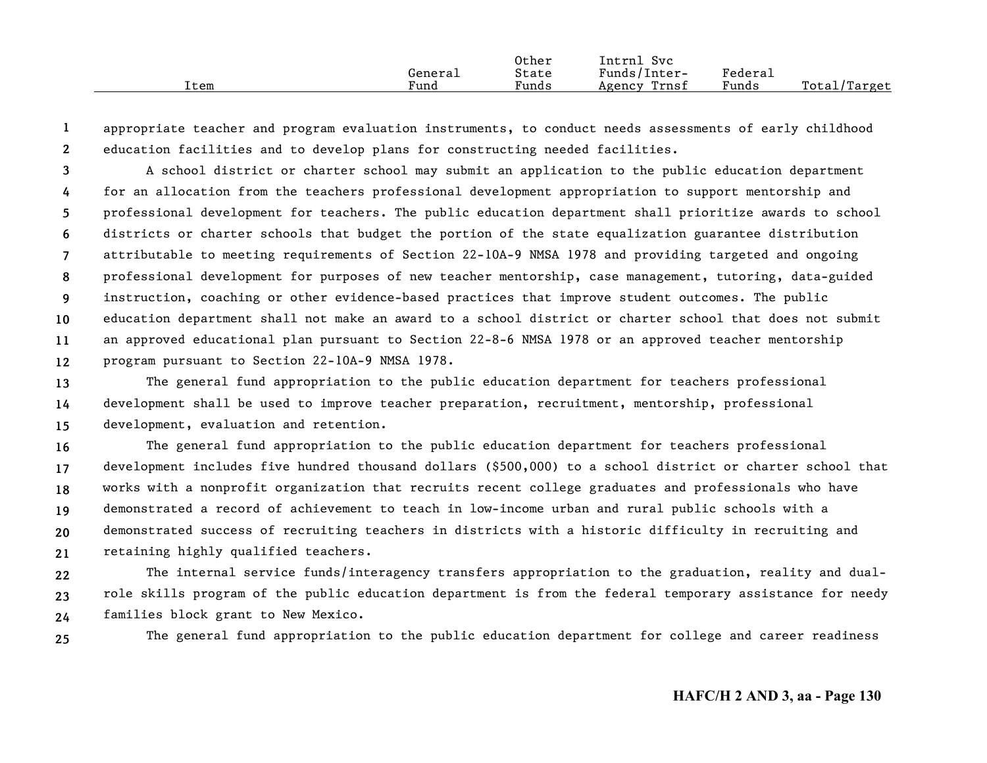|      |         | Other | Svc<br>Intrnl   |                     |                  |
|------|---------|-------|-----------------|---------------------|------------------|
|      | General | State | Funds/Inter-    | Federa <sub>1</sub> |                  |
| Item | Fund    | Funds | Trnsf<br>Agency | Funds               | Total,<br>Target |

**12**appropriate teacher and program evaluation instruments, to conduct needs assessments of early childhood education facilities and to develop plans for constructing needed facilities.

**3456789101112**A school district or charter school may submit an application to the public education department for an allocation from the teachers professional development appropriation to support mentorship and professional development for teachers. The public education department shall prioritize awards to school districts or charter schools that budget the portion of the state equalization guarantee distribution attributable to meeting requirements of Section 22-10A-9 NMSA 1978 and providing targeted and ongoing professional development for purposes of new teacher mentorship, case management, tutoring, data-guided instruction, coaching or other evidence-based practices that improve student outcomes. The public education department shall not make an award to a school district or charter school that does not submit an approved educational plan pursuant to Section 22-8-6 NMSA 1978 or an approved teacher mentorship program pursuant to Section 22-10A-9 NMSA 1978.

**131415**The general fund appropriation to the public education department for teachers professional development shall be used to improve teacher preparation, recruitment, mentorship, professional development, evaluation and retention.

**161718192021**The general fund appropriation to the public education department for teachers professional development includes five hundred thousand dollars (\$500,000) to a school district or charter school that works with a nonprofit organization that recruits recent college graduates and professionals who have demonstrated a record of achievement to teach in low-income urban and rural public schools with a demonstrated success of recruiting teachers in districts with a historic difficulty in recruiting and retaining highly qualified teachers.

**222324**The internal service funds/interagency transfers appropriation to the graduation, reality and dualrole skills program of the public education department is from the federal temporary assistance for needy families block grant to New Mexico.

**25**

The general fund appropriation to the public education department for college and career readiness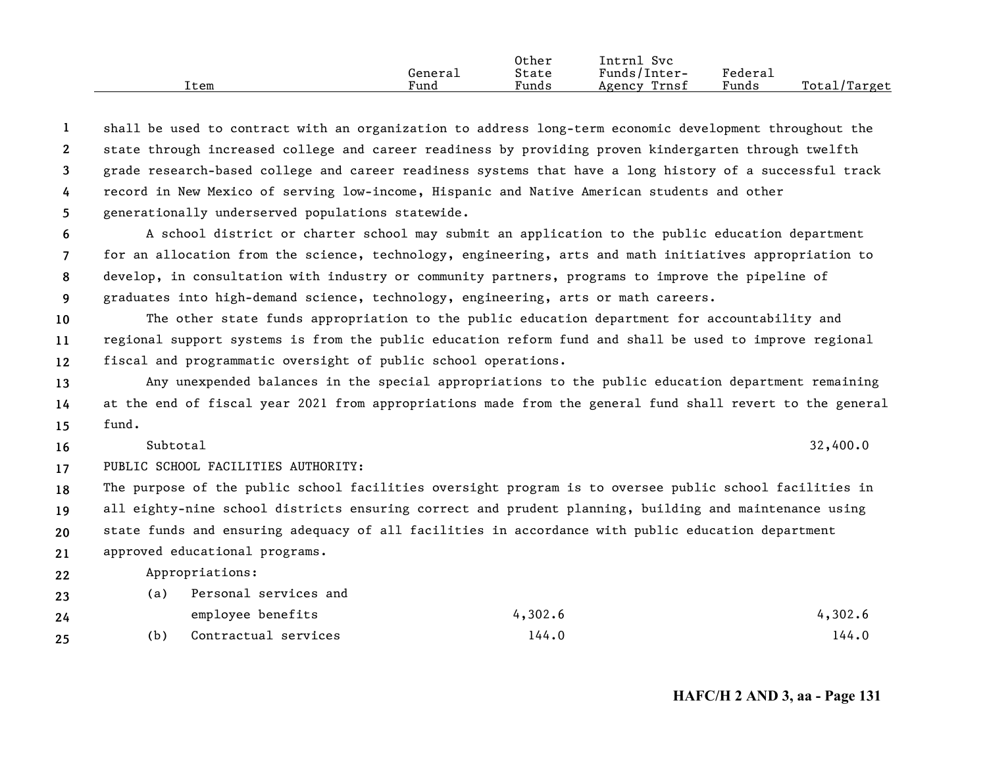|      |         | Other | Intrnl<br>Svc   |         |              |
|------|---------|-------|-----------------|---------|--------------|
|      | General | State | Funds/Inter-    | Federal |              |
| Item | Fund    | Funds | Trnsf<br>Agency | Funds   | Total/Target |

**12345**shall be used to contract with an organization to address long-term economic development throughout the state through increased college and career readiness by providing proven kindergarten through twelfth grade research-based college and career readiness systems that have a long history of a successful track record in New Mexico of serving low-income, Hispanic and Native American students and other generationally underserved populations statewide.

**6789**A school district or charter school may submit an application to the public education department for an allocation from the science, technology, engineering, arts and math initiatives appropriation to develop, in consultation with industry or community partners, programs to improve the pipeline of graduates into high-demand science, technology, engineering, arts or math careers.

**101112**The other state funds appropriation to the public education department for accountability and regional support systems is from the public education reform fund and shall be used to improve regional fiscal and programmatic oversight of public school operations.

**131415**Any unexpended balances in the special appropriations to the public education department remaining at the end of fiscal year 2021 from appropriations made from the general fund shall revert to the general fund.

Subtotal

**16**

 $1$  32,400.0

**17**PUBLIC SCHOOL FACILITIES AUTHORITY:

**18192021**The purpose of the public school facilities oversight program is to oversee public school facilities in all eighty-nine school districts ensuring correct and prudent planning, building and maintenance using state funds and ensuring adequacy of all facilities in accordance with public education department approved educational programs.

**22**Appropriations:

| 23 | (a) | Personal services and |         |         |
|----|-----|-----------------------|---------|---------|
| 24 |     | employee benefits     | 4,302.6 | 4,302.6 |
| 25 | (b) | Contractual services  | 144.0   | 144.0   |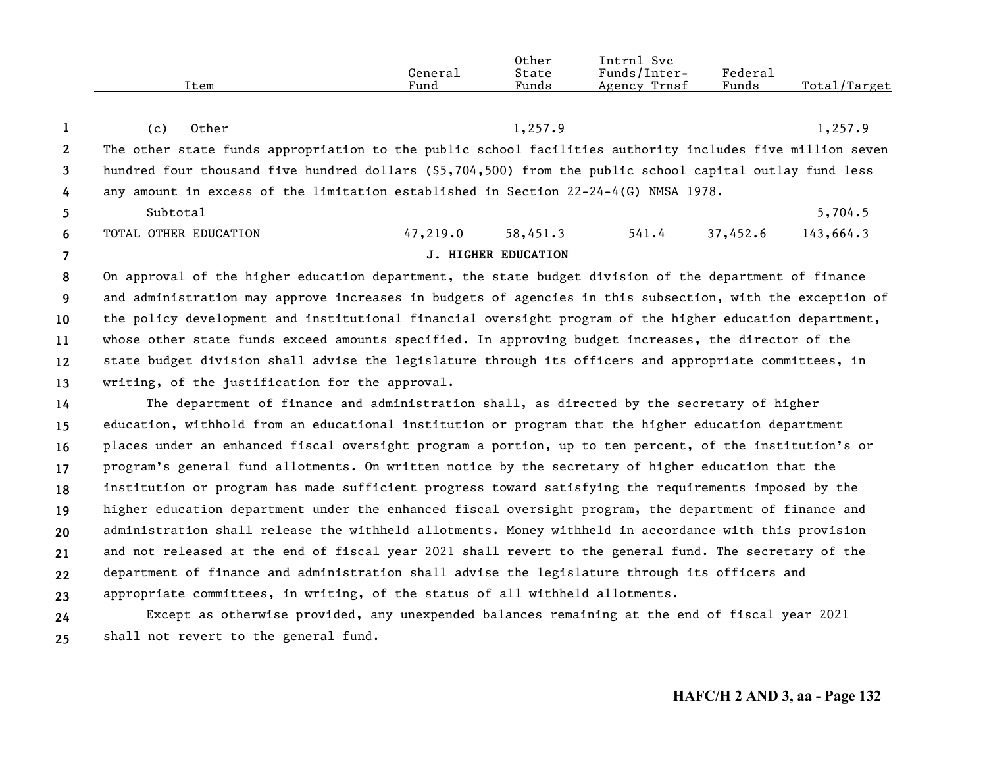|      |         | Other | Svc<br>Intrnl   |         |              |
|------|---------|-------|-----------------|---------|--------------|
|      | General | State | Funds/Inter-    | Federal |              |
| Item | Fund    | Funds | Trnsf<br>Agency | Funds   | Total/Target |

|                | Other<br>(c)          |                                                                                                           |                            | 1,257.9 |          | 1,257.9   |  |
|----------------|-----------------------|-----------------------------------------------------------------------------------------------------------|----------------------------|---------|----------|-----------|--|
| $\overline{2}$ |                       | The other state funds appropriation to the public school facilities authority includes five million seven |                            |         |          |           |  |
| 3              |                       | hundred four thousand five hundred dollars (\$5,704,500) from the public school capital outlay fund less  |                            |         |          |           |  |
| $\frac{1}{4}$  |                       | any amount in excess of the limitation established in Section $22-24-4(G)$ NMSA 1978.                     |                            |         |          |           |  |
| -5             | Subtotal              |                                                                                                           |                            |         |          | 5,704.5   |  |
| -6             | TOTAL OTHER EDUCATION | 47,219.0                                                                                                  | 58,451.3                   | 541.4   | 37,452.6 | 143,664.3 |  |
|                |                       |                                                                                                           | <b>J. HIGHER EDUCATION</b> |         |          |           |  |

**89 10111213**On approval of the higher education department, the state budget division of the department of finance and administration may approve increases in budgets of agencies in this subsection, with the exception of the policy development and institutional financial oversight program of the higher education department, whose other state funds exceed amounts specified. In approving budget increases, the director of the state budget division shall advise the legislature through its officers and appropriate committees, in writing, of the justification for the approval.

**14151617181920212223**The department of finance and administration shall, as directed by the secretary of higher education, withhold from an educational institution or program that the higher education department places under an enhanced fiscal oversight program a portion, up to ten percent, of the institution's or program's general fund allotments. On written notice by the secretary of higher education that the institution or program has made sufficient progress toward satisfying the requirements imposed by the higher education department under the enhanced fiscal oversight program, the department of finance and administration shall release the withheld allotments. Money withheld in accordance with this provision and not released at the end of fiscal year 2021 shall revert to the general fund. The secretary of the department of finance and administration shall advise the legislature through its officers and appropriate committees, in writing, of the status of all withheld allotments.

**2425**Except as otherwise provided, any unexpended balances remaining at the end of fiscal year 2021 shall not revert to the general fund.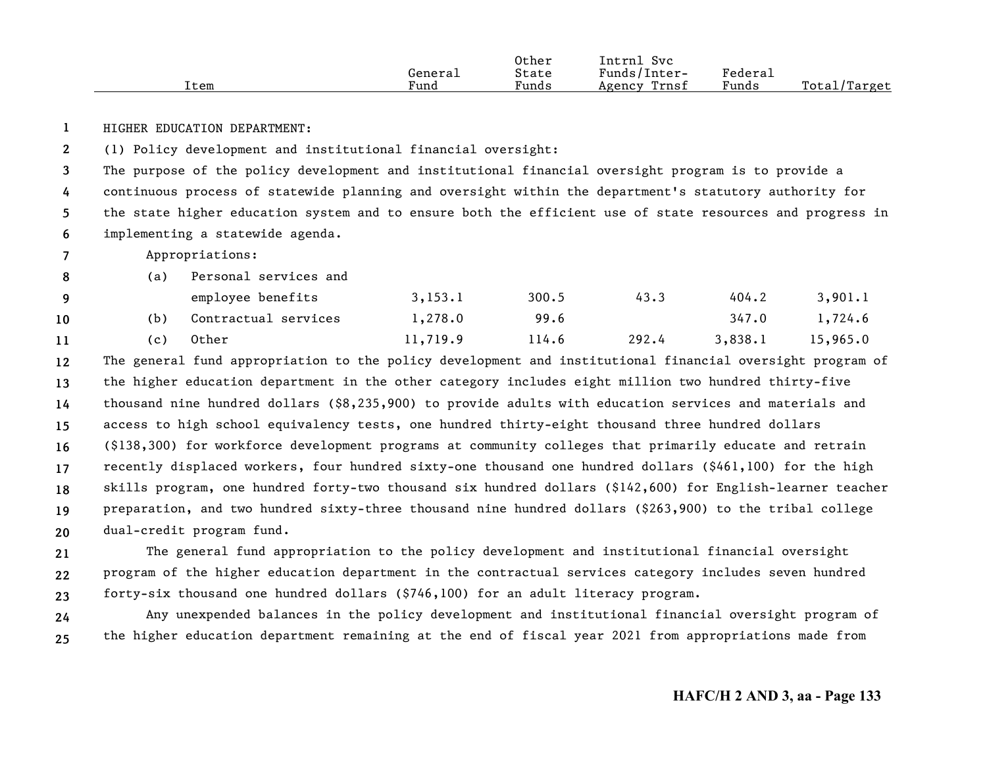|      |         | Other | Intrnl<br>Svc   |         |              |
|------|---------|-------|-----------------|---------|--------------|
|      | General | State | Funds/Inter-    | Federal |              |
| Item | Fund    | Funds | Trnsf<br>Agency | Funds   | Total/Target |

**1**HIGHER EDUCATION DEPARTMENT:

**2**(1) Policy development and institutional financial oversight:

**3456**The purpose of the policy development and institutional financial oversight program is to provide a continuous process of statewide planning and oversight within the department's statutory authority for the state higher education system and to ensure both the efficient use of state resources and progress in implementing a statewide agenda.

**7**Appropriations:

|    | (a)   | Personal services and |          |       |       |         |          |
|----|-------|-----------------------|----------|-------|-------|---------|----------|
|    |       | employee benefits     | 3,153.1  | 300.5 | 43.3  | 404.2   | 3,901.1  |
| 10 | (b)   | Contractual services  | 1,278.0  | 99.6  |       | 347.0   | 1,724.6  |
| 11 | ( C ) | Other                 | 11,719.9 | 114.6 | 292.4 | 3,838.1 | 15,965.0 |

**121314151617181920**The general fund appropriation to the policy development and institutional financial oversight program of the higher education department in the other category includes eight million two hundred thirty-five thousand nine hundred dollars (\$8,235,900) to provide adults with education services and materials and access to high school equivalency tests, one hundred thirty-eight thousand three hundred dollars (\$138,300) for workforce development programs at community colleges that primarily educate and retrain recently displaced workers, four hundred sixty-one thousand one hundred dollars (\$461,100) for the high skills program, one hundred forty-two thousand six hundred dollars (\$142,600) for English-learner teacher preparation, and two hundred sixty-three thousand nine hundred dollars (\$263,900) to the tribal college dual-credit program fund.

**212223**The general fund appropriation to the policy development and institutional financial oversight program of the higher education department in the contractual services category includes seven hundred forty-six thousand one hundred dollars (\$746,100) for an adult literacy program.

**2425**Any unexpended balances in the policy development and institutional financial oversight program of the higher education department remaining at the end of fiscal year 2021 from appropriations made from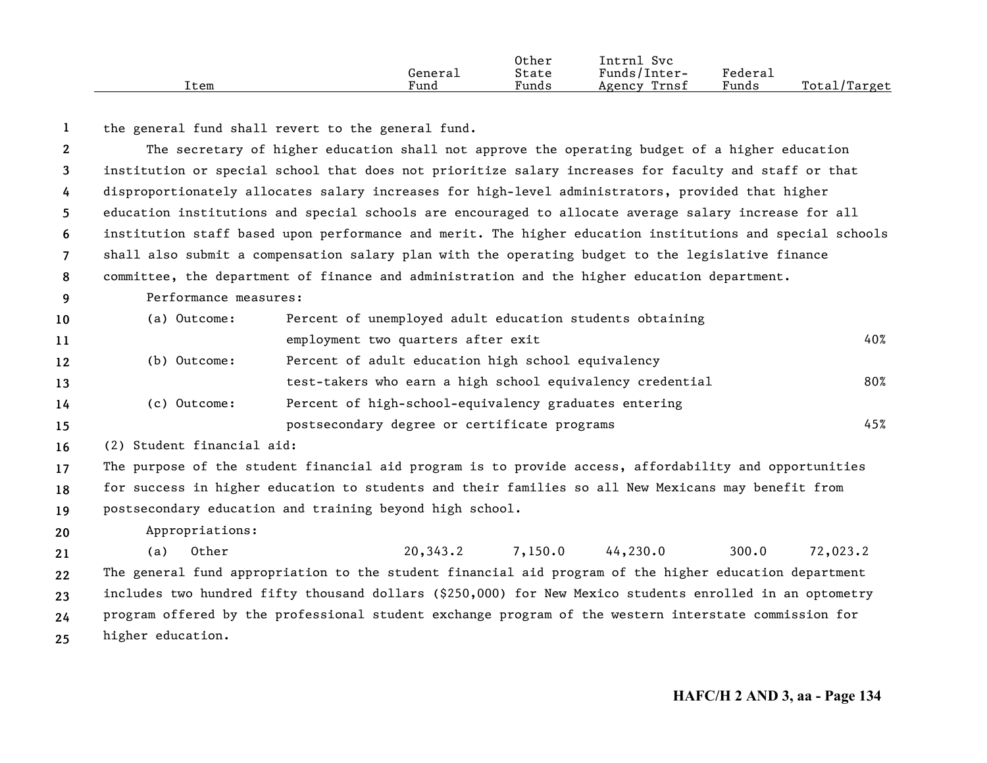|      |         | Other | Intrnl<br>Svc   |         |              |
|------|---------|-------|-----------------|---------|--------------|
|      | Generai | State | Funds/Inter-    | Federau |              |
| Item | Fund    | Funds | Trnsf<br>Agency | Funds   | Total/Target |

**1**the general fund shall revert to the general fund.

**234567891011121314151617181920212223**The secretary of higher education shall not approve the operating budget of a higher education institution or special school that does not prioritize salary increases for faculty and staff or that disproportionately allocates salary increases for high-level administrators, provided that higher education institutions and special schools are encouraged to allocate average salary increase for all institution staff based upon performance and merit. The higher education institutions and special schools shall also submit a compensation salary plan with the operating budget to the legislative finance committee, the department of finance and administration and the higher education department. Performance measures:(a) Outcome: Percent of unemployed adult education students obtaining employment two quarters after exit  $40\%$ (b) Outcome: Percent of adult education high school equivalency test-takers who earn a high school equivalency credential  $80\%$ (c) Outcome: Percent of high-school-equivalency graduates entering postsecondary degree or certificate programs  $45\%$ (2) Student financial aid: The purpose of the student financial aid program is to provide access, affordability and opportunities for success in higher education to students and their families so all New Mexicans may benefit from postsecondary education and training beyond high school. Appropriations: (a) Other 20,343.2 7,150.0 44,230.0 300.0 72,023.2 The general fund appropriation to the student financial aid program of the higher education department includes two hundred fifty thousand dollars (\$250,000) for New Mexico students enrolled in an optometry

**2425**program offered by the professional student exchange program of the western interstate commission for higher education.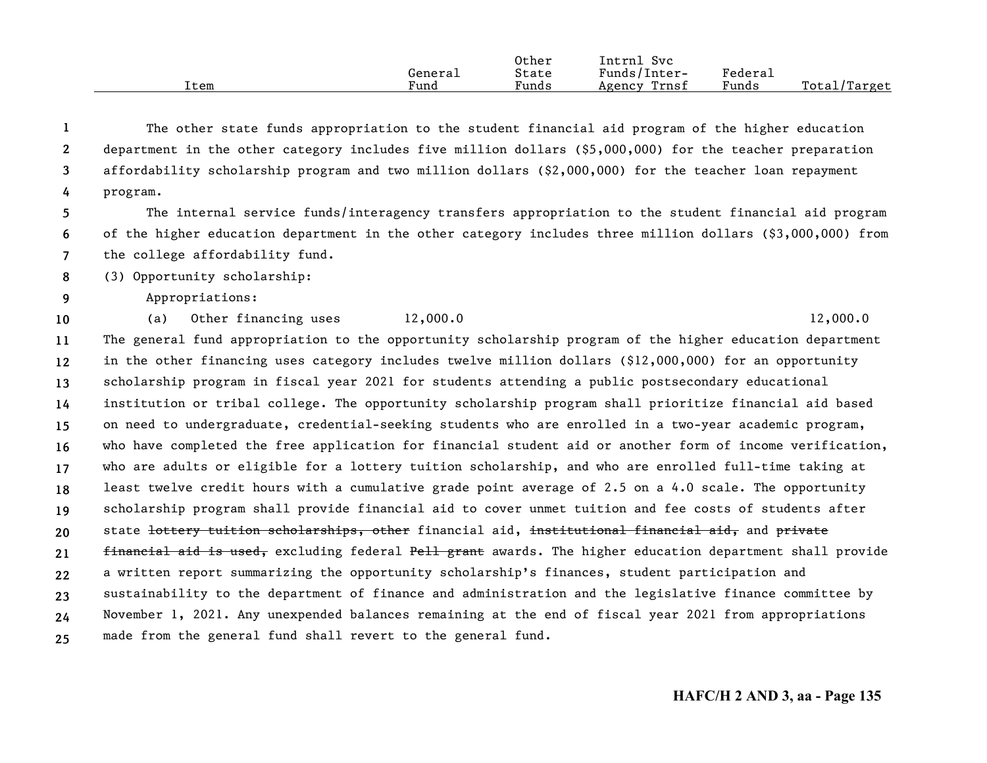|      |         | Other | Intrnl<br>Svc   |         |              |
|------|---------|-------|-----------------|---------|--------------|
|      | Generai | State | Funds/Inter-    | Federal |              |
| Item | Fund    | Funds | Trnsf<br>Agency | Funds   | Total/Target |

**1234**The other state funds appropriation to the student financial aid program of the higher education department in the other category includes five million dollars (\$5,000,000) for the teacher preparation affordability scholarship program and two million dollars (\$2,000,000) for the teacher loan repayment program.

**567**The internal service funds/interagency transfers appropriation to the student financial aid program of the higher education department in the other category includes three million dollars (\$3,000,000) from the college affordability fund.

**8**(3) Opportunity scholarship:

**9** Appropriations:

**10**

(a) Other financing uses  $12,000.0$   $12,000.0$ 

**111213141516171819202122232425**The general fund appropriation to the opportunity scholarship program of the higher education department in the other financing uses category includes twelve million dollars (\$12,000,000) for an opportunity scholarship program in fiscal year 2021 for students attending a public postsecondary educational institution or tribal college. The opportunity scholarship program shall prioritize financial aid based on need to undergraduate, credential-seeking students who are enrolled in a two-year academic program, who have completed the free application for financial student aid or another form of income verification, who are adults or eligible for a lottery tuition scholarship, and who are enrolled full-time taking at least twelve credit hours with a cumulative grade point average of 2.5 on a 4.0 scale. The opportunity scholarship program shall provide financial aid to cover unmet tuition and fee costs of students after state <del>lottery tuition scholarships, other</del> financial aid, institutional financial aid, and private financial aid is used, excluding federal Pell grant awards. The higher education department shall provide a written report summarizing the opportunity scholarship's finances, student participation and sustainability to the department of finance and administration and the legislative finance committee by November 1, 2021. Any unexpended balances remaining at the end of fiscal year 2021 from appropriations made from the general fund shall revert to the general fund.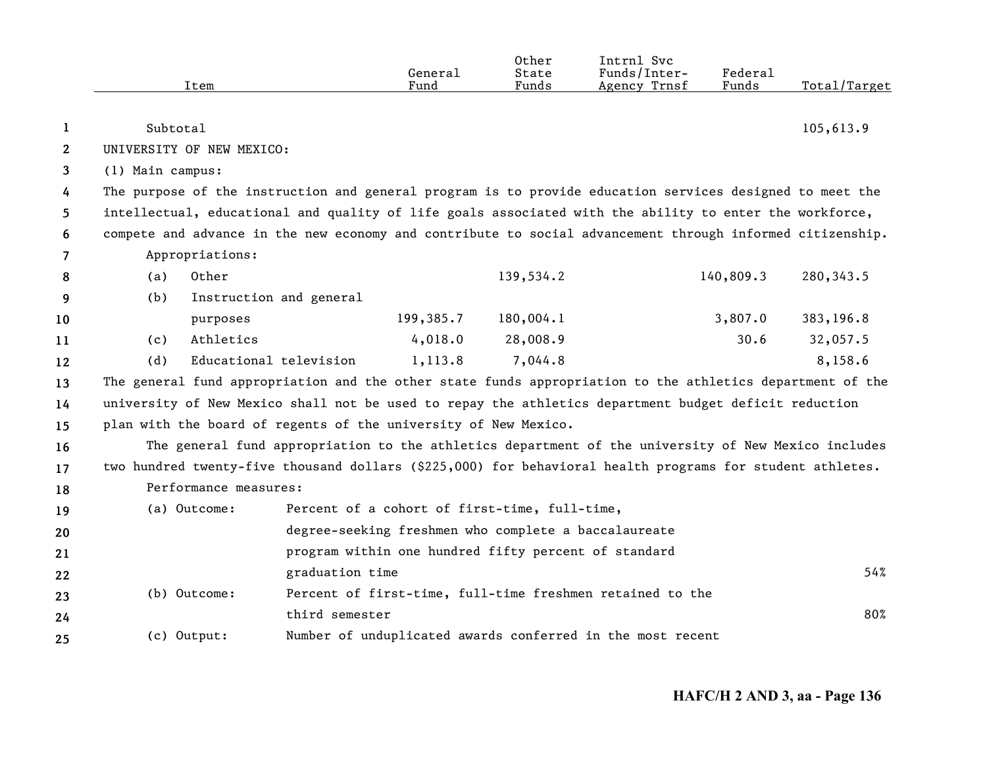|                |                  |                           |                                                                 | General   | Other<br>State | Intrnl Svc<br>Funds/Inter-                                                                                | Federal   |              |
|----------------|------------------|---------------------------|-----------------------------------------------------------------|-----------|----------------|-----------------------------------------------------------------------------------------------------------|-----------|--------------|
|                |                  | Item                      |                                                                 | Fund      | Funds          | Agency Trnsf                                                                                              | Funds     | Total/Target |
|                |                  |                           |                                                                 |           |                |                                                                                                           |           |              |
| 1              | Subtotal         |                           |                                                                 |           |                |                                                                                                           |           | 105,613.9    |
| $\mathbf{2}$   |                  | UNIVERSITY OF NEW MEXICO: |                                                                 |           |                |                                                                                                           |           |              |
| 3              | (1) Main campus: |                           |                                                                 |           |                |                                                                                                           |           |              |
| 4              |                  |                           |                                                                 |           |                | The purpose of the instruction and general program is to provide education services designed to meet the  |           |              |
| 5              |                  |                           |                                                                 |           |                | intellectual, educational and quality of life goals associated with the ability to enter the workforce,   |           |              |
| 6              |                  |                           |                                                                 |           |                | compete and advance in the new economy and contribute to social advancement through informed citizenship. |           |              |
| $\overline{7}$ |                  | Appropriations:           |                                                                 |           |                |                                                                                                           |           |              |
| 8              | (a)              | Other                     |                                                                 |           | 139,534.2      |                                                                                                           | 140,809.3 | 280, 343.5   |
| 9              | (b)              | Instruction and general   |                                                                 |           |                |                                                                                                           |           |              |
| 10             |                  | purposes                  |                                                                 | 199,385.7 | 180,004.1      |                                                                                                           | 3,807.0   | 383,196.8    |
| 11             | (c)              | Athletics                 |                                                                 | 4,018.0   | 28,008.9       |                                                                                                           | 30.6      | 32,057.5     |
| 12             | (d)              | Educational television    |                                                                 | 1,113.8   | 7,044.8        |                                                                                                           |           | 8,158.6      |
| 13             |                  |                           |                                                                 |           |                | The general fund appropriation and the other state funds appropriation to the athletics department of the |           |              |
| 14             |                  |                           |                                                                 |           |                | university of New Mexico shall not be used to repay the athletics department budget deficit reduction     |           |              |
| 15             |                  |                           | plan with the board of regents of the university of New Mexico. |           |                |                                                                                                           |           |              |
| 16             |                  |                           |                                                                 |           |                | The general fund appropriation to the athletics department of the university of New Mexico includes       |           |              |
| 17             |                  |                           |                                                                 |           |                | two hundred twenty-five thousand dollars (\$225,000) for behavioral health programs for student athletes. |           |              |
| 18             |                  | Performance measures:     |                                                                 |           |                |                                                                                                           |           |              |
| 19             |                  | (a) Outcome:              | Percent of a cohort of first-time, full-time,                   |           |                |                                                                                                           |           |              |
| 20             |                  |                           | degree-seeking freshmen who complete a baccalaureate            |           |                |                                                                                                           |           |              |
| 21             |                  |                           | program within one hundred fifty percent of standard            |           |                |                                                                                                           |           |              |
| 22             |                  |                           | graduation time                                                 |           |                |                                                                                                           |           | 54%          |
| 23             |                  | (b) Outcome:              |                                                                 |           |                | Percent of first-time, full-time freshmen retained to the                                                 |           |              |
| 24             |                  |                           | third semester                                                  |           |                |                                                                                                           |           | 80%          |
| 25             | (c) Output:      |                           |                                                                 |           |                | Number of unduplicated awards conferred in the most recent                                                |           |              |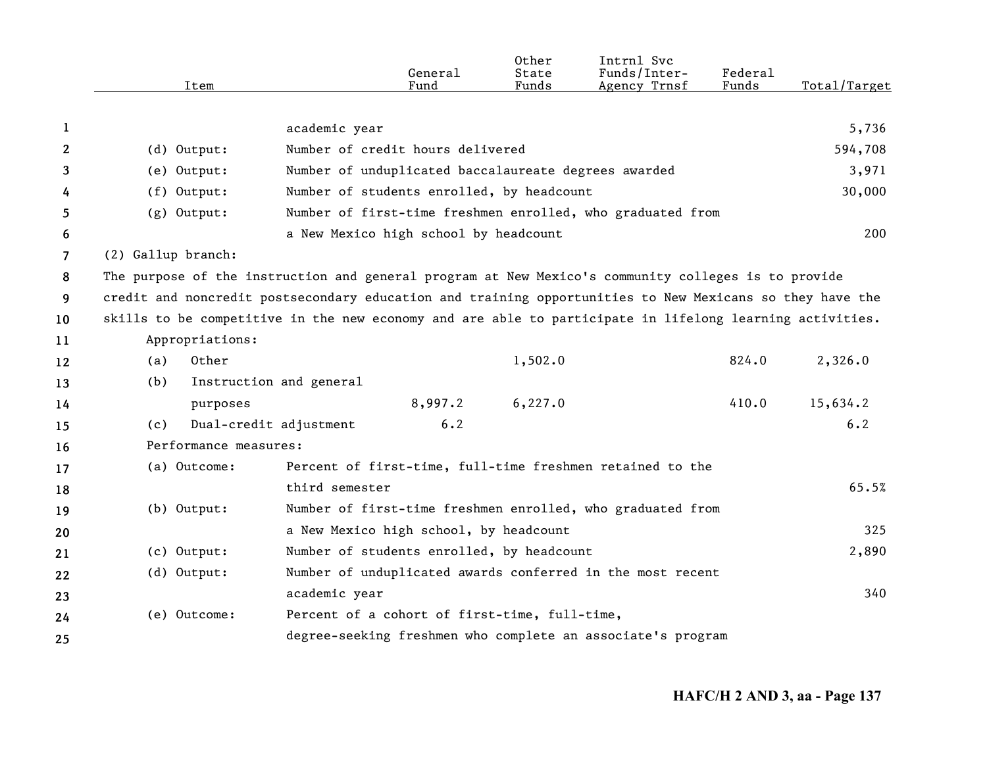|                |                                                                                                          | General                                                     |         | Other<br>State | Intrnl Svc<br>Funds/Inter- | Federal |              |
|----------------|----------------------------------------------------------------------------------------------------------|-------------------------------------------------------------|---------|----------------|----------------------------|---------|--------------|
|                | Item                                                                                                     | Fund                                                        |         | Funds          | Agency Trnsf               | Funds   | Total/Target |
|                |                                                                                                          |                                                             |         |                |                            |         |              |
| 1              |                                                                                                          | academic year                                               |         |                |                            |         | 5,736        |
| $\mathbf{2}$   | $(d)$ Output:                                                                                            | Number of credit hours delivered                            |         |                |                            |         | 594,708      |
| 3              | (e) Output:                                                                                              | Number of unduplicated baccalaureate degrees awarded        |         |                |                            |         | 3,971        |
| 4              | $(f)$ Output:                                                                                            | Number of students enrolled, by headcount                   |         |                |                            |         | 30,000       |
| 5              | $(g)$ Output:                                                                                            | Number of first-time freshmen enrolled, who graduated from  |         |                |                            |         |              |
| 6              |                                                                                                          | a New Mexico high school by headcount                       |         |                |                            |         | 200          |
| $\overline{7}$ | (2) Gallup branch:                                                                                       |                                                             |         |                |                            |         |              |
| 8              | The purpose of the instruction and general program at New Mexico's community colleges is to provide      |                                                             |         |                |                            |         |              |
| 9              | credit and noncredit postsecondary education and training opportunities to New Mexicans so they have the |                                                             |         |                |                            |         |              |
| 10             | skills to be competitive in the new economy and are able to participate in lifelong learning activities. |                                                             |         |                |                            |         |              |
| 11             | Appropriations:                                                                                          |                                                             |         |                |                            |         |              |
| 12             | Other<br>(a)                                                                                             |                                                             |         | 1,502.0        |                            | 824.0   | 2,326.0      |
| 13             | (b)                                                                                                      | Instruction and general                                     |         |                |                            |         |              |
| 14             | purposes                                                                                                 |                                                             | 8,997.2 | 6, 227.0       |                            | 410.0   | 15,634.2     |
| 15             | (c)                                                                                                      | Dual-credit adjustment                                      | 6.2     |                |                            |         | 6.2          |
| 16             | Performance measures:                                                                                    |                                                             |         |                |                            |         |              |
| 17             | (a) Outcome:                                                                                             | Percent of first-time, full-time freshmen retained to the   |         |                |                            |         |              |
| 18             |                                                                                                          | third semester                                              |         |                |                            |         | 65.5%        |
| 19             | $(b)$ Output:                                                                                            | Number of first-time freshmen enrolled, who graduated from  |         |                |                            |         |              |
| 20             |                                                                                                          | a New Mexico high school, by headcount                      |         |                |                            |         | 325          |
| 21             | (c) Output:                                                                                              | Number of students enrolled, by headcount                   |         |                |                            |         | 2,890        |
| 22             | (d) Output:                                                                                              | Number of unduplicated awards conferred in the most recent  |         |                |                            |         |              |
| 23             |                                                                                                          | academic year                                               |         |                |                            |         | 340          |
| 24             | (e) Outcome:                                                                                             | Percent of a cohort of first-time, full-time,               |         |                |                            |         |              |
| 25             |                                                                                                          | degree-seeking freshmen who complete an associate's program |         |                |                            |         |              |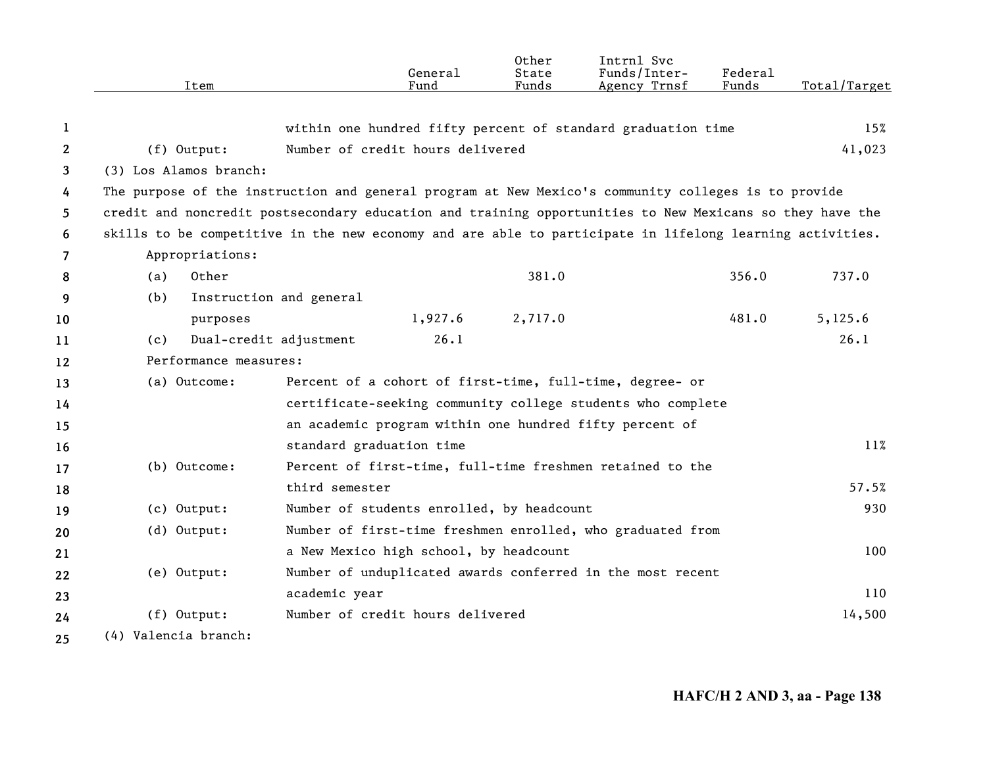|              | Item                   | General<br>Fund                                                                                          | Other<br>State<br>Funds | Intrnl Svc<br>Funds/Inter-<br>Agency Trnsf | <b>Federal</b><br>Funds | Total/Target |
|--------------|------------------------|----------------------------------------------------------------------------------------------------------|-------------------------|--------------------------------------------|-------------------------|--------------|
|              |                        |                                                                                                          |                         |                                            |                         |              |
| 1            |                        | within one hundred fifty percent of standard graduation time                                             |                         |                                            |                         | 15%          |
| $\mathbf{2}$ | (f) Output:            | Number of credit hours delivered                                                                         |                         |                                            |                         | 41,023       |
| 3            | (3) Los Alamos branch: |                                                                                                          |                         |                                            |                         |              |
| 4            |                        | The purpose of the instruction and general program at New Mexico's community colleges is to provide      |                         |                                            |                         |              |
| 5            |                        | credit and noncredit postsecondary education and training opportunities to New Mexicans so they have the |                         |                                            |                         |              |
| 6            |                        | skills to be competitive in the new economy and are able to participate in lifelong learning activities. |                         |                                            |                         |              |
| 7            | Appropriations:        |                                                                                                          |                         |                                            |                         |              |
| 8            | Other<br>(a)           |                                                                                                          | 381.0                   |                                            | 356.0                   | 737.0        |
| 9            | (b)                    | Instruction and general                                                                                  |                         |                                            |                         |              |
| 10           | purposes               | 1,927.6                                                                                                  | 2,717.0                 |                                            | 481.0                   | 5,125.6      |
| 11           | (c)                    | 26.1<br>Dual-credit adjustment                                                                           |                         |                                            |                         | 26.1         |
| 12           | Performance measures:  |                                                                                                          |                         |                                            |                         |              |
| 13           | (a) Outcome:           | Percent of a cohort of first-time, full-time, degree- or                                                 |                         |                                            |                         |              |
| 14           |                        | certificate-seeking community college students who complete                                              |                         |                                            |                         |              |
| 15           |                        | an academic program within one hundred fifty percent of                                                  |                         |                                            |                         |              |
| 16           |                        | standard graduation time                                                                                 |                         |                                            |                         | 11%          |
| 17           | (b) Outcome:           | Percent of first-time, full-time freshmen retained to the                                                |                         |                                            |                         |              |
| 18           |                        | third semester                                                                                           |                         |                                            |                         | 57.5%        |
| 19           | (c) Output:            | Number of students enrolled, by headcount                                                                |                         |                                            |                         | 930          |
| 20           | (d) Output:            | Number of first-time freshmen enrolled, who graduated from                                               |                         |                                            |                         |              |
| 21           |                        | a New Mexico high school, by headcount                                                                   |                         |                                            |                         | 100          |
| 22           | (e) Output:            | Number of unduplicated awards conferred in the most recent                                               |                         |                                            |                         |              |
| 23           |                        | academic year                                                                                            |                         |                                            |                         | 110          |
| 24           | (f) Output:            | Number of credit hours delivered                                                                         |                         |                                            |                         | 14,500       |
| 25           | (4) Valencia branch:   |                                                                                                          |                         |                                            |                         |              |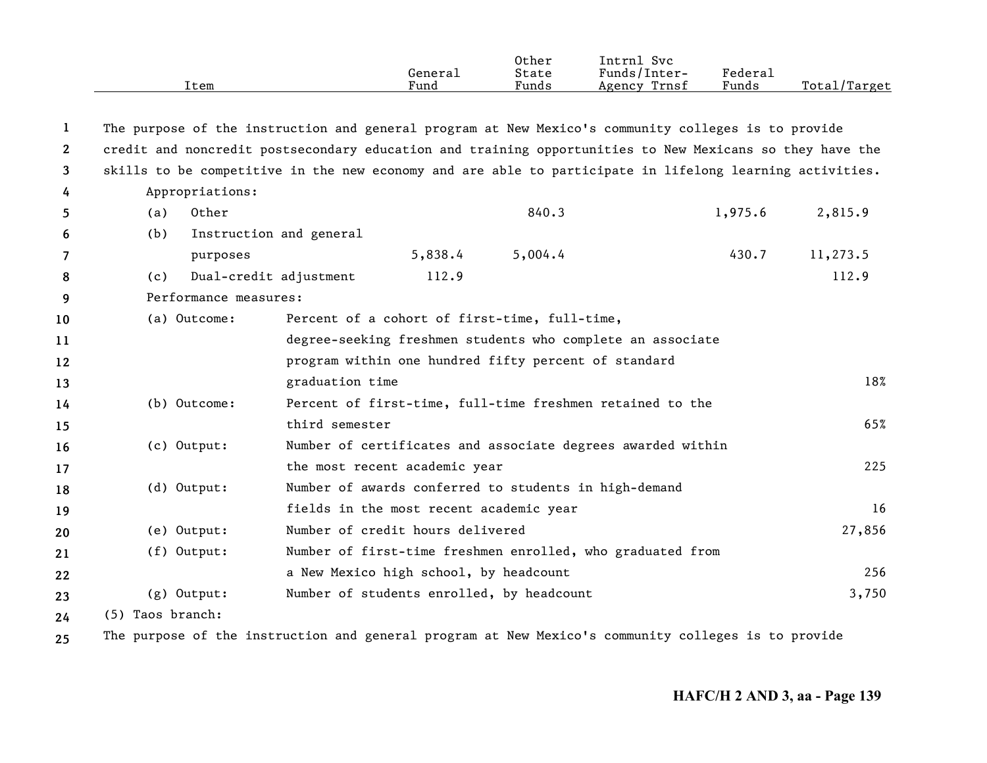|                       |                  | Item                    |                                                       | General<br>Fund | 0ther<br>State<br>Funds | Intrnl Svc<br>Funds/Inter-<br>Agency Trnsf                                                               | Federal<br>Funds | Total/Target |
|-----------------------|------------------|-------------------------|-------------------------------------------------------|-----------------|-------------------------|----------------------------------------------------------------------------------------------------------|------------------|--------------|
| 1                     |                  |                         |                                                       |                 |                         | The purpose of the instruction and general program at New Mexico's community colleges is to provide      |                  |              |
| $\mathbf{2}^{\prime}$ |                  |                         |                                                       |                 |                         | credit and noncredit postsecondary education and training opportunities to New Mexicans so they have the |                  |              |
| 3                     |                  |                         |                                                       |                 |                         | skills to be competitive in the new economy and are able to participate in lifelong learning activities. |                  |              |
| 4                     |                  | Appropriations:         |                                                       |                 |                         |                                                                                                          |                  |              |
| 5                     | (a)              | Other                   |                                                       |                 | 840.3                   |                                                                                                          | 1,975.6          | 2,815.9      |
| 6                     | (b)              | Instruction and general |                                                       |                 |                         |                                                                                                          |                  |              |
| 7                     |                  | purposes                |                                                       | 5,838.4         | 5,004.4                 |                                                                                                          | 430.7            | 11,273.5     |
| 8                     | (c)              | Dual-credit adjustment  |                                                       | 112.9           |                         |                                                                                                          |                  | 112.9        |
| 9                     |                  | Performance measures:   |                                                       |                 |                         |                                                                                                          |                  |              |
| 10                    |                  | (a) Outcome:            | Percent of a cohort of first-time, full-time,         |                 |                         |                                                                                                          |                  |              |
| 11                    |                  |                         |                                                       |                 |                         | degree-seeking freshmen students who complete an associate                                               |                  |              |
| 12                    |                  |                         | program within one hundred fifty percent of standard  |                 |                         |                                                                                                          |                  |              |
| 13                    |                  |                         | graduation time                                       |                 |                         |                                                                                                          |                  | 18%          |
| 14                    |                  | (b) Outcome:            |                                                       |                 |                         | Percent of first-time, full-time freshmen retained to the                                                |                  |              |
| 15                    |                  |                         | third semester                                        |                 |                         |                                                                                                          |                  | 65%          |
| 16                    |                  | (c) Output:             |                                                       |                 |                         | Number of certificates and associate degrees awarded within                                              |                  |              |
| 17                    |                  |                         | the most recent academic year                         |                 |                         |                                                                                                          |                  | 225          |
| 18                    |                  | (d) Output:             | Number of awards conferred to students in high-demand |                 |                         |                                                                                                          |                  |              |
| 19                    |                  |                         | fields in the most recent academic year               |                 |                         |                                                                                                          |                  | 16           |
| 20                    |                  | (e) Output:             | Number of credit hours delivered                      |                 |                         |                                                                                                          |                  | 27,856       |
| 21                    |                  | (f) Output:             |                                                       |                 |                         | Number of first-time freshmen enrolled, who graduated from                                               |                  |              |
| 22                    |                  |                         | a New Mexico high school, by headcount                |                 |                         |                                                                                                          |                  | 256          |
| 23                    |                  | (g) Output:             | Number of students enrolled, by headcount             |                 |                         |                                                                                                          |                  | 3,750        |
| 24                    | (5) Taos branch: |                         |                                                       |                 |                         |                                                                                                          |                  |              |
|                       |                  |                         |                                                       |                 |                         |                                                                                                          |                  |              |

**25** The purpose of the instruction and general program at New Mexico's community colleges is to provide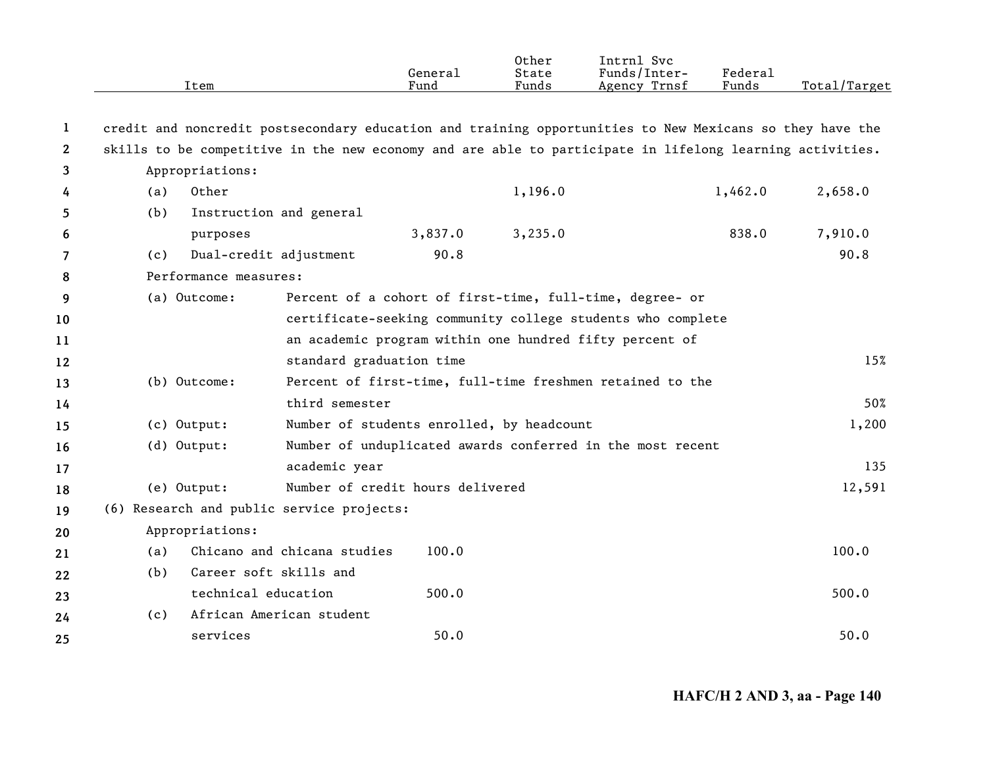|                       | Item                                                                                                     |                                                         | General<br>Fund                           | Other<br>State<br>Funds | Intrnl Svc<br>Funds/Inter-<br>Agency Trnsf                  | Federal<br>Funds | Total/Target |  |
|-----------------------|----------------------------------------------------------------------------------------------------------|---------------------------------------------------------|-------------------------------------------|-------------------------|-------------------------------------------------------------|------------------|--------------|--|
| 1                     | credit and noncredit postsecondary education and training opportunities to New Mexicans so they have the |                                                         |                                           |                         |                                                             |                  |              |  |
| $\mathbf{2}^{\prime}$ | skills to be competitive in the new economy and are able to participate in lifelong learning activities. |                                                         |                                           |                         |                                                             |                  |              |  |
| 3                     | Appropriations:                                                                                          |                                                         |                                           |                         |                                                             |                  |              |  |
| 4                     | Other<br>(a)                                                                                             |                                                         |                                           | 1,196.0                 |                                                             | 1,462.0          | 2,658.0      |  |
| 5                     | (b)                                                                                                      | Instruction and general                                 |                                           |                         |                                                             |                  |              |  |
| 6                     | purposes                                                                                                 |                                                         | 3,837.0                                   | 3,235.0                 |                                                             | 838.0            | 7,910.0      |  |
| 7                     | (c)                                                                                                      | Dual-credit adjustment                                  | 90.8                                      |                         |                                                             |                  | 90.8         |  |
| 8                     | Performance measures:                                                                                    |                                                         |                                           |                         |                                                             |                  |              |  |
| 9                     | (a) Outcome:                                                                                             |                                                         |                                           |                         | Percent of a cohort of first-time, full-time, degree- or    |                  |              |  |
| 10                    |                                                                                                          |                                                         |                                           |                         | certificate-seeking community college students who complete |                  |              |  |
| 11                    |                                                                                                          | an academic program within one hundred fifty percent of |                                           |                         |                                                             |                  |              |  |
| 12                    |                                                                                                          | standard graduation time                                |                                           |                         |                                                             |                  | 15%          |  |
| 13                    | (b) Outcome:                                                                                             |                                                         |                                           |                         | Percent of first-time, full-time freshmen retained to the   |                  |              |  |
| 14                    |                                                                                                          | third semester                                          |                                           |                         |                                                             |                  | 50%          |  |
| 15                    | (c) Output:                                                                                              |                                                         | Number of students enrolled, by headcount |                         |                                                             |                  | 1,200        |  |
| 16                    | (d) Output:                                                                                              |                                                         |                                           |                         | Number of unduplicated awards conferred in the most recent  |                  |              |  |
| 17                    |                                                                                                          | academic year                                           |                                           |                         |                                                             |                  | 135          |  |
| 18                    | (e) Output:                                                                                              |                                                         | Number of credit hours delivered          |                         |                                                             |                  | 12,591       |  |
| 19                    | (6) Research and public service projects:                                                                |                                                         |                                           |                         |                                                             |                  |              |  |
| 20                    | Appropriations:                                                                                          |                                                         |                                           |                         |                                                             |                  |              |  |
| 21                    | (a)                                                                                                      | Chicano and chicana studies                             | 100.0                                     |                         |                                                             |                  | 100.0        |  |
| 22                    | (b)                                                                                                      | Career soft skills and                                  |                                           |                         |                                                             |                  |              |  |
| 23                    |                                                                                                          | technical education                                     | 500.0                                     |                         |                                                             |                  | 500.0        |  |
| 24                    | (c)                                                                                                      | African American student                                |                                           |                         |                                                             |                  |              |  |
| 25                    | services                                                                                                 |                                                         | 50.0                                      |                         |                                                             |                  | 50.0         |  |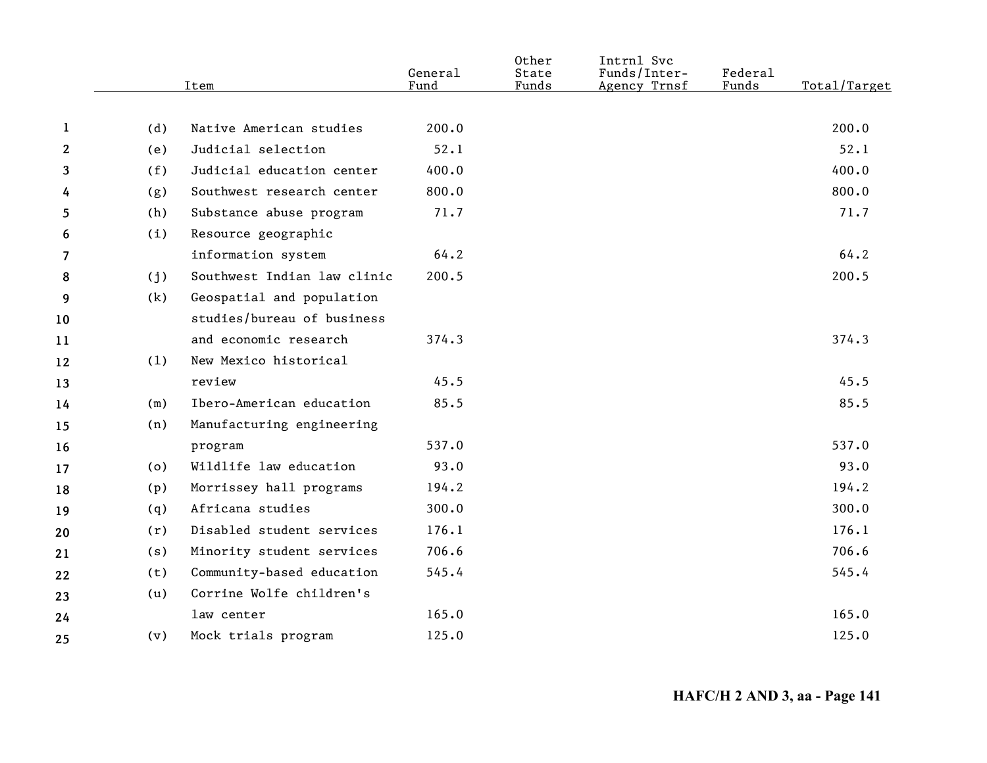|                |     | Item                        | General<br>Fund | Other<br>State<br>Funds | Intrnl Svc<br>Funds/Inter-<br>Agency Trnsf | Federal<br>Funds | Total/Target |
|----------------|-----|-----------------------------|-----------------|-------------------------|--------------------------------------------|------------------|--------------|
|                |     |                             |                 |                         |                                            |                  |              |
| $\mathbf 1$    | (d) | Native American studies     | 200.0           |                         |                                            |                  | 200.0        |
| $\mathbf{2}$   | (e) | Judicial selection          | 52.1            |                         |                                            |                  | 52.1         |
| 3              | (f) | Judicial education center   | 400.0           |                         |                                            |                  | 400.0        |
| 4              | (g) | Southwest research center   | 800.0           |                         |                                            |                  | 800.0        |
| 5              | (h) | Substance abuse program     | 71.7            |                         |                                            |                  | 71.7         |
| 6              | (i) | Resource geographic         |                 |                         |                                            |                  |              |
| $\overline{7}$ |     | information system          | 64.2            |                         |                                            |                  | 64.2         |
| 8              | (j) | Southwest Indian law clinic | 200.5           |                         |                                            |                  | 200.5        |
| 9              | (k) | Geospatial and population   |                 |                         |                                            |                  |              |
| 10             |     | studies/bureau of business  |                 |                         |                                            |                  |              |
| 11             |     | and economic research       | 374.3           |                         |                                            |                  | 374.3        |
| 12             | (1) | New Mexico historical       |                 |                         |                                            |                  |              |
| 13             |     | review                      | 45.5            |                         |                                            |                  | 45.5         |
| 14             | (m) | Ibero-American education    | 85.5            |                         |                                            |                  | 85.5         |
| 15             | (n) | Manufacturing engineering   |                 |                         |                                            |                  |              |
| 16             |     | program                     | 537.0           |                         |                                            |                  | 537.0        |
| 17             | (o) | Wildlife law education      | 93.0            |                         |                                            |                  | 93.0         |
| 18             | (p) | Morrissey hall programs     | 194.2           |                         |                                            |                  | 194.2        |
| 19             | (q) | Africana studies            | 300.0           |                         |                                            |                  | 300.0        |
| 20             | (r) | Disabled student services   | 176.1           |                         |                                            |                  | 176.1        |
| 21             | (s) | Minority student services   | 706.6           |                         |                                            |                  | 706.6        |
| 22             | (t) | Community-based education   | 545.4           |                         |                                            |                  | 545.4        |
| 23             | (u) | Corrine Wolfe children's    |                 |                         |                                            |                  |              |
| 24             |     | law center                  | 165.0           |                         |                                            |                  | 165.0        |
| 25             | (v) | Mock trials program         | 125.0           |                         |                                            |                  | 125.0        |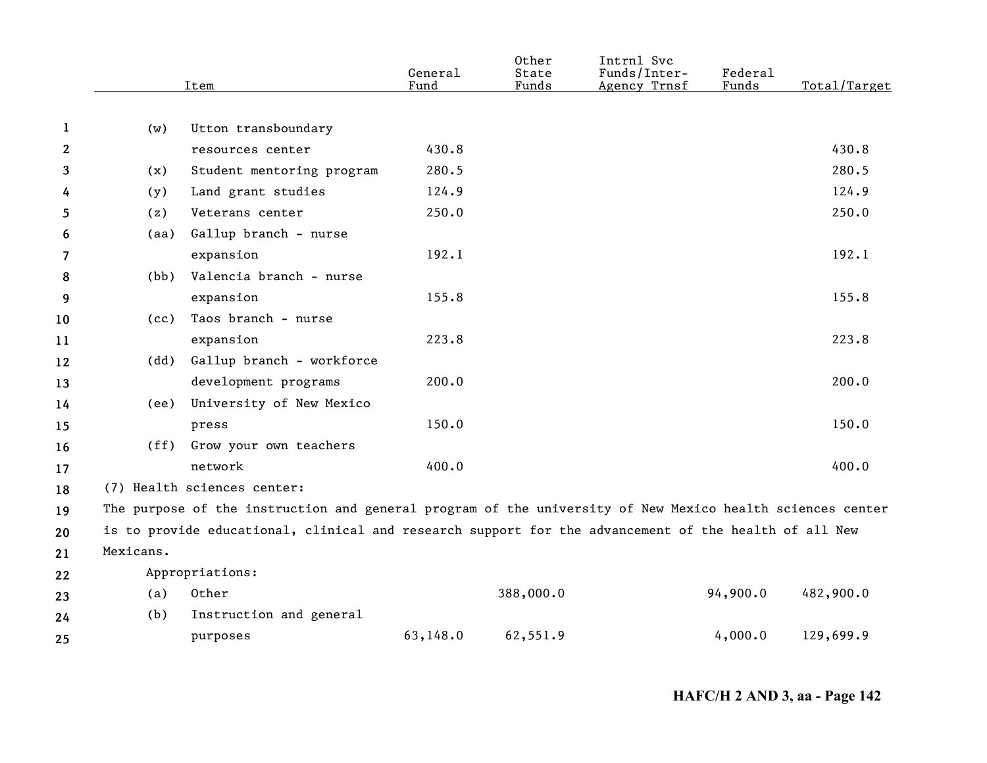|              |           | Item                                                                                                      | General<br>Fund | Other<br>State<br>Funds | Intrnl Svc<br>Funds/Inter-<br>Agency Trnsf | Federal<br>Funds | Total/Target |
|--------------|-----------|-----------------------------------------------------------------------------------------------------------|-----------------|-------------------------|--------------------------------------------|------------------|--------------|
|              |           |                                                                                                           |                 |                         |                                            |                  |              |
| $\mathbf{1}$ | (w)       | Utton transboundary                                                                                       |                 |                         |                                            |                  |              |
| 2            |           | resources center                                                                                          | 430.8           |                         |                                            |                  | 430.8        |
| 3            | (x)       | Student mentoring program                                                                                 | 280.5           |                         |                                            |                  | 280.5        |
| 4            | (y)       | Land grant studies                                                                                        | 124.9           |                         |                                            |                  | 124.9        |
| 5            | (z)       | Veterans center                                                                                           | 250.0           |                         |                                            |                  | 250.0        |
| 6            | (aa)      | Gallup branch - nurse                                                                                     |                 |                         |                                            |                  |              |
| 7            |           | expansion                                                                                                 | 192.1           |                         |                                            |                  | 192.1        |
| 8            | (bb)      | Valencia branch - nurse                                                                                   |                 |                         |                                            |                  |              |
| 9            |           | expansion                                                                                                 | 155.8           |                         |                                            |                  | 155.8        |
| 10           | (cc)      | Taos branch - nurse                                                                                       |                 |                         |                                            |                  |              |
| 11           |           | expansion                                                                                                 | 223.8           |                         |                                            |                  | 223.8        |
| 12           | (dd)      | Gallup branch - workforce                                                                                 |                 |                         |                                            |                  |              |
| 13           |           | development programs                                                                                      | 200.0           |                         |                                            |                  | 200.0        |
| 14           | (ee)      | University of New Mexico                                                                                  |                 |                         |                                            |                  |              |
| 15           |           | press                                                                                                     | 150.0           |                         |                                            |                  | 150.0        |
| 16           | (ff)      | Grow your own teachers                                                                                    |                 |                         |                                            |                  |              |
| 17           |           | network                                                                                                   | 400.0           |                         |                                            |                  | 400.0        |
| 18           |           | (7) Health sciences center:                                                                               |                 |                         |                                            |                  |              |
| 19           |           | The purpose of the instruction and general program of the university of New Mexico health sciences center |                 |                         |                                            |                  |              |
| 20           |           | is to provide educational, clinical and research support for the advancement of the health of all New     |                 |                         |                                            |                  |              |
| 21           | Mexicans. |                                                                                                           |                 |                         |                                            |                  |              |
| 22           |           | Appropriations:                                                                                           |                 |                         |                                            |                  |              |
| 23           | (a)       | Other                                                                                                     |                 | 388,000.0               |                                            | 94,900.0         | 482,900.0    |
| 24           | (b)       | Instruction and general                                                                                   |                 |                         |                                            |                  |              |
| 25           |           | purposes                                                                                                  | 63,148.0        | 62,551.9                |                                            | 4,000.0          | 129,699.9    |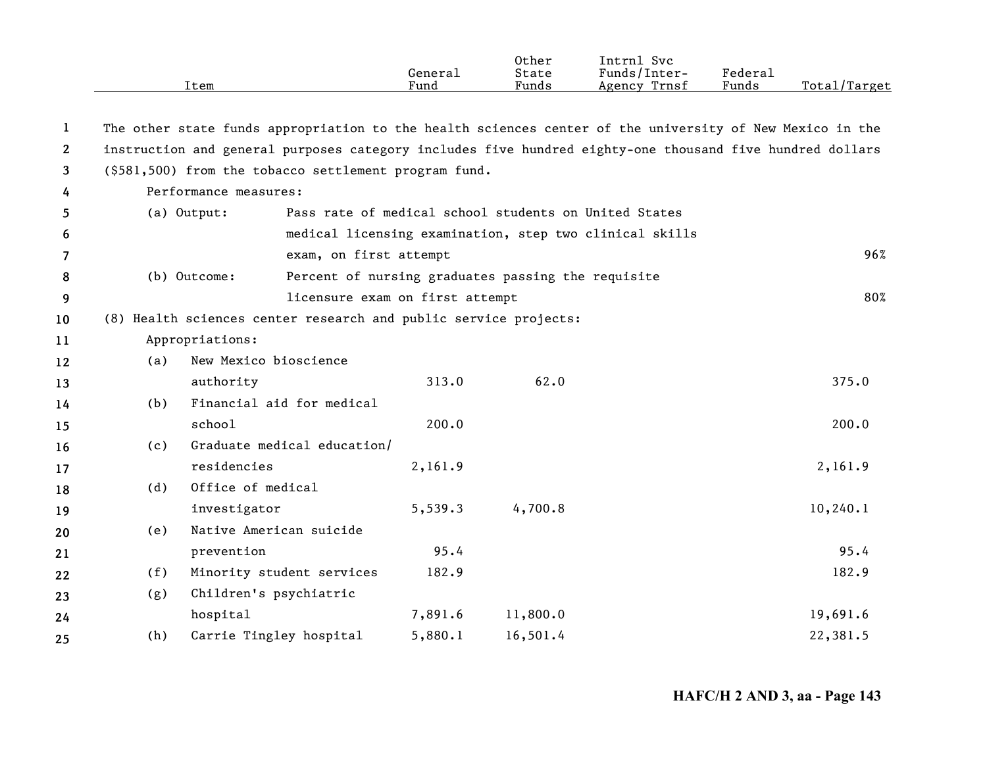|              |                       | Item                                                                                                     | General<br>Fund                                    | Other<br>State<br>Funds | Intrnl Svc<br>Funds/Inter-<br>Agency Trnsf              | Federal<br>Funds | Total/Target |  |  |  |
|--------------|-----------------------|----------------------------------------------------------------------------------------------------------|----------------------------------------------------|-------------------------|---------------------------------------------------------|------------------|--------------|--|--|--|
| 1            |                       | The other state funds appropriation to the health sciences center of the university of New Mexico in the |                                                    |                         |                                                         |                  |              |  |  |  |
| $\mathbf{2}$ |                       | instruction and general purposes category includes five hundred eighty-one thousand five hundred dollars |                                                    |                         |                                                         |                  |              |  |  |  |
| 3            |                       | (\$581,500) from the tobacco settlement program fund.                                                    |                                                    |                         |                                                         |                  |              |  |  |  |
| 4            | Performance measures: |                                                                                                          |                                                    |                         |                                                         |                  |              |  |  |  |
| 5            |                       | (a) Output:                                                                                              |                                                    |                         | Pass rate of medical school students on United States   |                  |              |  |  |  |
| 6            |                       |                                                                                                          |                                                    |                         | medical licensing examination, step two clinical skills |                  |              |  |  |  |
| 7            |                       | exam, on first attempt                                                                                   |                                                    |                         |                                                         |                  | 96%          |  |  |  |
| 8            |                       | (b) Outcome:                                                                                             | Percent of nursing graduates passing the requisite |                         |                                                         |                  |              |  |  |  |
| 9            |                       |                                                                                                          | licensure exam on first attempt                    |                         |                                                         |                  | 80%          |  |  |  |
| 10           |                       | (8) Health sciences center research and public service projects:                                         |                                                    |                         |                                                         |                  |              |  |  |  |
| 11           |                       | Appropriations:                                                                                          |                                                    |                         |                                                         |                  |              |  |  |  |
| 12           | (a)                   | New Mexico bioscience                                                                                    |                                                    |                         |                                                         |                  |              |  |  |  |
| 13           |                       | authority                                                                                                | 313.0                                              | 62.0                    |                                                         |                  | 375.0        |  |  |  |
| 14           | (b)                   | Financial aid for medical                                                                                |                                                    |                         |                                                         |                  |              |  |  |  |
| 15           |                       | school                                                                                                   | 200.0                                              |                         |                                                         |                  | 200.0        |  |  |  |
| 16           | (c)                   | Graduate medical education/                                                                              |                                                    |                         |                                                         |                  |              |  |  |  |
| 17           |                       | residencies                                                                                              | 2,161.9                                            |                         |                                                         |                  | 2,161.9      |  |  |  |
| 18           | (d)                   | Office of medical                                                                                        |                                                    |                         |                                                         |                  |              |  |  |  |
| 19           |                       | investigator                                                                                             | 5,539.3                                            | 4,700.8                 |                                                         |                  | 10, 240.1    |  |  |  |
| 20           | (e)                   | Native American suicide                                                                                  |                                                    |                         |                                                         |                  |              |  |  |  |
| 21           |                       | prevention                                                                                               | 95.4                                               |                         |                                                         |                  | 95.4         |  |  |  |
| 22           | (f)                   | Minority student services                                                                                | 182.9                                              |                         |                                                         |                  | 182.9        |  |  |  |
| 23           | (g)                   | Children's psychiatric                                                                                   |                                                    |                         |                                                         |                  |              |  |  |  |
| 24           |                       | hospital                                                                                                 | 7,891.6                                            | 11,800.0                |                                                         |                  | 19,691.6     |  |  |  |
| 25           | (h)                   | Carrie Tingley hospital                                                                                  | 5,880.1                                            | 16,501.4                |                                                         |                  | 22,381.5     |  |  |  |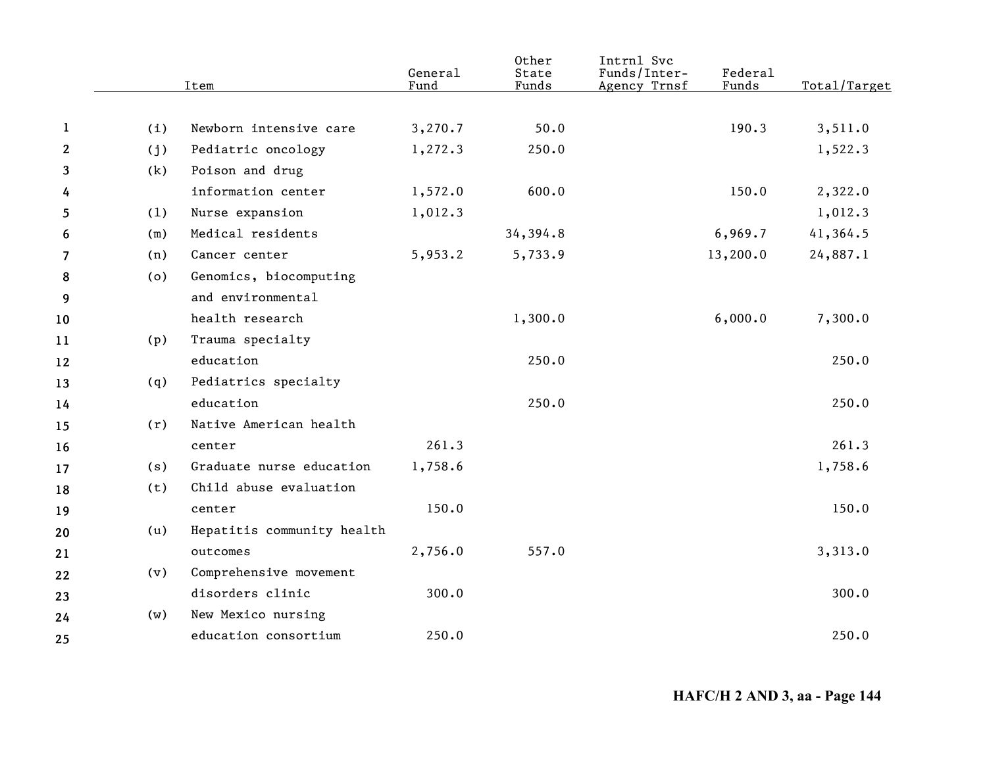|              | Item |                            | General<br>Fund | Other<br>State<br>Funds | Intrnl Svc<br>Funds/Inter-<br>Agency Trnsf | Federal<br>Funds | Total/Target |
|--------------|------|----------------------------|-----------------|-------------------------|--------------------------------------------|------------------|--------------|
|              |      |                            |                 |                         |                                            |                  |              |
| -1           | (i)  | Newborn intensive care     | 3,270.7         | 50.0                    |                                            | 190.3            | 3,511.0      |
| $\mathbf{2}$ | (j)  | Pediatric oncology         | 1,272.3         | 250.0                   |                                            |                  | 1,522.3      |
| 3            | (k)  | Poison and drug            |                 |                         |                                            |                  |              |
| 4            |      | information center         | 1,572.0         | 600.0                   |                                            | 150.0            | 2,322.0      |
| 5            | (1)  | Nurse expansion            | 1,012.3         |                         |                                            |                  | 1,012.3      |
| 6            | (m)  | Medical residents          |                 | 34,394.8                |                                            | 6,969.7          | 41,364.5     |
| 7            | (n)  | Cancer center              | 5,953.2         | 5,733.9                 |                                            | 13,200.0         | 24,887.1     |
| 8            | (o)  | Genomics, biocomputing     |                 |                         |                                            |                  |              |
| 9            |      | and environmental          |                 |                         |                                            |                  |              |
| 10           |      | health research            |                 | 1,300.0                 |                                            | 6,000.0          | 7,300.0      |
| 11           | (p)  | Trauma specialty           |                 |                         |                                            |                  |              |
| 12           |      | education                  |                 | 250.0                   |                                            |                  | 250.0        |
| 13           | (q)  | Pediatrics specialty       |                 |                         |                                            |                  |              |
| 14           |      | education                  |                 | 250.0                   |                                            |                  | 250.0        |
| 15           | (r)  | Native American health     |                 |                         |                                            |                  |              |
| 16           |      | center                     | 261.3           |                         |                                            |                  | 261.3        |
| 17           | (s)  | Graduate nurse education   | 1,758.6         |                         |                                            |                  | 1,758.6      |
| 18           | (t)  | Child abuse evaluation     |                 |                         |                                            |                  |              |
| 19           |      | center                     | 150.0           |                         |                                            |                  | 150.0        |
| 20           | (u)  | Hepatitis community health |                 |                         |                                            |                  |              |
| 21           |      | outcomes                   | 2,756.0         | 557.0                   |                                            |                  | 3,313.0      |
| 22           | (v)  | Comprehensive movement     |                 |                         |                                            |                  |              |
| 23           |      | disorders clinic           | 300.0           |                         |                                            |                  | 300.0        |
| 24           | (w)  | New Mexico nursing         |                 |                         |                                            |                  |              |
| 25           |      | education consortium       | 250.0           |                         |                                            |                  | 250.0        |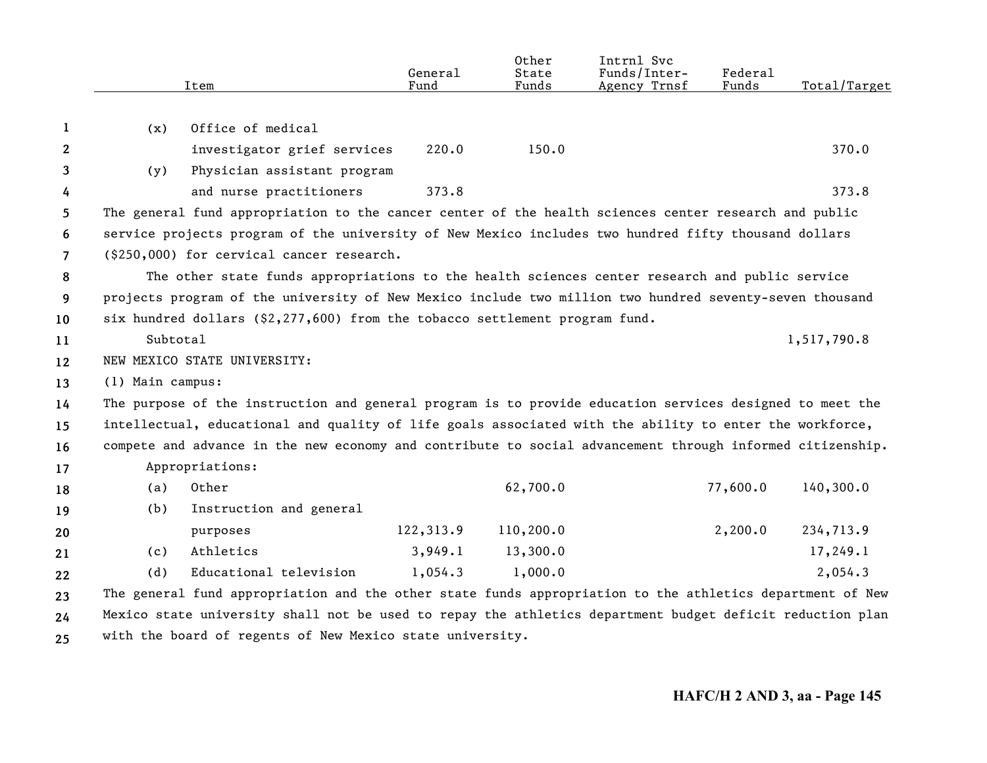|                       |                  | Item                                                                                                      | General<br>Fund | Other<br>State<br>Funds | Intrnl Svc<br>Funds/Inter-<br>Agency Trnsf | Federal<br>Funds | Total/Target |
|-----------------------|------------------|-----------------------------------------------------------------------------------------------------------|-----------------|-------------------------|--------------------------------------------|------------------|--------------|
|                       |                  |                                                                                                           |                 |                         |                                            |                  |              |
| 1                     | (x)              | Office of medical                                                                                         |                 |                         |                                            |                  |              |
| $\mathbf{2}^{\prime}$ |                  | investigator grief services                                                                               | 220.0           | 150.0                   |                                            |                  | 370.0        |
| 3                     | (y)              | Physician assistant program                                                                               |                 |                         |                                            |                  |              |
| 4                     |                  | and nurse practitioners                                                                                   | 373.8           |                         |                                            |                  | 373.8        |
| 5.                    |                  | The general fund appropriation to the cancer center of the health sciences center research and public     |                 |                         |                                            |                  |              |
| 6                     |                  | service projects program of the university of New Mexico includes two hundred fifty thousand dollars      |                 |                         |                                            |                  |              |
| $\overline{7}$        |                  | (\$250,000) for cervical cancer research.                                                                 |                 |                         |                                            |                  |              |
| 8                     |                  | The other state funds appropriations to the health sciences center research and public service            |                 |                         |                                            |                  |              |
| 9                     |                  | projects program of the university of New Mexico include two million two hundred seventy-seven thousand   |                 |                         |                                            |                  |              |
| 10                    |                  | six hundred dollars $(52, 277, 600)$ from the tobacco settlement program fund.                            |                 |                         |                                            |                  |              |
| 11                    | Subtotal         |                                                                                                           |                 |                         |                                            |                  | 1,517,790.8  |
| 12                    |                  | NEW MEXICO STATE UNIVERSITY:                                                                              |                 |                         |                                            |                  |              |
| 13                    | (1) Main campus: |                                                                                                           |                 |                         |                                            |                  |              |
| 14                    |                  | The purpose of the instruction and general program is to provide education services designed to meet the  |                 |                         |                                            |                  |              |
| 15                    |                  | intellectual, educational and quality of life goals associated with the ability to enter the workforce,   |                 |                         |                                            |                  |              |
| 16                    |                  | compete and advance in the new economy and contribute to social advancement through informed citizenship. |                 |                         |                                            |                  |              |
| 17                    |                  | Appropriations:                                                                                           |                 |                         |                                            |                  |              |
| 18                    | (a)              | Other                                                                                                     |                 | 62,700.0                |                                            | 77,600.0         | 140,300.0    |
| 19                    | (b)              | Instruction and general                                                                                   |                 |                         |                                            |                  |              |
| 20                    |                  | purposes                                                                                                  | 122,313.9       | 110,200.0               |                                            | 2,200.0          | 234,713.9    |
| 21                    | (c)              | Athletics                                                                                                 | 3,949.1         | 13,300.0                |                                            |                  | 17,249.1     |
| 22                    | (d)              | Educational television                                                                                    | 1,054.3         | 1,000.0                 |                                            |                  | 2,054.3      |
| 23                    |                  | The general fund appropriation and the other state funds appropriation to the athletics department of New |                 |                         |                                            |                  |              |
| 24                    |                  | Mexico state university shall not be used to repay the athletics department budget deficit reduction plan |                 |                         |                                            |                  |              |
| 25                    |                  | with the board of regents of New Mexico state university.                                                 |                 |                         |                                            |                  |              |

**25**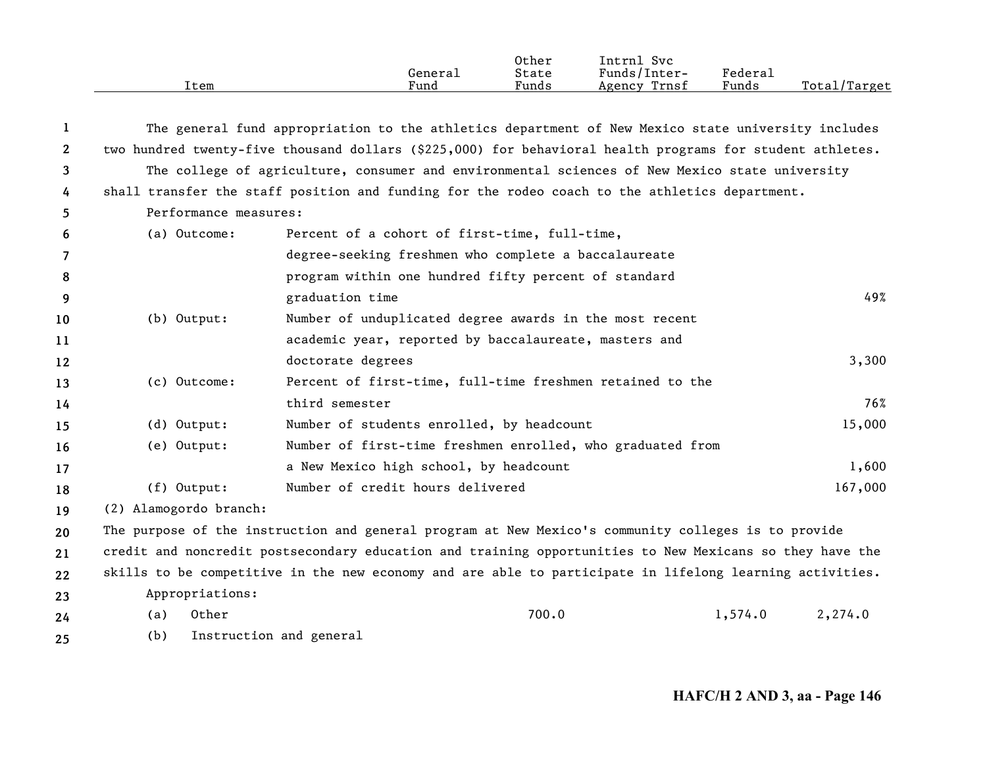|      | General | Other<br>State | Intrn1<br>Svc<br>Funds/Inter- | Federal |                    |
|------|---------|----------------|-------------------------------|---------|--------------------|
| Item | Fund    | Funds          | Trnsf<br>Agency               | Funds   | l/Target<br>Total/ |

| -1           |                        | The general fund appropriation to the athletics department of New Mexico state university includes        |                    |     |
|--------------|------------------------|-----------------------------------------------------------------------------------------------------------|--------------------|-----|
| $\mathbf{2}$ |                        | two hundred twenty-five thousand dollars (\$225,000) for behavioral health programs for student athletes. |                    |     |
| 3            |                        | The college of agriculture, consumer and environmental sciences of New Mexico state university            |                    |     |
| 4            |                        | shall transfer the staff position and funding for the rodeo coach to the athletics department.            |                    |     |
| 5            | Performance measures:  |                                                                                                           |                    |     |
| 6            | (a) Outcome:           | Percent of a cohort of first-time, full-time,                                                             |                    |     |
| 7            |                        | degree-seeking freshmen who complete a baccalaureate                                                      |                    |     |
| 8            |                        | program within one hundred fifty percent of standard                                                      |                    |     |
| 9            |                        | graduation time                                                                                           |                    | 49% |
| 10           | $(b)$ Output:          | Number of unduplicated degree awards in the most recent                                                   |                    |     |
| 11           |                        | academic year, reported by baccalaureate, masters and                                                     |                    |     |
| 12           |                        | doctorate degrees                                                                                         | 3,300              |     |
| 13           | (c) Outcome:           | Percent of first-time, full-time freshmen retained to the                                                 |                    |     |
| 14           |                        | third semester                                                                                            |                    | 76% |
| 15           | $(d)$ Output:          | Number of students enrolled, by headcount                                                                 | 15,000             |     |
| 16           | (e) Output:            | Number of first-time freshmen enrolled, who graduated from                                                |                    |     |
| 17           |                        | a New Mexico high school, by headcount                                                                    | 1,600              |     |
| 18           | $(f)$ Output:          | Number of credit hours delivered                                                                          | 167,000            |     |
| 19           | (2) Alamogordo branch: |                                                                                                           |                    |     |
| 20           |                        | The purpose of the instruction and general program at New Mexico's community colleges is to provide       |                    |     |
| 21           |                        | credit and noncredit postsecondary education and training opportunities to New Mexicans so they have the  |                    |     |
| 22           |                        | skills to be competitive in the new economy and are able to participate in lifelong learning activities.  |                    |     |
| 23           | Appropriations:        |                                                                                                           |                    |     |
| 24           | Other<br>(a)           | 700.0                                                                                                     | 1,574.0<br>2,274.0 |     |
| 25           | (b)                    | Instruction and general                                                                                   |                    |     |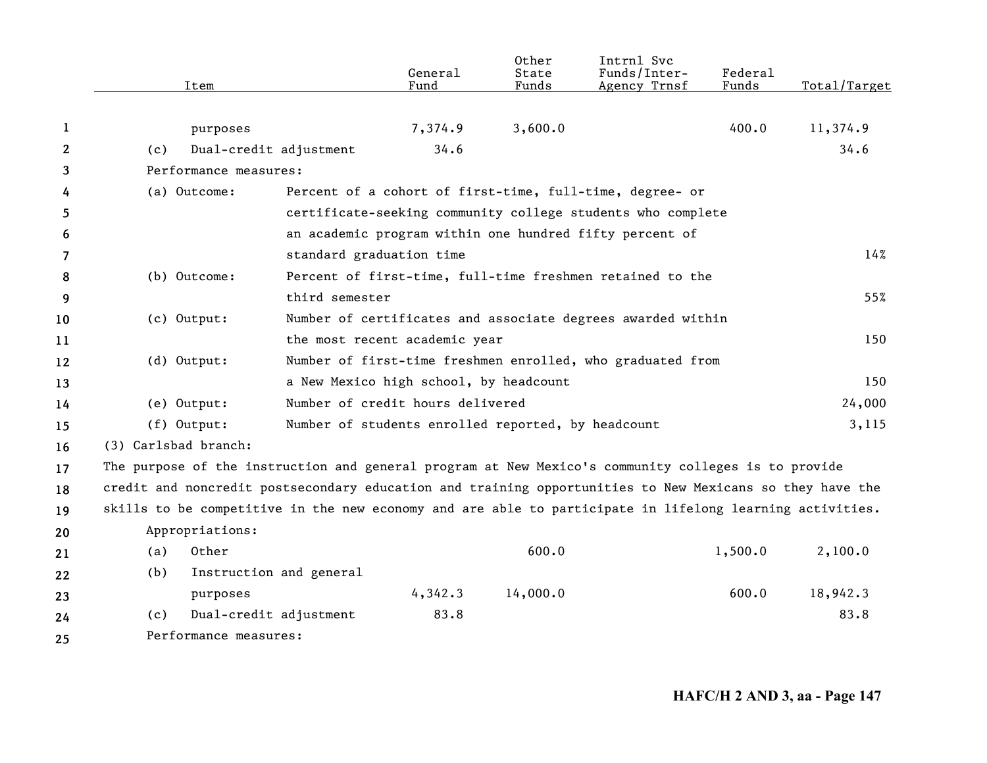|              | Item                                                                                                     |                          | General<br>Fund                                    | Other<br>State<br>Funds | Intrnl Svc<br>Funds/Inter-<br>Agency Trnsf                  | Federal<br>Funds | Total/Target |
|--------------|----------------------------------------------------------------------------------------------------------|--------------------------|----------------------------------------------------|-------------------------|-------------------------------------------------------------|------------------|--------------|
| 1            | purposes                                                                                                 |                          | 7,374.9                                            | 3,600.0                 |                                                             | 400.0            | 11,374.9     |
| $\mathbf{2}$ | (c)                                                                                                      | Dual-credit adjustment   | 34.6                                               |                         |                                                             |                  | 34.6         |
| 3            | Performance measures:                                                                                    |                          |                                                    |                         |                                                             |                  |              |
| 4            | (a) Outcome:                                                                                             |                          |                                                    |                         | Percent of a cohort of first-time, full-time, degree- or    |                  |              |
| 5            |                                                                                                          |                          |                                                    |                         | certificate-seeking community college students who complete |                  |              |
| 6            |                                                                                                          |                          |                                                    |                         | an academic program within one hundred fifty percent of     |                  |              |
| 7            |                                                                                                          | standard graduation time |                                                    |                         |                                                             |                  | 14%          |
| 8            | (b) Outcome:                                                                                             |                          |                                                    |                         | Percent of first-time, full-time freshmen retained to the   |                  |              |
| 9            |                                                                                                          | third semester           |                                                    |                         |                                                             |                  | 55%          |
| 10           | (c) Output:                                                                                              |                          |                                                    |                         | Number of certificates and associate degrees awarded within |                  |              |
| 11           |                                                                                                          |                          | the most recent academic year                      |                         |                                                             |                  | 150          |
| 12           | $(d)$ Output:                                                                                            |                          |                                                    |                         | Number of first-time freshmen enrolled, who graduated from  |                  |              |
| 13           |                                                                                                          |                          | a New Mexico high school, by headcount             |                         |                                                             |                  | 150          |
| 14           | (e) Output:                                                                                              |                          | Number of credit hours delivered                   |                         |                                                             |                  | 24,000       |
| 15           | $(f)$ Output:                                                                                            |                          | Number of students enrolled reported, by headcount |                         |                                                             |                  | 3,115        |
| 16           | (3) Carlsbad branch:                                                                                     |                          |                                                    |                         |                                                             |                  |              |
| 17           | The purpose of the instruction and general program at New Mexico's community colleges is to provide      |                          |                                                    |                         |                                                             |                  |              |
| 18           | credit and noncredit postsecondary education and training opportunities to New Mexicans so they have the |                          |                                                    |                         |                                                             |                  |              |
| 19           | skills to be competitive in the new economy and are able to participate in lifelong learning activities. |                          |                                                    |                         |                                                             |                  |              |
| 20           | Appropriations:                                                                                          |                          |                                                    |                         |                                                             |                  |              |
| 21           | Other<br>(a)                                                                                             |                          |                                                    | 600.0                   |                                                             | 1,500.0          | 2,100.0      |
| 22           | (b)                                                                                                      | Instruction and general  |                                                    |                         |                                                             |                  |              |
| 23           | purposes                                                                                                 |                          | 4,342.3                                            | 14,000.0                |                                                             | 600.0            | 18,942.3     |
| 24           | (c)                                                                                                      | Dual-credit adjustment   | 83.8                                               |                         |                                                             |                  | 83.8         |
| 25           | Performance measures:                                                                                    |                          |                                                    |                         |                                                             |                  |              |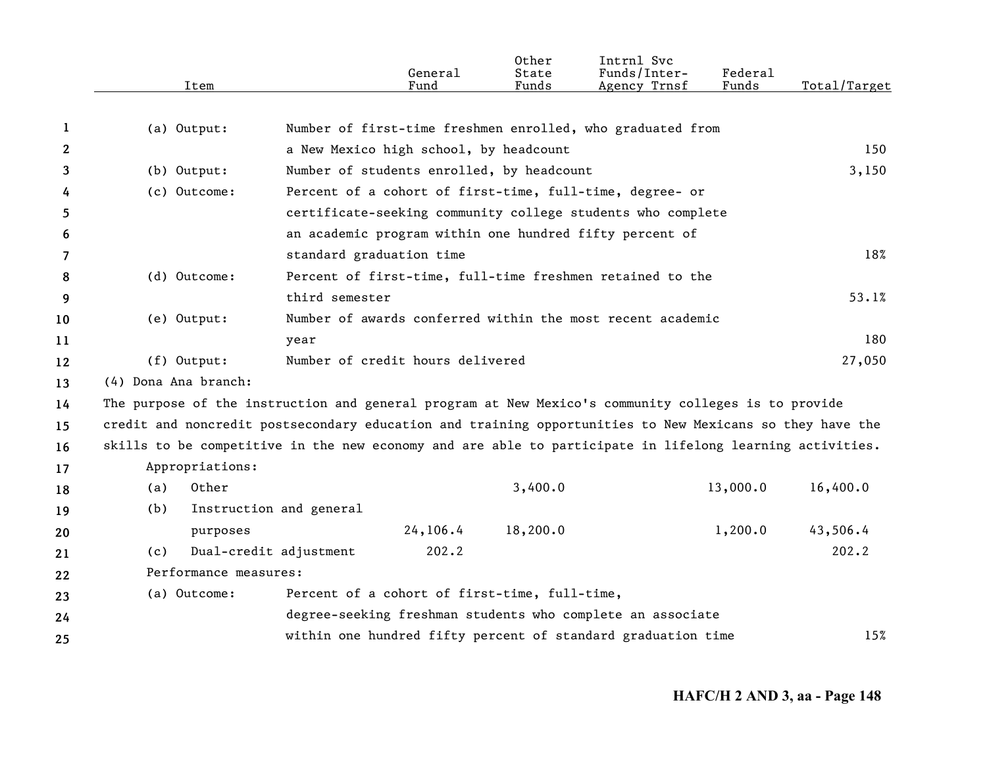|              | Item                                                                                                     |                                               | General<br>Fund | Other<br>State<br>Funds | Intrnl Svc<br>Funds/Inter-<br>Agency Trnsf                   | Federal<br>Funds | Total/Target |
|--------------|----------------------------------------------------------------------------------------------------------|-----------------------------------------------|-----------------|-------------------------|--------------------------------------------------------------|------------------|--------------|
|              |                                                                                                          |                                               |                 |                         |                                                              |                  |              |
| 1            | (a) Output:                                                                                              |                                               |                 |                         | Number of first-time freshmen enrolled, who graduated from   |                  |              |
| $\mathbf{2}$ |                                                                                                          | a New Mexico high school, by headcount        |                 |                         |                                                              |                  | 150          |
| 3            | $(b)$ Output:                                                                                            | Number of students enrolled, by headcount     |                 |                         |                                                              |                  | 3,150        |
| 4            | (c) Outcome:                                                                                             |                                               |                 |                         | Percent of a cohort of first-time, full-time, degree- or     |                  |              |
| 5            |                                                                                                          |                                               |                 |                         | certificate-seeking community college students who complete  |                  |              |
| 6            |                                                                                                          |                                               |                 |                         | an academic program within one hundred fifty percent of      |                  |              |
| 7            |                                                                                                          | standard graduation time                      |                 |                         |                                                              |                  | 18%          |
| 8            | (d) Outcome:                                                                                             |                                               |                 |                         | Percent of first-time, full-time freshmen retained to the    |                  |              |
| 9            |                                                                                                          | third semester                                |                 |                         |                                                              |                  | 53.1%        |
| 10           | (e) Output:                                                                                              |                                               |                 |                         | Number of awards conferred within the most recent academic   |                  |              |
| 11           |                                                                                                          | year                                          |                 |                         |                                                              |                  | 180          |
| 12           | (f) Output:                                                                                              | Number of credit hours delivered              |                 |                         |                                                              |                  | 27,050       |
| 13           | (4) Dona Ana branch:                                                                                     |                                               |                 |                         |                                                              |                  |              |
| 14           | The purpose of the instruction and general program at New Mexico's community colleges is to provide      |                                               |                 |                         |                                                              |                  |              |
| 15           | credit and noncredit postsecondary education and training opportunities to New Mexicans so they have the |                                               |                 |                         |                                                              |                  |              |
| 16           | skills to be competitive in the new economy and are able to participate in lifelong learning activities. |                                               |                 |                         |                                                              |                  |              |
| 17           | Appropriations:                                                                                          |                                               |                 |                         |                                                              |                  |              |
| 18           | Other<br>(a)                                                                                             |                                               |                 | 3,400.0                 |                                                              | 13,000.0         | 16,400.0     |
| 19           | (b)                                                                                                      | Instruction and general                       |                 |                         |                                                              |                  |              |
| 20           | purposes                                                                                                 |                                               | 24,106.4        | 18,200.0                |                                                              | 1,200.0          | 43,506.4     |
| 21           | (c)                                                                                                      | Dual-credit adjustment                        | 202.2           |                         |                                                              |                  | 202.2        |
| 22           | Performance measures:                                                                                    |                                               |                 |                         |                                                              |                  |              |
| 23           | (a) Outcome:                                                                                             | Percent of a cohort of first-time, full-time, |                 |                         |                                                              |                  |              |
| 24           |                                                                                                          |                                               |                 |                         | degree-seeking freshman students who complete an associate   |                  |              |
| 25           |                                                                                                          |                                               |                 |                         | within one hundred fifty percent of standard graduation time |                  | 15%          |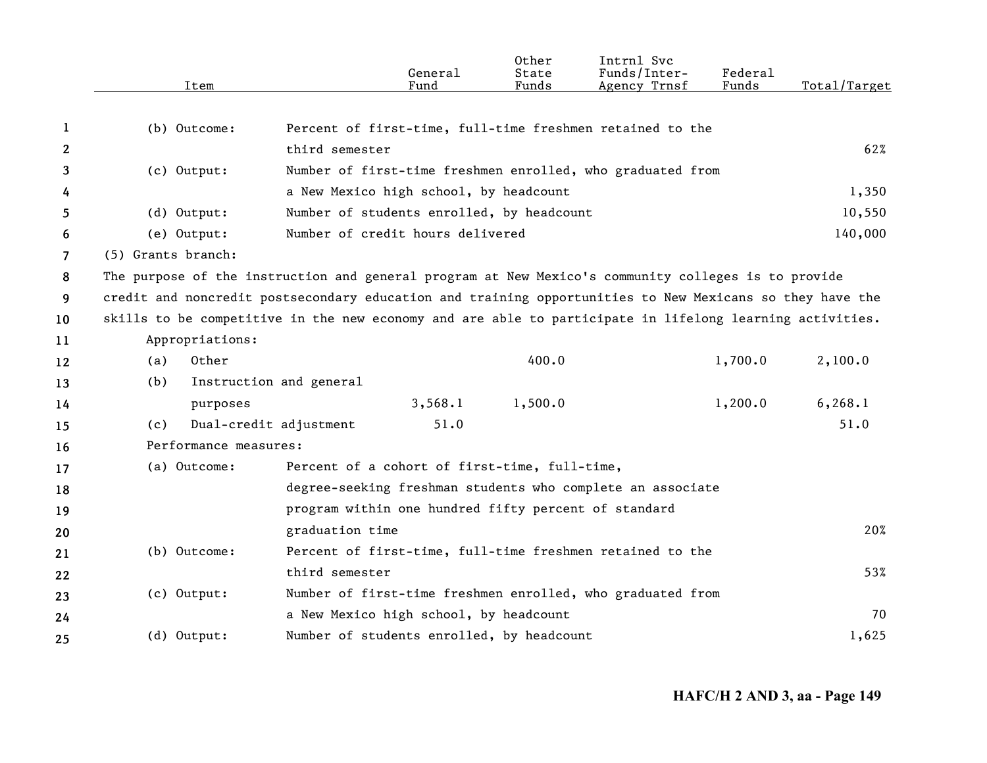|                | Item                                                                                                     |                                                      | General<br>Fund | Other<br>State<br>Funds | Intrnl Svc<br>Funds/Inter-<br>Agency Trnsf                 | Federal<br>Funds | Total/Target |
|----------------|----------------------------------------------------------------------------------------------------------|------------------------------------------------------|-----------------|-------------------------|------------------------------------------------------------|------------------|--------------|
|                |                                                                                                          |                                                      |                 |                         |                                                            |                  |              |
| 1              | (b) Outcome:                                                                                             |                                                      |                 |                         | Percent of first-time, full-time freshmen retained to the  |                  |              |
| $\mathbf{2}$   |                                                                                                          | third semester                                       |                 |                         |                                                            |                  | 62%          |
| 3              | $(c)$ Output:                                                                                            |                                                      |                 |                         | Number of first-time freshmen enrolled, who graduated from |                  |              |
| 4              |                                                                                                          | a New Mexico high school, by headcount               |                 |                         |                                                            |                  | 1,350        |
| 5.             | $(d)$ Output:                                                                                            | Number of students enrolled, by headcount            |                 |                         |                                                            |                  | 10,550       |
| 6              | (e) Output:                                                                                              | Number of credit hours delivered                     |                 |                         |                                                            |                  | 140,000      |
| $\overline{7}$ | (5) Grants branch:                                                                                       |                                                      |                 |                         |                                                            |                  |              |
| 8              | The purpose of the instruction and general program at New Mexico's community colleges is to provide      |                                                      |                 |                         |                                                            |                  |              |
| 9              | credit and noncredit postsecondary education and training opportunities to New Mexicans so they have the |                                                      |                 |                         |                                                            |                  |              |
| 10             | skills to be competitive in the new economy and are able to participate in lifelong learning activities. |                                                      |                 |                         |                                                            |                  |              |
| 11             | Appropriations:                                                                                          |                                                      |                 |                         |                                                            |                  |              |
| 12             | Other<br>(a)                                                                                             |                                                      |                 | 400.0                   |                                                            | 1,700.0          | 2,100.0      |
| 13             | (b)                                                                                                      | Instruction and general                              |                 |                         |                                                            |                  |              |
| 14             | purposes                                                                                                 |                                                      | 3,568.1         | 1,500.0                 |                                                            | 1,200.0          | 6, 268.1     |
| 15             | (c)                                                                                                      | Dual-credit adjustment                               | 51.0            |                         |                                                            |                  | 51.0         |
| 16             | Performance measures:                                                                                    |                                                      |                 |                         |                                                            |                  |              |
| 17             | (a) Outcome:                                                                                             | Percent of a cohort of first-time, full-time,        |                 |                         |                                                            |                  |              |
| 18             |                                                                                                          |                                                      |                 |                         | degree-seeking freshman students who complete an associate |                  |              |
| 19             |                                                                                                          | program within one hundred fifty percent of standard |                 |                         |                                                            |                  |              |
| 20             |                                                                                                          | graduation time                                      |                 |                         |                                                            |                  | 20%          |
| 21             | (b) Outcome:                                                                                             |                                                      |                 |                         | Percent of first-time, full-time freshmen retained to the  |                  |              |
| 22             |                                                                                                          | third semester                                       |                 |                         |                                                            |                  | 53%          |
| 23             | (c) Output:                                                                                              |                                                      |                 |                         | Number of first-time freshmen enrolled, who graduated from |                  |              |
| 24             |                                                                                                          | a New Mexico high school, by headcount               |                 |                         |                                                            |                  | 70           |
| 25             | (d) Output:                                                                                              | Number of students enrolled, by headcount            |                 |                         |                                                            |                  | 1,625        |
|                |                                                                                                          |                                                      |                 |                         |                                                            |                  |              |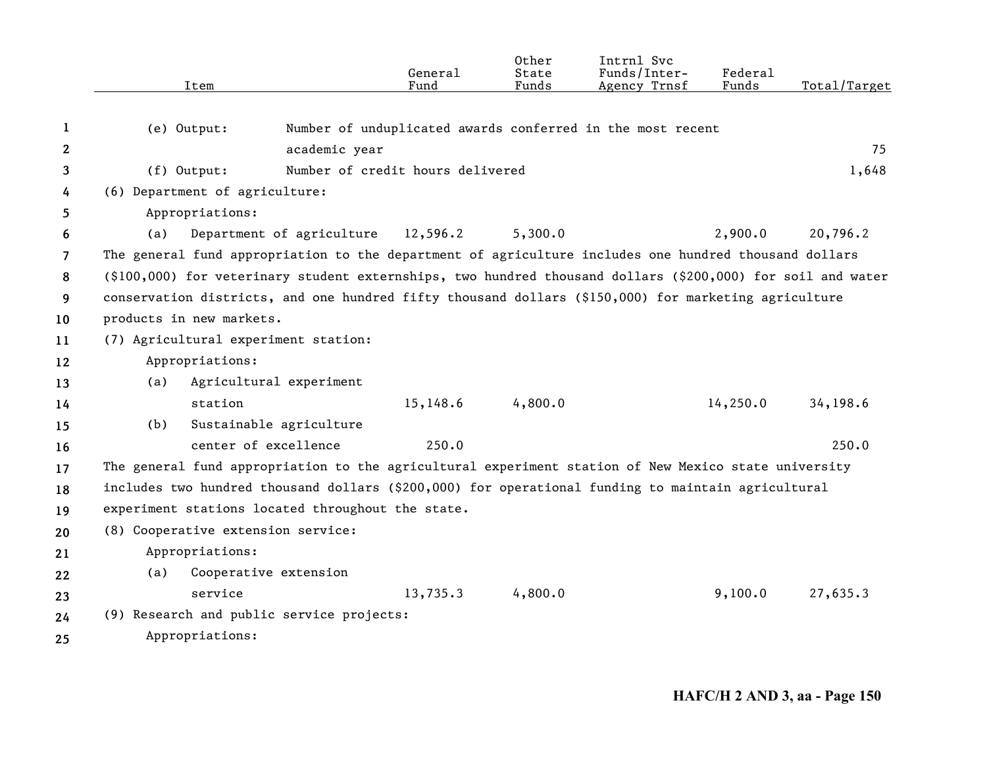|                | Item                                                                                                                 |                                    | General<br>Fund | Other<br>State<br>Funds | Intrnl Svc<br>Funds/Inter-<br>Agency Trnsf                 | Federal<br>Funds | Total/Target |
|----------------|----------------------------------------------------------------------------------------------------------------------|------------------------------------|-----------------|-------------------------|------------------------------------------------------------|------------------|--------------|
| 1              | (e) Output:                                                                                                          |                                    |                 |                         | Number of unduplicated awards conferred in the most recent |                  |              |
| $\mathbf{2}$   |                                                                                                                      | academic year                      |                 |                         |                                                            |                  | 75           |
| 3              | $(f)$ Output:                                                                                                        | Number of credit hours delivered   |                 |                         |                                                            |                  | 1,648        |
| 4              | (6) Department of agriculture:                                                                                       |                                    |                 |                         |                                                            |                  |              |
| 5              | Appropriations:                                                                                                      |                                    |                 |                         |                                                            |                  |              |
| 6              | (a)                                                                                                                  | Department of agriculture 12,596.2 |                 | 5,300.0                 |                                                            | 2,900.0          | 20,796.2     |
| $\overline{7}$ | The general fund appropriation to the department of agriculture includes one hundred thousand dollars                |                                    |                 |                         |                                                            |                  |              |
| 8              | $(\text{\$100},000)$ for veterinary student externships, two hundred thousand dollars (\$200,000) for soil and water |                                    |                 |                         |                                                            |                  |              |
| 9              | conservation districts, and one hundred fifty thousand dollars (\$150,000) for marketing agriculture                 |                                    |                 |                         |                                                            |                  |              |
| 10             | products in new markets.                                                                                             |                                    |                 |                         |                                                            |                  |              |
| 11             | (7) Agricultural experiment station:                                                                                 |                                    |                 |                         |                                                            |                  |              |
| 12             | Appropriations:                                                                                                      |                                    |                 |                         |                                                            |                  |              |
| 13             | (a)                                                                                                                  | Agricultural experiment            |                 |                         |                                                            |                  |              |
| 14             | station                                                                                                              |                                    | 15,148.6        | 4,800.0                 |                                                            | 14,250.0         | 34,198.6     |
| 15             | (b)                                                                                                                  | Sustainable agriculture            |                 |                         |                                                            |                  |              |
| 16             |                                                                                                                      | center of excellence               | 250.0           |                         |                                                            |                  | 250.0        |
| 17             | The general fund appropriation to the agricultural experiment station of New Mexico state university                 |                                    |                 |                         |                                                            |                  |              |
| 18             | includes two hundred thousand dollars (\$200,000) for operational funding to maintain agricultural                   |                                    |                 |                         |                                                            |                  |              |
| 19             | experiment stations located throughout the state.                                                                    |                                    |                 |                         |                                                            |                  |              |
| 20             | (8) Cooperative extension service:                                                                                   |                                    |                 |                         |                                                            |                  |              |
| 21             | Appropriations:                                                                                                      |                                    |                 |                         |                                                            |                  |              |
| 22             | (a)                                                                                                                  | Cooperative extension              |                 |                         |                                                            |                  |              |
| 23             | service                                                                                                              |                                    | 13,735.3        | 4,800.0                 |                                                            | 9,100.0          | 27,635.3     |
| 24             | (9) Research and public service projects:                                                                            |                                    |                 |                         |                                                            |                  |              |
| 25             | Appropriations:                                                                                                      |                                    |                 |                         |                                                            |                  |              |
|                |                                                                                                                      |                                    |                 |                         |                                                            |                  |              |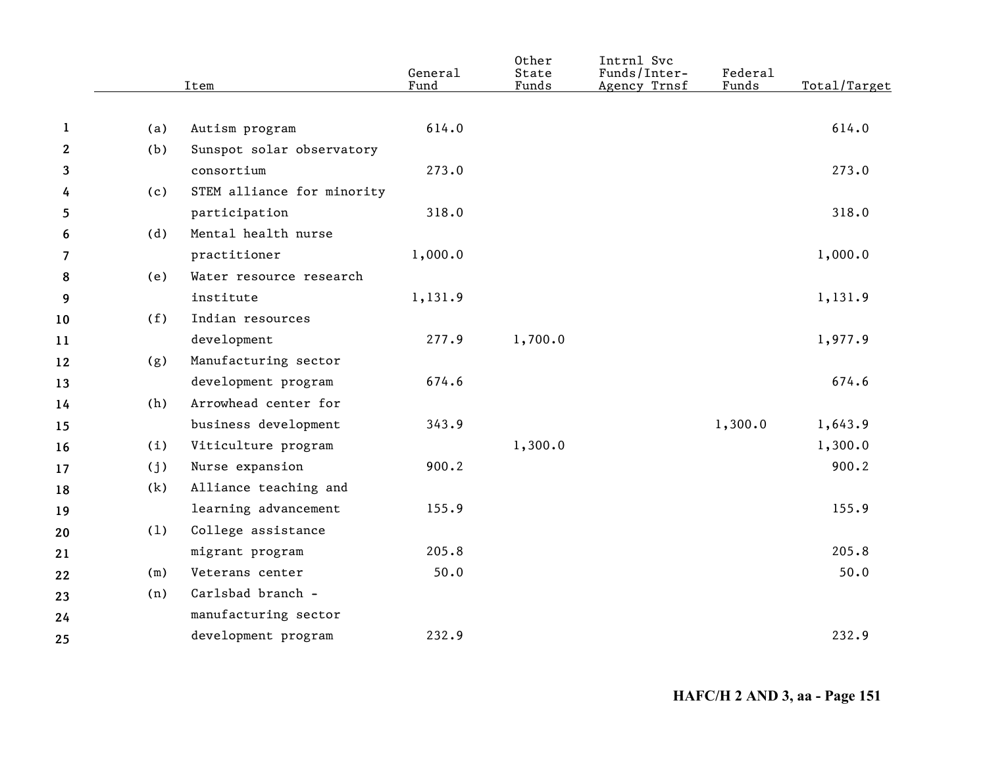|              |     | Item                       | General<br>Fund | Other<br>State<br>Funds | Intrnl Svc<br>Funds/Inter-<br>Agency Trnsf | Federal<br>Funds | Total/Target |
|--------------|-----|----------------------------|-----------------|-------------------------|--------------------------------------------|------------------|--------------|
|              |     |                            |                 |                         |                                            |                  |              |
| $\mathbf{1}$ | (a) | Autism program             | 614.0           |                         |                                            |                  | 614.0        |
| $\mathbf{2}$ | (b) | Sunspot solar observatory  |                 |                         |                                            |                  |              |
| 3            |     | consortium                 | 273.0           |                         |                                            |                  | 273.0        |
| 4            | (c) | STEM alliance for minority |                 |                         |                                            |                  |              |
| 5            |     | participation              | 318.0           |                         |                                            |                  | 318.0        |
| 6            | (d) | Mental health nurse        |                 |                         |                                            |                  |              |
| 7            |     | practitioner               | 1,000.0         |                         |                                            |                  | 1,000.0      |
| 8            | (e) | Water resource research    |                 |                         |                                            |                  |              |
| 9            |     | institute                  | 1,131.9         |                         |                                            |                  | 1,131.9      |
| 10           | (f) | Indian resources           |                 |                         |                                            |                  |              |
| 11           |     | development                | 277.9           | 1,700.0                 |                                            |                  | 1,977.9      |
| 12           | (g) | Manufacturing sector       |                 |                         |                                            |                  |              |
| 13           |     | development program        | 674.6           |                         |                                            |                  | 674.6        |
| 14           | (h) | Arrowhead center for       |                 |                         |                                            |                  |              |
| 15           |     | business development       | 343.9           |                         |                                            | 1,300.0          | 1,643.9      |
| 16           | (i) | Viticulture program        |                 | 1,300.0                 |                                            |                  | 1,300.0      |
| 17           | (j) | Nurse expansion            | 900.2           |                         |                                            |                  | 900.2        |
| 18           | (k) | Alliance teaching and      |                 |                         |                                            |                  |              |
| 19           |     | learning advancement       | 155.9           |                         |                                            |                  | 155.9        |
| 20           | (1) | College assistance         |                 |                         |                                            |                  |              |
| 21           |     | migrant program            | 205.8           |                         |                                            |                  | 205.8        |
| 22           | (m) | Veterans center            | 50.0            |                         |                                            |                  | 50.0         |
| 23           | (n) | Carlsbad branch -          |                 |                         |                                            |                  |              |
| 24           |     | manufacturing sector       |                 |                         |                                            |                  |              |
| 25           |     | development program        | 232.9           |                         |                                            |                  | 232.9        |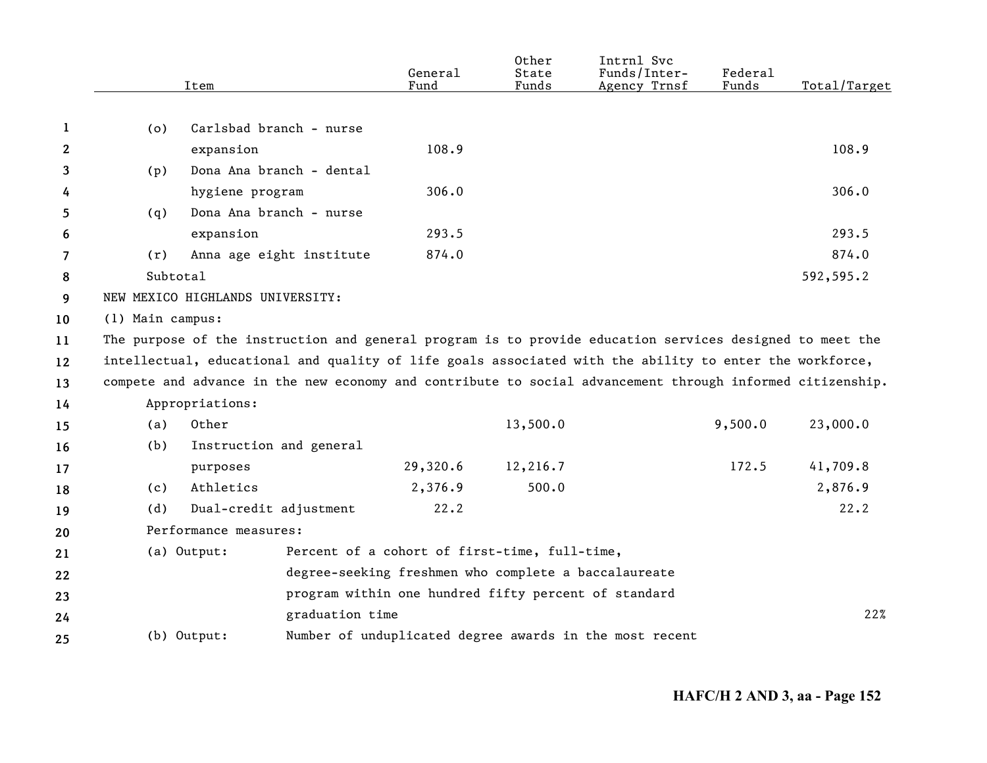|    |                  | Item                                                                                                      | General<br>Fund                               | Other<br>State<br>Funds | Intrnl Svc<br>Funds/Inter-<br>Agency Trnsf              | Federal<br>Funds | Total/Target |
|----|------------------|-----------------------------------------------------------------------------------------------------------|-----------------------------------------------|-------------------------|---------------------------------------------------------|------------------|--------------|
|    |                  |                                                                                                           |                                               |                         |                                                         |                  |              |
| 1  | (o)              | Carlsbad branch - nurse                                                                                   |                                               |                         |                                                         |                  |              |
| 2  |                  | expansion                                                                                                 | 108.9                                         |                         |                                                         |                  | 108.9        |
| 3  | (p)              | Dona Ana branch - dental                                                                                  |                                               |                         |                                                         |                  |              |
| 4  |                  | hygiene program                                                                                           | 306.0                                         |                         |                                                         |                  | 306.0        |
| 5  | (q)              | Dona Ana branch - nurse                                                                                   |                                               |                         |                                                         |                  |              |
| 6  |                  | expansion                                                                                                 | 293.5                                         |                         |                                                         |                  | 293.5        |
| 7  | (r)              | Anna age eight institute                                                                                  | 874.0                                         |                         |                                                         |                  | 874.0        |
| 8  | Subtotal         |                                                                                                           |                                               |                         |                                                         |                  | 592,595.2    |
| 9  |                  | NEW MEXICO HIGHLANDS UNIVERSITY:                                                                          |                                               |                         |                                                         |                  |              |
| 10 | (1) Main campus: |                                                                                                           |                                               |                         |                                                         |                  |              |
| 11 |                  | The purpose of the instruction and general program is to provide education services designed to meet the  |                                               |                         |                                                         |                  |              |
| 12 |                  | intellectual, educational and quality of life goals associated with the ability to enter the workforce,   |                                               |                         |                                                         |                  |              |
| 13 |                  | compete and advance in the new economy and contribute to social advancement through informed citizenship. |                                               |                         |                                                         |                  |              |
| 14 |                  | Appropriations:                                                                                           |                                               |                         |                                                         |                  |              |
| 15 | (a)              | Other                                                                                                     |                                               | 13,500.0                |                                                         | 9,500.0          | 23,000.0     |
| 16 | (b)              | Instruction and general                                                                                   |                                               |                         |                                                         |                  |              |
| 17 |                  | purposes                                                                                                  | 29,320.6                                      | 12,216.7                |                                                         | 172.5            | 41,709.8     |
| 18 | (c)              | Athletics                                                                                                 | 2,376.9                                       | 500.0                   |                                                         |                  | 2,876.9      |
| 19 | (d)              | Dual-credit adjustment                                                                                    | 22.2                                          |                         |                                                         |                  | 22.2         |
| 20 |                  | Performance measures:                                                                                     |                                               |                         |                                                         |                  |              |
| 21 |                  | (a) Output:                                                                                               | Percent of a cohort of first-time, full-time, |                         |                                                         |                  |              |
| 22 |                  |                                                                                                           |                                               |                         | degree-seeking freshmen who complete a baccalaureate    |                  |              |
| 23 |                  |                                                                                                           |                                               |                         | program within one hundred fifty percent of standard    |                  |              |
| 24 |                  | graduation time                                                                                           |                                               |                         |                                                         |                  | 22%          |
| 25 |                  | (b) Output:                                                                                               |                                               |                         | Number of unduplicated degree awards in the most recent |                  |              |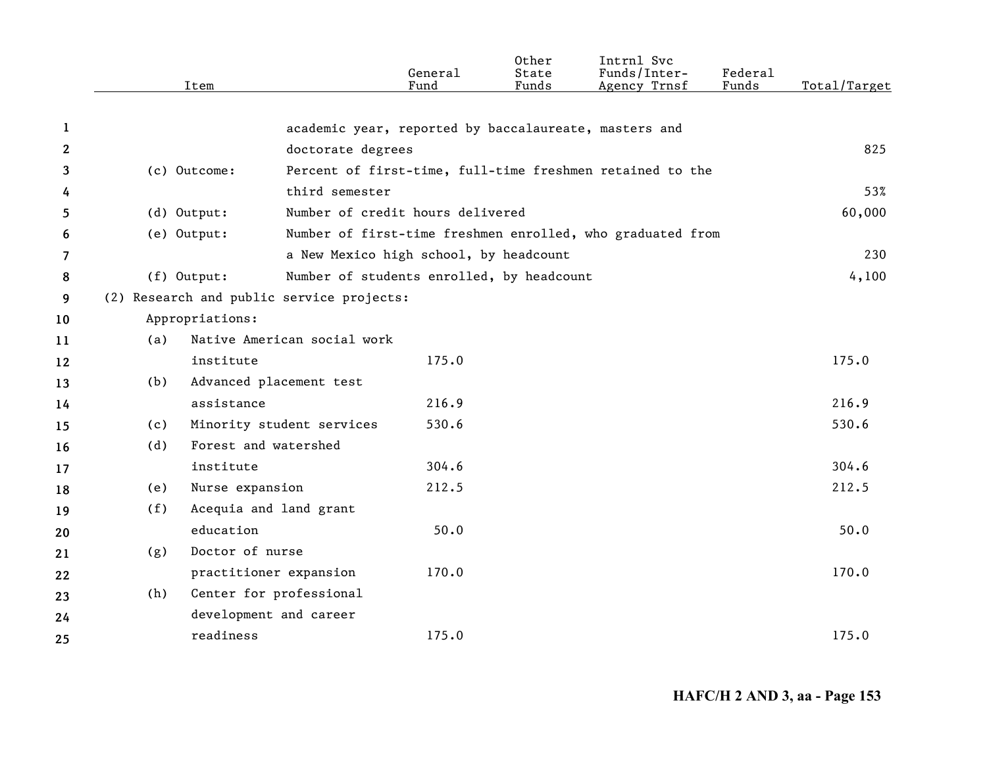|              |               | Item                    |                                           | General<br>Fund | Other<br>State<br>Funds | Intrnl Svc<br>Funds/Inter-<br>Agency Trnsf                 | Federal<br>Funds | Total/Target |
|--------------|---------------|-------------------------|-------------------------------------------|-----------------|-------------------------|------------------------------------------------------------|------------------|--------------|
|              |               |                         |                                           |                 |                         |                                                            |                  |              |
| 1            |               |                         |                                           |                 |                         | academic year, reported by baccalaureate, masters and      |                  |              |
| $\mathbf{2}$ |               |                         | doctorate degrees                         |                 |                         |                                                            |                  | 825          |
| 3            |               | (c) Outcome:            |                                           |                 |                         | Percent of first-time, full-time freshmen retained to the  |                  |              |
| 4            |               |                         | third semester                            |                 |                         |                                                            |                  | 53%          |
| 5            | $(d)$ Output: |                         | Number of credit hours delivered          |                 |                         |                                                            |                  | 60,000       |
| 6            |               | (e) Output:             |                                           |                 |                         | Number of first-time freshmen enrolled, who graduated from |                  |              |
| 7            |               |                         | a New Mexico high school, by headcount    |                 |                         |                                                            |                  | 230          |
| 8            | $(f)$ Output: |                         | Number of students enrolled, by headcount |                 |                         |                                                            |                  | 4,100        |
| 9            |               |                         | (2) Research and public service projects: |                 |                         |                                                            |                  |              |
| 10           |               | Appropriations:         |                                           |                 |                         |                                                            |                  |              |
| 11           | (a)           |                         | Native American social work               |                 |                         |                                                            |                  |              |
| 12           |               | institute               |                                           | 175.0           |                         |                                                            |                  | 175.0        |
| 13           | (b)           | Advanced placement test |                                           |                 |                         |                                                            |                  |              |
| 14           |               | assistance              |                                           | 216.9           |                         |                                                            |                  | 216.9        |
| 15           | (c)           |                         | Minority student services                 | 530.6           |                         |                                                            |                  | 530.6        |
| 16           | (d)           | Forest and watershed    |                                           |                 |                         |                                                            |                  |              |
| 17           |               | institute               |                                           | 304.6           |                         |                                                            |                  | 304.6        |
| 18           | (e)           | Nurse expansion         |                                           | 212.5           |                         |                                                            |                  | 212.5        |
| 19           | (f)           | Acequia and land grant  |                                           |                 |                         |                                                            |                  |              |
| 20           |               | education               |                                           | 50.0            |                         |                                                            |                  | 50.0         |
| 21           | (g)           | Doctor of nurse         |                                           |                 |                         |                                                            |                  |              |
| 22           |               | practitioner expansion  |                                           | 170.0           |                         |                                                            |                  | 170.0        |
| 23           | (h)           | Center for professional |                                           |                 |                         |                                                            |                  |              |
| 24           |               | development and career  |                                           |                 |                         |                                                            |                  |              |
| 25           |               | readiness               |                                           | 175.0           |                         |                                                            |                  | 175.0        |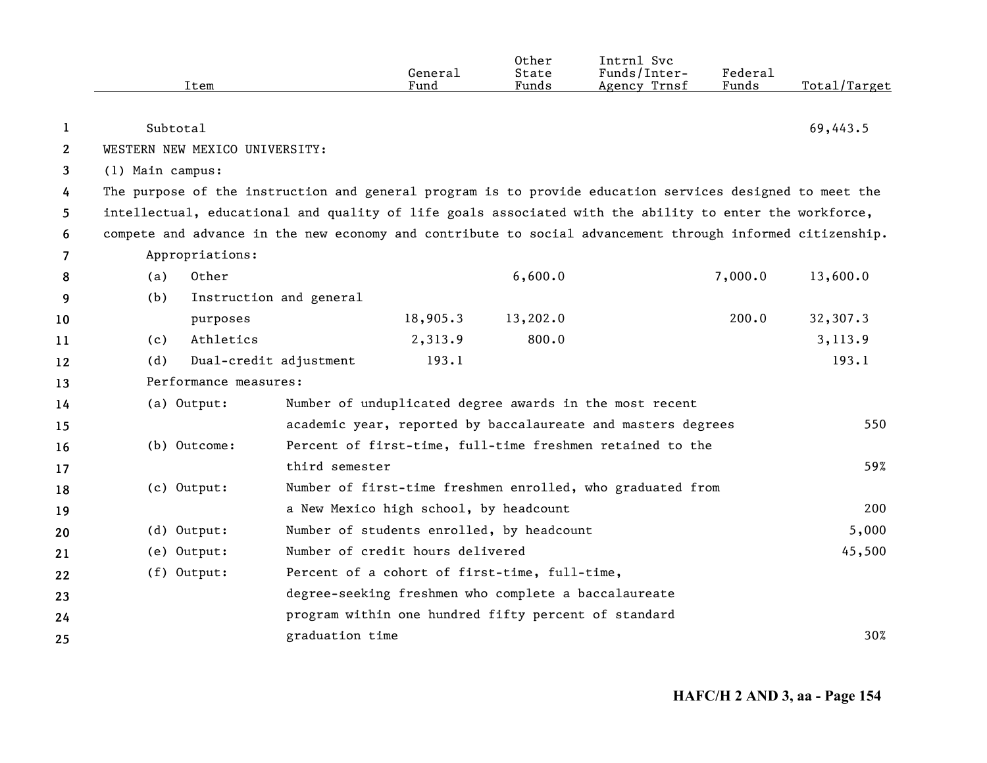|              | Item                                                                                                      |                         | General<br>Fund                                      | Other<br>State<br>Funds | Intrnl Svc<br>Funds/Inter-<br>Agency Trnsf                   | <b>Federal</b><br>Funds | Total/Target |
|--------------|-----------------------------------------------------------------------------------------------------------|-------------------------|------------------------------------------------------|-------------------------|--------------------------------------------------------------|-------------------------|--------------|
| 1            | Subtotal                                                                                                  |                         |                                                      |                         |                                                              |                         | 69,443.5     |
| $\mathbf{2}$ | WESTERN NEW MEXICO UNIVERSITY:                                                                            |                         |                                                      |                         |                                                              |                         |              |
| 3            | (1) Main campus:                                                                                          |                         |                                                      |                         |                                                              |                         |              |
| 4            | The purpose of the instruction and general program is to provide education services designed to meet the  |                         |                                                      |                         |                                                              |                         |              |
| 5            | intellectual, educational and quality of life goals associated with the ability to enter the workforce,   |                         |                                                      |                         |                                                              |                         |              |
| 6            | compete and advance in the new economy and contribute to social advancement through informed citizenship. |                         |                                                      |                         |                                                              |                         |              |
| 7            | Appropriations:                                                                                           |                         |                                                      |                         |                                                              |                         |              |
| 8            | Other<br>(a)                                                                                              |                         |                                                      | 6,600.0                 |                                                              | 7,000.0                 | 13,600.0     |
| 9            | (b)                                                                                                       | Instruction and general |                                                      |                         |                                                              |                         |              |
| 10           | purposes                                                                                                  |                         | 18,905.3                                             | 13,202.0                |                                                              | 200.0                   | 32,307.3     |
| 11           | Athletics<br>(c)                                                                                          |                         | 2,313.9                                              | 800.0                   |                                                              |                         | 3,113.9      |
| 12           | (d)                                                                                                       | Dual-credit adjustment  | 193.1                                                |                         |                                                              |                         | 193.1        |
| 13           | Performance measures:                                                                                     |                         |                                                      |                         |                                                              |                         |              |
| 14           | (a) Output:                                                                                               |                         |                                                      |                         | Number of unduplicated degree awards in the most recent      |                         |              |
| 15           |                                                                                                           |                         |                                                      |                         | academic year, reported by baccalaureate and masters degrees |                         | 550          |
| 16           | (b) Outcome:                                                                                              |                         |                                                      |                         | Percent of first-time, full-time freshmen retained to the    |                         |              |
| 17           |                                                                                                           | third semester          |                                                      |                         |                                                              |                         | 59%          |
| 18           | (c) Output:                                                                                               |                         |                                                      |                         | Number of first-time freshmen enrolled, who graduated from   |                         |              |
| 19           |                                                                                                           |                         | a New Mexico high school, by headcount               |                         |                                                              |                         | 200          |
| 20           | (d) Output:                                                                                               |                         | Number of students enrolled, by headcount            |                         |                                                              |                         | 5,000        |
| 21           | (e) Output:                                                                                               |                         | Number of credit hours delivered                     |                         |                                                              |                         | 45,500       |
| 22           | (f) Output:                                                                                               |                         | Percent of a cohort of first-time, full-time,        |                         |                                                              |                         |              |
| 23           |                                                                                                           |                         | degree-seeking freshmen who complete a baccalaureate |                         |                                                              |                         |              |
| 24           |                                                                                                           |                         | program within one hundred fifty percent of standard |                         |                                                              |                         |              |
| 25           |                                                                                                           | graduation time         |                                                      |                         |                                                              |                         | 30%          |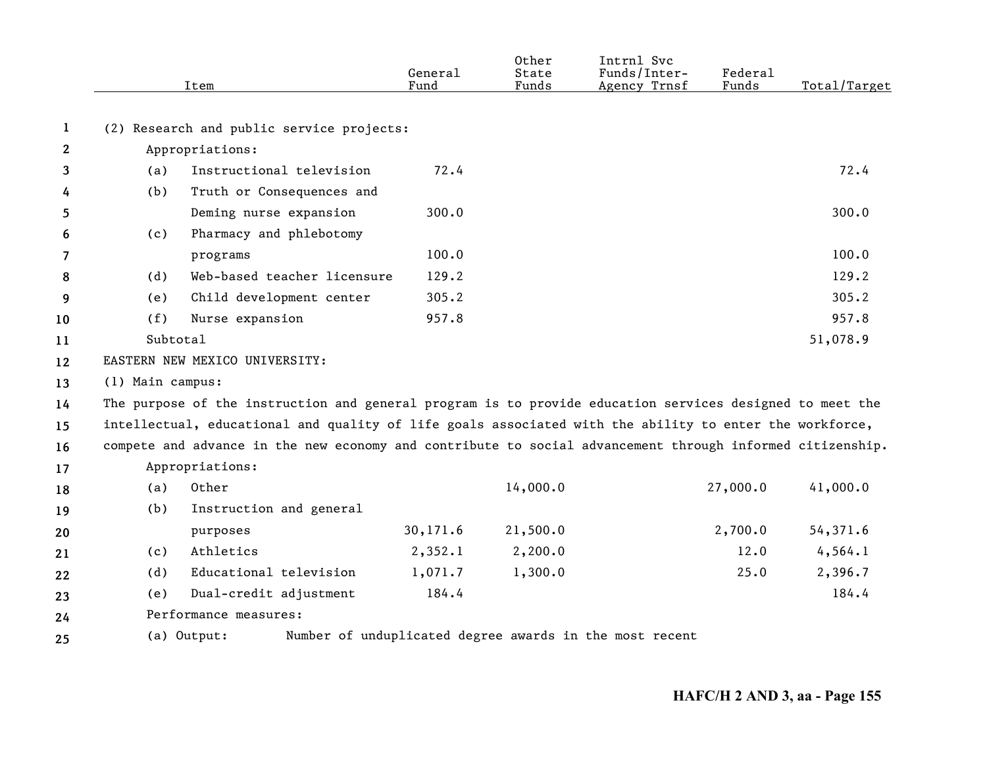|              |                  | Item                                                                                                      | General<br>Fund | Other<br>State<br>Funds | Intrnl Svc<br>Funds/Inter-<br>Agency Trnsf              | Federal<br>Funds | Total/Target |
|--------------|------------------|-----------------------------------------------------------------------------------------------------------|-----------------|-------------------------|---------------------------------------------------------|------------------|--------------|
|              |                  |                                                                                                           |                 |                         |                                                         |                  |              |
| 1            |                  | (2) Research and public service projects:                                                                 |                 |                         |                                                         |                  |              |
| $\mathbf{2}$ |                  | Appropriations:                                                                                           |                 |                         |                                                         |                  |              |
| 3            | (a)              | Instructional television                                                                                  | 72.4            |                         |                                                         |                  | 72.4         |
| 4            | (b)              | Truth or Consequences and                                                                                 |                 |                         |                                                         |                  |              |
| 5.           |                  | Deming nurse expansion                                                                                    | 300.0           |                         |                                                         |                  | 300.0        |
| 6            | (c)              | Pharmacy and phlebotomy                                                                                   |                 |                         |                                                         |                  |              |
| 7            |                  | programs                                                                                                  | 100.0           |                         |                                                         |                  | 100.0        |
| 8            | (d)              | Web-based teacher licensure                                                                               | 129.2           |                         |                                                         |                  | 129.2        |
| 9            | (e)              | Child development center                                                                                  | 305.2           |                         |                                                         |                  | 305.2        |
| 10           | (f)              | Nurse expansion                                                                                           | 957.8           |                         |                                                         |                  | 957.8        |
| 11           | Subtotal         |                                                                                                           |                 |                         |                                                         |                  | 51,078.9     |
| 12           |                  | EASTERN NEW MEXICO UNIVERSITY:                                                                            |                 |                         |                                                         |                  |              |
| 13           | (1) Main campus: |                                                                                                           |                 |                         |                                                         |                  |              |
| 14           |                  | The purpose of the instruction and general program is to provide education services designed to meet the  |                 |                         |                                                         |                  |              |
| 15           |                  | intellectual, educational and quality of life goals associated with the ability to enter the workforce,   |                 |                         |                                                         |                  |              |
| 16           |                  | compete and advance in the new economy and contribute to social advancement through informed citizenship. |                 |                         |                                                         |                  |              |
| 17           |                  | Appropriations:                                                                                           |                 |                         |                                                         |                  |              |
| 18           | (a)              | Other                                                                                                     |                 | 14,000.0                |                                                         | 27,000.0         | 41,000.0     |
| 19           | (b)              | Instruction and general                                                                                   |                 |                         |                                                         |                  |              |
| 20           |                  | purposes                                                                                                  | 30,171.6        | 21,500.0                |                                                         | 2,700.0          | 54,371.6     |
| 21           | (c)              | Athletics                                                                                                 | 2,352.1         | 2,200.0                 |                                                         | 12.0             | 4, 564.1     |
| 22           | (d)              | Educational television                                                                                    | 1,071.7         | 1,300.0                 |                                                         | 25.0             | 2,396.7      |
| 23           | (e)              | Dual-credit adjustment                                                                                    | 184.4           |                         |                                                         |                  | 184.4        |
| 24           |                  | Performance measures:                                                                                     |                 |                         |                                                         |                  |              |
| 25           |                  | (a) Output:                                                                                               |                 |                         | Number of unduplicated degree awards in the most recent |                  |              |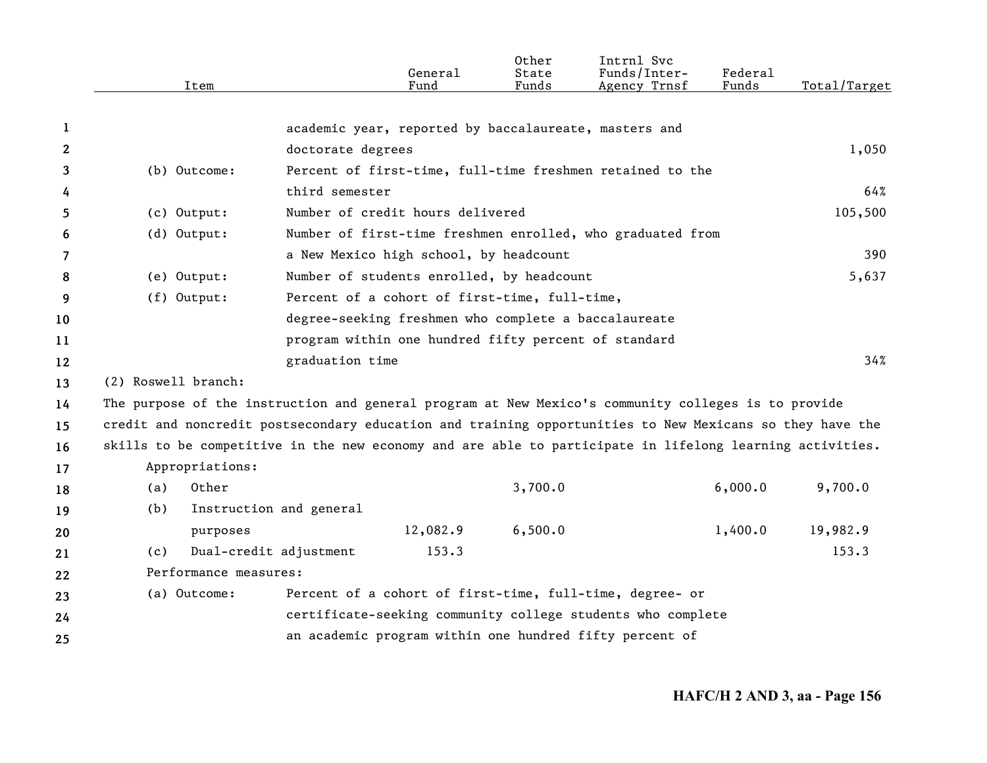|              | Item                                                                                                     |                                                       | General<br>Fund | Other<br>State<br>Funds | Intrnl Svc<br>Funds/Inter-<br>Agency Trnsf                  | Federal<br>Funds | Total/Target |
|--------------|----------------------------------------------------------------------------------------------------------|-------------------------------------------------------|-----------------|-------------------------|-------------------------------------------------------------|------------------|--------------|
|              |                                                                                                          |                                                       |                 |                         |                                                             |                  |              |
| 1            |                                                                                                          | academic year, reported by baccalaureate, masters and |                 |                         |                                                             |                  |              |
| $\mathbf{2}$ |                                                                                                          | doctorate degrees                                     |                 |                         |                                                             |                  | 1,050        |
| 3            | (b) Outcome:                                                                                             |                                                       |                 |                         | Percent of first-time, full-time freshmen retained to the   |                  |              |
| 4            |                                                                                                          | third semester                                        |                 |                         |                                                             |                  | 64%          |
| 5.           | (c) Output:                                                                                              | Number of credit hours delivered                      |                 |                         |                                                             |                  | 105,500      |
| 6            | (d) Output:                                                                                              |                                                       |                 |                         | Number of first-time freshmen enrolled, who graduated from  |                  |              |
| 7            |                                                                                                          | a New Mexico high school, by headcount                |                 |                         |                                                             |                  | 390          |
| 8            | (e) Output:                                                                                              | Number of students enrolled, by headcount             |                 |                         |                                                             |                  | 5,637        |
| 9            | (f) Output:                                                                                              | Percent of a cohort of first-time, full-time,         |                 |                         |                                                             |                  |              |
| 10           |                                                                                                          | degree-seeking freshmen who complete a baccalaureate  |                 |                         |                                                             |                  |              |
| 11           |                                                                                                          | program within one hundred fifty percent of standard  |                 |                         |                                                             |                  |              |
| 12           |                                                                                                          | graduation time                                       |                 |                         |                                                             |                  | 34%          |
| 13           | (2) Roswell branch:                                                                                      |                                                       |                 |                         |                                                             |                  |              |
| 14           | The purpose of the instruction and general program at New Mexico's community colleges is to provide      |                                                       |                 |                         |                                                             |                  |              |
| 15           | credit and noncredit postsecondary education and training opportunities to New Mexicans so they have the |                                                       |                 |                         |                                                             |                  |              |
| 16           | skills to be competitive in the new economy and are able to participate in lifelong learning activities. |                                                       |                 |                         |                                                             |                  |              |
| 17           | Appropriations:                                                                                          |                                                       |                 |                         |                                                             |                  |              |
| 18           | Other<br>(a)                                                                                             |                                                       |                 | 3,700.0                 |                                                             | 6,000.0          | 9,700.0      |
| 19           | (b)                                                                                                      | Instruction and general                               |                 |                         |                                                             |                  |              |
| 20           | purposes                                                                                                 |                                                       | 12,082.9        | 6,500.0                 |                                                             | 1,400.0          | 19,982.9     |
| 21           | (c)                                                                                                      | Dual-credit adjustment                                | 153.3           |                         |                                                             |                  | 153.3        |
| 22           | Performance measures:                                                                                    |                                                       |                 |                         |                                                             |                  |              |
| 23           | (a) Outcome:                                                                                             |                                                       |                 |                         | Percent of a cohort of first-time, full-time, degree- or    |                  |              |
| 24           |                                                                                                          |                                                       |                 |                         | certificate-seeking community college students who complete |                  |              |
| 25           |                                                                                                          |                                                       |                 |                         | an academic program within one hundred fifty percent of     |                  |              |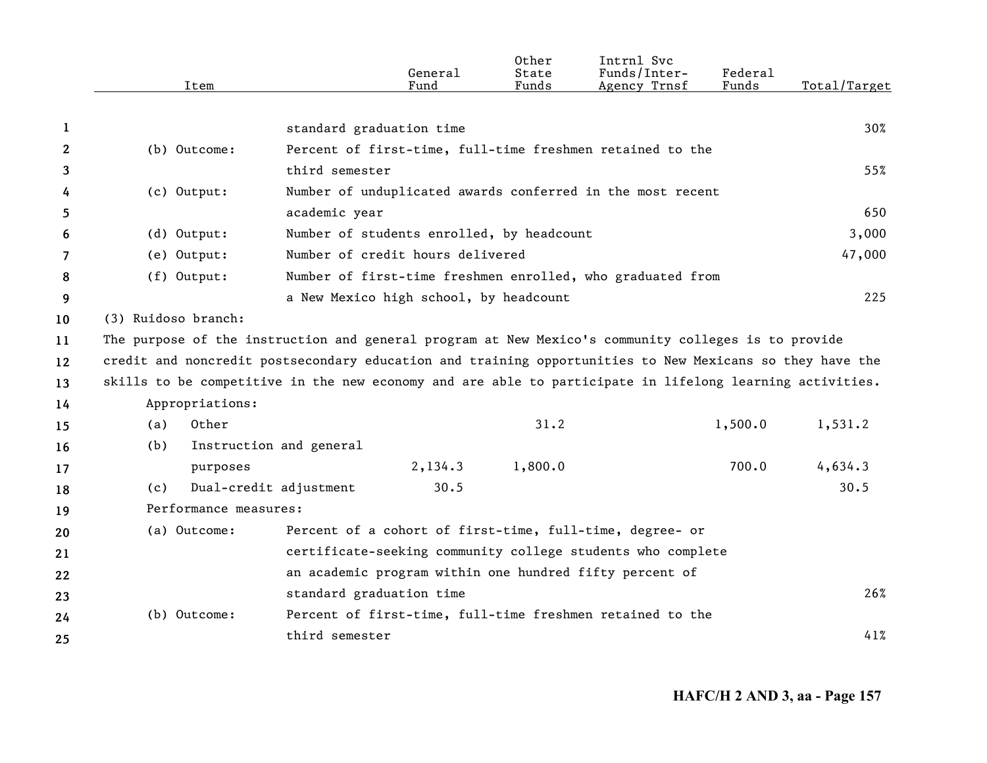|    | Item                                                                                                |                                                                                                          | General<br>Fund                           | Other<br>State<br>Funds | Intrnl Svc<br>Funds/Inter-<br>Agency Trnsf                  | Federal<br>Funds | Total/Target |
|----|-----------------------------------------------------------------------------------------------------|----------------------------------------------------------------------------------------------------------|-------------------------------------------|-------------------------|-------------------------------------------------------------|------------------|--------------|
|    |                                                                                                     |                                                                                                          |                                           |                         |                                                             |                  |              |
| 1  |                                                                                                     |                                                                                                          | standard graduation time                  |                         |                                                             |                  | 30%          |
| 2  | (b) Outcome:                                                                                        |                                                                                                          |                                           |                         | Percent of first-time, full-time freshmen retained to the   |                  |              |
| 3  |                                                                                                     | third semester                                                                                           |                                           |                         |                                                             |                  | 55%          |
| 4  | (c) Output:                                                                                         |                                                                                                          |                                           |                         | Number of unduplicated awards conferred in the most recent  |                  |              |
| 5. |                                                                                                     | academic year                                                                                            |                                           |                         |                                                             |                  | 650          |
| 6  | $(d)$ Output:                                                                                       |                                                                                                          | Number of students enrolled, by headcount |                         |                                                             |                  | 3,000        |
| 7  | (e) Output:                                                                                         |                                                                                                          | Number of credit hours delivered          |                         |                                                             |                  | 47,000       |
| 8  | (f) Output:                                                                                         |                                                                                                          |                                           |                         | Number of first-time freshmen enrolled, who graduated from  |                  |              |
| 9  |                                                                                                     |                                                                                                          | a New Mexico high school, by headcount    |                         |                                                             |                  | 225          |
| 10 | (3) Ruidoso branch:                                                                                 |                                                                                                          |                                           |                         |                                                             |                  |              |
| 11 | The purpose of the instruction and general program at New Mexico's community colleges is to provide |                                                                                                          |                                           |                         |                                                             |                  |              |
| 12 |                                                                                                     | credit and noncredit postsecondary education and training opportunities to New Mexicans so they have the |                                           |                         |                                                             |                  |              |
| 13 |                                                                                                     | skills to be competitive in the new economy and are able to participate in lifelong learning activities. |                                           |                         |                                                             |                  |              |
| 14 | Appropriations:                                                                                     |                                                                                                          |                                           |                         |                                                             |                  |              |
| 15 | Other<br>(a)                                                                                        |                                                                                                          |                                           | 31.2                    |                                                             | 1,500.0          | 1,531.2      |
| 16 | (b)                                                                                                 | Instruction and general                                                                                  |                                           |                         |                                                             |                  |              |
| 17 | purposes                                                                                            |                                                                                                          | 2,134.3                                   | 1,800.0                 |                                                             | 700.0            | 4,634.3      |
| 18 | (c)                                                                                                 | Dual-credit adjustment                                                                                   | 30.5                                      |                         |                                                             |                  | 30.5         |
| 19 | Performance measures:                                                                               |                                                                                                          |                                           |                         |                                                             |                  |              |
| 20 | (a) Outcome:                                                                                        |                                                                                                          |                                           |                         | Percent of a cohort of first-time, full-time, degree- or    |                  |              |
| 21 |                                                                                                     |                                                                                                          |                                           |                         | certificate-seeking community college students who complete |                  |              |
| 22 |                                                                                                     |                                                                                                          |                                           |                         | an academic program within one hundred fifty percent of     |                  |              |
| 23 |                                                                                                     |                                                                                                          | standard graduation time                  |                         |                                                             |                  | 26%          |
| 24 | (b) Outcome:                                                                                        |                                                                                                          |                                           |                         | Percent of first-time, full-time freshmen retained to the   |                  |              |
| 25 |                                                                                                     | third semester                                                                                           |                                           |                         |                                                             |                  | 41%          |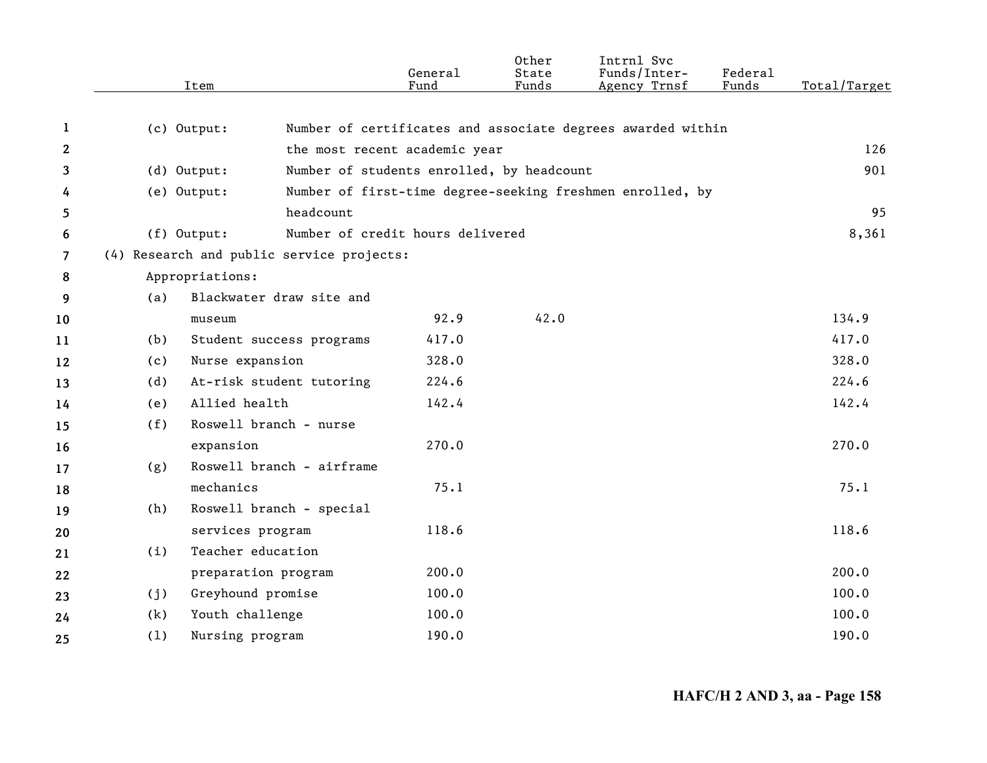|                |             | Item                                      | General<br>Fund | Other<br>State<br>Funds | Intrnl Svc<br>Funds/Inter-<br>Agency Trnsf                  | Federal<br>Funds | Total/Target |
|----------------|-------------|-------------------------------------------|-----------------|-------------------------|-------------------------------------------------------------|------------------|--------------|
| 1              |             |                                           |                 |                         | Number of certificates and associate degrees awarded within |                  |              |
| $\mathbf{2}$   | (c) Output: |                                           |                 |                         |                                                             |                  | 126          |
|                |             | the most recent academic year             |                 |                         |                                                             |                  | 901          |
| 3              | (d) Output: | Number of students enrolled, by headcount |                 |                         |                                                             |                  |              |
| 4              | (e) Output: | headcount                                 |                 |                         | Number of first-time degree-seeking freshmen enrolled, by   |                  | 95           |
| 5              |             | Number of credit hours delivered          |                 |                         |                                                             |                  | 8,361        |
| 6              | (f) Output: |                                           |                 |                         |                                                             |                  |              |
| $\overline{7}$ |             | (4) Research and public service projects: |                 |                         |                                                             |                  |              |
| 8              |             | Appropriations:                           |                 |                         |                                                             |                  |              |
| 9              | (a)         | Blackwater draw site and                  |                 |                         |                                                             |                  |              |
| 10             |             | museum                                    | 92.9            | 42.0                    |                                                             |                  | 134.9        |
| 11             | (b)         | Student success programs                  | 417.0           |                         |                                                             |                  | 417.0        |
| 12             | (c)         | Nurse expansion                           | 328.0           |                         |                                                             |                  | 328.0        |
| 13             | (d)         | At-risk student tutoring                  | 224.6           |                         |                                                             |                  | 224.6        |
| 14             | (e)         | Allied health                             | 142.4           |                         |                                                             |                  | 142.4        |
| 15             | (f)         | Roswell branch - nurse                    |                 |                         |                                                             |                  |              |
| 16             |             | expansion                                 | 270.0           |                         |                                                             |                  | 270.0        |
| 17             | (g)         | Roswell branch - airframe                 |                 |                         |                                                             |                  |              |
| 18             |             | mechanics                                 | 75.1            |                         |                                                             |                  | 75.1         |
| 19             | (h)         | Roswell branch - special                  |                 |                         |                                                             |                  |              |
| 20             |             | services program                          | 118.6           |                         |                                                             |                  | 118.6        |
| 21             | (i)         | Teacher education                         |                 |                         |                                                             |                  |              |
| 22             |             | preparation program                       | 200.0           |                         |                                                             |                  | 200.0        |
| 23             | (j)         | Greyhound promise                         | 100.0           |                         |                                                             |                  | 100.0        |
| 24             | (k)         | Youth challenge                           | 100.0           |                         |                                                             |                  | 100.0        |
| 25             | (1)         | Nursing program                           | 190.0           |                         |                                                             |                  | 190.0        |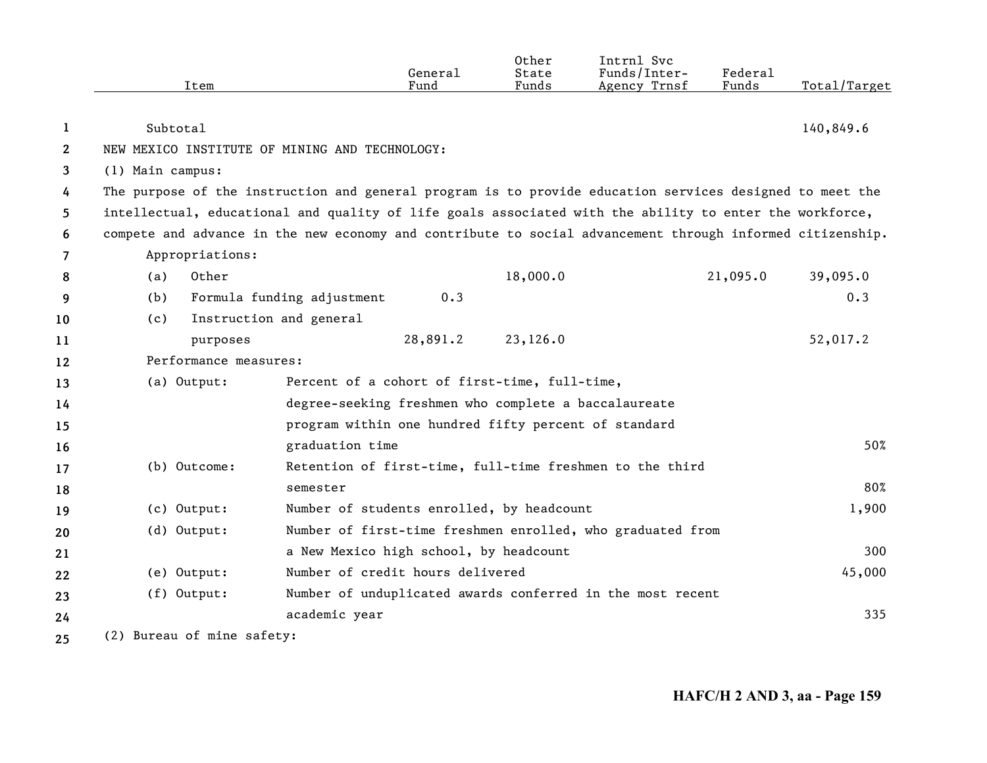|              | Item                                                                                                      |                                                      | General<br>Fund | Other<br>State<br>Funds | Intrnl Svc<br>Funds/Inter-<br>Agency Trnsf                 | <b>Federal</b><br>Funds | Total/Target |
|--------------|-----------------------------------------------------------------------------------------------------------|------------------------------------------------------|-----------------|-------------------------|------------------------------------------------------------|-------------------------|--------------|
| 1            | Subtotal                                                                                                  |                                                      |                 |                         |                                                            |                         | 140,849.6    |
| $\mathbf{2}$ | NEW MEXICO INSTITUTE OF MINING AND TECHNOLOGY:                                                            |                                                      |                 |                         |                                                            |                         |              |
| 3            | (1) Main campus:                                                                                          |                                                      |                 |                         |                                                            |                         |              |
| 4            | The purpose of the instruction and general program is to provide education services designed to meet the  |                                                      |                 |                         |                                                            |                         |              |
| 5            | intellectual, educational and quality of life goals associated with the ability to enter the workforce,   |                                                      |                 |                         |                                                            |                         |              |
| 6            | compete and advance in the new economy and contribute to social advancement through informed citizenship. |                                                      |                 |                         |                                                            |                         |              |
| 7            | Appropriations:                                                                                           |                                                      |                 |                         |                                                            |                         |              |
| 8            | (a)<br>Other                                                                                              |                                                      |                 | 18,000.0                |                                                            | 21,095.0                | 39,095.0     |
| 9            | (b)                                                                                                       | Formula funding adjustment                           | 0.3             |                         |                                                            |                         | 0.3          |
| 10           | (c)                                                                                                       | Instruction and general                              |                 |                         |                                                            |                         |              |
| 11           | purposes                                                                                                  |                                                      | 28,891.2        | 23,126.0                |                                                            |                         | 52,017.2     |
| 12           | Performance measures:                                                                                     |                                                      |                 |                         |                                                            |                         |              |
| 13           | (a) Output:                                                                                               | Percent of a cohort of first-time, full-time,        |                 |                         |                                                            |                         |              |
| 14           |                                                                                                           | degree-seeking freshmen who complete a baccalaureate |                 |                         |                                                            |                         |              |
| 15           |                                                                                                           | program within one hundred fifty percent of standard |                 |                         |                                                            |                         |              |
| 16           |                                                                                                           | graduation time                                      |                 |                         |                                                            |                         | 50%          |
| 17           | (b) Outcome:                                                                                              |                                                      |                 |                         | Retention of first-time, full-time freshmen to the third   |                         |              |
| 18           |                                                                                                           | semester                                             |                 |                         |                                                            |                         | 80%          |
| 19           | (c) Output:                                                                                               | Number of students enrolled, by headcount            |                 |                         |                                                            |                         | 1,900        |
| 20           | (d) Output:                                                                                               |                                                      |                 |                         | Number of first-time freshmen enrolled, who graduated from |                         |              |
| 21           |                                                                                                           | a New Mexico high school, by headcount               |                 |                         |                                                            |                         | 300          |
| 22           | (e) Output:                                                                                               | Number of credit hours delivered                     |                 |                         |                                                            |                         | 45,000       |
| 23           | (f) Output:                                                                                               |                                                      |                 |                         | Number of unduplicated awards conferred in the most recent |                         |              |
| 24           |                                                                                                           | academic year                                        |                 |                         |                                                            |                         | 335          |
| 25           | (2) Bureau of mine safety:                                                                                |                                                      |                 |                         |                                                            |                         |              |

**HAFC/H 2 AND 3, aa - Page 159**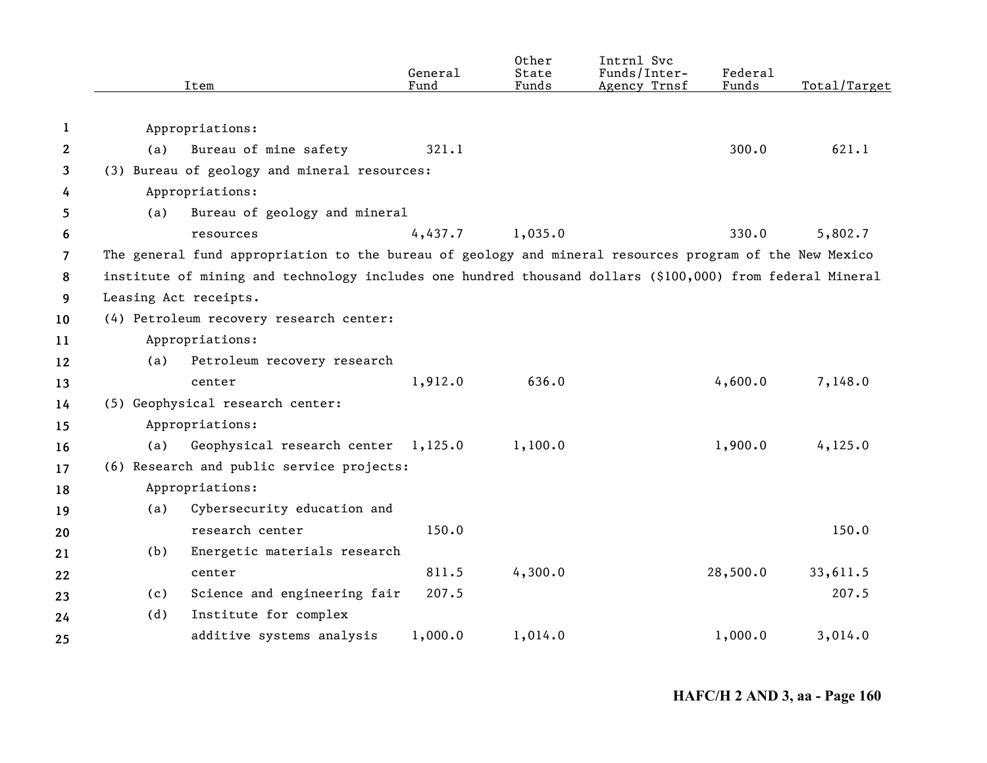|                | Item                             |                                                                                                           | General<br>Fund | Other<br>State<br>Funds | Intrnl Svc<br>Funds/Inter-<br>Agency Trnsf | Federal<br>Funds | Total/Target |
|----------------|----------------------------------|-----------------------------------------------------------------------------------------------------------|-----------------|-------------------------|--------------------------------------------|------------------|--------------|
|                |                                  |                                                                                                           |                 |                         |                                            |                  |              |
| 1              | Appropriations:                  |                                                                                                           |                 |                         |                                            |                  |              |
| 2              | (a)                              | Bureau of mine safety                                                                                     | 321.1           |                         |                                            | 300.0            | 621.1        |
| 3              |                                  | (3) Bureau of geology and mineral resources:                                                              |                 |                         |                                            |                  |              |
| 4              | Appropriations:                  |                                                                                                           |                 |                         |                                            |                  |              |
| 5              | (a)                              | Bureau of geology and mineral                                                                             |                 |                         |                                            |                  |              |
| 6              | resources                        |                                                                                                           | 4,437.7         | 1,035.0                 |                                            | 330.0            | 5,802.7      |
| $\overline{7}$ |                                  | The general fund appropriation to the bureau of geology and mineral resources program of the New Mexico   |                 |                         |                                            |                  |              |
| 8              |                                  | institute of mining and technology includes one hundred thousand dollars (\$100,000) from federal Mineral |                 |                         |                                            |                  |              |
| 9              | Leasing Act receipts.            |                                                                                                           |                 |                         |                                            |                  |              |
| 10             |                                  | (4) Petroleum recovery research center:                                                                   |                 |                         |                                            |                  |              |
| 11             | Appropriations:                  |                                                                                                           |                 |                         |                                            |                  |              |
| 12             | (a)                              | Petroleum recovery research                                                                               |                 |                         |                                            |                  |              |
| 13             | center                           |                                                                                                           | 1,912.0         | 636.0                   |                                            | 4,600.0          | 7,148.0      |
| 14             | (5) Geophysical research center: |                                                                                                           |                 |                         |                                            |                  |              |
| 15             | Appropriations:                  |                                                                                                           |                 |                         |                                            |                  |              |
| 16             | (a)                              | Geophysical research center 1,125.0                                                                       |                 | 1,100.0                 |                                            | 1,900.0          | 4, 125.0     |
| 17             |                                  | (6) Research and public service projects:                                                                 |                 |                         |                                            |                  |              |
| 18             | Appropriations:                  |                                                                                                           |                 |                         |                                            |                  |              |
| 19             | (a)                              | Cybersecurity education and                                                                               |                 |                         |                                            |                  |              |
| 20             |                                  | research center                                                                                           | 150.0           |                         |                                            |                  | 150.0        |
| 21             | (b)                              | Energetic materials research                                                                              |                 |                         |                                            |                  |              |
| 22             | center                           |                                                                                                           | 811.5           | 4,300.0                 |                                            | 28,500.0         | 33,611.5     |
| 23             | (c)                              | Science and engineering fair                                                                              | 207.5           |                         |                                            |                  | 207.5        |
| 24             | (d)                              | Institute for complex                                                                                     |                 |                         |                                            |                  |              |
| 25             |                                  | additive systems analysis                                                                                 | 1,000.0         | 1,014.0                 |                                            | 1,000.0          | 3,014.0      |
|                |                                  |                                                                                                           |                 |                         |                                            |                  |              |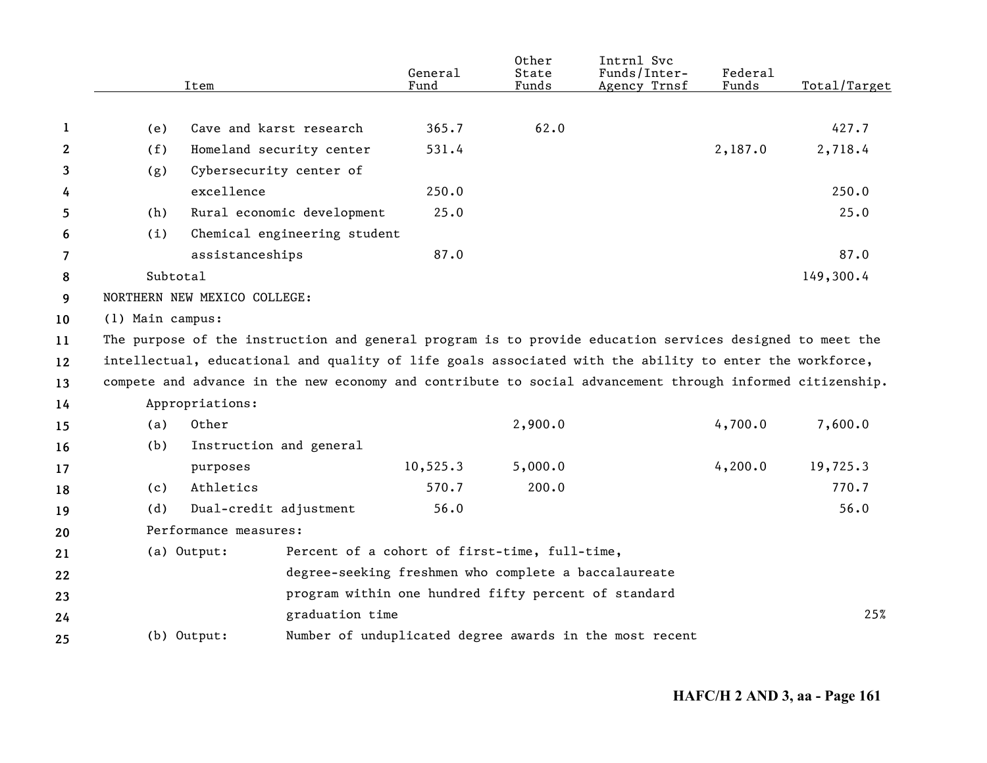|                |                  |                                                                                                           | General   | Other<br>State | Intrnl Svc<br>Funds/Inter-                              | Federal | Total/Target |
|----------------|------------------|-----------------------------------------------------------------------------------------------------------|-----------|----------------|---------------------------------------------------------|---------|--------------|
|                |                  | Item                                                                                                      | Fund      | Funds          | Agency Trnsf                                            | Funds   |              |
| 1              | (e)              | Cave and karst research                                                                                   | 365.7     | 62.0           |                                                         |         | 427.7        |
| $\mathbf{2}$   | (f)              | Homeland security center                                                                                  | 531.4     |                |                                                         | 2,187.0 | 2,718.4      |
| 3              | (g)              | Cybersecurity center of                                                                                   |           |                |                                                         |         |              |
| 4              |                  | excellence                                                                                                | 250.0     |                |                                                         |         | 250.0        |
| 5              | (h)              | Rural economic development                                                                                | 25.0      |                |                                                         |         | 25.0         |
| 6              | (i)              | Chemical engineering student                                                                              |           |                |                                                         |         |              |
| $\overline{7}$ |                  | assistanceships                                                                                           | 87.0      |                |                                                         |         | 87.0         |
| 8              | Subtotal         |                                                                                                           |           |                |                                                         |         | 149,300.4    |
| 9              |                  | NORTHERN NEW MEXICO COLLEGE:                                                                              |           |                |                                                         |         |              |
| 10             | (1) Main campus: |                                                                                                           |           |                |                                                         |         |              |
| 11             |                  | The purpose of the instruction and general program is to provide education services designed to meet the  |           |                |                                                         |         |              |
| 12             |                  | intellectual, educational and quality of life goals associated with the ability to enter the workforce,   |           |                |                                                         |         |              |
| 13             |                  | compete and advance in the new economy and contribute to social advancement through informed citizenship. |           |                |                                                         |         |              |
| 14             |                  | Appropriations:                                                                                           |           |                |                                                         |         |              |
| 15             | (a)              | Other                                                                                                     |           | 2,900.0        |                                                         | 4,700.0 | 7,600.0      |
| 16             | (b)              | Instruction and general                                                                                   |           |                |                                                         |         |              |
| 17             |                  | purposes                                                                                                  | 10, 525.3 | 5,000.0        |                                                         | 4,200.0 | 19,725.3     |
| 18             | (c)              | Athletics                                                                                                 | 570.7     | 200.0          |                                                         |         | 770.7        |
| 19             | (d)              | Dual-credit adjustment                                                                                    | 56.0      |                |                                                         |         | 56.0         |
| 20             |                  | Performance measures:                                                                                     |           |                |                                                         |         |              |
| 21             |                  | Percent of a cohort of first-time, full-time,<br>(a) Output:                                              |           |                |                                                         |         |              |
| 22             |                  | degree-seeking freshmen who complete a baccalaureate                                                      |           |                |                                                         |         |              |
| 23             |                  | program within one hundred fifty percent of standard                                                      |           |                |                                                         |         |              |
| 24             |                  | graduation time                                                                                           |           |                |                                                         |         | 25%          |
| 25             |                  | (b) Output:                                                                                               |           |                | Number of unduplicated degree awards in the most recent |         |              |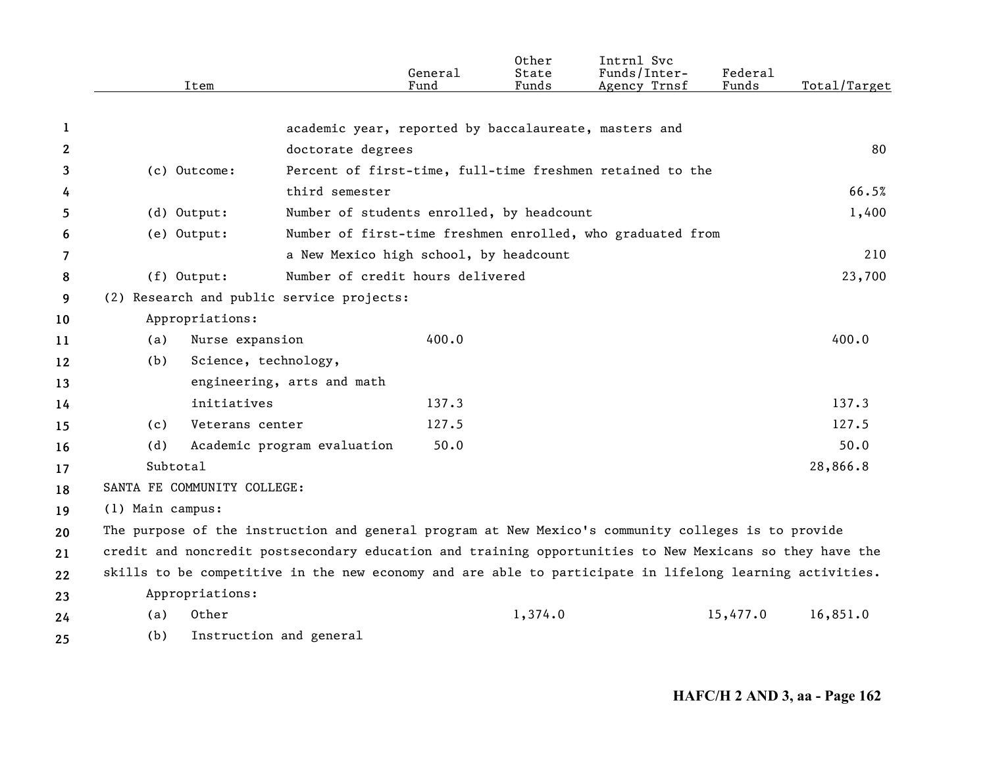|    | Item                                      | General<br>Fund                                                                                          | Other<br>State<br>Funds | Intrnl Svc<br>Funds/Inter-<br>Agency Trnsf | Federal<br>Funds | Total/Target |
|----|-------------------------------------------|----------------------------------------------------------------------------------------------------------|-------------------------|--------------------------------------------|------------------|--------------|
|    |                                           |                                                                                                          |                         |                                            |                  |              |
| 1  |                                           | academic year, reported by baccalaureate, masters and                                                    |                         |                                            |                  |              |
| 2  |                                           | doctorate degrees                                                                                        |                         |                                            |                  | 80           |
| 3  | (c) Outcome:                              | Percent of first-time, full-time freshmen retained to the                                                |                         |                                            |                  |              |
| 4  |                                           | third semester                                                                                           |                         |                                            |                  | 66.5%        |
| 5  | $(d)$ Output:                             | Number of students enrolled, by headcount                                                                |                         |                                            |                  | 1,400        |
| 6  | (e) Output:                               | Number of first-time freshmen enrolled, who graduated from                                               |                         |                                            |                  |              |
| 7  |                                           | a New Mexico high school, by headcount                                                                   |                         |                                            |                  | 210          |
| 8  | (f) Output:                               | Number of credit hours delivered                                                                         |                         |                                            |                  | 23,700       |
| 9  | (2) Research and public service projects: |                                                                                                          |                         |                                            |                  |              |
| 10 | Appropriations:                           |                                                                                                          |                         |                                            |                  |              |
| 11 | Nurse expansion<br>(a)                    |                                                                                                          | 400.0                   |                                            |                  | 400.0        |
| 12 | (b)                                       | Science, technology,                                                                                     |                         |                                            |                  |              |
| 13 |                                           | engineering, arts and math                                                                               |                         |                                            |                  |              |
| 14 | initiatives                               |                                                                                                          | 137.3                   |                                            |                  | 137.3        |
| 15 | Veterans center<br>(c)                    |                                                                                                          | 127.5                   |                                            |                  | 127.5        |
| 16 | (d)                                       | Academic program evaluation                                                                              | 50.0                    |                                            |                  | 50.0         |
| 17 | Subtotal                                  |                                                                                                          |                         |                                            |                  | 28,866.8     |
| 18 | SANTA FE COMMUNITY COLLEGE:               |                                                                                                          |                         |                                            |                  |              |
| 19 | (1) Main campus:                          |                                                                                                          |                         |                                            |                  |              |
| 20 |                                           | The purpose of the instruction and general program at New Mexico's community colleges is to provide      |                         |                                            |                  |              |
| 21 |                                           | credit and noncredit postsecondary education and training opportunities to New Mexicans so they have the |                         |                                            |                  |              |
| 22 |                                           | skills to be competitive in the new economy and are able to participate in lifelong learning activities. |                         |                                            |                  |              |
| 23 | Appropriations:                           |                                                                                                          |                         |                                            |                  |              |
| 24 | Other<br>(a)                              |                                                                                                          | 1,374.0                 |                                            | 15,477.0         | 16,851.0     |
| 25 | (b)                                       | Instruction and general                                                                                  |                         |                                            |                  |              |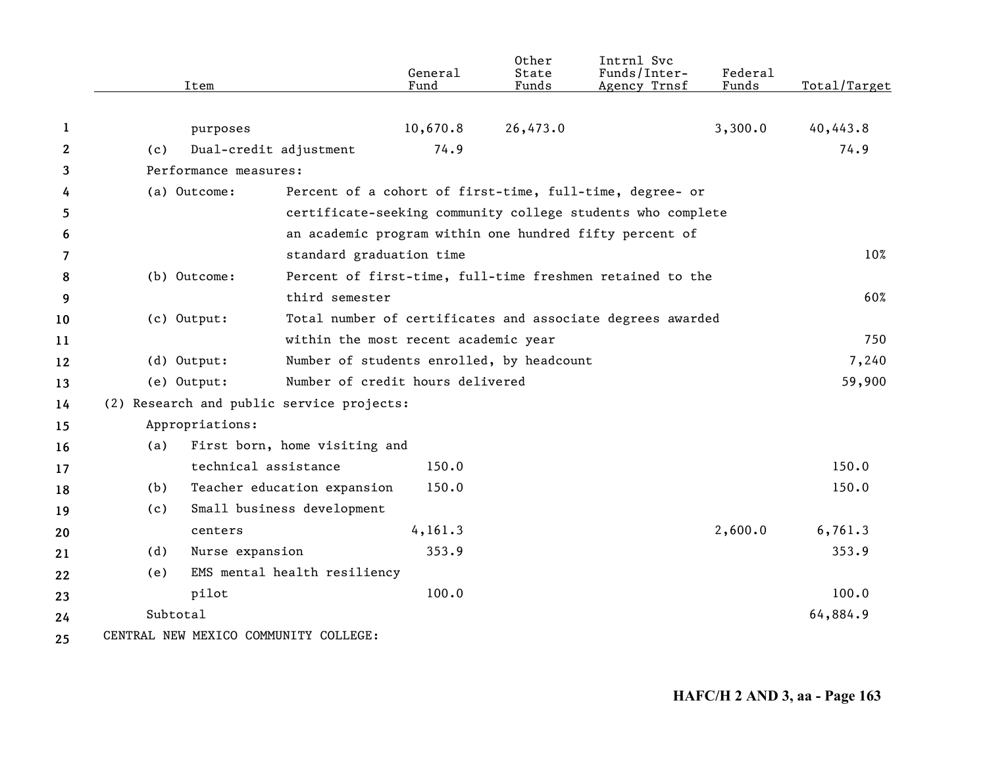|              | Item                                      |                               | General<br>Fund                           | Other<br>State<br>Funds | Intrnl Svc<br>Funds/Inter-<br>Agency Trnsf                  | Federal<br>Funds | Total/Target |
|--------------|-------------------------------------------|-------------------------------|-------------------------------------------|-------------------------|-------------------------------------------------------------|------------------|--------------|
| 1            | purposes                                  |                               | 10,670.8                                  | 26,473.0                |                                                             | 3,300.0          | 40,443.8     |
| $\mathbf{2}$ | (c)                                       | Dual-credit adjustment        | 74.9                                      |                         |                                                             |                  | 74.9         |
| 3            | Performance measures:                     |                               |                                           |                         |                                                             |                  |              |
| 4            | (a) Outcome:                              |                               |                                           |                         | Percent of a cohort of first-time, full-time, degree- or    |                  |              |
| 5            |                                           |                               |                                           |                         | certificate-seeking community college students who complete |                  |              |
| 6            |                                           |                               |                                           |                         | an academic program within one hundred fifty percent of     |                  |              |
| 7            |                                           | standard graduation time      |                                           |                         |                                                             |                  | 10%          |
| 8            | (b) Outcome:                              |                               |                                           |                         | Percent of first-time, full-time freshmen retained to the   |                  |              |
| 9            |                                           | third semester                |                                           |                         |                                                             |                  | 60%          |
| 10           | (c) Output:                               |                               |                                           |                         | Total number of certificates and associate degrees awarded  |                  |              |
| 11           |                                           |                               | within the most recent academic year      |                         |                                                             |                  | 750          |
| 12           | (d) Output:                               |                               | Number of students enrolled, by headcount |                         |                                                             |                  | 7,240        |
| 13           | (e) Output:                               |                               | Number of credit hours delivered          |                         |                                                             |                  | 59,900       |
| 14           | (2) Research and public service projects: |                               |                                           |                         |                                                             |                  |              |
| 15           | Appropriations:                           |                               |                                           |                         |                                                             |                  |              |
| 16           | (a)                                       | First born, home visiting and |                                           |                         |                                                             |                  |              |
| 17           |                                           | technical assistance          | 150.0                                     |                         |                                                             |                  | 150.0        |
| 18           | (b)                                       | Teacher education expansion   | 150.0                                     |                         |                                                             |                  | 150.0        |
| 19           | (c)                                       | Small business development    |                                           |                         |                                                             |                  |              |
| 20           | centers                                   |                               | 4, 161.3                                  |                         |                                                             | 2,600.0          | 6,761.3      |
| 21           | Nurse expansion<br>(d)                    |                               | 353.9                                     |                         |                                                             |                  | 353.9        |
| 22           | (e)                                       | EMS mental health resiliency  |                                           |                         |                                                             |                  |              |
| 23           | pilot                                     |                               | 100.0                                     |                         |                                                             |                  | 100.0        |
| 24           | Subtotal                                  |                               |                                           |                         |                                                             |                  | 64,884.9     |
| 25           | CENTRAL NEW MEXICO COMMUNITY COLLEGE:     |                               |                                           |                         |                                                             |                  |              |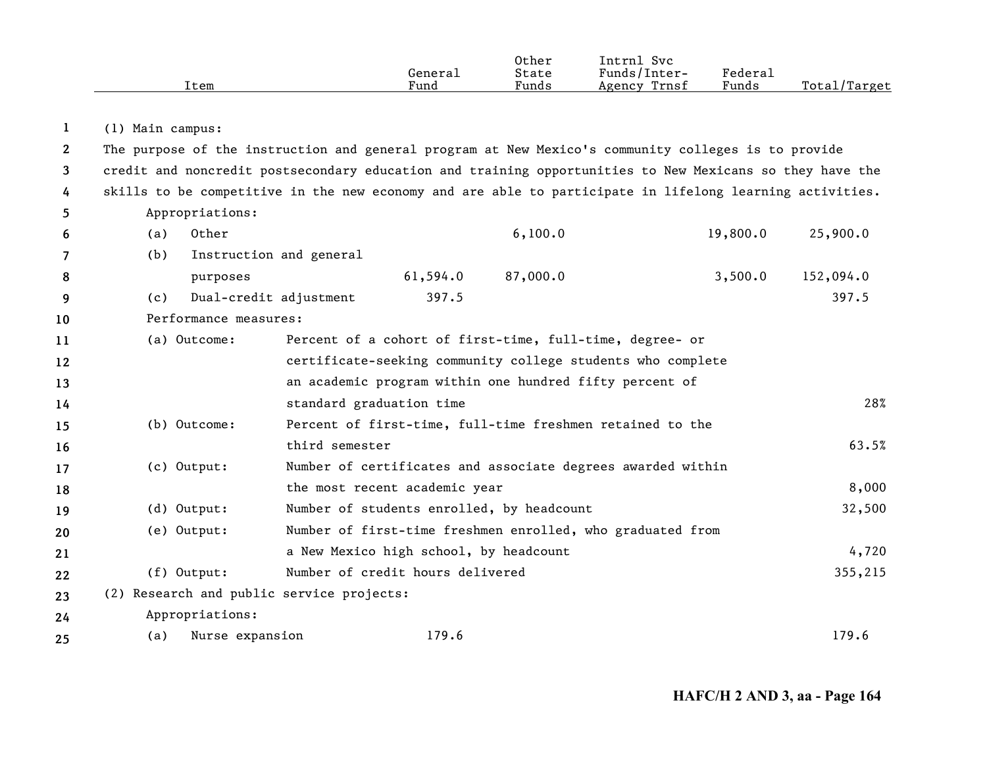|              | Item                                                                                                     |                                                         | General<br>Fund | Other<br>State<br>Funds | Intrnl Svc<br>Funds/Inter-<br>Agency Trnsf                  | Federal<br>Funds | Total/Target |
|--------------|----------------------------------------------------------------------------------------------------------|---------------------------------------------------------|-----------------|-------------------------|-------------------------------------------------------------|------------------|--------------|
| 1            | (1) Main campus:                                                                                         |                                                         |                 |                         |                                                             |                  |              |
| $\mathbf{2}$ | The purpose of the instruction and general program at New Mexico's community colleges is to provide      |                                                         |                 |                         |                                                             |                  |              |
| 3            | credit and noncredit postsecondary education and training opportunities to New Mexicans so they have the |                                                         |                 |                         |                                                             |                  |              |
| 4            | skills to be competitive in the new economy and are able to participate in lifelong learning activities. |                                                         |                 |                         |                                                             |                  |              |
| 5            | Appropriations:                                                                                          |                                                         |                 |                         |                                                             |                  |              |
| 6            | Other<br>(a)                                                                                             |                                                         |                 | 6,100.0                 |                                                             | 19,800.0         | 25,900.0     |
| 7            | (b)                                                                                                      | Instruction and general                                 |                 |                         |                                                             |                  |              |
| 8            | purposes                                                                                                 |                                                         | 61,594.0        | 87,000.0                |                                                             | 3,500.0          | 152,094.0    |
| 9            | (c)                                                                                                      | Dual-credit adjustment                                  | 397.5           |                         |                                                             |                  | 397.5        |
| 10           | Performance measures:                                                                                    |                                                         |                 |                         |                                                             |                  |              |
| 11           | (a) Outcome:                                                                                             |                                                         |                 |                         | Percent of a cohort of first-time, full-time, degree- or    |                  |              |
| 12           |                                                                                                          |                                                         |                 |                         | certificate-seeking community college students who complete |                  |              |
| 13           |                                                                                                          | an academic program within one hundred fifty percent of |                 |                         |                                                             |                  |              |
| 14           |                                                                                                          | standard graduation time                                |                 |                         |                                                             |                  | 28%          |
| 15           | (b) Outcome:                                                                                             |                                                         |                 |                         | Percent of first-time, full-time freshmen retained to the   |                  |              |
| 16           |                                                                                                          | third semester                                          |                 |                         |                                                             |                  | 63.5%        |
| 17           | (c) Output:                                                                                              |                                                         |                 |                         | Number of certificates and associate degrees awarded within |                  |              |
| 18           |                                                                                                          | the most recent academic year                           |                 |                         |                                                             |                  | 8,000        |
| 19           | (d) Output:                                                                                              | Number of students enrolled, by headcount               |                 |                         |                                                             |                  | 32,500       |
| 20           | (e) Output:                                                                                              |                                                         |                 |                         | Number of first-time freshmen enrolled, who graduated from  |                  |              |
| 21           |                                                                                                          | a New Mexico high school, by headcount                  |                 |                         |                                                             |                  | 4,720        |
| 22           | $(f)$ Output:                                                                                            | Number of credit hours delivered                        |                 |                         |                                                             |                  | 355,215      |
| 23           | (2) Research and public service projects:                                                                |                                                         |                 |                         |                                                             |                  |              |
| 24           | Appropriations:                                                                                          |                                                         |                 |                         |                                                             |                  |              |
| 25           | Nurse expansion<br>(a)                                                                                   |                                                         | 179.6           |                         |                                                             |                  | 179.6        |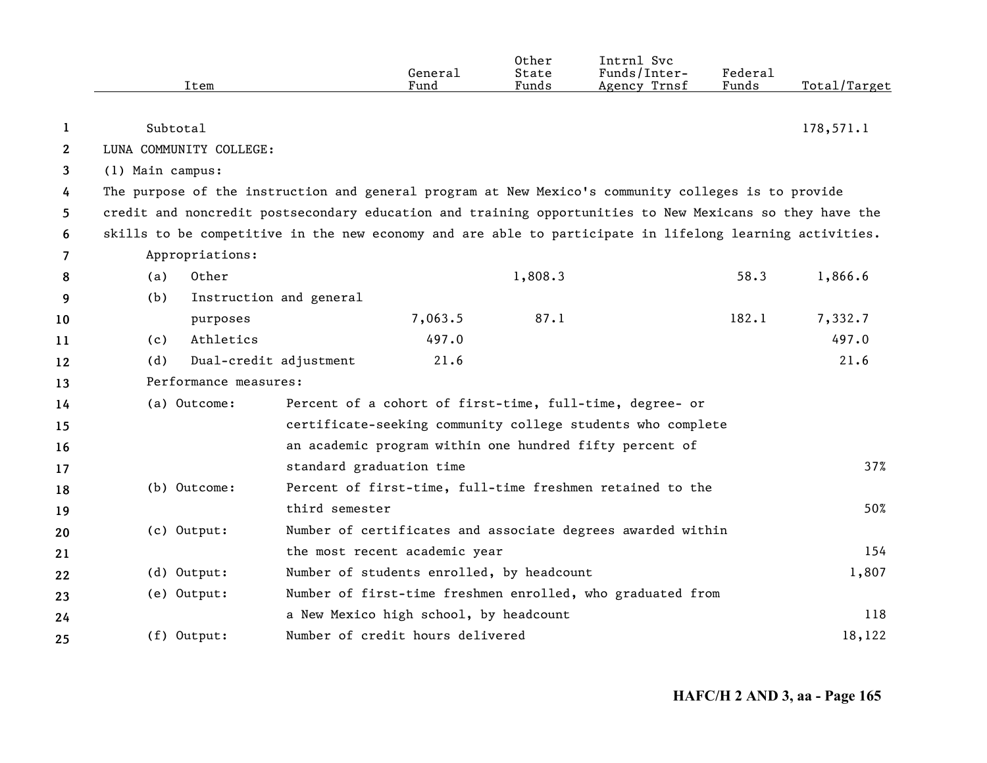|                |                  | Item                    |                          | General<br>Fund                           | Other<br>State<br>Funds | Intrnl Svc<br>Funds/Inter-<br>Agency Trnsf                                                               | Federal<br>Funds | Total/Target |
|----------------|------------------|-------------------------|--------------------------|-------------------------------------------|-------------------------|----------------------------------------------------------------------------------------------------------|------------------|--------------|
| 1              | Subtotal         |                         |                          |                                           |                         |                                                                                                          |                  | 178,571.1    |
| $\mathbf{2}$   |                  | LUNA COMMUNITY COLLEGE: |                          |                                           |                         |                                                                                                          |                  |              |
| 3              | (1) Main campus: |                         |                          |                                           |                         |                                                                                                          |                  |              |
| 4              |                  |                         |                          |                                           |                         | The purpose of the instruction and general program at New Mexico's community colleges is to provide      |                  |              |
| 5              |                  |                         |                          |                                           |                         | credit and noncredit postsecondary education and training opportunities to New Mexicans so they have the |                  |              |
| 6              |                  |                         |                          |                                           |                         | skills to be competitive in the new economy and are able to participate in lifelong learning activities. |                  |              |
| $\overline{7}$ |                  | Appropriations:         |                          |                                           |                         |                                                                                                          |                  |              |
| 8              | (a)              | Other                   |                          |                                           | 1,808.3                 |                                                                                                          | 58.3             | 1,866.6      |
| 9              | (b)              |                         | Instruction and general  |                                           |                         |                                                                                                          |                  |              |
| 10             |                  | purposes                |                          | 7,063.5                                   | 87.1                    |                                                                                                          | 182.1            | 7,332.7      |
| 11             | (c)              | Athletics               |                          | 497.0                                     |                         |                                                                                                          |                  | 497.0        |
| 12             | (d)              |                         | Dual-credit adjustment   | 21.6                                      |                         |                                                                                                          |                  | 21.6         |
| 13             |                  | Performance measures:   |                          |                                           |                         |                                                                                                          |                  |              |
| 14             |                  | (a) Outcome:            |                          |                                           |                         | Percent of a cohort of first-time, full-time, degree- or                                                 |                  |              |
| 15             |                  |                         |                          |                                           |                         | certificate-seeking community college students who complete                                              |                  |              |
| 16             |                  |                         |                          |                                           |                         | an academic program within one hundred fifty percent of                                                  |                  |              |
| 17             |                  |                         | standard graduation time |                                           |                         |                                                                                                          |                  | 37%          |
| 18             |                  | (b) Outcome:            |                          |                                           |                         | Percent of first-time, full-time freshmen retained to the                                                |                  |              |
| 19             |                  |                         | third semester           |                                           |                         |                                                                                                          |                  | 50%          |
| 20             |                  | $(c)$ Output:           |                          |                                           |                         | Number of certificates and associate degrees awarded within                                              |                  |              |
| 21             |                  |                         |                          | the most recent academic year             |                         |                                                                                                          |                  | 154          |
| 22             |                  | (d) Output:             |                          | Number of students enrolled, by headcount |                         |                                                                                                          |                  | 1,807        |
| 23             |                  | (e) Output:             |                          |                                           |                         | Number of first-time freshmen enrolled, who graduated from                                               |                  |              |
| 24             |                  |                         |                          | a New Mexico high school, by headcount    |                         |                                                                                                          |                  | 118          |
| 25             |                  | (f) Output:             |                          | Number of credit hours delivered          |                         |                                                                                                          |                  | 18,122       |

**HAFC/H 2 AND 3, aa - Page 165**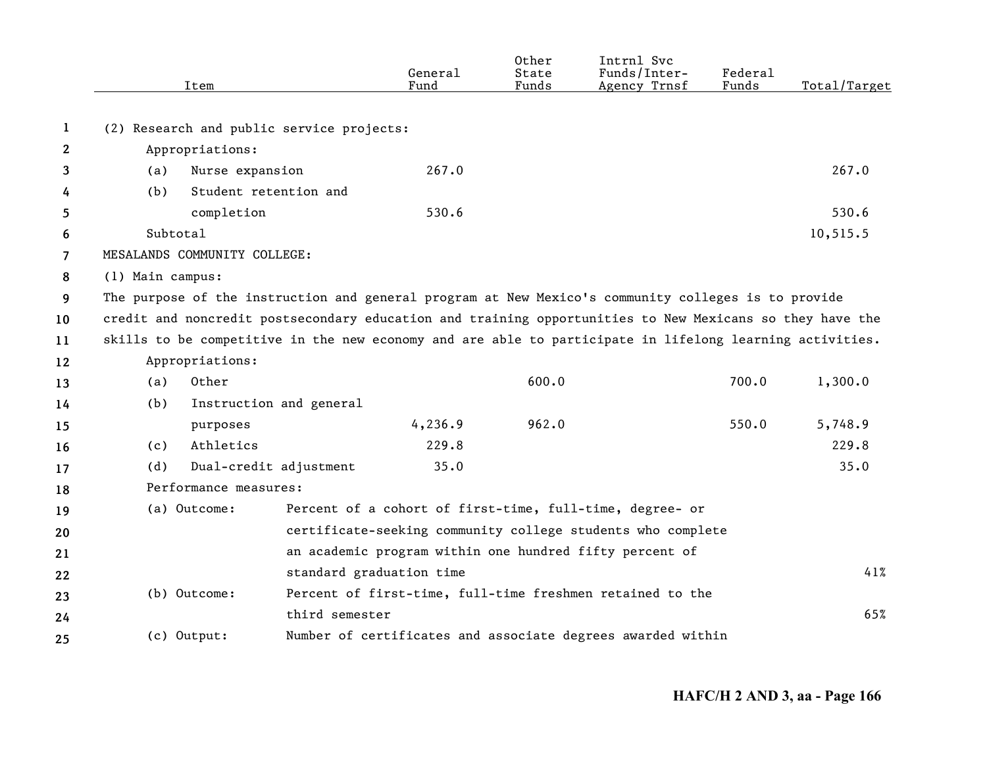|     | Item       |                                                                                                                  | General<br>Fund                                                                                                                                        | Other<br>State<br>Funds                                                                                   | Intrnl Svc<br>Funds/Inter-<br>Agency Trnsf | Federal<br>Funds                                        | Total/Target                                                                                                                                                                                                                                                                                                                                                                                                                                                                                                        |
|-----|------------|------------------------------------------------------------------------------------------------------------------|--------------------------------------------------------------------------------------------------------------------------------------------------------|-----------------------------------------------------------------------------------------------------------|--------------------------------------------|---------------------------------------------------------|---------------------------------------------------------------------------------------------------------------------------------------------------------------------------------------------------------------------------------------------------------------------------------------------------------------------------------------------------------------------------------------------------------------------------------------------------------------------------------------------------------------------|
|     |            |                                                                                                                  |                                                                                                                                                        |                                                                                                           |                                            |                                                         |                                                                                                                                                                                                                                                                                                                                                                                                                                                                                                                     |
|     |            |                                                                                                                  |                                                                                                                                                        |                                                                                                           |                                            |                                                         |                                                                                                                                                                                                                                                                                                                                                                                                                                                                                                                     |
|     |            |                                                                                                                  |                                                                                                                                                        |                                                                                                           |                                            |                                                         |                                                                                                                                                                                                                                                                                                                                                                                                                                                                                                                     |
|     |            |                                                                                                                  |                                                                                                                                                        |                                                                                                           |                                            |                                                         | 267.0                                                                                                                                                                                                                                                                                                                                                                                                                                                                                                               |
|     |            |                                                                                                                  |                                                                                                                                                        |                                                                                                           |                                            |                                                         |                                                                                                                                                                                                                                                                                                                                                                                                                                                                                                                     |
|     |            |                                                                                                                  |                                                                                                                                                        |                                                                                                           |                                            |                                                         | 530.6                                                                                                                                                                                                                                                                                                                                                                                                                                                                                                               |
|     |            |                                                                                                                  |                                                                                                                                                        |                                                                                                           |                                            |                                                         | 10,515.5                                                                                                                                                                                                                                                                                                                                                                                                                                                                                                            |
|     |            |                                                                                                                  |                                                                                                                                                        |                                                                                                           |                                            |                                                         |                                                                                                                                                                                                                                                                                                                                                                                                                                                                                                                     |
|     |            |                                                                                                                  |                                                                                                                                                        |                                                                                                           |                                            |                                                         |                                                                                                                                                                                                                                                                                                                                                                                                                                                                                                                     |
|     |            |                                                                                                                  |                                                                                                                                                        |                                                                                                           |                                            |                                                         |                                                                                                                                                                                                                                                                                                                                                                                                                                                                                                                     |
|     |            |                                                                                                                  |                                                                                                                                                        |                                                                                                           |                                            |                                                         |                                                                                                                                                                                                                                                                                                                                                                                                                                                                                                                     |
|     |            |                                                                                                                  |                                                                                                                                                        |                                                                                                           |                                            |                                                         |                                                                                                                                                                                                                                                                                                                                                                                                                                                                                                                     |
|     |            |                                                                                                                  |                                                                                                                                                        |                                                                                                           |                                            |                                                         |                                                                                                                                                                                                                                                                                                                                                                                                                                                                                                                     |
| (a) | Other      |                                                                                                                  |                                                                                                                                                        | 600.0                                                                                                     |                                            | 700.0                                                   | 1,300.0                                                                                                                                                                                                                                                                                                                                                                                                                                                                                                             |
| (b) |            |                                                                                                                  |                                                                                                                                                        |                                                                                                           |                                            |                                                         |                                                                                                                                                                                                                                                                                                                                                                                                                                                                                                                     |
|     | purposes   |                                                                                                                  | 4,236.9                                                                                                                                                | 962.0                                                                                                     |                                            | 550.0                                                   | 5,748.9                                                                                                                                                                                                                                                                                                                                                                                                                                                                                                             |
| (c) | Athletics  |                                                                                                                  | 229.8                                                                                                                                                  |                                                                                                           |                                            |                                                         | 229.8                                                                                                                                                                                                                                                                                                                                                                                                                                                                                                               |
| (d) |            |                                                                                                                  | 35.0                                                                                                                                                   |                                                                                                           |                                            |                                                         | 35.0                                                                                                                                                                                                                                                                                                                                                                                                                                                                                                                |
|     |            |                                                                                                                  |                                                                                                                                                        |                                                                                                           |                                            |                                                         |                                                                                                                                                                                                                                                                                                                                                                                                                                                                                                                     |
|     |            |                                                                                                                  |                                                                                                                                                        |                                                                                                           |                                            |                                                         |                                                                                                                                                                                                                                                                                                                                                                                                                                                                                                                     |
|     |            |                                                                                                                  |                                                                                                                                                        |                                                                                                           |                                            |                                                         |                                                                                                                                                                                                                                                                                                                                                                                                                                                                                                                     |
|     |            |                                                                                                                  |                                                                                                                                                        |                                                                                                           |                                            |                                                         |                                                                                                                                                                                                                                                                                                                                                                                                                                                                                                                     |
|     |            |                                                                                                                  |                                                                                                                                                        |                                                                                                           |                                            |                                                         | 41%                                                                                                                                                                                                                                                                                                                                                                                                                                                                                                                 |
|     |            |                                                                                                                  |                                                                                                                                                        |                                                                                                           |                                            |                                                         |                                                                                                                                                                                                                                                                                                                                                                                                                                                                                                                     |
|     |            |                                                                                                                  |                                                                                                                                                        |                                                                                                           |                                            |                                                         | 65%                                                                                                                                                                                                                                                                                                                                                                                                                                                                                                                 |
|     |            |                                                                                                                  |                                                                                                                                                        |                                                                                                           |                                            |                                                         |                                                                                                                                                                                                                                                                                                                                                                                                                                                                                                                     |
|     | (a)<br>(b) | Appropriations:<br>completion<br>Subtotal<br>(1) Main campus:<br>Appropriations:<br>(a) Outcome:<br>(b) Outcome: | Nurse expansion<br>Student retention and<br>MESALANDS COMMUNITY COLLEGE:<br>Instruction and general<br>Dual-credit adjustment<br>Performance measures: | (2) Research and public service projects:<br>267.0<br>530.6<br>standard graduation time<br>third semester |                                            | an academic program within one hundred fifty percent of | The purpose of the instruction and general program at New Mexico's community colleges is to provide<br>credit and noncredit postsecondary education and training opportunities to New Mexicans so they have the<br>skills to be competitive in the new economy and are able to participate in lifelong learning activities.<br>Percent of a cohort of first-time, full-time, degree- or<br>certificate-seeking community college students who complete<br>Percent of first-time, full-time freshmen retained to the |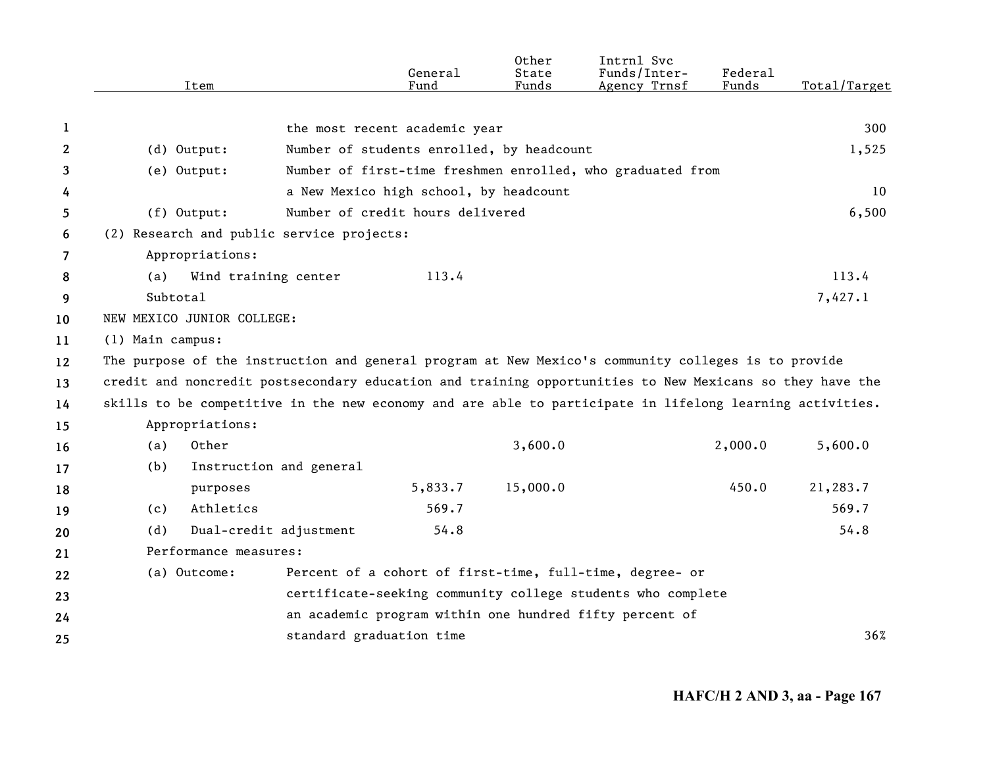|                | Item                                                                                                     |                          | General<br>Fund                           | Other<br>State<br>Funds | Intrnl Svc<br>Funds/Inter-<br>Agency Trnsf                  | Federal<br>Funds | Total/Target |
|----------------|----------------------------------------------------------------------------------------------------------|--------------------------|-------------------------------------------|-------------------------|-------------------------------------------------------------|------------------|--------------|
|                |                                                                                                          |                          |                                           |                         |                                                             |                  |              |
| 1              |                                                                                                          |                          | the most recent academic year             |                         |                                                             |                  | 300          |
| $\mathbf{2}$   | $(d)$ Output:                                                                                            |                          | Number of students enrolled, by headcount |                         |                                                             |                  | 1,525        |
| 3              | (e) Output:                                                                                              |                          |                                           |                         | Number of first-time freshmen enrolled, who graduated from  |                  |              |
| 4              |                                                                                                          |                          | a New Mexico high school, by headcount    |                         |                                                             |                  | 10           |
| 5              | $(f)$ Output:                                                                                            |                          | Number of credit hours delivered          |                         |                                                             |                  | 6,500        |
| 6              | (2) Research and public service projects:                                                                |                          |                                           |                         |                                                             |                  |              |
| $\overline{7}$ | Appropriations:                                                                                          |                          |                                           |                         |                                                             |                  |              |
| 8              | (a)                                                                                                      | Wind training center     | 113.4                                     |                         |                                                             |                  | 113.4        |
| 9              | Subtotal                                                                                                 |                          |                                           |                         |                                                             |                  | 7,427.1      |
| 10             | NEW MEXICO JUNIOR COLLEGE:                                                                               |                          |                                           |                         |                                                             |                  |              |
| 11             | (1) Main campus:                                                                                         |                          |                                           |                         |                                                             |                  |              |
| 12             | The purpose of the instruction and general program at New Mexico's community colleges is to provide      |                          |                                           |                         |                                                             |                  |              |
| 13             | credit and noncredit postsecondary education and training opportunities to New Mexicans so they have the |                          |                                           |                         |                                                             |                  |              |
| 14             | skills to be competitive in the new economy and are able to participate in lifelong learning activities. |                          |                                           |                         |                                                             |                  |              |
| 15             | Appropriations:                                                                                          |                          |                                           |                         |                                                             |                  |              |
| 16             | Other<br>(a)                                                                                             |                          |                                           | 3,600.0                 |                                                             | 2,000.0          | 5,600.0      |
| 17             | (b)                                                                                                      | Instruction and general  |                                           |                         |                                                             |                  |              |
| 18             | purposes                                                                                                 |                          | 5,833.7                                   | 15,000.0                |                                                             | 450.0            | 21,283.7     |
| 19             | Athletics<br>(c)                                                                                         |                          | 569.7                                     |                         |                                                             |                  | 569.7        |
| 20             | (d)                                                                                                      | Dual-credit adjustment   | 54.8                                      |                         |                                                             |                  | 54.8         |
| 21             | Performance measures:                                                                                    |                          |                                           |                         |                                                             |                  |              |
| 22             | (a) Outcome:                                                                                             |                          |                                           |                         | Percent of a cohort of first-time, full-time, degree- or    |                  |              |
| 23             |                                                                                                          |                          |                                           |                         | certificate-seeking community college students who complete |                  |              |
| 24             |                                                                                                          |                          |                                           |                         | an academic program within one hundred fifty percent of     |                  |              |
| 25             |                                                                                                          | standard graduation time |                                           |                         |                                                             |                  | 36%          |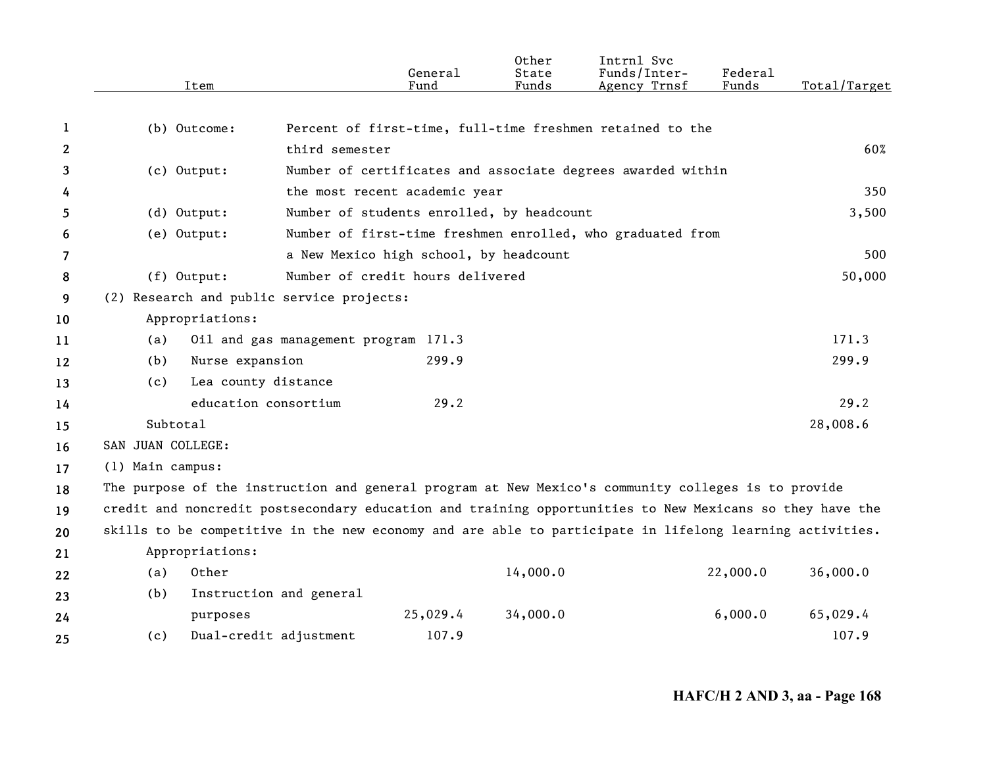|              | Item                                                                                                     |                                      | General<br>Fund                           | Other<br>State<br>Funds | Intrnl Svc<br>Funds/Inter-<br>Agency Trnsf                  | Federal<br>Funds | Total/Target |
|--------------|----------------------------------------------------------------------------------------------------------|--------------------------------------|-------------------------------------------|-------------------------|-------------------------------------------------------------|------------------|--------------|
| 1            | (b) Outcome:                                                                                             |                                      |                                           |                         | Percent of first-time, full-time freshmen retained to the   |                  |              |
| $\mathbf{2}$ |                                                                                                          | third semester                       |                                           |                         |                                                             |                  | 60%          |
| 3            |                                                                                                          |                                      |                                           |                         |                                                             |                  |              |
|              | (c) Output:                                                                                              |                                      | the most recent academic year             |                         | Number of certificates and associate degrees awarded within |                  | 350          |
| 4            | (d) Output:                                                                                              |                                      | Number of students enrolled, by headcount |                         |                                                             |                  | 3,500        |
| 5            | (e) Output:                                                                                              |                                      |                                           |                         | Number of first-time freshmen enrolled, who graduated from  |                  |              |
| 6            |                                                                                                          |                                      | a New Mexico high school, by headcount    |                         |                                                             |                  | 500          |
| 7            |                                                                                                          |                                      | Number of credit hours delivered          |                         |                                                             |                  | 50,000       |
| 8            | (f) Output:                                                                                              |                                      |                                           |                         |                                                             |                  |              |
| 9            | (2) Research and public service projects:                                                                |                                      |                                           |                         |                                                             |                  |              |
| 10           | Appropriations:                                                                                          |                                      |                                           |                         |                                                             |                  | 171.3        |
| 11           | (a)                                                                                                      | Oil and gas management program 171.3 |                                           |                         |                                                             |                  |              |
| 12           | Nurse expansion<br>(b)                                                                                   |                                      | 299.9                                     |                         |                                                             |                  | 299.9        |
| 13           | Lea county distance<br>(c)                                                                               |                                      |                                           |                         |                                                             |                  |              |
| 14           |                                                                                                          | education consortium                 | 29.2                                      |                         |                                                             |                  | 29.2         |
| 15           | Subtotal                                                                                                 |                                      |                                           |                         |                                                             |                  | 28,008.6     |
| 16           | SAN JUAN COLLEGE:                                                                                        |                                      |                                           |                         |                                                             |                  |              |
| 17           | (1) Main campus:                                                                                         |                                      |                                           |                         |                                                             |                  |              |
| 18           | The purpose of the instruction and general program at New Mexico's community colleges is to provide      |                                      |                                           |                         |                                                             |                  |              |
| 19           | credit and noncredit postsecondary education and training opportunities to New Mexicans so they have the |                                      |                                           |                         |                                                             |                  |              |
| 20           | skills to be competitive in the new economy and are able to participate in lifelong learning activities. |                                      |                                           |                         |                                                             |                  |              |
| 21           | Appropriations:                                                                                          |                                      |                                           |                         |                                                             |                  |              |
| 22           | Other<br>(a)                                                                                             |                                      |                                           | 14,000.0                |                                                             | 22,000.0         | 36,000.0     |
| 23           | (b)                                                                                                      | Instruction and general              |                                           |                         |                                                             |                  |              |
| 24           | purposes                                                                                                 |                                      | 25,029.4                                  | 34,000.0                |                                                             | 6,000.0          | 65,029.4     |
| 25           | (c)                                                                                                      | Dual-credit adjustment               | 107.9                                     |                         |                                                             |                  | 107.9        |

**HAFC/H 2 AND 3, aa - Page 168**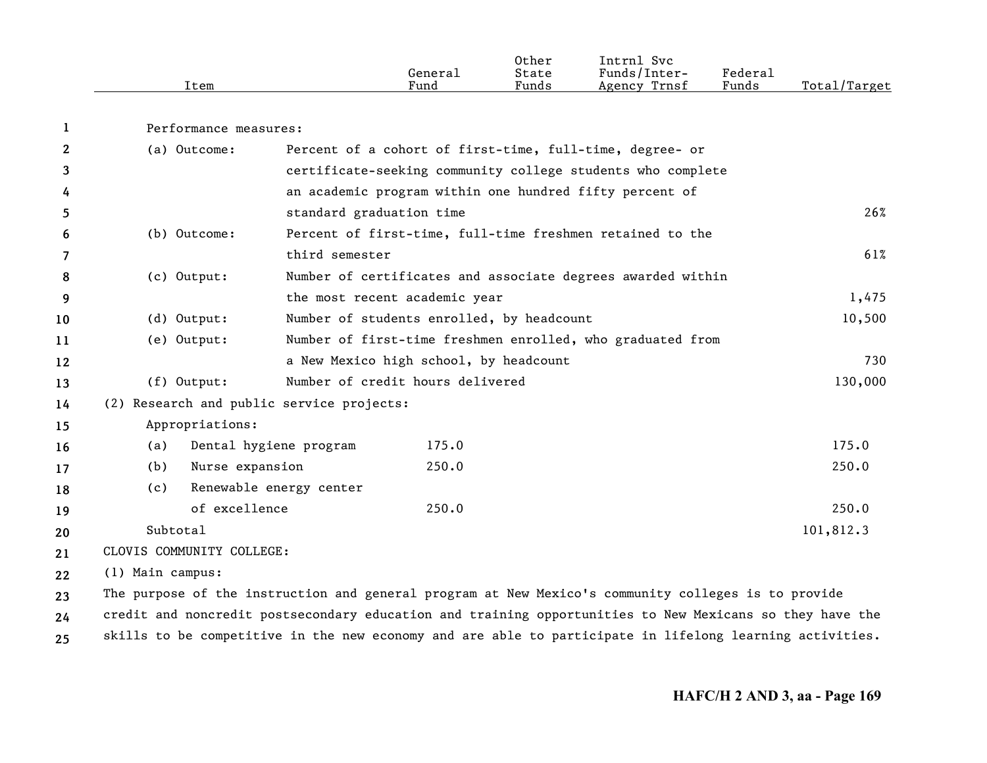|      |         | Other | Intrnl<br>Svc   |                                    |                  |
|------|---------|-------|-----------------|------------------------------------|------------------|
|      | Genera⊥ | State | Funds/Inter-    | ${}_{\rm \texttt{Federa}_{\perp}}$ |                  |
| Item | Fund    | Funds | Trnsf<br>Agency | Funds                              | Total<br>'Target |

Performance measures:

**1**

| $\overline{2}$ |                  | (a) Outcome:              |                                           | Percent of a cohort of first-time, full-time, degree- or                                                 |           |
|----------------|------------------|---------------------------|-------------------------------------------|----------------------------------------------------------------------------------------------------------|-----------|
| 3              |                  |                           |                                           | certificate-seeking community college students who complete                                              |           |
| 4              |                  |                           |                                           | an academic program within one hundred fifty percent of                                                  |           |
| 5              |                  |                           | standard graduation time                  |                                                                                                          | 26%       |
| 6              |                  | (b) Outcome:              |                                           | Percent of first-time, full-time freshmen retained to the                                                |           |
| 7              |                  |                           | third semester                            |                                                                                                          | 61%       |
| 8              |                  | (c) Output:               |                                           | Number of certificates and associate degrees awarded within                                              |           |
| 9              |                  |                           | the most recent academic year             |                                                                                                          | 1,475     |
| 10             |                  | $(d)$ Output:             |                                           | Number of students enrolled, by headcount                                                                | 10,500    |
| 11             |                  | (e) Output:               |                                           | Number of first-time freshmen enrolled, who graduated from                                               |           |
| 12             |                  |                           |                                           | a New Mexico high school, by headcount                                                                   | 730       |
| 13             |                  | $(f)$ Output:             | Number of credit hours delivered          |                                                                                                          | 130,000   |
| 14             |                  |                           | (2) Research and public service projects: |                                                                                                          |           |
| 15             |                  | Appropriations:           |                                           |                                                                                                          |           |
| 16             | (a)              | Dental hygiene program    |                                           | 175.0                                                                                                    | 175.0     |
| 17             | (b)              | Nurse expansion           |                                           | 250.0                                                                                                    | 250.0     |
| 18             | (c)              | Renewable energy center   |                                           |                                                                                                          |           |
| 19             |                  | of excellence             |                                           | 250.0                                                                                                    | 250.0     |
| 20             | Subtotal         |                           |                                           |                                                                                                          | 101,812.3 |
| 21             |                  | CLOVIS COMMUNITY COLLEGE: |                                           |                                                                                                          |           |
| 22             | (1) Main campus: |                           |                                           |                                                                                                          |           |
| 23             |                  |                           |                                           | The purpose of the instruction and general program at New Mexico's community colleges is to provide      |           |
| 24             |                  |                           |                                           | credit and noncredit postsecondary education and training opportunities to New Mexicans so they have the |           |

**25** skills to be competitive in the new economy and are able to participate in lifelong learning activities.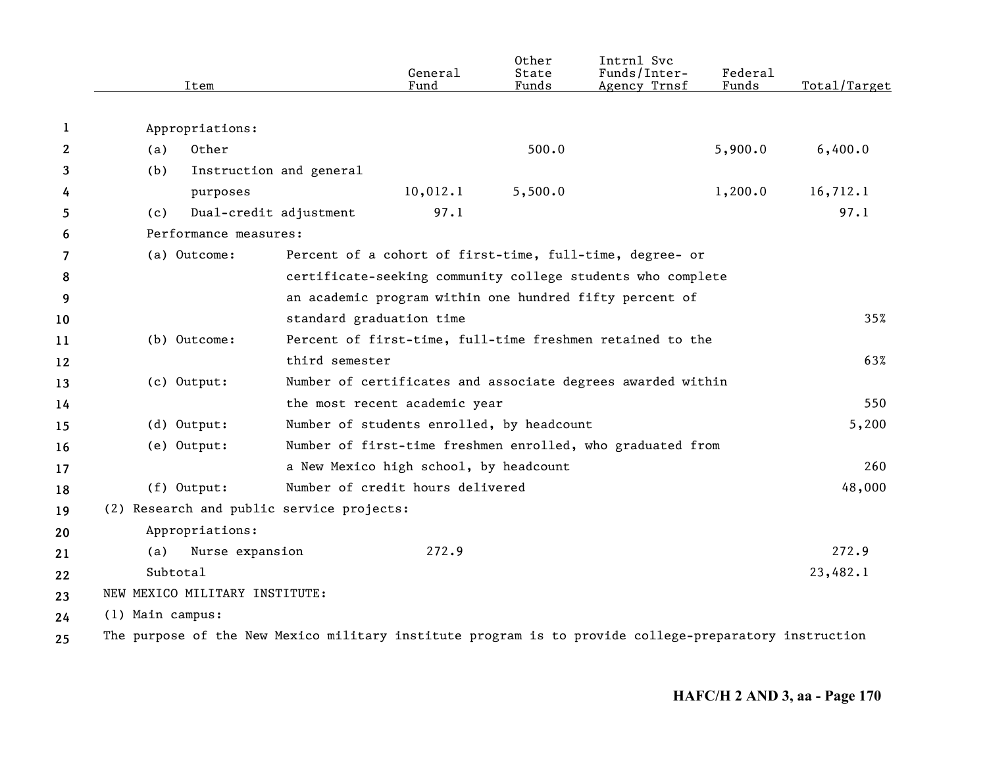|              | Item                                                                                                   |                          | General<br>Fund                           | Other<br>State<br>Funds | Intrnl Svc<br>Funds/Inter-<br>Agency Trnsf                  | Federal<br>Funds | Total/Target |
|--------------|--------------------------------------------------------------------------------------------------------|--------------------------|-------------------------------------------|-------------------------|-------------------------------------------------------------|------------------|--------------|
| 1            | Appropriations:                                                                                        |                          |                                           |                         |                                                             |                  |              |
| $\mathbf{2}$ | Other<br>(a)                                                                                           |                          |                                           | 500.0                   |                                                             | 5,900.0          | 6,400.0      |
| 3            | (b)                                                                                                    | Instruction and general  |                                           |                         |                                                             |                  |              |
| 4            | purposes                                                                                               |                          | 10,012.1                                  | 5,500.0                 |                                                             | 1,200.0          | 16,712.1     |
| 5            | (c)                                                                                                    | Dual-credit adjustment   | 97.1                                      |                         |                                                             |                  | 97.1         |
| 6            | Performance measures:                                                                                  |                          |                                           |                         |                                                             |                  |              |
| 7            | (a) Outcome:                                                                                           |                          |                                           |                         | Percent of a cohort of first-time, full-time, degree- or    |                  |              |
| 8            |                                                                                                        |                          |                                           |                         | certificate-seeking community college students who complete |                  |              |
| 9            |                                                                                                        |                          |                                           |                         | an academic program within one hundred fifty percent of     |                  |              |
| 10           |                                                                                                        | standard graduation time |                                           |                         |                                                             |                  | 35%          |
| 11           | (b) Outcome:                                                                                           |                          |                                           |                         | Percent of first-time, full-time freshmen retained to the   |                  |              |
| 12           |                                                                                                        | third semester           |                                           |                         |                                                             |                  | 63%          |
| 13           | (c) Output:                                                                                            |                          |                                           |                         | Number of certificates and associate degrees awarded within |                  |              |
| 14           |                                                                                                        |                          | the most recent academic year             |                         |                                                             |                  | 550          |
| 15           | (d) Output:                                                                                            |                          | Number of students enrolled, by headcount |                         |                                                             |                  | 5,200        |
| 16           | (e) Output:                                                                                            |                          |                                           |                         | Number of first-time freshmen enrolled, who graduated from  |                  |              |
| 17           |                                                                                                        |                          | a New Mexico high school, by headcount    |                         |                                                             |                  | 260          |
| 18           | $(f)$ Output:                                                                                          |                          | Number of credit hours delivered          |                         |                                                             |                  | 48,000       |
| 19           | (2) Research and public service projects:                                                              |                          |                                           |                         |                                                             |                  |              |
| 20           | Appropriations:                                                                                        |                          |                                           |                         |                                                             |                  |              |
| 21           | Nurse expansion<br>(a)                                                                                 |                          | 272.9                                     |                         |                                                             |                  | 272.9        |
| 22           | Subtotal                                                                                               |                          |                                           |                         |                                                             |                  | 23,482.1     |
| 23           | NEW MEXICO MILITARY INSTITUTE:                                                                         |                          |                                           |                         |                                                             |                  |              |
| 24           | (1) Main campus:                                                                                       |                          |                                           |                         |                                                             |                  |              |
| 25           | The purpose of the New Mexico military institute program is to provide college-preparatory instruction |                          |                                           |                         |                                                             |                  |              |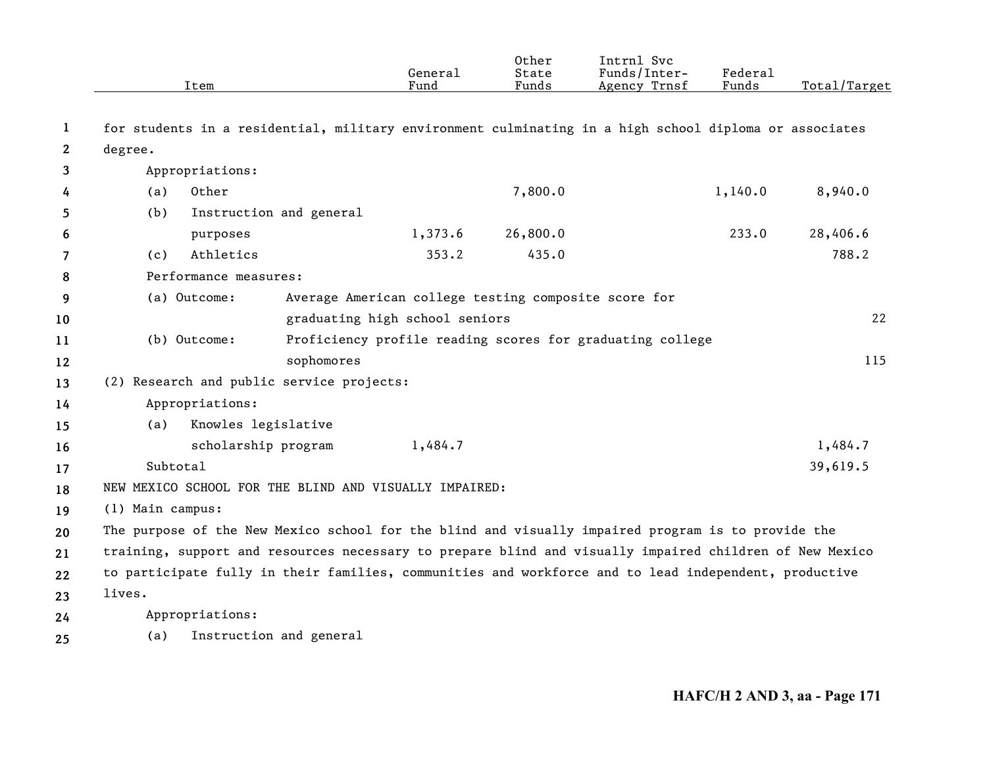|              | Item                  |                                                                                                         | General<br>Fund                                      | Other<br>State<br>Funds | Intrnl Svc<br>Funds/Inter-<br>Agency Trnsf                | Federal<br>Funds | Total/Target |
|--------------|-----------------------|---------------------------------------------------------------------------------------------------------|------------------------------------------------------|-------------------------|-----------------------------------------------------------|------------------|--------------|
| 1            |                       | for students in a residential, military environment culminating in a high school diploma or associates  |                                                      |                         |                                                           |                  |              |
| $\mathbf{2}$ | degree.               |                                                                                                         |                                                      |                         |                                                           |                  |              |
| 3            | Appropriations:       |                                                                                                         |                                                      |                         |                                                           |                  |              |
| 4            | Other<br>(a)          |                                                                                                         |                                                      | 7,800.0                 |                                                           | 1,140.0          | 8,940.0      |
| 5            | (b)                   | Instruction and general                                                                                 |                                                      |                         |                                                           |                  |              |
| 6            | purposes              |                                                                                                         | 1,373.6                                              | 26,800.0                |                                                           | 233.0            | 28,406.6     |
| 7            | Athletics<br>(c)      |                                                                                                         | 353.2                                                | 435.0                   |                                                           |                  | 788.2        |
| 8            | Performance measures: |                                                                                                         |                                                      |                         |                                                           |                  |              |
| 9            | (a) Outcome:          |                                                                                                         | Average American college testing composite score for |                         |                                                           |                  |              |
| 10           |                       |                                                                                                         | graduating high school seniors                       |                         |                                                           |                  | 22           |
| 11           | (b) Outcome:          |                                                                                                         |                                                      |                         | Proficiency profile reading scores for graduating college |                  |              |
| 12           |                       | sophomores                                                                                              |                                                      |                         |                                                           |                  | 115          |
| 13           |                       | (2) Research and public service projects:                                                               |                                                      |                         |                                                           |                  |              |
| 14           | Appropriations:       |                                                                                                         |                                                      |                         |                                                           |                  |              |
| 15           | (a)                   | Knowles legislative                                                                                     |                                                      |                         |                                                           |                  |              |
| 16           |                       | scholarship program                                                                                     | 1,484.7                                              |                         |                                                           |                  | 1,484.7      |
| 17           | Subtotal              |                                                                                                         |                                                      |                         |                                                           |                  | 39,619.5     |
| 18           |                       | NEW MEXICO SCHOOL FOR THE BLIND AND VISUALLY IMPAIRED:                                                  |                                                      |                         |                                                           |                  |              |
| 19           | (1) Main campus:      |                                                                                                         |                                                      |                         |                                                           |                  |              |
| 20           |                       | The purpose of the New Mexico school for the blind and visually impaired program is to provide the      |                                                      |                         |                                                           |                  |              |
| 21           |                       | training, support and resources necessary to prepare blind and visually impaired children of New Mexico |                                                      |                         |                                                           |                  |              |
| 22           |                       | to participate fully in their families, communities and workforce and to lead independent, productive   |                                                      |                         |                                                           |                  |              |
| 23           | lives.                |                                                                                                         |                                                      |                         |                                                           |                  |              |
| 24           | Appropriations:       |                                                                                                         |                                                      |                         |                                                           |                  |              |
| 25           | (a)                   | Instruction and general                                                                                 |                                                      |                         |                                                           |                  |              |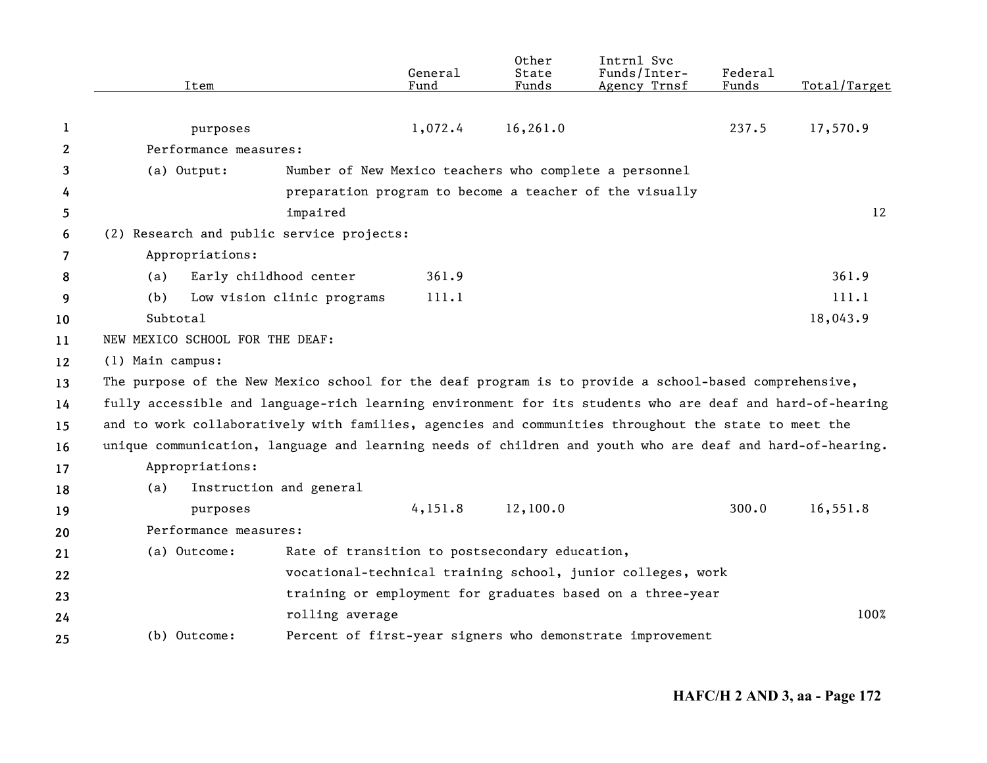|              | Item                                                                                                      |                                                | General<br>Fund | Other<br>State<br>Funds | Intrnl Svc<br>Funds/Inter-<br>Agency Trnsf                  | Federal<br>Funds | Total/Target |
|--------------|-----------------------------------------------------------------------------------------------------------|------------------------------------------------|-----------------|-------------------------|-------------------------------------------------------------|------------------|--------------|
|              |                                                                                                           |                                                |                 |                         |                                                             |                  |              |
| 1            | purposes                                                                                                  |                                                | 1,072.4         | 16, 261.0               |                                                             | 237.5            | 17,570.9     |
| $\mathbf{2}$ | Performance measures:                                                                                     |                                                |                 |                         |                                                             |                  |              |
| 3            | (a) Output:                                                                                               |                                                |                 |                         | Number of New Mexico teachers who complete a personnel      |                  |              |
| 4            |                                                                                                           |                                                |                 |                         | preparation program to become a teacher of the visually     |                  |              |
| 5            |                                                                                                           | impaired                                       |                 |                         |                                                             |                  | 12           |
| 6            | (2) Research and public service projects:                                                                 |                                                |                 |                         |                                                             |                  |              |
| 7            | Appropriations:                                                                                           |                                                |                 |                         |                                                             |                  |              |
| 8            | (a)                                                                                                       | Early childhood center                         | 361.9           |                         |                                                             |                  | 361.9        |
| 9            | (b)                                                                                                       | Low vision clinic programs                     | 111.1           |                         |                                                             |                  | 111.1        |
| 10           | Subtotal                                                                                                  |                                                |                 |                         |                                                             |                  | 18,043.9     |
| 11           | NEW MEXICO SCHOOL FOR THE DEAF:                                                                           |                                                |                 |                         |                                                             |                  |              |
| 12           | (1) Main campus:                                                                                          |                                                |                 |                         |                                                             |                  |              |
| 13           | The purpose of the New Mexico school for the deaf program is to provide a school-based comprehensive,     |                                                |                 |                         |                                                             |                  |              |
| 14           | fully accessible and language-rich learning environment for its students who are deaf and hard-of-hearing |                                                |                 |                         |                                                             |                  |              |
| 15           | and to work collaboratively with families, agencies and communities throughout the state to meet the      |                                                |                 |                         |                                                             |                  |              |
| 16           | unique communication, language and learning needs of children and youth who are deaf and hard-of-hearing. |                                                |                 |                         |                                                             |                  |              |
| 17           | Appropriations:                                                                                           |                                                |                 |                         |                                                             |                  |              |
| 18           | (a)                                                                                                       | Instruction and general                        |                 |                         |                                                             |                  |              |
| 19           | purposes                                                                                                  |                                                | 4,151.8         | 12,100.0                |                                                             | 300.0            | 16,551.8     |
| 20           | Performance measures:                                                                                     |                                                |                 |                         |                                                             |                  |              |
| 21           | (a) Outcome:                                                                                              | Rate of transition to postsecondary education, |                 |                         |                                                             |                  |              |
| 22           |                                                                                                           |                                                |                 |                         | vocational-technical training school, junior colleges, work |                  |              |
| 23           |                                                                                                           |                                                |                 |                         | training or employment for graduates based on a three-year  |                  |              |
| 24           |                                                                                                           | rolling average                                |                 |                         |                                                             |                  | 100%         |
| 25           | (b) Outcome:                                                                                              |                                                |                 |                         | Percent of first-year signers who demonstrate improvement   |                  |              |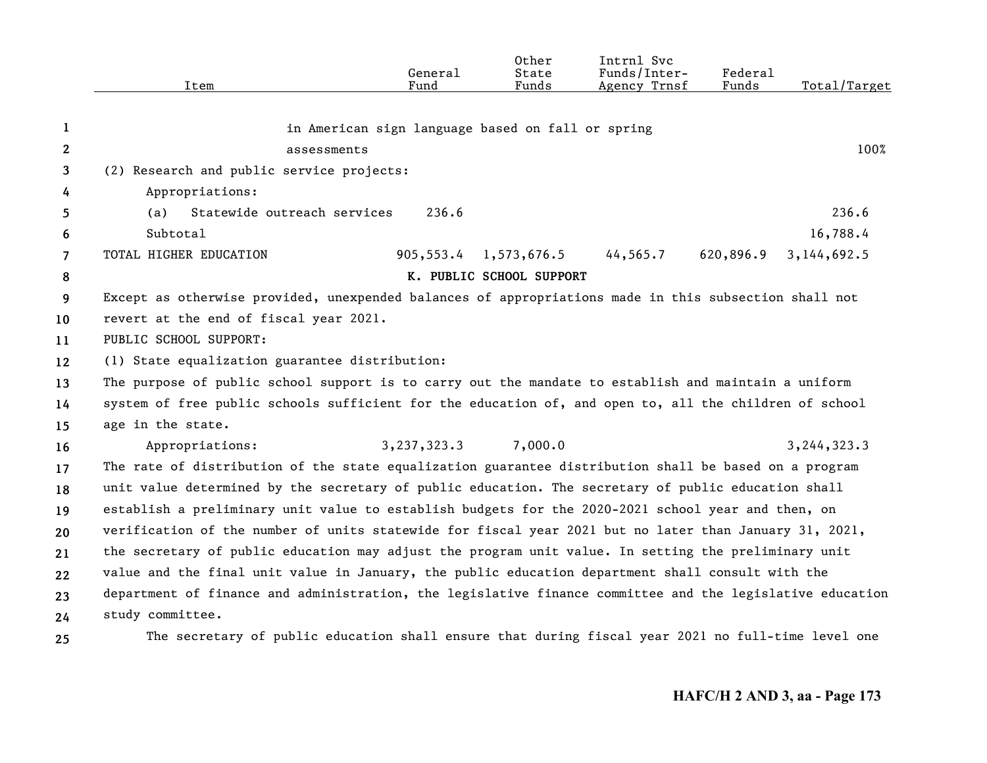|                | Item                                                                                                      | General<br>Fund | Other<br>State<br>Funds                           | Intrnl Svc<br>Funds/Inter-<br>Agency Trnsf | <b>Federal</b><br>Funds | Total/Target  |
|----------------|-----------------------------------------------------------------------------------------------------------|-----------------|---------------------------------------------------|--------------------------------------------|-------------------------|---------------|
| 1              |                                                                                                           |                 | in American sign language based on fall or spring |                                            |                         |               |
| 2              | assessments                                                                                               |                 |                                                   |                                            |                         | 100%          |
| 3              | (2) Research and public service projects:                                                                 |                 |                                                   |                                            |                         |               |
| 4              | Appropriations:                                                                                           |                 |                                                   |                                            |                         |               |
| 5              | Statewide outreach services<br>(a)                                                                        | 236.6           |                                                   |                                            |                         | 236.6         |
| 6              | Subtotal                                                                                                  |                 |                                                   |                                            |                         | 16,788.4      |
| $\overline{7}$ | TOTAL HIGHER EDUCATION                                                                                    | 905,553.4       | 1,573,676.5                                       | 44, 565.7                                  | 620,896.9               | 3, 144, 692.5 |
| 8              |                                                                                                           |                 | K. PUBLIC SCHOOL SUPPORT                          |                                            |                         |               |
| 9              | Except as otherwise provided, unexpended balances of appropriations made in this subsection shall not     |                 |                                                   |                                            |                         |               |
| 10             | revert at the end of fiscal year 2021.                                                                    |                 |                                                   |                                            |                         |               |
| 11             | PUBLIC SCHOOL SUPPORT:                                                                                    |                 |                                                   |                                            |                         |               |
| 12             | (1) State equalization guarantee distribution:                                                            |                 |                                                   |                                            |                         |               |
| 13             | The purpose of public school support is to carry out the mandate to establish and maintain a uniform      |                 |                                                   |                                            |                         |               |
| 14             | system of free public schools sufficient for the education of, and open to, all the children of school    |                 |                                                   |                                            |                         |               |
| 15             | age in the state.                                                                                         |                 |                                                   |                                            |                         |               |
| 16             | Appropriations:                                                                                           | 3,237,323.3     | 7,000.0                                           |                                            |                         | 3,244,323.3   |
| 17             | The rate of distribution of the state equalization guarantee distribution shall be based on a program     |                 |                                                   |                                            |                         |               |
| 18             | unit value determined by the secretary of public education. The secretary of public education shall       |                 |                                                   |                                            |                         |               |
| 19             | establish a preliminary unit value to establish budgets for the 2020-2021 school year and then, on        |                 |                                                   |                                            |                         |               |
| 20             | verification of the number of units statewide for fiscal year 2021 but no later than January 31, 2021,    |                 |                                                   |                                            |                         |               |
| 21             | the secretary of public education may adjust the program unit value. In setting the preliminary unit      |                 |                                                   |                                            |                         |               |
| 22             | value and the final unit value in January, the public education department shall consult with the         |                 |                                                   |                                            |                         |               |
| 23             | department of finance and administration, the legislative finance committee and the legislative education |                 |                                                   |                                            |                         |               |
| 24             | study committee.                                                                                          |                 |                                                   |                                            |                         |               |
| 25             | The secretary of public education shall ensure that during fiscal year 2021 no full-time level one        |                 |                                                   |                                            |                         |               |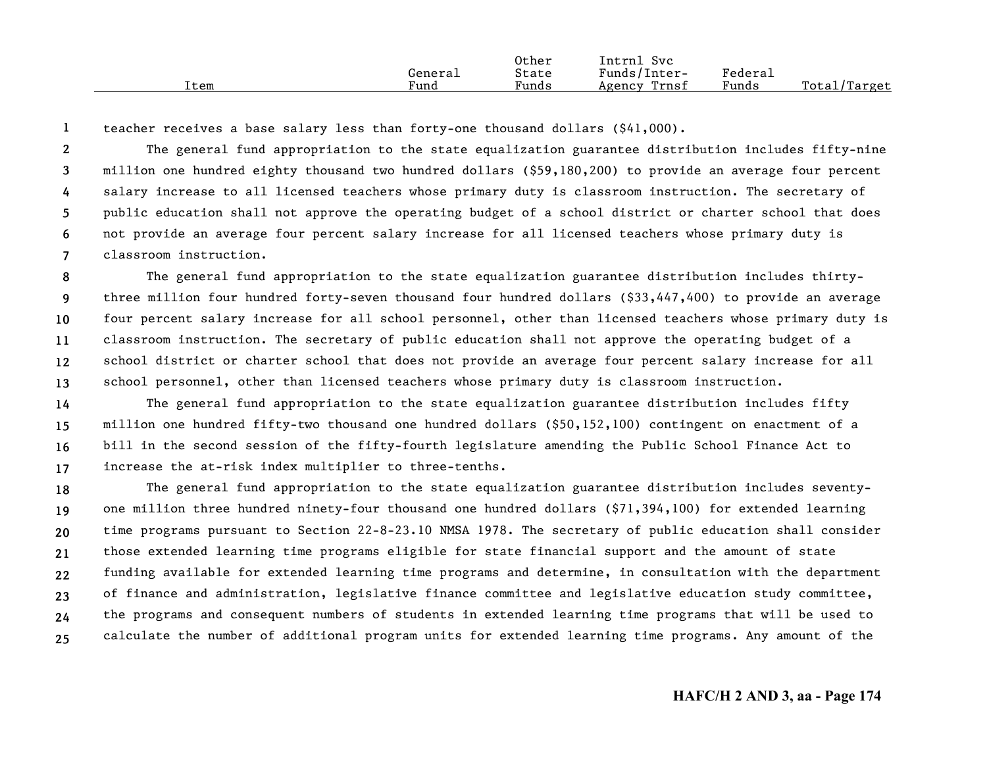|      |         | Other | Intrnl<br>Svc   |         |              |
|------|---------|-------|-----------------|---------|--------------|
|      | Generai | State | Funds/Inter-    | Federai |              |
| Item | Fund    | Funds | Trnsf<br>Agency | Funds   | Total/Target |

**1**teacher receives a base salary less than forty-one thousand dollars (\$41,000).

**234567**The general fund appropriation to the state equalization guarantee distribution includes fifty-nine million one hundred eighty thousand two hundred dollars (\$59,180,200) to provide an average four percent salary increase to all licensed teachers whose primary duty is classroom instruction. The secretary of public education shall not approve the operating budget of a school district or charter school that does not provide an average four percent salary increase for all licensed teachers whose primary duty is classroom instruction.

**89 10111213**The general fund appropriation to the state equalization guarantee distribution includes thirtythree million four hundred forty-seven thousand four hundred dollars (\$33,447,400) to provide an average four percent salary increase for all school personnel, other than licensed teachers whose primary duty is classroom instruction. The secretary of public education shall not approve the operating budget of a school district or charter school that does not provide an average four percent salary increase for all school personnel, other than licensed teachers whose primary duty is classroom instruction.

**14151617**The general fund appropriation to the state equalization guarantee distribution includes fifty million one hundred fifty-two thousand one hundred dollars (\$50,152,100) contingent on enactment of a bill in the second session of the fifty-fourth legislature amending the Public School Finance Act to increase the at-risk index multiplier to three-tenths.

**1819202122232425**The general fund appropriation to the state equalization guarantee distribution includes seventyone million three hundred ninety-four thousand one hundred dollars (\$71,394,100) for extended learning time programs pursuant to Section 22-8-23.10 NMSA 1978. The secretary of public education shall consider those extended learning time programs eligible for state financial support and the amount of state funding available for extended learning time programs and determine, in consultation with the department of finance and administration, legislative finance committee and legislative education study committee, the programs and consequent numbers of students in extended learning time programs that will be used to calculate the number of additional program units for extended learning time programs. Any amount of the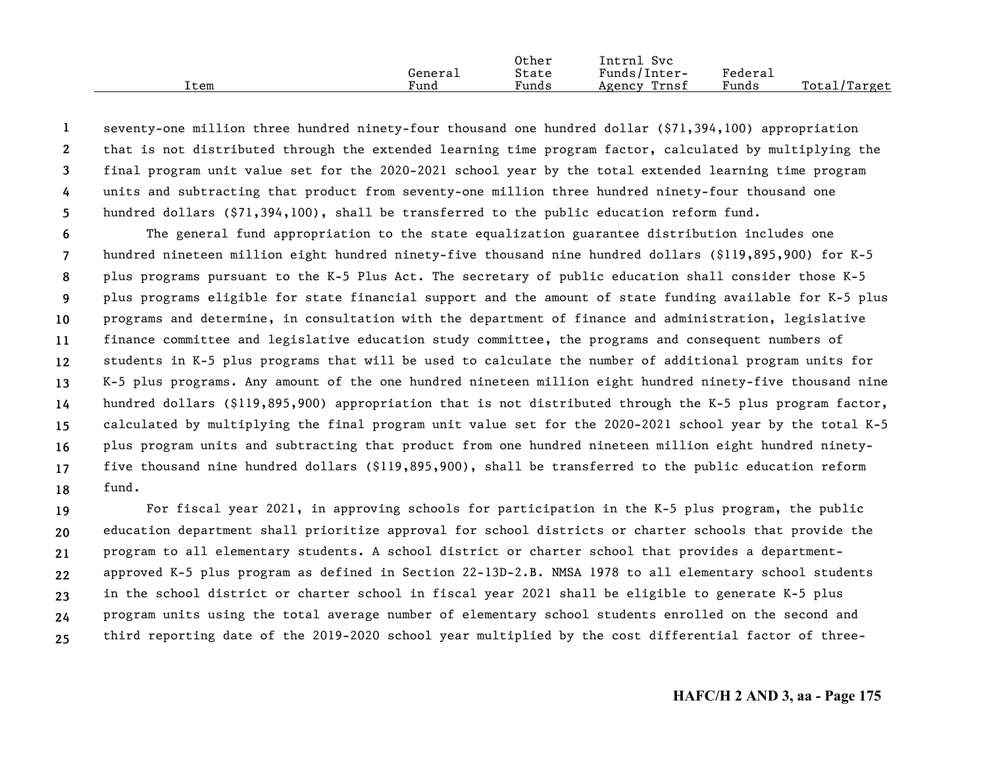|      |         | Other | Intrnl<br>Syc   |                     |                   |
|------|---------|-------|-----------------|---------------------|-------------------|
|      | General | State | Funds/Inter-    | Federa <sub>1</sub> |                   |
| Item | Fund    | Funds | Trnsf<br>Agency | Funds               | Total,<br>'Target |

**12345**seventy-one million three hundred ninety-four thousand one hundred dollar (\$71,394,100) appropriation that is not distributed through the extended learning time program factor, calculated by multiplying the final program unit value set for the 2020-2021 school year by the total extended learning time program units and subtracting that product from seventy-one million three hundred ninety-four thousand one hundred dollars (\$71,394,100), shall be transferred to the public education reform fund.

**6789 101112131415161718**The general fund appropriation to the state equalization guarantee distribution includes one hundred nineteen million eight hundred ninety-five thousand nine hundred dollars (\$119,895,900) for K-5 plus programs pursuant to the K-5 Plus Act. The secretary of public education shall consider those K-5 plus programs eligible for state financial support and the amount of state funding available for K-5 plus programs and determine, in consultation with the department of finance and administration, legislative finance committee and legislative education study committee, the programs and consequent numbers of students in K-5 plus programs that will be used to calculate the number of additional program units for K-5 plus programs. Any amount of the one hundred nineteen million eight hundred ninety-five thousand nine hundred dollars (\$119,895,900) appropriation that is not distributed through the K-5 plus program factor, calculated by multiplying the final program unit value set for the 2020-2021 school year by the total K-5 plus program units and subtracting that product from one hundred nineteen million eight hundred ninetyfive thousand nine hundred dollars (\$119,895,900), shall be transferred to the public education reform fund.

**19202122232425**For fiscal year 2021, in approving schools for participation in the K-5 plus program, the public education department shall prioritize approval for school districts or charter schools that provide the program to all elementary students. A school district or charter school that provides a departmentapproved K-5 plus program as defined in Section 22-13D-2.B. NMSA 1978 to all elementary school students in the school district or charter school in fiscal year 2021 shall be eligible to generate K-5 plus program units using the total average number of elementary school students enrolled on the second and third reporting date of the 2019-2020 school year multiplied by the cost differential factor of three-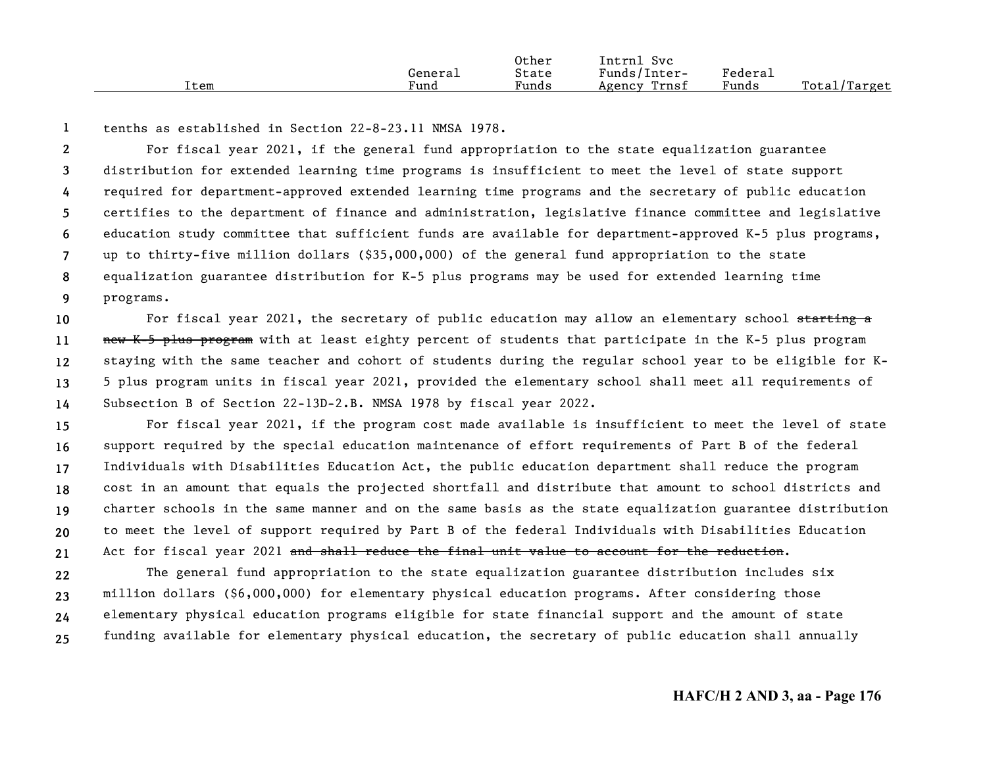|      |         | Other | Svc<br>Intrnl   |         |              |
|------|---------|-------|-----------------|---------|--------------|
|      | General | State | Funds/Inter-    | Federai |              |
| Item | Fund    | Funds | Trnsf<br>Agency | Funds   | Total/Target |

```
1tenths as established in Section 22-8-23.11 NMSA 1978.
```
**23456789**For fiscal year 2021, if the general fund appropriation to the state equalization guarantee distribution for extended learning time programs is insufficient to meet the level of state support required for department-approved extended learning time programs and the secretary of public education certifies to the department of finance and administration, legislative finance committee and legislative education study committee that sufficient funds are available for department-approved K-5 plus programs, up to thirty-five million dollars (\$35,000,000) of the general fund appropriation to the state equalization guarantee distribution for K-5 plus programs may be used for extended learning time programs.

**1011121314**For fiscal year 2021, the secretary of public education may allow an elementary school starting a new K-5 plus program with at least eighty percent of students that participate in the K-5 plus program staying with the same teacher and cohort of students during the regular school year to be eligible for K-5 plus program units in fiscal year 2021, provided the elementary school shall meet all requirements of Subsection B of Section 22-13D-2.B. NMSA 1978 by fiscal year 2022.

**15161718192021**For fiscal year 2021, if the program cost made available is insufficient to meet the level of state support required by the special education maintenance of effort requirements of Part B of the federal Individuals with Disabilities Education Act, the public education department shall reduce the program cost in an amount that equals the projected shortfall and distribute that amount to school districts and charter schools in the same manner and on the same basis as the state equalization guarantee distribution to meet the level of support required by Part B of the federal Individuals with Disabilities Education Act for fiscal year 2021 and shall reduce the final unit value to account for the reduction.

**22232425**The general fund appropriation to the state equalization guarantee distribution includes six million dollars (\$6,000,000) for elementary physical education programs. After considering those elementary physical education programs eligible for state financial support and the amount of state funding available for elementary physical education, the secretary of public education shall annually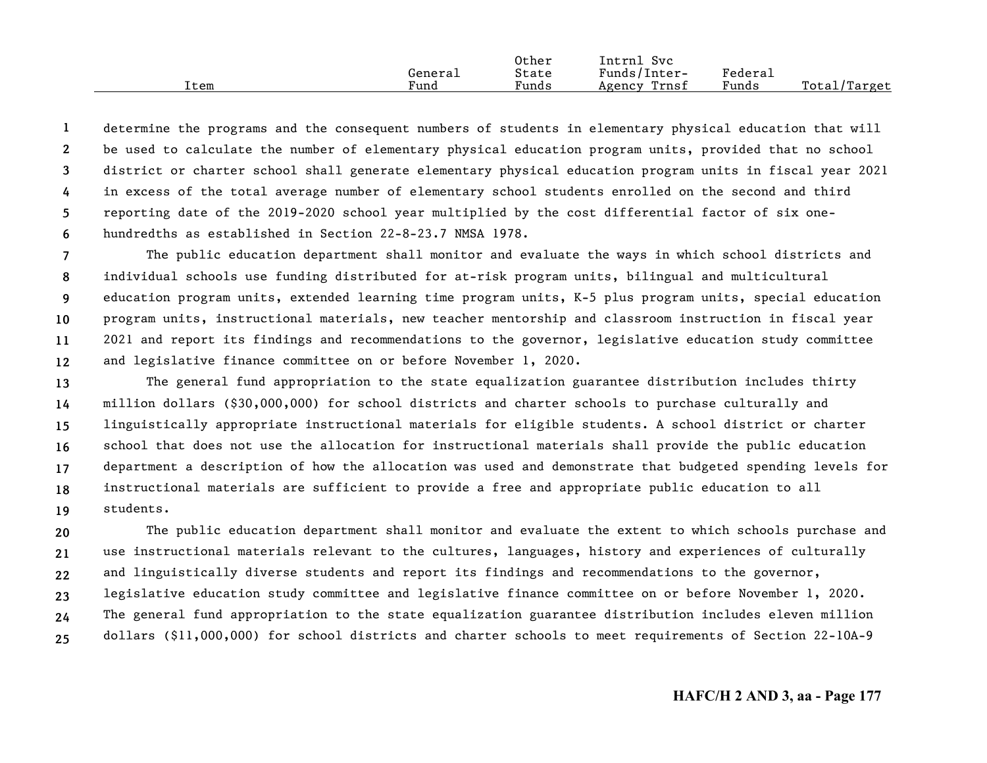|      |         | Other | Intrnl<br>Svc   |                     |                  |
|------|---------|-------|-----------------|---------------------|------------------|
|      | General | State | Funds/Inter-    | Federa <sub>1</sub> |                  |
| Item | Fund    | Funds | Trnsf<br>Agency | Funds               | Total/<br>Target |

**123456**determine the programs and the consequent numbers of students in elementary physical education that will be used to calculate the number of elementary physical education program units, provided that no school district or charter school shall generate elementary physical education program units in fiscal year 2021 in excess of the total average number of elementary school students enrolled on the second and third reporting date of the 2019-2020 school year multiplied by the cost differential factor of six onehundredths as established in Section 22-8-23.7 NMSA 1978.

**789101112**The public education department shall monitor and evaluate the ways in which school districts and individual schools use funding distributed for at-risk program units, bilingual and multicultural education program units, extended learning time program units, K-5 plus program units, special education program units, instructional materials, new teacher mentorship and classroom instruction in fiscal year 2021 and report its findings and recommendations to the governor, legislative education study committee and legislative finance committee on or before November 1, 2020.

**13141516171819**The general fund appropriation to the state equalization guarantee distribution includes thirty million dollars (\$30,000,000) for school districts and charter schools to purchase culturally and linguistically appropriate instructional materials for eligible students. A school district or charter school that does not use the allocation for instructional materials shall provide the public education department a description of how the allocation was used and demonstrate that budgeted spending levels for instructional materials are sufficient to provide a free and appropriate public education to all students.

**202122232425**The public education department shall monitor and evaluate the extent to which schools purchase and use instructional materials relevant to the cultures, languages, history and experiences of culturally and linguistically diverse students and report its findings and recommendations to the governor, legislative education study committee and legislative finance committee on or before November 1, 2020. The general fund appropriation to the state equalization guarantee distribution includes eleven million dollars (\$11,000,000) for school districts and charter schools to meet requirements of Section 22-10A-9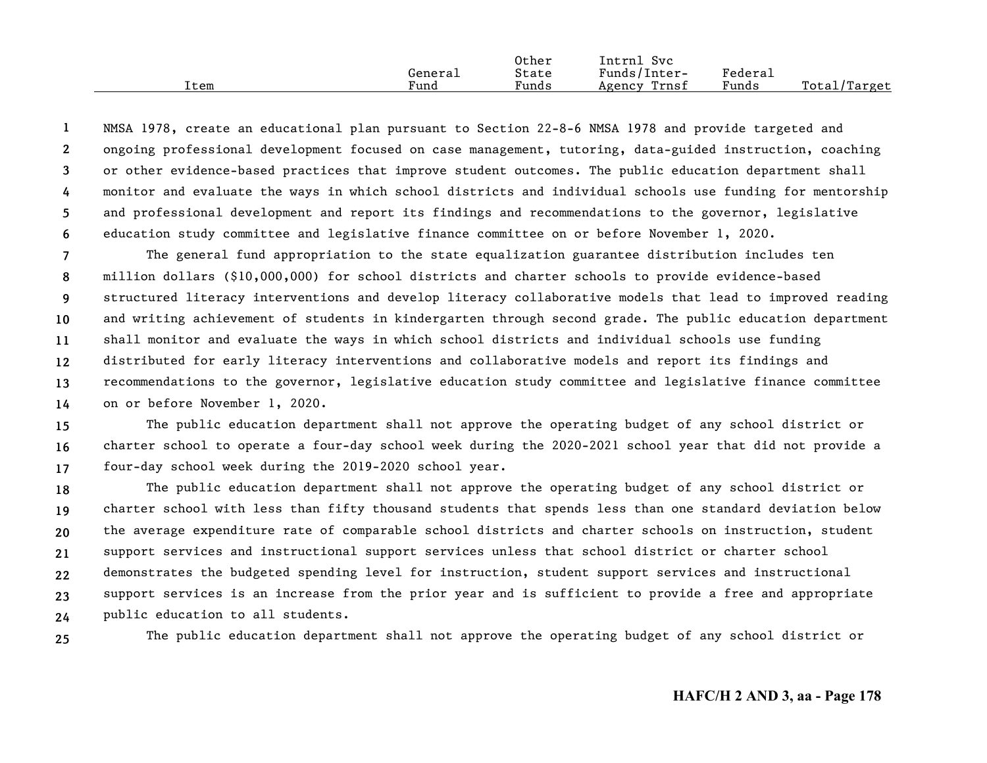|      |         | Other | Intrnl<br>Svc   |                     |                  |
|------|---------|-------|-----------------|---------------------|------------------|
|      | General | State | Funds/Inter-    | Federa <sub>1</sub> |                  |
| Item | Fund    | Funds | Trnsf<br>Agency | Funds               | Total/<br>Target |

**123456**NMSA 1978, create an educational plan pursuant to Section 22-8-6 NMSA 1978 and provide targeted and ongoing professional development focused on case management, tutoring, data-guided instruction, coaching or other evidence-based practices that improve student outcomes. The public education department shall monitor and evaluate the ways in which school districts and individual schools use funding for mentorship and professional development and report its findings and recommendations to the governor, legislative education study committee and legislative finance committee on or before November 1, 2020.

**7891011121314**The general fund appropriation to the state equalization guarantee distribution includes ten million dollars (\$10,000,000) for school districts and charter schools to provide evidence-based structured literacy interventions and develop literacy collaborative models that lead to improved reading and writing achievement of students in kindergarten through second grade. The public education department shall monitor and evaluate the ways in which school districts and individual schools use funding distributed for early literacy interventions and collaborative models and report its findings and recommendations to the governor, legislative education study committee and legislative finance committee on or before November 1, 2020.

**151617**The public education department shall not approve the operating budget of any school district or charter school to operate a four-day school week during the 2020-2021 school year that did not provide a four-day school week during the 2019-2020 school year.

**18192021222324**The public education department shall not approve the operating budget of any school district or charter school with less than fifty thousand students that spends less than one standard deviation below the average expenditure rate of comparable school districts and charter schools on instruction, student support services and instructional support services unless that school district or charter school demonstrates the budgeted spending level for instruction, student support services and instructional support services is an increase from the prior year and is sufficient to provide a free and appropriate public education to all students.

**25**

The public education department shall not approve the operating budget of any school district or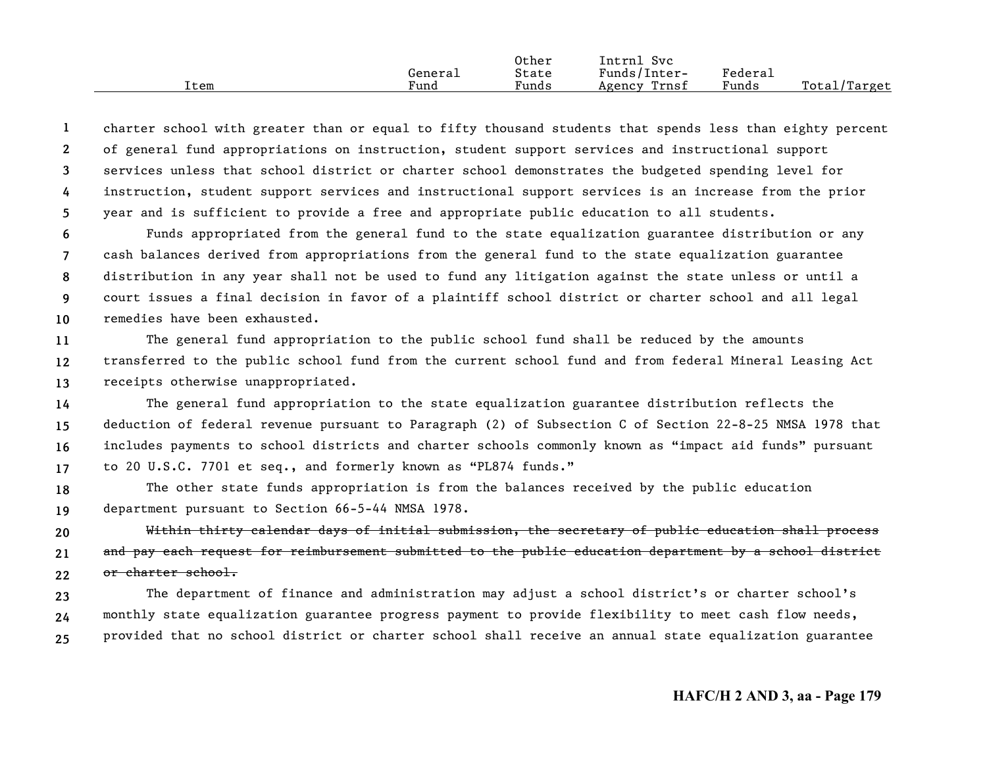|      |         | Other | Intrnl<br>Svc   |                     |                  |
|------|---------|-------|-----------------|---------------------|------------------|
|      | General | State | Funds/Inter-    | Federa <sub>1</sub> |                  |
| Item | Fund    | Funds | Trnst<br>Agency | Funds               | Total/<br>Target |

**12345**charter school with greater than or equal to fifty thousand students that spends less than eighty percent of general fund appropriations on instruction, student support services and instructional support services unless that school district or charter school demonstrates the budgeted spending level for instruction, student support services and instructional support services is an increase from the prior year and is sufficient to provide a free and appropriate public education to all students.

**678910**Funds appropriated from the general fund to the state equalization guarantee distribution or any cash balances derived from appropriations from the general fund to the state equalization guarantee distribution in any year shall not be used to fund any litigation against the state unless or until a court issues a final decision in favor of a plaintiff school district or charter school and all legal remedies have been exhausted.

**111213**The general fund appropriation to the public school fund shall be reduced by the amounts transferred to the public school fund from the current school fund and from federal Mineral Leasing Act receipts otherwise unappropriated.

**14151617**The general fund appropriation to the state equalization guarantee distribution reflects the deduction of federal revenue pursuant to Paragraph (2) of Subsection C of Section 22-8-25 NMSA 1978 that includes payments to school districts and charter schools commonly known as "impact aid funds" pursuant to 20 U.S.C. 7701 et seq., and formerly known as "PL874 funds."

**1819**The other state funds appropriation is from the balances received by the public education department pursuant to Section 66-5-44 NMSA 1978.

**202122**Within thirty calendar days of initial submission, the secretary of public education shall process and pay each request for reimbursement submitted to the public education department by a school district or charter school.

**232425**The department of finance and administration may adjust a school district's or charter school's monthly state equalization guarantee progress payment to provide flexibility to meet cash flow needs, provided that no school district or charter school shall receive an annual state equalization guarantee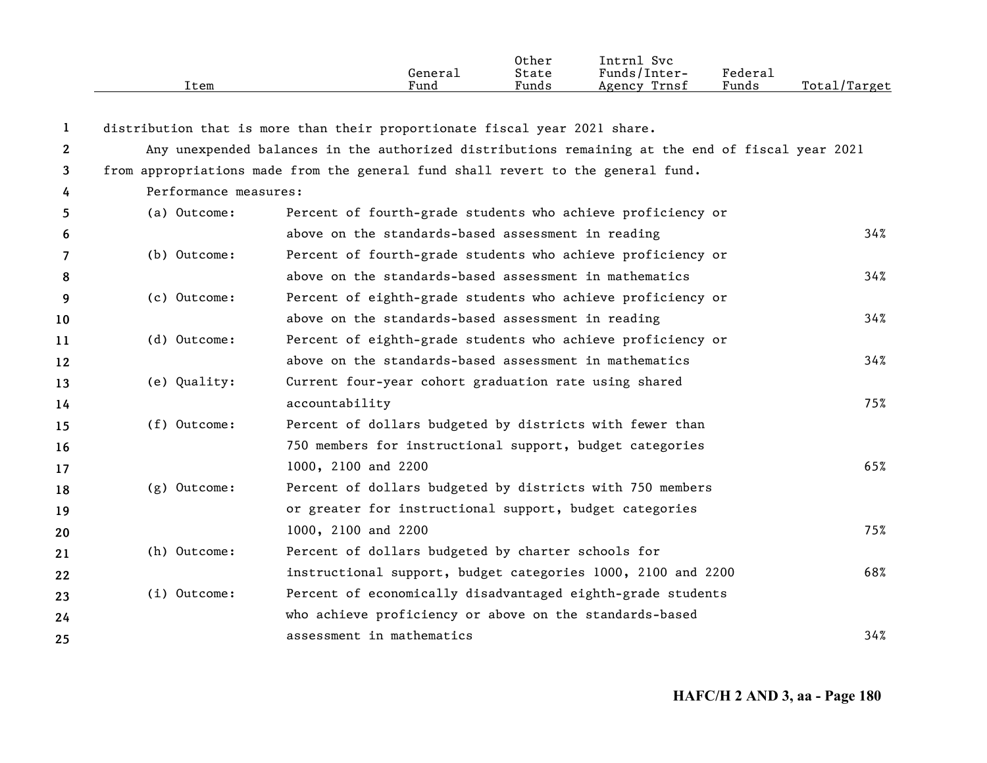|              | Item                                                                                             | General<br>Fund                                                                  | Other<br>State<br>Funds | Intrnl Svc<br>Funds/Inter-<br>Agency Trnsf | Federal<br>Funds | Total/Target |  |  |
|--------------|--------------------------------------------------------------------------------------------------|----------------------------------------------------------------------------------|-------------------------|--------------------------------------------|------------------|--------------|--|--|
|              |                                                                                                  |                                                                                  |                         |                                            |                  |              |  |  |
| 1            |                                                                                                  | distribution that is more than their proportionate fiscal year 2021 share.       |                         |                                            |                  |              |  |  |
| $\mathbf{2}$ | Any unexpended balances in the authorized distributions remaining at the end of fiscal year 2021 |                                                                                  |                         |                                            |                  |              |  |  |
| 3            |                                                                                                  | from appropriations made from the general fund shall revert to the general fund. |                         |                                            |                  |              |  |  |
| 4            | Performance measures:                                                                            |                                                                                  |                         |                                            |                  |              |  |  |
| 5.           | (a) Outcome:                                                                                     | Percent of fourth-grade students who achieve proficiency or                      |                         |                                            |                  |              |  |  |
| 6            |                                                                                                  | above on the standards-based assessment in reading                               |                         |                                            |                  | 34%          |  |  |
| 7            | (b) Outcome:                                                                                     | Percent of fourth-grade students who achieve proficiency or                      |                         |                                            |                  |              |  |  |
| 8            |                                                                                                  | above on the standards-based assessment in mathematics                           |                         |                                            |                  | 34%          |  |  |
| 9            | (c) Outcome:                                                                                     | Percent of eighth-grade students who achieve proficiency or                      |                         |                                            |                  |              |  |  |
| 10           |                                                                                                  | above on the standards-based assessment in reading                               |                         |                                            |                  | 34%          |  |  |
| 11           | (d) Outcome:                                                                                     | Percent of eighth-grade students who achieve proficiency or                      |                         |                                            |                  |              |  |  |
| 12           |                                                                                                  | above on the standards-based assessment in mathematics                           |                         |                                            |                  | 34%          |  |  |
| 13           | (e) Quality:                                                                                     | Current four-year cohort graduation rate using shared                            |                         |                                            |                  |              |  |  |
| 14           |                                                                                                  | accountability                                                                   |                         |                                            |                  | 75%          |  |  |
| 15           | (f) Outcome:                                                                                     | Percent of dollars budgeted by districts with fewer than                         |                         |                                            |                  |              |  |  |
| 16           |                                                                                                  | 750 members for instructional support, budget categories                         |                         |                                            |                  |              |  |  |
| 17           |                                                                                                  | 1000, 2100 and 2200                                                              |                         |                                            |                  | 65%          |  |  |
| 18           | (g) Outcome:                                                                                     | Percent of dollars budgeted by districts with 750 members                        |                         |                                            |                  |              |  |  |
| 19           |                                                                                                  | or greater for instructional support, budget categories                          |                         |                                            |                  |              |  |  |
| 20           |                                                                                                  | 1000, 2100 and 2200                                                              |                         |                                            |                  | 75%          |  |  |
| 21           | (h) Outcome:                                                                                     | Percent of dollars budgeted by charter schools for                               |                         |                                            |                  |              |  |  |
| 22           |                                                                                                  | instructional support, budget categories 1000, 2100 and 2200                     |                         |                                            |                  | 68%          |  |  |
| 23           | $(i)$ Outcome:                                                                                   | Percent of economically disadvantaged eighth-grade students                      |                         |                                            |                  |              |  |  |
| 24           |                                                                                                  | who achieve proficiency or above on the standards-based                          |                         |                                            |                  |              |  |  |
| 25           |                                                                                                  | assessment in mathematics                                                        |                         |                                            |                  | 34%          |  |  |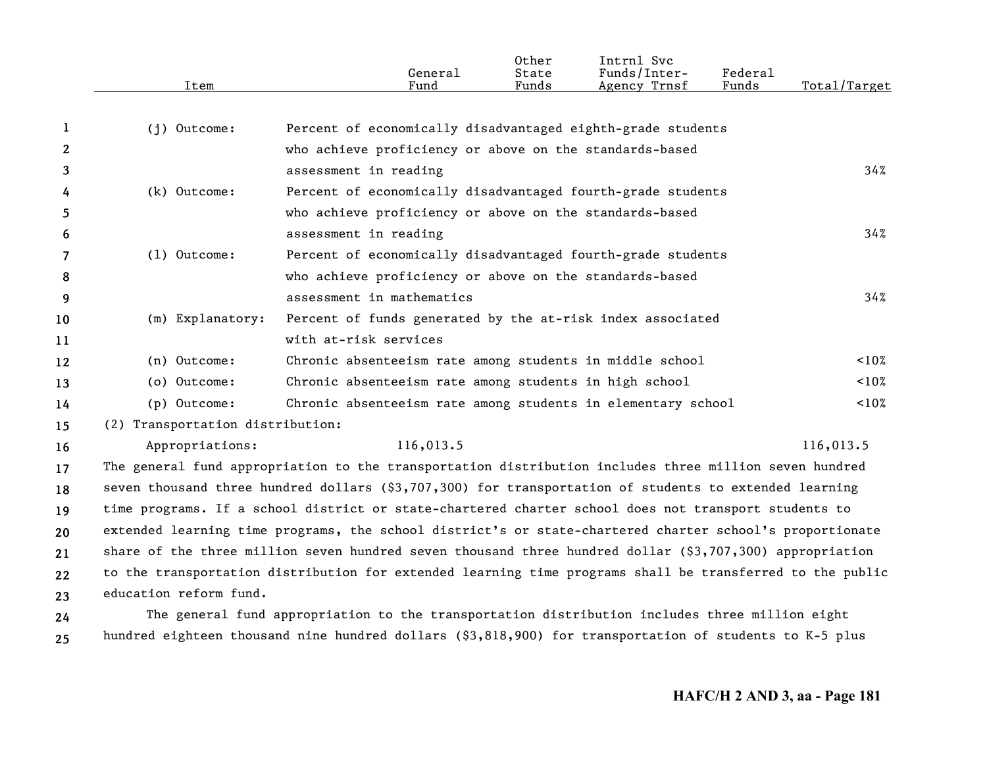|              | Item                             | General<br>Fund                                                                                           | Other<br>State<br>Funds | Intrnl Svc<br>Funds/Inter-<br>Agency Trnsf | Federal<br>Funds | Total/Target |
|--------------|----------------------------------|-----------------------------------------------------------------------------------------------------------|-------------------------|--------------------------------------------|------------------|--------------|
|              |                                  |                                                                                                           |                         |                                            |                  |              |
| 1            | (j) Outcome:                     | Percent of economically disadvantaged eighth-grade students                                               |                         |                                            |                  |              |
| $\mathbf{2}$ |                                  | who achieve proficiency or above on the standards-based                                                   |                         |                                            |                  |              |
| 3            |                                  | assessment in reading                                                                                     |                         |                                            |                  | 34%          |
| 4            | (k) Outcome:                     | Percent of economically disadvantaged fourth-grade students                                               |                         |                                            |                  |              |
| 5            |                                  | who achieve proficiency or above on the standards-based                                                   |                         |                                            |                  |              |
| 6            |                                  | assessment in reading                                                                                     |                         |                                            |                  | 34%          |
| 7            | $(1)$ Outcome:                   | Percent of economically disadvantaged fourth-grade students                                               |                         |                                            |                  |              |
| 8            |                                  | who achieve proficiency or above on the standards-based                                                   |                         |                                            |                  |              |
| 9            |                                  | assessment in mathematics                                                                                 |                         |                                            |                  | 34%          |
| 10           | (m) Explanatory:                 | Percent of funds generated by the at-risk index associated                                                |                         |                                            |                  |              |
| 11           |                                  | with at-risk services                                                                                     |                         |                                            |                  |              |
| 12           | (n) Outcome:                     | Chronic absenteeism rate among students in middle school                                                  |                         |                                            |                  | $10\%$       |
| 13           | (o) Outcome:                     | Chronic absenteeism rate among students in high school                                                    |                         |                                            |                  | $10\%$       |
| 14           | (p) Outcome:                     | Chronic absenteeism rate among students in elementary school                                              |                         |                                            |                  | $10\%$       |
| 15           | (2) Transportation distribution: |                                                                                                           |                         |                                            |                  |              |
| 16           | Appropriations:                  | 116,013.5                                                                                                 |                         |                                            |                  | 116,013.5    |
| 17           |                                  | The general fund appropriation to the transportation distribution includes three million seven hundred    |                         |                                            |                  |              |
| 18           |                                  | seven thousand three hundred dollars (\$3,707,300) for transportation of students to extended learning    |                         |                                            |                  |              |
| 19           |                                  | time programs. If a school district or state-chartered charter school does not transport students to      |                         |                                            |                  |              |
| 20           |                                  | extended learning time programs, the school district's or state-chartered charter school's proportionate  |                         |                                            |                  |              |
| 21           |                                  | share of the three million seven hundred seven thousand three hundred dollar $(93,707,300)$ appropriation |                         |                                            |                  |              |
| 22           |                                  | to the transportation distribution for extended learning time programs shall be transferred to the public |                         |                                            |                  |              |
| 23           | education reform fund.           |                                                                                                           |                         |                                            |                  |              |
| 24           |                                  | The general fund appropriation to the transportation distribution includes three million eight            |                         |                                            |                  |              |
| 25           |                                  | hundred eighteen thousand nine hundred dollars (\$3,818,900) for transportation of students to K-5 plus   |                         |                                            |                  |              |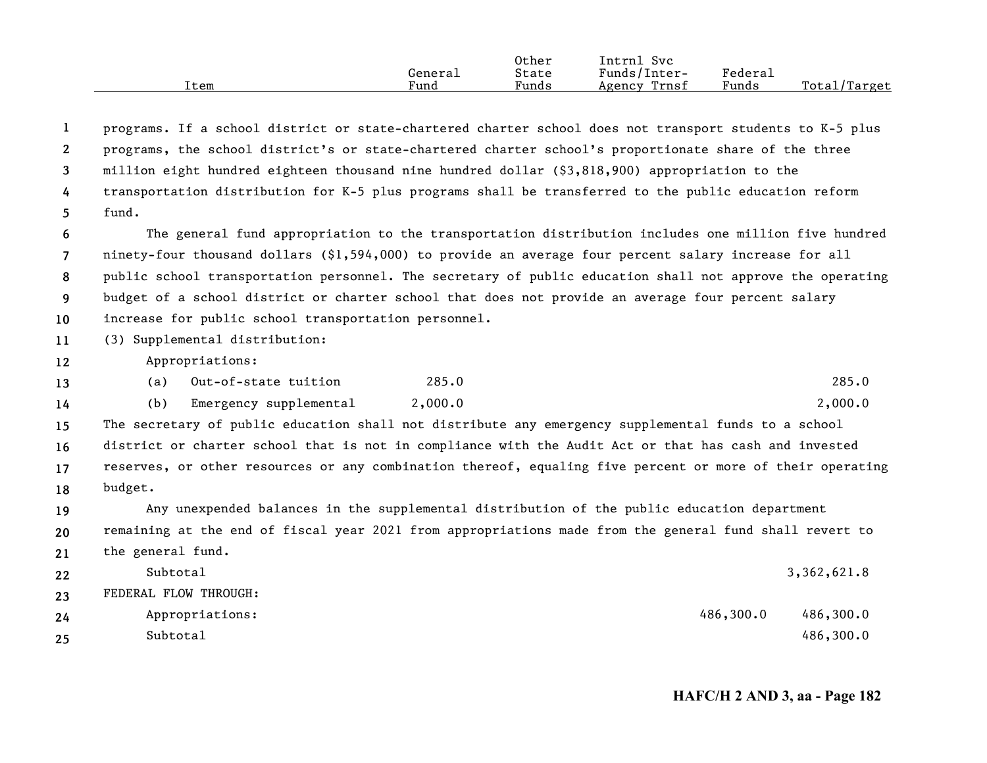|      | General | Other<br>State | Intrnl<br>Svc<br>Funds/Inter- | Federal |              |
|------|---------|----------------|-------------------------------|---------|--------------|
| Item | Fund    | Funds          | Trnsf<br>Agency               | Funds   | Total/Target |

| 1                 | programs. If a school district or state-chartered charter school does not transport students to K-5 plus  |
|-------------------|-----------------------------------------------------------------------------------------------------------|
| 2                 | programs, the school district's or state-chartered charter school's proportionate share of the three      |
| 3                 | million eight hundred eighteen thousand nine hundred dollar (\$3,818,900) appropriation to the            |
| 4                 | transportation distribution for K-5 plus programs shall be transferred to the public education reform     |
| 5.                | fund.                                                                                                     |
| 6                 | The general fund appropriation to the transportation distribution includes one million five hundred       |
| $\overline{7}$    | ninety-four thousand dollars (\$1,594,000) to provide an average four percent salary increase for all     |
| 8                 | public school transportation personnel. The secretary of public education shall not approve the operating |
| 9                 | budget of a school district or charter school that does not provide an average four percent salary        |
| 10                | increase for public school transportation personnel.                                                      |
| 11                | (3) Supplemental distribution:                                                                            |
| $12 \overline{ }$ | Appropriations:                                                                                           |
| 13                | 285.0<br>Out-of-state tuition<br>285.0<br>(a)                                                             |
| 14                | Emergency supplemental<br>2,000.0<br>2,000.0<br>(b)                                                       |
| 15                | The secretary of public education shall not distribute any emergency supplemental funds to a school       |
| 16                | district or charter school that is not in compliance with the Audit Act or that has cash and invested     |
| 17                | reserves, or other resources or any combination thereof, equaling five percent or more of their operating |
| 18                | budget.                                                                                                   |
| 19                | Any unexpended balances in the supplemental distribution of the public education department               |
| 20                | remaining at the end of fiscal year 2021 from appropriations made from the general fund shall revert to   |
| 21                | the general fund.                                                                                         |
| 22                | Subtotal<br>3,362,621.8                                                                                   |
| 23                | FEDERAL FLOW THROUGH:                                                                                     |
| 24                | 486,300.0<br>486,300.0<br>Appropriations:                                                                 |
| 25                | Subtotal<br>486,300.0                                                                                     |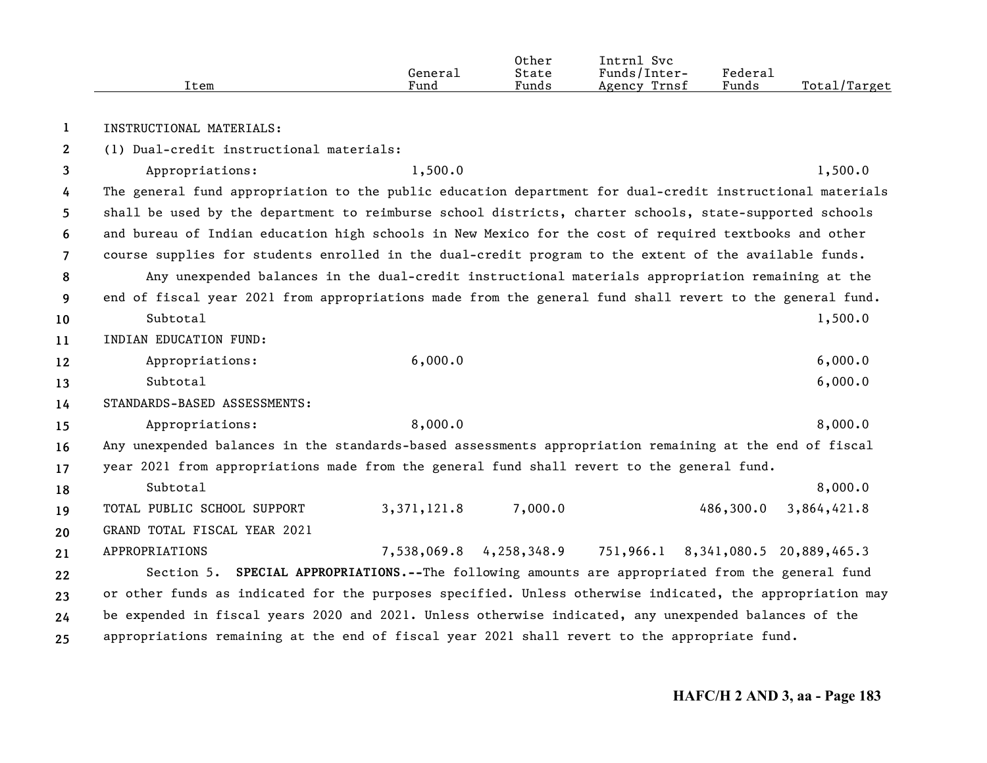|      |         | Other           | Intrnl<br>Svc   |                     |                     |
|------|---------|-----------------|-----------------|---------------------|---------------------|
|      | Generai | State           | Funds/Inter-    | Federa <sub>1</sub> |                     |
| Item | Fund    | $\sim$<br>Funds | Trnsf<br>Agency | Funds               | Total,<br>$T$ arget |

**1**INSTRUCTIONAL MATERIALS:

**2**(1) Dual-credit instructional materials:

**345678910111213141516171819202122232425**Appropriations: 1,500.0 1,500.0 1,500.0 1,500.0 The general fund appropriation to the public education department for dual-credit instructional materials shall be used by the department to reimburse school districts, charter schools, state-supported schools and bureau of Indian education high schools in New Mexico for the cost of required textbooks and other course supplies for students enrolled in the dual-credit program to the extent of the available funds. Any unexpended balances in the dual-credit instructional materials appropriation remaining at the end of fiscal year 2021 from appropriations made from the general fund shall revert to the general fund. Subtotal $1,500.0$ INDIAN EDUCATION FUND:Appropriations: 6,000.0 6,000 6,000 6,000 6,000 6,000 6,000 6,000 6,000 6,000 6,000 6,000 6,000 6,000 6,000 6,0 Subtotal $1\,$  6,000.0 STANDARDS-BASED ASSESSMENTS:Appropriations: 8,000.0 8,000 8,000 8,000 8,000 8,000 8,000 8,000 8,000 8,000 8,000 8,000 8,000 8,000 8,000 8,0 Any unexpended balances in the standards-based assessments appropriation remaining at the end of fiscal year 2021 from appropriations made from the general fund shall revert to the general fund. Subtotal 8,000.0 TOTAL PUBLIC SCHOOL SUPPORT 3,371,121.8 7,000.0 486,300.0 3,864,421.8 GRAND TOTAL FISCAL YEAR 2021APPROPRIATIONS 20,889,465.3 Section 5. **SPECIAL APPROPRIATIONS.--**The following amounts are appropriated from the general fund or other funds as indicated for the purposes specified. Unless otherwise indicated, the appropriation may be expended in fiscal years 2020 and 2021. Unless otherwise indicated, any unexpended balances of the appropriations remaining at the end of fiscal year 2021 shall revert to the appropriate fund.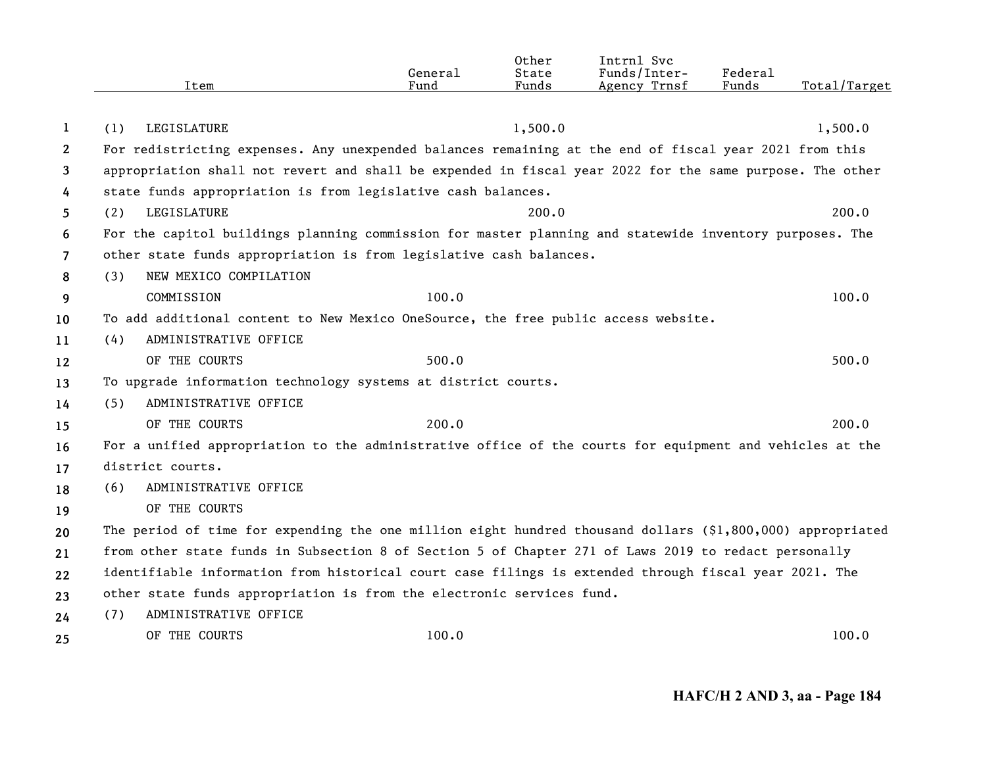|              | Item                                                                                                       | General<br>Fund | Other<br>State<br>Funds | Intrnl Svc<br>Funds/Inter-<br>Agency Trnsf | Federal<br>Funds | Total/Target |
|--------------|------------------------------------------------------------------------------------------------------------|-----------------|-------------------------|--------------------------------------------|------------------|--------------|
|              |                                                                                                            |                 |                         |                                            |                  |              |
| 1            | LEGISLATURE<br>(1)                                                                                         |                 | 1,500.0                 |                                            |                  | 1,500.0      |
| $\mathbf{2}$ | For redistricting expenses. Any unexpended balances remaining at the end of fiscal year 2021 from this     |                 |                         |                                            |                  |              |
| 3            | appropriation shall not revert and shall be expended in fiscal year 2022 for the same purpose. The other   |                 |                         |                                            |                  |              |
| 4            | state funds appropriation is from legislative cash balances.                                               |                 |                         |                                            |                  |              |
| 5            | LEGISLATURE<br>(2)                                                                                         |                 | 200.0                   |                                            |                  | 200.0        |
| 6            | For the capitol buildings planning commission for master planning and statewide inventory purposes. The    |                 |                         |                                            |                  |              |
| 7            | other state funds appropriation is from legislative cash balances.                                         |                 |                         |                                            |                  |              |
| 8            | NEW MEXICO COMPILATION<br>(3)                                                                              |                 |                         |                                            |                  |              |
| 9            | COMMISSION                                                                                                 | 100.0           |                         |                                            |                  | 100.0        |
| 10           | To add additional content to New Mexico OneSource, the free public access website.                         |                 |                         |                                            |                  |              |
| 11           | ADMINISTRATIVE OFFICE<br>(4)                                                                               |                 |                         |                                            |                  |              |
| 12           | OF THE COURTS                                                                                              | 500.0           |                         |                                            |                  | 500.0        |
| 13           | To upgrade information technology systems at district courts.                                              |                 |                         |                                            |                  |              |
| 14           | ADMINISTRATIVE OFFICE<br>(5)                                                                               |                 |                         |                                            |                  |              |
| 15           | OF THE COURTS                                                                                              | 200.0           |                         |                                            |                  | 200.0        |
| 16           | For a unified appropriation to the administrative office of the courts for equipment and vehicles at the   |                 |                         |                                            |                  |              |
| 17           | district courts.                                                                                           |                 |                         |                                            |                  |              |
| 18           | ADMINISTRATIVE OFFICE<br>(6)                                                                               |                 |                         |                                            |                  |              |
| 19           | OF THE COURTS                                                                                              |                 |                         |                                            |                  |              |
| 20           | The period of time for expending the one million eight hundred thousand dollars (\$1,800,000) appropriated |                 |                         |                                            |                  |              |
| 21           | from other state funds in Subsection 8 of Section 5 of Chapter 271 of Laws 2019 to redact personally       |                 |                         |                                            |                  |              |
| 22           | identifiable information from historical court case filings is extended through fiscal year 2021. The      |                 |                         |                                            |                  |              |
| 23           | other state funds appropriation is from the electronic services fund.                                      |                 |                         |                                            |                  |              |
| 24           | ADMINISTRATIVE OFFICE<br>(7)                                                                               |                 |                         |                                            |                  |              |
| 25           | OF THE COURTS                                                                                              | 100.0           |                         |                                            |                  | 100.0        |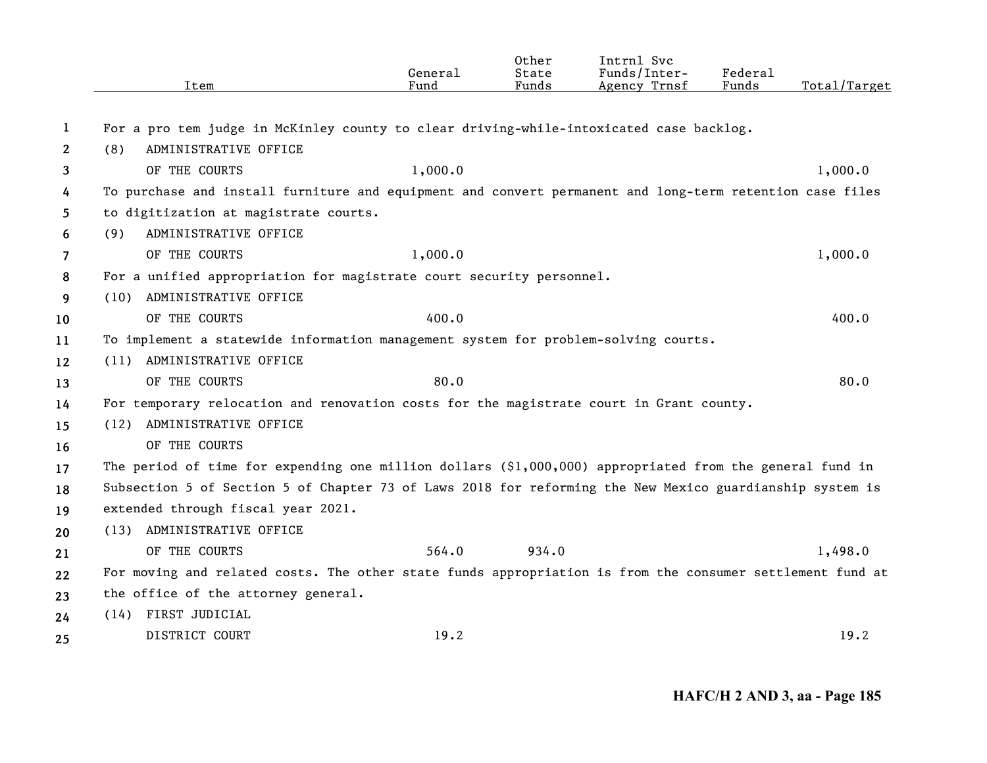|              | Item                                                                                                      | General<br>Fund | Other<br>State<br>Funds | Intrnl Svc<br>Funds/Inter-<br>Agency Trnsf | Federal<br>Funds | Total/Target |
|--------------|-----------------------------------------------------------------------------------------------------------|-----------------|-------------------------|--------------------------------------------|------------------|--------------|
| 1            | For a pro tem judge in McKinley county to clear driving-while-intoxicated case backlog.                   |                 |                         |                                            |                  |              |
| $\mathbf{2}$ | ADMINISTRATIVE OFFICE<br>(8)                                                                              |                 |                         |                                            |                  |              |
| 3            | OF THE COURTS                                                                                             | 1,000.0         |                         |                                            |                  | 1,000.0      |
| 4            | To purchase and install furniture and equipment and convert permanent and long-term retention case files  |                 |                         |                                            |                  |              |
| 5.           | to digitization at magistrate courts.                                                                     |                 |                         |                                            |                  |              |
| 6            | ADMINISTRATIVE OFFICE<br>(9)                                                                              |                 |                         |                                            |                  |              |
| 7            | OF THE COURTS                                                                                             | 1,000.0         |                         |                                            |                  | 1,000.0      |
| 8            | For a unified appropriation for magistrate court security personnel.                                      |                 |                         |                                            |                  |              |
| 9            | ADMINISTRATIVE OFFICE<br>(10)                                                                             |                 |                         |                                            |                  |              |
| 10           | OF THE COURTS                                                                                             | 400.0           |                         |                                            |                  | 400.0        |
| 11           | To implement a statewide information management system for problem-solving courts.                        |                 |                         |                                            |                  |              |
| 12           | (11) ADMINISTRATIVE OFFICE                                                                                |                 |                         |                                            |                  |              |
| 13           | OF THE COURTS                                                                                             | 80.0            |                         |                                            |                  | 80.0         |
| 14           | For temporary relocation and renovation costs for the magistrate court in Grant county.                   |                 |                         |                                            |                  |              |
| 15           | ADMINISTRATIVE OFFICE<br>(12)                                                                             |                 |                         |                                            |                  |              |
| 16           | OF THE COURTS                                                                                             |                 |                         |                                            |                  |              |
| 17           | The period of time for expending one million dollars (\$1,000,000) appropriated from the general fund in  |                 |                         |                                            |                  |              |
| 18           | Subsection 5 of Section 5 of Chapter 73 of Laws 2018 for reforming the New Mexico guardianship system is  |                 |                         |                                            |                  |              |
| 19           | extended through fiscal year 2021.                                                                        |                 |                         |                                            |                  |              |
| 20           | (13) ADMINISTRATIVE OFFICE                                                                                |                 |                         |                                            |                  |              |
| 21           | OF THE COURTS                                                                                             | 564.0           | 934.0                   |                                            |                  | 1,498.0      |
| 22           | For moving and related costs. The other state funds appropriation is from the consumer settlement fund at |                 |                         |                                            |                  |              |
| 23           | the office of the attorney general.                                                                       |                 |                         |                                            |                  |              |
| 24           | (14) FIRST JUDICIAL                                                                                       |                 |                         |                                            |                  |              |
| 25           | DISTRICT COURT                                                                                            | 19.2            |                         |                                            |                  | 19.2         |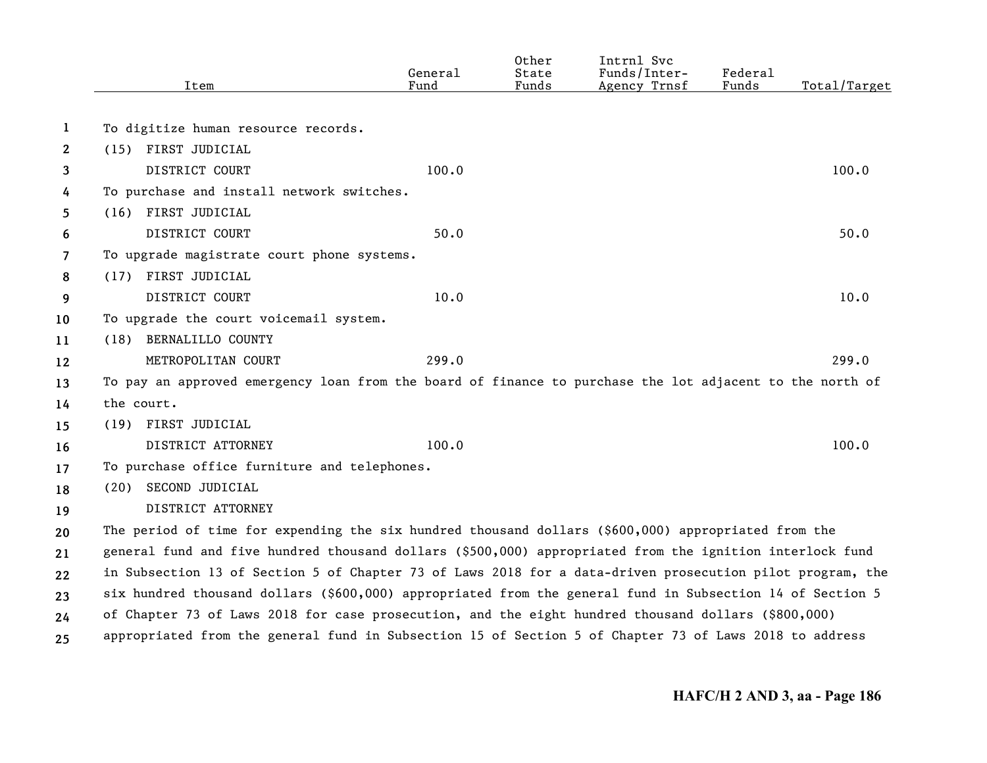|                | Item                                                                                                      | General<br>Fund | Other<br>State<br>Funds | Intrnl Svc<br>Funds/Inter-<br>Agency Trnsf | Federal<br>Funds | Total/Target |
|----------------|-----------------------------------------------------------------------------------------------------------|-----------------|-------------------------|--------------------------------------------|------------------|--------------|
| 1              | To digitize human resource records.                                                                       |                 |                         |                                            |                  |              |
| $\mathbf{2}$   | (15) FIRST JUDICIAL                                                                                       |                 |                         |                                            |                  |              |
| 3              | DISTRICT COURT                                                                                            | 100.0           |                         |                                            |                  | 100.0        |
| 4              | To purchase and install network switches.                                                                 |                 |                         |                                            |                  |              |
| 5              | (16) FIRST JUDICIAL                                                                                       |                 |                         |                                            |                  |              |
| 6              | DISTRICT COURT                                                                                            | 50.0            |                         |                                            |                  | 50.0         |
| $\overline{7}$ | To upgrade magistrate court phone systems.                                                                |                 |                         |                                            |                  |              |
| 8              | (17) FIRST JUDICIAL                                                                                       |                 |                         |                                            |                  |              |
| 9              | DISTRICT COURT                                                                                            | 10.0            |                         |                                            |                  | 10.0         |
| 10             | To upgrade the court voicemail system.                                                                    |                 |                         |                                            |                  |              |
| 11             | (18) BERNALILLO COUNTY                                                                                    |                 |                         |                                            |                  |              |
| 12             | METROPOLITAN COURT                                                                                        | 299.0           |                         |                                            |                  | 299.0        |
| 13             | To pay an approved emergency loan from the board of finance to purchase the lot adjacent to the north of  |                 |                         |                                            |                  |              |
| 14             | the court.                                                                                                |                 |                         |                                            |                  |              |
| 15             | (19) FIRST JUDICIAL                                                                                       |                 |                         |                                            |                  |              |
| 16             | DISTRICT ATTORNEY                                                                                         | 100.0           |                         |                                            |                  | 100.0        |
| 17             | To purchase office furniture and telephones.                                                              |                 |                         |                                            |                  |              |
| 18             | (20) SECOND JUDICIAL                                                                                      |                 |                         |                                            |                  |              |
| 19             | DISTRICT ATTORNEY                                                                                         |                 |                         |                                            |                  |              |
| 20             | The period of time for expending the six hundred thousand dollars (\$600,000) appropriated from the       |                 |                         |                                            |                  |              |
| 21             | general fund and five hundred thousand dollars (\$500,000) appropriated from the ignition interlock fund  |                 |                         |                                            |                  |              |
| 22             | in Subsection 13 of Section 5 of Chapter 73 of Laws 2018 for a data-driven prosecution pilot program, the |                 |                         |                                            |                  |              |
| 23             | six hundred thousand dollars (\$600,000) appropriated from the general fund in Subsection 14 of Section 5 |                 |                         |                                            |                  |              |
| 24             | of Chapter 73 of Laws 2018 for case prosecution, and the eight hundred thousand dollars (\$800,000)       |                 |                         |                                            |                  |              |
| 25             | appropriated from the general fund in Subsection 15 of Section 5 of Chapter 73 of Laws 2018 to address    |                 |                         |                                            |                  |              |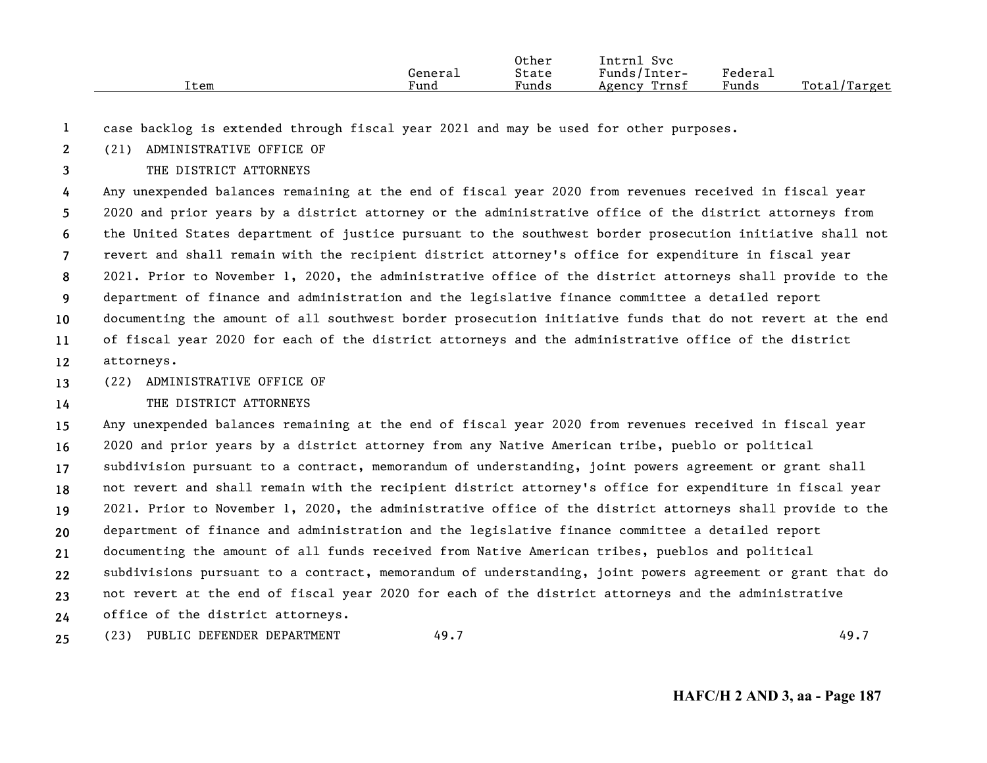|      |         | Other | Intrn.<br>Svc   |                       |                  |
|------|---------|-------|-----------------|-----------------------|------------------|
|      | Genera⊥ | State | Funds/Inter-    | Federa <sub>1</sub>   |                  |
| Item | Fund    | Funds | Trnsf<br>Agency | $\mathbf{r}$<br>Funds | Total/<br>Target |

**1**case backlog is extended through fiscal year 2021 and may be used for other purposes.

**2**(21) ADMINISTRATIVE OFFICE OF

**3**THE DISTRICT ATTORNEYS

**456789101112**Any unexpended balances remaining at the end of fiscal year 2020 from revenues received in fiscal year 2020 and prior years by a district attorney or the administrative office of the district attorneys from the United States department of justice pursuant to the southwest border prosecution initiative shall not revert and shall remain with the recipient district attorney's office for expenditure in fiscal year 2021. Prior to November 1, 2020, the administrative office of the district attorneys shall provide to the department of finance and administration and the legislative finance committee a detailed report documenting the amount of all southwest border prosecution initiative funds that do not revert at the end of fiscal year 2020 for each of the district attorneys and the administrative office of the district attorneys.

**13**(22) ADMINISTRATIVE OFFICE OF

**14**

## THE DISTRICT ATTORNEYS

**15161718192021222324**Any unexpended balances remaining at the end of fiscal year 2020 from revenues received in fiscal year 2020 and prior years by a district attorney from any Native American tribe, pueblo or political subdivision pursuant to a contract, memorandum of understanding, joint powers agreement or grant shall not revert and shall remain with the recipient district attorney's office for expenditure in fiscal year 2021. Prior to November 1, 2020, the administrative office of the district attorneys shall provide to the department of finance and administration and the legislative finance committee a detailed report documenting the amount of all funds received from Native American tribes, pueblos and political subdivisions pursuant to a contract, memorandum of understanding, joint powers agreement or grant that do not revert at the end of fiscal year 2020 for each of the district attorneys and the administrative office of the district attorneys.

**25**(23) PUBLIC DEFENDER DEPARTMENT 49.7 49.7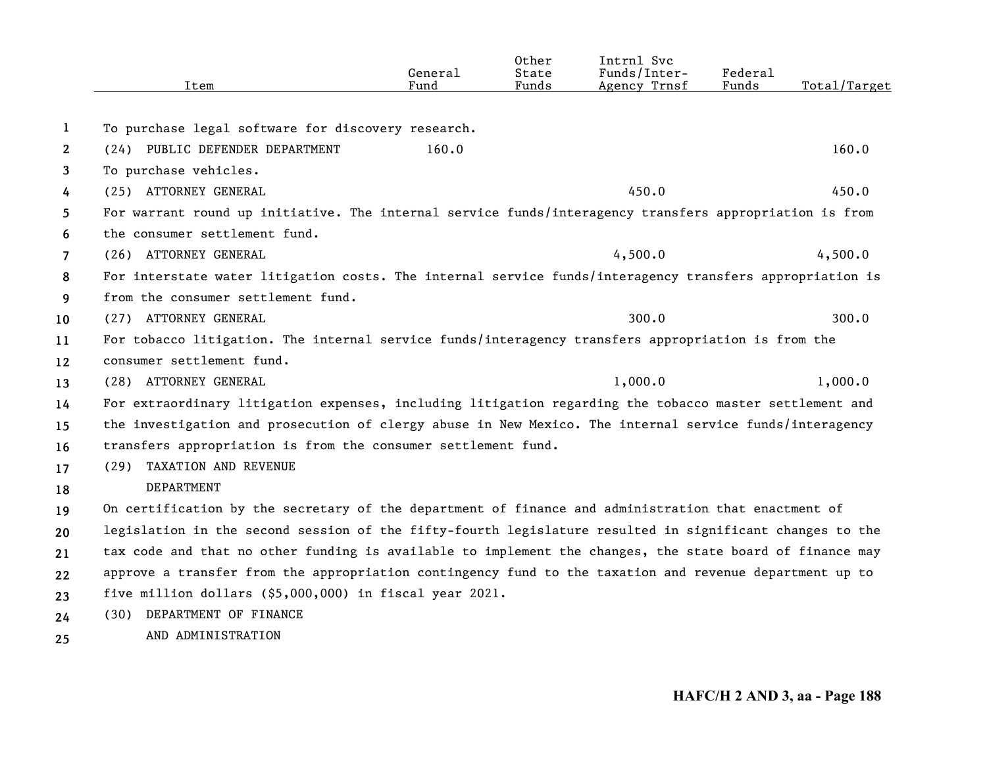|                | Item                                                                                                     | General<br>Fund | Other<br>State<br>Funds | Intrnl Svc<br>Funds/Inter-<br>Agency Trnsf | Federal<br>Funds | Total/Target |
|----------------|----------------------------------------------------------------------------------------------------------|-----------------|-------------------------|--------------------------------------------|------------------|--------------|
| 1              | To purchase legal software for discovery research.                                                       |                 |                         |                                            |                  |              |
| $\mathbf{2}$   | (24) PUBLIC DEFENDER DEPARTMENT                                                                          | 160.0           |                         |                                            |                  | 160.0        |
| 3              | To purchase vehicles.                                                                                    |                 |                         |                                            |                  |              |
| 4              | (25) ATTORNEY GENERAL                                                                                    |                 |                         | 450.0                                      |                  | 450.0        |
| 5              | For warrant round up initiative. The internal service funds/interagency transfers appropriation is from  |                 |                         |                                            |                  |              |
| 6              | the consumer settlement fund.                                                                            |                 |                         |                                            |                  |              |
| $\overline{7}$ | (26) ATTORNEY GENERAL                                                                                    |                 |                         | 4,500.0                                    |                  | 4,500.0      |
| 8              | For interstate water litigation costs. The internal service funds/interagency transfers appropriation is |                 |                         |                                            |                  |              |
| 9              | from the consumer settlement fund.                                                                       |                 |                         |                                            |                  |              |
| 10             | (27) ATTORNEY GENERAL                                                                                    |                 |                         | 300.0                                      |                  | 300.0        |
| 11             | For tobacco litigation. The internal service funds/interagency transfers appropriation is from the       |                 |                         |                                            |                  |              |
| 12             | consumer settlement fund.                                                                                |                 |                         |                                            |                  |              |
| 13             | (28) ATTORNEY GENERAL                                                                                    |                 |                         | 1,000.0                                    |                  | 1,000.0      |
| 14             | For extraordinary litigation expenses, including litigation regarding the tobacco master settlement and  |                 |                         |                                            |                  |              |
| 15             | the investigation and prosecution of clergy abuse in New Mexico. The internal service funds/interagency  |                 |                         |                                            |                  |              |
| 16             | transfers appropriation is from the consumer settlement fund.                                            |                 |                         |                                            |                  |              |
| 17             | (29) TAXATION AND REVENUE                                                                                |                 |                         |                                            |                  |              |
| 18             | <b>DEPARTMENT</b>                                                                                        |                 |                         |                                            |                  |              |
| 19             | On certification by the secretary of the department of finance and administration that enactment of      |                 |                         |                                            |                  |              |
| 20             | legislation in the second session of the fifty-fourth legislature resulted in significant changes to the |                 |                         |                                            |                  |              |
| 21             | tax code and that no other funding is available to implement the changes, the state board of finance may |                 |                         |                                            |                  |              |
| 22             | approve a transfer from the appropriation contingency fund to the taxation and revenue department up to  |                 |                         |                                            |                  |              |
| 23             | five million dollars (\$5,000,000) in fiscal year 2021.                                                  |                 |                         |                                            |                  |              |
| 24             | (30) DEPARTMENT OF FINANCE                                                                               |                 |                         |                                            |                  |              |
| 25             | AND ADMINISTRATION                                                                                       |                 |                         |                                            |                  |              |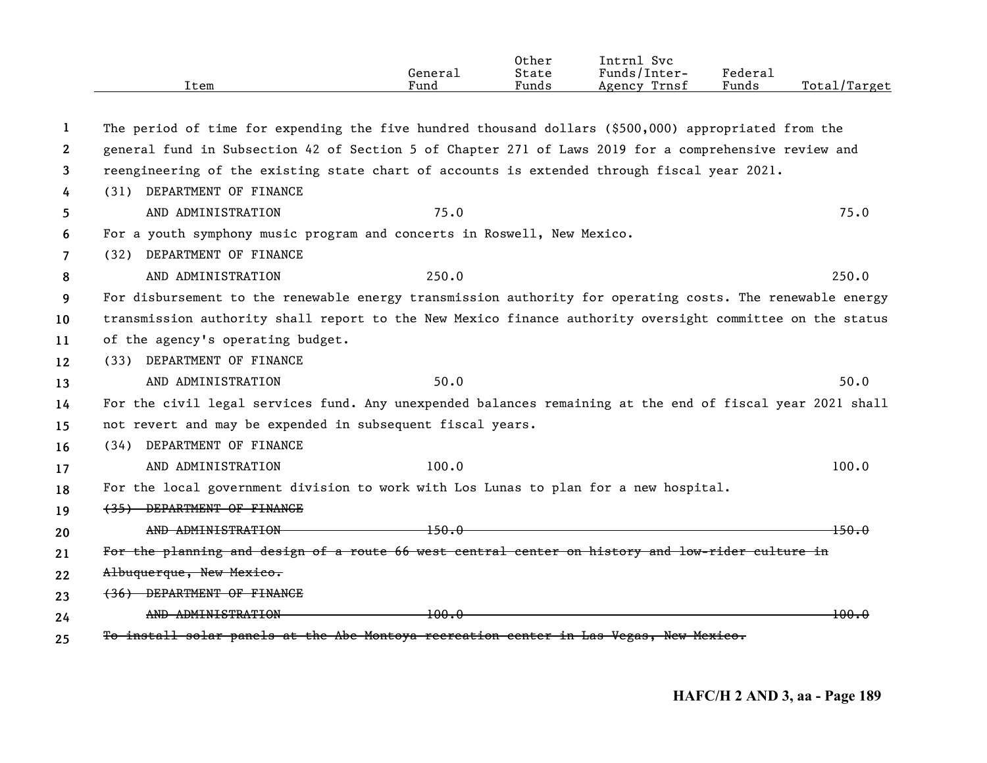|                | Item                                                                                                      | General<br>Fund     | Other<br>State<br>Funds | Intrnl Svc<br>Funds/Inter-<br>Agency Trnsf | Federal<br>Funds | Total/Target     |
|----------------|-----------------------------------------------------------------------------------------------------------|---------------------|-------------------------|--------------------------------------------|------------------|------------------|
|                |                                                                                                           |                     |                         |                                            |                  |                  |
| 1              | The period of time for expending the five hundred thousand dollars (\$500,000) appropriated from the      |                     |                         |                                            |                  |                  |
| $\mathbf{2}$   | general fund in Subsection 42 of Section 5 of Chapter 271 of Laws 2019 for a comprehensive review and     |                     |                         |                                            |                  |                  |
| 3              | reengineering of the existing state chart of accounts is extended through fiscal year 2021.               |                     |                         |                                            |                  |                  |
| 4              | (31) DEPARTMENT OF FINANCE                                                                                |                     |                         |                                            |                  |                  |
| 5              | AND ADMINISTRATION                                                                                        | 75.0                |                         |                                            |                  | 75.0             |
| 6              | For a youth symphony music program and concerts in Roswell, New Mexico.                                   |                     |                         |                                            |                  |                  |
| $\overline{7}$ | (32) DEPARTMENT OF FINANCE                                                                                |                     |                         |                                            |                  |                  |
| 8              | AND ADMINISTRATION                                                                                        | 250.0               |                         |                                            |                  | 250.0            |
| 9              | For disbursement to the renewable energy transmission authority for operating costs. The renewable energy |                     |                         |                                            |                  |                  |
| 10             | transmission authority shall report to the New Mexico finance authority oversight committee on the status |                     |                         |                                            |                  |                  |
| 11             | of the agency's operating budget.                                                                         |                     |                         |                                            |                  |                  |
| 12             | (33) DEPARTMENT OF FINANCE                                                                                |                     |                         |                                            |                  |                  |
| 13             | AND ADMINISTRATION                                                                                        | 50.0                |                         |                                            |                  | 50.0             |
| 14             | For the civil legal services fund. Any unexpended balances remaining at the end of fiscal year 2021 shall |                     |                         |                                            |                  |                  |
| 15             | not revert and may be expended in subsequent fiscal years.                                                |                     |                         |                                            |                  |                  |
| 16             | (34) DEPARTMENT OF FINANCE                                                                                |                     |                         |                                            |                  |                  |
| 17             | AND ADMINISTRATION                                                                                        | 100.0               |                         |                                            |                  | 100.0            |
| 18             | For the local government division to work with Los Lunas to plan for a new hospital.                      |                     |                         |                                            |                  |                  |
| 19             | (35) DEPARTMENT OF FINANCE                                                                                |                     |                         |                                            |                  |                  |
| 20             | AND ADMINISTRATION                                                                                        | $+50.0$             |                         |                                            |                  | 150.0            |
| 21             | For the planning and design of a route 66 west central center on history and low-rider culture in         |                     |                         |                                            |                  |                  |
| 22             | Albuquerque, New Mexico.                                                                                  |                     |                         |                                            |                  |                  |
| 23             | (36) DEPARTMENT OF FINANCE                                                                                |                     |                         |                                            |                  |                  |
| 24             | AND ADMINISTRATION                                                                                        | <del>-100.0 -</del> |                         |                                            |                  | <del>100.0</del> |
| 25             | To install solar panels at the Abe Montoya recreation center in Las Vegas, New Mexico.                    |                     |                         |                                            |                  |                  |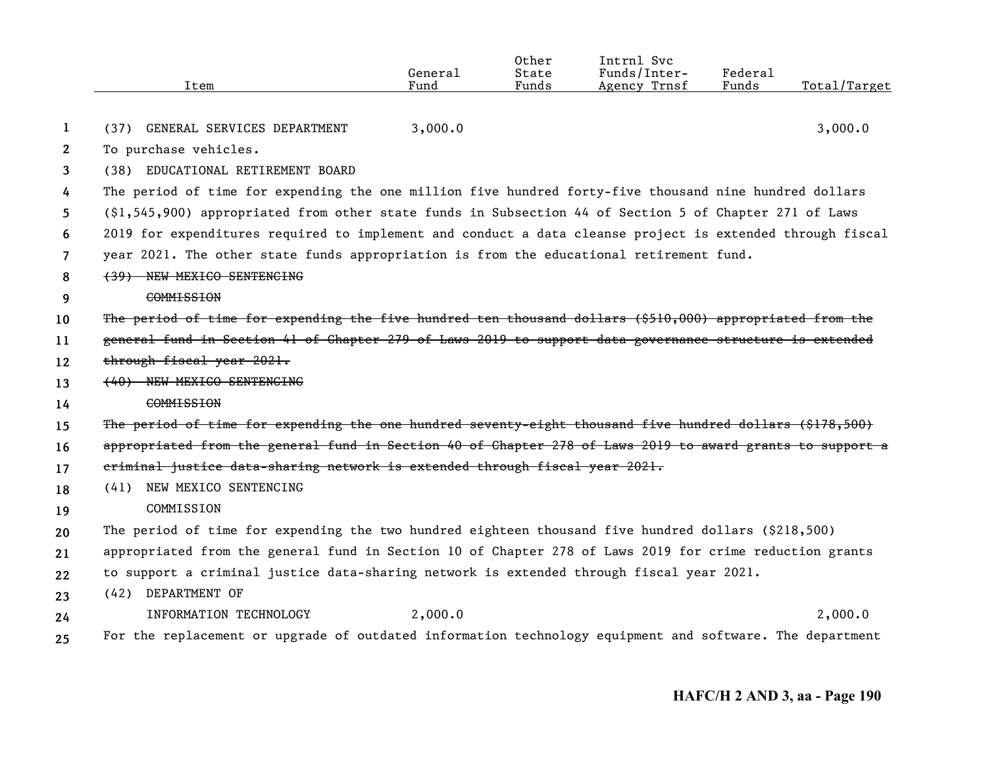|                | Item                                                                                                      | General<br>Fund | Other<br>State<br>Funds | Intrnl Svc<br>Funds/Inter-<br>Agency Trnsf | Federal<br>Funds | Total/Target |
|----------------|-----------------------------------------------------------------------------------------------------------|-----------------|-------------------------|--------------------------------------------|------------------|--------------|
| 1              | (37) GENERAL SERVICES DEPARTMENT                                                                          | 3,000.0         |                         |                                            |                  | 3,000.0      |
| $\mathbf{2}$   | To purchase vehicles.                                                                                     |                 |                         |                                            |                  |              |
| 3              | (38) EDUCATIONAL RETIREMENT BOARD                                                                         |                 |                         |                                            |                  |              |
|                | The period of time for expending the one million five hundred forty-five thousand nine hundred dollars    |                 |                         |                                            |                  |              |
| 4              |                                                                                                           |                 |                         |                                            |                  |              |
| 5              | (\$1,545,900) appropriated from other state funds in Subsection 44 of Section 5 of Chapter 271 of Laws    |                 |                         |                                            |                  |              |
| 6              | 2019 for expenditures required to implement and conduct a data cleanse project is extended through fiscal |                 |                         |                                            |                  |              |
| $\overline{7}$ | year 2021. The other state funds appropriation is from the educational retirement fund.                   |                 |                         |                                            |                  |              |
| 8              | (39) NEW MEXICO SENTENCING                                                                                |                 |                         |                                            |                  |              |
| 9              | <b>COMMISSION</b>                                                                                         |                 |                         |                                            |                  |              |
| 10             | The period of time for expending the five hundred ten thousand dollars (\$510,000) appropriated from the  |                 |                         |                                            |                  |              |
| 11             | general fund in Section 41 of Chapter 279 of Laws 2019 to support data governance structure is extended   |                 |                         |                                            |                  |              |
| 12             | through fiscal year 2021.                                                                                 |                 |                         |                                            |                  |              |
| 13             | (40) NEW MEXICO SENTENCING                                                                                |                 |                         |                                            |                  |              |
| 14             | <b>COMMISSION</b>                                                                                         |                 |                         |                                            |                  |              |
| 15             | The period of time for expending the one hundred seventy-eight thousand five hundred dollars (\$178,500)  |                 |                         |                                            |                  |              |
| 16             | appropriated from the general fund in Section 40 of Chapter 278 of Laws 2019 to award grants to support a |                 |                         |                                            |                  |              |
| 17             | criminal justice data-sharing network is extended through fiscal year 2021.                               |                 |                         |                                            |                  |              |
| 18             | NEW MEXICO SENTENCING<br>(41)                                                                             |                 |                         |                                            |                  |              |
| 19             | COMMISSION                                                                                                |                 |                         |                                            |                  |              |
| 20             | The period of time for expending the two hundred eighteen thousand five hundred dollars (\$218,500)       |                 |                         |                                            |                  |              |
| 21             | appropriated from the general fund in Section 10 of Chapter 278 of Laws 2019 for crime reduction grants   |                 |                         |                                            |                  |              |
| 22             | to support a criminal justice data-sharing network is extended through fiscal year 2021.                  |                 |                         |                                            |                  |              |
| 23             | (42) DEPARTMENT OF                                                                                        |                 |                         |                                            |                  |              |
| 24             | INFORMATION TECHNOLOGY                                                                                    | 2,000.0         |                         |                                            |                  | 2,000.0      |
| 25             | For the replacement or upgrade of outdated information technology equipment and software. The department  |                 |                         |                                            |                  |              |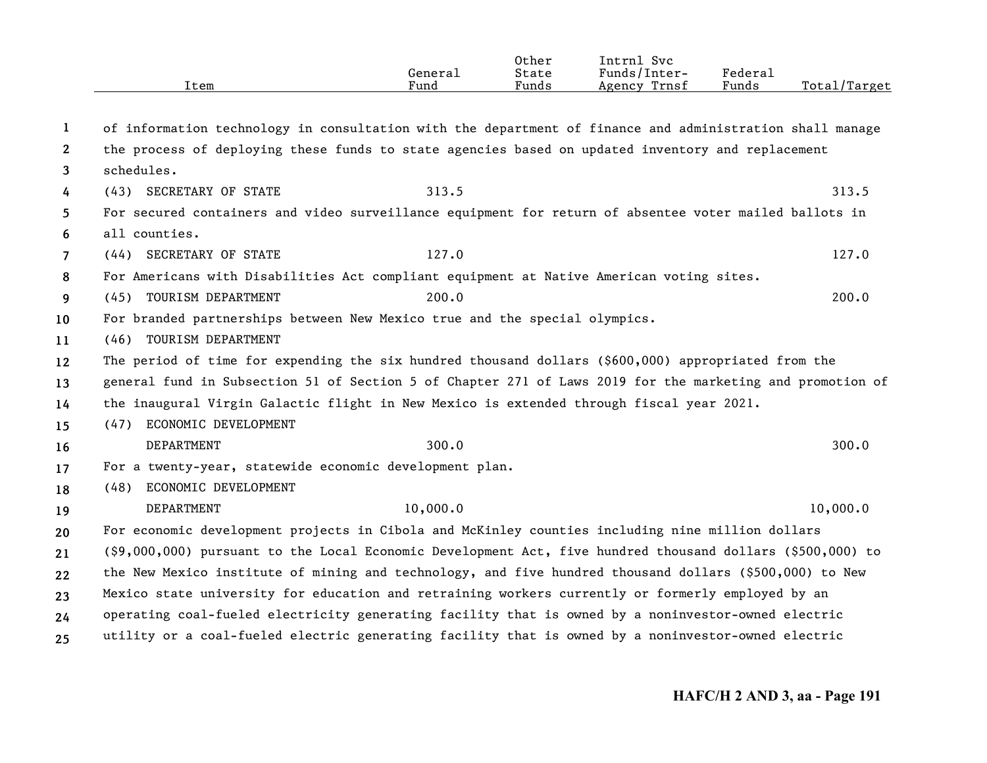|                       | Item                                                                                                       | General<br>Fund | Other<br>State<br>Funds | Intrnl Svc<br>Funds/Inter-<br>Agency Trnsf | Federal<br>Funds | Total/Target |
|-----------------------|------------------------------------------------------------------------------------------------------------|-----------------|-------------------------|--------------------------------------------|------------------|--------------|
| 1                     | of information technology in consultation with the department of finance and administration shall manage   |                 |                         |                                            |                  |              |
| $\mathbf{2}^{\prime}$ | the process of deploying these funds to state agencies based on updated inventory and replacement          |                 |                         |                                            |                  |              |
| 3                     | schedules.                                                                                                 |                 |                         |                                            |                  |              |
| 4                     | (43) SECRETARY OF STATE                                                                                    | 313.5           |                         |                                            |                  | 313.5        |
| 5                     | For secured containers and video surveillance equipment for return of absentee voter mailed ballots in     |                 |                         |                                            |                  |              |
| 6                     | all counties.                                                                                              |                 |                         |                                            |                  |              |
| $\overline{7}$        | (44) SECRETARY OF STATE                                                                                    | 127.0           |                         |                                            |                  | 127.0        |
| 8                     | For Americans with Disabilities Act compliant equipment at Native American voting sites.                   |                 |                         |                                            |                  |              |
| 9                     | (45) TOURISM DEPARTMENT                                                                                    | 200.0           |                         |                                            |                  | 200.0        |
| 10                    | For branded partnerships between New Mexico true and the special olympics.                                 |                 |                         |                                            |                  |              |
| 11                    | (46) TOURISM DEPARTMENT                                                                                    |                 |                         |                                            |                  |              |
| 12                    | The period of time for expending the six hundred thousand dollars (\$600,000) appropriated from the        |                 |                         |                                            |                  |              |
| 13                    | general fund in Subsection 51 of Section 5 of Chapter 271 of Laws 2019 for the marketing and promotion of  |                 |                         |                                            |                  |              |
| 14                    | the inaugural Virgin Galactic flight in New Mexico is extended through fiscal year 2021.                   |                 |                         |                                            |                  |              |
| 15                    | (47) ECONOMIC DEVELOPMENT                                                                                  |                 |                         |                                            |                  |              |
| 16                    | DEPARTMENT                                                                                                 | 300.0           |                         |                                            |                  | 300.0        |
| 17                    | For a twenty-year, statewide economic development plan.                                                    |                 |                         |                                            |                  |              |
| 18                    | (48) ECONOMIC DEVELOPMENT                                                                                  |                 |                         |                                            |                  |              |
| 19                    | DEPARTMENT                                                                                                 | 10,000.0        |                         |                                            |                  | 10,000.0     |
| 20                    | For economic development projects in Cibola and McKinley counties including nine million dollars           |                 |                         |                                            |                  |              |
| 21                    | (\$9,000,000) pursuant to the Local Economic Development Act, five hundred thousand dollars (\$500,000) to |                 |                         |                                            |                  |              |
| 22                    | the New Mexico institute of mining and technology, and five hundred thousand dollars (\$500,000) to New    |                 |                         |                                            |                  |              |
| 23                    | Mexico state university for education and retraining workers currently or formerly employed by an          |                 |                         |                                            |                  |              |
| 24                    | operating coal-fueled electricity generating facility that is owned by a noninvestor-owned electric        |                 |                         |                                            |                  |              |
| 25                    | utility or a coal-fueled electric generating facility that is owned by a noninvestor-owned electric        |                 |                         |                                            |                  |              |
|                       |                                                                                                            |                 |                         |                                            |                  |              |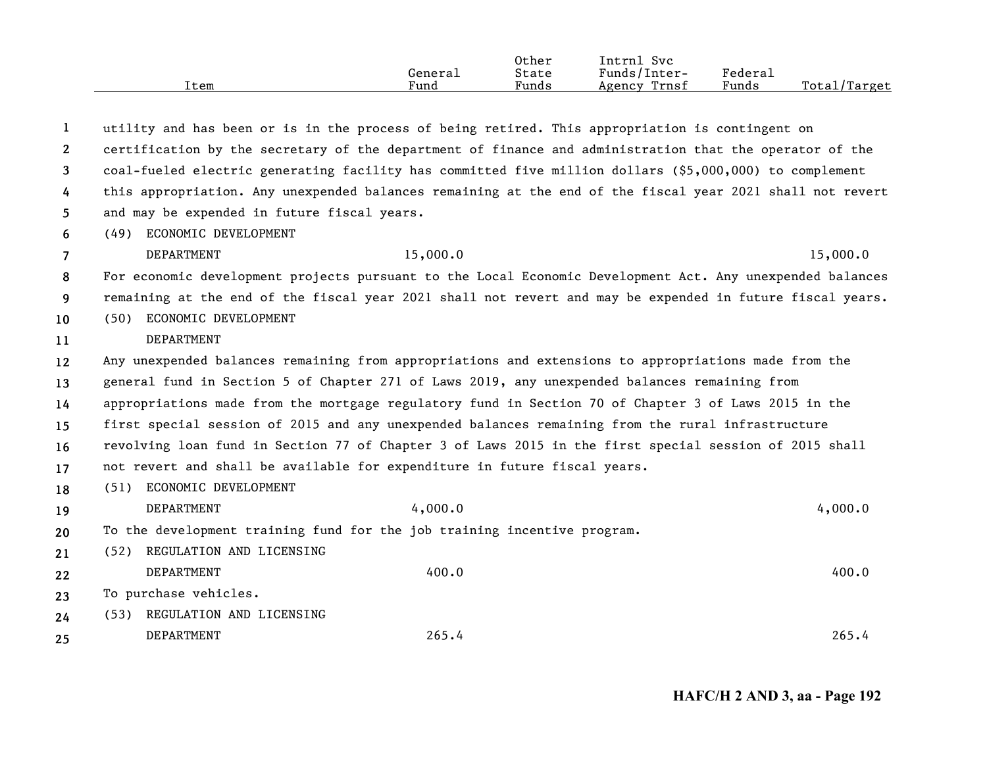|      | General | Other<br>State | Svc<br>Intrnl<br>Funds/Inter- | Federal |              |
|------|---------|----------------|-------------------------------|---------|--------------|
| Item | Fund    | Funds          | Trnsf<br>Agency               | Funds   | Total/Target |

| 1            |                                             | utility and has been or is in the process of being retired. This appropriation is contingent on           |          |
|--------------|---------------------------------------------|-----------------------------------------------------------------------------------------------------------|----------|
| $\mathbf{2}$ |                                             | certification by the secretary of the department of finance and administration that the operator of the   |          |
| 3            |                                             | coal-fueled electric generating facility has committed five million dollars (\$5,000,000) to complement   |          |
| 4            |                                             | this appropriation. Any unexpended balances remaining at the end of the fiscal year 2021 shall not revert |          |
| 5.           | and may be expended in future fiscal years. |                                                                                                           |          |
| 6            | (49) ECONOMIC DEVELOPMENT                   |                                                                                                           |          |
| 7            | DEPARTMENT                                  | 15,000.0                                                                                                  | 15,000.0 |
| 8            |                                             | For economic development projects pursuant to the Local Economic Development Act. Any unexpended balances |          |
| 9            |                                             | remaining at the end of the fiscal year 2021 shall not revert and may be expended in future fiscal years. |          |
| 10           | ECONOMIC DEVELOPMENT<br>(50)                |                                                                                                           |          |
| 11           | DEPARTMENT                                  |                                                                                                           |          |
| 12           |                                             | Any unexpended balances remaining from appropriations and extensions to appropriations made from the      |          |
| 13           |                                             | general fund in Section 5 of Chapter 271 of Laws 2019, any unexpended balances remaining from             |          |
| 14           |                                             | appropriations made from the mortgage regulatory fund in Section 70 of Chapter 3 of Laws 2015 in the      |          |
| 15           |                                             | first special session of 2015 and any unexpended balances remaining from the rural infrastructure         |          |
| 16           |                                             | revolving loan fund in Section 77 of Chapter 3 of Laws 2015 in the first special session of 2015 shall    |          |
| 17           |                                             | not revert and shall be available for expenditure in future fiscal years.                                 |          |
| 18           | ECONOMIC DEVELOPMENT<br>(51)                |                                                                                                           |          |
| 19           | <b>DEPARTMENT</b>                           | 4,000.0                                                                                                   | 4,000.0  |
| 20           |                                             | To the development training fund for the job training incentive program.                                  |          |
| 21           | REGULATION AND LICENSING<br>(52)            |                                                                                                           |          |
| 22           | DEPARTMENT                                  | 400.0                                                                                                     | 400.0    |
| 23           | To purchase vehicles.                       |                                                                                                           |          |
| 24           | REGULATION AND LICENSING<br>(53)            |                                                                                                           |          |
| 25           | DEPARTMENT                                  | 265.4                                                                                                     | 265.4    |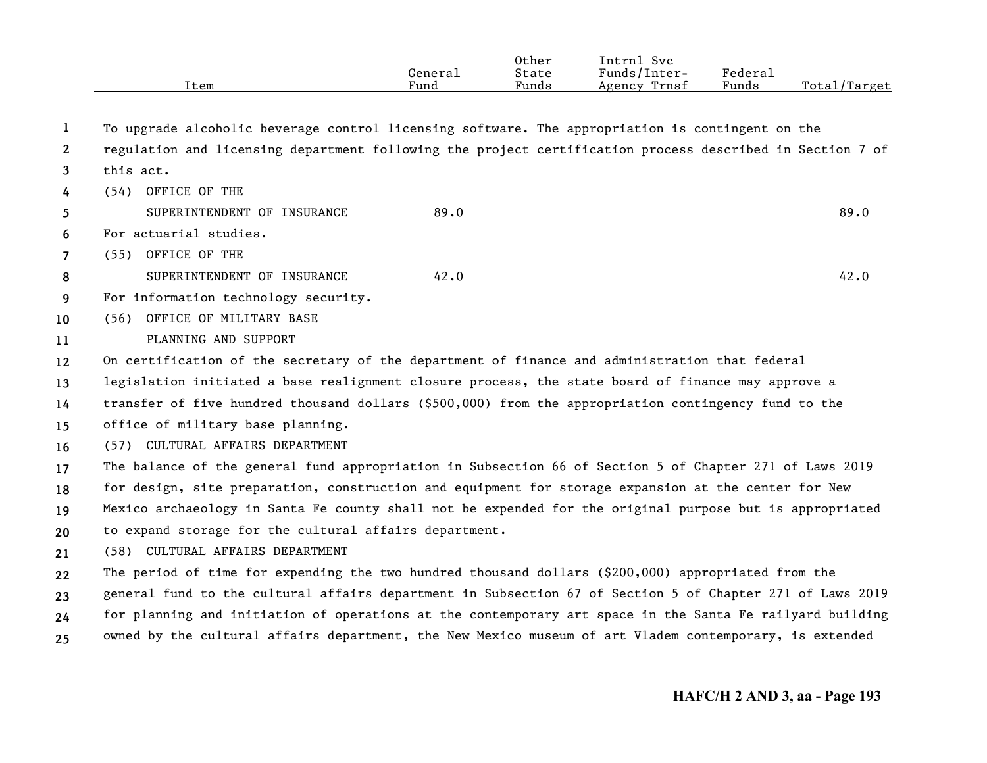|                       |                                                                                                           | General<br>Fund | Other<br>State | Intrnl Svc<br>Funds/Inter- | <b>Federal</b><br>Funds | Total/Target |
|-----------------------|-----------------------------------------------------------------------------------------------------------|-----------------|----------------|----------------------------|-------------------------|--------------|
|                       | Item                                                                                                      |                 | Funds          | Agency Trnsf               |                         |              |
| $\mathbf{1}$          | To upgrade alcoholic beverage control licensing software. The appropriation is contingent on the          |                 |                |                            |                         |              |
| $\mathbf{2}^{\prime}$ | regulation and licensing department following the project certification process described in Section 7 of |                 |                |                            |                         |              |
| 3                     | this act.                                                                                                 |                 |                |                            |                         |              |
| 4                     | (54) OFFICE OF THE                                                                                        |                 |                |                            |                         |              |
| 5.                    | SUPERINTENDENT OF INSURANCE                                                                               | 89.0            |                |                            |                         | 89.0         |
| 6                     | For actuarial studies.                                                                                    |                 |                |                            |                         |              |
| $\overline{7}$        | (55) OFFICE OF THE                                                                                        |                 |                |                            |                         |              |
| 8                     | SUPERINTENDENT OF INSURANCE                                                                               | 42.0            |                |                            |                         | 42.0         |
| 9                     | For information technology security.                                                                      |                 |                |                            |                         |              |
| 10                    | (56) OFFICE OF MILITARY BASE                                                                              |                 |                |                            |                         |              |
| 11                    | PLANNING AND SUPPORT                                                                                      |                 |                |                            |                         |              |
| 12                    | On certification of the secretary of the department of finance and administration that federal            |                 |                |                            |                         |              |
| 13                    | legislation initiated a base realignment closure process, the state board of finance may approve a        |                 |                |                            |                         |              |
| 14                    | transfer of five hundred thousand dollars (\$500,000) from the appropriation contingency fund to the      |                 |                |                            |                         |              |
| 15                    | office of military base planning.                                                                         |                 |                |                            |                         |              |
| 16                    | (57) CULTURAL AFFAIRS DEPARTMENT                                                                          |                 |                |                            |                         |              |
| 17                    | The balance of the general fund appropriation in Subsection 66 of Section 5 of Chapter 271 of Laws 2019   |                 |                |                            |                         |              |
| 18                    | for design, site preparation, construction and equipment for storage expansion at the center for New      |                 |                |                            |                         |              |
| 19                    | Mexico archaeology in Santa Fe county shall not be expended for the original purpose but is appropriated  |                 |                |                            |                         |              |
| 20                    | to expand storage for the cultural affairs department.                                                    |                 |                |                            |                         |              |
| 21                    | (58) CULTURAL AFFAIRS DEPARTMENT                                                                          |                 |                |                            |                         |              |
| 22                    | The period of time for expending the two hundred thousand dollars (\$200,000) appropriated from the       |                 |                |                            |                         |              |
| 23                    | general fund to the cultural affairs department in Subsection 67 of Section 5 of Chapter 271 of Laws 2019 |                 |                |                            |                         |              |
| 24                    | for planning and initiation of operations at the contemporary art space in the Santa Fe railyard building |                 |                |                            |                         |              |
| 25                    | owned by the cultural affairs department, the New Mexico museum of art Vladem contemporary, is extended   |                 |                |                            |                         |              |
|                       |                                                                                                           |                 |                |                            |                         |              |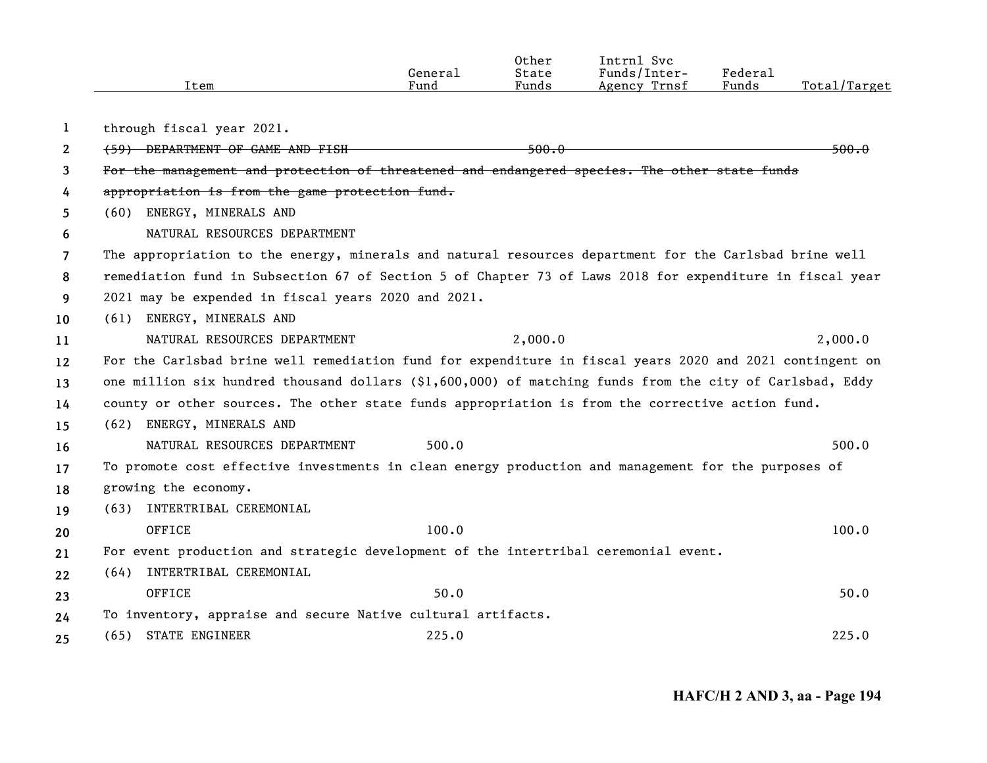|              | Item                                                                                                     | General<br>Fund | Other<br>State<br>Funds | Intrnl Svc<br>Funds/Inter-<br>Agency Trnsf | Federal<br>Funds | Total/Target     |
|--------------|----------------------------------------------------------------------------------------------------------|-----------------|-------------------------|--------------------------------------------|------------------|------------------|
| $\mathbf{1}$ | through fiscal year 2021.                                                                                |                 |                         |                                            |                  |                  |
| $\mathbf{2}$ | (59) DEPARTMENT OF GAME AND FISH                                                                         |                 | <del>500.0</del>        |                                            |                  | <del>500.0</del> |
| 3            | For the management and protection of threatened and endangered species. The other state funds            |                 |                         |                                            |                  |                  |
| 4            | appropriation is from the game protection fund.                                                          |                 |                         |                                            |                  |                  |
| 5            | (60) ENERGY, MINERALS AND                                                                                |                 |                         |                                            |                  |                  |
| 6            | NATURAL RESOURCES DEPARTMENT                                                                             |                 |                         |                                            |                  |                  |
| 7            | The appropriation to the energy, minerals and natural resources department for the Carlsbad brine well   |                 |                         |                                            |                  |                  |
| 8            | remediation fund in Subsection 67 of Section 5 of Chapter 73 of Laws 2018 for expenditure in fiscal year |                 |                         |                                            |                  |                  |
| 9            | 2021 may be expended in fiscal years 2020 and 2021.                                                      |                 |                         |                                            |                  |                  |
| 10           | (61) ENERGY, MINERALS AND                                                                                |                 |                         |                                            |                  |                  |
| 11           | NATURAL RESOURCES DEPARTMENT                                                                             |                 | 2,000.0                 |                                            |                  | 2,000.0          |
| 12           | For the Carlsbad brine well remediation fund for expenditure in fiscal years 2020 and 2021 contingent on |                 |                         |                                            |                  |                  |
| 13           | one million six hundred thousand dollars (\$1,600,000) of matching funds from the city of Carlsbad, Eddy |                 |                         |                                            |                  |                  |
| 14           | county or other sources. The other state funds appropriation is from the corrective action fund.         |                 |                         |                                            |                  |                  |
| 15           | (62) ENERGY, MINERALS AND                                                                                |                 |                         |                                            |                  |                  |
| 16           | NATURAL RESOURCES DEPARTMENT                                                                             | 500.0           |                         |                                            |                  | 500.0            |
| 17           | To promote cost effective investments in clean energy production and management for the purposes of      |                 |                         |                                            |                  |                  |
| 18           | growing the economy.                                                                                     |                 |                         |                                            |                  |                  |
| 19           | (63) INTERTRIBAL CEREMONIAL                                                                              |                 |                         |                                            |                  |                  |
| 20           | OFFICE                                                                                                   | 100.0           |                         |                                            |                  | 100.0            |
| 21           | For event production and strategic development of the intertribal ceremonial event.                      |                 |                         |                                            |                  |                  |
| 22           | INTERTRIBAL CEREMONIAL<br>(64)                                                                           |                 |                         |                                            |                  |                  |
| 23           | OFFICE                                                                                                   | 50.0            |                         |                                            |                  | 50.0             |
| 24           | To inventory, appraise and secure Native cultural artifacts.                                             |                 |                         |                                            |                  |                  |
| 25           | (65) STATE ENGINEER                                                                                      | 225.0           |                         |                                            |                  | 225.0            |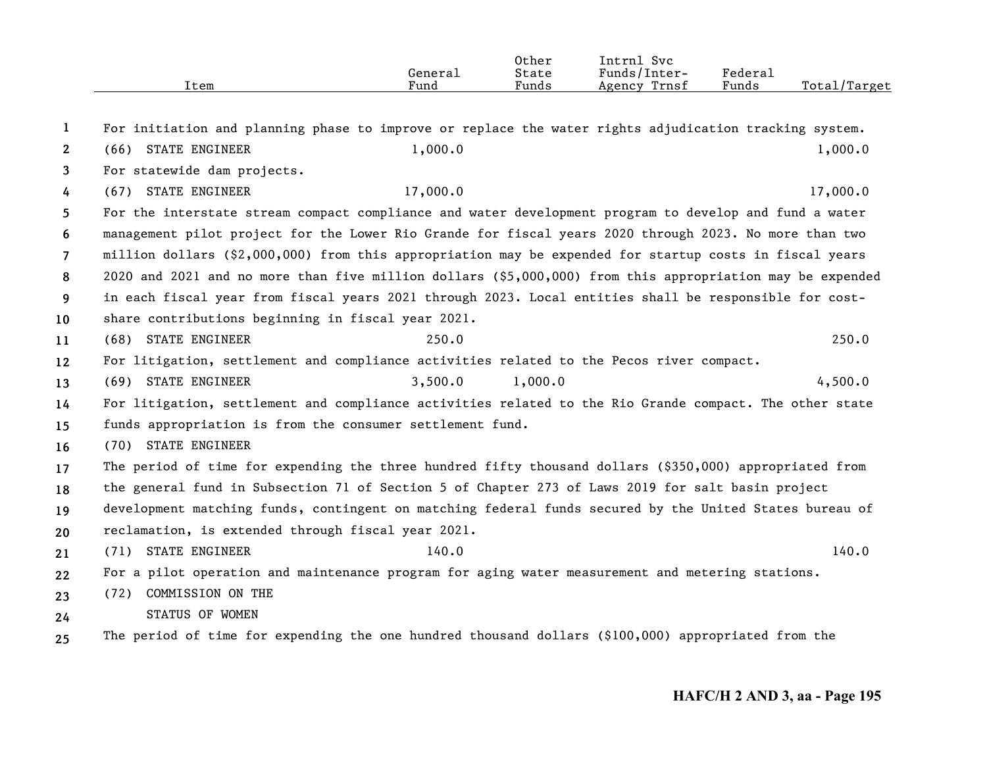|                       | Item                                                                                                      | General<br>Fund | 0ther<br>State<br>Funds | Intrnl Svc<br>Funds/Inter-<br>Agency Trnsf | Federal<br>Funds | Total/Target |
|-----------------------|-----------------------------------------------------------------------------------------------------------|-----------------|-------------------------|--------------------------------------------|------------------|--------------|
| 1                     | For initiation and planning phase to improve or replace the water rights adjudication tracking system.    |                 |                         |                                            |                  |              |
| $\mathbf{2}^{\prime}$ | (66) STATE ENGINEER                                                                                       | 1,000.0         |                         |                                            |                  | 1,000.0      |
| 3                     | For statewide dam projects.                                                                               |                 |                         |                                            |                  |              |
| 4                     | (67) STATE ENGINEER                                                                                       | 17,000.0        |                         |                                            |                  | 17,000.0     |
| 5                     | For the interstate stream compact compliance and water development program to develop and fund a water    |                 |                         |                                            |                  |              |
| 6                     | management pilot project for the Lower Rio Grande for fiscal years 2020 through 2023. No more than two    |                 |                         |                                            |                  |              |
| 7                     | million dollars (\$2,000,000) from this appropriation may be expended for startup costs in fiscal years   |                 |                         |                                            |                  |              |
| 8                     | 2020 and 2021 and no more than five million dollars (\$5,000,000) from this appropriation may be expended |                 |                         |                                            |                  |              |
| 9                     | in each fiscal year from fiscal years 2021 through 2023. Local entities shall be responsible for cost-    |                 |                         |                                            |                  |              |
| 10                    | share contributions beginning in fiscal year 2021.                                                        |                 |                         |                                            |                  |              |
| 11                    | (68) STATE ENGINEER                                                                                       | 250.0           |                         |                                            |                  | 250.0        |
| 12                    | For litigation, settlement and compliance activities related to the Pecos river compact.                  |                 |                         |                                            |                  |              |
| 13                    | (69) STATE ENGINEER                                                                                       | 3,500.0         | 1,000.0                 |                                            |                  | 4,500.0      |
| 14                    | For litigation, settlement and compliance activities related to the Rio Grande compact. The other state   |                 |                         |                                            |                  |              |
| 15                    | funds appropriation is from the consumer settlement fund.                                                 |                 |                         |                                            |                  |              |
| 16                    | (70) STATE ENGINEER                                                                                       |                 |                         |                                            |                  |              |
| 17                    | The period of time for expending the three hundred fifty thousand dollars (\$350,000) appropriated from   |                 |                         |                                            |                  |              |
| 18                    | the general fund in Subsection 71 of Section 5 of Chapter 273 of Laws 2019 for salt basin project         |                 |                         |                                            |                  |              |
| 19                    | development matching funds, contingent on matching federal funds secured by the United States bureau of   |                 |                         |                                            |                  |              |
| 20                    | reclamation, is extended through fiscal year 2021.                                                        |                 |                         |                                            |                  |              |
| 21                    | (71) STATE ENGINEER                                                                                       | 140.0           |                         |                                            |                  | 140.0        |
| 22                    | For a pilot operation and maintenance program for aging water measurement and metering stations.          |                 |                         |                                            |                  |              |
| 23                    | (72) COMMISSION ON THE                                                                                    |                 |                         |                                            |                  |              |
| 24                    | STATUS OF WOMEN                                                                                           |                 |                         |                                            |                  |              |
| 25                    | The period of time for expending the one hundred thousand dollars (\$100,000) appropriated from the       |                 |                         |                                            |                  |              |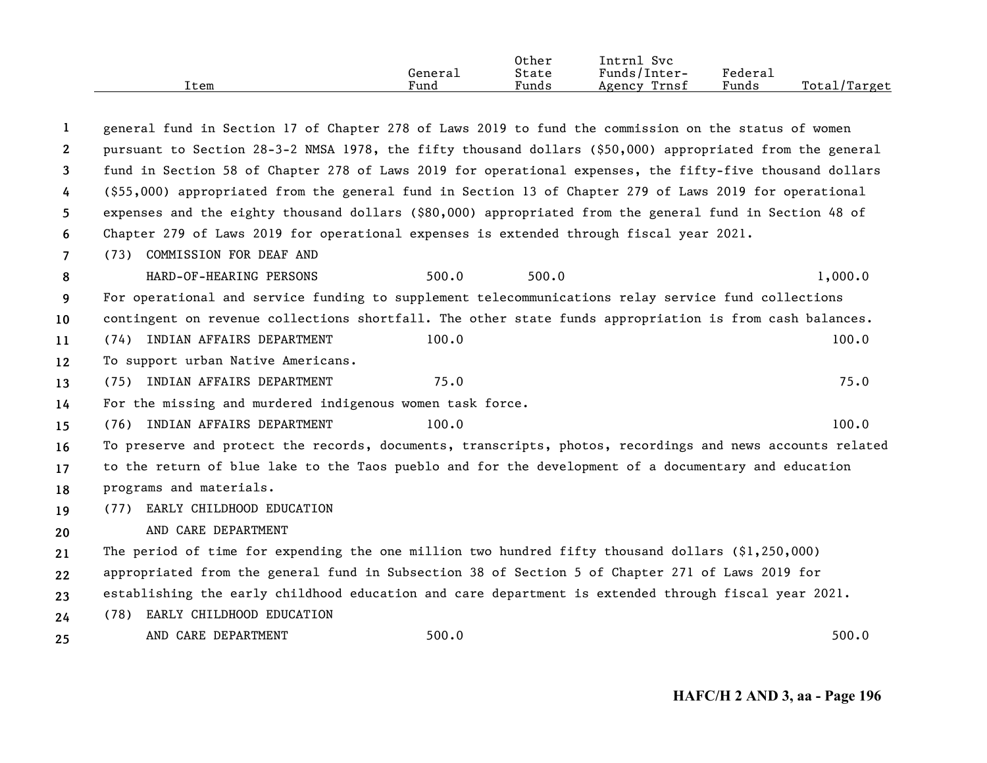| Item | General<br>Fund | Other<br>State<br>Funds | Intrnl Svc<br>Funds/Inter-<br>Agency Trnsf | Federal<br>Funds | Total/Target |
|------|-----------------|-------------------------|--------------------------------------------|------------------|--------------|
|      |                 |                         |                                            |                  |              |

| -1             | general fund in Section 17 of Chapter 278 of Laws 2019 to fund the commission on the status of women      |       |       |         |
|----------------|-----------------------------------------------------------------------------------------------------------|-------|-------|---------|
| $\mathbf{2}$   | pursuant to Section 28-3-2 NMSA 1978, the fifty thousand dollars (\$50,000) appropriated from the general |       |       |         |
| 3              | fund in Section 58 of Chapter 278 of Laws 2019 for operational expenses, the fifty-five thousand dollars  |       |       |         |
| 4              | (\$55,000) appropriated from the general fund in Section 13 of Chapter 279 of Laws 2019 for operational   |       |       |         |
| 5.             | expenses and the eighty thousand dollars (\$80,000) appropriated from the general fund in Section 48 of   |       |       |         |
| 6              | Chapter 279 of Laws 2019 for operational expenses is extended through fiscal year 2021.                   |       |       |         |
| $\overline{7}$ | (73) COMMISSION FOR DEAF AND                                                                              |       |       |         |
| 8              | HARD-OF-HEARING PERSONS                                                                                   | 500.0 | 500.0 | 1,000.0 |
| 9              | For operational and service funding to supplement telecommunications relay service fund collections       |       |       |         |
| 10             | contingent on revenue collections shortfall. The other state funds appropriation is from cash balances.   |       |       |         |
| 11             | (74) INDIAN AFFAIRS DEPARTMENT                                                                            | 100.0 |       | 100.0   |
| 12             | To support urban Native Americans.                                                                        |       |       |         |
| 13             | (75) INDIAN AFFAIRS DEPARTMENT                                                                            | 75.0  |       | 75.0    |
| 14             | For the missing and murdered indigenous women task force.                                                 |       |       |         |
| 15             | (76) INDIAN AFFAIRS DEPARTMENT                                                                            | 100.0 |       | 100.0   |
| 16             | To preserve and protect the records, documents, transcripts, photos, recordings and news accounts related |       |       |         |
| 17             | to the return of blue lake to the Taos pueblo and for the development of a documentary and education      |       |       |         |
| 18             | programs and materials.                                                                                   |       |       |         |
| 19             | (77) EARLY CHILDHOOD EDUCATION                                                                            |       |       |         |
| 20             | AND CARE DEPARTMENT                                                                                       |       |       |         |
| 21             | The period of time for expending the one million two hundred fifty thousand dollars $(91, 250, 000)$      |       |       |         |
| 22             | appropriated from the general fund in Subsection 38 of Section 5 of Chapter 271 of Laws 2019 for          |       |       |         |
| 23             | establishing the early childhood education and care department is extended through fiscal year 2021.      |       |       |         |
| 24             | (78) EARLY CHILDHOOD EDUCATION                                                                            |       |       |         |
| 25             | AND CARE DEPARTMENT                                                                                       | 500.0 |       | 500.0   |
|                |                                                                                                           |       |       |         |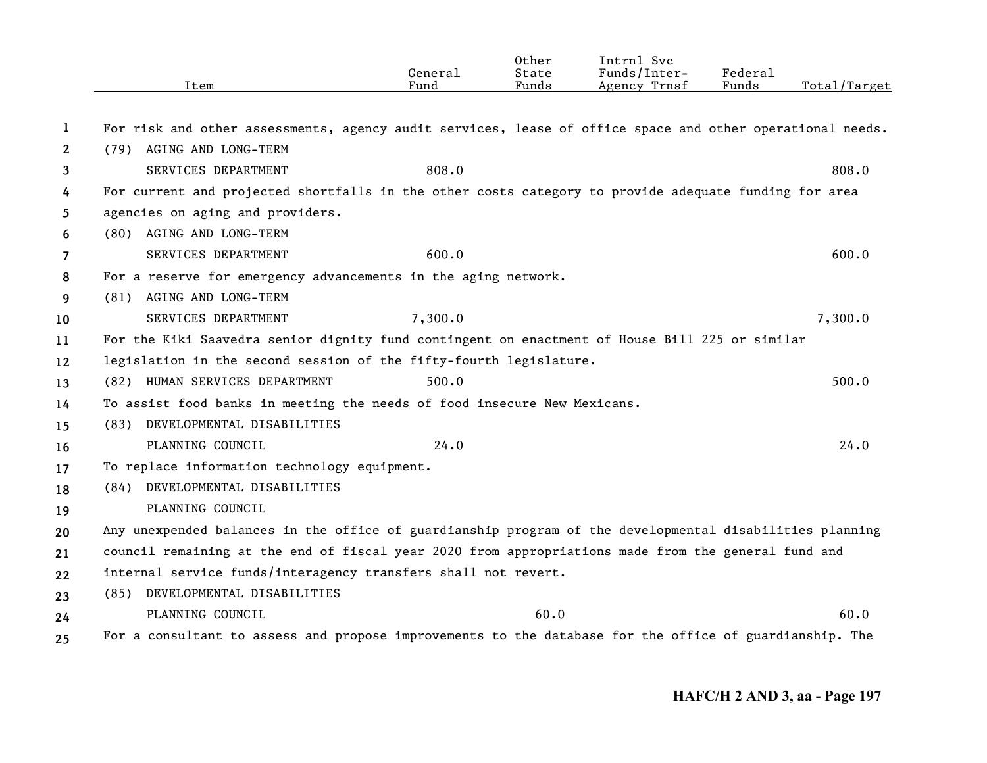|                       | Item                                                                                                      | General<br>Fund | Other<br>State<br>Funds | Intrnl Svc<br>Funds/Inter-<br>Agency Trnsf | Federal<br>Funds | Total/Target |
|-----------------------|-----------------------------------------------------------------------------------------------------------|-----------------|-------------------------|--------------------------------------------|------------------|--------------|
| 1                     | For risk and other assessments, agency audit services, lease of office space and other operational needs. |                 |                         |                                            |                  |              |
| $\mathbf{2}^{\prime}$ | (79) AGING AND LONG-TERM                                                                                  |                 |                         |                                            |                  |              |
| 3                     | SERVICES DEPARTMENT                                                                                       | 808.0           |                         |                                            |                  | 808.0        |
| 4                     | For current and projected shortfalls in the other costs category to provide adequate funding for area     |                 |                         |                                            |                  |              |
| 5                     | agencies on aging and providers.                                                                          |                 |                         |                                            |                  |              |
| 6                     | AGING AND LONG-TERM<br>(80)                                                                               |                 |                         |                                            |                  |              |
| 7                     | SERVICES DEPARTMENT                                                                                       | 600.0           |                         |                                            |                  | 600.0        |
| 8                     | For a reserve for emergency advancements in the aging network.                                            |                 |                         |                                            |                  |              |
| 9                     | (81) AGING AND LONG-TERM                                                                                  |                 |                         |                                            |                  |              |
| 10                    | SERVICES DEPARTMENT                                                                                       | 7,300.0         |                         |                                            |                  | 7,300.0      |
| 11                    | For the Kiki Saavedra senior dignity fund contingent on enactment of House Bill 225 or similar            |                 |                         |                                            |                  |              |
| 12                    | legislation in the second session of the fifty-fourth legislature.                                        |                 |                         |                                            |                  |              |
| 13                    | (82) HUMAN SERVICES DEPARTMENT                                                                            | 500.0           |                         |                                            |                  | 500.0        |
| 14                    | To assist food banks in meeting the needs of food insecure New Mexicans.                                  |                 |                         |                                            |                  |              |
| 15                    | (83) DEVELOPMENTAL DISABILITIES                                                                           |                 |                         |                                            |                  |              |
| 16                    | PLANNING COUNCIL                                                                                          | 24.0            |                         |                                            |                  | 24.0         |
| 17                    | To replace information technology equipment.                                                              |                 |                         |                                            |                  |              |
| 18                    | (84) DEVELOPMENTAL DISABILITIES                                                                           |                 |                         |                                            |                  |              |
| 19                    | PLANNING COUNCIL                                                                                          |                 |                         |                                            |                  |              |
| 20                    | Any unexpended balances in the office of guardianship program of the developmental disabilities planning  |                 |                         |                                            |                  |              |
| 21                    | council remaining at the end of fiscal year 2020 from appropriations made from the general fund and       |                 |                         |                                            |                  |              |
| 22                    | internal service funds/interagency transfers shall not revert.                                            |                 |                         |                                            |                  |              |
| 23                    | (85) DEVELOPMENTAL DISABILITIES                                                                           |                 |                         |                                            |                  |              |
| 24                    | PLANNING COUNCIL                                                                                          |                 | 60.0                    |                                            |                  | 60.0         |
| 25                    | For a consultant to assess and propose improvements to the database for the office of guardianship. The   |                 |                         |                                            |                  |              |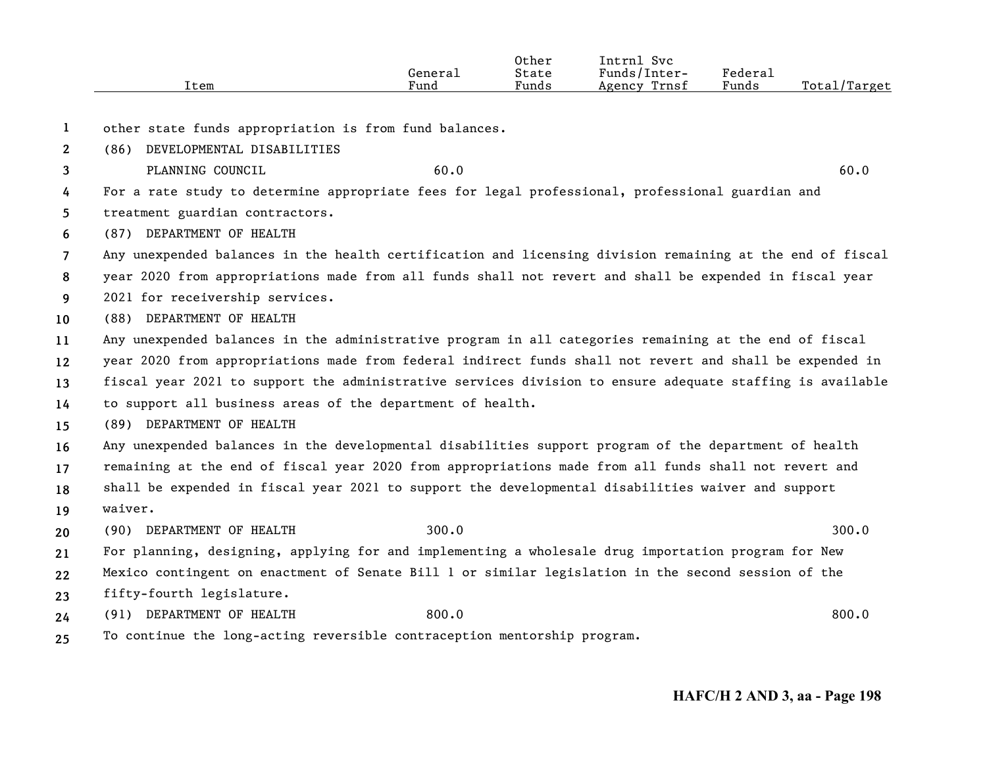|      |                                  | Other | Intrnl<br><b>SVC</b> |                                        |                   |
|------|----------------------------------|-------|----------------------|----------------------------------------|-------------------|
|      | Generai                          | State | Funds/Inter-         | ${}_{\rm \tiny \text{Federa}_{\perp}}$ |                   |
| Item | $\overline{\phantom{a}}$<br>Fund | Funds | Trnsf<br>Agency      | Funds                                  | Total,<br>'Target |

**1**other state funds appropriation is from fund balances.

**2**(86) DEVELOPMENTAL DISABILITIES

**3**PLANNING COUNCIL 60.0 60.0

**45**For a rate study to determine appropriate fees for legal professional, professional guardian and treatment guardian contractors.

**6**(87) DEPARTMENT OF HEALTH

**7**Any unexpended balances in the health certification and licensing division remaining at the end of fiscal

**8**year 2020 from appropriations made from all funds shall not revert and shall be expended in fiscal year

- **9**2021 for receivership services.
- **10**(88) DEPARTMENT OF HEALTH

**11121314**Any unexpended balances in the administrative program in all categories remaining at the end of fiscal year 2020 from appropriations made from federal indirect funds shall not revert and shall be expended in fiscal year 2021 to support the administrative services division to ensure adequate staffing is available to support all business areas of the department of health.

**15**(89) DEPARTMENT OF HEALTH

**1617**Any unexpended balances in the developmental disabilities support program of the department of health remaining at the end of fiscal year 2020 from appropriations made from all funds shall not revert and

**18**shall be expended in fiscal year 2021 to support the developmental disabilities waiver and support

- **19**waiver.
- **2021222324**(90) DEPARTMENT OF HEALTH 300.0 300.0 300.0 300.0 300.0 300.0 300.0 300.0 300.0 300.0 300.0 300.0 300.0 300.0 300.0 300.0 300.0 300.0 300.0 300.0 300.0 300.0 300.0 300.0 300.0 300.0 300.0 300.0 300.0 300.0 300.0 300.0 300. For planning, designing, applying for and implementing a wholesale drug importation program for New Mexico contingent on enactment of Senate Bill 1 or similar legislation in the second session of the fifty-fourth legislature. (91) DEPARTMENT OF HEALTH 800.0 800.0 800.0 800.0 800.0 800.0 800.0 800.0 800.0 800.0 800.0 800.0 800.0 800.0 800.0 800.0 80
- **25**To continue the long-acting reversible contraception mentorship program.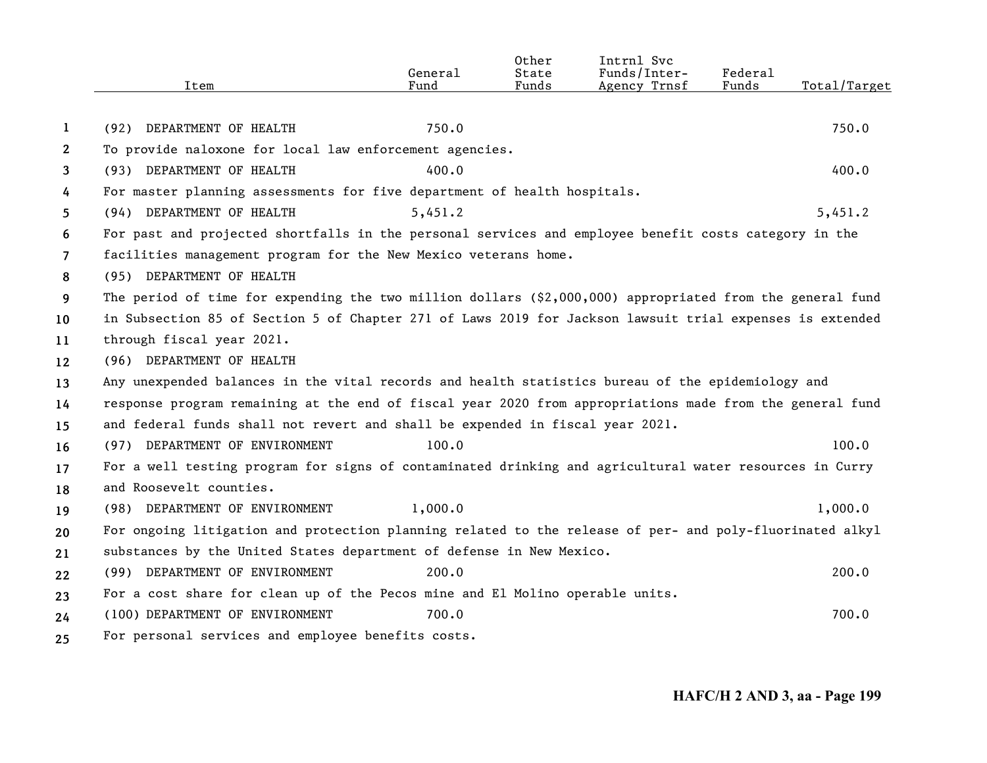|                |                                                                                                            | General | Other<br>State | Intrnl Svc<br>Funds/Inter- | Federal |              |
|----------------|------------------------------------------------------------------------------------------------------------|---------|----------------|----------------------------|---------|--------------|
|                | Item                                                                                                       | Fund    | Funds          | Agency Trnsf               | Funds   | Total/Target |
| 1              | (92) DEPARTMENT OF HEALTH                                                                                  | 750.0   |                |                            |         | 750.0        |
| $\mathbf{2}$   | To provide naloxone for local law enforcement agencies.                                                    |         |                |                            |         |              |
| 3              | (93) DEPARTMENT OF HEALTH                                                                                  | 400.0   |                |                            |         | 400.0        |
| 4              | For master planning assessments for five department of health hospitals.                                   |         |                |                            |         |              |
| 5.             | (94) DEPARTMENT OF HEALTH                                                                                  | 5,451.2 |                |                            |         | 5,451.2      |
| 6              | For past and projected shortfalls in the personal services and employee benefit costs category in the      |         |                |                            |         |              |
| $\overline{7}$ | facilities management program for the New Mexico veterans home.                                            |         |                |                            |         |              |
| 8              | (95) DEPARTMENT OF HEALTH                                                                                  |         |                |                            |         |              |
| 9              | The period of time for expending the two million dollars $(§2,000,000)$ appropriated from the general fund |         |                |                            |         |              |
| 10             | in Subsection 85 of Section 5 of Chapter 271 of Laws 2019 for Jackson lawsuit trial expenses is extended   |         |                |                            |         |              |
| 11             | through fiscal year 2021.                                                                                  |         |                |                            |         |              |
| 12             | (96) DEPARTMENT OF HEALTH                                                                                  |         |                |                            |         |              |
| 13             | Any unexpended balances in the vital records and health statistics bureau of the epidemiology and          |         |                |                            |         |              |
| 14             | response program remaining at the end of fiscal year 2020 from appropriations made from the general fund   |         |                |                            |         |              |
| 15             | and federal funds shall not revert and shall be expended in fiscal year 2021.                              |         |                |                            |         |              |
| 16             | (97) DEPARTMENT OF ENVIRONMENT                                                                             | 100.0   |                |                            |         | 100.0        |
| 17             | For a well testing program for signs of contaminated drinking and agricultural water resources in Curry    |         |                |                            |         |              |
| 18             | and Roosevelt counties.                                                                                    |         |                |                            |         |              |
| 19             | (98) DEPARTMENT OF ENVIRONMENT                                                                             | 1,000.0 |                |                            |         | 1,000.0      |
| 20             | For ongoing litigation and protection planning related to the release of per- and poly-fluorinated alkyl   |         |                |                            |         |              |
| 21             | substances by the United States department of defense in New Mexico.                                       |         |                |                            |         |              |
| 22             | (99) DEPARTMENT OF ENVIRONMENT                                                                             | 200.0   |                |                            |         | 200.0        |
| 23             | For a cost share for clean up of the Pecos mine and El Molino operable units.                              |         |                |                            |         |              |
| 24             | (100) DEPARTMENT OF ENVIRONMENT                                                                            | 700.0   |                |                            |         | 700.0        |
| 25             | For personal services and employee benefits costs.                                                         |         |                |                            |         |              |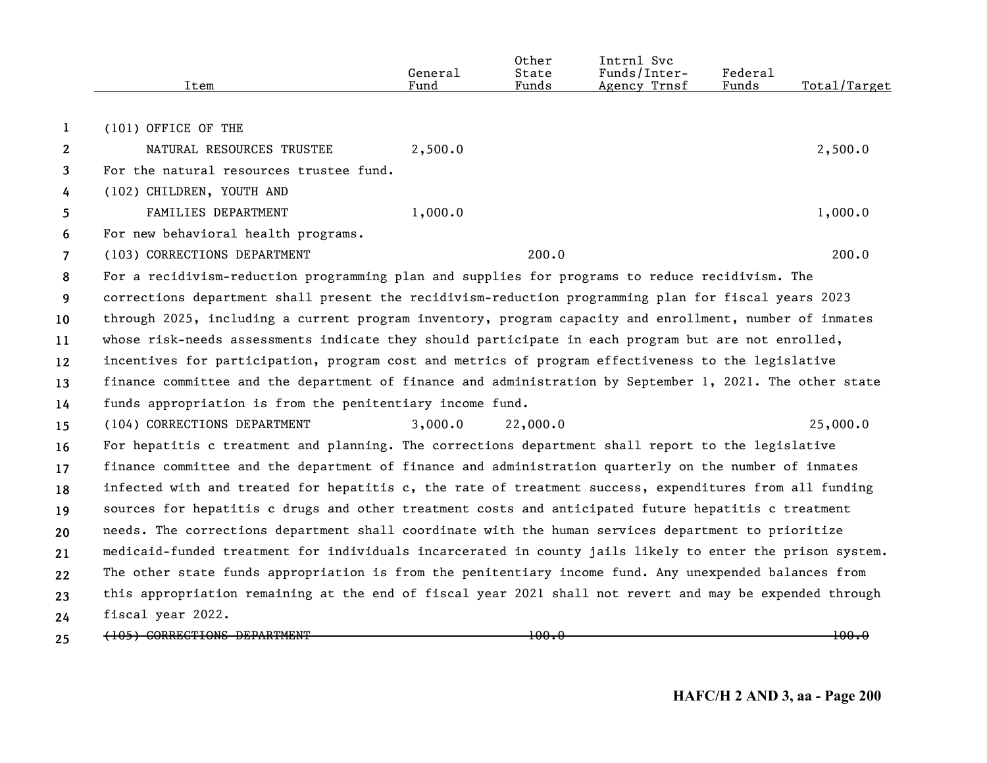|                | Item                                                                                                      | General<br>Fund | Other<br>State<br>Funds | Intrnl Svc<br>Funds/Inter-<br>Agency Trnsf | Federal<br>Funds | Total/Target |
|----------------|-----------------------------------------------------------------------------------------------------------|-----------------|-------------------------|--------------------------------------------|------------------|--------------|
|                |                                                                                                           |                 |                         |                                            |                  |              |
| 1              | (101) OFFICE OF THE                                                                                       |                 |                         |                                            |                  |              |
| $\mathbf{2}$   | NATURAL RESOURCES TRUSTEE                                                                                 | 2,500.0         |                         |                                            |                  | 2,500.0      |
| 3              | For the natural resources trustee fund.                                                                   |                 |                         |                                            |                  |              |
| 4              | (102) CHILDREN, YOUTH AND                                                                                 |                 |                         |                                            |                  |              |
| 5              | FAMILIES DEPARTMENT                                                                                       | 1,000.0         |                         |                                            |                  | 1,000.0      |
| 6              | For new behavioral health programs.                                                                       |                 |                         |                                            |                  |              |
| $\overline{7}$ | (103) CORRECTIONS DEPARTMENT                                                                              |                 | 200.0                   |                                            |                  | 200.0        |
| 8              | For a recidivism-reduction programming plan and supplies for programs to reduce recidivism. The           |                 |                         |                                            |                  |              |
| 9              | corrections department shall present the recidivism-reduction programming plan for fiscal years 2023      |                 |                         |                                            |                  |              |
| 10             | through 2025, including a current program inventory, program capacity and enrollment, number of inmates   |                 |                         |                                            |                  |              |
| 11             | whose risk-needs assessments indicate they should participate in each program but are not enrolled,       |                 |                         |                                            |                  |              |
| 12             | incentives for participation, program cost and metrics of program effectiveness to the legislative        |                 |                         |                                            |                  |              |
| 13             | finance committee and the department of finance and administration by September 1, 2021. The other state  |                 |                         |                                            |                  |              |
| 14             | funds appropriation is from the penitentiary income fund.                                                 |                 |                         |                                            |                  |              |
| 15             | (104) CORRECTIONS DEPARTMENT                                                                              | 3,000.0         | 22,000.0                |                                            |                  | 25,000.0     |
| 16             | For hepatitis c treatment and planning. The corrections department shall report to the legislative        |                 |                         |                                            |                  |              |
| 17             | finance committee and the department of finance and administration quarterly on the number of inmates     |                 |                         |                                            |                  |              |
| 18             | infected with and treated for hepatitis c, the rate of treatment success, expenditures from all funding   |                 |                         |                                            |                  |              |
| 19             | sources for hepatitis c drugs and other treatment costs and anticipated future hepatitis c treatment      |                 |                         |                                            |                  |              |
| 20             | needs. The corrections department shall coordinate with the human services department to prioritize       |                 |                         |                                            |                  |              |
| 21             | medicaid-funded treatment for individuals incarcerated in county jails likely to enter the prison system. |                 |                         |                                            |                  |              |
| 22             | The other state funds appropriation is from the penitentiary income fund. Any unexpended balances from    |                 |                         |                                            |                  |              |
| 23             | this appropriation remaining at the end of fiscal year 2021 shall not revert and may be expended through  |                 |                         |                                            |                  |              |
| 24             | fiscal year 2022.                                                                                         |                 |                         |                                            |                  |              |
| 25             | (105) CORRECTIONS DEPARTMENT                                                                              |                 | 100.0                   |                                            |                  | 100.0        |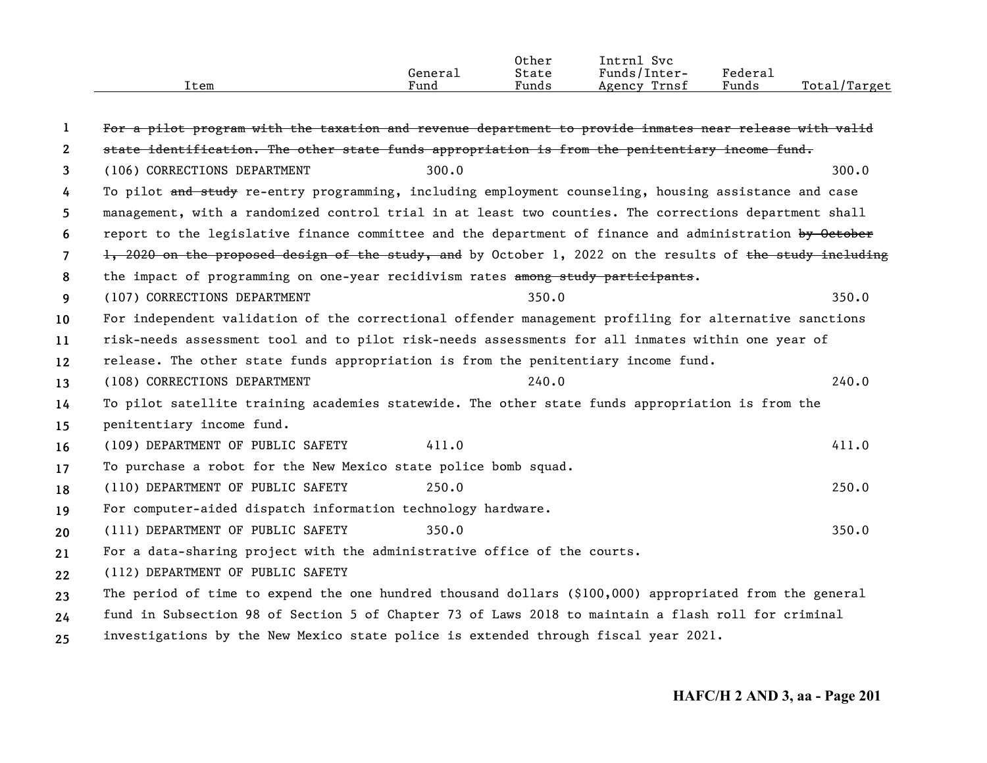|      |         | Other | Intrn.<br>Svc   |                              |                  |
|------|---------|-------|-----------------|------------------------------|------------------|
|      | Genera⊥ | State | Funds/Inter-    | ${}_{\text{Federa}_{\perp}}$ |                  |
| Item | Funo    | Funds | Trnsf<br>Agency | Funds                        | Total<br>'Target |
|      |         |       |                 |                              |                  |

| 1                     | For a pilot program with the taxation and revenue department to provide inmates near release with valid   |       |
|-----------------------|-----------------------------------------------------------------------------------------------------------|-------|
| $\mathbf{2}^{\prime}$ | state identification. The other state funds appropriation is from the penitentiary income fund.           |       |
| 3                     | (106) CORRECTIONS DEPARTMENT<br>300.0                                                                     | 300.0 |
| 4                     | To pilot and study re-entry programming, including employment counseling, housing assistance and case     |       |
| 5.                    | management, with a randomized control trial in at least two counties. The corrections department shall    |       |
| 6                     | report to the legislative finance committee and the department of finance and administration by October   |       |
| $\overline{7}$        | 1, 2020 on the proposed design of the study, and by October 1, 2022 on the results of the study including |       |
| 8                     | the impact of programming on one-year recidivism rates among study participants.                          |       |
| 9                     | 350.0<br>(107) CORRECTIONS DEPARTMENT                                                                     | 350.0 |
| 10                    | For independent validation of the correctional offender management profiling for alternative sanctions    |       |
| 11                    | risk-needs assessment tool and to pilot risk-needs assessments for all inmates within one year of         |       |
| 12                    | release. The other state funds appropriation is from the penitentiary income fund.                        |       |
| 13                    | 240.0<br>(108) CORRECTIONS DEPARTMENT                                                                     | 240.0 |
| 14                    | To pilot satellite training academies statewide. The other state funds appropriation is from the          |       |
| 15                    | penitentiary income fund.                                                                                 |       |
| 16                    | 411.0<br>(109) DEPARTMENT OF PUBLIC SAFETY                                                                | 411.0 |
| 17                    | To purchase a robot for the New Mexico state police bomb squad.                                           |       |
| 18                    | (110) DEPARTMENT OF PUBLIC SAFETY<br>250.0                                                                | 250.0 |
| 19                    | For computer-aided dispatch information technology hardware.                                              |       |
| 20                    | (111) DEPARTMENT OF PUBLIC SAFETY<br>350.0                                                                | 350.0 |
| 21                    | For a data-sharing project with the administrative office of the courts.                                  |       |
| 22                    | (112) DEPARTMENT OF PUBLIC SAFETY                                                                         |       |
| 23                    | The period of time to expend the one hundred thousand dollars (\$100,000) appropriated from the general   |       |
| 24                    | fund in Subsection 98 of Section 5 of Chapter 73 of Laws 2018 to maintain a flash roll for criminal       |       |
| 25                    | investigations by the New Mexico state police is extended through fiscal year 2021.                       |       |

**25**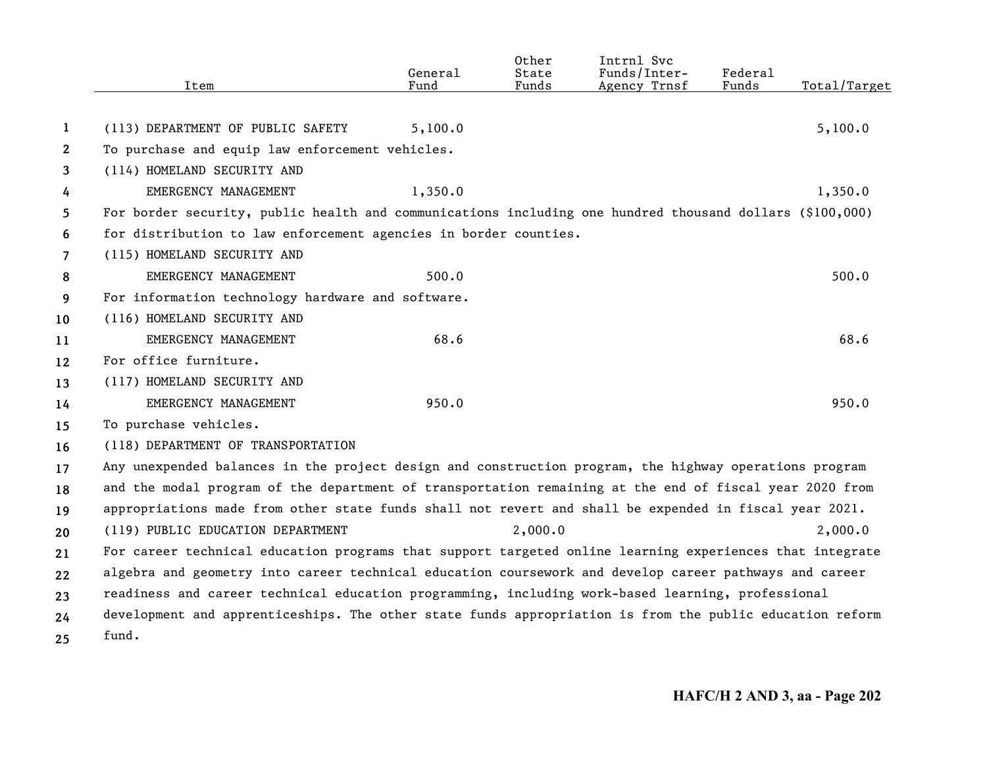|                | Item                                                                                                     | General<br>Fund | Other<br>State<br>Funds | Intrnl Svc<br>Funds/Inter-<br>Agency Trnsf | Federal<br>Funds | Total/Target |
|----------------|----------------------------------------------------------------------------------------------------------|-----------------|-------------------------|--------------------------------------------|------------------|--------------|
|                |                                                                                                          |                 |                         |                                            |                  |              |
| 1              | (113) DEPARTMENT OF PUBLIC SAFETY                                                                        | 5,100.0         |                         |                                            |                  | 5,100.0      |
| $\mathbf{2}$   | To purchase and equip law enforcement vehicles.                                                          |                 |                         |                                            |                  |              |
| 3              | (114) HOMELAND SECURITY AND                                                                              |                 |                         |                                            |                  |              |
| 4              | EMERGENCY MANAGEMENT                                                                                     | 1,350.0         |                         |                                            |                  | 1,350.0      |
| 5              | For border security, public health and communications including one hundred thousand dollars (\$100,000) |                 |                         |                                            |                  |              |
| 6              | for distribution to law enforcement agencies in border counties.                                         |                 |                         |                                            |                  |              |
| $\overline{7}$ | (115) HOMELAND SECURITY AND                                                                              |                 |                         |                                            |                  |              |
| 8              | EMERGENCY MANAGEMENT                                                                                     | 500.0           |                         |                                            |                  | 500.0        |
| 9              | For information technology hardware and software.                                                        |                 |                         |                                            |                  |              |
| 10             | (116) HOMELAND SECURITY AND                                                                              |                 |                         |                                            |                  |              |
| 11             | EMERGENCY MANAGEMENT                                                                                     | 68.6            |                         |                                            |                  | 68.6         |
| 12             | For office furniture.                                                                                    |                 |                         |                                            |                  |              |
| 13             | (117) HOMELAND SECURITY AND                                                                              |                 |                         |                                            |                  |              |
| 14             | EMERGENCY MANAGEMENT                                                                                     | 950.0           |                         |                                            |                  | 950.0        |
| 15             | To purchase vehicles.                                                                                    |                 |                         |                                            |                  |              |
| 16             | (118) DEPARTMENT OF TRANSPORTATION                                                                       |                 |                         |                                            |                  |              |
| 17             | Any unexpended balances in the project design and construction program, the highway operations program   |                 |                         |                                            |                  |              |
| 18             | and the modal program of the department of transportation remaining at the end of fiscal year 2020 from  |                 |                         |                                            |                  |              |
| 19             | appropriations made from other state funds shall not revert and shall be expended in fiscal year 2021.   |                 |                         |                                            |                  |              |
| 20             | (119) PUBLIC EDUCATION DEPARTMENT                                                                        |                 | 2,000.0                 |                                            |                  | 2,000.0      |
| 21             | For career technical education programs that support targeted online learning experiences that integrate |                 |                         |                                            |                  |              |
| 22             | algebra and geometry into career technical education coursework and develop career pathways and career   |                 |                         |                                            |                  |              |
| 23             | readiness and career technical education programming, including work-based learning, professional        |                 |                         |                                            |                  |              |
| 24             | development and apprenticeships. The other state funds appropriation is from the public education reform |                 |                         |                                            |                  |              |
| 25             | fund.                                                                                                    |                 |                         |                                            |                  |              |
|                |                                                                                                          |                 |                         |                                            |                  |              |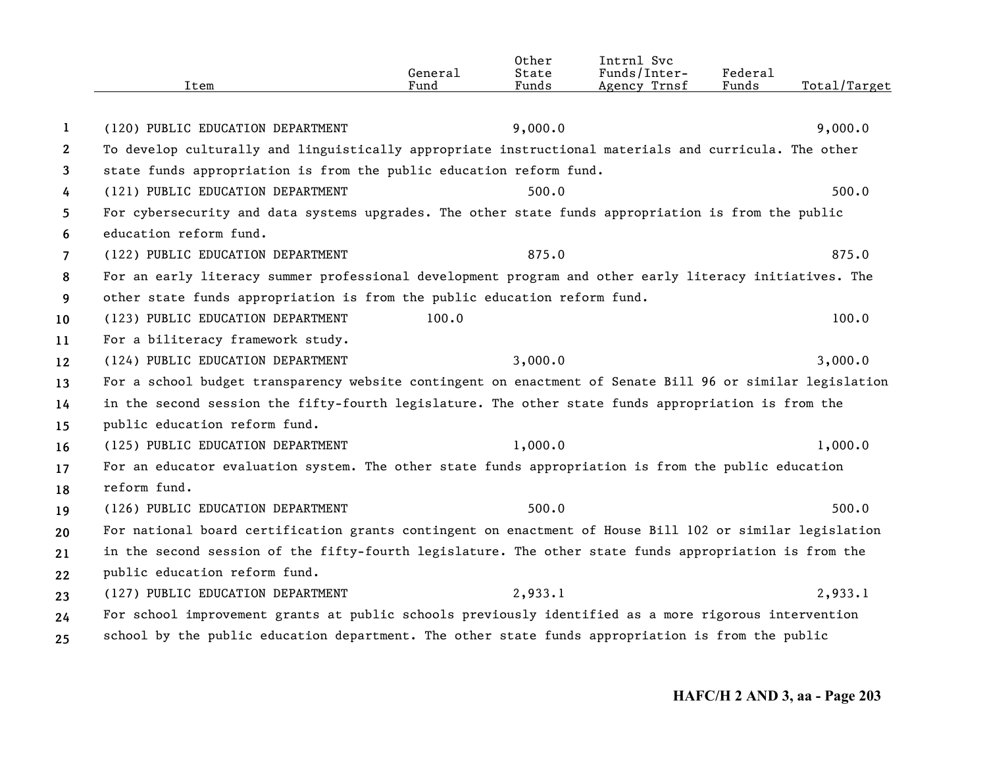|                       | Item                                                                                                      | General<br>Fund | Other<br>State<br>Funds | Intrnl Svc<br>Funds/Inter-<br>Agency Trnsf | Federal<br>Funds | Total/Target |
|-----------------------|-----------------------------------------------------------------------------------------------------------|-----------------|-------------------------|--------------------------------------------|------------------|--------------|
|                       |                                                                                                           |                 |                         |                                            |                  |              |
| 1                     | (120) PUBLIC EDUCATION DEPARTMENT                                                                         |                 | 9,000.0                 |                                            |                  | 9,000.0      |
| $\mathbf{2}^{\prime}$ | To develop culturally and linguistically appropriate instructional materials and curricula. The other     |                 |                         |                                            |                  |              |
| 3                     | state funds appropriation is from the public education reform fund.                                       |                 |                         |                                            |                  |              |
| 4                     | (121) PUBLIC EDUCATION DEPARTMENT                                                                         |                 | 500.0                   |                                            |                  | 500.0        |
| 5                     | For cybersecurity and data systems upgrades. The other state funds appropriation is from the public       |                 |                         |                                            |                  |              |
| 6                     | education reform fund.                                                                                    |                 |                         |                                            |                  |              |
| $\overline{7}$        | (122) PUBLIC EDUCATION DEPARTMENT                                                                         |                 | 875.0                   |                                            |                  | 875.0        |
| 8                     | For an early literacy summer professional development program and other early literacy initiatives. The   |                 |                         |                                            |                  |              |
| 9                     | other state funds appropriation is from the public education reform fund.                                 |                 |                         |                                            |                  |              |
| 10                    | (123) PUBLIC EDUCATION DEPARTMENT                                                                         | 100.0           |                         |                                            |                  | 100.0        |
| 11                    | For a biliteracy framework study.                                                                         |                 |                         |                                            |                  |              |
| 12                    | (124) PUBLIC EDUCATION DEPARTMENT                                                                         |                 | 3,000.0                 |                                            |                  | 3,000.0      |
| 13                    | For a school budget transparency website contingent on enactment of Senate Bill 96 or similar legislation |                 |                         |                                            |                  |              |
| 14                    | in the second session the fifty-fourth legislature. The other state funds appropriation is from the       |                 |                         |                                            |                  |              |
| 15                    | public education reform fund.                                                                             |                 |                         |                                            |                  |              |
| 16                    | (125) PUBLIC EDUCATION DEPARTMENT                                                                         |                 | 1,000.0                 |                                            |                  | 1,000.0      |
| 17                    | For an educator evaluation system. The other state funds appropriation is from the public education       |                 |                         |                                            |                  |              |
| 18                    | reform fund.                                                                                              |                 |                         |                                            |                  |              |
| 19                    | (126) PUBLIC EDUCATION DEPARTMENT                                                                         |                 | 500.0                   |                                            |                  | 500.0        |
| 20                    | For national board certification grants contingent on enactment of House Bill 102 or similar legislation  |                 |                         |                                            |                  |              |
| 21                    | in the second session of the fifty-fourth legislature. The other state funds appropriation is from the    |                 |                         |                                            |                  |              |
| 22                    | public education reform fund.                                                                             |                 |                         |                                            |                  |              |
| 23                    | (127) PUBLIC EDUCATION DEPARTMENT                                                                         |                 | 2,933.1                 |                                            |                  | 2,933.1      |
| 24                    | For school improvement grants at public schools previously identified as a more rigorous intervention     |                 |                         |                                            |                  |              |
| 25                    | school by the public education department. The other state funds appropriation is from the public         |                 |                         |                                            |                  |              |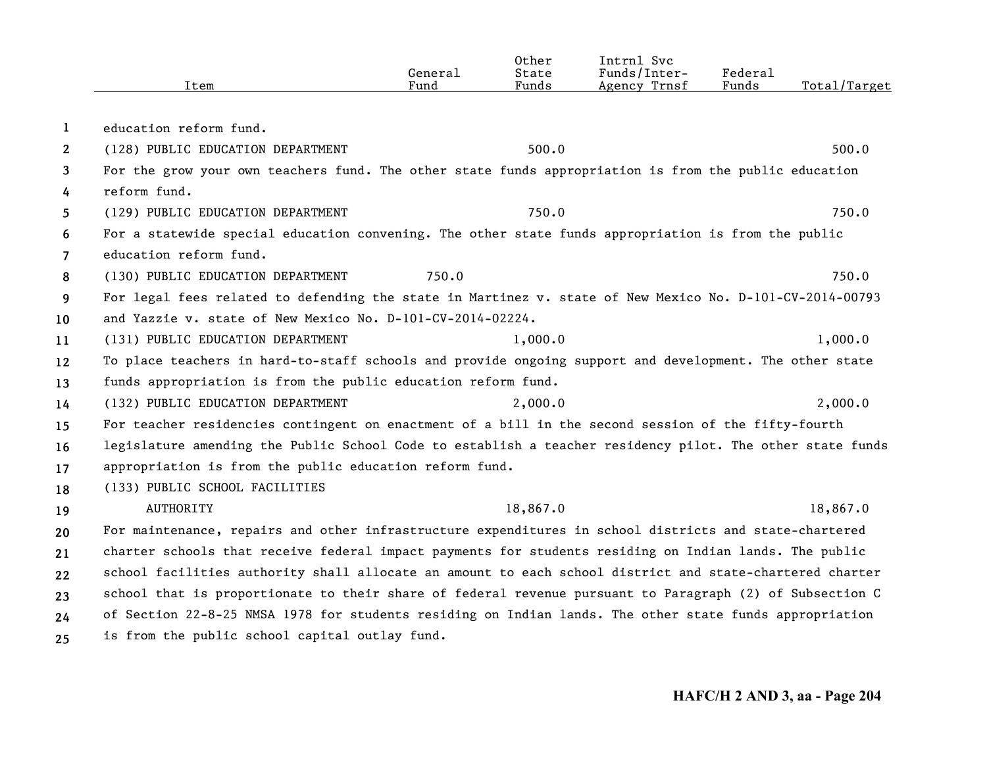|                       | Item                                                                                                      | General<br>Fund | Other<br>State<br>Funds | Intrnl Svc<br>Funds/Inter-<br>Agency Trnsf | Federal<br>Funds | Total/Target |
|-----------------------|-----------------------------------------------------------------------------------------------------------|-----------------|-------------------------|--------------------------------------------|------------------|--------------|
|                       |                                                                                                           |                 |                         |                                            |                  |              |
| 1                     | education reform fund.                                                                                    |                 |                         |                                            |                  |              |
| $\mathbf{2}^{\prime}$ | (128) PUBLIC EDUCATION DEPARTMENT                                                                         |                 | 500.0                   |                                            |                  | 500.0        |
| 3                     | For the grow your own teachers fund. The other state funds appropriation is from the public education     |                 |                         |                                            |                  |              |
| 4                     | reform fund.                                                                                              |                 |                         |                                            |                  |              |
| 5                     | (129) PUBLIC EDUCATION DEPARTMENT                                                                         |                 | 750.0                   |                                            |                  | 750.0        |
| 6                     | For a statewide special education convening. The other state funds appropriation is from the public       |                 |                         |                                            |                  |              |
| $\overline{7}$        | education reform fund.                                                                                    |                 |                         |                                            |                  |              |
| 8                     | (130) PUBLIC EDUCATION DEPARTMENT                                                                         | 750.0           |                         |                                            |                  | 750.0        |
| 9                     | For legal fees related to defending the state in Martinez v. state of New Mexico No. D-101-CV-2014-00793  |                 |                         |                                            |                  |              |
| 10                    | and Yazzie v. state of New Mexico No. D-101-CV-2014-02224.                                                |                 |                         |                                            |                  |              |
| 11                    | (131) PUBLIC EDUCATION DEPARTMENT                                                                         |                 | 1,000.0                 |                                            |                  | 1,000.0      |
| 12                    | To place teachers in hard-to-staff schools and provide ongoing support and development. The other state   |                 |                         |                                            |                  |              |
| 13                    | funds appropriation is from the public education reform fund.                                             |                 |                         |                                            |                  |              |
| 14                    | (132) PUBLIC EDUCATION DEPARTMENT                                                                         |                 | 2,000.0                 |                                            |                  | 2,000.0      |
| 15                    | For teacher residencies contingent on enactment of a bill in the second session of the fifty-fourth       |                 |                         |                                            |                  |              |
| 16                    | legislature amending the Public School Code to establish a teacher residency pilot. The other state funds |                 |                         |                                            |                  |              |
| 17                    | appropriation is from the public education reform fund.                                                   |                 |                         |                                            |                  |              |
| 18                    | (133) PUBLIC SCHOOL FACILITIES                                                                            |                 |                         |                                            |                  |              |
| 19                    | <b>AUTHORITY</b>                                                                                          |                 | 18,867.0                |                                            |                  | 18,867.0     |
| 20                    | For maintenance, repairs and other infrastructure expenditures in school districts and state-chartered    |                 |                         |                                            |                  |              |
| 21                    | charter schools that receive federal impact payments for students residing on Indian lands. The public    |                 |                         |                                            |                  |              |
| 22                    | school facilities authority shall allocate an amount to each school district and state-chartered charter  |                 |                         |                                            |                  |              |
| 23                    | school that is proportionate to their share of federal revenue pursuant to Paragraph (2) of Subsection C  |                 |                         |                                            |                  |              |
| 24                    | of Section 22-8-25 NMSA 1978 for students residing on Indian lands. The other state funds appropriation   |                 |                         |                                            |                  |              |
| 25                    | is from the public school capital outlay fund.                                                            |                 |                         |                                            |                  |              |
|                       |                                                                                                           |                 |                         |                                            |                  |              |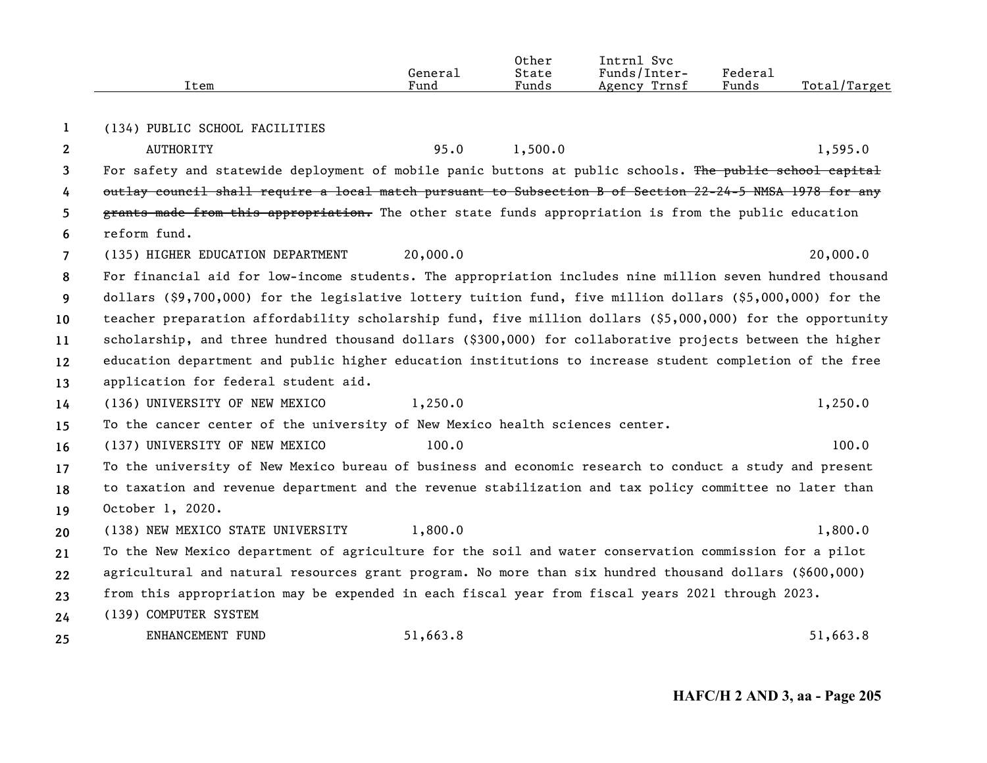|                | Item                                                                                                       | General<br>Fund | Other<br>State<br>Funds | Intrnl Svc<br>Funds/Inter-<br>Agency Trnsf | <b>Federal</b><br>Funds | Total/Target |
|----------------|------------------------------------------------------------------------------------------------------------|-----------------|-------------------------|--------------------------------------------|-------------------------|--------------|
| 1              | (134) PUBLIC SCHOOL FACILITIES                                                                             |                 |                         |                                            |                         |              |
| $\mathbf{2}$   | <b>AUTHORITY</b>                                                                                           | 95.0            | 1,500.0                 |                                            |                         | 1,595.0      |
| 3              | For safety and statewide deployment of mobile panic buttons at public schools. The public school capital   |                 |                         |                                            |                         |              |
| 4              | outlay council shall require a local match pursuant to Subsection B of Section 22-24-5 NMSA 1978 for any   |                 |                         |                                            |                         |              |
| 5              | grants made from this appropriation. The other state funds appropriation is from the public education      |                 |                         |                                            |                         |              |
| 6              | reform fund.                                                                                               |                 |                         |                                            |                         |              |
| $\overline{7}$ | (135) HIGHER EDUCATION DEPARTMENT                                                                          | 20,000.0        |                         |                                            |                         | 20,000.0     |
| 8              | For financial aid for low-income students. The appropriation includes nine million seven hundred thousand  |                 |                         |                                            |                         |              |
| 9              | dollars (\$9,700,000) for the legislative lottery tuition fund, five million dollars (\$5,000,000) for the |                 |                         |                                            |                         |              |
| 10             | teacher preparation affordability scholarship fund, five million dollars (\$5,000,000) for the opportunity |                 |                         |                                            |                         |              |
| 11             | scholarship, and three hundred thousand dollars (\$300,000) for collaborative projects between the higher  |                 |                         |                                            |                         |              |
| $12 \,$        | education department and public higher education institutions to increase student completion of the free   |                 |                         |                                            |                         |              |
| 13             | application for federal student aid.                                                                       |                 |                         |                                            |                         |              |
| 14             | (136) UNIVERSITY OF NEW MEXICO                                                                             | 1,250.0         |                         |                                            |                         | 1,250.0      |
| 15             | To the cancer center of the university of New Mexico health sciences center.                               |                 |                         |                                            |                         |              |
| 16             | (137) UNIVERSITY OF NEW MEXICO                                                                             | 100.0           |                         |                                            |                         | 100.0        |
| 17             | To the university of New Mexico bureau of business and economic research to conduct a study and present    |                 |                         |                                            |                         |              |
| 18             | to taxation and revenue department and the revenue stabilization and tax policy committee no later than    |                 |                         |                                            |                         |              |
| 19             | October 1, 2020.                                                                                           |                 |                         |                                            |                         |              |
| 20             | (138) NEW MEXICO STATE UNIVERSITY                                                                          | 1,800.0         |                         |                                            |                         | 1,800.0      |
| 21             | To the New Mexico department of agriculture for the soil and water conservation commission for a pilot     |                 |                         |                                            |                         |              |
| 22             | agricultural and natural resources grant program. No more than six hundred thousand dollars (\$600,000)    |                 |                         |                                            |                         |              |
| 23             | from this appropriation may be expended in each fiscal year from fiscal years 2021 through 2023.           |                 |                         |                                            |                         |              |
| 24             | (139) COMPUTER SYSTEM                                                                                      |                 |                         |                                            |                         |              |
| 25             | ENHANCEMENT FUND                                                                                           | 51,663.8        |                         |                                            |                         | 51,663.8     |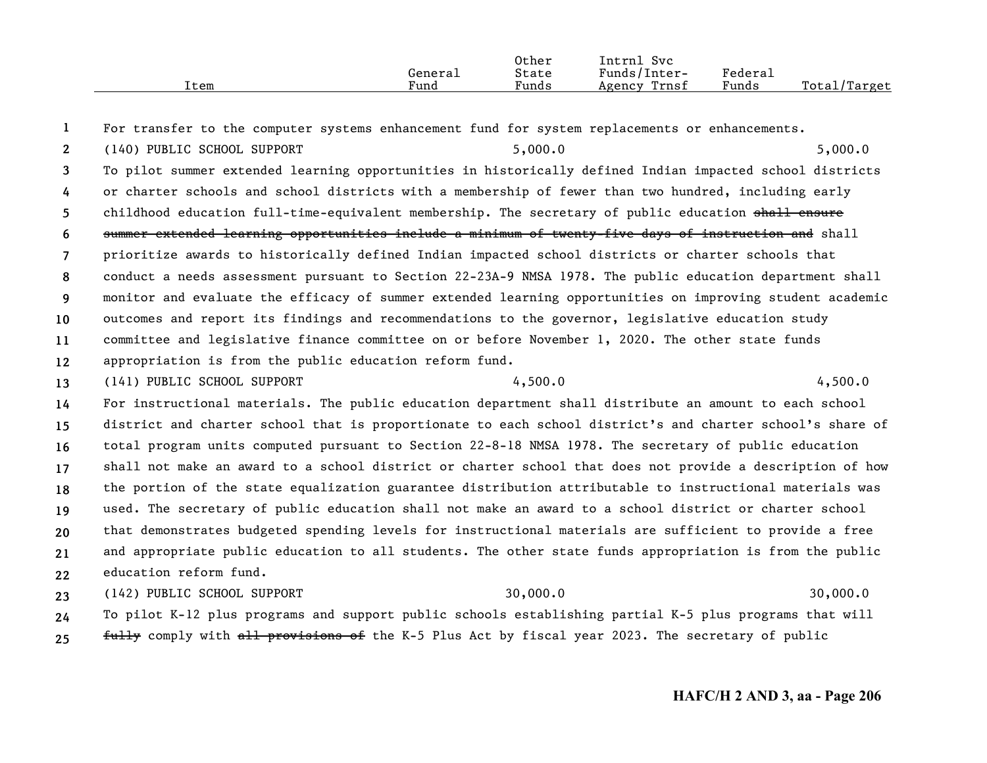|      |         | Other | Intrnl<br>Svc   |                                                    |                  |
|------|---------|-------|-----------------|----------------------------------------------------|------------------|
|      | General | State | Funds/Inter-    | $\mathbf{r}$<br>${}_{\rm \texttt{Federa}_{\perp}}$ |                  |
| Item | Fund    | Funds | Trnsf<br>Agency | Funds                                              | Total<br>'Target |

**1**For transfer to the computer systems enhancement fund for system replacements or enhancements.

**2**(140) PUBLIC SCHOOL SUPPORT 5,000.0 5,000.0

**3456789101112**To pilot summer extended learning opportunities in historically defined Indian impacted school districts or charter schools and school districts with a membership of fewer than two hundred, including early childhood education full-time-equivalent membership. The secretary of public education shall ensure summer extended learning opportunities include a minimum of twenty-five days of instruction and shall prioritize awards to historically defined Indian impacted school districts or charter schools that conduct a needs assessment pursuant to Section 22-23A-9 NMSA 1978. The public education department shall monitor and evaluate the efficacy of summer extended learning opportunities on improving student academic outcomes and report its findings and recommendations to the governor, legislative education study committee and legislative finance committee on or before November 1, 2020. The other state funds appropriation is from the public education reform fund.

**13**(141) PUBLIC SCHOOL SUPPORT 4,500.0 4,500.0

**141516171819202122**For instructional materials. The public education department shall distribute an amount to each school district and charter school that is proportionate to each school district's and charter school's share of total program units computed pursuant to Section 22-8-18 NMSA 1978. The secretary of public education shall not make an award to a school district or charter school that does not provide a description of how the portion of the state equalization guarantee distribution attributable to instructional materials was used. The secretary of public education shall not make an award to a school district or charter school that demonstrates budgeted spending levels for instructional materials are sufficient to provide a free and appropriate public education to all students. The other state funds appropriation is from the public education reform fund.

**232425**(142) PUBLIC SCHOOL SUPPORT 30,000.0 30,000.0 To pilot K-12 plus programs and support public schools establishing partial K-5 plus programs that will fully comply with all provisions of the K-5 Plus Act by fiscal year 2023. The secretary of public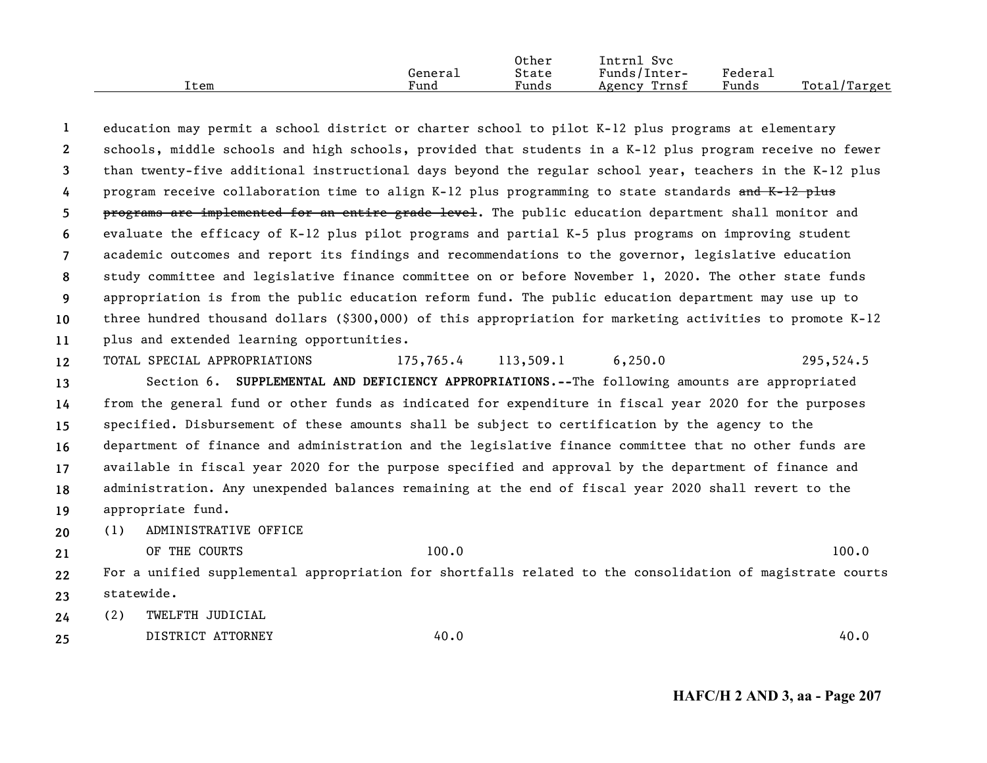|      |         | Other | Intrnl<br>Svc   |         |              |
|------|---------|-------|-----------------|---------|--------------|
|      | General | State | Funds/Inter-    | Federau |              |
| Item | Fund    | Funds | Trnsf<br>Agency | Funds   | Total/Target |

**123456789 101112131415**education may permit a school district or charter school to pilot K-12 plus programs at elementary schools, middle schools and high schools, provided that students in a K-12 plus program receive no fewer than twenty-five additional instructional days beyond the regular school year, teachers in the K-12 plus program receive collaboration time to align K-12 plus programming to state standards and K-12 plus programs are implemented for an entire grade level. The public education department shall monitor and evaluate the efficacy of K-12 plus pilot programs and partial K-5 plus programs on improving student academic outcomes and report its findings and recommendations to the governor, legislative education study committee and legislative finance committee on or before November 1, 2020. The other state funds appropriation is from the public education reform fund. The public education department may use up to three hundred thousand dollars (\$300,000) of this appropriation for marketing activities to promote K-12 plus and extended learning opportunities. TOTAL SPECIAL APPROPRIATIONS 175,765.4 113,509.1 6,250.0 295,524.5 Section 6. **SUPPLEMENTAL AND DEFICIENCY APPROPRIATIONS.--**The following amounts are appropriated from the general fund or other funds as indicated for expenditure in fiscal year 2020 for the purposes specified. Disbursement of these amounts shall be subject to certification by the agency to the

**16171819**department of finance and administration and the legislative finance committee that no other funds are available in fiscal year 2020 for the purpose specified and approval by the department of finance and administration. Any unexpended balances remaining at the end of fiscal year 2020 shall revert to the appropriate fund.

**20**(1) ADMINISTRATIVE OFFICE

OF THE COURTS 100.0 100.0 100.0 100.0 100.0 100.0 100.0 100.0 100.0 100.0 100.0 100.0 100.0 100.0 100.0 100.0 100.0 100.0 100.0 100.0 100.0 100.0 100.0 100.0 100.0 100.0 100.0 100.0 100.0 100.0 100.0 100.0 100.0 100.0 100.

**21**

**2223**For a unified supplemental appropriation for shortfalls related to the consolidation of magistrate courts statewide.

**24**(2) TWELFTH JUDICIAL

**25**DISTRICT ATTORNEY 40.0 40.0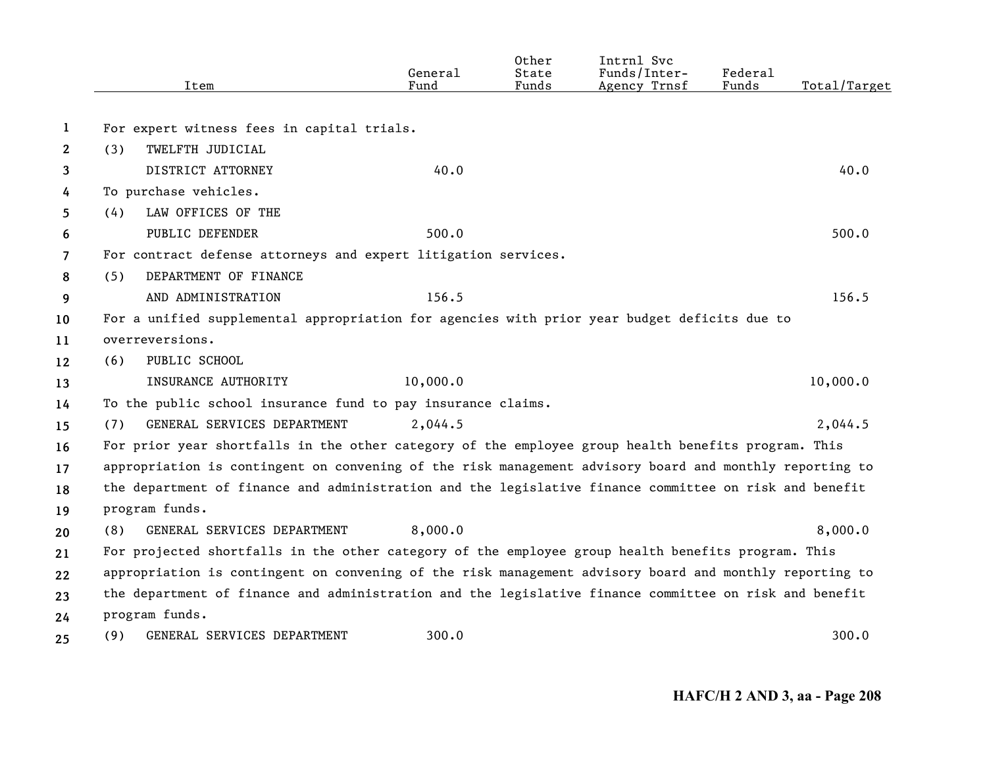|              | Item                                                                                                    | General<br>Fund | Other<br>State<br>Funds | Intrnl Svc<br>Funds/Inter-<br>Agency Trnsf | Federal<br>Funds | Total/Target |
|--------------|---------------------------------------------------------------------------------------------------------|-----------------|-------------------------|--------------------------------------------|------------------|--------------|
|              |                                                                                                         |                 |                         |                                            |                  |              |
| 1            | For expert witness fees in capital trials.                                                              |                 |                         |                                            |                  |              |
| $\mathbf{2}$ | TWELFTH JUDICIAL<br>(3)                                                                                 |                 |                         |                                            |                  |              |
| 3            | DISTRICT ATTORNEY                                                                                       | 40.0            |                         |                                            |                  | 40.0         |
| 4            | To purchase vehicles.                                                                                   |                 |                         |                                            |                  |              |
| 5.           | LAW OFFICES OF THE<br>(4)                                                                               |                 |                         |                                            |                  |              |
| 6            | PUBLIC DEFENDER                                                                                         | 500.0           |                         |                                            |                  | 500.0        |
| 7            | For contract defense attorneys and expert litigation services.                                          |                 |                         |                                            |                  |              |
| 8            | DEPARTMENT OF FINANCE<br>(5)                                                                            |                 |                         |                                            |                  |              |
| 9            | AND ADMINISTRATION                                                                                      | 156.5           |                         |                                            |                  | 156.5        |
| 10           | For a unified supplemental appropriation for agencies with prior year budget deficits due to            |                 |                         |                                            |                  |              |
| 11           | overreversions.                                                                                         |                 |                         |                                            |                  |              |
| 12           | PUBLIC SCHOOL<br>(6)                                                                                    |                 |                         |                                            |                  |              |
| 13           | INSURANCE AUTHORITY                                                                                     | 10,000.0        |                         |                                            |                  | 10,000.0     |
| 14           | To the public school insurance fund to pay insurance claims.                                            |                 |                         |                                            |                  |              |
| 15           | GENERAL SERVICES DEPARTMENT<br>(7)                                                                      | 2,044.5         |                         |                                            |                  | 2,044.5      |
| 16           | For prior year shortfalls in the other category of the employee group health benefits program. This     |                 |                         |                                            |                  |              |
| 17           | appropriation is contingent on convening of the risk management advisory board and monthly reporting to |                 |                         |                                            |                  |              |
| 18           | the department of finance and administration and the legislative finance committee on risk and benefit  |                 |                         |                                            |                  |              |
| 19           | program funds.                                                                                          |                 |                         |                                            |                  |              |
| 20           | GENERAL SERVICES DEPARTMENT<br>(8)                                                                      | 8,000.0         |                         |                                            |                  | 8,000.0      |
| 21           | For projected shortfalls in the other category of the employee group health benefits program. This      |                 |                         |                                            |                  |              |
| 22           | appropriation is contingent on convening of the risk management advisory board and monthly reporting to |                 |                         |                                            |                  |              |
| 23           | the department of finance and administration and the legislative finance committee on risk and benefit  |                 |                         |                                            |                  |              |
| 24           | program funds.                                                                                          |                 |                         |                                            |                  |              |
| 25           | GENERAL SERVICES DEPARTMENT<br>(9)                                                                      | 300.0           |                         |                                            |                  | 300.0        |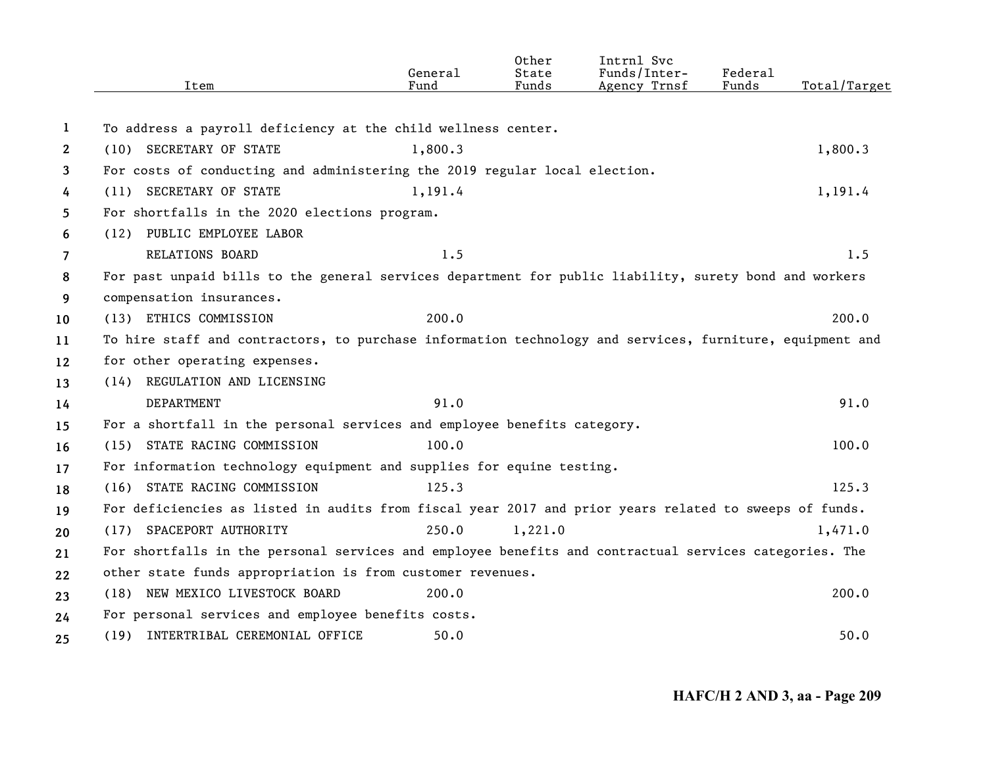|                | Item                                                                                                     | General<br>Fund | Other<br>State<br>Funds | Intrnl Svc<br>Funds/Inter-<br>Agency Trnsf | Federal<br>Funds | Total/Target |
|----------------|----------------------------------------------------------------------------------------------------------|-----------------|-------------------------|--------------------------------------------|------------------|--------------|
|                |                                                                                                          |                 |                         |                                            |                  |              |
| 1              | To address a payroll deficiency at the child wellness center.                                            |                 |                         |                                            |                  |              |
| $\mathbf{2}$   | (10) SECRETARY OF STATE                                                                                  | 1,800.3         |                         |                                            |                  | 1,800.3      |
| 3              | For costs of conducting and administering the 2019 regular local election.                               |                 |                         |                                            |                  |              |
| 4              | (11) SECRETARY OF STATE                                                                                  | 1,191.4         |                         |                                            |                  | 1,191.4      |
| 5              | For shortfalls in the 2020 elections program.                                                            |                 |                         |                                            |                  |              |
| 6              | (12) PUBLIC EMPLOYEE LABOR                                                                               |                 |                         |                                            |                  |              |
| $\overline{7}$ | RELATIONS BOARD                                                                                          | 1.5             |                         |                                            |                  | 1.5          |
| 8              | For past unpaid bills to the general services department for public liability, surety bond and workers   |                 |                         |                                            |                  |              |
| 9              | compensation insurances.                                                                                 |                 |                         |                                            |                  |              |
| 10             | (13) ETHICS COMMISSION                                                                                   | 200.0           |                         |                                            |                  | 200.0        |
| 11             | To hire staff and contractors, to purchase information technology and services, furniture, equipment and |                 |                         |                                            |                  |              |
| 12             | for other operating expenses.                                                                            |                 |                         |                                            |                  |              |
| 13             | (14) REGULATION AND LICENSING                                                                            |                 |                         |                                            |                  |              |
| 14             | DEPARTMENT                                                                                               | 91.0            |                         |                                            |                  | 91.0         |
| 15             | For a shortfall in the personal services and employee benefits category.                                 |                 |                         |                                            |                  |              |
| 16             | (15) STATE RACING COMMISSION                                                                             | 100.0           |                         |                                            |                  | 100.0        |
| 17             | For information technology equipment and supplies for equine testing.                                    |                 |                         |                                            |                  |              |
| 18             | (16) STATE RACING COMMISSION                                                                             | 125.3           |                         |                                            |                  | 125.3        |
| 19             | For deficiencies as listed in audits from fiscal year 2017 and prior years related to sweeps of funds.   |                 |                         |                                            |                  |              |
| 20             | (17) SPACEPORT AUTHORITY                                                                                 | 250.0           | 1,221.0                 |                                            |                  | 1,471.0      |
| 21             | For shortfalls in the personal services and employee benefits and contractual services categories. The   |                 |                         |                                            |                  |              |
| 22             | other state funds appropriation is from customer revenues.                                               |                 |                         |                                            |                  |              |
| 23             | (18) NEW MEXICO LIVESTOCK BOARD                                                                          | 200.0           |                         |                                            |                  | 200.0        |
| 24             | For personal services and employee benefits costs.                                                       |                 |                         |                                            |                  |              |
| 25             | (19) INTERTRIBAL CEREMONIAL OFFICE                                                                       | 50.0            |                         |                                            |                  | 50.0         |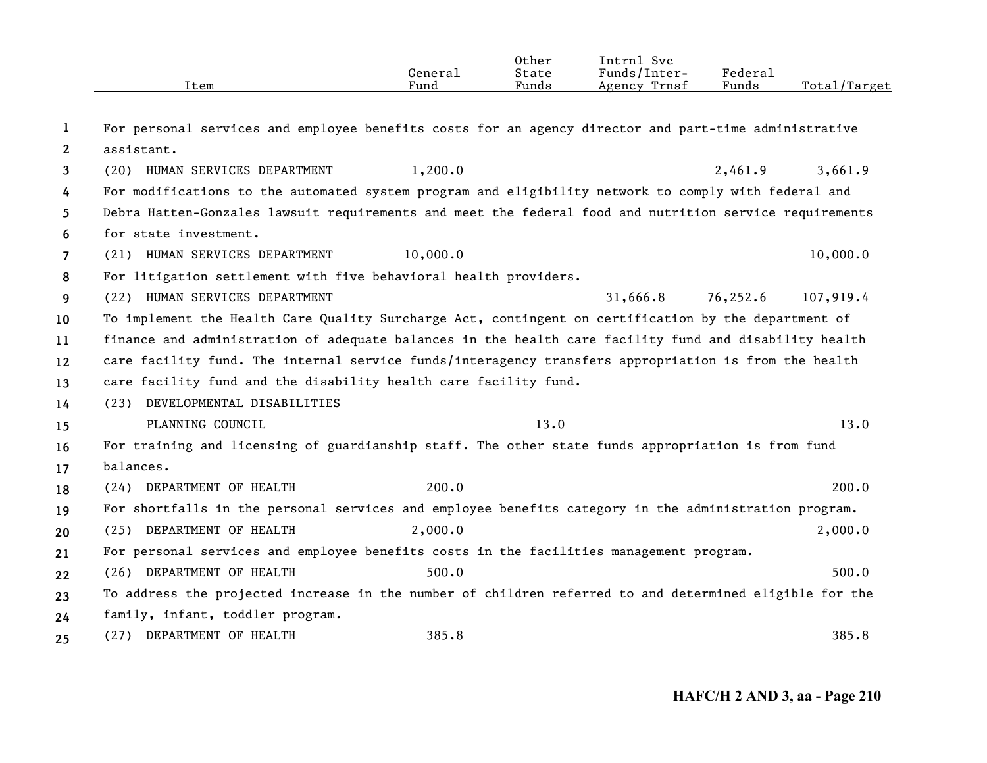|                       | Item                                                                                                    | General<br>Fund | Other<br>State<br>Funds | Intrnl Svc<br>Funds/Inter-<br>Agency Trnsf | Federal<br>Funds | Total/Target |
|-----------------------|---------------------------------------------------------------------------------------------------------|-----------------|-------------------------|--------------------------------------------|------------------|--------------|
|                       |                                                                                                         |                 |                         |                                            |                  |              |
| 1                     | For personal services and employee benefits costs for an agency director and part-time administrative   |                 |                         |                                            |                  |              |
| $\mathbf{2}^{\prime}$ | assistant.                                                                                              |                 |                         |                                            |                  |              |
| 3                     | (20) HUMAN SERVICES DEPARTMENT                                                                          | 1,200.0         |                         |                                            | 2,461.9          | 3,661.9      |
| 4                     | For modifications to the automated system program and eligibility network to comply with federal and    |                 |                         |                                            |                  |              |
| 5                     | Debra Hatten-Gonzales lawsuit requirements and meet the federal food and nutrition service requirements |                 |                         |                                            |                  |              |
| 6                     | for state investment.                                                                                   |                 |                         |                                            |                  |              |
| $\overline{7}$        | (21) HUMAN SERVICES DEPARTMENT                                                                          | 10,000.0        |                         |                                            |                  | 10,000.0     |
| 8                     | For litigation settlement with five behavioral health providers.                                        |                 |                         |                                            |                  |              |
| 9                     | (22) HUMAN SERVICES DEPARTMENT                                                                          |                 |                         | 31,666.8                                   | 76,252.6         | 107,919.4    |
| 10                    | To implement the Health Care Quality Surcharge Act, contingent on certification by the department of    |                 |                         |                                            |                  |              |
| 11                    | finance and administration of adequate balances in the health care facility fund and disability health  |                 |                         |                                            |                  |              |
| 12                    | care facility fund. The internal service funds/interagency transfers appropriation is from the health   |                 |                         |                                            |                  |              |
| 13                    | care facility fund and the disability health care facility fund.                                        |                 |                         |                                            |                  |              |
| 14                    | DEVELOPMENTAL DISABILITIES<br>(23)                                                                      |                 |                         |                                            |                  |              |
| 15                    | PLANNING COUNCIL                                                                                        |                 | 13.0                    |                                            |                  | 13.0         |
| 16                    | For training and licensing of guardianship staff. The other state funds appropriation is from fund      |                 |                         |                                            |                  |              |
| 17                    | balances.                                                                                               |                 |                         |                                            |                  |              |
| 18                    | (24) DEPARTMENT OF HEALTH                                                                               | 200.0           |                         |                                            |                  | 200.0        |
| 19                    | For shortfalls in the personal services and employee benefits category in the administration program.   |                 |                         |                                            |                  |              |
| 20                    | (25) DEPARTMENT OF HEALTH                                                                               | 2,000.0         |                         |                                            |                  | 2,000.0      |
| 21                    | For personal services and employee benefits costs in the facilities management program.                 |                 |                         |                                            |                  |              |
| 22                    | (26) DEPARTMENT OF HEALTH                                                                               | 500.0           |                         |                                            |                  | 500.0        |
| 23                    | To address the projected increase in the number of children referred to and determined eligible for the |                 |                         |                                            |                  |              |
| 24                    | family, infant, toddler program.                                                                        |                 |                         |                                            |                  |              |
| 25                    | (27) DEPARTMENT OF HEALTH                                                                               | 385.8           |                         |                                            |                  | 385.8        |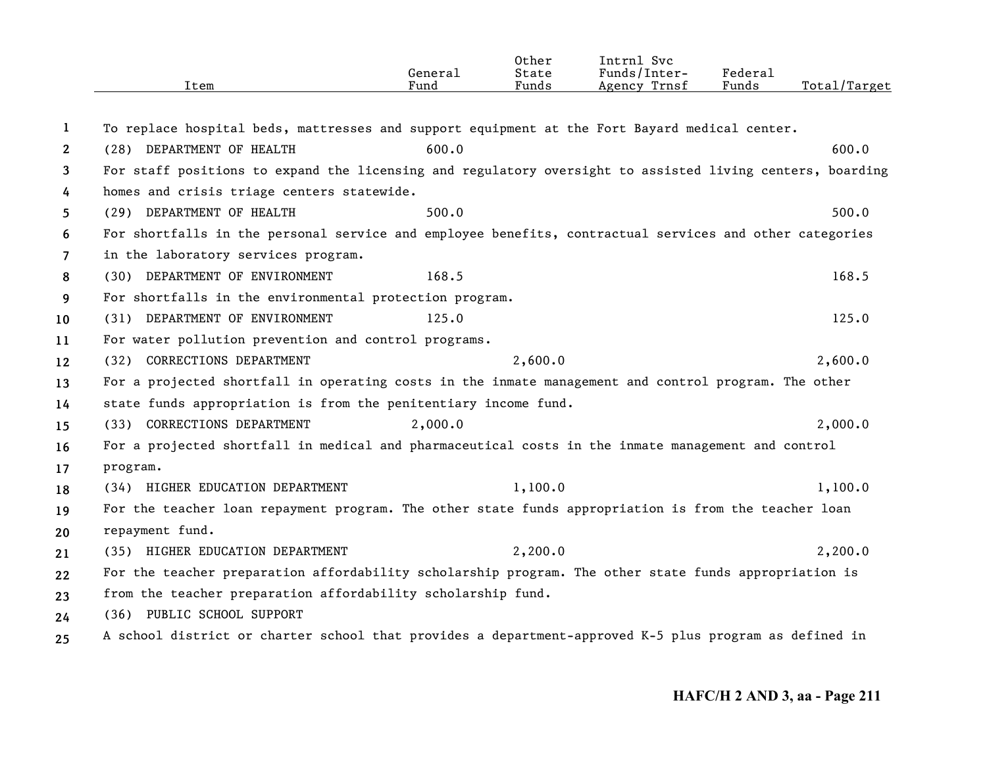|              | Item                                                                                                      | General<br>Fund | Other<br>State<br>Funds | Intrnl Svc<br>Funds/Inter-<br>Agency Trnsf | Federal<br>Funds | Total/Target |
|--------------|-----------------------------------------------------------------------------------------------------------|-----------------|-------------------------|--------------------------------------------|------------------|--------------|
|              |                                                                                                           |                 |                         |                                            |                  |              |
| 1            | To replace hospital beds, mattresses and support equipment at the Fort Bayard medical center.             |                 |                         |                                            |                  |              |
| $\mathbf{2}$ | (28) DEPARTMENT OF HEALTH                                                                                 | 600.0           |                         |                                            |                  | 600.0        |
| 3            | For staff positions to expand the licensing and regulatory oversight to assisted living centers, boarding |                 |                         |                                            |                  |              |
| 4            | homes and crisis triage centers statewide.                                                                |                 |                         |                                            |                  |              |
| 5            | (29) DEPARTMENT OF HEALTH                                                                                 | 500.0           |                         |                                            |                  | 500.0        |
| 6            | For shortfalls in the personal service and employee benefits, contractual services and other categories   |                 |                         |                                            |                  |              |
| 7            | in the laboratory services program.                                                                       |                 |                         |                                            |                  |              |
| 8            | (30) DEPARTMENT OF ENVIRONMENT                                                                            | 168.5           |                         |                                            |                  | 168.5        |
| 9            | For shortfalls in the environmental protection program.                                                   |                 |                         |                                            |                  |              |
| 10           | (31) DEPARTMENT OF ENVIRONMENT                                                                            | 125.0           |                         |                                            |                  | 125.0        |
| 11           | For water pollution prevention and control programs.                                                      |                 |                         |                                            |                  |              |
| 12           | (32) CORRECTIONS DEPARTMENT                                                                               |                 | 2,600.0                 |                                            |                  | 2,600.0      |
| 13           | For a projected shortfall in operating costs in the inmate management and control program. The other      |                 |                         |                                            |                  |              |
| 14           | state funds appropriation is from the penitentiary income fund.                                           |                 |                         |                                            |                  |              |
| 15           | (33) CORRECTIONS DEPARTMENT                                                                               | 2,000.0         |                         |                                            |                  | 2,000.0      |
| 16           | For a projected shortfall in medical and pharmaceutical costs in the inmate management and control        |                 |                         |                                            |                  |              |
| 17           | program.                                                                                                  |                 |                         |                                            |                  |              |
| 18           | (34) HIGHER EDUCATION DEPARTMENT                                                                          |                 | 1,100.0                 |                                            |                  | 1,100.0      |
| 19           | For the teacher loan repayment program. The other state funds appropriation is from the teacher loan      |                 |                         |                                            |                  |              |
| 20           | repayment fund.                                                                                           |                 |                         |                                            |                  |              |
| 21           | (35) HIGHER EDUCATION DEPARTMENT                                                                          |                 | 2,200.0                 |                                            |                  | 2,200.0      |
| 22           | For the teacher preparation affordability scholarship program. The other state funds appropriation is     |                 |                         |                                            |                  |              |
| 23           | from the teacher preparation affordability scholarship fund.                                              |                 |                         |                                            |                  |              |
| 24           | (36) PUBLIC SCHOOL SUPPORT                                                                                |                 |                         |                                            |                  |              |
| 25           | A school district or charter school that provides a department-approved K-5 plus program as defined in    |                 |                         |                                            |                  |              |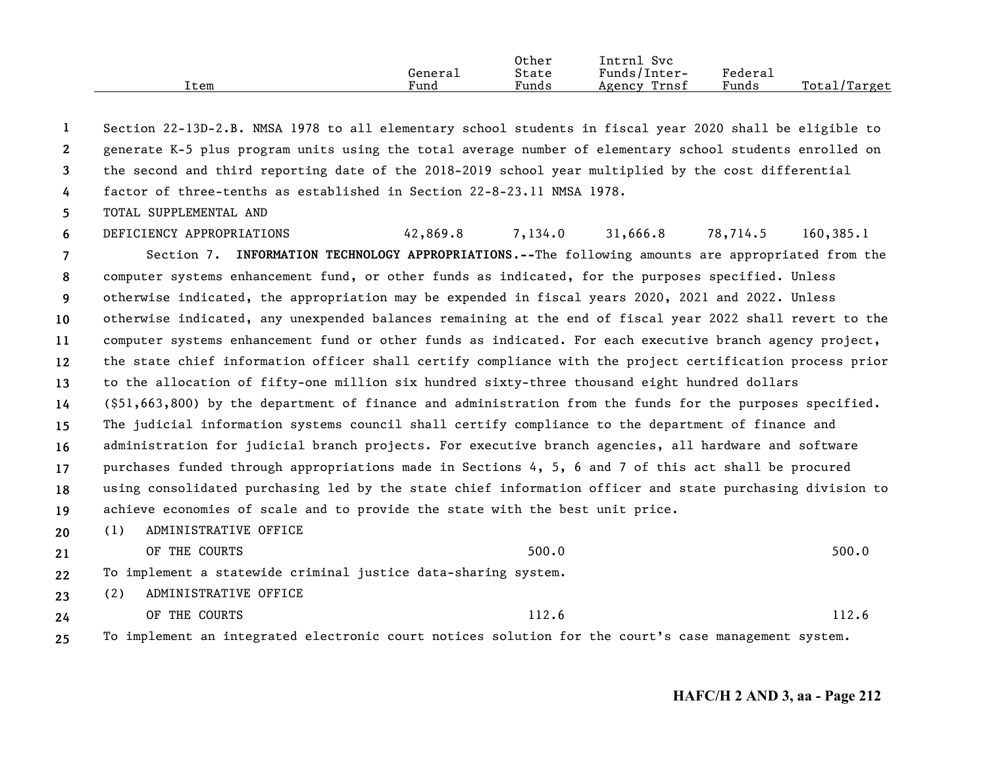|      |         | Other | Svc<br>Intrnl   |         |                   |
|------|---------|-------|-----------------|---------|-------------------|
|      | General | State | Funds/Inter-    | Federau |                   |
| Item | Fund    | Funds | Trnsf<br>Agency | Funds   | Total/<br>/Target |

**1234**Section 22-13D-2.B. NMSA 1978 to all elementary school students in fiscal year 2020 shall be eligible to generate K-5 plus program units using the total average number of elementary school students enrolled on the second and third reporting date of the 2018-2019 school year multiplied by the cost differential factor of three-tenths as established in Section 22-8-23.11 NMSA 1978.

**5**TOTAL SUPPLEMENTAL AND

**6789 101112131415161718192021**DEFICIENCY APPROPRIATIONS 42,869.8 7,134.0 31,666.8 78,714.5 160,385.1 Section 7. **INFORMATION TECHNOLOGY APPROPRIATIONS.--**The following amounts are appropriated from the computer systems enhancement fund, or other funds as indicated, for the purposes specified. Unless otherwise indicated, the appropriation may be expended in fiscal years 2020, 2021 and 2022. Unless otherwise indicated, any unexpended balances remaining at the end of fiscal year 2022 shall revert to the computer systems enhancement fund or other funds as indicated. For each executive branch agency project, the state chief information officer shall certify compliance with the project certification process prior to the allocation of fifty-one million six hundred sixty-three thousand eight hundred dollars (\$51,663,800) by the department of finance and administration from the funds for the purposes specified. The judicial information systems council shall certify compliance to the department of finance and administration for judicial branch projects. For executive branch agencies, all hardware and software purchases funded through appropriations made in Sections 4, 5, 6 and 7 of this act shall be procured using consolidated purchasing led by the state chief information officer and state purchasing division to achieve economies of scale and to provide the state with the best unit price. (1) ADMINISTRATIVE OFFICE OF THE COURTS 500.0 500.0 500.0 500.0 500.0 500.0 500.0 500.0 500.0 500.0 500.0 500.0 500.0 500.0 500.0 500.0 500.0 500.0 500.0 500.0 500.0 500.0 500.0 500.0 500.0 500.0 500.0 500.0 500.0 500.0 500.0 500.0 500.0 500.0 500.

**22**To implement a statewide criminal justice data-sharing system.

**23**(2) ADMINISTRATIVE OFFICE

**24**OF THE COURTS 112.6 112.6

**25**To implement an integrated electronic court notices solution for the court's case management system.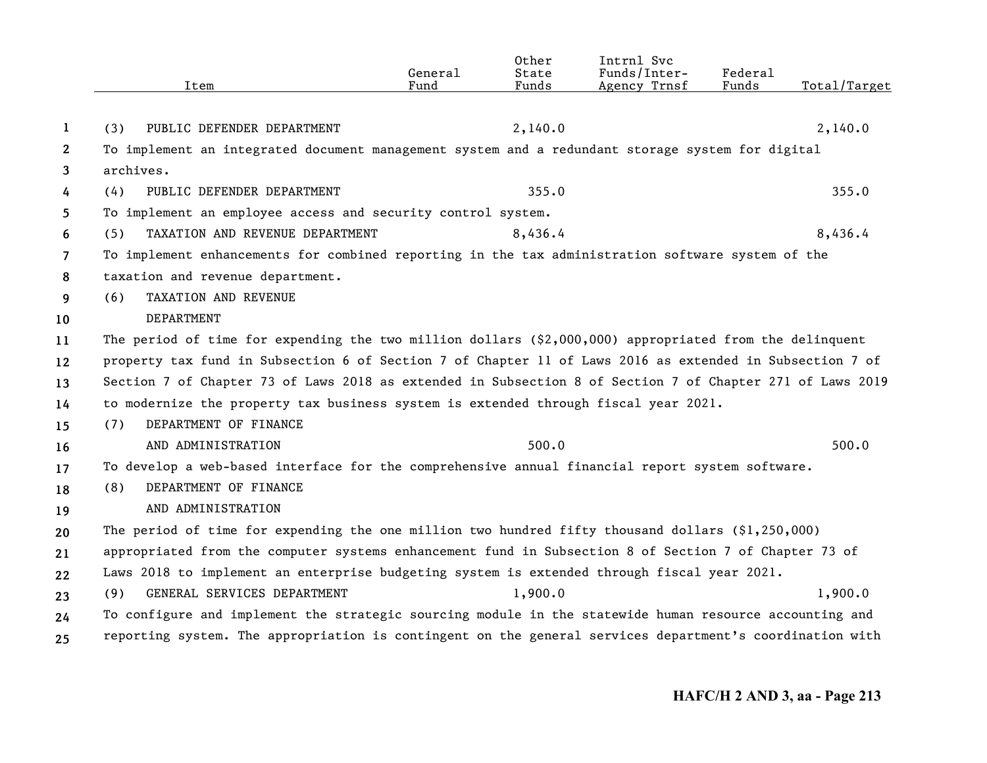|                | Item                                                                                                      | General<br>Fund | Other<br>State<br>Funds | Intrnl Svc<br>Funds/Inter-<br>Agency Trnsf | Federal<br>Funds | Total/Target |
|----------------|-----------------------------------------------------------------------------------------------------------|-----------------|-------------------------|--------------------------------------------|------------------|--------------|
|                |                                                                                                           |                 |                         |                                            |                  |              |
| 1              | PUBLIC DEFENDER DEPARTMENT<br>(3)                                                                         |                 | 2,140.0                 |                                            |                  | 2,140.0      |
| $\mathbf{2}$   | To implement an integrated document management system and a redundant storage system for digital          |                 |                         |                                            |                  |              |
| 3              | archives.                                                                                                 |                 |                         |                                            |                  |              |
| 4              | PUBLIC DEFENDER DEPARTMENT<br>(4)                                                                         |                 | 355.0                   |                                            |                  | 355.0        |
| 5              | To implement an employee access and security control system.                                              |                 |                         |                                            |                  |              |
| 6              | (5)<br>TAXATION AND REVENUE DEPARTMENT                                                                    |                 | 8,436.4                 |                                            |                  | 8,436.4      |
| $\overline{7}$ | To implement enhancements for combined reporting in the tax administration software system of the         |                 |                         |                                            |                  |              |
| 8              | taxation and revenue department.                                                                          |                 |                         |                                            |                  |              |
| 9              | TAXATION AND REVENUE<br>(6)                                                                               |                 |                         |                                            |                  |              |
| 10             | DEPARTMENT                                                                                                |                 |                         |                                            |                  |              |
| 11             | The period of time for expending the two million dollars $(\$2,000,000)$ appropriated from the delinquent |                 |                         |                                            |                  |              |
| 12             | property tax fund in Subsection 6 of Section 7 of Chapter 11 of Laws 2016 as extended in Subsection 7 of  |                 |                         |                                            |                  |              |
| 13             | Section 7 of Chapter 73 of Laws 2018 as extended in Subsection 8 of Section 7 of Chapter 271 of Laws 2019 |                 |                         |                                            |                  |              |
| 14             | to modernize the property tax business system is extended through fiscal year 2021.                       |                 |                         |                                            |                  |              |
| 15             | DEPARTMENT OF FINANCE<br>(7)                                                                              |                 |                         |                                            |                  |              |
| 16             | AND ADMINISTRATION                                                                                        |                 | 500.0                   |                                            |                  | 500.0        |
| 17             | To develop a web-based interface for the comprehensive annual financial report system software.           |                 |                         |                                            |                  |              |
| 18             | DEPARTMENT OF FINANCE<br>(8)                                                                              |                 |                         |                                            |                  |              |
| 19             | AND ADMINISTRATION                                                                                        |                 |                         |                                            |                  |              |
| 20             | The period of time for expending the one million two hundred fifty thousand dollars $(91, 250, 000)$      |                 |                         |                                            |                  |              |
| 21             | appropriated from the computer systems enhancement fund in Subsection 8 of Section 7 of Chapter 73 of     |                 |                         |                                            |                  |              |
| 22             | Laws 2018 to implement an enterprise budgeting system is extended through fiscal year 2021.               |                 |                         |                                            |                  |              |
| 23             | GENERAL SERVICES DEPARTMENT<br>(9)                                                                        |                 | 1,900.0                 |                                            |                  | 1,900.0      |
| 24             | To configure and implement the strategic sourcing module in the statewide human resource accounting and   |                 |                         |                                            |                  |              |
| 25             | reporting system. The appropriation is contingent on the general services department's coordination with  |                 |                         |                                            |                  |              |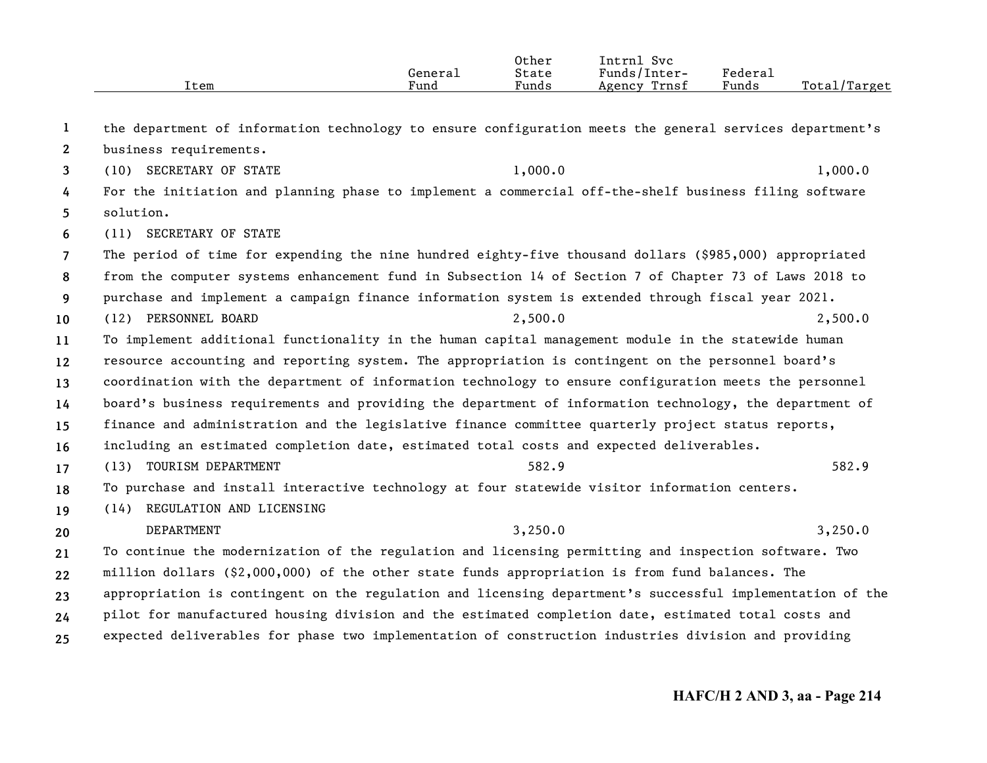|      |                      | Other | $ -$<br>Svc<br>Intrnl |                     |                   |
|------|----------------------|-------|-----------------------|---------------------|-------------------|
|      | General              | State | Funds/Inter-          | Federa <sub>1</sub> |                   |
| ⊥tem | $\mathbf{r}$<br>Fund | Funds | Trnsf<br>Agency       | Funds               | Total,<br>/Target |

| 1  | the department of information technology to ensure configuration meets the general services department's  |         |         |  |  |  |
|----|-----------------------------------------------------------------------------------------------------------|---------|---------|--|--|--|
| 2  | business requirements.                                                                                    |         |         |  |  |  |
| 3  | (10) SECRETARY OF STATE                                                                                   | 1,000.0 | 1,000.0 |  |  |  |
| 4  | For the initiation and planning phase to implement a commercial off-the-shelf business filing software    |         |         |  |  |  |
| 5  | solution.                                                                                                 |         |         |  |  |  |
| 6  | (11) SECRETARY OF STATE                                                                                   |         |         |  |  |  |
| 7  | The period of time for expending the nine hundred eighty-five thousand dollars (\$985,000) appropriated   |         |         |  |  |  |
| 8  | from the computer systems enhancement fund in Subsection 14 of Section 7 of Chapter 73 of Laws 2018 to    |         |         |  |  |  |
| 9  | purchase and implement a campaign finance information system is extended through fiscal year 2021.        |         |         |  |  |  |
| 10 | (12) PERSONNEL BOARD                                                                                      | 2,500.0 | 2,500.0 |  |  |  |
| 11 | To implement additional functionality in the human capital management module in the statewide human       |         |         |  |  |  |
| 12 | resource accounting and reporting system. The appropriation is contingent on the personnel board's        |         |         |  |  |  |
| 13 | coordination with the department of information technology to ensure configuration meets the personnel    |         |         |  |  |  |
| 14 | board's business requirements and providing the department of information technology, the department of   |         |         |  |  |  |
| 15 | finance and administration and the legislative finance committee quarterly project status reports,        |         |         |  |  |  |
| 16 | including an estimated completion date, estimated total costs and expected deliverables.                  |         |         |  |  |  |
| 17 | (13) TOURISM DEPARTMENT                                                                                   | 582.9   | 582.9   |  |  |  |
| 18 | To purchase and install interactive technology at four statewide visitor information centers.             |         |         |  |  |  |
| 19 | (14) REGULATION AND LICENSING                                                                             |         |         |  |  |  |
| 20 | DEPARTMENT                                                                                                | 3,250.0 | 3,250.0 |  |  |  |
| 21 | To continue the modernization of the regulation and licensing permitting and inspection software. Two     |         |         |  |  |  |
| 22 | million dollars (\$2,000,000) of the other state funds appropriation is from fund balances. The           |         |         |  |  |  |
| 23 | appropriation is contingent on the regulation and licensing department's successful implementation of the |         |         |  |  |  |
| 24 | pilot for manufactured housing division and the estimated completion date, estimated total costs and      |         |         |  |  |  |
| 25 | expected deliverables for phase two implementation of construction industries division and providing      |         |         |  |  |  |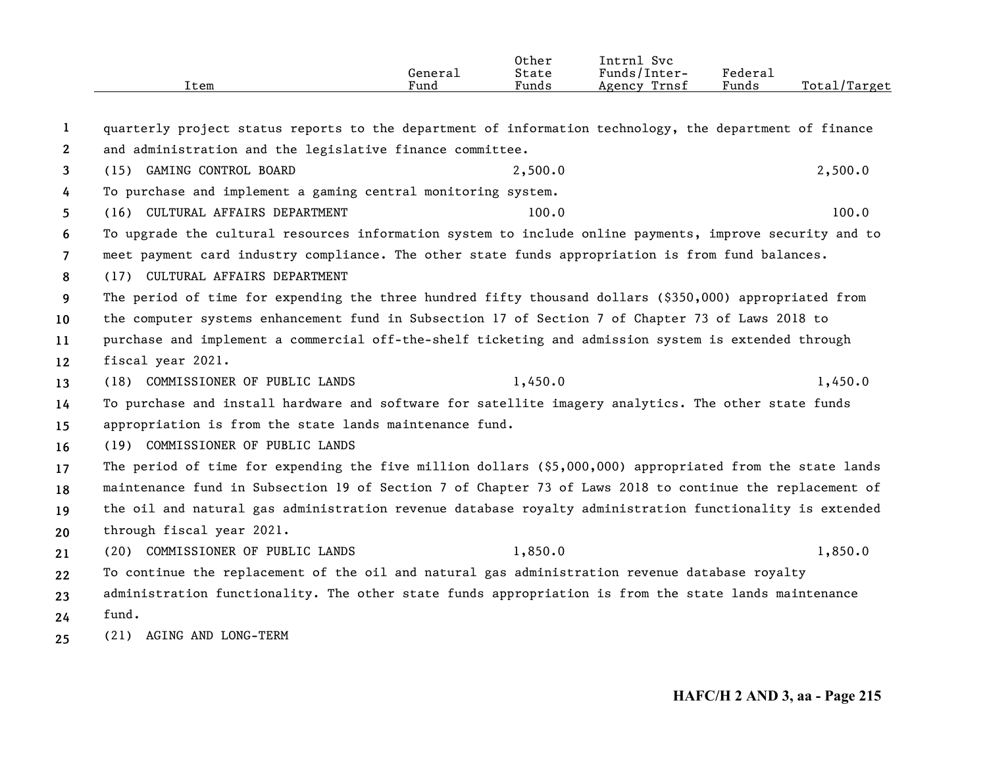|                   | Item                                                                                                      | General<br>Fund | Other<br>State<br>Funds | Intrnl Svc<br>Funds/Inter-<br>Agency Trnsf | Federal<br>Funds | Total/Target |
|-------------------|-----------------------------------------------------------------------------------------------------------|-----------------|-------------------------|--------------------------------------------|------------------|--------------|
| 1                 | quarterly project status reports to the department of information technology, the department of finance   |                 |                         |                                            |                  |              |
| $\mathbf{2}$      | and administration and the legislative finance committee.                                                 |                 |                         |                                            |                  |              |
| 3                 | (15) GAMING CONTROL BOARD                                                                                 |                 | 2,500.0                 |                                            |                  | 2,500.0      |
| 4                 | To purchase and implement a gaming central monitoring system.                                             |                 |                         |                                            |                  |              |
| 5                 | (16) CULTURAL AFFAIRS DEPARTMENT                                                                          |                 | 100.0                   |                                            |                  | 100.0        |
| 6                 | To upgrade the cultural resources information system to include online payments, improve security and to  |                 |                         |                                            |                  |              |
| $\overline{7}$    | meet payment card industry compliance. The other state funds appropriation is from fund balances.         |                 |                         |                                            |                  |              |
| 8                 | (17) CULTURAL AFFAIRS DEPARTMENT                                                                          |                 |                         |                                            |                  |              |
| 9                 | The period of time for expending the three hundred fifty thousand dollars (\$350,000) appropriated from   |                 |                         |                                            |                  |              |
| 10                | the computer systems enhancement fund in Subsection 17 of Section 7 of Chapter 73 of Laws 2018 to         |                 |                         |                                            |                  |              |
| 11                | purchase and implement a commercial off-the-shelf ticketing and admission system is extended through      |                 |                         |                                            |                  |              |
| $12 \overline{ }$ | fiscal year 2021.                                                                                         |                 |                         |                                            |                  |              |
| 13                | (18) COMMISSIONER OF PUBLIC LANDS                                                                         |                 | 1,450.0                 |                                            |                  | 1,450.0      |
| 14                | To purchase and install hardware and software for satellite imagery analytics. The other state funds      |                 |                         |                                            |                  |              |
| 15                | appropriation is from the state lands maintenance fund.                                                   |                 |                         |                                            |                  |              |
| 16                | (19) COMMISSIONER OF PUBLIC LANDS                                                                         |                 |                         |                                            |                  |              |
| 17                | The period of time for expending the five million dollars (\$5,000,000) appropriated from the state lands |                 |                         |                                            |                  |              |
| 18                | maintenance fund in Subsection 19 of Section 7 of Chapter 73 of Laws 2018 to continue the replacement of  |                 |                         |                                            |                  |              |
| 19                | the oil and natural gas administration revenue database royalty administration functionality is extended  |                 |                         |                                            |                  |              |
| 20                | through fiscal year 2021.                                                                                 |                 |                         |                                            |                  |              |
| 21                | (20) COMMISSIONER OF PUBLIC LANDS                                                                         |                 | 1,850.0                 |                                            |                  | 1,850.0      |
| 22                | To continue the replacement of the oil and natural gas administration revenue database royalty            |                 |                         |                                            |                  |              |
| 23                | administration functionality. The other state funds appropriation is from the state lands maintenance     |                 |                         |                                            |                  |              |
| 24                | fund.                                                                                                     |                 |                         |                                            |                  |              |
|                   |                                                                                                           |                 |                         |                                            |                  |              |

**25** (21) AGING AND LONG-TERM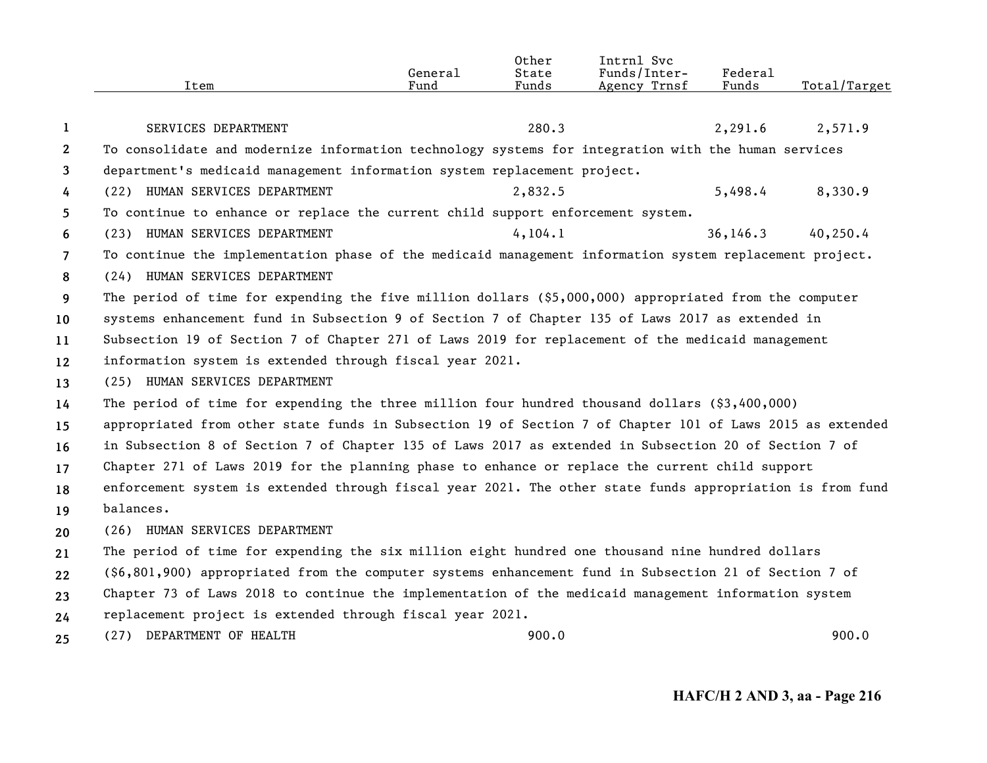|                       | Item                                                                                                      | General<br>Fund | Other<br>State<br>Funds | Intrnl Svc<br>Funds/Inter-<br>Agency Trnsf | Federal<br>Funds | Total/Target |  |
|-----------------------|-----------------------------------------------------------------------------------------------------------|-----------------|-------------------------|--------------------------------------------|------------------|--------------|--|
| 1                     | SERVICES DEPARTMENT                                                                                       |                 | 280.3                   |                                            | 2,291.6          | 2,571.9      |  |
| $\mathbf{2}^{\prime}$ | To consolidate and modernize information technology systems for integration with the human services       |                 |                         |                                            |                  |              |  |
| 3                     | department's medicaid management information system replacement project.                                  |                 |                         |                                            |                  |              |  |
| 4                     | (22) HUMAN SERVICES DEPARTMENT                                                                            |                 | 2,832.5                 |                                            | 5,498.4          | 8,330.9      |  |
| 5                     | To continue to enhance or replace the current child support enforcement system.                           |                 |                         |                                            |                  |              |  |
| 6                     | (23) HUMAN SERVICES DEPARTMENT                                                                            |                 | 4, 104.1                |                                            | 36, 146.3        | 40,250.4     |  |
| $\overline{7}$        | To continue the implementation phase of the medicaid management information system replacement project.   |                 |                         |                                            |                  |              |  |
| 8                     | (24) HUMAN SERVICES DEPARTMENT                                                                            |                 |                         |                                            |                  |              |  |
| 9                     | The period of time for expending the five million dollars (\$5,000,000) appropriated from the computer    |                 |                         |                                            |                  |              |  |
| 10                    | systems enhancement fund in Subsection 9 of Section 7 of Chapter 135 of Laws 2017 as extended in          |                 |                         |                                            |                  |              |  |
| 11                    | Subsection 19 of Section 7 of Chapter 271 of Laws 2019 for replacement of the medicaid management         |                 |                         |                                            |                  |              |  |
| 12                    | information system is extended through fiscal year 2021.                                                  |                 |                         |                                            |                  |              |  |
| 13                    | (25) HUMAN SERVICES DEPARTMENT                                                                            |                 |                         |                                            |                  |              |  |
| 14                    | The period of time for expending the three million four hundred thousand dollars $(93,400,000)$           |                 |                         |                                            |                  |              |  |
| 15                    | appropriated from other state funds in Subsection 19 of Section 7 of Chapter 101 of Laws 2015 as extended |                 |                         |                                            |                  |              |  |
| 16                    | in Subsection 8 of Section 7 of Chapter 135 of Laws 2017 as extended in Subsection 20 of Section 7 of     |                 |                         |                                            |                  |              |  |
| 17                    | Chapter 271 of Laws 2019 for the planning phase to enhance or replace the current child support           |                 |                         |                                            |                  |              |  |
| 18                    | enforcement system is extended through fiscal year 2021. The other state funds appropriation is from fund |                 |                         |                                            |                  |              |  |
| 19                    | balances.                                                                                                 |                 |                         |                                            |                  |              |  |
| 20                    | (26) HUMAN SERVICES DEPARTMENT                                                                            |                 |                         |                                            |                  |              |  |
| 21                    | The period of time for expending the six million eight hundred one thousand nine hundred dollars          |                 |                         |                                            |                  |              |  |
| 22                    | (\$6,801,900) appropriated from the computer systems enhancement fund in Subsection 21 of Section 7 of    |                 |                         |                                            |                  |              |  |
| 23                    | Chapter 73 of Laws 2018 to continue the implementation of the medicaid management information system      |                 |                         |                                            |                  |              |  |
| 24                    | replacement project is extended through fiscal year 2021.                                                 |                 |                         |                                            |                  |              |  |
| 25                    | (27) DEPARTMENT OF HEALTH                                                                                 |                 | 900.0                   |                                            |                  | 900.0        |  |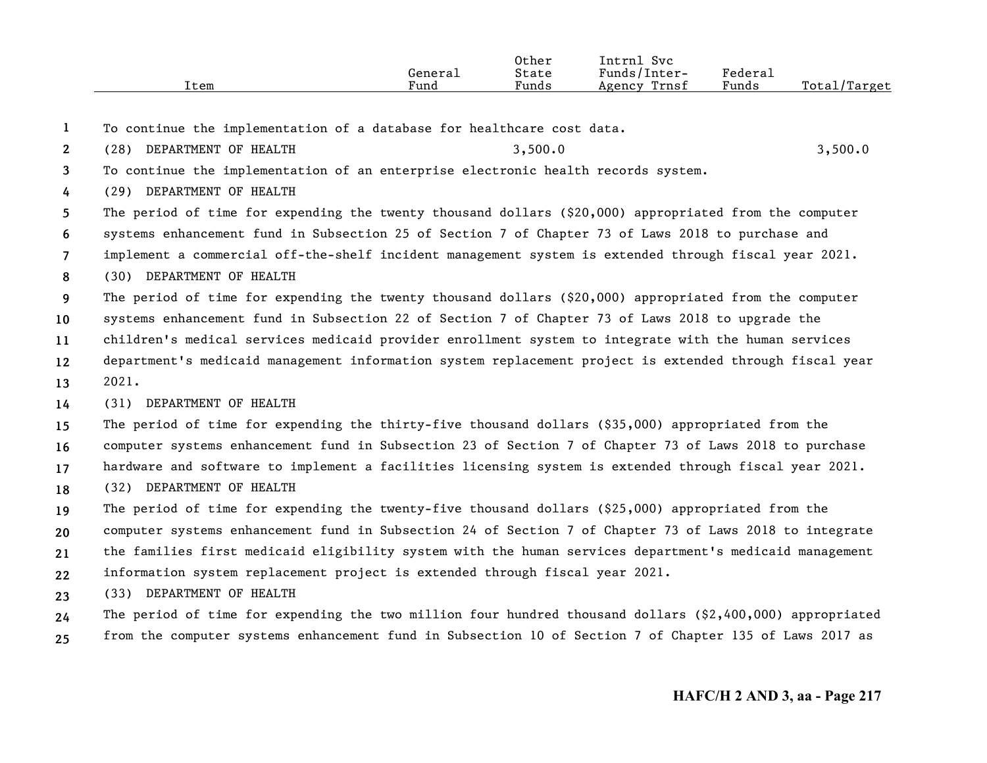| Federa <sub>1</sub><br>Funds/<br>State<br>Inter-<br>General<br>Funds<br>Funds<br>Total<br>$\mathbf{r}$<br>Trnsf<br>$\sqrt{m}$<br>Item<br>Fund |  | Other | <b>Tntrn</b><br>Svc |       |
|-----------------------------------------------------------------------------------------------------------------------------------------------|--|-------|---------------------|-------|
|                                                                                                                                               |  |       |                     |       |
|                                                                                                                                               |  |       | Agency              | ırget |

- **1**To continue the implementation of a database for healthcare cost data.
- **2**(28) DEPARTMENT OF HEALTH 3,500.0 3,500.0 3,500.0

**3**To continue the implementation of an enterprise electronic health records system.

**4**(29) DEPARTMENT OF HEALTH

**5**The period of time for expending the twenty thousand dollars (\$20,000) appropriated from the computer

- **6**systems enhancement fund in Subsection 25 of Section 7 of Chapter 73 of Laws 2018 to purchase and
- **7**implement a commercial off-the-shelf incident management system is extended through fiscal year 2021.
- **8**(30) DEPARTMENT OF HEALTH

**9**The period of time for expending the twenty thousand dollars (\$20,000) appropriated from the computer

**10**systems enhancement fund in Subsection 22 of Section 7 of Chapter 73 of Laws 2018 to upgrade the

**11**children's medical services medicaid provider enrollment system to integrate with the human services

- **1213**department's medicaid management information system replacement project is extended through fiscal year 2021.
- **14**(31) DEPARTMENT OF HEALTH

**15**The period of time for expending the thirty-five thousand dollars (\$35,000) appropriated from the

**16**computer systems enhancement fund in Subsection 23 of Section 7 of Chapter 73 of Laws 2018 to purchase

**17**hardware and software to implement a facilities licensing system is extended through fiscal year 2021.

**18**(32) DEPARTMENT OF HEALTH

**192021**The period of time for expending the twenty-five thousand dollars (\$25,000) appropriated from the computer systems enhancement fund in Subsection 24 of Section 7 of Chapter 73 of Laws 2018 to integrate the families first medicaid eligibility system with the human services department's medicaid management

- **22**information system replacement project is extended through fiscal year 2021.
- **23**(33) DEPARTMENT OF HEALTH
- **2425**The period of time for expending the two million four hundred thousand dollars (\$2,400,000) appropriated from the computer systems enhancement fund in Subsection 10 of Section 7 of Chapter 135 of Laws 2017 as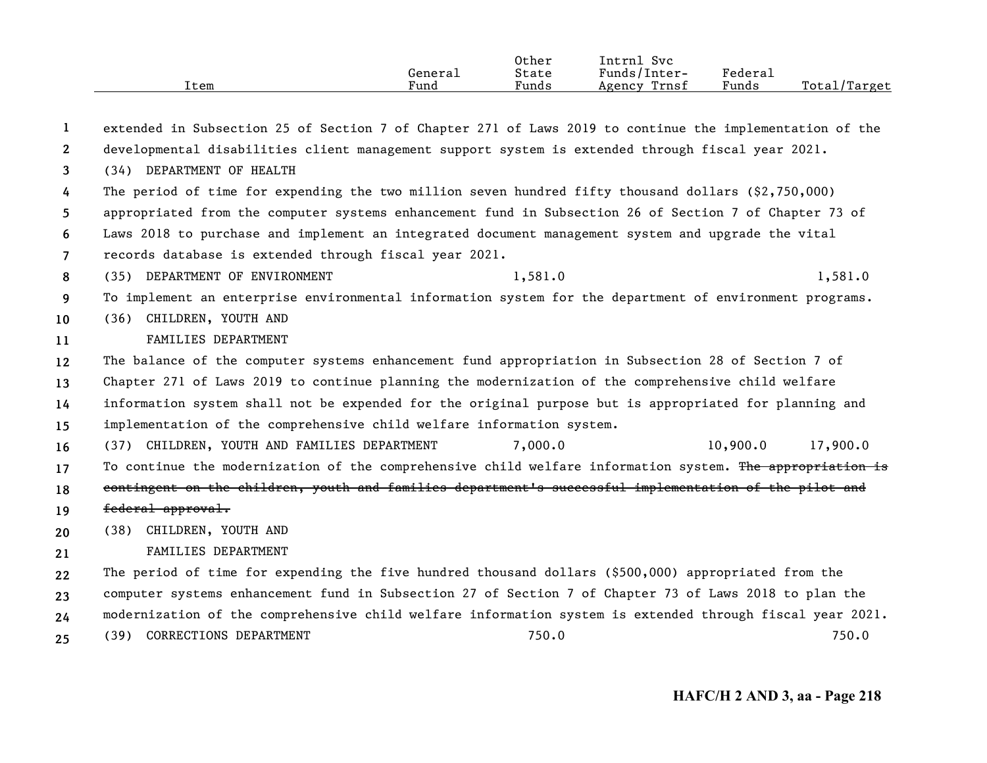| Item | General<br>Fund | Other<br>State<br>Funds | Intrnl<br>Svc<br>Funds/Inter-<br>Trnsf<br>Agency | Federal<br>Funds | Total/Target |
|------|-----------------|-------------------------|--------------------------------------------------|------------------|--------------|
|      |                 |                         |                                                  |                  |              |

| -1             | extended in Subsection 25 of Section 7 of Chapter 271 of Laws 2019 to continue the implementation of the  |         |          |          |
|----------------|-----------------------------------------------------------------------------------------------------------|---------|----------|----------|
| $\mathbf{2}$   | developmental disabilities client management support system is extended through fiscal year 2021.         |         |          |          |
| 3              | (34) DEPARTMENT OF HEALTH                                                                                 |         |          |          |
| 4              | The period of time for expending the two million seven hundred fifty thousand dollars $(2,750,000)$       |         |          |          |
| 5              | appropriated from the computer systems enhancement fund in Subsection 26 of Section 7 of Chapter 73 of    |         |          |          |
| 6              | Laws 2018 to purchase and implement an integrated document management system and upgrade the vital        |         |          |          |
| $\overline{7}$ | records database is extended through fiscal year 2021.                                                    |         |          |          |
| 8              | (35) DEPARTMENT OF ENVIRONMENT                                                                            | 1,581.0 |          | 1,581.0  |
| 9              | To implement an enterprise environmental information system for the department of environment programs.   |         |          |          |
| 10             | (36) CHILDREN, YOUTH AND                                                                                  |         |          |          |
| 11             | FAMILIES DEPARTMENT                                                                                       |         |          |          |
| 12             | The balance of the computer systems enhancement fund appropriation in Subsection 28 of Section 7 of       |         |          |          |
| 13             | Chapter 271 of Laws 2019 to continue planning the modernization of the comprehensive child welfare        |         |          |          |
| 14             | information system shall not be expended for the original purpose but is appropriated for planning and    |         |          |          |
| 15             | implementation of the comprehensive child welfare information system.                                     |         |          |          |
| 16             | (37) CHILDREN, YOUTH AND FAMILIES DEPARTMENT                                                              | 7,000.0 | 10,900.0 | 17,900.0 |
| 17             | To continue the modernization of the comprehensive child welfare information system. The appropriation is |         |          |          |
| 18             | contingent on the children, youth and families department's successful implementation of the pilot and    |         |          |          |
| 19             | federal approval.                                                                                         |         |          |          |
| 20             | (38) CHILDREN, YOUTH AND                                                                                  |         |          |          |
| 21             | FAMILIES DEPARTMENT                                                                                       |         |          |          |
| 22             | The period of time for expending the five hundred thousand dollars (\$500,000) appropriated from the      |         |          |          |
| 23             | computer systems enhancement fund in Subsection 27 of Section 7 of Chapter 73 of Laws 2018 to plan the    |         |          |          |
| 24             | modernization of the comprehensive child welfare information system is extended through fiscal year 2021. |         |          |          |
| 25             | (39) CORRECTIONS DEPARTMENT                                                                               | 750.0   |          | 750.0    |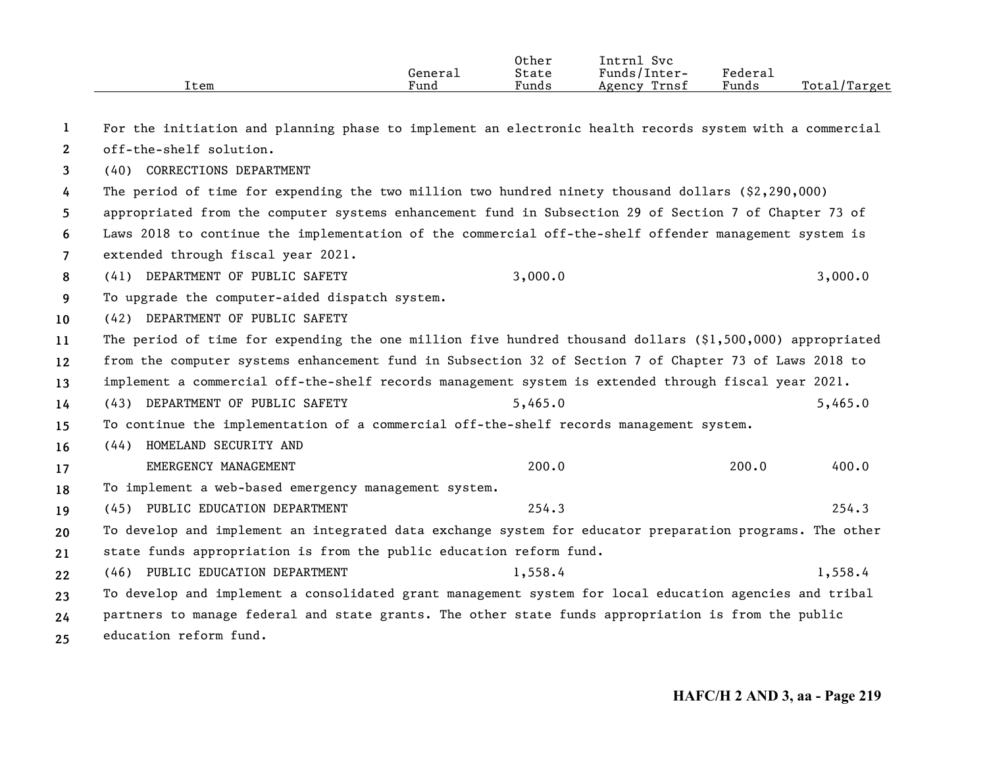| Item | General<br>Fund | Other<br>State<br>Funds | Svc<br>Intrnl<br>Funds/Inter-<br>Trnsf<br>Agency | ${}_{\rm \tiny \text{Federal}}$<br>Funds | Total/Target |
|------|-----------------|-------------------------|--------------------------------------------------|------------------------------------------|--------------|
|      |                 |                         |                                                  |                                          |              |

| 1  | For the initiation and planning phase to implement an electronic health records system with a commercial   |         |       |         |
|----|------------------------------------------------------------------------------------------------------------|---------|-------|---------|
| 2  | off-the-shelf solution.                                                                                    |         |       |         |
| 3  | (40) CORRECTIONS DEPARTMENT                                                                                |         |       |         |
| 4  | The period of time for expending the two million two hundred ninety thousand dollars $(2,290,000)$         |         |       |         |
| 5. | appropriated from the computer systems enhancement fund in Subsection 29 of Section 7 of Chapter 73 of     |         |       |         |
| 6  | Laws 2018 to continue the implementation of the commercial off-the-shelf offender management system is     |         |       |         |
| 7  | extended through fiscal year 2021.                                                                         |         |       |         |
| 8  | (41) DEPARTMENT OF PUBLIC SAFETY                                                                           | 3,000.0 |       | 3,000.0 |
| 9  | To upgrade the computer-aided dispatch system.                                                             |         |       |         |
| 10 | (42) DEPARTMENT OF PUBLIC SAFETY                                                                           |         |       |         |
| 11 | The period of time for expending the one million five hundred thousand dollars $(§1,500,000)$ appropriated |         |       |         |
| 12 | from the computer systems enhancement fund in Subsection 32 of Section 7 of Chapter 73 of Laws 2018 to     |         |       |         |
| 13 | implement a commercial off-the-shelf records management system is extended through fiscal year 2021.       |         |       |         |
| 14 | (43) DEPARTMENT OF PUBLIC SAFETY                                                                           | 5,465.0 |       | 5,465.0 |
| 15 | To continue the implementation of a commercial off-the-shelf records management system.                    |         |       |         |
| 16 | (44) HOMELAND SECURITY AND                                                                                 |         |       |         |
| 17 | EMERGENCY MANAGEMENT                                                                                       | 200.0   | 200.0 | 400.0   |
| 18 | To implement a web-based emergency management system.                                                      |         |       |         |
| 19 | (45) PUBLIC EDUCATION DEPARTMENT                                                                           | 254.3   |       | 254.3   |
| 20 | To develop and implement an integrated data exchange system for educator preparation programs. The other   |         |       |         |
| 21 | state funds appropriation is from the public education reform fund.                                        |         |       |         |
| 22 | (46) PUBLIC EDUCATION DEPARTMENT                                                                           | 1,558.4 |       | 1,558.4 |
| 23 | To develop and implement a consolidated grant management system for local education agencies and tribal    |         |       |         |
| 24 | partners to manage federal and state grants. The other state funds appropriation is from the public        |         |       |         |
| 25 | education reform fund.                                                                                     |         |       |         |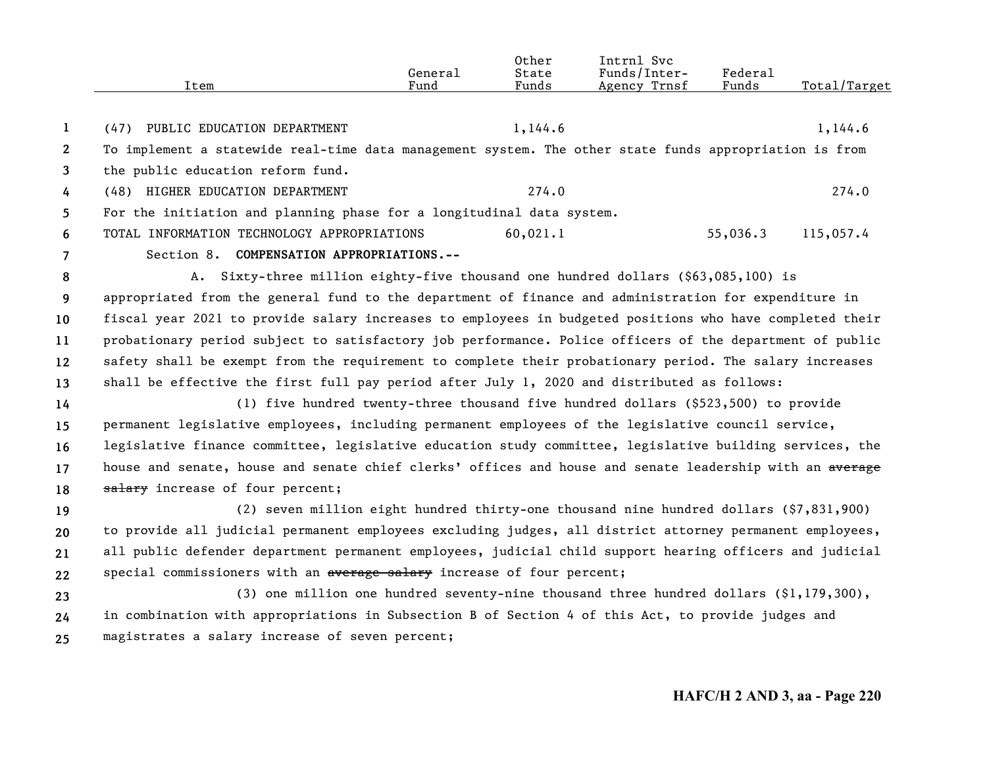|                       | Item                                                                                                     | General<br>Fund | Other<br>State<br>Funds | Intrnl Svc<br>Funds/Inter-<br>Agency Trnsf | Federal<br>Funds | Total/Target |
|-----------------------|----------------------------------------------------------------------------------------------------------|-----------------|-------------------------|--------------------------------------------|------------------|--------------|
| $\mathbf{1}$          | (47) PUBLIC EDUCATION DEPARTMENT                                                                         |                 | 1,144.6                 |                                            |                  | 1,144.6      |
| $\mathbf{2}^{\prime}$ | To implement a statewide real-time data management system. The other state funds appropriation is from   |                 |                         |                                            |                  |              |
| 3                     | the public education reform fund.                                                                        |                 |                         |                                            |                  |              |
| 4                     | (48) HIGHER EDUCATION DEPARTMENT                                                                         |                 | 274.0                   |                                            |                  | 274.0        |
| 5                     | For the initiation and planning phase for a longitudinal data system.                                    |                 |                         |                                            |                  |              |
| 6                     | TOTAL INFORMATION TECHNOLOGY APPROPRIATIONS                                                              |                 | 60,021.1                |                                            | 55,036.3         | 115,057.4    |
| $\overline{7}$        | Section 8. COMPENSATION APPROPRIATIONS.--                                                                |                 |                         |                                            |                  |              |
| 8                     | A. Sixty-three million eighty-five thousand one hundred dollars (\$63,085,100) is                        |                 |                         |                                            |                  |              |
| 9                     | appropriated from the general fund to the department of finance and administration for expenditure in    |                 |                         |                                            |                  |              |
| 10                    | fiscal year 2021 to provide salary increases to employees in budgeted positions who have completed their |                 |                         |                                            |                  |              |
| 11                    | probationary period subject to satisfactory job performance. Police officers of the department of public |                 |                         |                                            |                  |              |
| 12                    | safety shall be exempt from the requirement to complete their probationary period. The salary increases  |                 |                         |                                            |                  |              |
| 13                    | shall be effective the first full pay period after July 1, 2020 and distributed as follows:              |                 |                         |                                            |                  |              |
| 14                    | (1) five hundred twenty-three thousand five hundred dollars (\$523,500) to provide                       |                 |                         |                                            |                  |              |
| 15                    | permanent legislative employees, including permanent employees of the legislative council service,       |                 |                         |                                            |                  |              |
| 16                    | legislative finance committee, legislative education study committee, legislative building services, the |                 |                         |                                            |                  |              |
| 17                    | house and senate, house and senate chief clerks' offices and house and senate leadership with an average |                 |                         |                                            |                  |              |
| 18                    | salary increase of four percent;                                                                         |                 |                         |                                            |                  |              |
| 19                    | (2) seven million eight hundred thirty-one thousand nine hundred dollars (\$7,831,900)                   |                 |                         |                                            |                  |              |
| 20                    | to provide all judicial permanent employees excluding judges, all district attorney permanent employees, |                 |                         |                                            |                  |              |
| 21                    | all public defender department permanent employees, judicial child support hearing officers and judicial |                 |                         |                                            |                  |              |
| 22                    | special commissioners with an average salary increase of four percent;                                   |                 |                         |                                            |                  |              |
| 23                    | (3) one million one hundred seventy-nine thousand three hundred dollars (\$1,179,300),                   |                 |                         |                                            |                  |              |
| 24                    | in combination with appropriations in Subsection B of Section 4 of this Act, to provide judges and       |                 |                         |                                            |                  |              |
| 25                    | magistrates a salary increase of seven percent;                                                          |                 |                         |                                            |                  |              |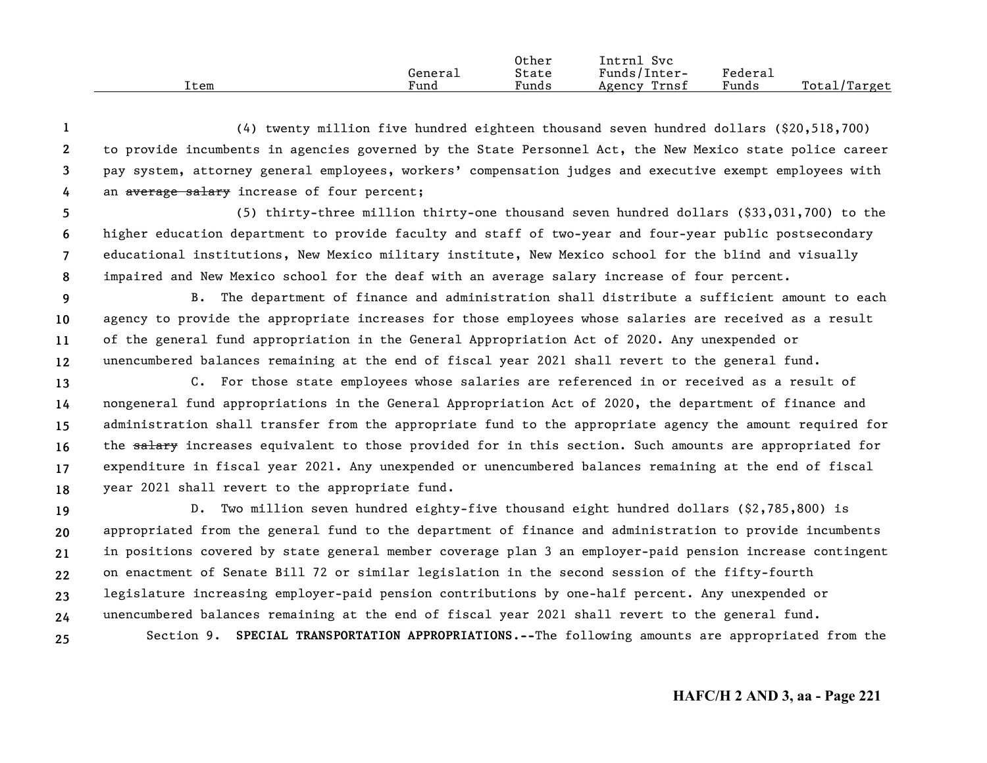|      |         | Other | Svc<br>Intrnl   |         |                   |
|------|---------|-------|-----------------|---------|-------------------|
|      | General | State | Funds/Inter-    | Federau |                   |
| ⊥tem | Fund    | Funds | Trnsf<br>Agency | Funds   | Total/<br>/Target |

**1234**(4) twenty million five hundred eighteen thousand seven hundred dollars (\$20,518,700) to provide incumbents in agencies governed by the State Personnel Act, the New Mexico state police career pay system, attorney general employees, workers' compensation judges and executive exempt employees with an average salary increase of four percent;

**5678**(5) thirty-three million thirty-one thousand seven hundred dollars (\$33,031,700) to the higher education department to provide faculty and staff of two-year and four-year public postsecondary educational institutions, New Mexico military institute, New Mexico school for the blind and visually impaired and New Mexico school for the deaf with an average salary increase of four percent.

- **9 101112**B. The department of finance and administration shall distribute a sufficient amount to each agency to provide the appropriate increases for those employees whose salaries are received as a result of the general fund appropriation in the General Appropriation Act of 2020. Any unexpended or unencumbered balances remaining at the end of fiscal year 2021 shall revert to the general fund.
- **131415161718**C. For those state employees whose salaries are referenced in or received as a result of nongeneral fund appropriations in the General Appropriation Act of 2020, the department of finance and administration shall transfer from the appropriate fund to the appropriate agency the amount required for the salary increases equivalent to those provided for in this section. Such amounts are appropriated for expenditure in fiscal year 2021. Any unexpended or unencumbered balances remaining at the end of fiscal year 2021 shall revert to the appropriate fund.

**19202122232425**D. Two million seven hundred eighty-five thousand eight hundred dollars (\$2,785,800) is appropriated from the general fund to the department of finance and administration to provide incumbents in positions covered by state general member coverage plan 3 an employer-paid pension increase contingent on enactment of Senate Bill 72 or similar legislation in the second session of the fifty-fourth legislature increasing employer-paid pension contributions by one-half percent. Any unexpended or unencumbered balances remaining at the end of fiscal year 2021 shall revert to the general fund. Section 9. **SPECIAL TRANSPORTATION APPROPRIATIONS.--**The following amounts are appropriated from the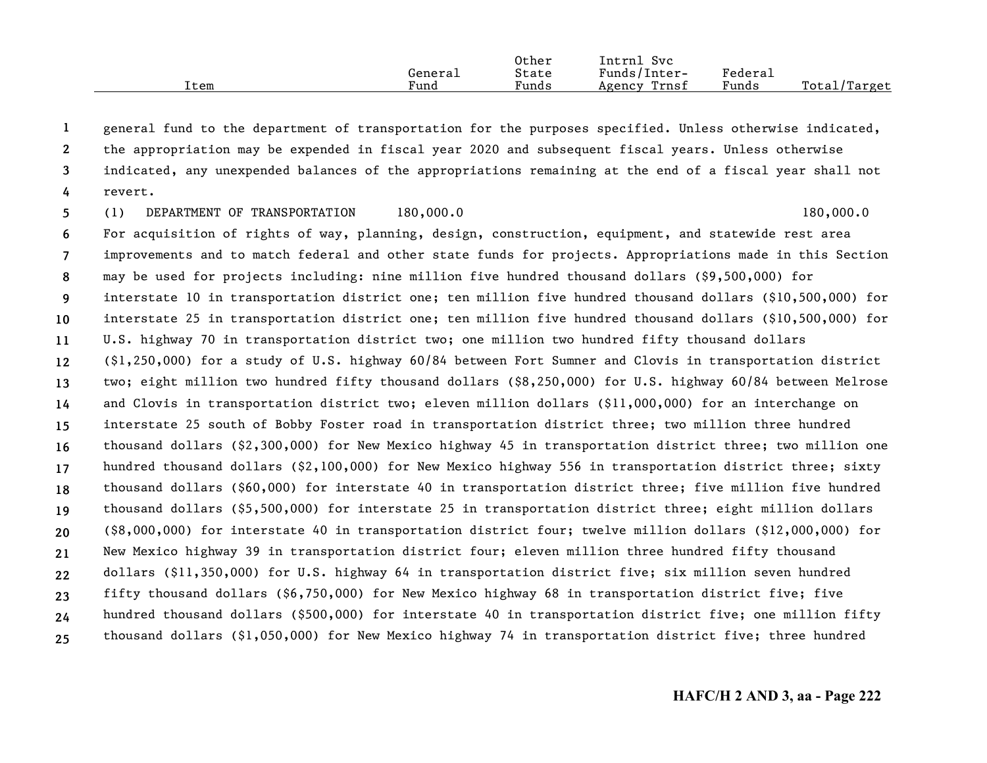|      |         | Other | Intrnl<br>Svc   |         |                    |
|------|---------|-------|-----------------|---------|--------------------|
|      | Generai | State | Funds/Inter-    | Federai |                    |
| Item | Fund    | Funds | Trnsf<br>Agency | Funds   | Total,<br>./Target |

**1234**general fund to the department of transportation for the purposes specified. Unless otherwise indicated, the appropriation may be expended in fiscal year 2020 and subsequent fiscal years. Unless otherwise indicated, any unexpended balances of the appropriations remaining at the end of a fiscal year shall not revert.

**56789 10111213141516171819202122232425**(1) DEPARTMENT OF TRANSPORTATION 180,000.0 180,000 180,000.0 For acquisition of rights of way, planning, design, construction, equipment, and statewide rest area improvements and to match federal and other state funds for projects. Appropriations made in this Section may be used for projects including: nine million five hundred thousand dollars (\$9,500,000) for interstate 10 in transportation district one; ten million five hundred thousand dollars (\$10,500,000) for interstate 25 in transportation district one; ten million five hundred thousand dollars (\$10,500,000) for U.S. highway 70 in transportation district two; one million two hundred fifty thousand dollars (\$1,250,000) for a study of U.S. highway 60/84 between Fort Sumner and Clovis in transportation district two; eight million two hundred fifty thousand dollars (\$8,250,000) for U.S. highway 60/84 between Melrose and Clovis in transportation district two; eleven million dollars (\$11,000,000) for an interchange on interstate 25 south of Bobby Foster road in transportation district three; two million three hundred thousand dollars (\$2,300,000) for New Mexico highway 45 in transportation district three; two million one hundred thousand dollars (\$2,100,000) for New Mexico highway 556 in transportation district three; sixty thousand dollars (\$60,000) for interstate 40 in transportation district three; five million five hundred thousand dollars (\$5,500,000) for interstate 25 in transportation district three; eight million dollars (\$8,000,000) for interstate 40 in transportation district four; twelve million dollars (\$12,000,000) for New Mexico highway 39 in transportation district four; eleven million three hundred fifty thousand dollars (\$11,350,000) for U.S. highway 64 in transportation district five; six million seven hundred fifty thousand dollars (\$6,750,000) for New Mexico highway 68 in transportation district five; five hundred thousand dollars (\$500,000) for interstate 40 in transportation district five; one million fifty thousand dollars (\$1,050,000) for New Mexico highway 74 in transportation district five; three hundred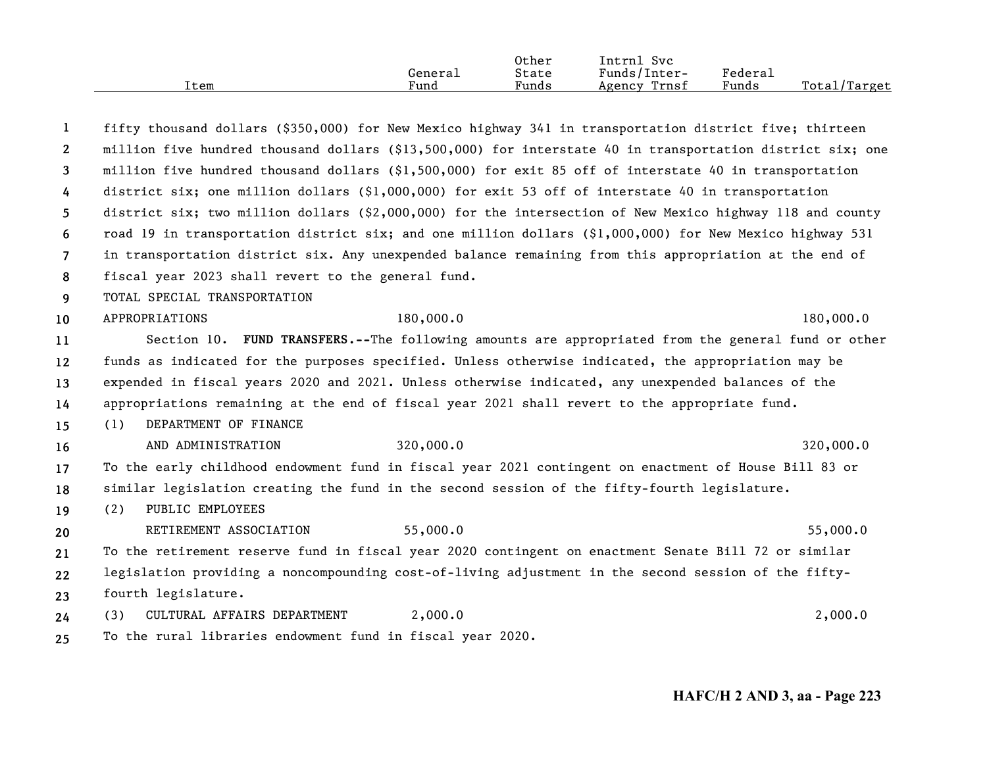|      | General | Other<br>State | Intrnl Svc<br>Funds/Inter- | Federal |              |
|------|---------|----------------|----------------------------|---------|--------------|
| Item | Fund    | Funds          | Agency Trnsf               | Funds   | Total/Target |

| 1              | fifty thousand dollars (\$350,000) for New Mexico highway 341 in transportation district five; thirteen    |  |
|----------------|------------------------------------------------------------------------------------------------------------|--|
| $\mathbf{2}$   | million five hundred thousand dollars (\$13,500,000) for interstate 40 in transportation district six; one |  |
| 3              | million five hundred thousand dollars (\$1,500,000) for exit 85 off of interstate 40 in transportation     |  |
| 4              | district six; one million dollars $(91,000,000)$ for exit 53 off of interstate 40 in transportation        |  |
| 5              | district six; two million dollars (\$2,000,000) for the intersection of New Mexico highway 118 and county  |  |
| 6              | road 19 in transportation district six; and one million dollars (\$1,000,000) for New Mexico highway 531   |  |
| $\overline{7}$ | in transportation district six. Any unexpended balance remaining from this appropriation at the end of     |  |
| 8              | fiscal year 2023 shall revert to the general fund.                                                         |  |
| 9              | TOTAL SPECIAL TRANSPORTATION                                                                               |  |
| 10             | 180,000.0<br>APPROPRIATIONS<br>180,000.0                                                                   |  |
| 11             | Section 10. FUND TRANSFERS.--The following amounts are appropriated from the general fund or other         |  |
| 12             | funds as indicated for the purposes specified. Unless otherwise indicated, the appropriation may be        |  |
| 13             | expended in fiscal years 2020 and 2021. Unless otherwise indicated, any unexpended balances of the         |  |
| 14             | appropriations remaining at the end of fiscal year 2021 shall revert to the appropriate fund.              |  |
| 15             | DEPARTMENT OF FINANCE<br>(1)                                                                               |  |
| 16             | 320,000.0<br>320,000.0<br>AND ADMINISTRATION                                                               |  |
| 17             | To the early childhood endowment fund in fiscal year 2021 contingent on enactment of House Bill 83 or      |  |
| 18             | similar legislation creating the fund in the second session of the fifty-fourth legislature.               |  |
| 19             | PUBLIC EMPLOYEES<br>(2)                                                                                    |  |
| 20             | 55,000.0<br>55,000.0<br>RETIREMENT ASSOCIATION                                                             |  |
| 21             | To the retirement reserve fund in fiscal year 2020 contingent on enactment Senate Bill 72 or similar       |  |
| 22             | legislation providing a noncompounding cost-of-living adjustment in the second session of the fifty-       |  |
| 23             | fourth legislature.                                                                                        |  |
| 24             | 2,000.0<br>2,000.0<br>CULTURAL AFFAIRS DEPARTMENT<br>(3)                                                   |  |
| 25             | To the rural libraries endowment fund in fiscal year 2020.                                                 |  |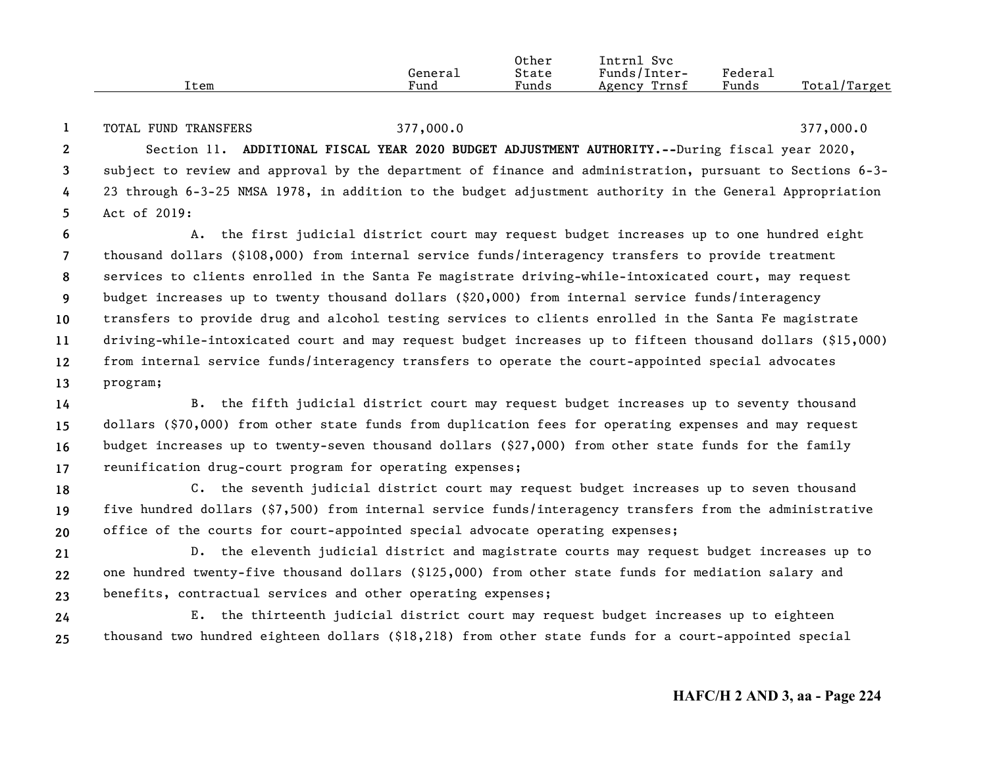|      |         | Other | Intrnl<br>Svc   |                     |                    |
|------|---------|-------|-----------------|---------------------|--------------------|
|      | General | State | Funds/Inter-    | Federa <sub>1</sub> |                    |
| Item | Fund    | Funds | Trnsf<br>Agency | Funds               | Total/<br>./Target |

**12345**TOTAL FUND TRANSFERS 377,000.0 377,000.0 Section 11. **ADDITIONAL FISCAL YEAR 2020 BUDGET ADJUSTMENT AUTHORITY.--**During fiscal year 2020, subject to review and approval by the department of finance and administration, pursuant to Sections 6-3- 23 through 6-3-25 NMSA 1978, in addition to the budget adjustment authority in the General Appropriation Act of 2019:

**6789 10111213**A. the first judicial district court may request budget increases up to one hundred eight thousand dollars (\$108,000) from internal service funds/interagency transfers to provide treatment services to clients enrolled in the Santa Fe magistrate driving-while-intoxicated court, may request budget increases up to twenty thousand dollars (\$20,000) from internal service funds/interagency transfers to provide drug and alcohol testing services to clients enrolled in the Santa Fe magistrate driving-while-intoxicated court and may request budget increases up to fifteen thousand dollars (\$15,000) from internal service funds/interagency transfers to operate the court-appointed special advocates program;

**14151617**B. the fifth judicial district court may request budget increases up to seventy thousand dollars (\$70,000) from other state funds from duplication fees for operating expenses and may request budget increases up to twenty-seven thousand dollars (\$27,000) from other state funds for the family reunification drug-court program for operating expenses;

**181920**C. the seventh judicial district court may request budget increases up to seven thousand five hundred dollars (\$7,500) from internal service funds/interagency transfers from the administrative office of the courts for court-appointed special advocate operating expenses;

**212223**D. the eleventh judicial district and magistrate courts may request budget increases up to one hundred twenty-five thousand dollars (\$125,000) from other state funds for mediation salary and benefits, contractual services and other operating expenses;

**2425**E. the thirteenth judicial district court may request budget increases up to eighteen thousand two hundred eighteen dollars (\$18,218) from other state funds for a court-appointed special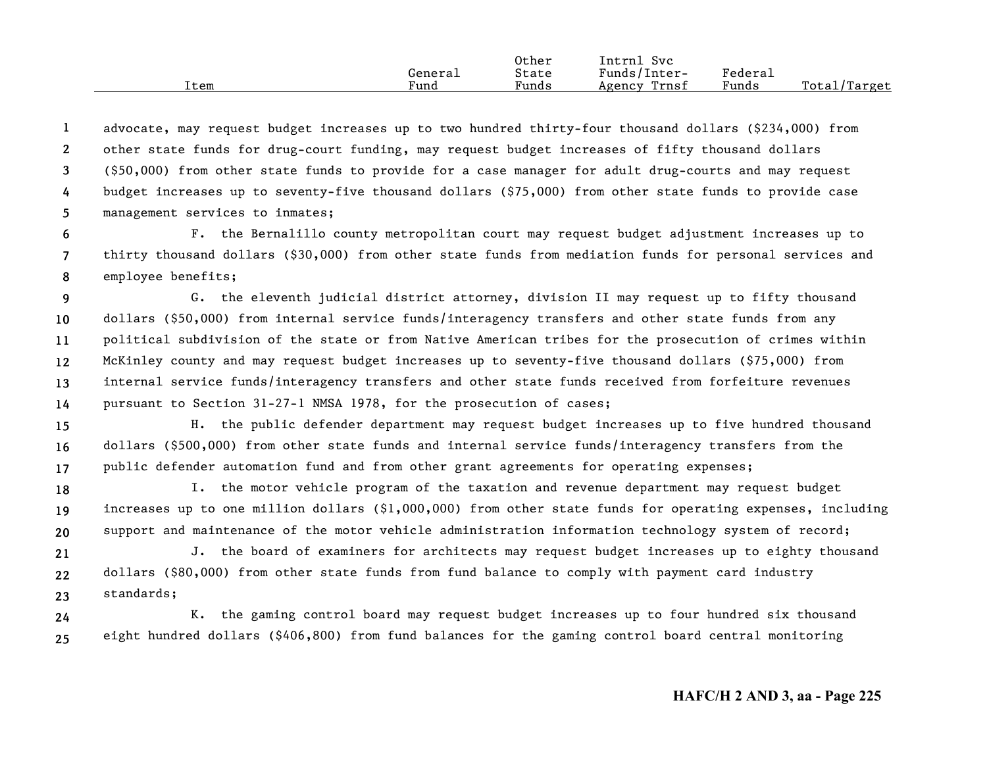|      |         | Other | Intrnl<br>Sv c  |                     |                  |
|------|---------|-------|-----------------|---------------------|------------------|
|      | General | State | Funds/Inter-    | Federa <sub>1</sub> |                  |
| ⊥tem | Fund    | Funds | Trnsf<br>Agency | Funds               | Total<br>'Target |

**12345**advocate, may request budget increases up to two hundred thirty-four thousand dollars (\$234,000) from other state funds for drug-court funding, may request budget increases of fifty thousand dollars (\$50,000) from other state funds to provide for a case manager for adult drug-courts and may request budget increases up to seventy-five thousand dollars (\$75,000) from other state funds to provide case management services to inmates;

**678**F. the Bernalillo county metropolitan court may request budget adjustment increases up to thirty thousand dollars (\$30,000) from other state funds from mediation funds for personal services and employee benefits;

**9 1011121314**G. the eleventh judicial district attorney, division II may request up to fifty thousand dollars (\$50,000) from internal service funds/interagency transfers and other state funds from any political subdivision of the state or from Native American tribes for the prosecution of crimes within McKinley county and may request budget increases up to seventy-five thousand dollars (\$75,000) from internal service funds/interagency transfers and other state funds received from forfeiture revenues pursuant to Section 31-27-1 NMSA 1978, for the prosecution of cases;

**151617**H. the public defender department may request budget increases up to five hundred thousand dollars (\$500,000) from other state funds and internal service funds/interagency transfers from the public defender automation fund and from other grant agreements for operating expenses;

**181920**I. the motor vehicle program of the taxation and revenue department may request budget increases up to one million dollars (\$1,000,000) from other state funds for operating expenses, including support and maintenance of the motor vehicle administration information technology system of record;

**212223**J. the board of examiners for architects may request budget increases up to eighty thousand dollars (\$80,000) from other state funds from fund balance to comply with payment card industry standards;

**2425**K. the gaming control board may request budget increases up to four hundred six thousand eight hundred dollars (\$406,800) from fund balances for the gaming control board central monitoring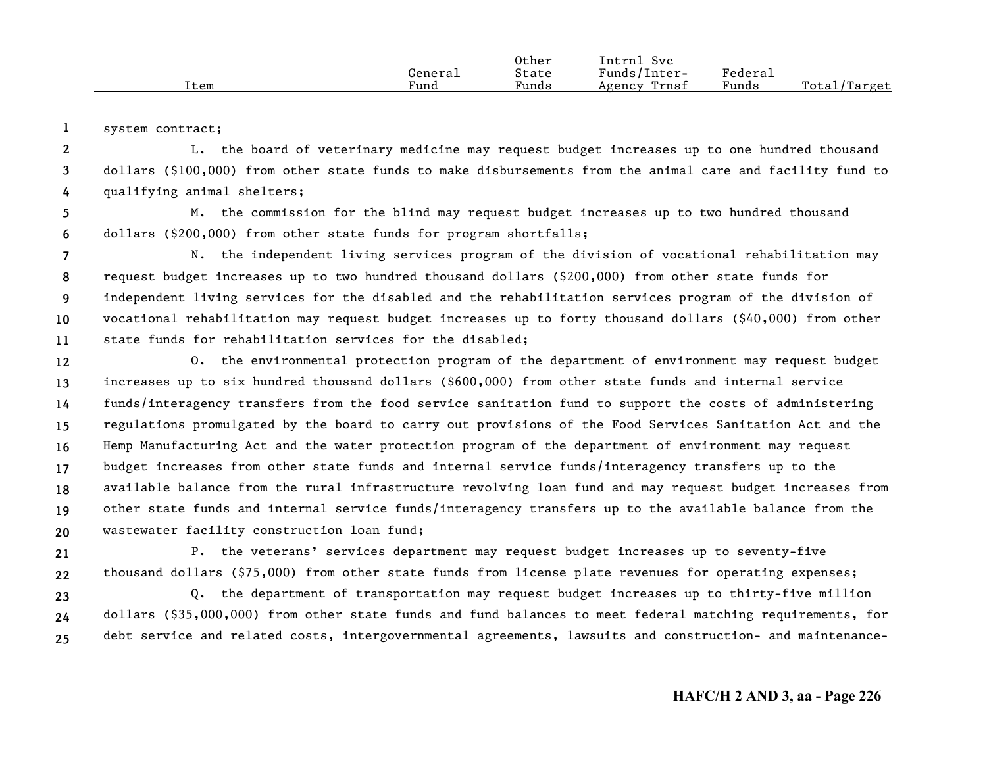|      |         | Other | <b>Intrni</b><br>Svc |         |              |
|------|---------|-------|----------------------|---------|--------------|
|      | General | State | Funds/Inter-         | Federau |              |
| Item | Fund    | Funds | Trnsf<br>Agency      | Funds   | Total/Target |

**1**system contract;

**234**L. the board of veterinary medicine may request budget increases up to one hundred thousand dollars (\$100,000) from other state funds to make disbursements from the animal care and facility fund to qualifying animal shelters;

**56**M. the commission for the blind may request budget increases up to two hundred thousand dollars (\$200,000) from other state funds for program shortfalls;

**789 1011**N. the independent living services program of the division of vocational rehabilitation may request budget increases up to two hundred thousand dollars (\$200,000) from other state funds for independent living services for the disabled and the rehabilitation services program of the division of vocational rehabilitation may request budget increases up to forty thousand dollars (\$40,000) from other state funds for rehabilitation services for the disabled;

**121314151617181920**O. the environmental protection program of the department of environment may request budget increases up to six hundred thousand dollars (\$600,000) from other state funds and internal service funds/interagency transfers from the food service sanitation fund to support the costs of administering regulations promulgated by the board to carry out provisions of the Food Services Sanitation Act and the Hemp Manufacturing Act and the water protection program of the department of environment may request budget increases from other state funds and internal service funds/interagency transfers up to the available balance from the rural infrastructure revolving loan fund and may request budget increases from other state funds and internal service funds/interagency transfers up to the available balance from the wastewater facility construction loan fund;

**2122**P. the veterans' services department may request budget increases up to seventy-five thousand dollars (\$75,000) from other state funds from license plate revenues for operating expenses;

**232425**Q. the department of transportation may request budget increases up to thirty-five million dollars (\$35,000,000) from other state funds and fund balances to meet federal matching requirements, for debt service and related costs, intergovernmental agreements, lawsuits and construction- and maintenance-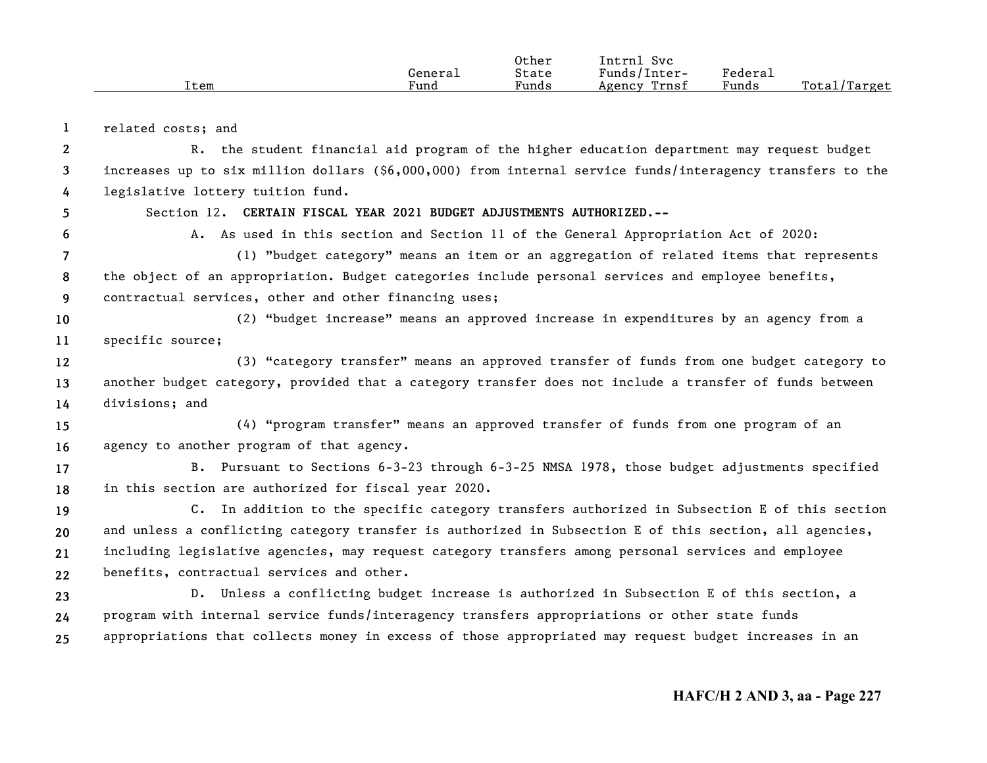|      | Generaı | Other<br>State | Intrnl<br>Svc<br>Funds/Inter- | Federal |              |
|------|---------|----------------|-------------------------------|---------|--------------|
| Item | Fund    | Funds          | Trnsf<br>Agency               | Funds   | Total/Target |

**1**related costs; and

**6**

**234**R. the student financial aid program of the higher education department may request budget increases up to six million dollars (\$6,000,000) from internal service funds/interagency transfers to the legislative lottery tuition fund.

**5**Section 12. **CERTAIN FISCAL YEAR 2021 BUDGET ADJUSTMENTS AUTHORIZED.--**

A. As used in this section and Section 11 of the General Appropriation Act of 2020:

**789**(1) "budget category" means an item or an aggregation of related items that represents the object of an appropriation. Budget categories include personal services and employee benefits, contractual services, other and other financing uses;

**1011**(2) "budget increase" means an approved increase in expenditures by an agency from a specific source;

**121314**(3) "category transfer" means an approved transfer of funds from one budget category to another budget category, provided that a category transfer does not include a transfer of funds between divisions; and

**1516**(4) "program transfer" means an approved transfer of funds from one program of an agency to another program of that agency.

**1718**B. Pursuant to Sections 6-3-23 through 6-3-25 NMSA 1978, those budget adjustments specified in this section are authorized for fiscal year 2020.

**19202122**C. In addition to the specific category transfers authorized in Subsection E of this section and unless a conflicting category transfer is authorized in Subsection E of this section, all agencies, including legislative agencies, may request category transfers among personal services and employee benefits, contractual services and other.

**232425**D. Unless a conflicting budget increase is authorized in Subsection E of this section, a program with internal service funds/interagency transfers appropriations or other state funds appropriations that collects money in excess of those appropriated may request budget increases in an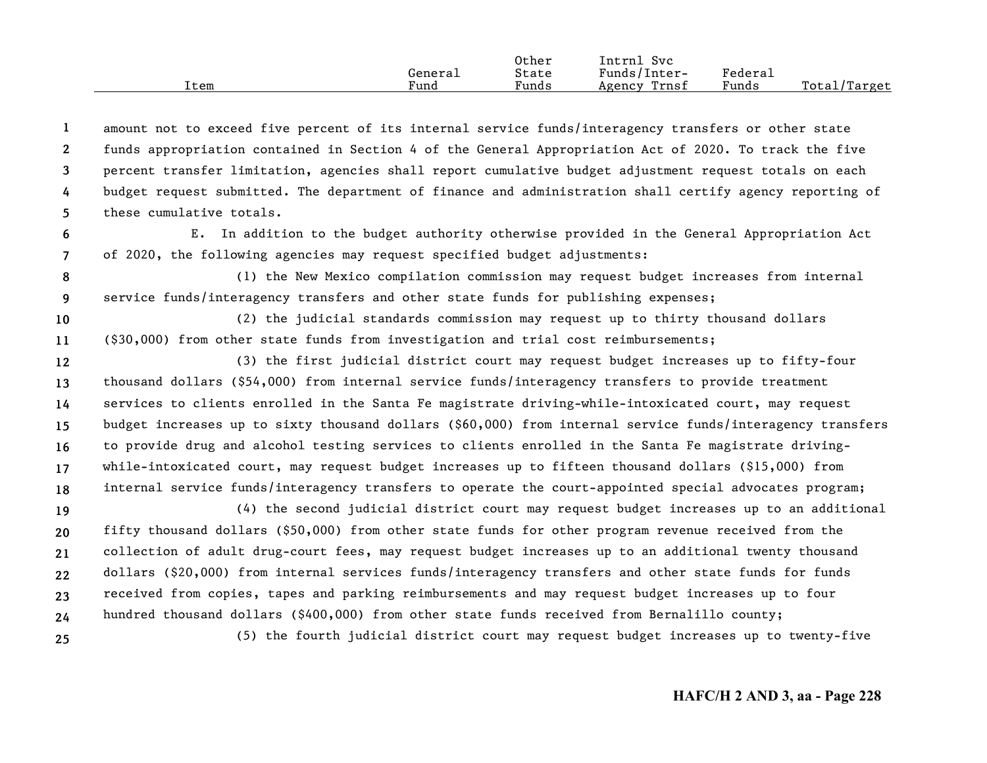|      |                      | Other | Intrnl<br><b>Svc</b> |         |                   |
|------|----------------------|-------|----------------------|---------|-------------------|
|      | Generai              | State | Funds/Inter-         | Federau |                   |
| ⊥tem | $\mathbf{r}$<br>Fund | Funds | Trnsf<br>Agency      | Funds   | Total/<br>/Target |

**12345**amount not to exceed five percent of its internal service funds/interagency transfers or other state funds appropriation contained in Section 4 of the General Appropriation Act of 2020. To track the five percent transfer limitation, agencies shall report cumulative budget adjustment request totals on each budget request submitted. The department of finance and administration shall certify agency reporting of these cumulative totals.

- **67**E. In addition to the budget authority otherwise provided in the General Appropriation Act of 2020, the following agencies may request specified budget adjustments:
- **89** (1) the New Mexico compilation commission may request budget increases from internal service funds/interagency transfers and other state funds for publishing expenses;
- **1011**(2) the judicial standards commission may request up to thirty thousand dollars (\$30,000) from other state funds from investigation and trial cost reimbursements;
- **12131415161718**(3) the first judicial district court may request budget increases up to fifty-four thousand dollars (\$54,000) from internal service funds/interagency transfers to provide treatment services to clients enrolled in the Santa Fe magistrate driving-while-intoxicated court, may request budget increases up to sixty thousand dollars (\$60,000) from internal service funds/interagency transfers to provide drug and alcohol testing services to clients enrolled in the Santa Fe magistrate drivingwhile-intoxicated court, may request budget increases up to fifteen thousand dollars (\$15,000) from internal service funds/interagency transfers to operate the court-appointed special advocates program;

**192021222324**(4) the second judicial district court may request budget increases up to an additional fifty thousand dollars (\$50,000) from other state funds for other program revenue received from the collection of adult drug-court fees, may request budget increases up to an additional twenty thousand dollars (\$20,000) from internal services funds/interagency transfers and other state funds for funds received from copies, tapes and parking reimbursements and may request budget increases up to four hundred thousand dollars (\$400,000) from other state funds received from Bernalillo county; (5) the fourth judicial district court may request budget increases up to twenty-five

**25**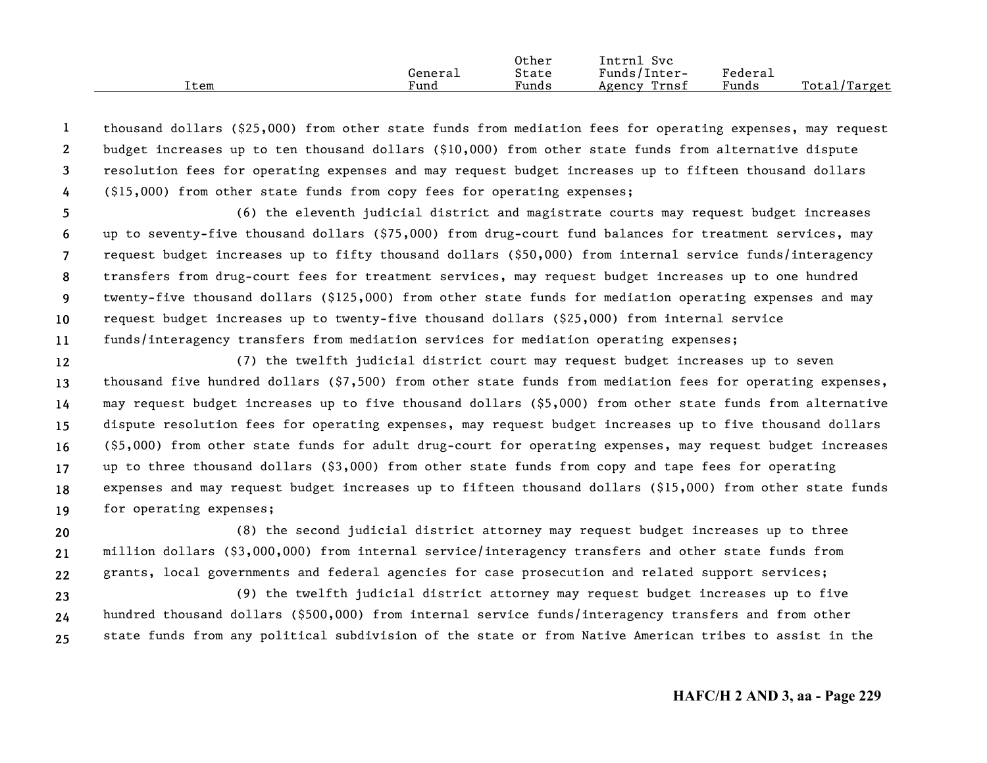|      |         | Other | Intrnl<br>Sv c  |         |                  |
|------|---------|-------|-----------------|---------|------------------|
|      | Genera⊥ | State | Funds/Inter-    | Federai |                  |
| Item | Fund    | Funds | Trnsf<br>Agency | Funds   | Total<br>'Target |

**1234**thousand dollars (\$25,000) from other state funds from mediation fees for operating expenses, may request budget increases up to ten thousand dollars (\$10,000) from other state funds from alternative dispute resolution fees for operating expenses and may request budget increases up to fifteen thousand dollars (\$15,000) from other state funds from copy fees for operating expenses;

**567891011**(6) the eleventh judicial district and magistrate courts may request budget increases up to seventy-five thousand dollars (\$75,000) from drug-court fund balances for treatment services, may request budget increases up to fifty thousand dollars (\$50,000) from internal service funds/interagency transfers from drug-court fees for treatment services, may request budget increases up to one hundred twenty-five thousand dollars (\$125,000) from other state funds for mediation operating expenses and may request budget increases up to twenty-five thousand dollars (\$25,000) from internal service funds/interagency transfers from mediation services for mediation operating expenses;

**1213141516171819**(7) the twelfth judicial district court may request budget increases up to seven thousand five hundred dollars (\$7,500) from other state funds from mediation fees for operating expenses, may request budget increases up to five thousand dollars (\$5,000) from other state funds from alternative dispute resolution fees for operating expenses, may request budget increases up to five thousand dollars (\$5,000) from other state funds for adult drug-court for operating expenses, may request budget increases up to three thousand dollars (\$3,000) from other state funds from copy and tape fees for operating expenses and may request budget increases up to fifteen thousand dollars (\$15,000) from other state funds for operating expenses;

**202122**(8) the second judicial district attorney may request budget increases up to three million dollars (\$3,000,000) from internal service/interagency transfers and other state funds from grants, local governments and federal agencies for case prosecution and related support services;

**232425**(9) the twelfth judicial district attorney may request budget increases up to five hundred thousand dollars (\$500,000) from internal service funds/interagency transfers and from other state funds from any political subdivision of the state or from Native American tribes to assist in the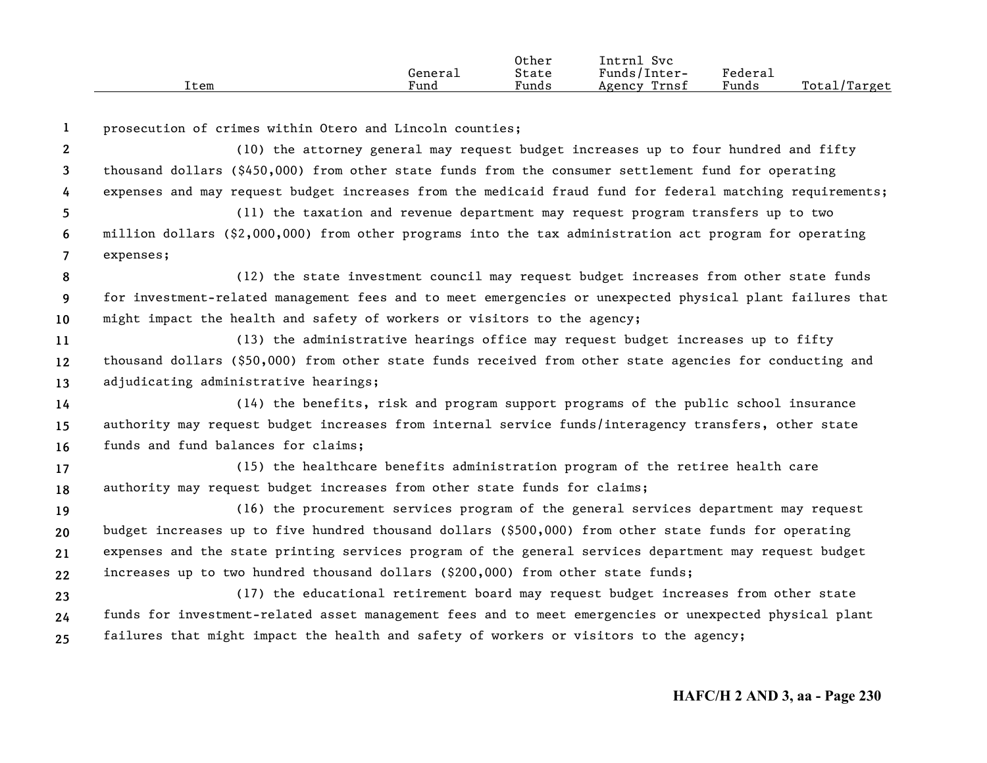|      | Generai | Other<br>State | Intrnl<br>Svc<br>Funds/Inter- | Federal |              |
|------|---------|----------------|-------------------------------|---------|--------------|
| Item | Fund    | Funds          | Trnsf<br>Agency               | Funds   | Total/Target |

| 1                     | prosecution of crimes within Otero and Lincoln counties;                                                  |
|-----------------------|-----------------------------------------------------------------------------------------------------------|
| $\mathbf{2}^{\prime}$ | (10) the attorney general may request budget increases up to four hundred and fifty                       |
| 3                     | thousand dollars (\$450,000) from other state funds from the consumer settlement fund for operating       |
| 4                     | expenses and may request budget increases from the medicaid fraud fund for federal matching requirements; |
| 5.                    | (11) the taxation and revenue department may request program transfers up to two                          |
| 6                     | million dollars (\$2,000,000) from other programs into the tax administration act program for operating   |
| $\overline{7}$        | expenses;                                                                                                 |
| 8                     | (12) the state investment council may request budget increases from other state funds                     |
| 9                     | for investment-related management fees and to meet emergencies or unexpected physical plant failures that |
| 10                    | might impact the health and safety of workers or visitors to the agency;                                  |
| 11                    | (13) the administrative hearings office may request budget increases up to fifty                          |
| 12                    | thousand dollars (\$50,000) from other state funds received from other state agencies for conducting and  |
| 13                    | adjudicating administrative hearings;                                                                     |
| 14                    | (14) the benefits, risk and program support programs of the public school insurance                       |
| 15                    | authority may request budget increases from internal service funds/interagency transfers, other state     |
| 16                    | funds and fund balances for claims;                                                                       |
| 17                    | (15) the healthcare benefits administration program of the retiree health care                            |
| 18                    | authority may request budget increases from other state funds for claims;                                 |
| 19                    | (16) the procurement services program of the general services department may request                      |
| 20                    | budget increases up to five hundred thousand dollars (\$500,000) from other state funds for operating     |
| 21                    | expenses and the state printing services program of the general services department may request budget    |
| 22                    | increases up to two hundred thousand dollars (\$200,000) from other state funds;                          |
| 23                    | (17) the educational retirement board may request budget increases from other state                       |
| 24                    | funds for investment-related asset management fees and to meet emergencies or unexpected physical plant   |
| 25                    | failures that might impact the health and safety of workers or visitors to the agency;                    |
|                       |                                                                                                           |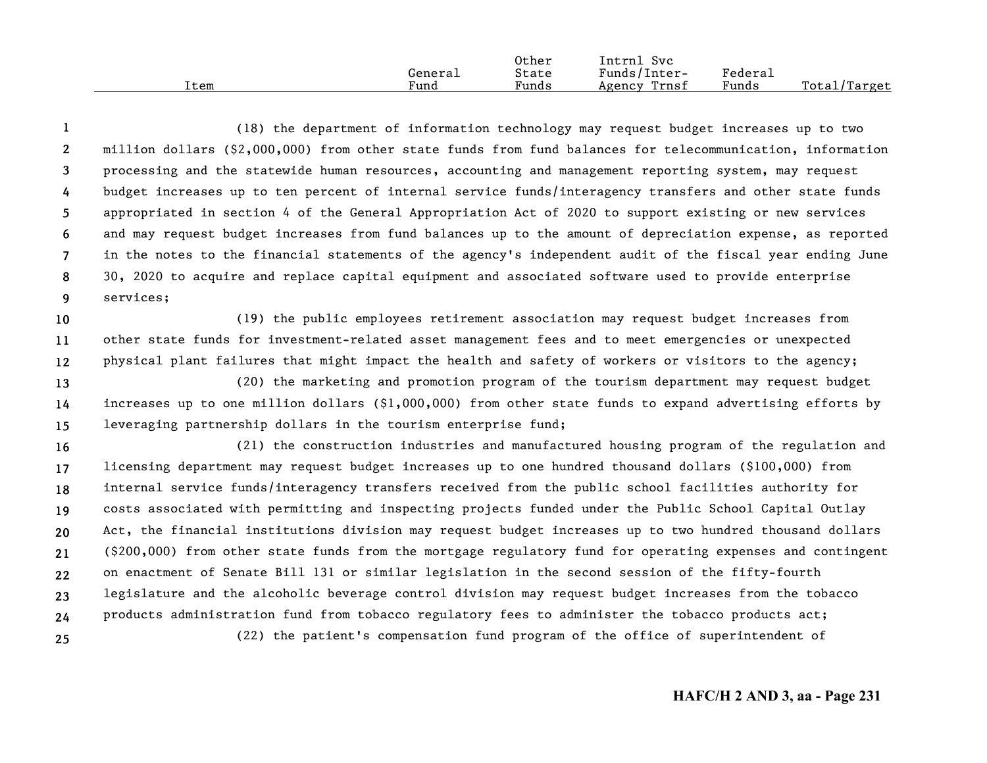|      |         | Other | -<br>Intrnl<br><b>Svc</b> |                   |                   |
|------|---------|-------|---------------------------|-------------------|-------------------|
|      | General | State | Funds/Inter-              | ${}_{\rm Federa}$ |                   |
| Item | Fund    | Funds | Trnsf<br>Agency           | Funds             | Total/<br>/Target |

**123456789**(18) the department of information technology may request budget increases up to two million dollars (\$2,000,000) from other state funds from fund balances for telecommunication, information processing and the statewide human resources, accounting and management reporting system, may request budget increases up to ten percent of internal service funds/interagency transfers and other state funds appropriated in section 4 of the General Appropriation Act of 2020 to support existing or new services and may request budget increases from fund balances up to the amount of depreciation expense, as reported in the notes to the financial statements of the agency's independent audit of the fiscal year ending June 30, 2020 to acquire and replace capital equipment and associated software used to provide enterprise services;

**101112**(19) the public employees retirement association may request budget increases from other state funds for investment-related asset management fees and to meet emergencies or unexpected physical plant failures that might impact the health and safety of workers or visitors to the agency;

**131415**(20) the marketing and promotion program of the tourism department may request budget increases up to one million dollars (\$1,000,000) from other state funds to expand advertising efforts by leveraging partnership dollars in the tourism enterprise fund;

**16171819202122232425**(21) the construction industries and manufactured housing program of the regulation and licensing department may request budget increases up to one hundred thousand dollars (\$100,000) from internal service funds/interagency transfers received from the public school facilities authority for costs associated with permitting and inspecting projects funded under the Public School Capital Outlay Act, the financial institutions division may request budget increases up to two hundred thousand dollars (\$200,000) from other state funds from the mortgage regulatory fund for operating expenses and contingent on enactment of Senate Bill 131 or similar legislation in the second session of the fifty-fourth legislature and the alcoholic beverage control division may request budget increases from the tobacco products administration fund from tobacco regulatory fees to administer the tobacco products act; (22) the patient's compensation fund program of the office of superintendent of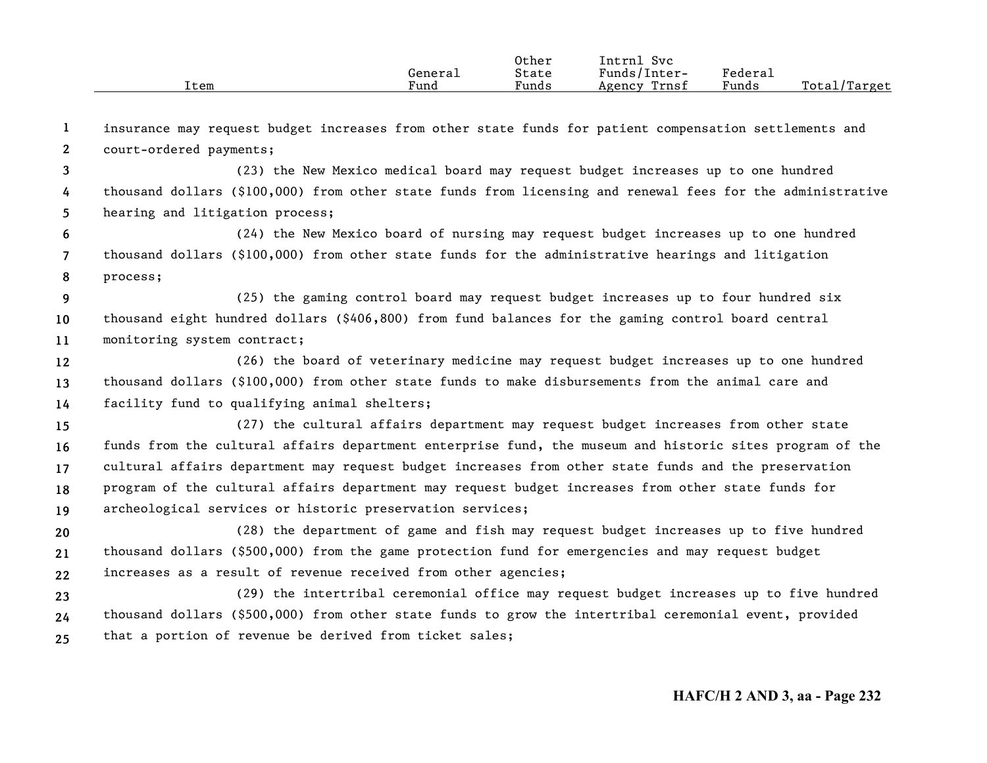| General<br>Fund<br>Item | Other<br>State<br>Funds | Intrnl<br>Svc<br>Funds/Inter-<br>Trnsf<br>Agency | Federau<br>Funds | Total<br>./Target |
|-------------------------|-------------------------|--------------------------------------------------|------------------|-------------------|
|-------------------------|-------------------------|--------------------------------------------------|------------------|-------------------|

| - 1             | insurance may request budget increases from other state funds for patient compensation settlements and     |
|-----------------|------------------------------------------------------------------------------------------------------------|
| $\mathbf{2}$    | court-ordered payments;                                                                                    |
| $\mathbf{3}$    | (23) the New Mexico medical board may request budget increases up to one hundred                           |
| 4               | thousand dollars (\$100,000) from other state funds from licensing and renewal fees for the administrative |
| 5               | hearing and litigation process;                                                                            |
| 6               | (24) the New Mexico board of nursing may request budget increases up to one hundred                        |
| $\overline{7}$  | thousand dollars (\$100,000) from other state funds for the administrative hearings and litigation         |
| 8               | process;                                                                                                   |
| 9               | (25) the gaming control board may request budget increases up to four hundred six                          |
| 10              | thousand eight hundred dollars (\$406,800) from fund balances for the gaming control board central         |
| 11              | monitoring system contract;                                                                                |
| 12 <sup>2</sup> | (26) the board of veterinary medicine may request budget increases up to one hundred                       |
| 13              | thousand dollars (\$100,000) from other state funds to make disbursements from the animal care and         |
| 14              | facility fund to qualifying animal shelters;                                                               |
| 15              | (27) the cultural affairs department may request budget increases from other state                         |
| 16              | funds from the cultural affairs department enterprise fund, the museum and historic sites program of the   |
| 17 <sub>2</sub> | cultural affairs department may request budget increases from other state funds and the preservation       |
| 18              | program of the cultural affairs department may request budget increases from other state funds for         |
| 19              | archeological services or historic preservation services;                                                  |
| 20              | (28) the department of game and fish may request budget increases up to five hundred                       |
| 21              | thousand dollars (\$500,000) from the game protection fund for emergencies and may request budget          |
| 22              | increases as a result of revenue received from other agencies;                                             |
| 23              | (29) the intertribal ceremonial office may request budget increases up to five hundred                     |
| 24              | thousand dollars (\$500,000) from other state funds to grow the intertribal ceremonial event, provided     |
| 25              | that a portion of revenue be derived from ticket sales;                                                    |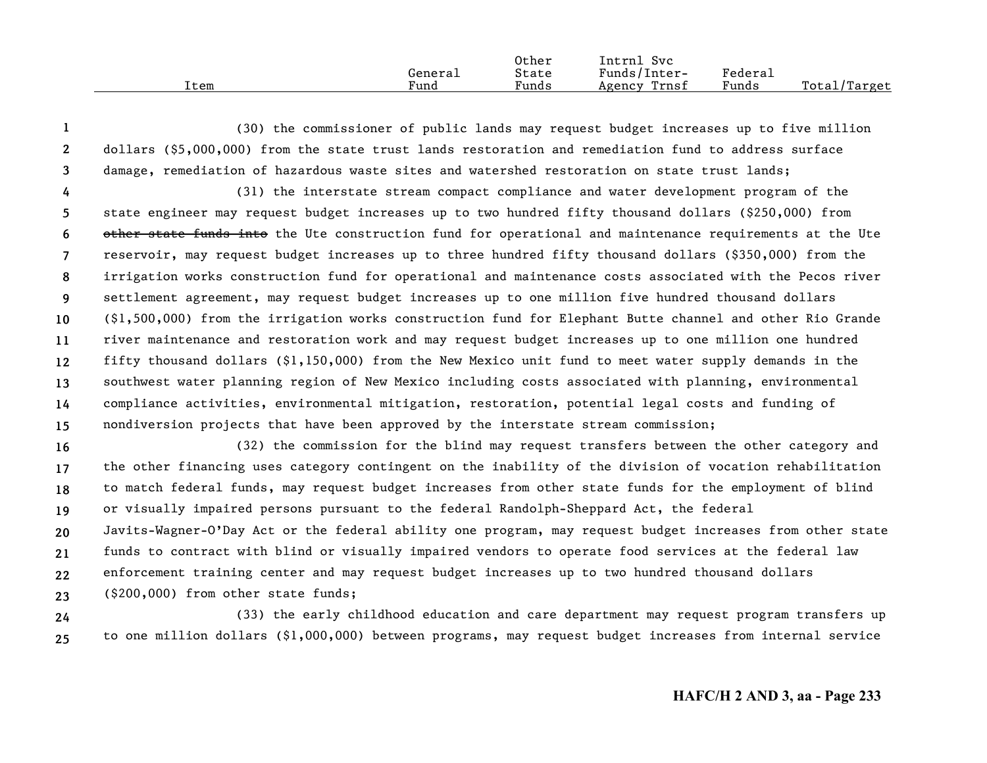|      |         | Other | Intrnl<br><b>Svc</b> |                     |                  |
|------|---------|-------|----------------------|---------------------|------------------|
|      | General | State | Funds/Inter-         | Federa <sub>1</sub> |                  |
| Item | Fund    | Funds | Trnsf<br>Agency      | Funds               | Total,<br>Target |

**123**(30) the commissioner of public lands may request budget increases up to five million dollars (\$5,000,000) from the state trust lands restoration and remediation fund to address surface damage, remediation of hazardous waste sites and watershed restoration on state trust lands;

**456789 101112131415**(31) the interstate stream compact compliance and water development program of the state engineer may request budget increases up to two hundred fifty thousand dollars (\$250,000) from other state funds into the Ute construction fund for operational and maintenance requirements at the Ute reservoir, may request budget increases up to three hundred fifty thousand dollars (\$350,000) from the irrigation works construction fund for operational and maintenance costs associated with the Pecos river settlement agreement, may request budget increases up to one million five hundred thousand dollars (\$1,500,000) from the irrigation works construction fund for Elephant Butte channel and other Rio Grande river maintenance and restoration work and may request budget increases up to one million one hundred fifty thousand dollars (\$1,150,000) from the New Mexico unit fund to meet water supply demands in the southwest water planning region of New Mexico including costs associated with planning, environmental compliance activities, environmental mitigation, restoration, potential legal costs and funding of nondiversion projects that have been approved by the interstate stream commission;

**1617181920212223**(32) the commission for the blind may request transfers between the other category and the other financing uses category contingent on the inability of the division of vocation rehabilitation to match federal funds, may request budget increases from other state funds for the employment of blind or visually impaired persons pursuant to the federal Randolph-Sheppard Act, the federal Javits-Wagner-O'Day Act or the federal ability one program, may request budget increases from other state funds to contract with blind or visually impaired vendors to operate food services at the federal law enforcement training center and may request budget increases up to two hundred thousand dollars (\$200,000) from other state funds;

**2425**(33) the early childhood education and care department may request program transfers up to one million dollars (\$1,000,000) between programs, may request budget increases from internal service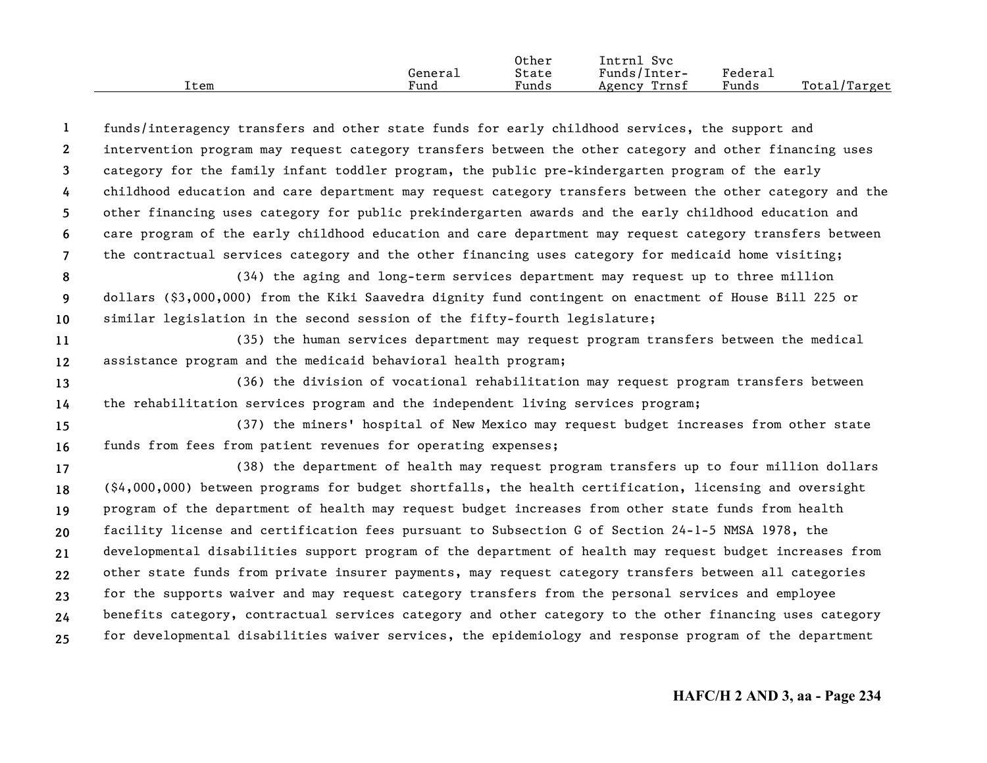|      |         | Other | Intrnl<br>Svc   |         |              |
|------|---------|-------|-----------------|---------|--------------|
|      | General | State | Funds/Inter-    | Federau |              |
| Item | Fund    | Funds | Trnsf<br>Agency | Funds   | Total/Target |

**1234567**funds/interagency transfers and other state funds for early childhood services, the support and intervention program may request category transfers between the other category and other financing uses category for the family infant toddler program, the public pre-kindergarten program of the early childhood education and care department may request category transfers between the other category and the other financing uses category for public prekindergarten awards and the early childhood education and care program of the early childhood education and care department may request category transfers between the contractual services category and the other financing uses category for medicaid home visiting;

**89 10**(34) the aging and long-term services department may request up to three million dollars (\$3,000,000) from the Kiki Saavedra dignity fund contingent on enactment of House Bill 225 or similar legislation in the second session of the fifty-fourth legislature;

**1112**(35) the human services department may request program transfers between the medical assistance program and the medicaid behavioral health program;

**1314**(36) the division of vocational rehabilitation may request program transfers between the rehabilitation services program and the independent living services program;

**1516**(37) the miners' hospital of New Mexico may request budget increases from other state funds from fees from patient revenues for operating expenses;

**171819202122232425**(38) the department of health may request program transfers up to four million dollars (\$4,000,000) between programs for budget shortfalls, the health certification, licensing and oversight program of the department of health may request budget increases from other state funds from health facility license and certification fees pursuant to Subsection G of Section 24-1-5 NMSA 1978, the developmental disabilities support program of the department of health may request budget increases from other state funds from private insurer payments, may request category transfers between all categories for the supports waiver and may request category transfers from the personal services and employee benefits category, contractual services category and other category to the other financing uses category for developmental disabilities waiver services, the epidemiology and response program of the department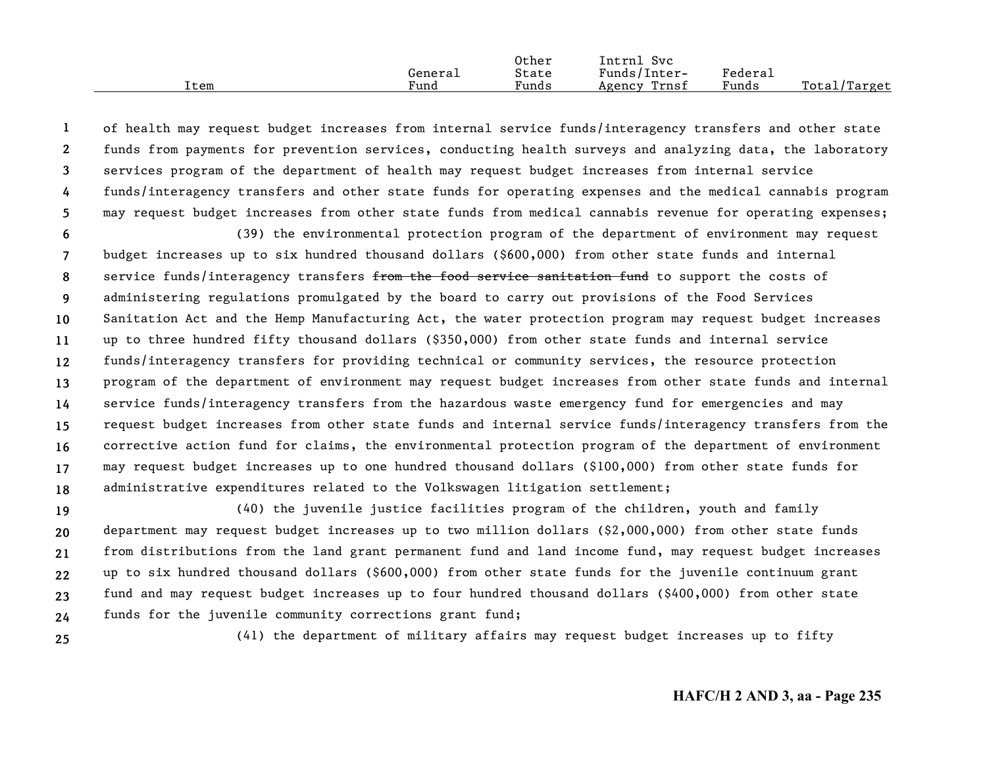|      |         | Other | Intrnl<br>Svc   |                     |                  |
|------|---------|-------|-----------------|---------------------|------------------|
|      | General | State | Funds/Inter-    | Federa <sub>1</sub> |                  |
| Item | Fund    | Funds | Trnsf<br>Agency | Funds               | Total/<br>Target |

**12345**of health may request budget increases from internal service funds/interagency transfers and other state funds from payments for prevention services, conducting health surveys and analyzing data, the laboratory services program of the department of health may request budget increases from internal service funds/interagency transfers and other state funds for operating expenses and the medical cannabis program may request budget increases from other state funds from medical cannabis revenue for operating expenses;

**6789 101112131415161718**(39) the environmental protection program of the department of environment may request budget increases up to six hundred thousand dollars (\$600,000) from other state funds and internal service funds/interagency transfers from the food service sanitation fund to support the costs of administering regulations promulgated by the board to carry out provisions of the Food Services Sanitation Act and the Hemp Manufacturing Act, the water protection program may request budget increases up to three hundred fifty thousand dollars (\$350,000) from other state funds and internal service funds/interagency transfers for providing technical or community services, the resource protection program of the department of environment may request budget increases from other state funds and internal service funds/interagency transfers from the hazardous waste emergency fund for emergencies and may request budget increases from other state funds and internal service funds/interagency transfers from the corrective action fund for claims, the environmental protection program of the department of environment may request budget increases up to one hundred thousand dollars (\$100,000) from other state funds for administrative expenditures related to the Volkswagen litigation settlement;

**192021222324**(40) the juvenile justice facilities program of the children, youth and family department may request budget increases up to two million dollars (\$2,000,000) from other state funds from distributions from the land grant permanent fund and land income fund, may request budget increases up to six hundred thousand dollars (\$600,000) from other state funds for the juvenile continuum grant fund and may request budget increases up to four hundred thousand dollars (\$400,000) from other state funds for the juvenile community corrections grant fund;

**25**

(41) the department of military affairs may request budget increases up to fifty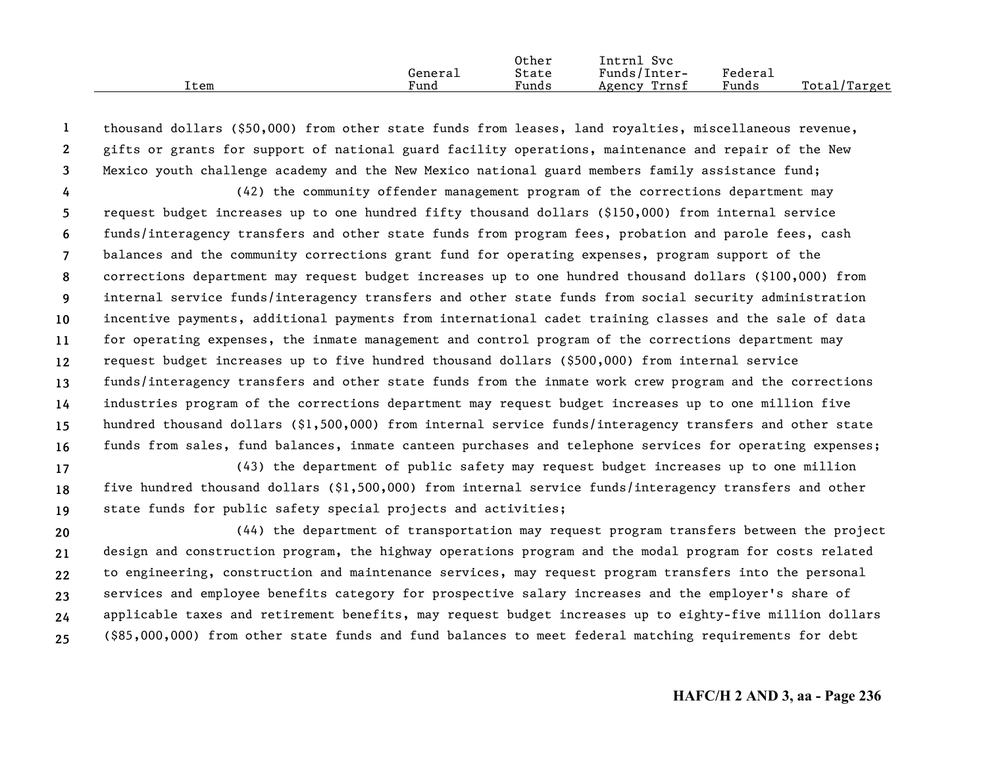|      |         | Other | Intrnl<br>Svc   |         |                    |
|------|---------|-------|-----------------|---------|--------------------|
|      | General | State | Funds/Inter-    | Federau |                    |
| Item | Fund    | Funds | Trnst<br>Agency | Funds   | Total,<br>./Target |

**123**thousand dollars (\$50,000) from other state funds from leases, land royalties, miscellaneous revenue, gifts or grants for support of national guard facility operations, maintenance and repair of the New Mexico youth challenge academy and the New Mexico national guard members family assistance fund;

**456789 10111213141516**(42) the community offender management program of the corrections department may request budget increases up to one hundred fifty thousand dollars (\$150,000) from internal service funds/interagency transfers and other state funds from program fees, probation and parole fees, cash balances and the community corrections grant fund for operating expenses, program support of the corrections department may request budget increases up to one hundred thousand dollars (\$100,000) from internal service funds/interagency transfers and other state funds from social security administration incentive payments, additional payments from international cadet training classes and the sale of data for operating expenses, the inmate management and control program of the corrections department may request budget increases up to five hundred thousand dollars (\$500,000) from internal service funds/interagency transfers and other state funds from the inmate work crew program and the corrections industries program of the corrections department may request budget increases up to one million five hundred thousand dollars (\$1,500,000) from internal service funds/interagency transfers and other state funds from sales, fund balances, inmate canteen purchases and telephone services for operating expenses;

**171819**(43) the department of public safety may request budget increases up to one million five hundred thousand dollars (\$1,500,000) from internal service funds/interagency transfers and other state funds for public safety special projects and activities;

**202122232425**(44) the department of transportation may request program transfers between the project design and construction program, the highway operations program and the modal program for costs related to engineering, construction and maintenance services, may request program transfers into the personal services and employee benefits category for prospective salary increases and the employer's share of applicable taxes and retirement benefits, may request budget increases up to eighty-five million dollars (\$85,000,000) from other state funds and fund balances to meet federal matching requirements for debt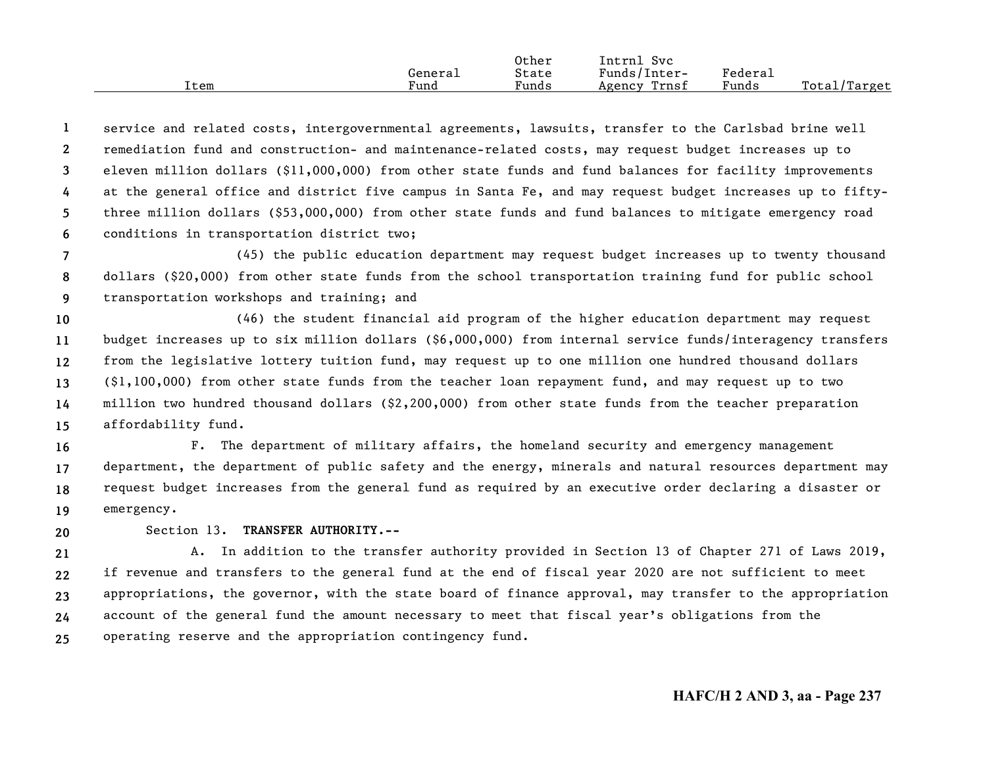|      |         | Other | Intrnl<br>SVC   |         |                    |
|------|---------|-------|-----------------|---------|--------------------|
|      | Generai | State | Funds/Inter-    | Federau |                    |
| Item | Fund    | Funds | Trnsf<br>Agency | Funds   | Total/<br>'Target' |

**123456**service and related costs, intergovernmental agreements, lawsuits, transfer to the Carlsbad brine well remediation fund and construction- and maintenance-related costs, may request budget increases up to eleven million dollars (\$11,000,000) from other state funds and fund balances for facility improvements at the general office and district five campus in Santa Fe, and may request budget increases up to fiftythree million dollars (\$53,000,000) from other state funds and fund balances to mitigate emergency road conditions in transportation district two;

**789**(45) the public education department may request budget increases up to twenty thousand dollars (\$20,000) from other state funds from the school transportation training fund for public school transportation workshops and training; and

**101112131415**(46) the student financial aid program of the higher education department may request budget increases up to six million dollars (\$6,000,000) from internal service funds/interagency transfers from the legislative lottery tuition fund, may request up to one million one hundred thousand dollars (\$1,100,000) from other state funds from the teacher loan repayment fund, and may request up to two million two hundred thousand dollars (\$2,200,000) from other state funds from the teacher preparation affordability fund.

**16171819**F. The department of military affairs, the homeland security and emergency management department, the department of public safety and the energy, minerals and natural resources department may request budget increases from the general fund as required by an executive order declaring a disaster or emergency.

Section 13. **TRANSFER AUTHORITY.--**

**20**

**2122232425**A. In addition to the transfer authority provided in Section 13 of Chapter 271 of Laws 2019, if revenue and transfers to the general fund at the end of fiscal year 2020 are not sufficient to meet appropriations, the governor, with the state board of finance approval, may transfer to the appropriation account of the general fund the amount necessary to meet that fiscal year's obligations from the operating reserve and the appropriation contingency fund.